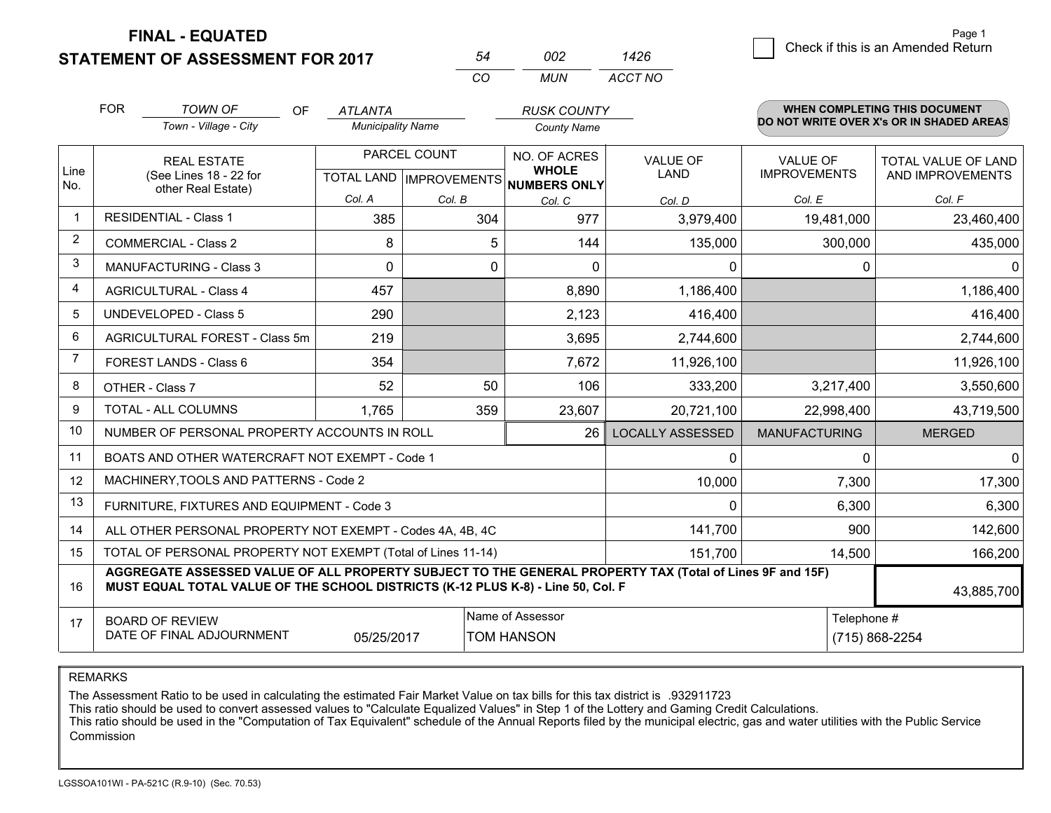**STATEMENT OF ASSESSMENT FOR 2017** 

|         | Page 1                             |
|---------|------------------------------------|
| 1426    | Check if this is an Amended Return |
| ACCT NO |                                    |

Page 1

|                | <b>FOR</b>                                                   | <b>TOWN OF</b><br><b>OF</b>                                                                                                                                                                  | <b>ATLANTA</b>           |                                      | <b>RUSK COUNTY</b>                    |                         |                                          | WHEN COMPLETING THIS DOCUMENT |  |
|----------------|--------------------------------------------------------------|----------------------------------------------------------------------------------------------------------------------------------------------------------------------------------------------|--------------------------|--------------------------------------|---------------------------------------|-------------------------|------------------------------------------|-------------------------------|--|
|                |                                                              | Town - Village - City                                                                                                                                                                        | <b>Municipality Name</b> |                                      | <b>County Name</b>                    |                         | DO NOT WRITE OVER X's OR IN SHADED AREAS |                               |  |
|                |                                                              | <b>REAL ESTATE</b>                                                                                                                                                                           |                          | PARCEL COUNT                         | NO. OF ACRES                          | <b>VALUE OF</b>         | <b>VALUE OF</b>                          | TOTAL VALUE OF LAND           |  |
| Line<br>No.    |                                                              | (See Lines 18 - 22 for<br>other Real Estate)                                                                                                                                                 |                          | TOTAL LAND IMPROVEMENTS NUMBERS ONLY | <b>WHOLE</b>                          | <b>LAND</b>             | <b>IMPROVEMENTS</b>                      | AND IMPROVEMENTS              |  |
|                |                                                              |                                                                                                                                                                                              | Col. A                   | Col. B                               | Col. C                                | Col. D                  | Col. E                                   | Col. F                        |  |
| $\mathbf{1}$   |                                                              | <b>RESIDENTIAL - Class 1</b>                                                                                                                                                                 | 385                      | 304                                  | 977                                   | 3,979,400               | 19,481,000                               | 23,460,400                    |  |
| 2              |                                                              | <b>COMMERCIAL - Class 2</b>                                                                                                                                                                  | 8                        | 5                                    | 144                                   | 135,000                 | 300,000                                  | 435,000                       |  |
| 3              |                                                              | <b>MANUFACTURING - Class 3</b>                                                                                                                                                               | $\Omega$                 | 0                                    | $\Omega$                              | $\Omega$                | 0                                        | 0                             |  |
| $\overline{4}$ |                                                              | <b>AGRICULTURAL - Class 4</b>                                                                                                                                                                | 457                      |                                      | 8,890                                 | 1,186,400               |                                          | 1,186,400                     |  |
| 5              | <b>UNDEVELOPED - Class 5</b>                                 |                                                                                                                                                                                              | 290                      |                                      | 2,123                                 | 416,400                 |                                          | 416,400                       |  |
| 6              | AGRICULTURAL FOREST - Class 5m                               |                                                                                                                                                                                              | 219                      |                                      | 3,695                                 | 2,744,600               |                                          | 2,744,600                     |  |
| $\overline{7}$ | FOREST LANDS - Class 6                                       |                                                                                                                                                                                              | 354                      |                                      | 7,672                                 | 11,926,100              |                                          | 11,926,100                    |  |
| 8              |                                                              | OTHER - Class 7                                                                                                                                                                              | 52                       | 50                                   | 106                                   | 333,200                 | 3,217,400                                | 3,550,600                     |  |
| 9              |                                                              | <b>TOTAL - ALL COLUMNS</b>                                                                                                                                                                   | 1.765                    | 359                                  | 23,607                                | 20,721,100              | 22,998,400                               | 43,719,500                    |  |
| 10             |                                                              | NUMBER OF PERSONAL PROPERTY ACCOUNTS IN ROLL                                                                                                                                                 |                          |                                      | 26                                    | <b>LOCALLY ASSESSED</b> | <b>MANUFACTURING</b>                     | <b>MERGED</b>                 |  |
| 11             |                                                              | BOATS AND OTHER WATERCRAFT NOT EXEMPT - Code 1                                                                                                                                               |                          |                                      |                                       | $\mathbf 0$             | $\Omega$                                 |                               |  |
| 12             |                                                              | MACHINERY, TOOLS AND PATTERNS - Code 2                                                                                                                                                       |                          |                                      |                                       | 10,000                  | 7,300                                    | 17,300                        |  |
| 13             |                                                              | FURNITURE, FIXTURES AND EQUIPMENT - Code 3                                                                                                                                                   |                          |                                      |                                       | $\mathbf 0$             | 6,300                                    | 6,300                         |  |
| 14             |                                                              | ALL OTHER PERSONAL PROPERTY NOT EXEMPT - Codes 4A, 4B, 4C                                                                                                                                    |                          |                                      |                                       | 141,700                 | 900                                      | 142,600                       |  |
| 15             | TOTAL OF PERSONAL PROPERTY NOT EXEMPT (Total of Lines 11-14) |                                                                                                                                                                                              |                          |                                      |                                       | 151,700                 | 14,500                                   | 166,200                       |  |
| 16             |                                                              | AGGREGATE ASSESSED VALUE OF ALL PROPERTY SUBJECT TO THE GENERAL PROPERTY TAX (Total of Lines 9F and 15F)<br>MUST EQUAL TOTAL VALUE OF THE SCHOOL DISTRICTS (K-12 PLUS K-8) - Line 50, Col. F |                          |                                      |                                       |                         |                                          | 43,885,700                    |  |
| 17             |                                                              | <b>BOARD OF REVIEW</b><br>DATE OF FINAL ADJOURNMENT                                                                                                                                          | 05/25/2017               |                                      | Name of Assessor<br><b>TOM HANSON</b> |                         |                                          | Telephone #<br>(715) 868-2254 |  |

*CO*

*MUN*

*<sup>54</sup> <sup>002</sup>*

REMARKS

The Assessment Ratio to be used in calculating the estimated Fair Market Value on tax bills for this tax district is .932911723<br>This ratio should be used to convert assessed values to "Calculate Equalized Values" in Step 1 Commission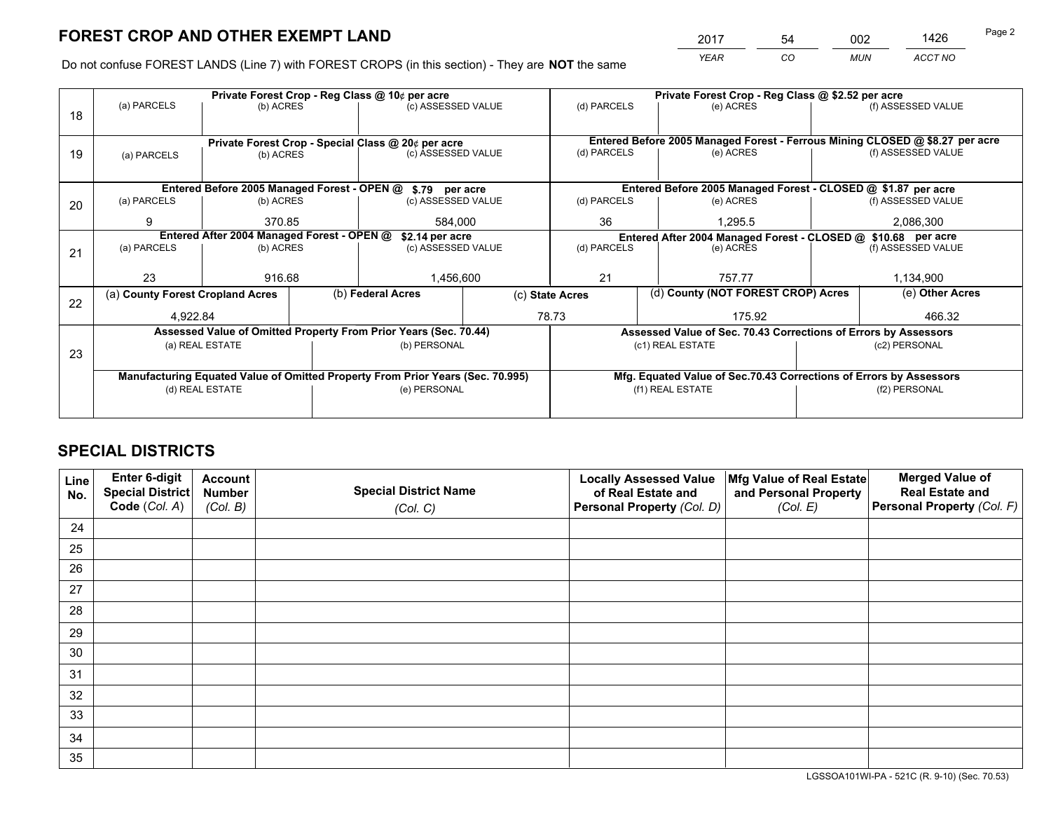*YEAR CO MUN ACCT NO* <sup>2017</sup> <sup>54</sup> <sup>002</sup> <sup>1426</sup>

Do not confuse FOREST LANDS (Line 7) with FOREST CROPS (in this section) - They are **NOT** the same

|    |                                                                                |                                            |  | Private Forest Crop - Reg Class @ 10¢ per acre                   |                 | Private Forest Crop - Reg Class @ \$2.52 per acre     |                                                                              |                                                                    |                                                               |                    |
|----|--------------------------------------------------------------------------------|--------------------------------------------|--|------------------------------------------------------------------|-----------------|-------------------------------------------------------|------------------------------------------------------------------------------|--------------------------------------------------------------------|---------------------------------------------------------------|--------------------|
| 18 | (a) PARCELS                                                                    | (b) ACRES                                  |  | (c) ASSESSED VALUE                                               |                 | (d) PARCELS                                           |                                                                              | (e) ACRES                                                          |                                                               | (f) ASSESSED VALUE |
|    |                                                                                |                                            |  |                                                                  |                 |                                                       |                                                                              |                                                                    |                                                               |                    |
|    |                                                                                |                                            |  | Private Forest Crop - Special Class @ 20¢ per acre               |                 |                                                       | Entered Before 2005 Managed Forest - Ferrous Mining CLOSED @ \$8.27 per acre |                                                                    |                                                               |                    |
| 19 | (a) PARCELS                                                                    | (b) ACRES                                  |  | (c) ASSESSED VALUE                                               |                 | (d) PARCELS                                           |                                                                              | (e) ACRES                                                          |                                                               | (f) ASSESSED VALUE |
|    |                                                                                |                                            |  |                                                                  |                 |                                                       |                                                                              |                                                                    |                                                               |                    |
|    |                                                                                |                                            |  | Entered Before 2005 Managed Forest - OPEN @ \$.79 per acre       |                 |                                                       |                                                                              | Entered Before 2005 Managed Forest - CLOSED @ \$1.87 per acre      |                                                               |                    |
| 20 | (a) PARCELS                                                                    | (b) ACRES                                  |  | (c) ASSESSED VALUE                                               |                 | (d) PARCELS                                           |                                                                              | (e) ACRES                                                          |                                                               | (f) ASSESSED VALUE |
|    | 9                                                                              | 370.85                                     |  | 584.000                                                          |                 | 36                                                    |                                                                              | 1.295.5                                                            |                                                               | 2,086,300          |
|    |                                                                                | Entered After 2004 Managed Forest - OPEN @ |  |                                                                  | \$2.14 per acre |                                                       |                                                                              |                                                                    | Entered After 2004 Managed Forest - CLOSED @ \$10.68 per acre |                    |
| 21 | (a) PARCELS                                                                    | (b) ACRES                                  |  | (c) ASSESSED VALUE                                               |                 | (d) PARCELS                                           |                                                                              | (e) ACRES                                                          |                                                               |                    |
|    |                                                                                |                                            |  |                                                                  |                 |                                                       |                                                                              |                                                                    |                                                               |                    |
|    | 23                                                                             | 916.68                                     |  | 1,456,600                                                        |                 | 21                                                    |                                                                              | 757.77                                                             |                                                               | 1,134,900          |
| 22 | (a) County Forest Cropland Acres                                               |                                            |  | (b) Federal Acres                                                |                 | (d) County (NOT FOREST CROP) Acres<br>(c) State Acres |                                                                              |                                                                    |                                                               | (e) Other Acres    |
|    | 4,922.84                                                                       |                                            |  |                                                                  |                 | 78.73<br>175.92                                       |                                                                              |                                                                    |                                                               | 466.32             |
|    |                                                                                |                                            |  | Assessed Value of Omitted Property From Prior Years (Sec. 70.44) |                 |                                                       |                                                                              | Assessed Value of Sec. 70.43 Corrections of Errors by Assessors    |                                                               |                    |
| 23 |                                                                                | (a) REAL ESTATE                            |  | (b) PERSONAL                                                     |                 |                                                       |                                                                              | (c1) REAL ESTATE                                                   | (c2) PERSONAL                                                 |                    |
|    |                                                                                |                                            |  |                                                                  |                 |                                                       |                                                                              |                                                                    |                                                               |                    |
|    | Manufacturing Equated Value of Omitted Property From Prior Years (Sec. 70.995) |                                            |  |                                                                  |                 |                                                       |                                                                              | Mfg. Equated Value of Sec.70.43 Corrections of Errors by Assessors |                                                               |                    |
|    | (d) REAL ESTATE                                                                |                                            |  | (e) PERSONAL                                                     |                 | (f1) REAL ESTATE                                      |                                                                              |                                                                    | (f2) PERSONAL                                                 |                    |
|    |                                                                                |                                            |  |                                                                  |                 |                                                       |                                                                              |                                                                    |                                                               |                    |

## **SPECIAL DISTRICTS**

| Line<br>No. | Enter 6-digit<br><b>Special District</b> | <b>Account</b><br><b>Number</b> | <b>Special District Name</b> | <b>Locally Assessed Value</b><br>of Real Estate and | Mfg Value of Real Estate<br>and Personal Property | <b>Merged Value of</b><br><b>Real Estate and</b> |
|-------------|------------------------------------------|---------------------------------|------------------------------|-----------------------------------------------------|---------------------------------------------------|--------------------------------------------------|
|             | Code (Col. A)                            | (Col. B)                        | (Col. C)                     | Personal Property (Col. D)                          | (Col. E)                                          | Personal Property (Col. F)                       |
| 24          |                                          |                                 |                              |                                                     |                                                   |                                                  |
| 25          |                                          |                                 |                              |                                                     |                                                   |                                                  |
| 26          |                                          |                                 |                              |                                                     |                                                   |                                                  |
| 27          |                                          |                                 |                              |                                                     |                                                   |                                                  |
| 28          |                                          |                                 |                              |                                                     |                                                   |                                                  |
| 29          |                                          |                                 |                              |                                                     |                                                   |                                                  |
| 30          |                                          |                                 |                              |                                                     |                                                   |                                                  |
| 31          |                                          |                                 |                              |                                                     |                                                   |                                                  |
| 32          |                                          |                                 |                              |                                                     |                                                   |                                                  |
| 33          |                                          |                                 |                              |                                                     |                                                   |                                                  |
| 34          |                                          |                                 |                              |                                                     |                                                   |                                                  |
| 35          |                                          |                                 |                              |                                                     |                                                   |                                                  |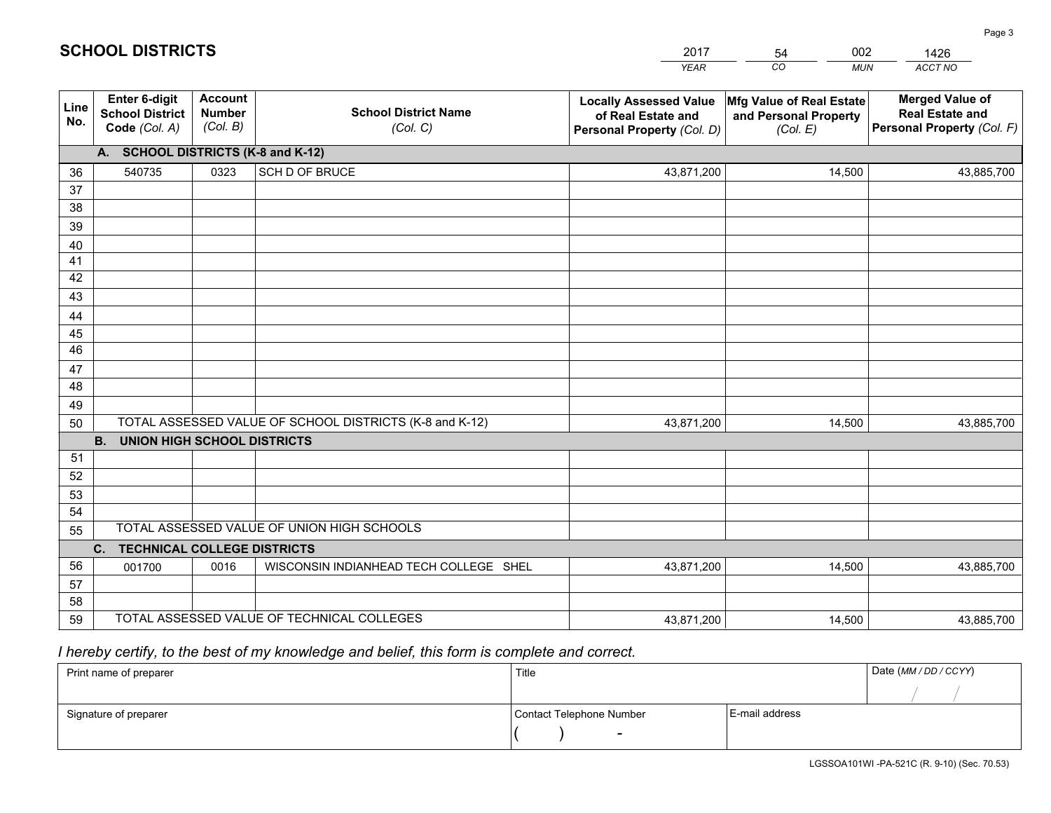|             |                                                                 |                                             |                                                         | <b>YEAR</b>                                                                       | CO<br><b>MUN</b>                                              | ACCT NO                                                                        |
|-------------|-----------------------------------------------------------------|---------------------------------------------|---------------------------------------------------------|-----------------------------------------------------------------------------------|---------------------------------------------------------------|--------------------------------------------------------------------------------|
| Line<br>No. | <b>Enter 6-digit</b><br><b>School District</b><br>Code (Col. A) | <b>Account</b><br><b>Number</b><br>(Col. B) | <b>School District Name</b><br>(Col. C)                 | <b>Locally Assessed Value</b><br>of Real Estate and<br>Personal Property (Col. D) | Mfg Value of Real Estate<br>and Personal Property<br>(Col. E) | <b>Merged Value of</b><br><b>Real Estate and</b><br>Personal Property (Col. F) |
|             | A. SCHOOL DISTRICTS (K-8 and K-12)                              |                                             |                                                         |                                                                                   |                                                               |                                                                                |
| 36          | 540735                                                          | 0323                                        | SCH D OF BRUCE                                          | 43,871,200                                                                        | 14,500                                                        | 43,885,700                                                                     |
| 37          |                                                                 |                                             |                                                         |                                                                                   |                                                               |                                                                                |
| 38          |                                                                 |                                             |                                                         |                                                                                   |                                                               |                                                                                |
| 39          |                                                                 |                                             |                                                         |                                                                                   |                                                               |                                                                                |
| 40          |                                                                 |                                             |                                                         |                                                                                   |                                                               |                                                                                |
| 41<br>42    |                                                                 |                                             |                                                         |                                                                                   |                                                               |                                                                                |
| 43          |                                                                 |                                             |                                                         |                                                                                   |                                                               |                                                                                |
|             |                                                                 |                                             |                                                         |                                                                                   |                                                               |                                                                                |
| 44<br>45    |                                                                 |                                             |                                                         |                                                                                   |                                                               |                                                                                |
| 46          |                                                                 |                                             |                                                         |                                                                                   |                                                               |                                                                                |
| 47          |                                                                 |                                             |                                                         |                                                                                   |                                                               |                                                                                |
| 48          |                                                                 |                                             |                                                         |                                                                                   |                                                               |                                                                                |
| 49          |                                                                 |                                             |                                                         |                                                                                   |                                                               |                                                                                |
| 50          |                                                                 |                                             | TOTAL ASSESSED VALUE OF SCHOOL DISTRICTS (K-8 and K-12) | 43,871,200                                                                        | 14,500                                                        | 43,885,700                                                                     |
|             | <b>B.</b><br>UNION HIGH SCHOOL DISTRICTS                        |                                             |                                                         |                                                                                   |                                                               |                                                                                |
| 51          |                                                                 |                                             |                                                         |                                                                                   |                                                               |                                                                                |
| 52          |                                                                 |                                             |                                                         |                                                                                   |                                                               |                                                                                |
| 53          |                                                                 |                                             |                                                         |                                                                                   |                                                               |                                                                                |
| 54          |                                                                 |                                             |                                                         |                                                                                   |                                                               |                                                                                |
| 55          |                                                                 |                                             | TOTAL ASSESSED VALUE OF UNION HIGH SCHOOLS              |                                                                                   |                                                               |                                                                                |
|             | C.<br><b>TECHNICAL COLLEGE DISTRICTS</b>                        |                                             |                                                         |                                                                                   |                                                               |                                                                                |
| 56          | 001700                                                          | 0016                                        | WISCONSIN INDIANHEAD TECH COLLEGE SHEL                  | 43,871,200                                                                        | 14,500                                                        | 43,885,700                                                                     |
| 57<br>58    |                                                                 |                                             |                                                         |                                                                                   |                                                               |                                                                                |
| 59          |                                                                 |                                             | TOTAL ASSESSED VALUE OF TECHNICAL COLLEGES              | 43,871,200                                                                        | 14,500                                                        | 43,885,700                                                                     |
|             |                                                                 |                                             |                                                         |                                                                                   |                                                               |                                                                                |

54

002

 *I hereby certify, to the best of my knowledge and belief, this form is complete and correct.*

**SCHOOL DISTRICTS**

| Print name of preparer | Title                    |                | Date (MM/DD/CCYY) |
|------------------------|--------------------------|----------------|-------------------|
|                        |                          |                |                   |
| Signature of preparer  | Contact Telephone Number | E-mail address |                   |
|                        | $\overline{\phantom{0}}$ |                |                   |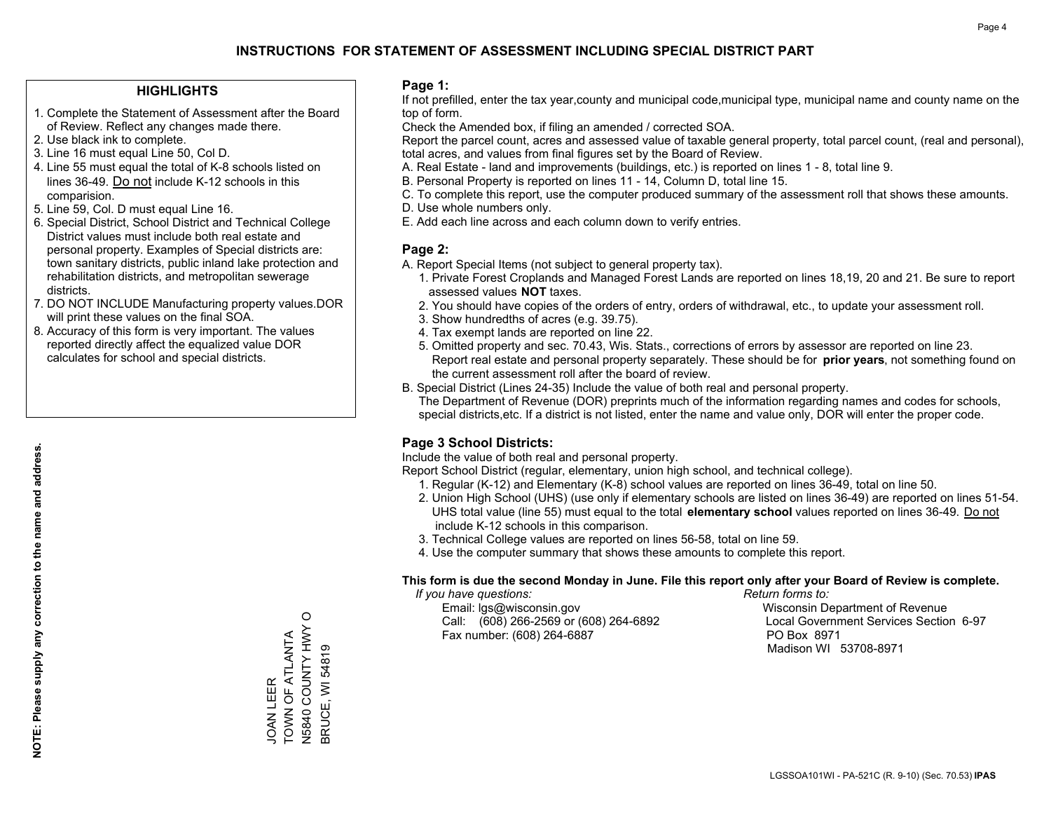#### **HIGHLIGHTS**

- 1. Complete the Statement of Assessment after the Board of Review. Reflect any changes made there.
- 2. Use black ink to complete.
- 3. Line 16 must equal Line 50, Col D.
- 4. Line 55 must equal the total of K-8 schools listed on lines 36-49. Do not include K-12 schools in this comparision.
- 5. Line 59, Col. D must equal Line 16.
- 6. Special District, School District and Technical College District values must include both real estate and personal property. Examples of Special districts are: town sanitary districts, public inland lake protection and rehabilitation districts, and metropolitan sewerage districts.
- 7. DO NOT INCLUDE Manufacturing property values.DOR will print these values on the final SOA.

JOAN LEER

TOWN OF ATLANTA N5840 COUNTY HWY O BRUCE, WI 54819

JOAN LEER<br>TOWN OF ATLANTA

N5840 COUNTY HWY O<br>BRUCE, WI 54819

 8. Accuracy of this form is very important. The values reported directly affect the equalized value DOR calculates for school and special districts.

#### **Page 1:**

 If not prefilled, enter the tax year,county and municipal code,municipal type, municipal name and county name on the top of form.

Check the Amended box, if filing an amended / corrected SOA.

 Report the parcel count, acres and assessed value of taxable general property, total parcel count, (real and personal), total acres, and values from final figures set by the Board of Review.

- A. Real Estate land and improvements (buildings, etc.) is reported on lines 1 8, total line 9.
- B. Personal Property is reported on lines 11 14, Column D, total line 15.
- C. To complete this report, use the computer produced summary of the assessment roll that shows these amounts.
- D. Use whole numbers only.
- E. Add each line across and each column down to verify entries.

### **Page 2:**

- A. Report Special Items (not subject to general property tax).
- 1. Private Forest Croplands and Managed Forest Lands are reported on lines 18,19, 20 and 21. Be sure to report assessed values **NOT** taxes.
- 2. You should have copies of the orders of entry, orders of withdrawal, etc., to update your assessment roll.
	- 3. Show hundredths of acres (e.g. 39.75).
- 4. Tax exempt lands are reported on line 22.
- 5. Omitted property and sec. 70.43, Wis. Stats., corrections of errors by assessor are reported on line 23. Report real estate and personal property separately. These should be for **prior years**, not something found on the current assessment roll after the board of review.
- B. Special District (Lines 24-35) Include the value of both real and personal property.

 The Department of Revenue (DOR) preprints much of the information regarding names and codes for schools, special districts,etc. If a district is not listed, enter the name and value only, DOR will enter the proper code.

## **Page 3 School Districts:**

Include the value of both real and personal property.

Report School District (regular, elementary, union high school, and technical college).

- 1. Regular (K-12) and Elementary (K-8) school values are reported on lines 36-49, total on line 50.
- 2. Union High School (UHS) (use only if elementary schools are listed on lines 36-49) are reported on lines 51-54. UHS total value (line 55) must equal to the total **elementary school** values reported on lines 36-49. Do notinclude K-12 schools in this comparison.
- 3. Technical College values are reported on lines 56-58, total on line 59.
- 4. Use the computer summary that shows these amounts to complete this report.

#### **This form is due the second Monday in June. File this report only after your Board of Review is complete.**

 *If you have questions: Return forms to:*

 Email: lgs@wisconsin.gov Wisconsin Department of RevenueCall:  $(608)$  266-2569 or  $(608)$  264-6892 Fax number: (608) 264-6887 PO Box 8971

Local Government Services Section 6-97 Madison WI 53708-8971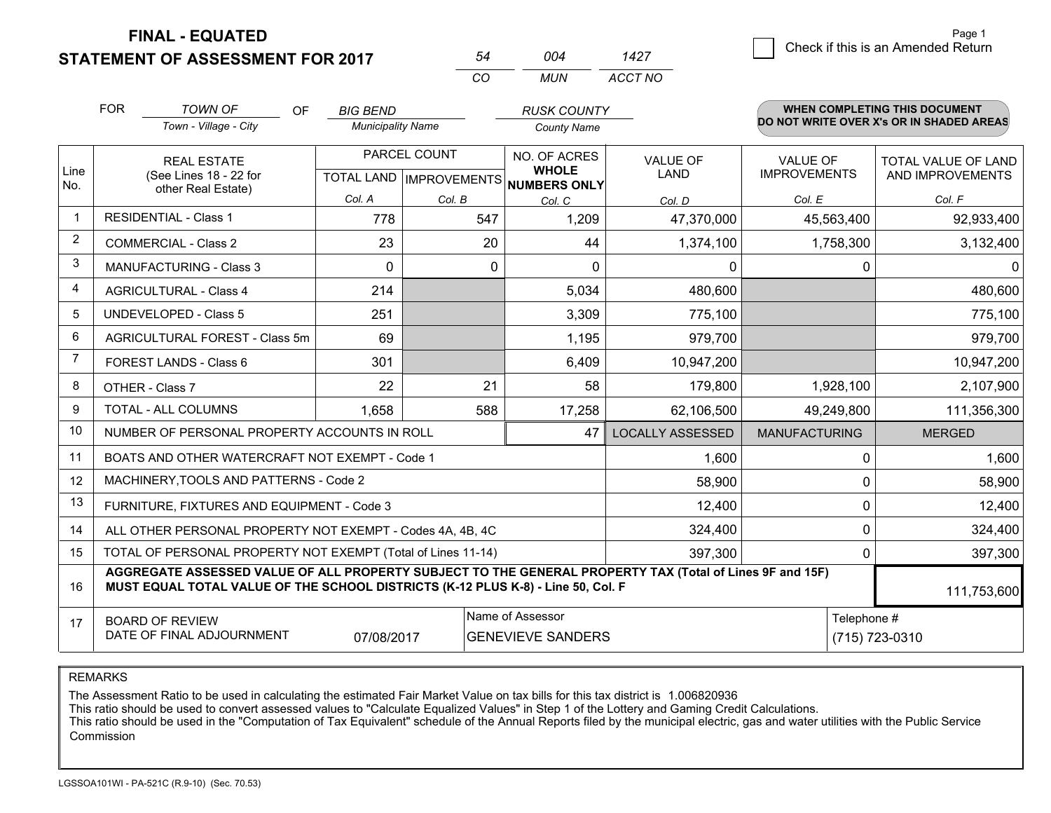**STATEMENT OF ASSESSMENT FOR 2017** 

|                | <b>FOR</b>                                                                                                                                                                                   | <b>TOWN OF</b><br>OF<br>Town - Village - City             | <b>BIG BEND</b><br><b>Municipality Name</b>          |              | <b>RUSK COUNTY</b><br><b>County Name</b>     |                         |                                        | <b>WHEN COMPLETING THIS DOCUMENT</b><br>DO NOT WRITE OVER X's OR IN SHADED AREAS |            |             |
|----------------|----------------------------------------------------------------------------------------------------------------------------------------------------------------------------------------------|-----------------------------------------------------------|------------------------------------------------------|--------------|----------------------------------------------|-------------------------|----------------------------------------|----------------------------------------------------------------------------------|------------|-------------|
| Line<br>No.    |                                                                                                                                                                                              | <b>REAL ESTATE</b><br>(See Lines 18 - 22 for              | PARCEL COUNT<br>TOTAL LAND IMPROVEMENTS NUMBERS ONLY |              | NO. OF ACRES<br><b>WHOLE</b>                 | <b>VALUE OF</b><br>LAND | <b>VALUE OF</b><br><b>IMPROVEMENTS</b> | TOTAL VALUE OF LAND<br>AND IMPROVEMENTS                                          |            |             |
|                |                                                                                                                                                                                              | other Real Estate)                                        | Col. A                                               | Col. B       | Col. C                                       | Col. D                  | Col. E                                 | Col. F                                                                           |            |             |
| -1             | <b>RESIDENTIAL - Class 1</b>                                                                                                                                                                 |                                                           | 778                                                  | 547          | 1,209                                        | 47,370,000              | 45,563,400                             | 92,933,400                                                                       |            |             |
| $\overline{2}$ | <b>COMMERCIAL - Class 2</b>                                                                                                                                                                  |                                                           | 23                                                   | 20           | 44                                           | 1,374,100               | 1,758,300                              | 3,132,400                                                                        |            |             |
| 3              | <b>MANUFACTURING - Class 3</b>                                                                                                                                                               |                                                           | $\Omega$                                             | $\mathbf{0}$ | 0                                            | 0                       | 0                                      | 0                                                                                |            |             |
| 4              | <b>AGRICULTURAL - Class 4</b>                                                                                                                                                                |                                                           | 214                                                  |              | 5,034                                        | 480,600                 |                                        | 480,600                                                                          |            |             |
| 5              | <b>UNDEVELOPED - Class 5</b>                                                                                                                                                                 |                                                           | 251                                                  |              | 3,309                                        | 775,100                 |                                        | 775,100                                                                          |            |             |
| 6              | AGRICULTURAL FOREST - Class 5m                                                                                                                                                               |                                                           | 69                                                   |              | 1,195                                        | 979,700                 |                                        | 979,700                                                                          |            |             |
| $\overline{7}$ | FOREST LANDS - Class 6                                                                                                                                                                       |                                                           | 301                                                  |              | 6,409                                        | 10,947,200              |                                        | 10,947,200                                                                       |            |             |
| 8              | OTHER - Class 7                                                                                                                                                                              |                                                           | 22                                                   | 21           | 58                                           | 179,800                 | 1,928,100                              | 2,107,900                                                                        |            |             |
| 9              | <b>TOTAL - ALL COLUMNS</b>                                                                                                                                                                   |                                                           |                                                      |              | 1,658                                        | 588                     | 17,258                                 | 62,106,500                                                                       | 49,249,800 | 111,356,300 |
| 10             |                                                                                                                                                                                              | NUMBER OF PERSONAL PROPERTY ACCOUNTS IN ROLL              |                                                      |              | 47                                           | <b>LOCALLY ASSESSED</b> | <b>MANUFACTURING</b>                   | <b>MERGED</b>                                                                    |            |             |
| 11             |                                                                                                                                                                                              | BOATS AND OTHER WATERCRAFT NOT EXEMPT - Code 1            |                                                      |              |                                              | 1,600                   | 0                                      | 1,600                                                                            |            |             |
| 12             |                                                                                                                                                                                              | MACHINERY, TOOLS AND PATTERNS - Code 2                    |                                                      |              |                                              | 58,900                  | 0                                      | 58,900                                                                           |            |             |
| 13             |                                                                                                                                                                                              | FURNITURE, FIXTURES AND EQUIPMENT - Code 3                |                                                      |              |                                              | 12,400                  | 0                                      | 12,400                                                                           |            |             |
| 14             |                                                                                                                                                                                              | ALL OTHER PERSONAL PROPERTY NOT EXEMPT - Codes 4A, 4B, 4C |                                                      |              |                                              | 324,400                 | $\mathbf 0$                            | 324,400                                                                          |            |             |
| 15             | TOTAL OF PERSONAL PROPERTY NOT EXEMPT (Total of Lines 11-14)                                                                                                                                 |                                                           |                                                      |              |                                              | 397,300                 | 0                                      | 397,300                                                                          |            |             |
| 16             | AGGREGATE ASSESSED VALUE OF ALL PROPERTY SUBJECT TO THE GENERAL PROPERTY TAX (Total of Lines 9F and 15F)<br>MUST EQUAL TOTAL VALUE OF THE SCHOOL DISTRICTS (K-12 PLUS K-8) - Line 50, Col. F |                                                           |                                                      |              |                                              |                         |                                        | 111,753,600                                                                      |            |             |
| 17             | <b>BOARD OF REVIEW</b><br>DATE OF FINAL ADJOURNMENT<br>07/08/2017                                                                                                                            |                                                           |                                                      |              | Name of Assessor<br><b>GENEVIEVE SANDERS</b> |                         |                                        | Telephone #<br>(715) 723-0310                                                    |            |             |

*MUN*

*ACCT NO1427*

*<sup>54</sup> <sup>004</sup>*

*CO*

REMARKS

The Assessment Ratio to be used in calculating the estimated Fair Market Value on tax bills for this tax district is 1.006820936<br>This ratio should be used to convert assessed values to "Calculate Equalized Values" in Step Commission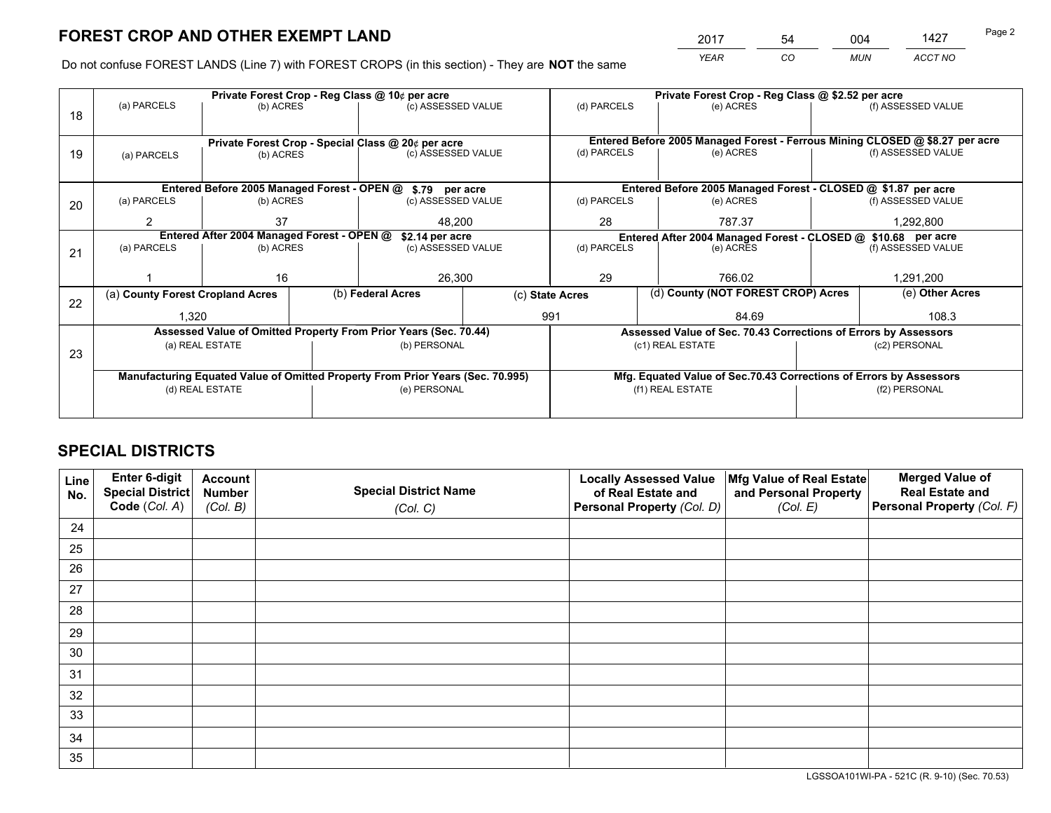*YEAR CO MUN ACCT NO* 2017 54 004 1427

Do not confuse FOREST LANDS (Line 7) with FOREST CROPS (in this section) - They are **NOT** the same

|                                                                                |                                                    |                                            |  | Private Forest Crop - Reg Class @ 10¢ per acre                   |  | Private Forest Crop - Reg Class @ \$2.52 per acre             |                                                                              |                                                                 |                    |                    |
|--------------------------------------------------------------------------------|----------------------------------------------------|--------------------------------------------|--|------------------------------------------------------------------|--|---------------------------------------------------------------|------------------------------------------------------------------------------|-----------------------------------------------------------------|--------------------|--------------------|
| 18                                                                             | (a) PARCELS                                        | (b) ACRES                                  |  | (c) ASSESSED VALUE                                               |  | (d) PARCELS                                                   |                                                                              | (e) ACRES                                                       |                    | (f) ASSESSED VALUE |
|                                                                                |                                                    |                                            |  |                                                                  |  |                                                               |                                                                              |                                                                 |                    |                    |
|                                                                                | Private Forest Crop - Special Class @ 20¢ per acre |                                            |  |                                                                  |  |                                                               | Entered Before 2005 Managed Forest - Ferrous Mining CLOSED @ \$8.27 per acre |                                                                 |                    |                    |
| 19                                                                             | (a) PARCELS                                        | (b) ACRES                                  |  | (c) ASSESSED VALUE                                               |  | (d) PARCELS                                                   |                                                                              | (e) ACRES                                                       |                    | (f) ASSESSED VALUE |
|                                                                                |                                                    |                                            |  |                                                                  |  |                                                               |                                                                              |                                                                 |                    |                    |
|                                                                                |                                                    |                                            |  | Entered Before 2005 Managed Forest - OPEN @ \$.79 per acre       |  |                                                               |                                                                              | Entered Before 2005 Managed Forest - CLOSED @ \$1.87 per acre   |                    |                    |
| 20                                                                             | (a) PARCELS                                        | (b) ACRES                                  |  | (c) ASSESSED VALUE                                               |  | (d) PARCELS                                                   |                                                                              | (e) ACRES                                                       |                    | (f) ASSESSED VALUE |
|                                                                                | 2                                                  | 37                                         |  | 48.200                                                           |  | 28                                                            |                                                                              | 787.37                                                          |                    | 1,292,800          |
|                                                                                |                                                    | Entered After 2004 Managed Forest - OPEN @ |  | \$2.14 per acre                                                  |  | Entered After 2004 Managed Forest - CLOSED @ \$10.68 per acre |                                                                              |                                                                 |                    |                    |
| 21                                                                             | (a) PARCELS                                        | (b) ACRES                                  |  | (c) ASSESSED VALUE                                               |  | (d) PARCELS<br>(e) ACRES                                      |                                                                              |                                                                 | (f) ASSESSED VALUE |                    |
|                                                                                |                                                    |                                            |  |                                                                  |  |                                                               |                                                                              |                                                                 |                    |                    |
|                                                                                |                                                    | 16                                         |  | 26,300                                                           |  | 29                                                            |                                                                              | 766.02                                                          | 1,291,200          |                    |
| 22                                                                             | (a) County Forest Cropland Acres                   |                                            |  | (b) Federal Acres                                                |  |                                                               | (d) County (NOT FOREST CROP) Acres<br>(c) State Acres                        |                                                                 |                    | (e) Other Acres    |
|                                                                                | 1,320                                              |                                            |  |                                                                  |  | 991<br>84.69                                                  |                                                                              |                                                                 |                    | 108.3              |
|                                                                                |                                                    |                                            |  | Assessed Value of Omitted Property From Prior Years (Sec. 70.44) |  |                                                               |                                                                              | Assessed Value of Sec. 70.43 Corrections of Errors by Assessors |                    |                    |
| 23                                                                             |                                                    | (a) REAL ESTATE                            |  | (b) PERSONAL                                                     |  |                                                               |                                                                              | (c1) REAL ESTATE                                                |                    | (c2) PERSONAL      |
|                                                                                |                                                    |                                            |  |                                                                  |  |                                                               |                                                                              |                                                                 |                    |                    |
| Manufacturing Equated Value of Omitted Property From Prior Years (Sec. 70.995) |                                                    |                                            |  |                                                                  |  |                                                               | Mfg. Equated Value of Sec.70.43 Corrections of Errors by Assessors           |                                                                 |                    |                    |
|                                                                                | (d) REAL ESTATE                                    |                                            |  | (e) PERSONAL                                                     |  |                                                               |                                                                              | (f1) REAL ESTATE                                                | (f2) PERSONAL      |                    |
|                                                                                |                                                    |                                            |  |                                                                  |  |                                                               |                                                                              |                                                                 |                    |                    |

## **SPECIAL DISTRICTS**

| Line<br>No. | Enter 6-digit<br><b>Special District</b> | <b>Account</b><br><b>Number</b> | <b>Special District Name</b> | <b>Locally Assessed Value</b><br>of Real Estate and | Mfg Value of Real Estate<br>and Personal Property | <b>Merged Value of</b><br><b>Real Estate and</b> |
|-------------|------------------------------------------|---------------------------------|------------------------------|-----------------------------------------------------|---------------------------------------------------|--------------------------------------------------|
|             | Code (Col. A)                            | (Col. B)                        | (Col. C)                     | Personal Property (Col. D)                          | (Col. E)                                          | Personal Property (Col. F)                       |
| 24          |                                          |                                 |                              |                                                     |                                                   |                                                  |
| 25          |                                          |                                 |                              |                                                     |                                                   |                                                  |
| 26          |                                          |                                 |                              |                                                     |                                                   |                                                  |
| 27          |                                          |                                 |                              |                                                     |                                                   |                                                  |
| 28          |                                          |                                 |                              |                                                     |                                                   |                                                  |
| 29          |                                          |                                 |                              |                                                     |                                                   |                                                  |
| 30          |                                          |                                 |                              |                                                     |                                                   |                                                  |
| 31          |                                          |                                 |                              |                                                     |                                                   |                                                  |
| 32          |                                          |                                 |                              |                                                     |                                                   |                                                  |
| 33          |                                          |                                 |                              |                                                     |                                                   |                                                  |
| 34          |                                          |                                 |                              |                                                     |                                                   |                                                  |
| 35          |                                          |                                 |                              |                                                     |                                                   |                                                  |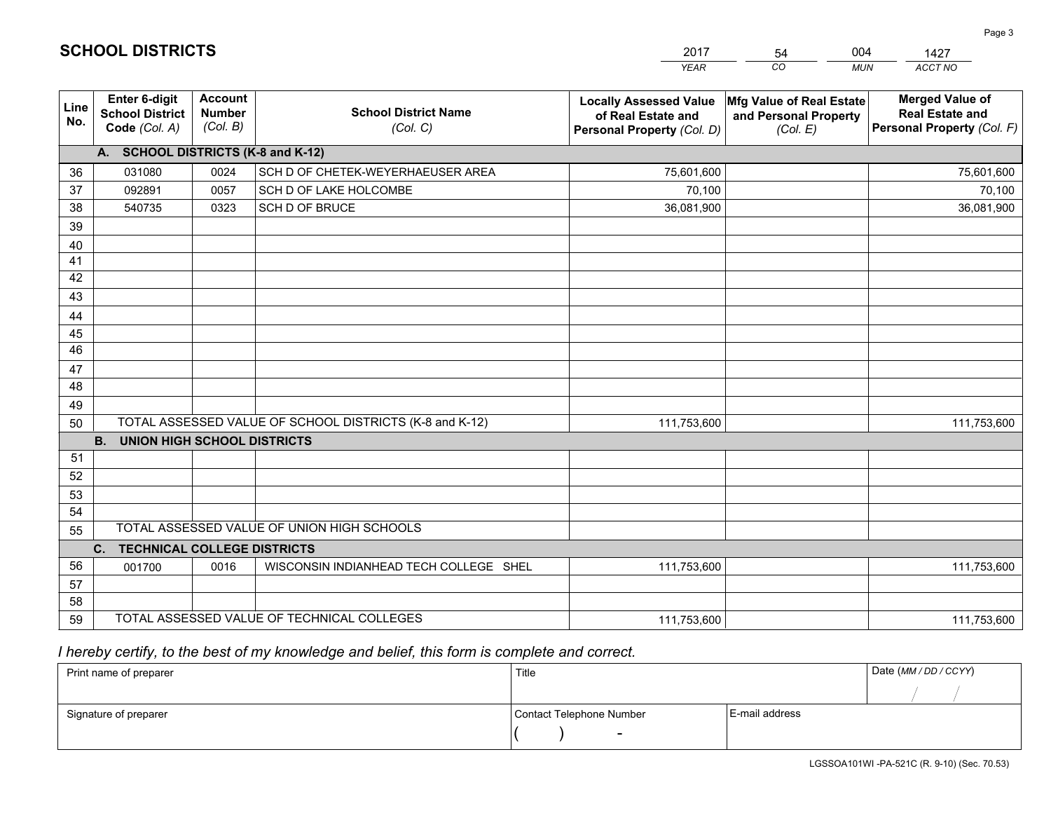|             |                                                          |                                             |                                                         | <b>YEAR</b>                                                                       | CO<br><b>MUN</b>                                              | ACCT NO                                                                        |
|-------------|----------------------------------------------------------|---------------------------------------------|---------------------------------------------------------|-----------------------------------------------------------------------------------|---------------------------------------------------------------|--------------------------------------------------------------------------------|
| Line<br>No. | Enter 6-digit<br><b>School District</b><br>Code (Col. A) | <b>Account</b><br><b>Number</b><br>(Col. B) | <b>School District Name</b><br>(Col. C)                 | <b>Locally Assessed Value</b><br>of Real Estate and<br>Personal Property (Col. D) | Mfg Value of Real Estate<br>and Personal Property<br>(Col. E) | <b>Merged Value of</b><br><b>Real Estate and</b><br>Personal Property (Col. F) |
|             | A. SCHOOL DISTRICTS (K-8 and K-12)                       |                                             |                                                         |                                                                                   |                                                               |                                                                                |
| 36          | 031080                                                   | 0024                                        | SCH D OF CHETEK-WEYERHAEUSER AREA                       | 75,601,600                                                                        |                                                               | 75,601,600                                                                     |
| 37          | 092891                                                   | 0057                                        | SCH D OF LAKE HOLCOMBE                                  | 70,100                                                                            |                                                               | 70,100                                                                         |
| 38          | 540735                                                   | 0323                                        | SCH D OF BRUCE                                          | 36,081,900                                                                        |                                                               | 36,081,900                                                                     |
| 39          |                                                          |                                             |                                                         |                                                                                   |                                                               |                                                                                |
| 40          |                                                          |                                             |                                                         |                                                                                   |                                                               |                                                                                |
| 41          |                                                          |                                             |                                                         |                                                                                   |                                                               |                                                                                |
| 42          |                                                          |                                             |                                                         |                                                                                   |                                                               |                                                                                |
| 43          |                                                          |                                             |                                                         |                                                                                   |                                                               |                                                                                |
| 44          |                                                          |                                             |                                                         |                                                                                   |                                                               |                                                                                |
| 45          |                                                          |                                             |                                                         |                                                                                   |                                                               |                                                                                |
| 46          |                                                          |                                             |                                                         |                                                                                   |                                                               |                                                                                |
| 47          |                                                          |                                             |                                                         |                                                                                   |                                                               |                                                                                |
| 48          |                                                          |                                             |                                                         |                                                                                   |                                                               |                                                                                |
| 49          |                                                          |                                             |                                                         |                                                                                   |                                                               |                                                                                |
| 50          |                                                          |                                             | TOTAL ASSESSED VALUE OF SCHOOL DISTRICTS (K-8 and K-12) | 111,753,600                                                                       |                                                               | 111,753,600                                                                    |
|             | <b>B.</b><br><b>UNION HIGH SCHOOL DISTRICTS</b>          |                                             |                                                         |                                                                                   |                                                               |                                                                                |
| 51          |                                                          |                                             |                                                         |                                                                                   |                                                               |                                                                                |
| 52          |                                                          |                                             |                                                         |                                                                                   |                                                               |                                                                                |
| 53<br>54    |                                                          |                                             |                                                         |                                                                                   |                                                               |                                                                                |
|             |                                                          |                                             | TOTAL ASSESSED VALUE OF UNION HIGH SCHOOLS              |                                                                                   |                                                               |                                                                                |
| 55          |                                                          |                                             |                                                         |                                                                                   |                                                               |                                                                                |
| 56          | C. TECHNICAL COLLEGE DISTRICTS                           |                                             | WISCONSIN INDIANHEAD TECH COLLEGE SHEL                  |                                                                                   |                                                               |                                                                                |
| 57          | 001700                                                   | 0016                                        |                                                         | 111,753,600                                                                       |                                                               | 111,753,600                                                                    |
| 58          |                                                          |                                             |                                                         |                                                                                   |                                                               |                                                                                |
| 59          |                                                          |                                             | TOTAL ASSESSED VALUE OF TECHNICAL COLLEGES              | 111,753,600                                                                       |                                                               | 111,753,600                                                                    |

54

004

 *I hereby certify, to the best of my knowledge and belief, this form is complete and correct.*

**SCHOOL DISTRICTS**

| Print name of preparer | Title                    |                | Date (MM / DD / CCYY) |
|------------------------|--------------------------|----------------|-----------------------|
|                        |                          |                |                       |
| Signature of preparer  | Contact Telephone Number | E-mail address |                       |
|                        |                          |                |                       |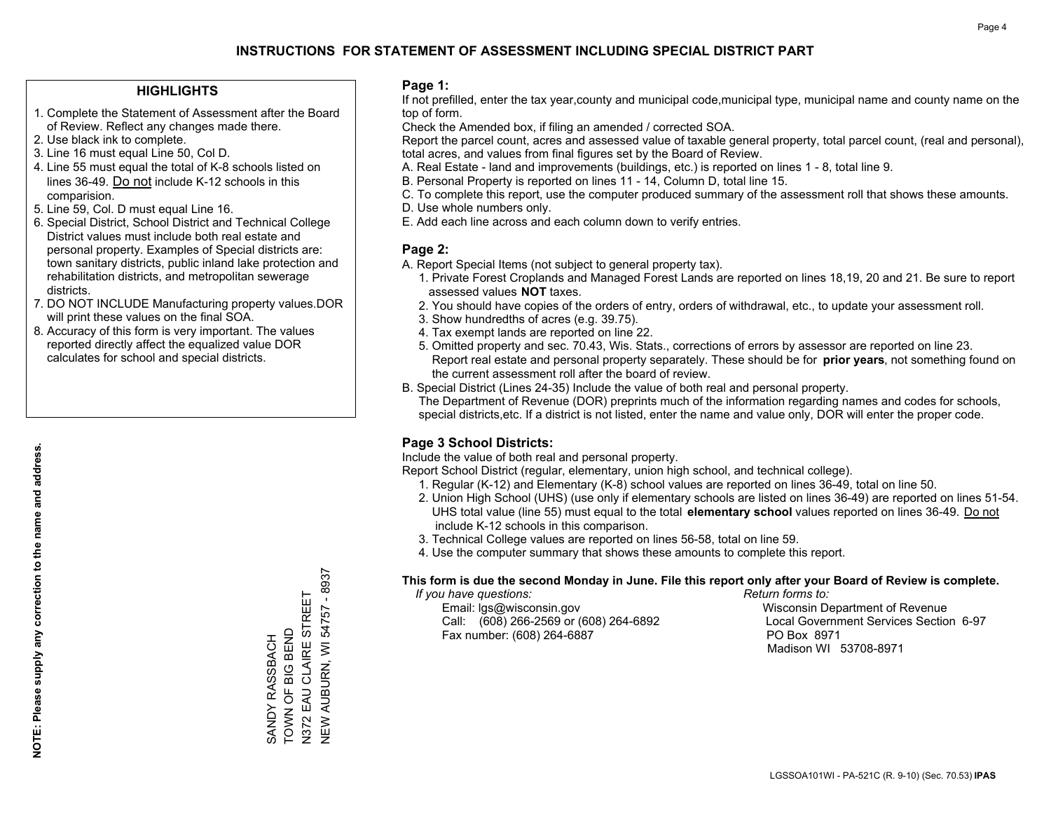#### **HIGHLIGHTS**

- 1. Complete the Statement of Assessment after the Board of Review. Reflect any changes made there.
- 2. Use black ink to complete.
- 3. Line 16 must equal Line 50, Col D.
- 4. Line 55 must equal the total of K-8 schools listed on lines 36-49. Do not include K-12 schools in this comparision.
- 5. Line 59, Col. D must equal Line 16.
- 6. Special District, School District and Technical College District values must include both real estate and personal property. Examples of Special districts are: town sanitary districts, public inland lake protection and rehabilitation districts, and metropolitan sewerage districts.
- 7. DO NOT INCLUDE Manufacturing property values.DOR will print these values on the final SOA.

SANDY RASSBACH TOWN OF BIG BEND N372 EAU CLAIRE STREET NEW AUBURN, WI 54757 - 8937

SANDY RASSBACH<br>TOWN OF BIG BEND

N372 EAU CLAIRE STREET<br>NEW AUBURN, WI 54757 - 8937

 8. Accuracy of this form is very important. The values reported directly affect the equalized value DOR calculates for school and special districts.

#### **Page 1:**

 If not prefilled, enter the tax year,county and municipal code,municipal type, municipal name and county name on the top of form.

Check the Amended box, if filing an amended / corrected SOA.

 Report the parcel count, acres and assessed value of taxable general property, total parcel count, (real and personal), total acres, and values from final figures set by the Board of Review.

- A. Real Estate land and improvements (buildings, etc.) is reported on lines 1 8, total line 9.
- B. Personal Property is reported on lines 11 14, Column D, total line 15.
- C. To complete this report, use the computer produced summary of the assessment roll that shows these amounts.
- D. Use whole numbers only.
- E. Add each line across and each column down to verify entries.

#### **Page 2:**

- A. Report Special Items (not subject to general property tax).
- 1. Private Forest Croplands and Managed Forest Lands are reported on lines 18,19, 20 and 21. Be sure to report assessed values **NOT** taxes.
- 2. You should have copies of the orders of entry, orders of withdrawal, etc., to update your assessment roll.
	- 3. Show hundredths of acres (e.g. 39.75).
- 4. Tax exempt lands are reported on line 22.
- 5. Omitted property and sec. 70.43, Wis. Stats., corrections of errors by assessor are reported on line 23. Report real estate and personal property separately. These should be for **prior years**, not something found on the current assessment roll after the board of review.
- B. Special District (Lines 24-35) Include the value of both real and personal property.
- The Department of Revenue (DOR) preprints much of the information regarding names and codes for schools, special districts,etc. If a district is not listed, enter the name and value only, DOR will enter the proper code.

## **Page 3 School Districts:**

Include the value of both real and personal property.

Report School District (regular, elementary, union high school, and technical college).

- 1. Regular (K-12) and Elementary (K-8) school values are reported on lines 36-49, total on line 50.
- 2. Union High School (UHS) (use only if elementary schools are listed on lines 36-49) are reported on lines 51-54. UHS total value (line 55) must equal to the total **elementary school** values reported on lines 36-49. Do notinclude K-12 schools in this comparison.
- 3. Technical College values are reported on lines 56-58, total on line 59.
- 4. Use the computer summary that shows these amounts to complete this report.

#### **This form is due the second Monday in June. File this report only after your Board of Review is complete.**

 *If you have questions: Return forms to:*

 Email: lgs@wisconsin.gov Wisconsin Department of RevenueCall:  $(608)$  266-2569 or  $(608)$  264-6892 Fax number: (608) 264-6887 PO Box 8971

Local Government Services Section 6-97 Madison WI 53708-8971

**NOTE: Please supply any correction to the name and address.** NOTE: Please supply any correction to the name and address.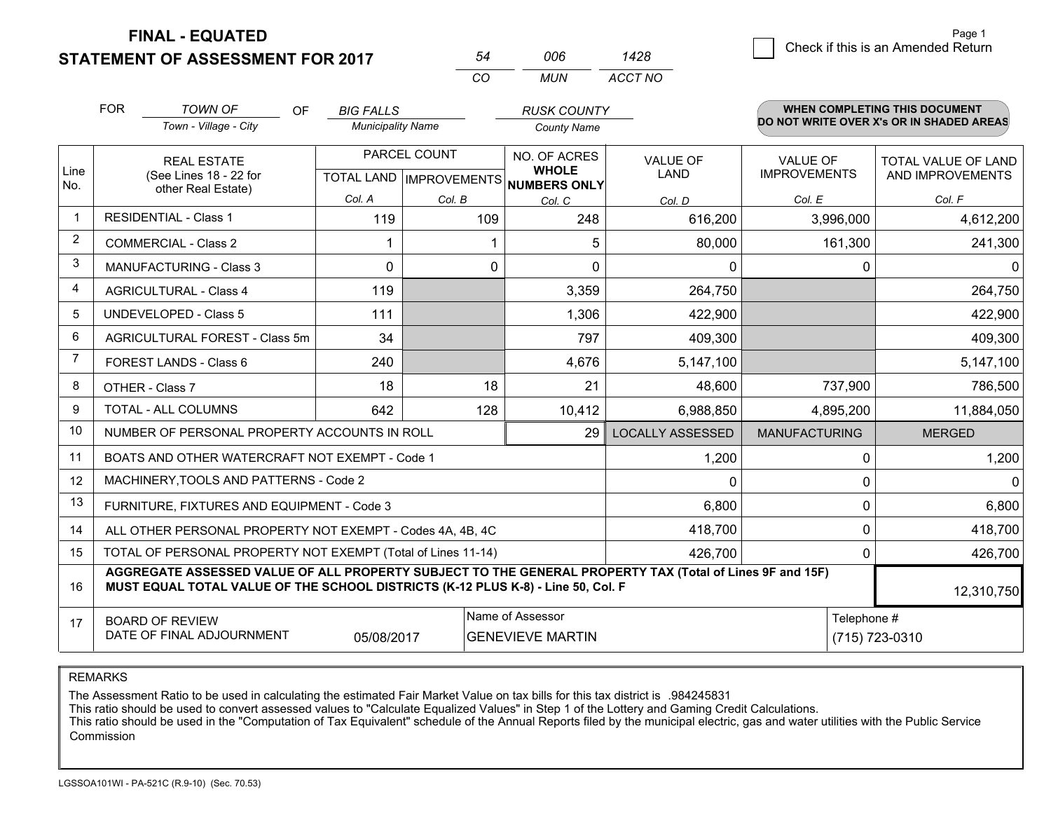**STATEMENT OF ASSESSMENT FOR 2017** 

|   | Page 1                             |
|---|------------------------------------|
| 8 | Check if this is an Amended Return |
|   |                                    |

|             | <b>FOR</b>                                                   | <b>TOWN OF</b><br>OF.                                                                                                                                                                        | <b>BIG FALLS</b>         |              | <b>RUSK COUNTY</b>                                   |                         |                      | <b>WHEN COMPLETING THIS DOCUMENT</b><br>DO NOT WRITE OVER X's OR IN SHADED AREAS |  |
|-------------|--------------------------------------------------------------|----------------------------------------------------------------------------------------------------------------------------------------------------------------------------------------------|--------------------------|--------------|------------------------------------------------------|-------------------------|----------------------|----------------------------------------------------------------------------------|--|
|             |                                                              | Town - Village - City                                                                                                                                                                        | <b>Municipality Name</b> |              | <b>County Name</b>                                   |                         |                      |                                                                                  |  |
|             |                                                              | <b>REAL ESTATE</b>                                                                                                                                                                           |                          | PARCEL COUNT | NO. OF ACRES                                         | <b>VALUE OF</b>         | <b>VALUE OF</b>      | <b>TOTAL VALUE OF LAND</b>                                                       |  |
| Line<br>No. |                                                              | (See Lines 18 - 22 for<br>other Real Estate)                                                                                                                                                 |                          |              | <b>WHOLE</b><br>TOTAL LAND IMPROVEMENTS NUMBERS ONLY | <b>LAND</b>             | <b>IMPROVEMENTS</b>  | AND IMPROVEMENTS                                                                 |  |
|             |                                                              |                                                                                                                                                                                              | Col. A                   | Col. B       | Col. C                                               | Col. D                  | Col. E               | Col. F                                                                           |  |
|             |                                                              | <b>RESIDENTIAL - Class 1</b>                                                                                                                                                                 | 119                      | 109          | 248                                                  | 616,200                 | 3,996,000            | 4,612,200                                                                        |  |
| 2           |                                                              | <b>COMMERCIAL - Class 2</b>                                                                                                                                                                  |                          |              | 5<br>1                                               | 80,000                  | 161,300              | 241,300                                                                          |  |
| 3           |                                                              | <b>MANUFACTURING - Class 3</b>                                                                                                                                                               | 0                        |              | 0<br>$\Omega$                                        | $\Omega$                | 0                    | $\Omega$                                                                         |  |
| 4           |                                                              | <b>AGRICULTURAL - Class 4</b>                                                                                                                                                                | 119                      |              | 3,359                                                | 264,750                 |                      | 264,750                                                                          |  |
| 5           |                                                              | <b>UNDEVELOPED - Class 5</b>                                                                                                                                                                 | 111                      |              | 1,306                                                | 422,900                 |                      | 422,900                                                                          |  |
| 6           | AGRICULTURAL FOREST - Class 5m                               |                                                                                                                                                                                              | 34                       |              | 797                                                  | 409,300                 |                      | 409,300                                                                          |  |
| 7           |                                                              | FOREST LANDS - Class 6                                                                                                                                                                       | 240                      |              | 4,676                                                | 5,147,100               |                      | 5,147,100                                                                        |  |
| 8           |                                                              | OTHER - Class 7                                                                                                                                                                              | 18                       | 18           | 21                                                   | 48,600                  | 737,900              | 786,500                                                                          |  |
| 9           |                                                              | TOTAL - ALL COLUMNS                                                                                                                                                                          | 642                      | 128          | 10,412                                               | 6,988,850               | 4,895,200            | 11,884,050                                                                       |  |
| 10          |                                                              | NUMBER OF PERSONAL PROPERTY ACCOUNTS IN ROLL                                                                                                                                                 |                          |              | 29                                                   | <b>LOCALLY ASSESSED</b> | <b>MANUFACTURING</b> | <b>MERGED</b>                                                                    |  |
| 11          |                                                              | BOATS AND OTHER WATERCRAFT NOT EXEMPT - Code 1                                                                                                                                               |                          |              |                                                      | 1,200                   | $\Omega$             | 1,200                                                                            |  |
| 12          |                                                              | MACHINERY, TOOLS AND PATTERNS - Code 2                                                                                                                                                       |                          |              |                                                      | 0                       | $\Omega$             | $\Omega$                                                                         |  |
| 13          |                                                              | FURNITURE, FIXTURES AND EQUIPMENT - Code 3                                                                                                                                                   |                          |              |                                                      | 6,800                   | 0                    | 6,800                                                                            |  |
| 14          |                                                              | ALL OTHER PERSONAL PROPERTY NOT EXEMPT - Codes 4A, 4B, 4C                                                                                                                                    |                          |              |                                                      | 418,700                 | 0                    | 418,700                                                                          |  |
| 15          | TOTAL OF PERSONAL PROPERTY NOT EXEMPT (Total of Lines 11-14) |                                                                                                                                                                                              |                          |              |                                                      |                         | 0                    | 426,700                                                                          |  |
| 16          |                                                              | AGGREGATE ASSESSED VALUE OF ALL PROPERTY SUBJECT TO THE GENERAL PROPERTY TAX (Total of Lines 9F and 15F)<br>MUST EQUAL TOTAL VALUE OF THE SCHOOL DISTRICTS (K-12 PLUS K-8) - Line 50, Col. F |                          |              |                                                      |                         |                      | 12,310,750                                                                       |  |
| 17          |                                                              | <b>BOARD OF REVIEW</b>                                                                                                                                                                       |                          |              | Name of Assessor                                     |                         | Telephone #          |                                                                                  |  |
|             | DATE OF FINAL ADJOURNMENT<br>05/08/2017                      |                                                                                                                                                                                              |                          |              | <b>GENEVIEVE MARTIN</b>                              |                         |                      | (715) 723-0310                                                                   |  |

*CO*

*MUN*

*ACCT NO1428*

*<sup>54</sup> <sup>006</sup>*

REMARKS

The Assessment Ratio to be used in calculating the estimated Fair Market Value on tax bills for this tax district is .984245831<br>This ratio should be used to convert assessed values to "Calculate Equalized Values" in Step 1 Commission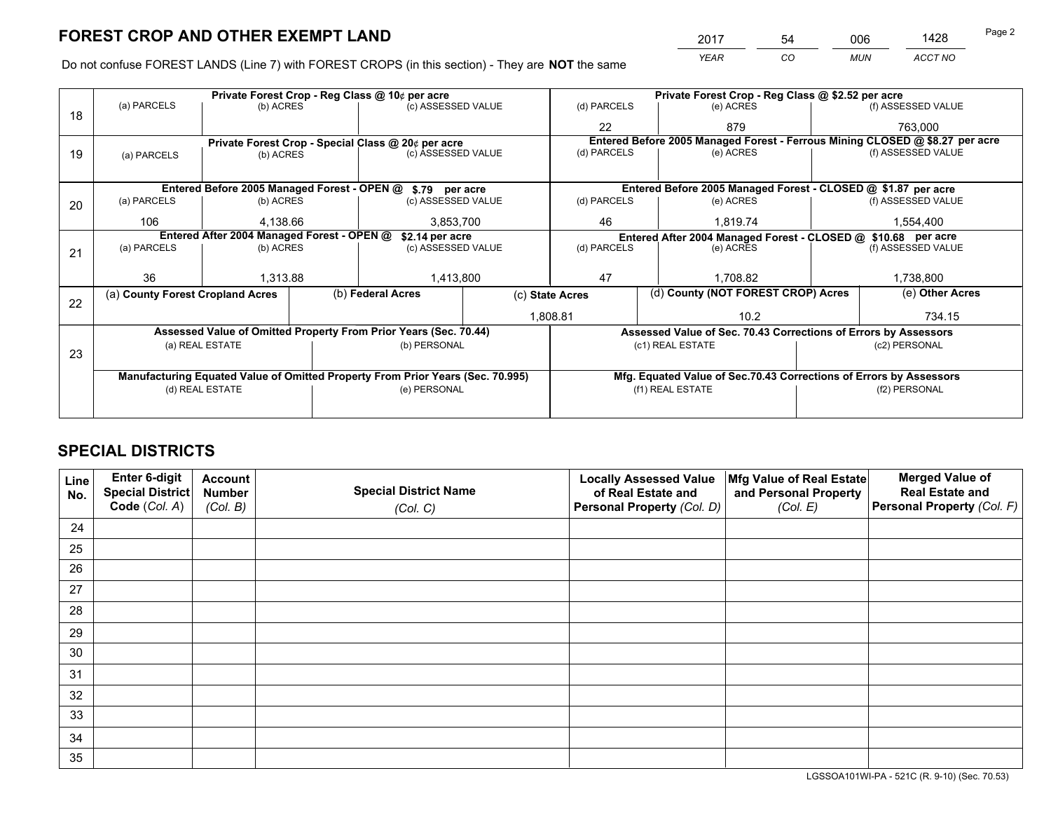*YEAR CO MUN ACCT NO* <sup>2017</sup> <sup>54</sup> <sup>006</sup> <sup>1428</sup>

Do not confuse FOREST LANDS (Line 7) with FOREST CROPS (in this section) - They are **NOT** the same

|    | Private Forest Crop - Reg Class @ 10¢ per acre                |                 |  |                                                                                |                                                               | Private Forest Crop - Reg Class @ \$2.52 per acre               |                                                                    |  |                                                                              |  |
|----|---------------------------------------------------------------|-----------------|--|--------------------------------------------------------------------------------|---------------------------------------------------------------|-----------------------------------------------------------------|--------------------------------------------------------------------|--|------------------------------------------------------------------------------|--|
| 18 | (a) PARCELS                                                   | (b) ACRES       |  | (c) ASSESSED VALUE                                                             |                                                               | (d) PARCELS                                                     | (e) ACRES                                                          |  | (f) ASSESSED VALUE                                                           |  |
|    |                                                               |                 |  |                                                                                |                                                               | 22                                                              | 879                                                                |  | 763,000                                                                      |  |
|    |                                                               |                 |  | Private Forest Crop - Special Class @ 20¢ per acre                             |                                                               |                                                                 |                                                                    |  | Entered Before 2005 Managed Forest - Ferrous Mining CLOSED @ \$8.27 per acre |  |
| 19 | (a) PARCELS                                                   | (b) ACRES       |  | (c) ASSESSED VALUE                                                             |                                                               | (d) PARCELS                                                     | (e) ACRES                                                          |  | (f) ASSESSED VALUE                                                           |  |
|    |                                                               |                 |  |                                                                                |                                                               |                                                                 |                                                                    |  |                                                                              |  |
|    | Entered Before 2005 Managed Forest - OPEN @ \$.79 per acre    |                 |  |                                                                                |                                                               |                                                                 | Entered Before 2005 Managed Forest - CLOSED @ \$1.87 per acre      |  |                                                                              |  |
| 20 | (a) PARCELS                                                   | (b) ACRES       |  | (c) ASSESSED VALUE                                                             |                                                               | (d) PARCELS                                                     | (e) ACRES                                                          |  | (f) ASSESSED VALUE                                                           |  |
|    | 106                                                           | 4.138.66        |  | 3,853,700                                                                      |                                                               | 46                                                              | 1.819.74                                                           |  | 1,554,400                                                                    |  |
|    | Entered After 2004 Managed Forest - OPEN @<br>\$2.14 per acre |                 |  |                                                                                | Entered After 2004 Managed Forest - CLOSED @ \$10.68 per acre |                                                                 |                                                                    |  |                                                                              |  |
| 21 | (a) PARCELS                                                   | (b) ACRES       |  | (c) ASSESSED VALUE                                                             |                                                               | (d) PARCELS<br>(e) ACRES                                        |                                                                    |  | (f) ASSESSED VALUE                                                           |  |
|    |                                                               |                 |  |                                                                                |                                                               |                                                                 |                                                                    |  |                                                                              |  |
|    | 36                                                            | 1,313.88        |  | 1,413,800                                                                      |                                                               | 47                                                              | 1,708.82                                                           |  | 1,738,800                                                                    |  |
| 22 | (a) County Forest Cropland Acres                              |                 |  | (b) Federal Acres                                                              |                                                               | (d) County (NOT FOREST CROP) Acres<br>(c) State Acres           |                                                                    |  | (e) Other Acres                                                              |  |
|    |                                                               |                 |  |                                                                                |                                                               | 1,808.81<br>10.2                                                |                                                                    |  | 734.15                                                                       |  |
|    |                                                               |                 |  | Assessed Value of Omitted Property From Prior Years (Sec. 70.44)               |                                                               | Assessed Value of Sec. 70.43 Corrections of Errors by Assessors |                                                                    |  |                                                                              |  |
|    |                                                               | (a) REAL ESTATE |  | (b) PERSONAL                                                                   |                                                               |                                                                 | (c1) REAL ESTATE                                                   |  | (c2) PERSONAL                                                                |  |
| 23 |                                                               |                 |  |                                                                                |                                                               |                                                                 |                                                                    |  |                                                                              |  |
|    |                                                               |                 |  | Manufacturing Equated Value of Omitted Property From Prior Years (Sec. 70.995) |                                                               |                                                                 | Mfg. Equated Value of Sec.70.43 Corrections of Errors by Assessors |  |                                                                              |  |
|    | (d) REAL ESTATE                                               |                 |  | (e) PERSONAL                                                                   |                                                               | (f1) REAL ESTATE                                                |                                                                    |  | (f2) PERSONAL                                                                |  |
|    |                                                               |                 |  |                                                                                |                                                               |                                                                 |                                                                    |  |                                                                              |  |

## **SPECIAL DISTRICTS**

| Line<br>No. | Enter 6-digit<br><b>Special District</b> | <b>Account</b><br><b>Number</b> | <b>Special District Name</b> | <b>Locally Assessed Value</b><br>of Real Estate and | Mfg Value of Real Estate<br>and Personal Property | <b>Merged Value of</b><br><b>Real Estate and</b> |
|-------------|------------------------------------------|---------------------------------|------------------------------|-----------------------------------------------------|---------------------------------------------------|--------------------------------------------------|
|             | Code (Col. A)                            | (Col. B)                        | (Col. C)                     | Personal Property (Col. D)                          | (Col. E)                                          | Personal Property (Col. F)                       |
| 24          |                                          |                                 |                              |                                                     |                                                   |                                                  |
| 25          |                                          |                                 |                              |                                                     |                                                   |                                                  |
| 26          |                                          |                                 |                              |                                                     |                                                   |                                                  |
| 27          |                                          |                                 |                              |                                                     |                                                   |                                                  |
| 28          |                                          |                                 |                              |                                                     |                                                   |                                                  |
| 29          |                                          |                                 |                              |                                                     |                                                   |                                                  |
| 30          |                                          |                                 |                              |                                                     |                                                   |                                                  |
| 31          |                                          |                                 |                              |                                                     |                                                   |                                                  |
| 32          |                                          |                                 |                              |                                                     |                                                   |                                                  |
| 33          |                                          |                                 |                              |                                                     |                                                   |                                                  |
| 34          |                                          |                                 |                              |                                                     |                                                   |                                                  |
| 35          |                                          |                                 |                              |                                                     |                                                   |                                                  |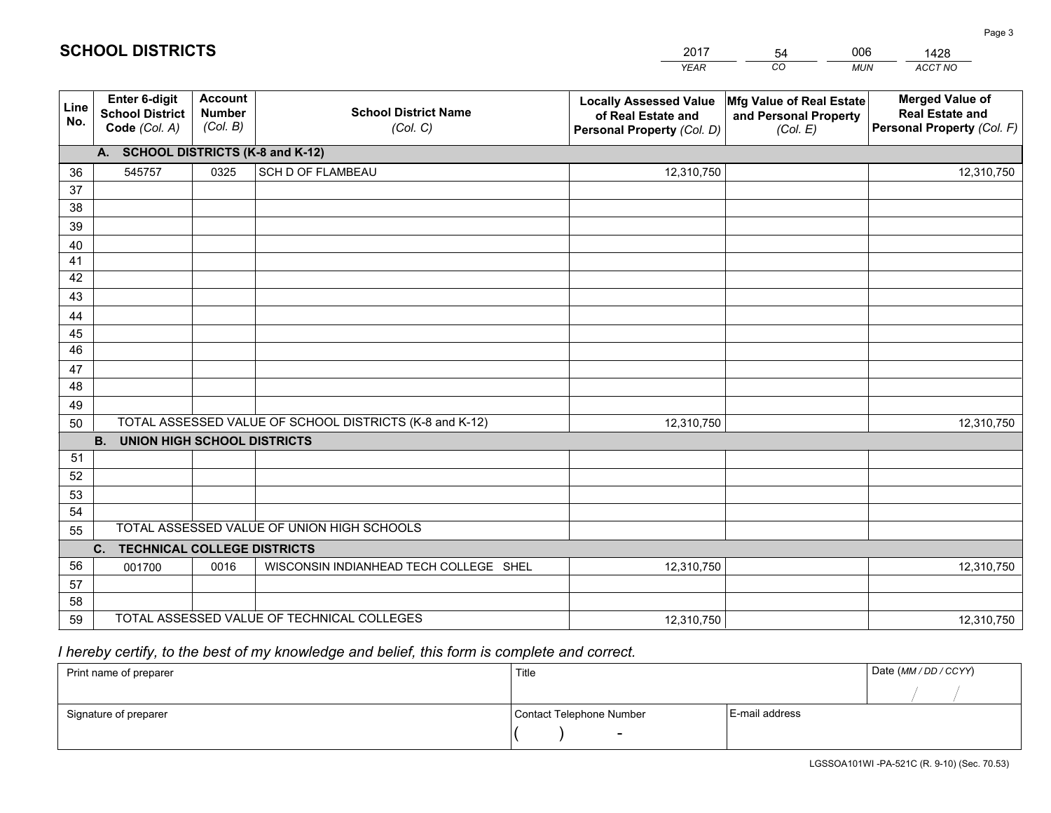|             |                                                          |                                             |                                                         | <b>YEAR</b>                                                                       | CO<br><b>MUN</b>                                              | ACCT NO                                                                        |
|-------------|----------------------------------------------------------|---------------------------------------------|---------------------------------------------------------|-----------------------------------------------------------------------------------|---------------------------------------------------------------|--------------------------------------------------------------------------------|
| Line<br>No. | Enter 6-digit<br><b>School District</b><br>Code (Col. A) | <b>Account</b><br><b>Number</b><br>(Col. B) | <b>School District Name</b><br>(Col. C)                 | <b>Locally Assessed Value</b><br>of Real Estate and<br>Personal Property (Col. D) | Mfg Value of Real Estate<br>and Personal Property<br>(Col. E) | <b>Merged Value of</b><br><b>Real Estate and</b><br>Personal Property (Col. F) |
|             | A. SCHOOL DISTRICTS (K-8 and K-12)                       |                                             |                                                         |                                                                                   |                                                               |                                                                                |
| 36          | 545757                                                   | 0325                                        | SCH D OF FLAMBEAU                                       | 12,310,750                                                                        |                                                               | 12,310,750                                                                     |
| 37          |                                                          |                                             |                                                         |                                                                                   |                                                               |                                                                                |
| 38          |                                                          |                                             |                                                         |                                                                                   |                                                               |                                                                                |
| 39          |                                                          |                                             |                                                         |                                                                                   |                                                               |                                                                                |
| 40          |                                                          |                                             |                                                         |                                                                                   |                                                               |                                                                                |
| 41          |                                                          |                                             |                                                         |                                                                                   |                                                               |                                                                                |
| 42          |                                                          |                                             |                                                         |                                                                                   |                                                               |                                                                                |
| 43          |                                                          |                                             |                                                         |                                                                                   |                                                               |                                                                                |
| 44<br>45    |                                                          |                                             |                                                         |                                                                                   |                                                               |                                                                                |
| 46          |                                                          |                                             |                                                         |                                                                                   |                                                               |                                                                                |
| 47          |                                                          |                                             |                                                         |                                                                                   |                                                               |                                                                                |
| 48          |                                                          |                                             |                                                         |                                                                                   |                                                               |                                                                                |
| 49          |                                                          |                                             |                                                         |                                                                                   |                                                               |                                                                                |
| 50          |                                                          |                                             | TOTAL ASSESSED VALUE OF SCHOOL DISTRICTS (K-8 and K-12) | 12,310,750                                                                        |                                                               | 12,310,750                                                                     |
|             | <b>B.</b><br><b>UNION HIGH SCHOOL DISTRICTS</b>          |                                             |                                                         |                                                                                   |                                                               |                                                                                |
| 51          |                                                          |                                             |                                                         |                                                                                   |                                                               |                                                                                |
| 52          |                                                          |                                             |                                                         |                                                                                   |                                                               |                                                                                |
| 53          |                                                          |                                             |                                                         |                                                                                   |                                                               |                                                                                |
| 54          |                                                          |                                             |                                                         |                                                                                   |                                                               |                                                                                |
| 55          |                                                          |                                             | TOTAL ASSESSED VALUE OF UNION HIGH SCHOOLS              |                                                                                   |                                                               |                                                                                |
|             | $C_{1}$<br><b>TECHNICAL COLLEGE DISTRICTS</b>            |                                             |                                                         |                                                                                   |                                                               |                                                                                |
| 56          | 001700                                                   | 0016                                        | WISCONSIN INDIANHEAD TECH COLLEGE SHEL                  | 12,310,750                                                                        |                                                               | 12,310,750                                                                     |
| 57          |                                                          |                                             |                                                         |                                                                                   |                                                               |                                                                                |
| 58          |                                                          |                                             |                                                         |                                                                                   |                                                               |                                                                                |
| 59          |                                                          |                                             | TOTAL ASSESSED VALUE OF TECHNICAL COLLEGES              | 12,310,750                                                                        |                                                               | 12,310,750                                                                     |

54

006

 *I hereby certify, to the best of my knowledge and belief, this form is complete and correct.*

**SCHOOL DISTRICTS**

| Print name of preparer | Title                    |                | Date (MM / DD / CCYY) |
|------------------------|--------------------------|----------------|-----------------------|
|                        |                          |                |                       |
| Signature of preparer  | Contact Telephone Number | E-mail address |                       |
|                        | $\sim$                   |                |                       |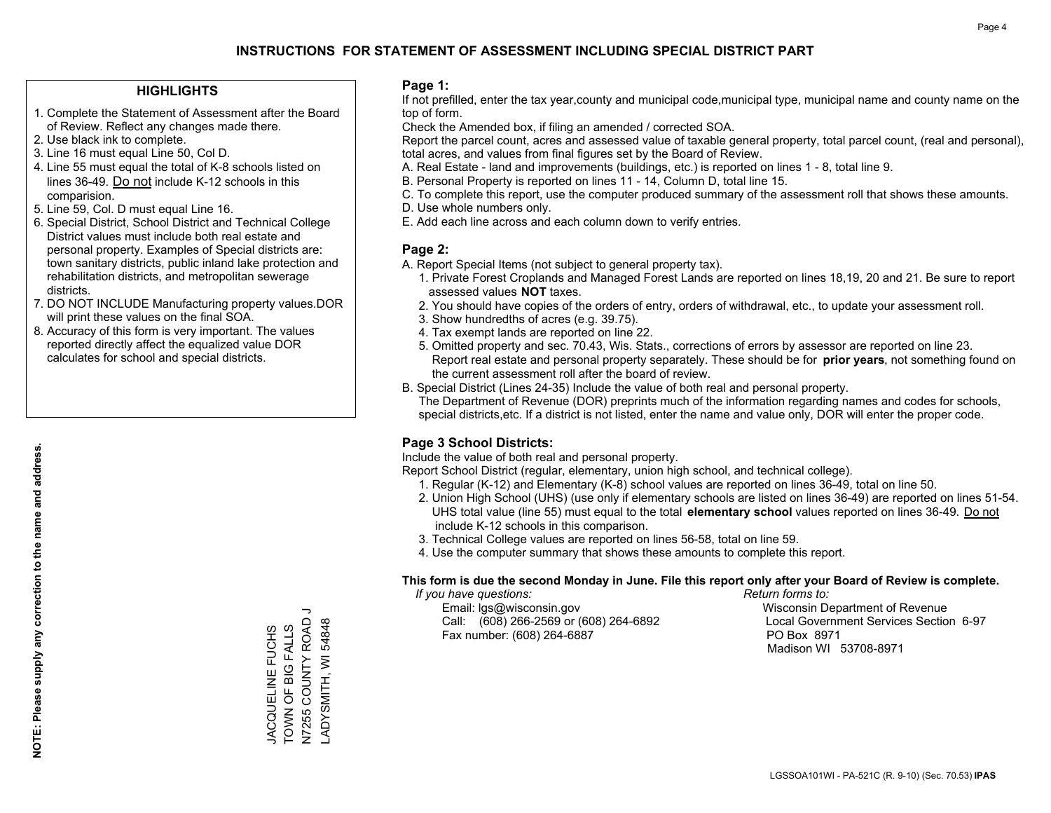#### **HIGHLIGHTS**

- 1. Complete the Statement of Assessment after the Board of Review. Reflect any changes made there.
- 2. Use black ink to complete.
- 3. Line 16 must equal Line 50, Col D.
- 4. Line 55 must equal the total of K-8 schools listed on lines 36-49. Do not include K-12 schools in this comparision.
- 5. Line 59, Col. D must equal Line 16.
- 6. Special District, School District and Technical College District values must include both real estate and personal property. Examples of Special districts are: town sanitary districts, public inland lake protection and rehabilitation districts, and metropolitan sewerage districts.
- 7. DO NOT INCLUDE Manufacturing property values.DOR will print these values on the final SOA.

JACQUELINE FUCHS TOWN OF BIG FALLS N7255 COUNTY ROAD J LADYSMITH, WI 54848

TOWN OF BIG FALLS JACQUELINE FUCHS

 $\overline{\phantom{0}}$ 

N7255 COUNTY ROAD ADYSMITH, WI 54848

 8. Accuracy of this form is very important. The values reported directly affect the equalized value DOR calculates for school and special districts.

#### **Page 1:**

 If not prefilled, enter the tax year,county and municipal code,municipal type, municipal name and county name on the top of form.

Check the Amended box, if filing an amended / corrected SOA.

 Report the parcel count, acres and assessed value of taxable general property, total parcel count, (real and personal), total acres, and values from final figures set by the Board of Review.

- A. Real Estate land and improvements (buildings, etc.) is reported on lines 1 8, total line 9.
- B. Personal Property is reported on lines 11 14, Column D, total line 15.
- C. To complete this report, use the computer produced summary of the assessment roll that shows these amounts.
- D. Use whole numbers only.
- E. Add each line across and each column down to verify entries.

#### **Page 2:**

- A. Report Special Items (not subject to general property tax).
- 1. Private Forest Croplands and Managed Forest Lands are reported on lines 18,19, 20 and 21. Be sure to report assessed values **NOT** taxes.
- 2. You should have copies of the orders of entry, orders of withdrawal, etc., to update your assessment roll.
	- 3. Show hundredths of acres (e.g. 39.75).
- 4. Tax exempt lands are reported on line 22.
- 5. Omitted property and sec. 70.43, Wis. Stats., corrections of errors by assessor are reported on line 23. Report real estate and personal property separately. These should be for **prior years**, not something found on the current assessment roll after the board of review.
- B. Special District (Lines 24-35) Include the value of both real and personal property.

 The Department of Revenue (DOR) preprints much of the information regarding names and codes for schools, special districts,etc. If a district is not listed, enter the name and value only, DOR will enter the proper code.

## **Page 3 School Districts:**

Include the value of both real and personal property.

Report School District (regular, elementary, union high school, and technical college).

- 1. Regular (K-12) and Elementary (K-8) school values are reported on lines 36-49, total on line 50.
- 2. Union High School (UHS) (use only if elementary schools are listed on lines 36-49) are reported on lines 51-54. UHS total value (line 55) must equal to the total **elementary school** values reported on lines 36-49. Do notinclude K-12 schools in this comparison.
- 3. Technical College values are reported on lines 56-58, total on line 59.
- 4. Use the computer summary that shows these amounts to complete this report.

#### **This form is due the second Monday in June. File this report only after your Board of Review is complete.**

 *If you have questions: Return forms to:*

 Email: lgs@wisconsin.gov Wisconsin Department of RevenueCall:  $(608)$  266-2569 or  $(608)$  264-6892 Fax number: (608) 264-6887 PO Box 8971

Local Government Services Section 6-97 Madison WI 53708-8971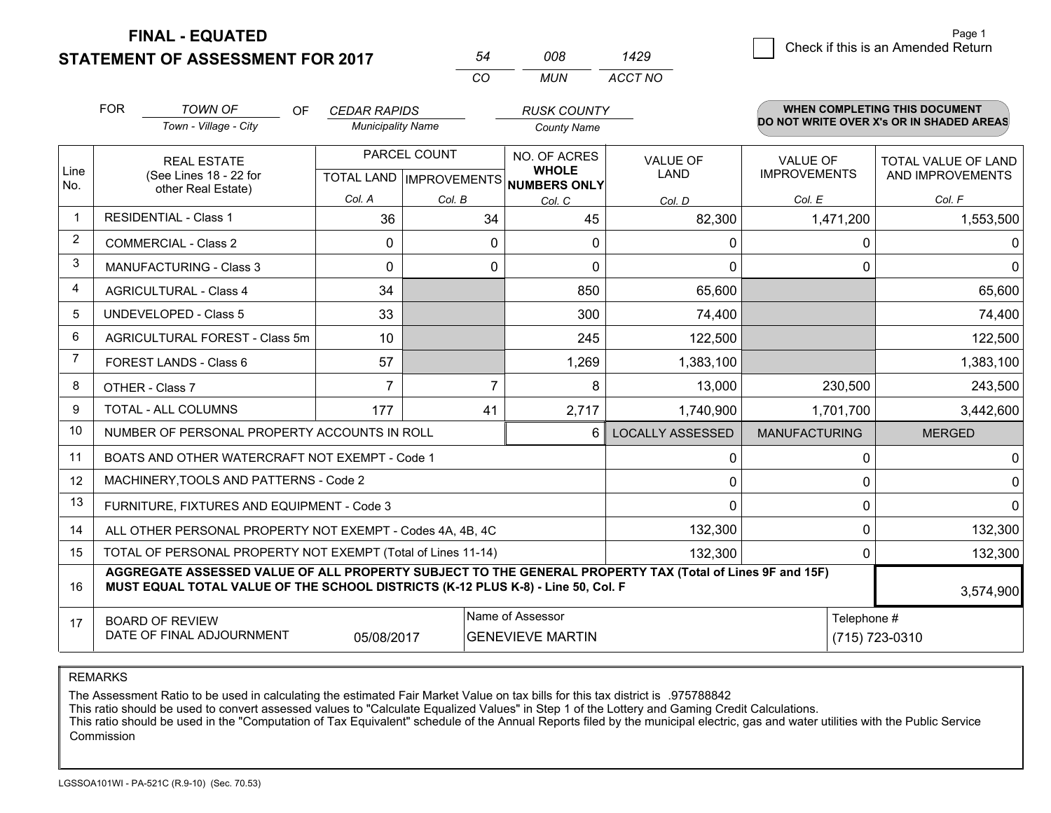**STATEMENT OF ASSESSMENT FOR 2017** 

**FINAL - EQUATED**

|   |                                    | Page 1 |
|---|------------------------------------|--------|
| 9 | Check if this is an Amended Return |        |

|                | <b>FOR</b>                                                                                                                                                                                   | <b>TOWN OF</b><br>OF.<br>Town - Village - City               | <b>CEDAR RAPIDS</b><br><b>Municipality Name</b> |                                                | <b>RUSK COUNTY</b><br><b>County Name</b>            |                         |                                        | <b>WHEN COMPLETING THIS DOCUMENT</b><br>DO NOT WRITE OVER X's OR IN SHADED AREAS |
|----------------|----------------------------------------------------------------------------------------------------------------------------------------------------------------------------------------------|--------------------------------------------------------------|-------------------------------------------------|------------------------------------------------|-----------------------------------------------------|-------------------------|----------------------------------------|----------------------------------------------------------------------------------|
| Line<br>No.    |                                                                                                                                                                                              | <b>REAL ESTATE</b><br>(See Lines 18 - 22 for                 |                                                 | PARCEL COUNT<br><b>TOTAL LAND IMPROVEMENTS</b> | NO. OF ACRES<br><b>WHOLE</b><br><b>NUMBERS ONLY</b> | VALUE OF<br><b>LAND</b> | <b>VALUE OF</b><br><b>IMPROVEMENTS</b> | TOTAL VALUE OF LAND<br>AND IMPROVEMENTS                                          |
|                |                                                                                                                                                                                              | other Real Estate)                                           | Col. A                                          | Col. B                                         | Col. C                                              | Col. D                  | Col. E                                 | Col. F                                                                           |
|                | <b>RESIDENTIAL - Class 1</b>                                                                                                                                                                 |                                                              | 36                                              | 34                                             | 45                                                  | 82,300                  | 1,471,200                              | 1,553,500                                                                        |
| 2              |                                                                                                                                                                                              | <b>COMMERCIAL - Class 2</b>                                  | 0                                               | 0                                              | 0                                                   | 0                       | $\mathbf 0$                            | $\mathbf{0}$                                                                     |
| 3              |                                                                                                                                                                                              | <b>MANUFACTURING - Class 3</b>                               | 0                                               | 0                                              | 0                                                   | 0                       | 0                                      | $\overline{0}$                                                                   |
| 4              |                                                                                                                                                                                              | <b>AGRICULTURAL - Class 4</b>                                | 34                                              |                                                | 850                                                 | 65,600                  |                                        | 65,600                                                                           |
| 5              |                                                                                                                                                                                              | <b>UNDEVELOPED - Class 5</b>                                 | 33                                              |                                                | 300                                                 | 74,400                  |                                        | 74,400                                                                           |
| 6              |                                                                                                                                                                                              | AGRICULTURAL FOREST - Class 5m                               | 10 <sup>1</sup>                                 |                                                | 245                                                 | 122,500                 |                                        | 122,500                                                                          |
| $\overline{7}$ |                                                                                                                                                                                              | FOREST LANDS - Class 6                                       | 57                                              |                                                | 1,269                                               | 1,383,100               |                                        | 1,383,100                                                                        |
| 8              |                                                                                                                                                                                              | OTHER - Class 7                                              | $\overline{7}$                                  | $\overline{7}$                                 | 8                                                   | 13,000                  | 230,500                                | 243,500                                                                          |
| 9              |                                                                                                                                                                                              | TOTAL - ALL COLUMNS                                          | 177                                             | 41                                             | 2,717                                               | 1,740,900               | 1,701,700                              | 3,442,600                                                                        |
| 10             |                                                                                                                                                                                              | NUMBER OF PERSONAL PROPERTY ACCOUNTS IN ROLL                 |                                                 |                                                | 6.                                                  | <b>LOCALLY ASSESSED</b> | <b>MANUFACTURING</b>                   | <b>MERGED</b>                                                                    |
| 11             |                                                                                                                                                                                              | BOATS AND OTHER WATERCRAFT NOT EXEMPT - Code 1               |                                                 |                                                |                                                     | 0                       | 0                                      | $\overline{0}$                                                                   |
| 12             |                                                                                                                                                                                              | MACHINERY, TOOLS AND PATTERNS - Code 2                       |                                                 |                                                |                                                     | 0                       | 0                                      | $\overline{0}$                                                                   |
| 13             |                                                                                                                                                                                              | FURNITURE, FIXTURES AND EQUIPMENT - Code 3                   |                                                 |                                                |                                                     | 0                       | $\Omega$                               | $\Omega$                                                                         |
| 14             |                                                                                                                                                                                              | ALL OTHER PERSONAL PROPERTY NOT EXEMPT - Codes 4A, 4B, 4C    |                                                 |                                                |                                                     | 132,300                 | $\mathbf 0$                            | 132,300                                                                          |
| 15             |                                                                                                                                                                                              | TOTAL OF PERSONAL PROPERTY NOT EXEMPT (Total of Lines 11-14) |                                                 |                                                |                                                     | 132,300                 | $\Omega$                               | 132,300                                                                          |
| 16             | AGGREGATE ASSESSED VALUE OF ALL PROPERTY SUBJECT TO THE GENERAL PROPERTY TAX (Total of Lines 9F and 15F)<br>MUST EQUAL TOTAL VALUE OF THE SCHOOL DISTRICTS (K-12 PLUS K-8) - Line 50, Col. F |                                                              |                                                 |                                                |                                                     |                         |                                        | 3,574,900                                                                        |
| 17             |                                                                                                                                                                                              | <b>BOARD OF REVIEW</b><br>DATE OF FINAL ADJOURNMENT          | 05/08/2017                                      |                                                | Name of Assessor<br><b>GENEVIEVE MARTIN</b>         |                         | Telephone #                            | (715) 723-0310                                                                   |

*CO*

*MUN*

*ACCT NO1429*

*<sup>54</sup> <sup>008</sup>*

REMARKS

The Assessment Ratio to be used in calculating the estimated Fair Market Value on tax bills for this tax district is .975788842<br>This ratio should be used to convert assessed values to "Calculate Equalized Values" in Step 1 Commission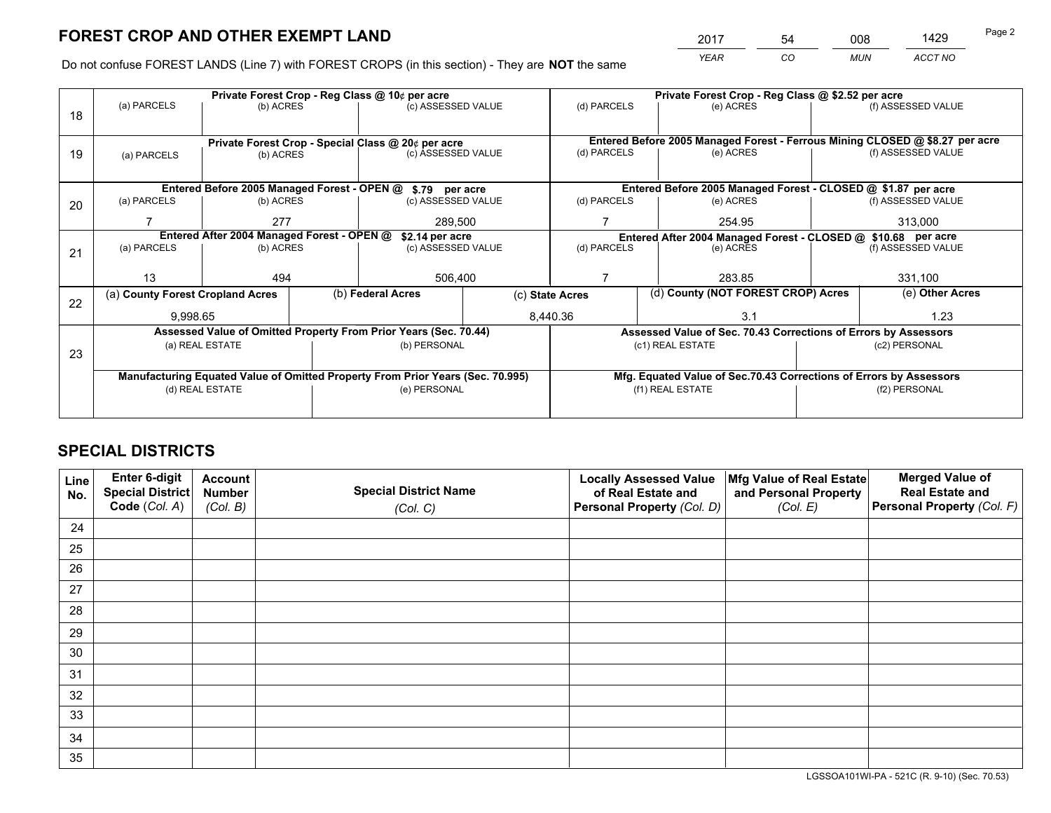*YEAR CO MUN ACCT NO* <sup>2017</sup> <sup>54</sup> <sup>008</sup> <sup>1429</sup>

Do not confuse FOREST LANDS (Line 7) with FOREST CROPS (in this section) - They are **NOT** the same

|    |                                                               | Private Forest Crop - Reg Class @ 10¢ per acre |  | Private Forest Crop - Reg Class @ \$2.52 per acre                              |                 |                          |                  |                                    |                    |                                                                              |
|----|---------------------------------------------------------------|------------------------------------------------|--|--------------------------------------------------------------------------------|-----------------|--------------------------|------------------|------------------------------------|--------------------|------------------------------------------------------------------------------|
| 18 | (a) PARCELS                                                   | (b) ACRES                                      |  | (c) ASSESSED VALUE                                                             |                 | (d) PARCELS              |                  | (e) ACRES                          |                    | (f) ASSESSED VALUE                                                           |
|    |                                                               |                                                |  |                                                                                |                 |                          |                  |                                    |                    |                                                                              |
|    |                                                               |                                                |  | Private Forest Crop - Special Class @ 20¢ per acre                             |                 |                          |                  |                                    |                    | Entered Before 2005 Managed Forest - Ferrous Mining CLOSED @ \$8.27 per acre |
| 19 | (a) PARCELS                                                   | (b) ACRES                                      |  | (c) ASSESSED VALUE                                                             |                 | (d) PARCELS              |                  | (e) ACRES                          |                    | (f) ASSESSED VALUE                                                           |
|    |                                                               |                                                |  |                                                                                |                 |                          |                  |                                    |                    |                                                                              |
|    |                                                               |                                                |  | Entered Before 2005 Managed Forest - OPEN @ \$.79 per acre                     |                 |                          |                  |                                    |                    | Entered Before 2005 Managed Forest - CLOSED @ \$1.87 per acre                |
| 20 | (a) PARCELS                                                   | (b) ACRES                                      |  | (c) ASSESSED VALUE                                                             |                 | (d) PARCELS              |                  | (e) ACRES                          |                    | (f) ASSESSED VALUE                                                           |
|    |                                                               | 277                                            |  | 289,500                                                                        |                 | 254.95                   |                  |                                    | 313,000            |                                                                              |
|    | Entered After 2004 Managed Forest - OPEN @<br>\$2.14 per acre |                                                |  |                                                                                |                 |                          |                  |                                    |                    | Entered After 2004 Managed Forest - CLOSED @ \$10.68 per acre                |
| 21 | (a) PARCELS                                                   | (b) ACRES                                      |  | (c) ASSESSED VALUE                                                             |                 | (d) PARCELS<br>(e) ACRES |                  |                                    | (f) ASSESSED VALUE |                                                                              |
|    |                                                               |                                                |  |                                                                                |                 |                          |                  |                                    |                    |                                                                              |
|    | 13                                                            | 494                                            |  | 506,400                                                                        |                 |                          |                  | 283.85                             |                    | 331,100                                                                      |
| 22 |                                                               | (a) County Forest Cropland Acres               |  | (b) Federal Acres                                                              | (c) State Acres |                          |                  | (d) County (NOT FOREST CROP) Acres |                    | (e) Other Acres                                                              |
|    | 9,998.65                                                      |                                                |  |                                                                                |                 | 8,440.36<br>3.1          |                  |                                    | 1.23               |                                                                              |
|    |                                                               |                                                |  | Assessed Value of Omitted Property From Prior Years (Sec. 70.44)               |                 |                          |                  |                                    |                    | Assessed Value of Sec. 70.43 Corrections of Errors by Assessors              |
| 23 |                                                               | (a) REAL ESTATE                                |  | (b) PERSONAL                                                                   |                 |                          | (c1) REAL ESTATE |                                    |                    | (c2) PERSONAL                                                                |
|    |                                                               |                                                |  |                                                                                |                 |                          |                  |                                    |                    |                                                                              |
|    |                                                               |                                                |  | Manufacturing Equated Value of Omitted Property From Prior Years (Sec. 70.995) |                 |                          |                  |                                    |                    | Mfg. Equated Value of Sec.70.43 Corrections of Errors by Assessors           |
|    | (d) REAL ESTATE                                               |                                                |  | (e) PERSONAL                                                                   |                 | (f1) REAL ESTATE         |                  |                                    | (f2) PERSONAL      |                                                                              |
|    |                                                               |                                                |  |                                                                                |                 |                          |                  |                                    |                    |                                                                              |

## **SPECIAL DISTRICTS**

| Line<br>No. | Enter 6-digit<br><b>Special District</b> | <b>Account</b><br><b>Number</b> | <b>Special District Name</b> | <b>Locally Assessed Value</b><br>of Real Estate and | Mfg Value of Real Estate<br>and Personal Property | <b>Merged Value of</b><br><b>Real Estate and</b> |
|-------------|------------------------------------------|---------------------------------|------------------------------|-----------------------------------------------------|---------------------------------------------------|--------------------------------------------------|
|             | Code (Col. A)                            | (Col. B)                        | (Col. C)                     | Personal Property (Col. D)                          | (Col. E)                                          | Personal Property (Col. F)                       |
| 24          |                                          |                                 |                              |                                                     |                                                   |                                                  |
| 25          |                                          |                                 |                              |                                                     |                                                   |                                                  |
| 26          |                                          |                                 |                              |                                                     |                                                   |                                                  |
| 27          |                                          |                                 |                              |                                                     |                                                   |                                                  |
| 28          |                                          |                                 |                              |                                                     |                                                   |                                                  |
| 29          |                                          |                                 |                              |                                                     |                                                   |                                                  |
| 30          |                                          |                                 |                              |                                                     |                                                   |                                                  |
| 31          |                                          |                                 |                              |                                                     |                                                   |                                                  |
| 32          |                                          |                                 |                              |                                                     |                                                   |                                                  |
| 33          |                                          |                                 |                              |                                                     |                                                   |                                                  |
| 34          |                                          |                                 |                              |                                                     |                                                   |                                                  |
| 35          |                                          |                                 |                              |                                                     |                                                   |                                                  |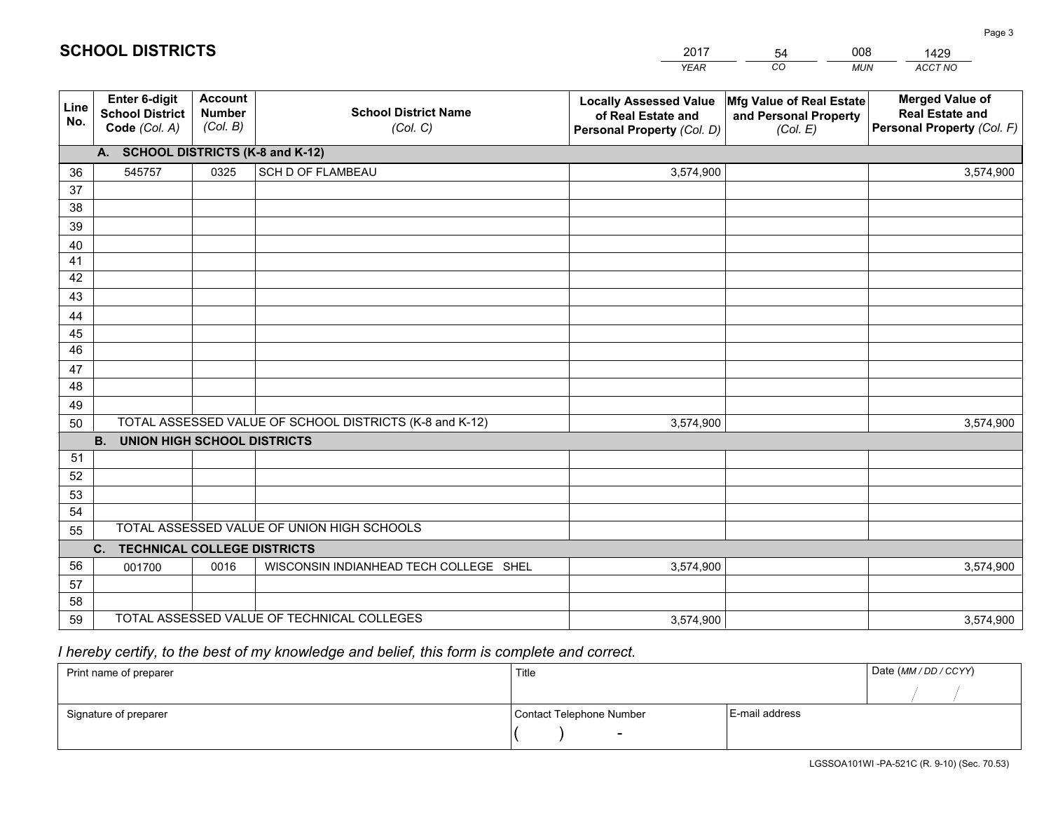|             |                                                          |                                             |                                                         | <b>YEAR</b>                                                                       | CO<br><b>MUN</b>                                              | ACCT NO                                                                        |
|-------------|----------------------------------------------------------|---------------------------------------------|---------------------------------------------------------|-----------------------------------------------------------------------------------|---------------------------------------------------------------|--------------------------------------------------------------------------------|
| Line<br>No. | Enter 6-digit<br><b>School District</b><br>Code (Col. A) | <b>Account</b><br><b>Number</b><br>(Col. B) | <b>School District Name</b><br>(Col. C)                 | <b>Locally Assessed Value</b><br>of Real Estate and<br>Personal Property (Col. D) | Mfg Value of Real Estate<br>and Personal Property<br>(Col. E) | <b>Merged Value of</b><br><b>Real Estate and</b><br>Personal Property (Col. F) |
|             | A. SCHOOL DISTRICTS (K-8 and K-12)                       |                                             |                                                         |                                                                                   |                                                               |                                                                                |
| 36          | 545757                                                   | 0325                                        | SCH D OF FLAMBEAU                                       | 3,574,900                                                                         |                                                               | 3,574,900                                                                      |
| 37          |                                                          |                                             |                                                         |                                                                                   |                                                               |                                                                                |
| 38          |                                                          |                                             |                                                         |                                                                                   |                                                               |                                                                                |
| 39          |                                                          |                                             |                                                         |                                                                                   |                                                               |                                                                                |
| 40          |                                                          |                                             |                                                         |                                                                                   |                                                               |                                                                                |
| 41          |                                                          |                                             |                                                         |                                                                                   |                                                               |                                                                                |
| 42          |                                                          |                                             |                                                         |                                                                                   |                                                               |                                                                                |
| 43          |                                                          |                                             |                                                         |                                                                                   |                                                               |                                                                                |
| 44          |                                                          |                                             |                                                         |                                                                                   |                                                               |                                                                                |
| 45<br>46    |                                                          |                                             |                                                         |                                                                                   |                                                               |                                                                                |
|             |                                                          |                                             |                                                         |                                                                                   |                                                               |                                                                                |
| 47<br>48    |                                                          |                                             |                                                         |                                                                                   |                                                               |                                                                                |
| 49          |                                                          |                                             |                                                         |                                                                                   |                                                               |                                                                                |
| 50          |                                                          |                                             | TOTAL ASSESSED VALUE OF SCHOOL DISTRICTS (K-8 and K-12) | 3,574,900                                                                         |                                                               | 3,574,900                                                                      |
|             | <b>B.</b><br><b>UNION HIGH SCHOOL DISTRICTS</b>          |                                             |                                                         |                                                                                   |                                                               |                                                                                |
| 51          |                                                          |                                             |                                                         |                                                                                   |                                                               |                                                                                |
| 52          |                                                          |                                             |                                                         |                                                                                   |                                                               |                                                                                |
| 53          |                                                          |                                             |                                                         |                                                                                   |                                                               |                                                                                |
| 54          |                                                          |                                             |                                                         |                                                                                   |                                                               |                                                                                |
| 55          |                                                          |                                             | TOTAL ASSESSED VALUE OF UNION HIGH SCHOOLS              |                                                                                   |                                                               |                                                                                |
|             | C.<br><b>TECHNICAL COLLEGE DISTRICTS</b>                 |                                             |                                                         |                                                                                   |                                                               |                                                                                |
| 56          | 001700                                                   | 0016                                        | WISCONSIN INDIANHEAD TECH COLLEGE SHEL                  | 3,574,900                                                                         |                                                               | 3,574,900                                                                      |
| 57          |                                                          |                                             |                                                         |                                                                                   |                                                               |                                                                                |
| 58          |                                                          |                                             |                                                         |                                                                                   |                                                               |                                                                                |
| 59          |                                                          |                                             | TOTAL ASSESSED VALUE OF TECHNICAL COLLEGES              | 3,574,900                                                                         |                                                               | 3,574,900                                                                      |

54

008

 *I hereby certify, to the best of my knowledge and belief, this form is complete and correct.*

**SCHOOL DISTRICTS**

| Print name of preparer | Title                    |                | Date (MM/DD/CCYY) |
|------------------------|--------------------------|----------------|-------------------|
|                        |                          |                |                   |
| Signature of preparer  | Contact Telephone Number | E-mail address |                   |
|                        | $\overline{\phantom{0}}$ |                |                   |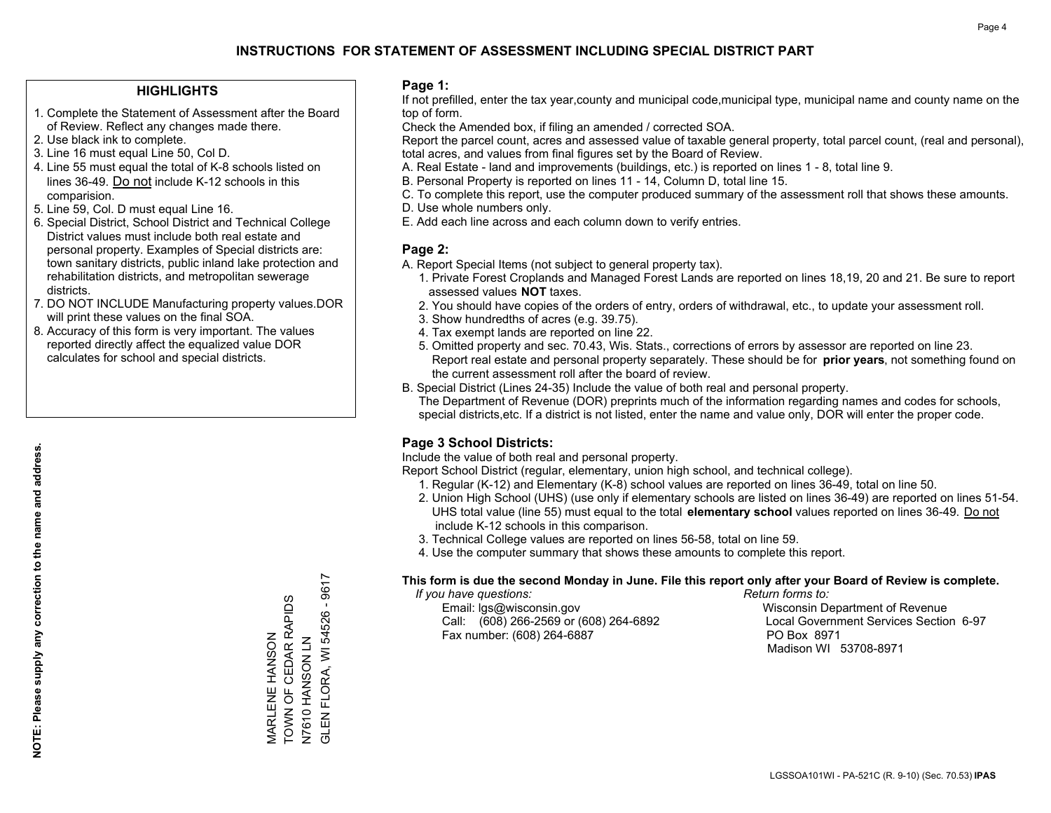#### **HIGHLIGHTS**

- 1. Complete the Statement of Assessment after the Board of Review. Reflect any changes made there.
- 2. Use black ink to complete.
- 3. Line 16 must equal Line 50, Col D.
- 4. Line 55 must equal the total of K-8 schools listed on lines 36-49. Do not include K-12 schools in this comparision.
- 5. Line 59, Col. D must equal Line 16.
- 6. Special District, School District and Technical College District values must include both real estate and personal property. Examples of Special districts are: town sanitary districts, public inland lake protection and rehabilitation districts, and metropolitan sewerage districts.
- 7. DO NOT INCLUDE Manufacturing property values.DOR will print these values on the final SOA.
- 8. Accuracy of this form is very important. The values reported directly affect the equalized value DOR calculates for school and special districts.

#### **Page 1:**

 If not prefilled, enter the tax year,county and municipal code,municipal type, municipal name and county name on the top of form.

Check the Amended box, if filing an amended / corrected SOA.

 Report the parcel count, acres and assessed value of taxable general property, total parcel count, (real and personal), total acres, and values from final figures set by the Board of Review.

- A. Real Estate land and improvements (buildings, etc.) is reported on lines 1 8, total line 9.
- B. Personal Property is reported on lines 11 14, Column D, total line 15.
- C. To complete this report, use the computer produced summary of the assessment roll that shows these amounts.
- D. Use whole numbers only.
- E. Add each line across and each column down to verify entries.

### **Page 2:**

- A. Report Special Items (not subject to general property tax).
- 1. Private Forest Croplands and Managed Forest Lands are reported on lines 18,19, 20 and 21. Be sure to report assessed values **NOT** taxes.
- 2. You should have copies of the orders of entry, orders of withdrawal, etc., to update your assessment roll.
	- 3. Show hundredths of acres (e.g. 39.75).
- 4. Tax exempt lands are reported on line 22.
- 5. Omitted property and sec. 70.43, Wis. Stats., corrections of errors by assessor are reported on line 23. Report real estate and personal property separately. These should be for **prior years**, not something found on the current assessment roll after the board of review.
- B. Special District (Lines 24-35) Include the value of both real and personal property.
- The Department of Revenue (DOR) preprints much of the information regarding names and codes for schools, special districts,etc. If a district is not listed, enter the name and value only, DOR will enter the proper code.

## **Page 3 School Districts:**

Include the value of both real and personal property.

Report School District (regular, elementary, union high school, and technical college).

- 1. Regular (K-12) and Elementary (K-8) school values are reported on lines 36-49, total on line 50.
- 2. Union High School (UHS) (use only if elementary schools are listed on lines 36-49) are reported on lines 51-54. UHS total value (line 55) must equal to the total **elementary school** values reported on lines 36-49. Do notinclude K-12 schools in this comparison.
- 3. Technical College values are reported on lines 56-58, total on line 59.
- 4. Use the computer summary that shows these amounts to complete this report.

#### **This form is due the second Monday in June. File this report only after your Board of Review is complete.**

 *If you have questions: Return forms to:*

 Email: lgs@wisconsin.gov Wisconsin Department of RevenueCall:  $(608)$  266-2569 or  $(608)$  264-6892 Fax number: (608) 264-6887 PO Box 8971

Local Government Services Section 6-97 Madison WI 53708-8971

FLORA, WI 54526 - 9617 GLEN FLORA, WI 54526 - 9617 TOWN OF CEDAR RAPIDS MARLENE HANSON<br>TOWN OF CEDAR RAPIDS N7610 HANSON LN<br>GLEN FLORA, WI 545 MARLENE HANSON N7 NOSAN OF PAN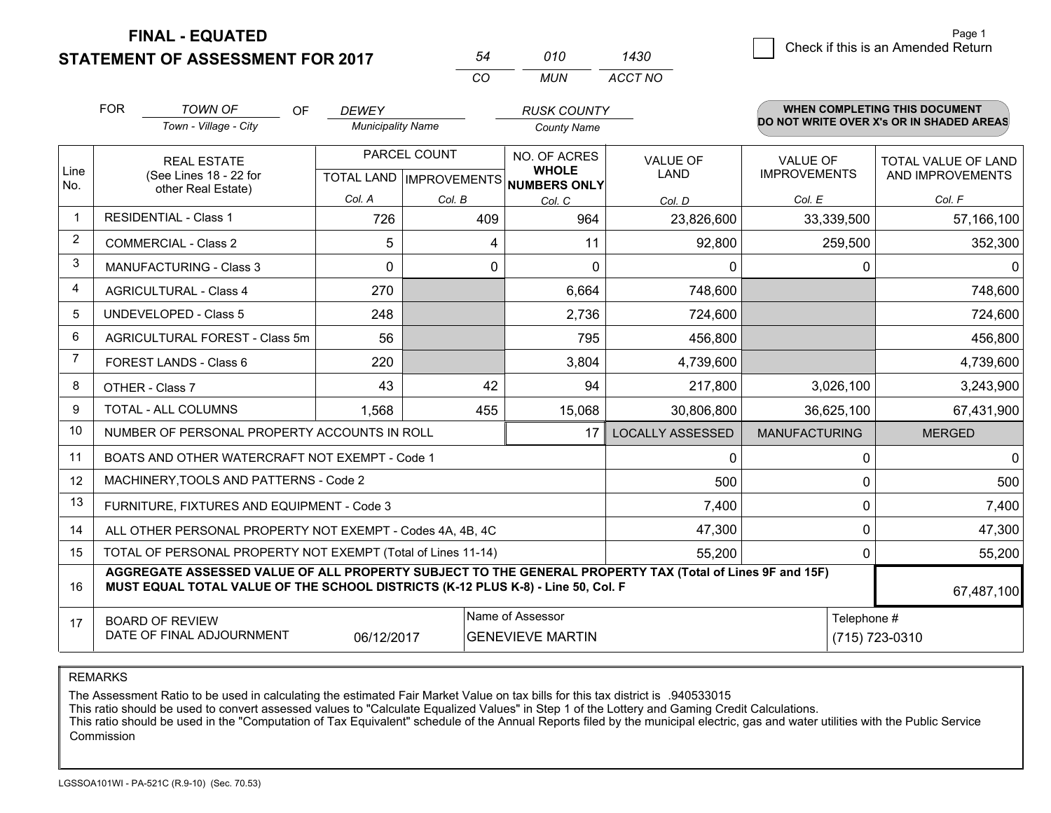**STATEMENT OF ASSESSMENT FOR 2017** 

| 54 | 010 | 1430    |
|----|-----|---------|
| ΩO | MUN | ACCT NO |

|                | <b>FOR</b>                                                                                                                                                                                   | <b>TOWN OF</b><br><b>OF</b>                                  | <b>DEWEY</b>             |                                             | <b>RUSK COUNTY</b>                           |                         |                                        | <b>WHEN COMPLETING THIS DOCUMENT</b>           |
|----------------|----------------------------------------------------------------------------------------------------------------------------------------------------------------------------------------------|--------------------------------------------------------------|--------------------------|---------------------------------------------|----------------------------------------------|-------------------------|----------------------------------------|------------------------------------------------|
|                |                                                                                                                                                                                              | Town - Village - City                                        | <b>Municipality Name</b> |                                             | <b>County Name</b>                           |                         |                                        | DO NOT WRITE OVER X's OR IN SHADED AREAS       |
| Line<br>No.    |                                                                                                                                                                                              | <b>REAL ESTATE</b><br>(See Lines 18 - 22 for                 |                          | PARCEL COUNT<br>TOTAL LAND   IMPROVEMENTS   | NO. OF ACRES<br><b>WHOLE</b><br>NUMBERS ONLY | <b>VALUE OF</b><br>LAND | <b>VALUE OF</b><br><b>IMPROVEMENTS</b> | <b>TOTAL VALUE OF LAND</b><br>AND IMPROVEMENTS |
|                |                                                                                                                                                                                              | other Real Estate)                                           | Col. A                   | Col. B                                      | Col. C                                       | Col. D                  | Col. E                                 | Col. F                                         |
| $\mathbf 1$    |                                                                                                                                                                                              | <b>RESIDENTIAL - Class 1</b>                                 | 726                      | 409                                         | 964                                          | 23,826,600              | 33,339,500                             | 57,166,100                                     |
| 2              |                                                                                                                                                                                              | <b>COMMERCIAL - Class 2</b>                                  | 5                        | 4                                           | 11                                           | 92,800                  | 259,500                                | 352,300                                        |
| 3              |                                                                                                                                                                                              | <b>MANUFACTURING - Class 3</b>                               | 0                        | 0                                           | $\mathbf{0}$                                 | 0                       | 0                                      |                                                |
| $\overline{4}$ |                                                                                                                                                                                              | <b>AGRICULTURAL - Class 4</b>                                | 270                      |                                             | 6,664                                        | 748,600                 |                                        | 748,600                                        |
| 5              |                                                                                                                                                                                              | <b>UNDEVELOPED - Class 5</b>                                 | 248                      |                                             | 2,736                                        | 724,600                 |                                        | 724,600                                        |
| 6              |                                                                                                                                                                                              | AGRICULTURAL FOREST - Class 5m                               | 56                       |                                             | 795                                          | 456,800                 |                                        | 456,800                                        |
| $\overline{7}$ |                                                                                                                                                                                              | FOREST LANDS - Class 6                                       | 220                      |                                             | 3,804                                        | 4,739,600               |                                        | 4,739,600                                      |
| 8              |                                                                                                                                                                                              | OTHER - Class 7                                              | 43                       | 42                                          | 94                                           | 217,800                 | 3,026,100                              | 3,243,900                                      |
| 9              |                                                                                                                                                                                              | TOTAL - ALL COLUMNS                                          | 1,568                    | 455                                         | 15,068                                       | 30,806,800              | 36,625,100                             | 67,431,900                                     |
| 10             |                                                                                                                                                                                              | NUMBER OF PERSONAL PROPERTY ACCOUNTS IN ROLL                 |                          |                                             | 17                                           | <b>LOCALLY ASSESSED</b> | <b>MANUFACTURING</b>                   | <b>MERGED</b>                                  |
| 11             |                                                                                                                                                                                              | BOATS AND OTHER WATERCRAFT NOT EXEMPT - Code 1               |                          |                                             |                                              | $\Omega$                | 0                                      | 0                                              |
| 12             |                                                                                                                                                                                              | MACHINERY, TOOLS AND PATTERNS - Code 2                       |                          |                                             |                                              | 500                     | 0                                      | 500                                            |
| 13             |                                                                                                                                                                                              | FURNITURE, FIXTURES AND EQUIPMENT - Code 3                   |                          |                                             |                                              | 7,400                   | 0                                      | 7,400                                          |
| 14             |                                                                                                                                                                                              | ALL OTHER PERSONAL PROPERTY NOT EXEMPT - Codes 4A, 4B, 4C    |                          |                                             |                                              | 47,300                  | $\Omega$                               | 47,300                                         |
| 15             |                                                                                                                                                                                              | TOTAL OF PERSONAL PROPERTY NOT EXEMPT (Total of Lines 11-14) |                          | 55,200                                      | 0                                            | 55,200                  |                                        |                                                |
| 16             | AGGREGATE ASSESSED VALUE OF ALL PROPERTY SUBJECT TO THE GENERAL PROPERTY TAX (Total of Lines 9F and 15F)<br>MUST EQUAL TOTAL VALUE OF THE SCHOOL DISTRICTS (K-12 PLUS K-8) - Line 50, Col. F |                                                              |                          |                                             |                                              |                         |                                        | 67,487,100                                     |
| 17             |                                                                                                                                                                                              | <b>BOARD OF REVIEW</b><br>DATE OF FINAL ADJOURNMENT          | 06/12/2017               | Name of Assessor<br><b>GENEVIEVE MARTIN</b> |                                              | Telephone #             | (715) 723-0310                         |                                                |

REMARKS

The Assessment Ratio to be used in calculating the estimated Fair Market Value on tax bills for this tax district is .940533015<br>This ratio should be used to convert assessed values to "Calculate Equalized Values" in Step 1 Commission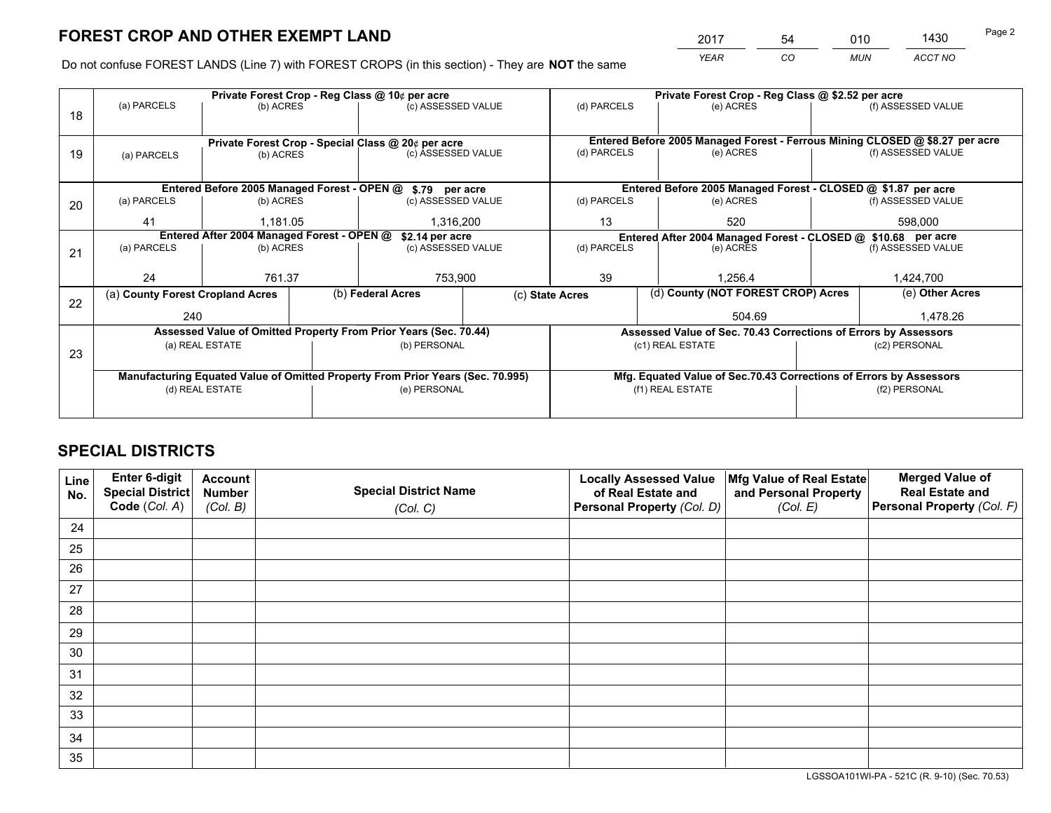*YEAR CO MUN ACCT NO* 2017 54 010 1430

Do not confuse FOREST LANDS (Line 7) with FOREST CROPS (in this section) - They are **NOT** the same

|                                                                                | Private Forest Crop - Reg Class @ 10¢ per acre |                                                                        |                                                                        |                                                                              |                                                                                                                                                                                                                                                                                                                                                         | Private Forest Crop - Reg Class @ \$2.52 per acre |                  |                                                                                                                                                                                                                                              |  |
|--------------------------------------------------------------------------------|------------------------------------------------|------------------------------------------------------------------------|------------------------------------------------------------------------|------------------------------------------------------------------------------|---------------------------------------------------------------------------------------------------------------------------------------------------------------------------------------------------------------------------------------------------------------------------------------------------------------------------------------------------------|---------------------------------------------------|------------------|----------------------------------------------------------------------------------------------------------------------------------------------------------------------------------------------------------------------------------------------|--|
|                                                                                |                                                |                                                                        |                                                                        |                                                                              |                                                                                                                                                                                                                                                                                                                                                         | (e) ACRES                                         |                  | (f) ASSESSED VALUE                                                                                                                                                                                                                           |  |
|                                                                                |                                                |                                                                        |                                                                        |                                                                              |                                                                                                                                                                                                                                                                                                                                                         |                                                   |                  |                                                                                                                                                                                                                                              |  |
|                                                                                |                                                |                                                                        |                                                                        | Entered Before 2005 Managed Forest - Ferrous Mining CLOSED @ \$8.27 per acre |                                                                                                                                                                                                                                                                                                                                                         |                                                   |                  |                                                                                                                                                                                                                                              |  |
| (a) PARCELS                                                                    |                                                |                                                                        |                                                                        |                                                                              |                                                                                                                                                                                                                                                                                                                                                         | (e) ACRES                                         |                  | (f) ASSESSED VALUE                                                                                                                                                                                                                           |  |
|                                                                                |                                                |                                                                        |                                                                        |                                                                              |                                                                                                                                                                                                                                                                                                                                                         |                                                   |                  |                                                                                                                                                                                                                                              |  |
|                                                                                |                                                |                                                                        |                                                                        |                                                                              |                                                                                                                                                                                                                                                                                                                                                         |                                                   |                  |                                                                                                                                                                                                                                              |  |
| (a) PARCELS                                                                    |                                                |                                                                        |                                                                        |                                                                              | (d) PARCELS                                                                                                                                                                                                                                                                                                                                             | (e) ACRES                                         |                  | (f) ASSESSED VALUE                                                                                                                                                                                                                           |  |
| 41                                                                             |                                                |                                                                        |                                                                        |                                                                              | 13                                                                                                                                                                                                                                                                                                                                                      | 520                                               |                  | 598,000                                                                                                                                                                                                                                      |  |
|                                                                                |                                                |                                                                        |                                                                        |                                                                              | Entered After 2004 Managed Forest - CLOSED @ \$10.68 per acre                                                                                                                                                                                                                                                                                           |                                                   |                  |                                                                                                                                                                                                                                              |  |
| (a) PARCELS                                                                    |                                                |                                                                        |                                                                        |                                                                              | (d) PARCELS<br>(e) ACRES                                                                                                                                                                                                                                                                                                                                |                                                   |                  | (f) ASSESSED VALUE                                                                                                                                                                                                                           |  |
|                                                                                |                                                |                                                                        |                                                                        |                                                                              |                                                                                                                                                                                                                                                                                                                                                         |                                                   |                  |                                                                                                                                                                                                                                              |  |
| 24                                                                             |                                                |                                                                        |                                                                        |                                                                              | 39                                                                                                                                                                                                                                                                                                                                                      | 1.256.4                                           |                  | 1,424,700                                                                                                                                                                                                                                    |  |
|                                                                                |                                                |                                                                        |                                                                        |                                                                              |                                                                                                                                                                                                                                                                                                                                                         |                                                   |                  | (e) Other Acres                                                                                                                                                                                                                              |  |
|                                                                                | 240                                            |                                                                        |                                                                        |                                                                              |                                                                                                                                                                                                                                                                                                                                                         | 504.69                                            |                  | 1,478.26                                                                                                                                                                                                                                     |  |
|                                                                                |                                                |                                                                        |                                                                        |                                                                              |                                                                                                                                                                                                                                                                                                                                                         |                                                   |                  |                                                                                                                                                                                                                                              |  |
|                                                                                |                                                |                                                                        |                                                                        |                                                                              |                                                                                                                                                                                                                                                                                                                                                         |                                                   |                  | (c2) PERSONAL                                                                                                                                                                                                                                |  |
|                                                                                |                                                |                                                                        |                                                                        |                                                                              |                                                                                                                                                                                                                                                                                                                                                         |                                                   |                  |                                                                                                                                                                                                                                              |  |
| Manufacturing Equated Value of Omitted Property From Prior Years (Sec. 70.995) |                                                |                                                                        |                                                                        |                                                                              |                                                                                                                                                                                                                                                                                                                                                         |                                                   |                  |                                                                                                                                                                                                                                              |  |
|                                                                                |                                                |                                                                        |                                                                        |                                                                              | (f1) REAL ESTATE                                                                                                                                                                                                                                                                                                                                        |                                                   | (f2) PERSONAL    |                                                                                                                                                                                                                                              |  |
|                                                                                |                                                |                                                                        |                                                                        |                                                                              |                                                                                                                                                                                                                                                                                                                                                         |                                                   |                  |                                                                                                                                                                                                                                              |  |
|                                                                                | (a) PARCELS                                    | (a) County Forest Cropland Acres<br>(a) REAL ESTATE<br>(d) REAL ESTATE | (b) ACRES<br>(b) ACRES<br>(b) ACRES<br>1,181.05<br>(b) ACRES<br>761.37 | Entered After 2004 Managed Forest - OPEN @<br>(b) Federal Acres              | (c) ASSESSED VALUE<br>Private Forest Crop - Special Class @ 20¢ per acre<br>(c) ASSESSED VALUE<br>Entered Before 2005 Managed Forest - OPEN @ \$.79 per acre<br>(c) ASSESSED VALUE<br>1,316,200<br>\$2.14 per acre<br>(c) ASSESSED VALUE<br>753,900<br>Assessed Value of Omitted Property From Prior Years (Sec. 70.44)<br>(b) PERSONAL<br>(e) PERSONAL | (d) PARCELS<br>(d) PARCELS<br>(c) State Acres     | (c1) REAL ESTATE | Entered Before 2005 Managed Forest - CLOSED @ \$1.87 per acre<br>(d) County (NOT FOREST CROP) Acres<br>Assessed Value of Sec. 70.43 Corrections of Errors by Assessors<br>Mfg. Equated Value of Sec.70.43 Corrections of Errors by Assessors |  |

## **SPECIAL DISTRICTS**

| Line<br>No. | Enter 6-digit<br><b>Special District</b> | <b>Account</b><br><b>Number</b> | <b>Special District Name</b> | <b>Locally Assessed Value</b><br>of Real Estate and | Mfg Value of Real Estate<br>and Personal Property | <b>Merged Value of</b><br><b>Real Estate and</b> |
|-------------|------------------------------------------|---------------------------------|------------------------------|-----------------------------------------------------|---------------------------------------------------|--------------------------------------------------|
|             | Code (Col. A)                            | (Col. B)                        | (Col. C)                     | Personal Property (Col. D)                          | (Col. E)                                          | Personal Property (Col. F)                       |
| 24          |                                          |                                 |                              |                                                     |                                                   |                                                  |
| 25          |                                          |                                 |                              |                                                     |                                                   |                                                  |
| 26          |                                          |                                 |                              |                                                     |                                                   |                                                  |
| 27          |                                          |                                 |                              |                                                     |                                                   |                                                  |
| 28          |                                          |                                 |                              |                                                     |                                                   |                                                  |
| 29          |                                          |                                 |                              |                                                     |                                                   |                                                  |
| 30          |                                          |                                 |                              |                                                     |                                                   |                                                  |
| 31          |                                          |                                 |                              |                                                     |                                                   |                                                  |
| 32          |                                          |                                 |                              |                                                     |                                                   |                                                  |
| 33          |                                          |                                 |                              |                                                     |                                                   |                                                  |
| 34          |                                          |                                 |                              |                                                     |                                                   |                                                  |
| 35          |                                          |                                 |                              |                                                     |                                                   |                                                  |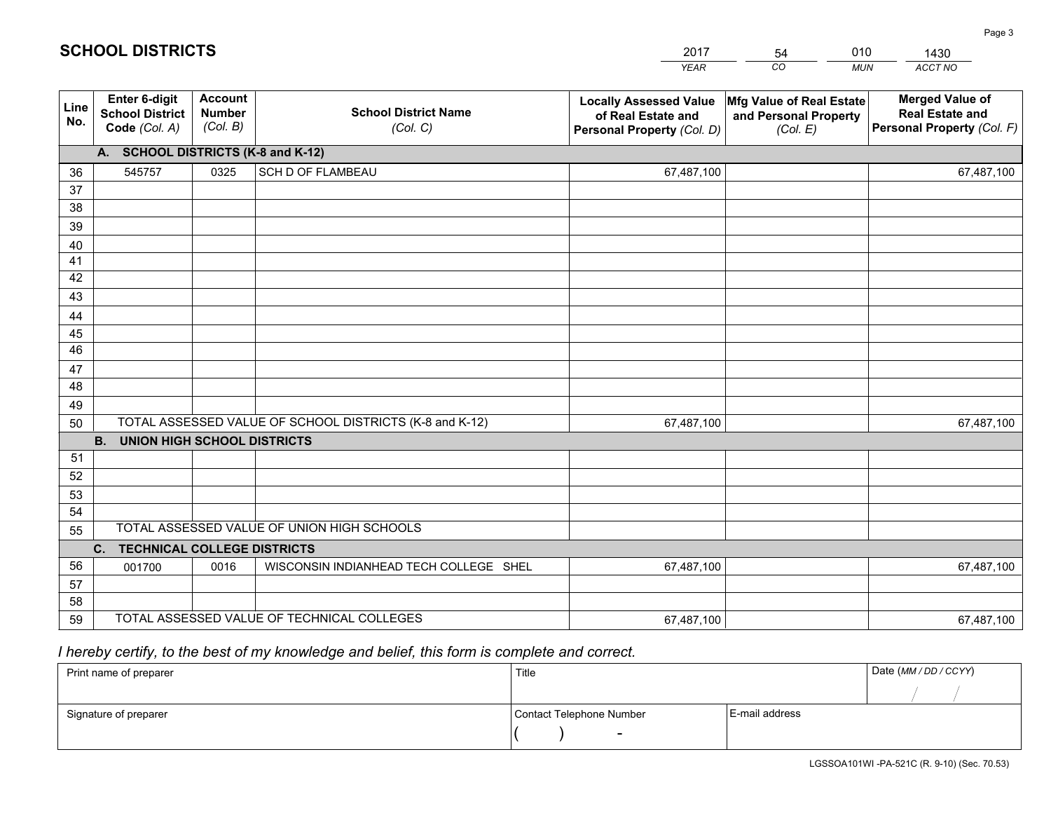|             |                                                          |                                             |                                                         | <b>YEAR</b>                                                                       | CO<br><b>MUN</b>                                              | ACCT NO                                                                        |
|-------------|----------------------------------------------------------|---------------------------------------------|---------------------------------------------------------|-----------------------------------------------------------------------------------|---------------------------------------------------------------|--------------------------------------------------------------------------------|
| Line<br>No. | Enter 6-digit<br><b>School District</b><br>Code (Col. A) | <b>Account</b><br><b>Number</b><br>(Col. B) | <b>School District Name</b><br>(Col. C)                 | <b>Locally Assessed Value</b><br>of Real Estate and<br>Personal Property (Col. D) | Mfg Value of Real Estate<br>and Personal Property<br>(Col. E) | <b>Merged Value of</b><br><b>Real Estate and</b><br>Personal Property (Col. F) |
|             | A. SCHOOL DISTRICTS (K-8 and K-12)                       |                                             |                                                         |                                                                                   |                                                               |                                                                                |
| 36          | 545757                                                   | 0325                                        | SCH D OF FLAMBEAU                                       | 67,487,100                                                                        |                                                               | 67,487,100                                                                     |
| 37          |                                                          |                                             |                                                         |                                                                                   |                                                               |                                                                                |
| 38          |                                                          |                                             |                                                         |                                                                                   |                                                               |                                                                                |
| 39          |                                                          |                                             |                                                         |                                                                                   |                                                               |                                                                                |
| 40          |                                                          |                                             |                                                         |                                                                                   |                                                               |                                                                                |
| 41          |                                                          |                                             |                                                         |                                                                                   |                                                               |                                                                                |
| 42          |                                                          |                                             |                                                         |                                                                                   |                                                               |                                                                                |
| 43          |                                                          |                                             |                                                         |                                                                                   |                                                               |                                                                                |
| 44<br>45    |                                                          |                                             |                                                         |                                                                                   |                                                               |                                                                                |
| 46          |                                                          |                                             |                                                         |                                                                                   |                                                               |                                                                                |
| 47          |                                                          |                                             |                                                         |                                                                                   |                                                               |                                                                                |
| 48          |                                                          |                                             |                                                         |                                                                                   |                                                               |                                                                                |
| 49          |                                                          |                                             |                                                         |                                                                                   |                                                               |                                                                                |
| 50          |                                                          |                                             | TOTAL ASSESSED VALUE OF SCHOOL DISTRICTS (K-8 and K-12) | 67,487,100                                                                        |                                                               | 67,487,100                                                                     |
|             | <b>B.</b><br><b>UNION HIGH SCHOOL DISTRICTS</b>          |                                             |                                                         |                                                                                   |                                                               |                                                                                |
| 51          |                                                          |                                             |                                                         |                                                                                   |                                                               |                                                                                |
| 52          |                                                          |                                             |                                                         |                                                                                   |                                                               |                                                                                |
| 53          |                                                          |                                             |                                                         |                                                                                   |                                                               |                                                                                |
| 54          |                                                          |                                             |                                                         |                                                                                   |                                                               |                                                                                |
| 55          |                                                          |                                             | TOTAL ASSESSED VALUE OF UNION HIGH SCHOOLS              |                                                                                   |                                                               |                                                                                |
|             | C.<br><b>TECHNICAL COLLEGE DISTRICTS</b>                 |                                             |                                                         |                                                                                   |                                                               |                                                                                |
| 56          | 001700                                                   | 0016                                        | WISCONSIN INDIANHEAD TECH COLLEGE SHEL                  | 67,487,100                                                                        |                                                               | 67,487,100                                                                     |
| 57          |                                                          |                                             |                                                         |                                                                                   |                                                               |                                                                                |
| 58          |                                                          |                                             |                                                         |                                                                                   |                                                               |                                                                                |
| 59          |                                                          |                                             | TOTAL ASSESSED VALUE OF TECHNICAL COLLEGES              | 67,487,100                                                                        |                                                               | 67,487,100                                                                     |

54

010

 *I hereby certify, to the best of my knowledge and belief, this form is complete and correct.*

**SCHOOL DISTRICTS**

| Print name of preparer | Title                    |                | Date (MM/DD/CCYY) |
|------------------------|--------------------------|----------------|-------------------|
|                        |                          |                |                   |
| Signature of preparer  | Contact Telephone Number | E-mail address |                   |
|                        | $\overline{\phantom{0}}$ |                |                   |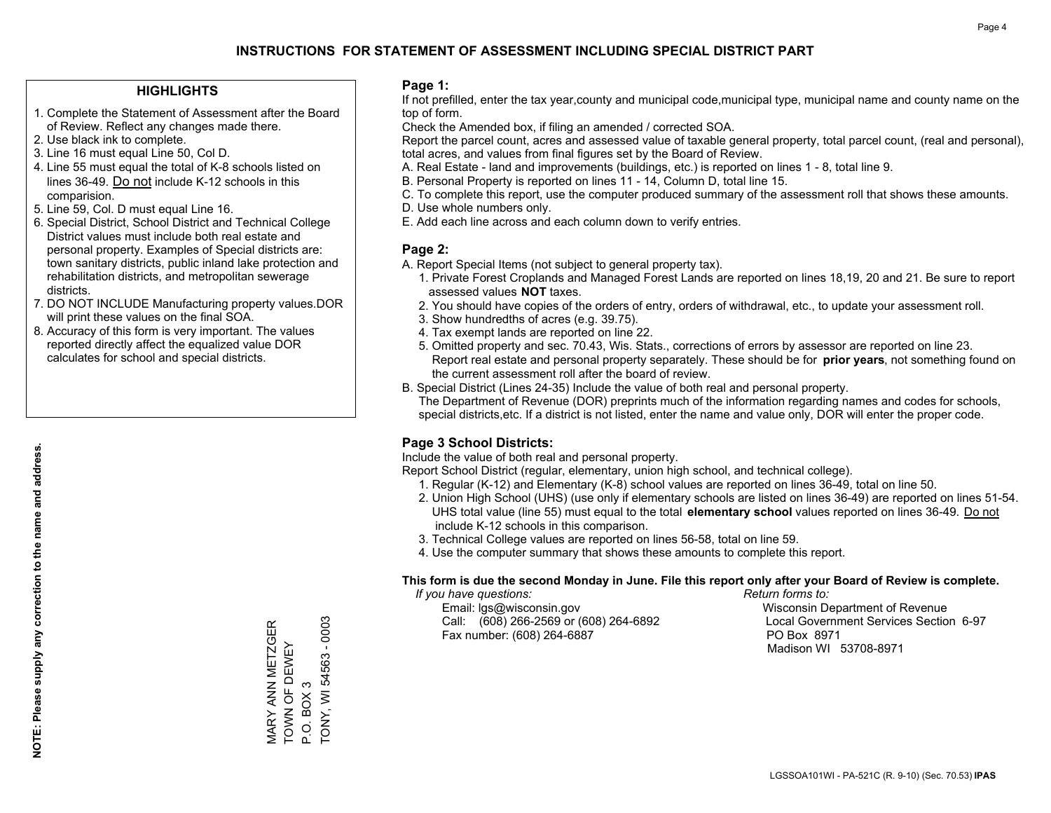#### **HIGHLIGHTS**

- 1. Complete the Statement of Assessment after the Board of Review. Reflect any changes made there.
- 2. Use black ink to complete.
- 3. Line 16 must equal Line 50, Col D.
- 4. Line 55 must equal the total of K-8 schools listed on lines 36-49. Do not include K-12 schools in this comparision.
- 5. Line 59, Col. D must equal Line 16.
- 6. Special District, School District and Technical College District values must include both real estate and personal property. Examples of Special districts are: town sanitary districts, public inland lake protection and rehabilitation districts, and metropolitan sewerage districts.
- 7. DO NOT INCLUDE Manufacturing property values.DOR will print these values on the final SOA.

MARY ANN METZGER TOWN OF DEWEY

**MARY ANN METZGER** TOWN OF DEWEY

P.O. BOX 3

P.O. BOX 3

TONY, WI 54563 - 0003

TONY, WI 54563 - 0003

 8. Accuracy of this form is very important. The values reported directly affect the equalized value DOR calculates for school and special districts.

#### **Page 1:**

 If not prefilled, enter the tax year,county and municipal code,municipal type, municipal name and county name on the top of form.

Check the Amended box, if filing an amended / corrected SOA.

 Report the parcel count, acres and assessed value of taxable general property, total parcel count, (real and personal), total acres, and values from final figures set by the Board of Review.

- A. Real Estate land and improvements (buildings, etc.) is reported on lines 1 8, total line 9.
- B. Personal Property is reported on lines 11 14, Column D, total line 15.
- C. To complete this report, use the computer produced summary of the assessment roll that shows these amounts.
- D. Use whole numbers only.
- E. Add each line across and each column down to verify entries.

#### **Page 2:**

- A. Report Special Items (not subject to general property tax).
- 1. Private Forest Croplands and Managed Forest Lands are reported on lines 18,19, 20 and 21. Be sure to report assessed values **NOT** taxes.
- 2. You should have copies of the orders of entry, orders of withdrawal, etc., to update your assessment roll.
	- 3. Show hundredths of acres (e.g. 39.75).
- 4. Tax exempt lands are reported on line 22.
- 5. Omitted property and sec. 70.43, Wis. Stats., corrections of errors by assessor are reported on line 23. Report real estate and personal property separately. These should be for **prior years**, not something found on the current assessment roll after the board of review.
- B. Special District (Lines 24-35) Include the value of both real and personal property.
- The Department of Revenue (DOR) preprints much of the information regarding names and codes for schools, special districts,etc. If a district is not listed, enter the name and value only, DOR will enter the proper code.

## **Page 3 School Districts:**

Include the value of both real and personal property.

Report School District (regular, elementary, union high school, and technical college).

- 1. Regular (K-12) and Elementary (K-8) school values are reported on lines 36-49, total on line 50.
- 2. Union High School (UHS) (use only if elementary schools are listed on lines 36-49) are reported on lines 51-54. UHS total value (line 55) must equal to the total **elementary school** values reported on lines 36-49. Do notinclude K-12 schools in this comparison.
- 3. Technical College values are reported on lines 56-58, total on line 59.
- 4. Use the computer summary that shows these amounts to complete this report.

#### **This form is due the second Monday in June. File this report only after your Board of Review is complete.**

 *If you have questions: Return forms to:*

 Email: lgs@wisconsin.gov Wisconsin Department of RevenueCall:  $(608)$  266-2569 or  $(608)$  264-6892 Fax number: (608) 264-6887 PO Box 8971

Local Government Services Section 6-97 Madison WI 53708-8971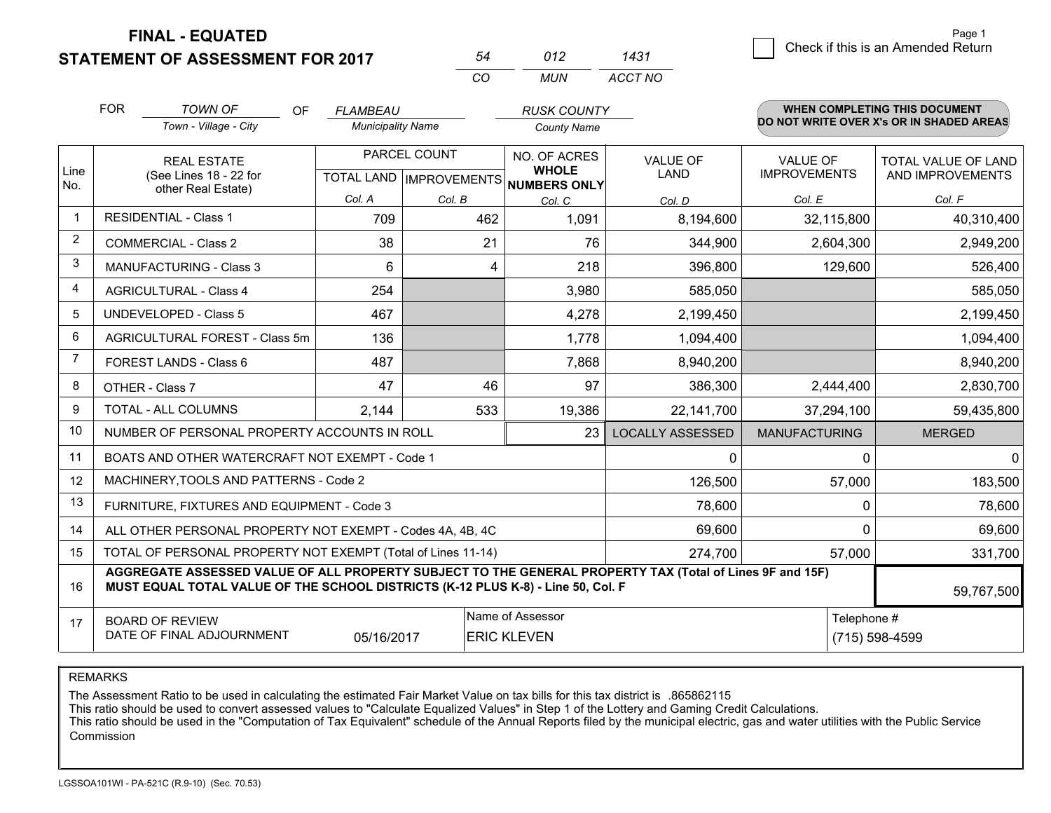**STATEMENT OF ASSESSMENT FOR 2017** 

|          | N12  | 1431    |
|----------|------|---------|
| $\alpha$ | MUN. | ACCT NO |

|             | <b>FOR</b>         | <b>TOWN OF</b><br><b>OF</b>                                                                                                                                                                  | FLAMBEAU                 |                           | <b>RUSK COUNTY</b>                  |                         |                      | WHEN COMPLETING THIS DOCUMENT<br>DO NOT WRITE OVER X's OR IN SHADED AREAS |
|-------------|--------------------|----------------------------------------------------------------------------------------------------------------------------------------------------------------------------------------------|--------------------------|---------------------------|-------------------------------------|-------------------------|----------------------|---------------------------------------------------------------------------|
|             |                    | Town - Village - City                                                                                                                                                                        | <b>Municipality Name</b> |                           | <b>County Name</b>                  |                         |                      |                                                                           |
|             | <b>REAL ESTATE</b> |                                                                                                                                                                                              |                          | PARCEL COUNT              | NO. OF ACRES                        | <b>VALUE OF</b>         | <b>VALUE OF</b>      | <b>TOTAL VALUE OF LAND</b>                                                |
| Line<br>No. |                    | (See Lines 18 - 22 for<br>other Real Estate)                                                                                                                                                 |                          | TOTAL LAND   IMPROVEMENTS | <b>WHOLE</b><br><b>NUMBERS ONLY</b> | LAND                    | <b>IMPROVEMENTS</b>  | AND IMPROVEMENTS                                                          |
|             |                    |                                                                                                                                                                                              | Col. A                   | Col. B                    | Col. C                              | Col. D                  | Col. E               | Col. F                                                                    |
| $\mathbf 1$ |                    | <b>RESIDENTIAL - Class 1</b>                                                                                                                                                                 | 709                      | 462                       | 1,091                               | 8,194,600               | 32,115,800           | 40,310,400                                                                |
| 2           |                    | <b>COMMERCIAL - Class 2</b>                                                                                                                                                                  | 38                       | 21                        | 76                                  | 344,900                 | 2,604,300            | 2,949,200                                                                 |
| 3           |                    | <b>MANUFACTURING - Class 3</b>                                                                                                                                                               | 6                        | 4                         | 218                                 | 396,800                 | 129,600              | 526,400                                                                   |
| 4           |                    | <b>AGRICULTURAL - Class 4</b>                                                                                                                                                                | 254                      |                           | 3,980                               | 585,050                 |                      | 585,050                                                                   |
| 5           |                    | <b>UNDEVELOPED - Class 5</b>                                                                                                                                                                 | 467                      |                           | 4,278                               | 2,199,450               |                      | 2,199,450                                                                 |
| 6           |                    | AGRICULTURAL FOREST - Class 5m                                                                                                                                                               | 136                      |                           | 1,778                               | 1,094,400               |                      | 1,094,400                                                                 |
|             |                    | FOREST LANDS - Class 6                                                                                                                                                                       | 487                      |                           | 7,868                               | 8,940,200               |                      | 8,940,200                                                                 |
| 8           |                    | OTHER - Class 7                                                                                                                                                                              | 47                       | 46                        | 97                                  | 386,300                 | 2,444,400            | 2,830,700                                                                 |
| 9           |                    | <b>TOTAL - ALL COLUMNS</b>                                                                                                                                                                   | 2,144                    | 533                       | 19,386                              | 22,141,700              | 37,294,100           | 59,435,800                                                                |
| 10          |                    | NUMBER OF PERSONAL PROPERTY ACCOUNTS IN ROLL                                                                                                                                                 |                          |                           | 23                                  | <b>LOCALLY ASSESSED</b> | <b>MANUFACTURING</b> | <b>MERGED</b>                                                             |
| 11          |                    | BOATS AND OTHER WATERCRAFT NOT EXEMPT - Code 1                                                                                                                                               |                          |                           |                                     | $\Omega$                | 0                    | 0                                                                         |
| 12          |                    | MACHINERY, TOOLS AND PATTERNS - Code 2                                                                                                                                                       |                          |                           |                                     | 126,500                 | 57,000               | 183,500                                                                   |
| 13          |                    | FURNITURE, FIXTURES AND EQUIPMENT - Code 3                                                                                                                                                   |                          |                           |                                     | 78,600                  | 0                    | 78,600                                                                    |
| 14          |                    | ALL OTHER PERSONAL PROPERTY NOT EXEMPT - Codes 4A, 4B, 4C                                                                                                                                    |                          |                           |                                     | 69,600                  | 0                    | 69,600                                                                    |
| 15          |                    | TOTAL OF PERSONAL PROPERTY NOT EXEMPT (Total of Lines 11-14)                                                                                                                                 |                          |                           | 274,700                             | 57,000                  | 331,700              |                                                                           |
| 16          |                    | AGGREGATE ASSESSED VALUE OF ALL PROPERTY SUBJECT TO THE GENERAL PROPERTY TAX (Total of Lines 9F and 15F)<br>MUST EQUAL TOTAL VALUE OF THE SCHOOL DISTRICTS (K-12 PLUS K-8) - Line 50, Col. F |                          |                           |                                     |                         |                      | 59,767,500                                                                |
| 17          |                    | <b>BOARD OF REVIEW</b>                                                                                                                                                                       |                          |                           | Name of Assessor                    |                         | Telephone #          |                                                                           |
|             |                    | DATE OF FINAL ADJOURNMENT                                                                                                                                                                    | 05/16/2017               |                           | <b>ERIC KLEVEN</b>                  |                         |                      | (715) 598-4599                                                            |

REMARKS

The Assessment Ratio to be used in calculating the estimated Fair Market Value on tax bills for this tax district is .865862115

This ratio should be used to convert assessed values to "Calculate Equalized Values" in Step 1 of the Lottery and Gaming Credit Calculations.<br>This ratio should be used in the "Computation of Tax Equivalent" schedule of the Commission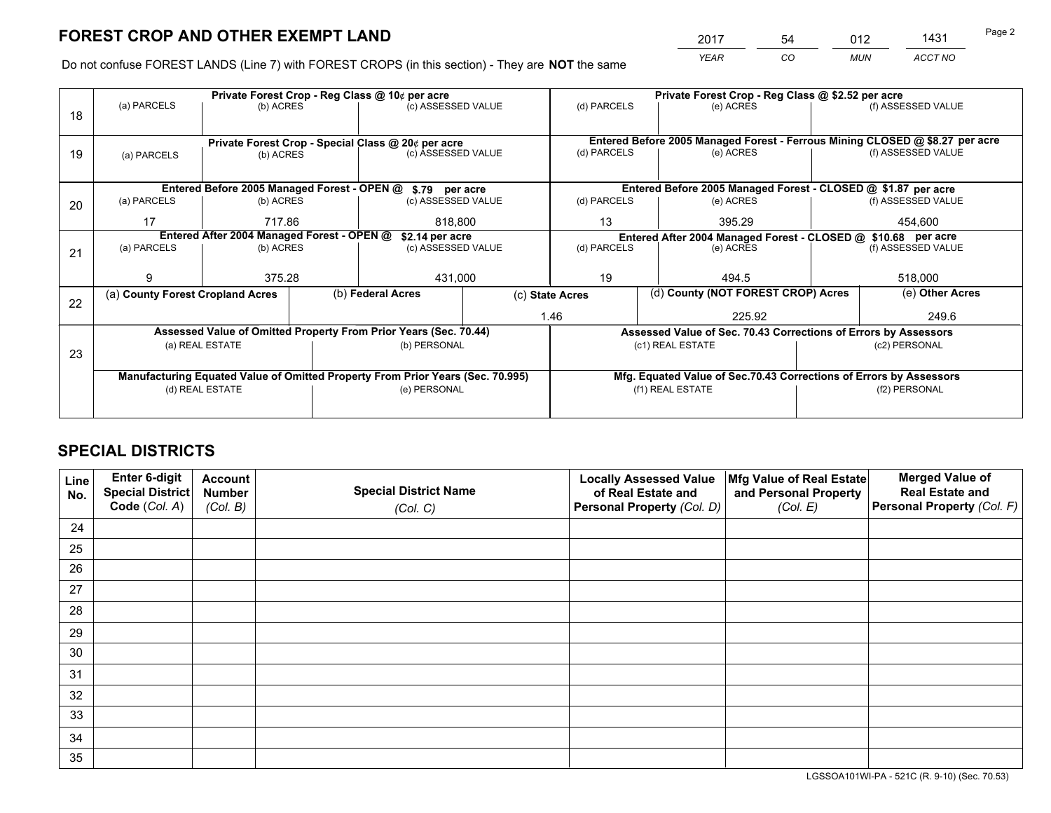*YEAR CO MUN ACCT NO* 2017 54 012 1431 <del>1431</del>

Do not confuse FOREST LANDS (Line 7) with FOREST CROPS (in this section) - They are **NOT** the same

|    | Private Forest Crop - Reg Class @ 10¢ per acre                                 |                 |  |                                                                          |  | Private Forest Crop - Reg Class @ \$2.52 per acre |                                                               |  |                                                                              |  |
|----|--------------------------------------------------------------------------------|-----------------|--|--------------------------------------------------------------------------|--|---------------------------------------------------|---------------------------------------------------------------|--|------------------------------------------------------------------------------|--|
| 18 | (a) PARCELS                                                                    | (b) ACRES       |  | (c) ASSESSED VALUE                                                       |  | (d) PARCELS                                       | (e) ACRES                                                     |  | (f) ASSESSED VALUE                                                           |  |
|    |                                                                                |                 |  |                                                                          |  |                                                   |                                                               |  | Entered Before 2005 Managed Forest - Ferrous Mining CLOSED @ \$8.27 per acre |  |
| 19 | (a) PARCELS                                                                    | (b) ACRES       |  | Private Forest Crop - Special Class @ 20¢ per acre<br>(c) ASSESSED VALUE |  | (d) PARCELS                                       | (e) ACRES                                                     |  | (f) ASSESSED VALUE                                                           |  |
|    |                                                                                |                 |  |                                                                          |  |                                                   |                                                               |  |                                                                              |  |
|    |                                                                                |                 |  |                                                                          |  |                                                   |                                                               |  |                                                                              |  |
|    |                                                                                |                 |  | Entered Before 2005 Managed Forest - OPEN @ \$.79 per acre               |  |                                                   |                                                               |  | Entered Before 2005 Managed Forest - CLOSED @ \$1.87 per acre                |  |
| 20 | (a) PARCELS                                                                    | (b) ACRES       |  | (c) ASSESSED VALUE                                                       |  | (d) PARCELS                                       | (e) ACRES                                                     |  | (f) ASSESSED VALUE                                                           |  |
|    | 17                                                                             | 717.86          |  | 818,800                                                                  |  | 13<br>395.29                                      |                                                               |  | 454,600                                                                      |  |
|    | Entered After 2004 Managed Forest - OPEN @<br>\$2.14 per acre                  |                 |  |                                                                          |  |                                                   | Entered After 2004 Managed Forest - CLOSED @ \$10.68 per acre |  |                                                                              |  |
| 21 | (a) PARCELS                                                                    | (b) ACRES       |  | (c) ASSESSED VALUE                                                       |  | (d) PARCELS<br>(e) ACRES                          |                                                               |  | (f) ASSESSED VALUE                                                           |  |
|    |                                                                                |                 |  |                                                                          |  |                                                   |                                                               |  |                                                                              |  |
|    | 9                                                                              | 375.28          |  | 431,000                                                                  |  | 19<br>494.5                                       |                                                               |  | 518,000                                                                      |  |
|    | (a) County Forest Cropland Acres                                               |                 |  | (b) Federal Acres                                                        |  | (c) State Acres                                   | (d) County (NOT FOREST CROP) Acres                            |  | (e) Other Acres                                                              |  |
| 22 |                                                                                |                 |  |                                                                          |  |                                                   |                                                               |  |                                                                              |  |
|    |                                                                                |                 |  |                                                                          |  | 1.46                                              | 225.92                                                        |  | 249.6                                                                        |  |
|    |                                                                                |                 |  | Assessed Value of Omitted Property From Prior Years (Sec. 70.44)         |  |                                                   |                                                               |  | Assessed Value of Sec. 70.43 Corrections of Errors by Assessors              |  |
| 23 |                                                                                | (a) REAL ESTATE |  | (b) PERSONAL                                                             |  |                                                   | (c1) REAL ESTATE                                              |  | (c2) PERSONAL                                                                |  |
|    |                                                                                |                 |  |                                                                          |  |                                                   |                                                               |  |                                                                              |  |
|    | Manufacturing Equated Value of Omitted Property From Prior Years (Sec. 70.995) |                 |  |                                                                          |  |                                                   |                                                               |  | Mfg. Equated Value of Sec.70.43 Corrections of Errors by Assessors           |  |
|    | (d) REAL ESTATE                                                                |                 |  | (e) PERSONAL                                                             |  | (f1) REAL ESTATE                                  |                                                               |  | (f2) PERSONAL                                                                |  |
|    |                                                                                |                 |  |                                                                          |  |                                                   |                                                               |  |                                                                              |  |
|    |                                                                                |                 |  |                                                                          |  |                                                   |                                                               |  |                                                                              |  |

## **SPECIAL DISTRICTS**

| Line<br>No. | Enter 6-digit<br>Special District<br>Code (Col. A) | <b>Account</b><br><b>Number</b><br>(Col. B) | <b>Special District Name</b><br>(Col. C) | <b>Locally Assessed Value</b><br>of Real Estate and<br>Personal Property (Col. D) | Mfg Value of Real Estate<br>and Personal Property<br>(Col. E) | <b>Merged Value of</b><br><b>Real Estate and</b><br>Personal Property (Col. F) |
|-------------|----------------------------------------------------|---------------------------------------------|------------------------------------------|-----------------------------------------------------------------------------------|---------------------------------------------------------------|--------------------------------------------------------------------------------|
| 24          |                                                    |                                             |                                          |                                                                                   |                                                               |                                                                                |
| 25          |                                                    |                                             |                                          |                                                                                   |                                                               |                                                                                |
| 26          |                                                    |                                             |                                          |                                                                                   |                                                               |                                                                                |
| 27          |                                                    |                                             |                                          |                                                                                   |                                                               |                                                                                |
| 28          |                                                    |                                             |                                          |                                                                                   |                                                               |                                                                                |
| 29          |                                                    |                                             |                                          |                                                                                   |                                                               |                                                                                |
| 30          |                                                    |                                             |                                          |                                                                                   |                                                               |                                                                                |
| 31          |                                                    |                                             |                                          |                                                                                   |                                                               |                                                                                |
| 32          |                                                    |                                             |                                          |                                                                                   |                                                               |                                                                                |
| 33          |                                                    |                                             |                                          |                                                                                   |                                                               |                                                                                |
| 34          |                                                    |                                             |                                          |                                                                                   |                                                               |                                                                                |
| 35          |                                                    |                                             |                                          |                                                                                   |                                                               |                                                                                |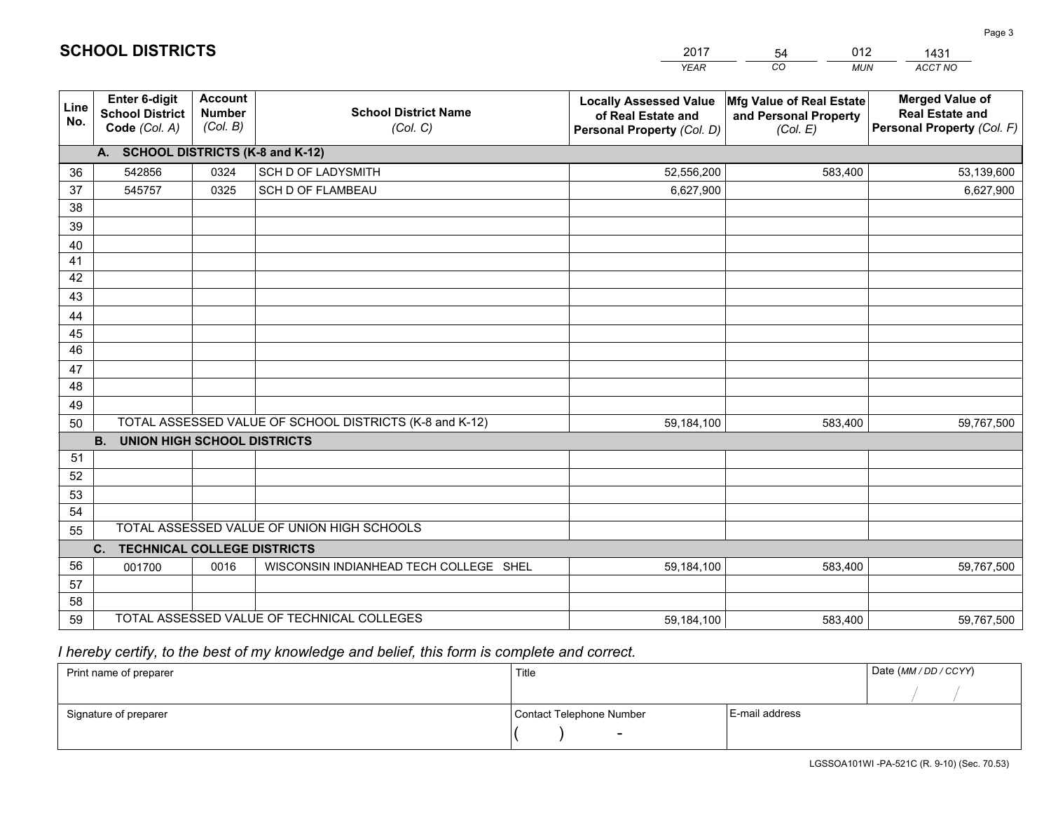|             |                                                                 |                                             |                                                         | <b>YEAR</b>                                                                       | CO.<br><b>MUN</b>                                             | ACCT NO                                                                        |
|-------------|-----------------------------------------------------------------|---------------------------------------------|---------------------------------------------------------|-----------------------------------------------------------------------------------|---------------------------------------------------------------|--------------------------------------------------------------------------------|
| Line<br>No. | <b>Enter 6-digit</b><br><b>School District</b><br>Code (Col. A) | <b>Account</b><br><b>Number</b><br>(Col. B) | <b>School District Name</b><br>(Col. C)                 | <b>Locally Assessed Value</b><br>of Real Estate and<br>Personal Property (Col. D) | Mfg Value of Real Estate<br>and Personal Property<br>(Col. E) | <b>Merged Value of</b><br><b>Real Estate and</b><br>Personal Property (Col. F) |
|             | A. SCHOOL DISTRICTS (K-8 and K-12)                              |                                             |                                                         |                                                                                   |                                                               |                                                                                |
| 36          | 542856                                                          | 0324                                        | SCH D OF LADYSMITH                                      | 52,556,200                                                                        | 583,400                                                       | 53,139,600                                                                     |
| 37          | 545757                                                          | 0325                                        | <b>SCH D OF FLAMBEAU</b>                                | 6,627,900                                                                         |                                                               | 6,627,900                                                                      |
| 38          |                                                                 |                                             |                                                         |                                                                                   |                                                               |                                                                                |
| 39          |                                                                 |                                             |                                                         |                                                                                   |                                                               |                                                                                |
| 40          |                                                                 |                                             |                                                         |                                                                                   |                                                               |                                                                                |
| 41          |                                                                 |                                             |                                                         |                                                                                   |                                                               |                                                                                |
| 42<br>43    |                                                                 |                                             |                                                         |                                                                                   |                                                               |                                                                                |
|             |                                                                 |                                             |                                                         |                                                                                   |                                                               |                                                                                |
| 44<br>45    |                                                                 |                                             |                                                         |                                                                                   |                                                               |                                                                                |
| 46          |                                                                 |                                             |                                                         |                                                                                   |                                                               |                                                                                |
| 47          |                                                                 |                                             |                                                         |                                                                                   |                                                               |                                                                                |
| 48          |                                                                 |                                             |                                                         |                                                                                   |                                                               |                                                                                |
| 49          |                                                                 |                                             |                                                         |                                                                                   |                                                               |                                                                                |
| 50          |                                                                 |                                             | TOTAL ASSESSED VALUE OF SCHOOL DISTRICTS (K-8 and K-12) | 59,184,100                                                                        | 583,400                                                       | 59,767,500                                                                     |
|             | <b>B. UNION HIGH SCHOOL DISTRICTS</b>                           |                                             |                                                         |                                                                                   |                                                               |                                                                                |
| 51          |                                                                 |                                             |                                                         |                                                                                   |                                                               |                                                                                |
| 52          |                                                                 |                                             |                                                         |                                                                                   |                                                               |                                                                                |
| 53          |                                                                 |                                             |                                                         |                                                                                   |                                                               |                                                                                |
| 54          |                                                                 |                                             |                                                         |                                                                                   |                                                               |                                                                                |
| 55          |                                                                 |                                             | TOTAL ASSESSED VALUE OF UNION HIGH SCHOOLS              |                                                                                   |                                                               |                                                                                |
|             | C.<br><b>TECHNICAL COLLEGE DISTRICTS</b>                        |                                             |                                                         |                                                                                   |                                                               |                                                                                |
| 56          | 001700                                                          | 0016                                        | WISCONSIN INDIANHEAD TECH COLLEGE SHEL                  | 59,184,100                                                                        | 583,400                                                       | 59,767,500                                                                     |
| 57          |                                                                 |                                             |                                                         |                                                                                   |                                                               |                                                                                |
| 58          |                                                                 |                                             |                                                         |                                                                                   |                                                               |                                                                                |
| 59          |                                                                 |                                             | TOTAL ASSESSED VALUE OF TECHNICAL COLLEGES              | 59,184,100                                                                        | 583,400                                                       | 59,767,500                                                                     |

54

012

 *I hereby certify, to the best of my knowledge and belief, this form is complete and correct.*

**SCHOOL DISTRICTS**

| Print name of preparer | Title                    |                | Date (MM / DD / CCYY) |
|------------------------|--------------------------|----------------|-----------------------|
|                        |                          |                |                       |
| Signature of preparer  | Contact Telephone Number | E-mail address |                       |
|                        | $\sim$                   |                |                       |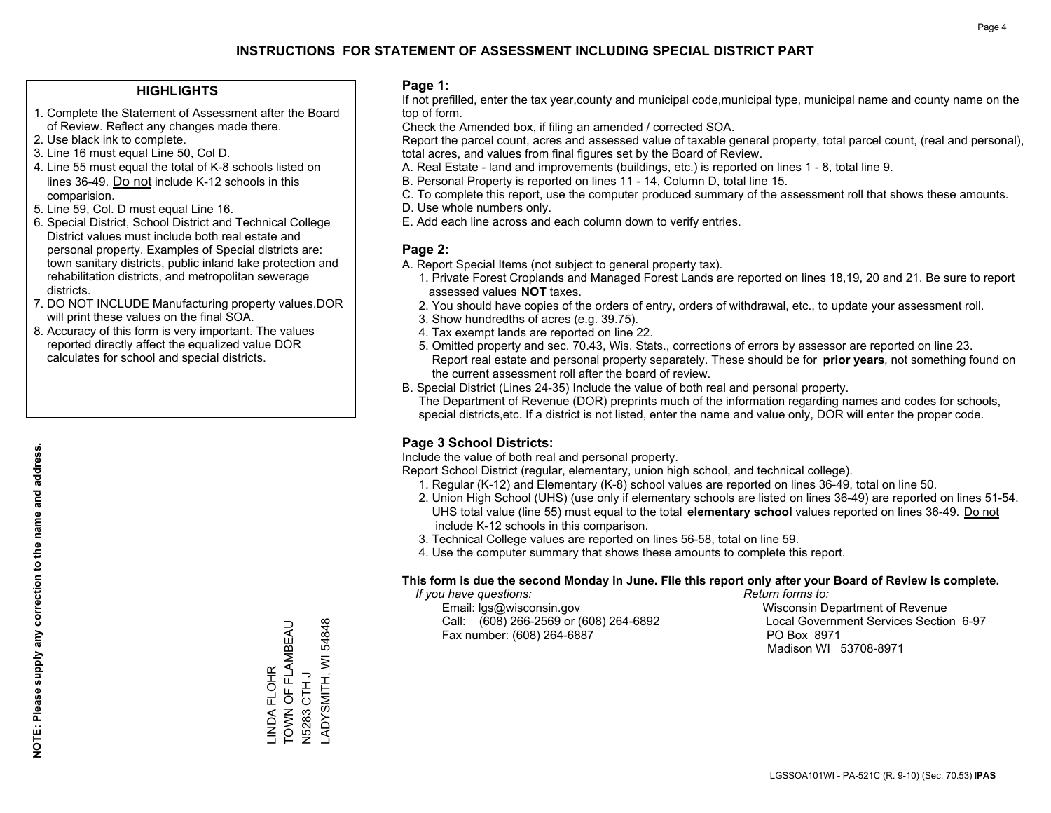#### **HIGHLIGHTS**

- 1. Complete the Statement of Assessment after the Board of Review. Reflect any changes made there.
- 2. Use black ink to complete.
- 3. Line 16 must equal Line 50, Col D.
- 4. Line 55 must equal the total of K-8 schools listed on lines 36-49. Do not include K-12 schools in this comparision.
- 5. Line 59, Col. D must equal Line 16.
- 6. Special District, School District and Technical College District values must include both real estate and personal property. Examples of Special districts are: town sanitary districts, public inland lake protection and rehabilitation districts, and metropolitan sewerage districts.
- 7. DO NOT INCLUDE Manufacturing property values.DOR will print these values on the final SOA.

LINDA FLOHR

INDA FLOHR

TOWN OF FLAMBEAU

TOWN OF FLAMBEAU

N5283 CTH J

N5283 CTH J

LADYSMITH, WI 54848

ADYSMITH, WI

54848

 8. Accuracy of this form is very important. The values reported directly affect the equalized value DOR calculates for school and special districts.

#### **Page 1:**

 If not prefilled, enter the tax year,county and municipal code,municipal type, municipal name and county name on the top of form.

Check the Amended box, if filing an amended / corrected SOA.

 Report the parcel count, acres and assessed value of taxable general property, total parcel count, (real and personal), total acres, and values from final figures set by the Board of Review.

- A. Real Estate land and improvements (buildings, etc.) is reported on lines 1 8, total line 9.
- B. Personal Property is reported on lines 11 14, Column D, total line 15.
- C. To complete this report, use the computer produced summary of the assessment roll that shows these amounts.
- D. Use whole numbers only.
- E. Add each line across and each column down to verify entries.

#### **Page 2:**

- A. Report Special Items (not subject to general property tax).
- 1. Private Forest Croplands and Managed Forest Lands are reported on lines 18,19, 20 and 21. Be sure to report assessed values **NOT** taxes.
- 2. You should have copies of the orders of entry, orders of withdrawal, etc., to update your assessment roll.
	- 3. Show hundredths of acres (e.g. 39.75).
- 4. Tax exempt lands are reported on line 22.
- 5. Omitted property and sec. 70.43, Wis. Stats., corrections of errors by assessor are reported on line 23. Report real estate and personal property separately. These should be for **prior years**, not something found on the current assessment roll after the board of review.
- B. Special District (Lines 24-35) Include the value of both real and personal property.

 The Department of Revenue (DOR) preprints much of the information regarding names and codes for schools, special districts,etc. If a district is not listed, enter the name and value only, DOR will enter the proper code.

## **Page 3 School Districts:**

Include the value of both real and personal property.

Report School District (regular, elementary, union high school, and technical college).

- 1. Regular (K-12) and Elementary (K-8) school values are reported on lines 36-49, total on line 50.
- 2. Union High School (UHS) (use only if elementary schools are listed on lines 36-49) are reported on lines 51-54. UHS total value (line 55) must equal to the total **elementary school** values reported on lines 36-49. Do notinclude K-12 schools in this comparison.
- 3. Technical College values are reported on lines 56-58, total on line 59.
- 4. Use the computer summary that shows these amounts to complete this report.

#### **This form is due the second Monday in June. File this report only after your Board of Review is complete.**

 *If you have questions: Return forms to:*

 Email: lgs@wisconsin.gov Wisconsin Department of RevenueCall:  $(608)$  266-2569 or  $(608)$  264-6892 Fax number: (608) 264-6887 PO Box 8971

Local Government Services Section 6-97 Madison WI 53708-8971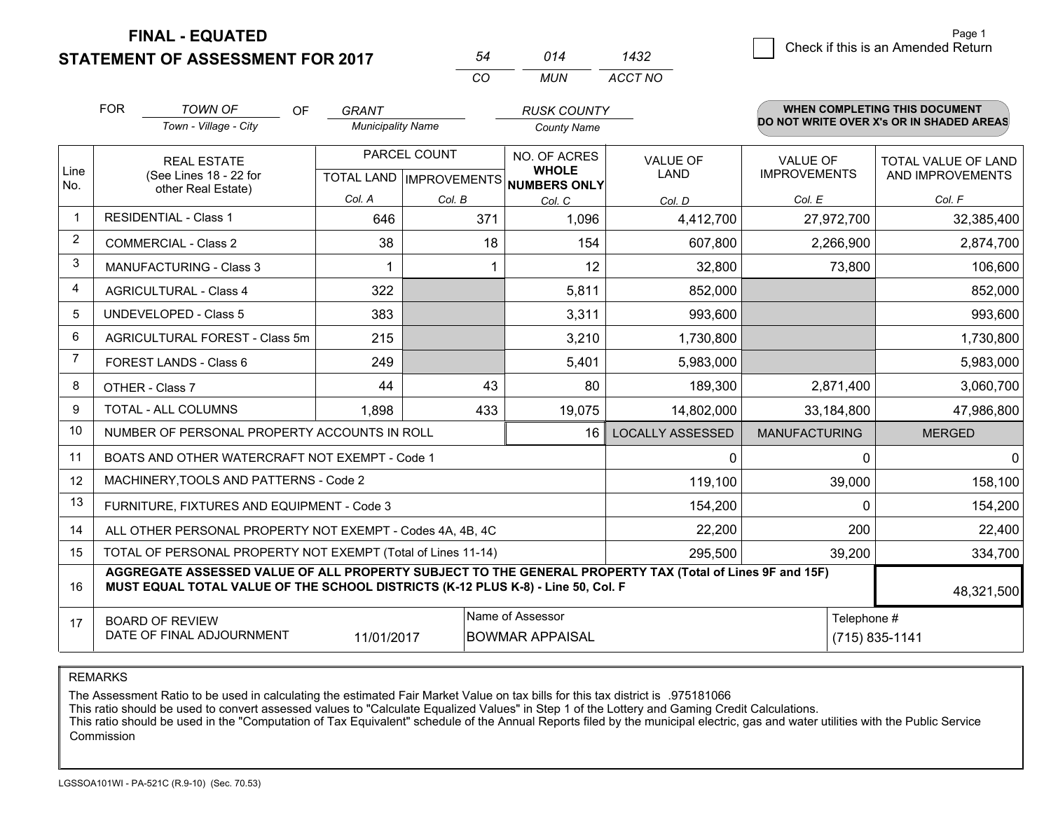**STATEMENT OF ASSESSMENT FOR 2017** 

| 54  | 014  | 1432    |
|-----|------|---------|
| CO. | MUN. | ACCT NO |

|                | <b>FOR</b>                                                                                                                                                                                   | <b>TOWN OF</b><br>OF                                         | <b>GRANT</b>             |                           | <b>RUSK COUNTY</b>           |                         |                      | <b>WHEN COMPLETING THIS DOCUMENT</b><br>DO NOT WRITE OVER X's OR IN SHADED AREAS |
|----------------|----------------------------------------------------------------------------------------------------------------------------------------------------------------------------------------------|--------------------------------------------------------------|--------------------------|---------------------------|------------------------------|-------------------------|----------------------|----------------------------------------------------------------------------------|
|                |                                                                                                                                                                                              | Town - Village - City                                        | <b>Municipality Name</b> |                           | <b>County Name</b>           |                         |                      |                                                                                  |
|                | <b>REAL ESTATE</b>                                                                                                                                                                           |                                                              |                          | PARCEL COUNT              | NO. OF ACRES                 | <b>VALUE OF</b>         | <b>VALUE OF</b>      | <b>TOTAL VALUE OF LAND</b>                                                       |
| Line<br>No.    |                                                                                                                                                                                              | (See Lines 18 - 22 for<br>other Real Estate)                 |                          | TOTAL LAND   IMPROVEMENTS | <b>WHOLE</b><br>NUMBERS ONLY | <b>LAND</b>             | <b>IMPROVEMENTS</b>  | AND IMPROVEMENTS                                                                 |
|                |                                                                                                                                                                                              |                                                              | Col. A                   | Col. B                    | Col. C                       | Col. D                  | Col. E               | Col. F                                                                           |
| $\mathbf 1$    |                                                                                                                                                                                              | <b>RESIDENTIAL - Class 1</b>                                 | 646                      | 371                       | 1,096                        | 4,412,700               | 27,972,700           | 32,385,400                                                                       |
| 2              |                                                                                                                                                                                              | <b>COMMERCIAL - Class 2</b>                                  | 38                       | 18                        | 154                          | 607,800                 | 2,266,900            | 2,874,700                                                                        |
| 3              |                                                                                                                                                                                              | <b>MANUFACTURING - Class 3</b>                               |                          |                           | 12                           | 32,800                  | 73,800               | 106,600                                                                          |
| $\overline{4}$ |                                                                                                                                                                                              | <b>AGRICULTURAL - Class 4</b>                                | 322                      |                           | 5,811                        | 852,000                 |                      | 852,000                                                                          |
| 5              |                                                                                                                                                                                              | <b>UNDEVELOPED - Class 5</b>                                 | 383                      |                           | 3,311                        | 993,600                 |                      | 993,600                                                                          |
| 6              |                                                                                                                                                                                              | AGRICULTURAL FOREST - Class 5m                               | 215                      |                           | 3,210                        | 1,730,800               |                      | 1,730,800                                                                        |
| 7              |                                                                                                                                                                                              | FOREST LANDS - Class 6                                       | 249                      |                           | 5,401                        | 5,983,000               |                      | 5,983,000                                                                        |
| 8              |                                                                                                                                                                                              | OTHER - Class 7                                              | 44                       | 43                        | 80                           | 189,300                 | 2,871,400            | 3,060,700                                                                        |
| 9              |                                                                                                                                                                                              | TOTAL - ALL COLUMNS                                          | 1,898                    | 433                       | 19,075                       | 14,802,000              | 33,184,800           | 47,986,800                                                                       |
| 10             |                                                                                                                                                                                              | NUMBER OF PERSONAL PROPERTY ACCOUNTS IN ROLL                 |                          |                           | 16                           | <b>LOCALLY ASSESSED</b> | <b>MANUFACTURING</b> | <b>MERGED</b>                                                                    |
| 11             |                                                                                                                                                                                              | BOATS AND OTHER WATERCRAFT NOT EXEMPT - Code 1               |                          |                           |                              | $\Omega$                | 0                    | 0                                                                                |
| 12             |                                                                                                                                                                                              | MACHINERY, TOOLS AND PATTERNS - Code 2                       |                          |                           |                              | 119,100                 | 39,000               | 158,100                                                                          |
| 13             |                                                                                                                                                                                              | FURNITURE, FIXTURES AND EQUIPMENT - Code 3                   |                          |                           |                              | 154,200                 | $\Omega$             | 154,200                                                                          |
| 14             | 22,200<br>ALL OTHER PERSONAL PROPERTY NOT EXEMPT - Codes 4A, 4B, 4C                                                                                                                          |                                                              |                          |                           |                              |                         |                      | 22,400                                                                           |
| 15             |                                                                                                                                                                                              | TOTAL OF PERSONAL PROPERTY NOT EXEMPT (Total of Lines 11-14) |                          | 295,500                   | 39,200                       | 334,700                 |                      |                                                                                  |
| 16             | AGGREGATE ASSESSED VALUE OF ALL PROPERTY SUBJECT TO THE GENERAL PROPERTY TAX (Total of Lines 9F and 15F)<br>MUST EQUAL TOTAL VALUE OF THE SCHOOL DISTRICTS (K-12 PLUS K-8) - Line 50, Col. F |                                                              |                          |                           |                              |                         | 48,321,500           |                                                                                  |
| 17             |                                                                                                                                                                                              | <b>BOARD OF REVIEW</b>                                       |                          |                           | Name of Assessor             |                         | Telephone #          |                                                                                  |
|                |                                                                                                                                                                                              | DATE OF FINAL ADJOURNMENT                                    | 11/01/2017               |                           | <b>BOWMAR APPAISAL</b>       |                         |                      | (715) 835-1141                                                                   |

REMARKS

The Assessment Ratio to be used in calculating the estimated Fair Market Value on tax bills for this tax district is .975181066

This ratio should be used to convert assessed values to "Calculate Equalized Values" in Step 1 of the Lottery and Gaming Credit Calculations.<br>This ratio should be used in the "Computation of Tax Equivalent" schedule of the Commission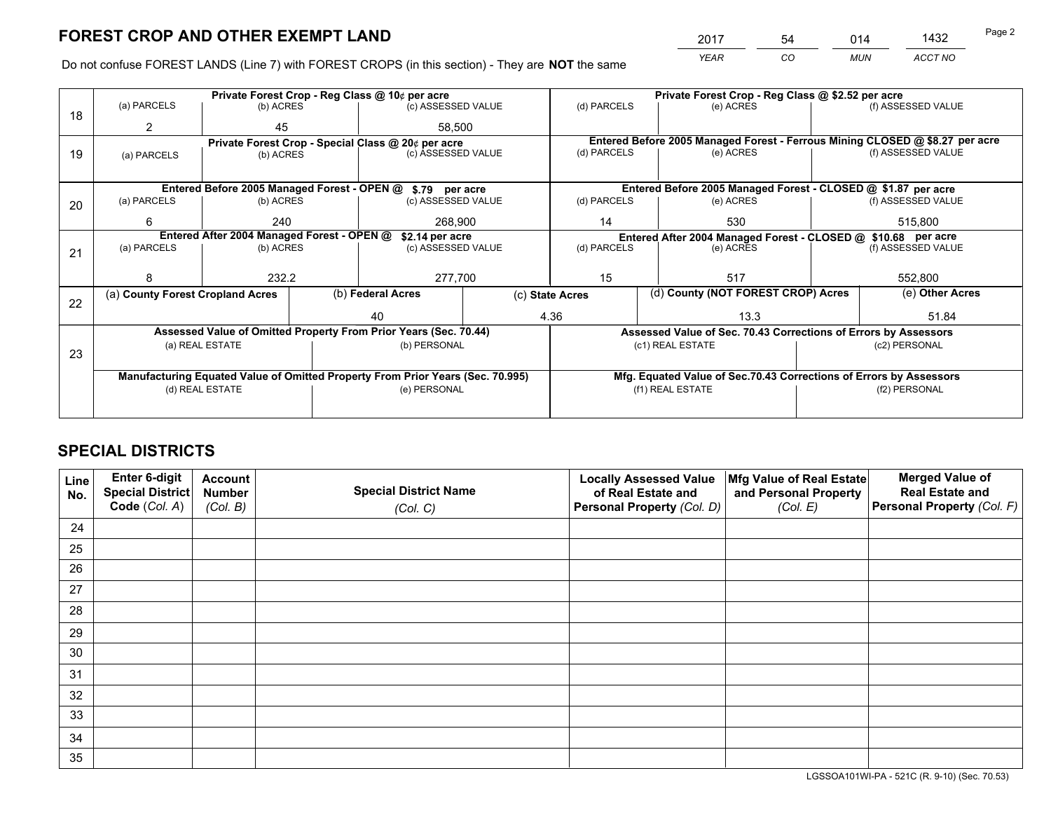*YEAR CO MUN ACCT NO* 2017 54 014 1432

Do not confuse FOREST LANDS (Line 7) with FOREST CROPS (in this section) - They are **NOT** the same

| (a) PARCELS                                                                    |                       |                                                     |                                                                              | Private Forest Crop - Reg Class @ \$2.52 per acre                                                                                                                                                                                                                                   |                                              |                                                                  |                                                                                                                                                                                                                                                                                                               |
|--------------------------------------------------------------------------------|-----------------------|-----------------------------------------------------|------------------------------------------------------------------------------|-------------------------------------------------------------------------------------------------------------------------------------------------------------------------------------------------------------------------------------------------------------------------------------|----------------------------------------------|------------------------------------------------------------------|---------------------------------------------------------------------------------------------------------------------------------------------------------------------------------------------------------------------------------------------------------------------------------------------------------------|
|                                                                                | (b) ACRES             |                                                     | (c) ASSESSED VALUE                                                           | (d) PARCELS                                                                                                                                                                                                                                                                         | (e) ACRES                                    |                                                                  | (f) ASSESSED VALUE                                                                                                                                                                                                                                                                                            |
|                                                                                |                       |                                                     |                                                                              |                                                                                                                                                                                                                                                                                     |                                              |                                                                  |                                                                                                                                                                                                                                                                                                               |
| Private Forest Crop - Special Class @ 20¢ per acre                             |                       |                                                     | Entered Before 2005 Managed Forest - Ferrous Mining CLOSED @ \$8.27 per acre |                                                                                                                                                                                                                                                                                     |                                              |                                                                  |                                                                                                                                                                                                                                                                                                               |
| (a) PARCELS                                                                    |                       |                                                     |                                                                              |                                                                                                                                                                                                                                                                                     |                                              |                                                                  | (f) ASSESSED VALUE                                                                                                                                                                                                                                                                                            |
|                                                                                |                       |                                                     |                                                                              |                                                                                                                                                                                                                                                                                     |                                              |                                                                  |                                                                                                                                                                                                                                                                                                               |
|                                                                                |                       |                                                     |                                                                              |                                                                                                                                                                                                                                                                                     |                                              |                                                                  |                                                                                                                                                                                                                                                                                                               |
| (a) PARCELS                                                                    |                       |                                                     |                                                                              | (d) PARCELS                                                                                                                                                                                                                                                                         | (e) ACRES                                    |                                                                  | (f) ASSESSED VALUE                                                                                                                                                                                                                                                                                            |
|                                                                                |                       |                                                     |                                                                              |                                                                                                                                                                                                                                                                                     |                                              |                                                                  | 515.800                                                                                                                                                                                                                                                                                                       |
|                                                                                |                       |                                                     |                                                                              |                                                                                                                                                                                                                                                                                     |                                              |                                                                  |                                                                                                                                                                                                                                                                                                               |
| (a) PARCELS                                                                    |                       |                                                     |                                                                              | (d) PARCELS<br>(e) ACRES                                                                                                                                                                                                                                                            |                                              | (f) ASSESSED VALUE                                               |                                                                                                                                                                                                                                                                                                               |
|                                                                                |                       |                                                     |                                                                              |                                                                                                                                                                                                                                                                                     |                                              |                                                                  |                                                                                                                                                                                                                                                                                                               |
|                                                                                |                       |                                                     |                                                                              | 15                                                                                                                                                                                                                                                                                  | 517                                          |                                                                  | 552,800                                                                                                                                                                                                                                                                                                       |
| (a) County Forest Cropland Acres                                               |                       |                                                     |                                                                              |                                                                                                                                                                                                                                                                                     |                                              |                                                                  | (e) Other Acres                                                                                                                                                                                                                                                                                               |
|                                                                                |                       |                                                     |                                                                              |                                                                                                                                                                                                                                                                                     |                                              |                                                                  | 51.84                                                                                                                                                                                                                                                                                                         |
|                                                                                |                       |                                                     |                                                                              |                                                                                                                                                                                                                                                                                     |                                              |                                                                  |                                                                                                                                                                                                                                                                                                               |
|                                                                                |                       |                                                     |                                                                              |                                                                                                                                                                                                                                                                                     |                                              |                                                                  |                                                                                                                                                                                                                                                                                                               |
|                                                                                |                       |                                                     |                                                                              |                                                                                                                                                                                                                                                                                     |                                              | (c2) PERSONAL                                                    |                                                                                                                                                                                                                                                                                                               |
|                                                                                |                       |                                                     |                                                                              |                                                                                                                                                                                                                                                                                     |                                              |                                                                  |                                                                                                                                                                                                                                                                                                               |
| Manufacturing Equated Value of Omitted Property From Prior Years (Sec. 70.995) |                       |                                                     |                                                                              |                                                                                                                                                                                                                                                                                     |                                              |                                                                  |                                                                                                                                                                                                                                                                                                               |
| (d) REAL ESTATE                                                                |                       |                                                     |                                                                              |                                                                                                                                                                                                                                                                                     |                                              |                                                                  | (f2) PERSONAL                                                                                                                                                                                                                                                                                                 |
|                                                                                |                       |                                                     |                                                                              |                                                                                                                                                                                                                                                                                     |                                              |                                                                  |                                                                                                                                                                                                                                                                                                               |
|                                                                                | 45<br>(a) REAL ESTATE | (b) ACRES<br>(b) ACRES<br>240<br>(b) ACRES<br>232.2 | Entered After 2004 Managed Forest - OPEN @<br>(b) Federal Acres<br>40        | 58.500<br>(c) ASSESSED VALUE<br>Entered Before 2005 Managed Forest - OPEN @ \$.79 per acre<br>(c) ASSESSED VALUE<br>268.900<br>\$2.14 per acre<br>(c) ASSESSED VALUE<br>277,700<br>Assessed Value of Omitted Property From Prior Years (Sec. 70.44)<br>(b) PERSONAL<br>(e) PERSONAL | (d) PARCELS<br>14<br>(c) State Acres<br>4.36 | (e) ACRES<br>530<br>13.3<br>(c1) REAL ESTATE<br>(f1) REAL ESTATE | Entered Before 2005 Managed Forest - CLOSED @ \$1.87 per acre<br>Entered After 2004 Managed Forest - CLOSED @ \$10.68 per acre<br>(d) County (NOT FOREST CROP) Acres<br>Assessed Value of Sec. 70.43 Corrections of Errors by Assessors<br>Mfg. Equated Value of Sec.70.43 Corrections of Errors by Assessors |

## **SPECIAL DISTRICTS**

| Line<br>No. | Enter 6-digit<br>Special District<br>Code (Col. A) | <b>Account</b><br><b>Number</b> | <b>Special District Name</b> | <b>Locally Assessed Value</b><br>of Real Estate and | Mfg Value of Real Estate<br>and Personal Property | <b>Merged Value of</b><br><b>Real Estate and</b><br>Personal Property (Col. F) |
|-------------|----------------------------------------------------|---------------------------------|------------------------------|-----------------------------------------------------|---------------------------------------------------|--------------------------------------------------------------------------------|
|             |                                                    | (Col. B)                        | (Col. C)                     | Personal Property (Col. D)                          | (Col. E)                                          |                                                                                |
| 24          |                                                    |                                 |                              |                                                     |                                                   |                                                                                |
| 25          |                                                    |                                 |                              |                                                     |                                                   |                                                                                |
| 26          |                                                    |                                 |                              |                                                     |                                                   |                                                                                |
| 27          |                                                    |                                 |                              |                                                     |                                                   |                                                                                |
| 28          |                                                    |                                 |                              |                                                     |                                                   |                                                                                |
| 29          |                                                    |                                 |                              |                                                     |                                                   |                                                                                |
| 30          |                                                    |                                 |                              |                                                     |                                                   |                                                                                |
| 31          |                                                    |                                 |                              |                                                     |                                                   |                                                                                |
| 32          |                                                    |                                 |                              |                                                     |                                                   |                                                                                |
| 33          |                                                    |                                 |                              |                                                     |                                                   |                                                                                |
| 34          |                                                    |                                 |                              |                                                     |                                                   |                                                                                |
| 35          |                                                    |                                 |                              |                                                     |                                                   |                                                                                |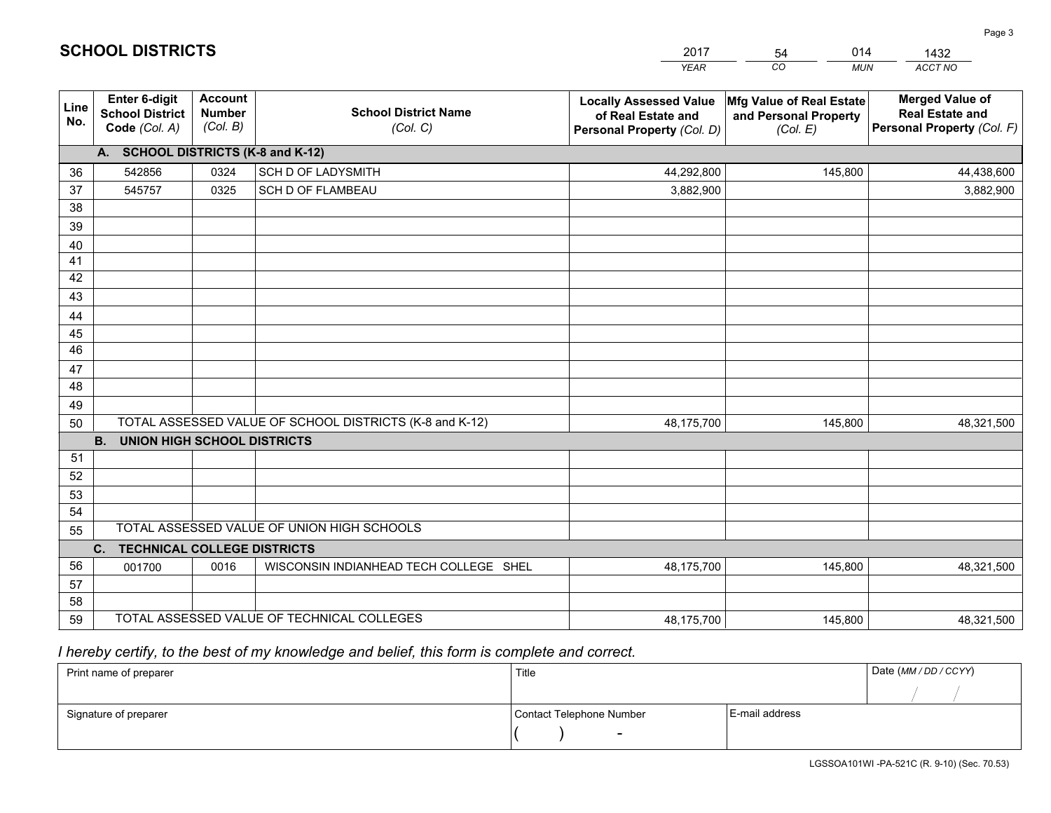|             |                                                                 |                                             |                                                         | <b>YEAR</b>                                                                       | CO.<br><b>MUN</b>                                             | ACCT NO                                                                        |
|-------------|-----------------------------------------------------------------|---------------------------------------------|---------------------------------------------------------|-----------------------------------------------------------------------------------|---------------------------------------------------------------|--------------------------------------------------------------------------------|
| Line<br>No. | <b>Enter 6-digit</b><br><b>School District</b><br>Code (Col. A) | <b>Account</b><br><b>Number</b><br>(Col. B) | <b>School District Name</b><br>(Col. C)                 | <b>Locally Assessed Value</b><br>of Real Estate and<br>Personal Property (Col. D) | Mfg Value of Real Estate<br>and Personal Property<br>(Col. E) | <b>Merged Value of</b><br><b>Real Estate and</b><br>Personal Property (Col. F) |
|             | A. SCHOOL DISTRICTS (K-8 and K-12)                              |                                             |                                                         |                                                                                   |                                                               |                                                                                |
| 36          | 542856                                                          | 0324                                        | SCH D OF LADYSMITH                                      | 44,292,800                                                                        | 145,800                                                       | 44,438,600                                                                     |
| 37          | 545757                                                          | 0325                                        | <b>SCH D OF FLAMBEAU</b>                                | 3,882,900                                                                         |                                                               | 3,882,900                                                                      |
| 38          |                                                                 |                                             |                                                         |                                                                                   |                                                               |                                                                                |
| 39          |                                                                 |                                             |                                                         |                                                                                   |                                                               |                                                                                |
| 40          |                                                                 |                                             |                                                         |                                                                                   |                                                               |                                                                                |
| 41          |                                                                 |                                             |                                                         |                                                                                   |                                                               |                                                                                |
| 42<br>43    |                                                                 |                                             |                                                         |                                                                                   |                                                               |                                                                                |
|             |                                                                 |                                             |                                                         |                                                                                   |                                                               |                                                                                |
| 44<br>45    |                                                                 |                                             |                                                         |                                                                                   |                                                               |                                                                                |
| 46          |                                                                 |                                             |                                                         |                                                                                   |                                                               |                                                                                |
| 47          |                                                                 |                                             |                                                         |                                                                                   |                                                               |                                                                                |
| 48          |                                                                 |                                             |                                                         |                                                                                   |                                                               |                                                                                |
| 49          |                                                                 |                                             |                                                         |                                                                                   |                                                               |                                                                                |
| 50          |                                                                 |                                             | TOTAL ASSESSED VALUE OF SCHOOL DISTRICTS (K-8 and K-12) | 48,175,700                                                                        | 145,800                                                       | 48,321,500                                                                     |
|             | <b>B. UNION HIGH SCHOOL DISTRICTS</b>                           |                                             |                                                         |                                                                                   |                                                               |                                                                                |
| 51          |                                                                 |                                             |                                                         |                                                                                   |                                                               |                                                                                |
| 52          |                                                                 |                                             |                                                         |                                                                                   |                                                               |                                                                                |
| 53          |                                                                 |                                             |                                                         |                                                                                   |                                                               |                                                                                |
| 54          |                                                                 |                                             |                                                         |                                                                                   |                                                               |                                                                                |
| 55          |                                                                 |                                             | TOTAL ASSESSED VALUE OF UNION HIGH SCHOOLS              |                                                                                   |                                                               |                                                                                |
|             | C.<br><b>TECHNICAL COLLEGE DISTRICTS</b>                        |                                             |                                                         |                                                                                   |                                                               |                                                                                |
| 56          | 001700                                                          | 0016                                        | WISCONSIN INDIANHEAD TECH COLLEGE SHEL                  | 48,175,700                                                                        | 145,800                                                       | 48,321,500                                                                     |
| 57          |                                                                 |                                             |                                                         |                                                                                   |                                                               |                                                                                |
| 58          |                                                                 |                                             | TOTAL ASSESSED VALUE OF TECHNICAL COLLEGES              |                                                                                   |                                                               |                                                                                |
| 59          |                                                                 |                                             |                                                         | 48,175,700                                                                        | 145,800                                                       | 48,321,500                                                                     |

54

014

 *I hereby certify, to the best of my knowledge and belief, this form is complete and correct.*

**SCHOOL DISTRICTS**

| Print name of preparer | Title                    |                | Date (MM / DD / CCYY) |
|------------------------|--------------------------|----------------|-----------------------|
|                        |                          |                |                       |
| Signature of preparer  | Contact Telephone Number | E-mail address |                       |
|                        | $\sim$                   |                |                       |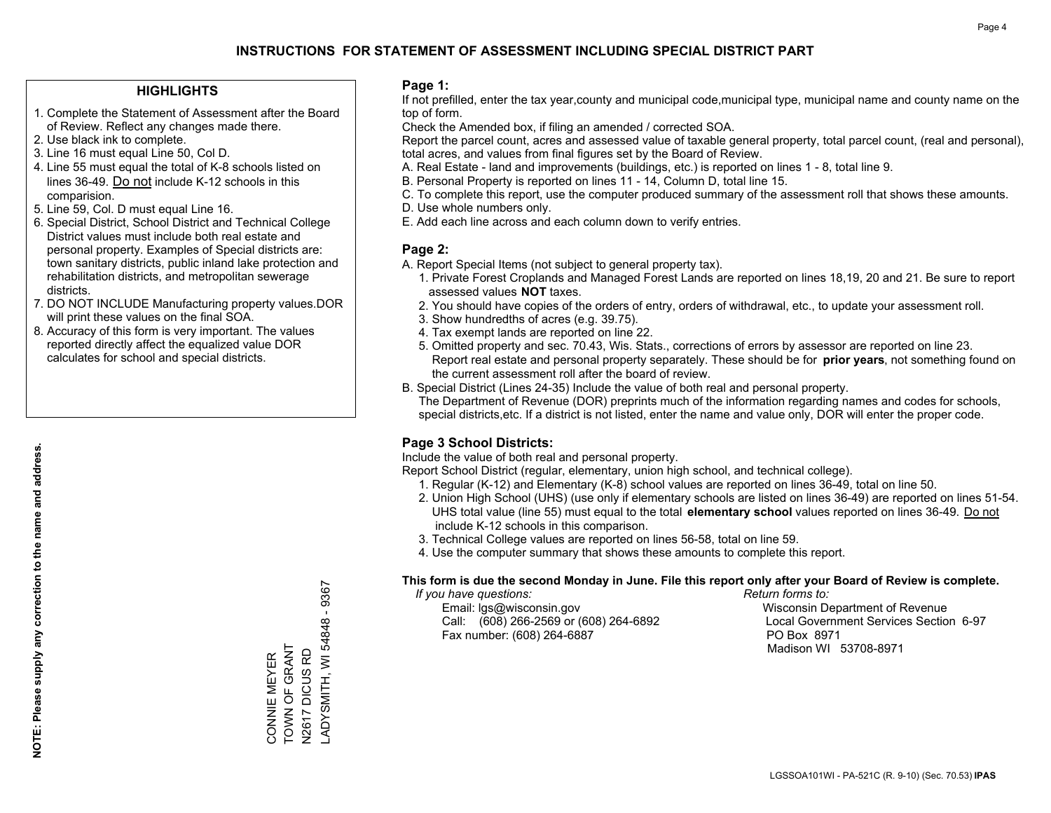#### **HIGHLIGHTS**

- 1. Complete the Statement of Assessment after the Board of Review. Reflect any changes made there.
- 2. Use black ink to complete.
- 3. Line 16 must equal Line 50, Col D.
- 4. Line 55 must equal the total of K-8 schools listed on lines 36-49. Do not include K-12 schools in this comparision.
- 5. Line 59, Col. D must equal Line 16.
- 6. Special District, School District and Technical College District values must include both real estate and personal property. Examples of Special districts are: town sanitary districts, public inland lake protection and rehabilitation districts, and metropolitan sewerage districts.
- 7. DO NOT INCLUDE Manufacturing property values.DOR will print these values on the final SOA.
- 8. Accuracy of this form is very important. The values reported directly affect the equalized value DOR calculates for school and special districts.

#### **Page 1:**

 If not prefilled, enter the tax year,county and municipal code,municipal type, municipal name and county name on the top of form.

Check the Amended box, if filing an amended / corrected SOA.

 Report the parcel count, acres and assessed value of taxable general property, total parcel count, (real and personal), total acres, and values from final figures set by the Board of Review.

- A. Real Estate land and improvements (buildings, etc.) is reported on lines 1 8, total line 9.
- B. Personal Property is reported on lines 11 14, Column D, total line 15.
- C. To complete this report, use the computer produced summary of the assessment roll that shows these amounts.
- D. Use whole numbers only.
- E. Add each line across and each column down to verify entries.

### **Page 2:**

- A. Report Special Items (not subject to general property tax).
- 1. Private Forest Croplands and Managed Forest Lands are reported on lines 18,19, 20 and 21. Be sure to report assessed values **NOT** taxes.
- 2. You should have copies of the orders of entry, orders of withdrawal, etc., to update your assessment roll.
	- 3. Show hundredths of acres (e.g. 39.75).
- 4. Tax exempt lands are reported on line 22.
- 5. Omitted property and sec. 70.43, Wis. Stats., corrections of errors by assessor are reported on line 23. Report real estate and personal property separately. These should be for **prior years**, not something found on the current assessment roll after the board of review.
- B. Special District (Lines 24-35) Include the value of both real and personal property.

 The Department of Revenue (DOR) preprints much of the information regarding names and codes for schools, special districts,etc. If a district is not listed, enter the name and value only, DOR will enter the proper code.

## **Page 3 School Districts:**

Include the value of both real and personal property.

Report School District (regular, elementary, union high school, and technical college).

- 1. Regular (K-12) and Elementary (K-8) school values are reported on lines 36-49, total on line 50.
- 2. Union High School (UHS) (use only if elementary schools are listed on lines 36-49) are reported on lines 51-54. UHS total value (line 55) must equal to the total **elementary school** values reported on lines 36-49. Do notinclude K-12 schools in this comparison.
- 3. Technical College values are reported on lines 56-58, total on line 59.
- 4. Use the computer summary that shows these amounts to complete this report.

#### **This form is due the second Monday in June. File this report only after your Board of Review is complete.**

 *If you have questions: Return forms to:*

 Email: lgs@wisconsin.gov Wisconsin Department of RevenueCall:  $(608)$  266-2569 or  $(608)$  264-6892 Fax number: (608) 264-6887 PO Box 8971

Local Government Services Section 6-97 Madison WI 53708-8971

 $-9367$ LADYSMITH, WI 54848 - 9367 ADYSMITH, WI 54848 CONNIE MEYER<br>TOWN OF GRANT TOWN OF GRANT N2617 DICUS RD N2617 DICUS RD CONNIE MEYER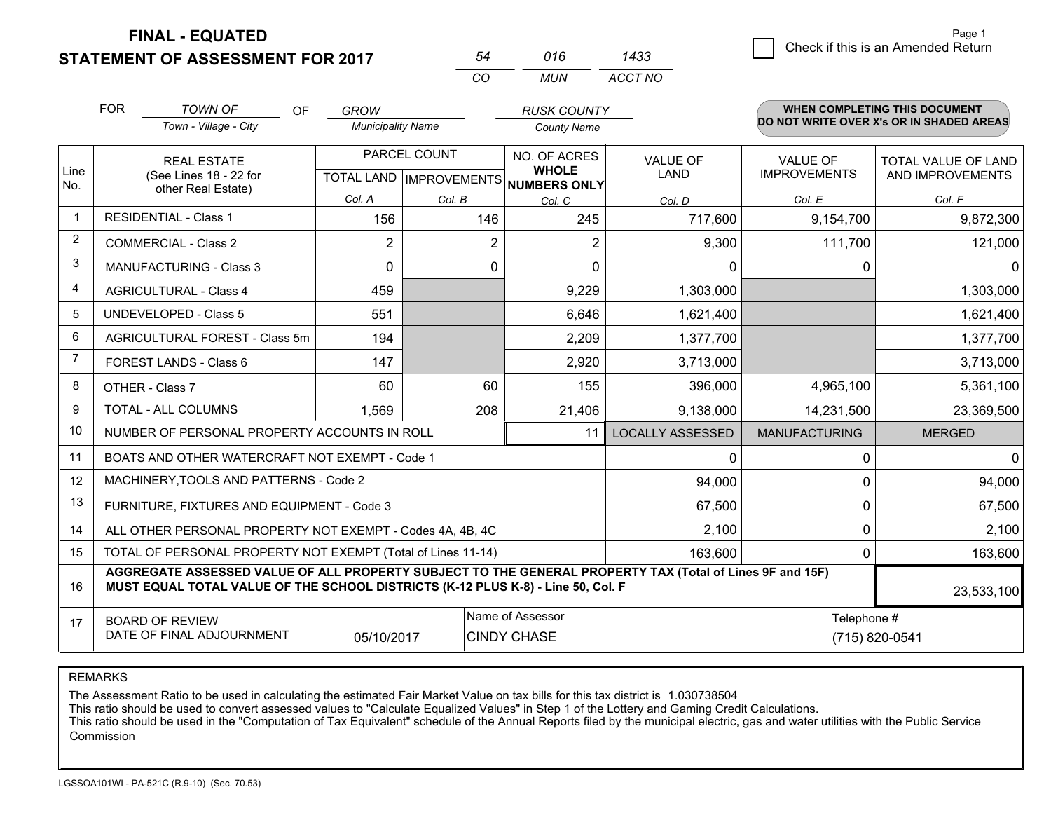**STATEMENT OF ASSESSMENT FOR 2017** 

|          | 016   | 1433    |
|----------|-------|---------|
| $\cdots$ | MI IN | ACCT NO |

|                | <b>FOR</b>                                                                                                                                                                                   | <b>TOWN OF</b><br>OF<br>Town - Village - City                | <b>GROW</b><br><b>Municipality Name</b> |                           | <b>RUSK COUNTY</b><br><b>County Name</b> |                         |                      | <b>WHEN COMPLETING THIS DOCUMENT</b><br>DO NOT WRITE OVER X's OR IN SHADED AREAS |
|----------------|----------------------------------------------------------------------------------------------------------------------------------------------------------------------------------------------|--------------------------------------------------------------|-----------------------------------------|---------------------------|------------------------------------------|-------------------------|----------------------|----------------------------------------------------------------------------------|
| Line           | <b>REAL ESTATE</b>                                                                                                                                                                           |                                                              |                                         | PARCEL COUNT              | NO. OF ACRES<br><b>WHOLE</b>             | <b>VALUE OF</b>         | <b>VALUE OF</b>      | TOTAL VALUE OF LAND                                                              |
| No.            |                                                                                                                                                                                              | (See Lines 18 - 22 for<br>other Real Estate)                 | Col. A                                  | TOTAL LAND   IMPROVEMENTS | <b>NUMBERS ONLY</b>                      | <b>LAND</b>             | <b>IMPROVEMENTS</b>  | AND IMPROVEMENTS                                                                 |
| -1             |                                                                                                                                                                                              | <b>RESIDENTIAL - Class 1</b>                                 | 156                                     | Col. B<br>146             | Col. C<br>245                            | Col. D<br>717,600       | Col. E<br>9,154,700  | Col. F<br>9,872,300                                                              |
| $\overline{2}$ |                                                                                                                                                                                              | <b>COMMERCIAL - Class 2</b>                                  | $\overline{2}$                          | $\overline{2}$            | $\overline{2}$                           | 9,300                   | 111,700              | 121,000                                                                          |
| 3              |                                                                                                                                                                                              | <b>MANUFACTURING - Class 3</b>                               | $\Omega$                                | 0                         | $\mathbf{0}$                             | $\mathbf{0}$            | 0                    | 0                                                                                |
| 4              |                                                                                                                                                                                              | <b>AGRICULTURAL - Class 4</b>                                | 459                                     |                           | 9,229                                    | 1,303,000               |                      | 1,303,000                                                                        |
| 5              |                                                                                                                                                                                              | <b>UNDEVELOPED - Class 5</b>                                 | 551                                     |                           | 6,646                                    | 1,621,400               |                      | 1,621,400                                                                        |
| 6              |                                                                                                                                                                                              | AGRICULTURAL FOREST - Class 5m                               | 194                                     |                           | 2,209                                    | 1,377,700               |                      | 1,377,700                                                                        |
| 7              |                                                                                                                                                                                              | FOREST LANDS - Class 6                                       | 147                                     |                           | 2,920                                    | 3,713,000               |                      | 3,713,000                                                                        |
| 8              |                                                                                                                                                                                              | OTHER - Class 7                                              | 60                                      | 60                        | 155                                      | 396,000                 | 4,965,100            | 5,361,100                                                                        |
| 9              |                                                                                                                                                                                              | TOTAL - ALL COLUMNS                                          | 1,569                                   | 208                       | 21,406                                   | 9,138,000               | 14,231,500           | 23,369,500                                                                       |
| 10             |                                                                                                                                                                                              | NUMBER OF PERSONAL PROPERTY ACCOUNTS IN ROLL                 |                                         |                           | 11                                       | <b>LOCALLY ASSESSED</b> | <b>MANUFACTURING</b> | <b>MERGED</b>                                                                    |
| 11             |                                                                                                                                                                                              | BOATS AND OTHER WATERCRAFT NOT EXEMPT - Code 1               |                                         |                           |                                          | 0                       | 0                    | 0                                                                                |
| 12             |                                                                                                                                                                                              | MACHINERY, TOOLS AND PATTERNS - Code 2                       |                                         |                           |                                          | 94,000                  | 0                    | 94,000                                                                           |
| 13             |                                                                                                                                                                                              | FURNITURE, FIXTURES AND EQUIPMENT - Code 3                   |                                         |                           |                                          | 67,500                  | 0                    | 67,500                                                                           |
| 14             |                                                                                                                                                                                              | ALL OTHER PERSONAL PROPERTY NOT EXEMPT - Codes 4A, 4B, 4C    | 2,100                                   | 0                         | 2,100                                    |                         |                      |                                                                                  |
| 15             |                                                                                                                                                                                              | TOTAL OF PERSONAL PROPERTY NOT EXEMPT (Total of Lines 11-14) |                                         |                           | 163,600                                  | 0                       | 163,600              |                                                                                  |
| 16             | AGGREGATE ASSESSED VALUE OF ALL PROPERTY SUBJECT TO THE GENERAL PROPERTY TAX (Total of Lines 9F and 15F)<br>MUST EQUAL TOTAL VALUE OF THE SCHOOL DISTRICTS (K-12 PLUS K-8) - Line 50, Col. F |                                                              |                                         |                           |                                          |                         | 23,533,100           |                                                                                  |
| 17             | Name of Assessor<br><b>BOARD OF REVIEW</b><br>DATE OF FINAL ADJOURNMENT<br>05/10/2017<br><b>CINDY CHASE</b>                                                                                  |                                                              |                                         |                           |                                          |                         | Telephone #          | (715) 820-0541                                                                   |

REMARKS

The Assessment Ratio to be used in calculating the estimated Fair Market Value on tax bills for this tax district is 1.030738504

This ratio should be used to convert assessed values to "Calculate Equalized Values" in Step 1 of the Lottery and Gaming Credit Calculations.<br>This ratio should be used in the "Computation of Tax Equivalent" schedule of the Commission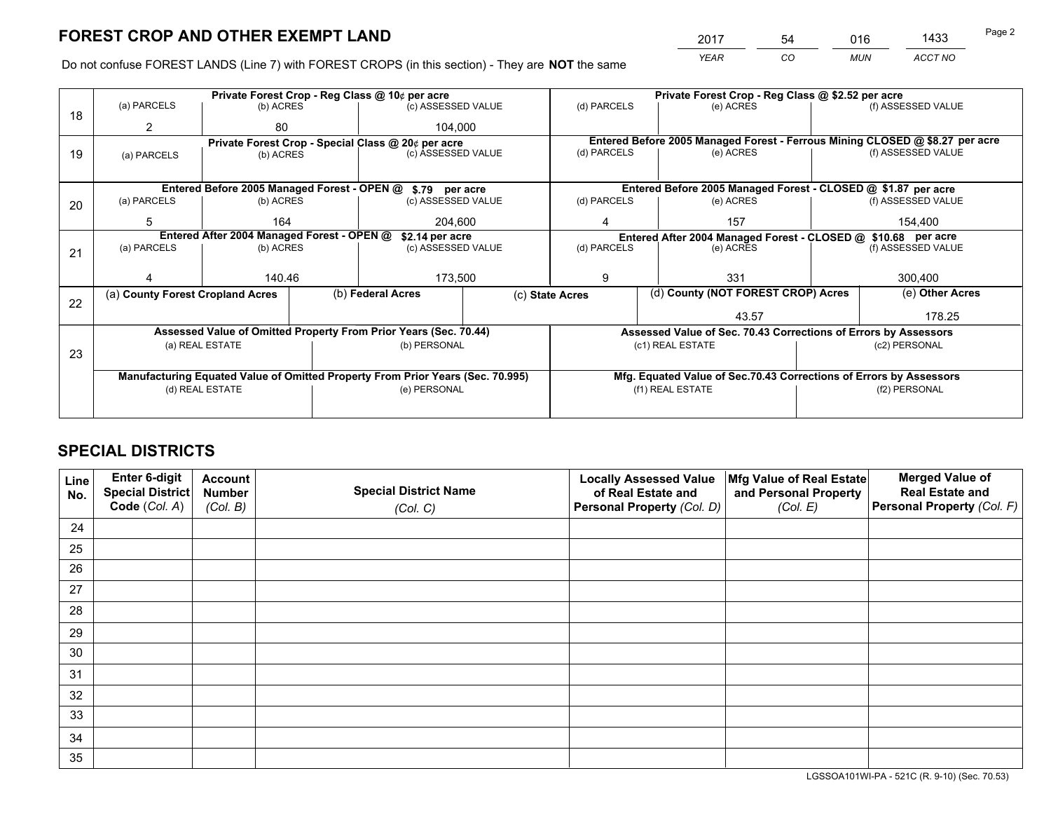*YEAR CO MUN ACCT NO* <sup>2017</sup> <sup>54</sup> <sup>016</sup> <sup>1433</sup>

Do not confuse FOREST LANDS (Line 7) with FOREST CROPS (in this section) - They are **NOT** the same

|    | Private Forest Crop - Reg Class @ 10¢ per acre                                 |                                                               |              |                                                                  |                                                                              | Private Forest Crop - Reg Class @ \$2.52 per acre |                                                                    |               |                    |  |
|----|--------------------------------------------------------------------------------|---------------------------------------------------------------|--------------|------------------------------------------------------------------|------------------------------------------------------------------------------|---------------------------------------------------|--------------------------------------------------------------------|---------------|--------------------|--|
| 18 | (a) PARCELS                                                                    | (b) ACRES                                                     |              | (c) ASSESSED VALUE                                               |                                                                              | (d) PARCELS                                       | (e) ACRES                                                          |               | (f) ASSESSED VALUE |  |
|    | 2                                                                              | 80                                                            |              | 104.000                                                          |                                                                              |                                                   |                                                                    |               |                    |  |
|    |                                                                                | Private Forest Crop - Special Class @ 20¢ per acre            |              |                                                                  | Entered Before 2005 Managed Forest - Ferrous Mining CLOSED @ \$8.27 per acre |                                                   |                                                                    |               |                    |  |
| 19 | (a) PARCELS                                                                    | (b) ACRES                                                     |              | (c) ASSESSED VALUE                                               |                                                                              | (d) PARCELS                                       | (e) ACRES                                                          |               | (f) ASSESSED VALUE |  |
|    |                                                                                |                                                               |              |                                                                  |                                                                              |                                                   |                                                                    |               |                    |  |
|    |                                                                                |                                                               |              | Entered Before 2005 Managed Forest - OPEN @ \$.79 per acre       |                                                                              |                                                   | Entered Before 2005 Managed Forest - CLOSED @ \$1.87 per acre      |               |                    |  |
| 20 | (a) PARCELS                                                                    | (b) ACRES                                                     |              | (c) ASSESSED VALUE                                               |                                                                              | (d) PARCELS                                       | (e) ACRES                                                          |               | (f) ASSESSED VALUE |  |
|    | 5                                                                              | 164<br>204.600                                                |              | 157<br>4                                                         |                                                                              |                                                   | 154.400                                                            |               |                    |  |
|    |                                                                                | Entered After 2004 Managed Forest - OPEN @<br>\$2.14 per acre |              |                                                                  | Entered After 2004 Managed Forest - CLOSED @ \$10.68 per acre                |                                                   |                                                                    |               |                    |  |
| 21 | (a) PARCELS                                                                    | (b) ACRES                                                     |              | (c) ASSESSED VALUE                                               |                                                                              | (d) PARCELS<br>(e) ACRES                          |                                                                    |               | (f) ASSESSED VALUE |  |
|    |                                                                                |                                                               |              |                                                                  |                                                                              |                                                   |                                                                    |               |                    |  |
|    |                                                                                | 140.46                                                        |              | 173,500                                                          |                                                                              | 9                                                 | 331                                                                |               | 300,400            |  |
|    | (a) County Forest Cropland Acres                                               |                                                               |              | (b) Federal Acres                                                |                                                                              | (c) State Acres                                   | (d) County (NOT FOREST CROP) Acres                                 |               | (e) Other Acres    |  |
| 22 |                                                                                |                                                               |              |                                                                  |                                                                              |                                                   | 43.57                                                              |               | 178.25             |  |
|    |                                                                                |                                                               |              | Assessed Value of Omitted Property From Prior Years (Sec. 70.44) |                                                                              |                                                   | Assessed Value of Sec. 70.43 Corrections of Errors by Assessors    |               |                    |  |
|    |                                                                                | (a) REAL ESTATE                                               |              | (b) PERSONAL                                                     |                                                                              |                                                   | (c1) REAL ESTATE                                                   |               | (c2) PERSONAL      |  |
| 23 |                                                                                |                                                               |              |                                                                  |                                                                              |                                                   |                                                                    |               |                    |  |
|    | Manufacturing Equated Value of Omitted Property From Prior Years (Sec. 70.995) |                                                               |              |                                                                  |                                                                              |                                                   | Mfg. Equated Value of Sec.70.43 Corrections of Errors by Assessors |               |                    |  |
|    | (d) REAL ESTATE                                                                |                                                               | (e) PERSONAL |                                                                  |                                                                              | (f1) REAL ESTATE                                  |                                                                    | (f2) PERSONAL |                    |  |
|    |                                                                                |                                                               |              |                                                                  |                                                                              |                                                   |                                                                    |               |                    |  |

## **SPECIAL DISTRICTS**

| Line<br>No. | Enter 6-digit<br><b>Special District</b> | <b>Account</b><br><b>Number</b> | <b>Special District Name</b> | <b>Locally Assessed Value</b><br>of Real Estate and | Mfg Value of Real Estate<br>and Personal Property | <b>Merged Value of</b><br><b>Real Estate and</b> |
|-------------|------------------------------------------|---------------------------------|------------------------------|-----------------------------------------------------|---------------------------------------------------|--------------------------------------------------|
|             | Code (Col. A)                            | (Col. B)                        | (Col. C)                     | Personal Property (Col. D)                          | (Col. E)                                          | Personal Property (Col. F)                       |
| 24          |                                          |                                 |                              |                                                     |                                                   |                                                  |
| 25          |                                          |                                 |                              |                                                     |                                                   |                                                  |
| 26          |                                          |                                 |                              |                                                     |                                                   |                                                  |
| 27          |                                          |                                 |                              |                                                     |                                                   |                                                  |
| 28          |                                          |                                 |                              |                                                     |                                                   |                                                  |
| 29          |                                          |                                 |                              |                                                     |                                                   |                                                  |
| 30          |                                          |                                 |                              |                                                     |                                                   |                                                  |
| 31          |                                          |                                 |                              |                                                     |                                                   |                                                  |
| 32          |                                          |                                 |                              |                                                     |                                                   |                                                  |
| 33          |                                          |                                 |                              |                                                     |                                                   |                                                  |
| 34          |                                          |                                 |                              |                                                     |                                                   |                                                  |
| 35          |                                          |                                 |                              |                                                     |                                                   |                                                  |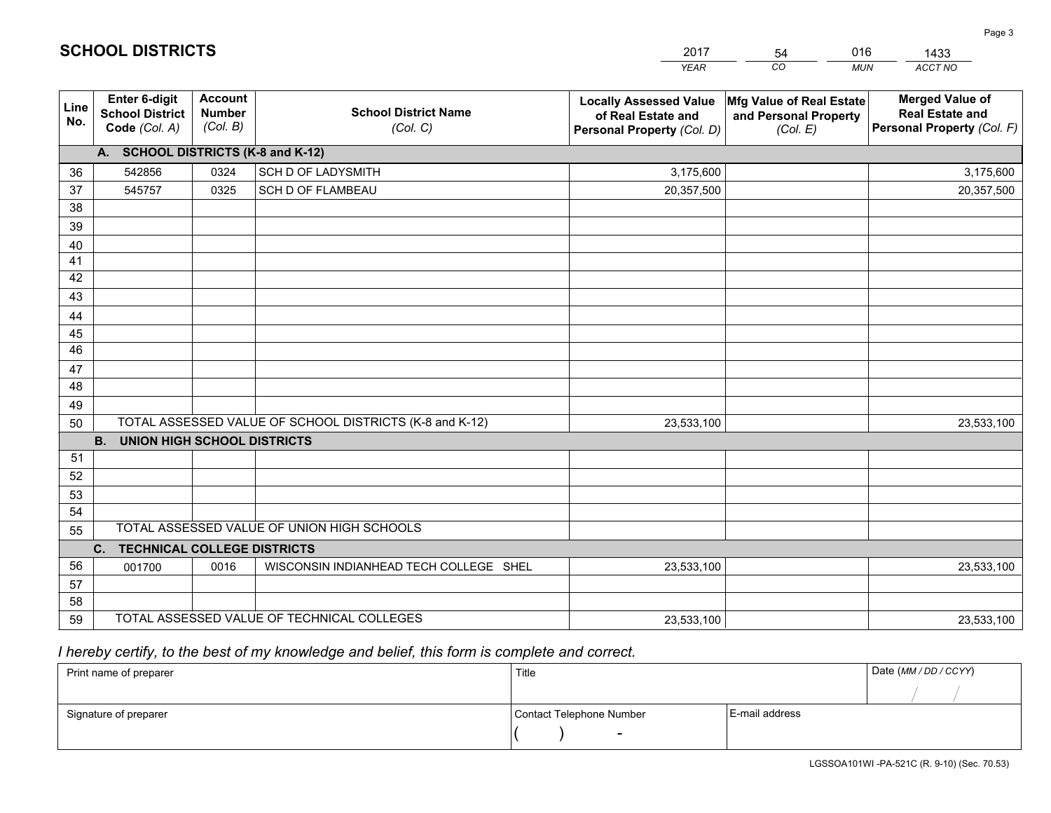|             |                                                          |                                             |                                                         | <b>YEAR</b>                                                                       | CO<br><b>MUN</b>                                              | ACCT NO                                                                        |
|-------------|----------------------------------------------------------|---------------------------------------------|---------------------------------------------------------|-----------------------------------------------------------------------------------|---------------------------------------------------------------|--------------------------------------------------------------------------------|
| Line<br>No. | Enter 6-digit<br><b>School District</b><br>Code (Col. A) | <b>Account</b><br><b>Number</b><br>(Col. B) | <b>School District Name</b><br>(Col. C)                 | <b>Locally Assessed Value</b><br>of Real Estate and<br>Personal Property (Col. D) | Mfg Value of Real Estate<br>and Personal Property<br>(Col. E) | <b>Merged Value of</b><br><b>Real Estate and</b><br>Personal Property (Col. F) |
|             | A. SCHOOL DISTRICTS (K-8 and K-12)                       |                                             |                                                         |                                                                                   |                                                               |                                                                                |
| 36          | 542856                                                   | 0324                                        | <b>SCH D OF LADYSMITH</b>                               | 3,175,600                                                                         |                                                               | 3,175,600                                                                      |
| 37          | 545757                                                   | 0325                                        | SCH D OF FLAMBEAU                                       | 20,357,500                                                                        |                                                               | 20,357,500                                                                     |
| 38          |                                                          |                                             |                                                         |                                                                                   |                                                               |                                                                                |
| 39          |                                                          |                                             |                                                         |                                                                                   |                                                               |                                                                                |
| 40          |                                                          |                                             |                                                         |                                                                                   |                                                               |                                                                                |
| 41          |                                                          |                                             |                                                         |                                                                                   |                                                               |                                                                                |
| 42          |                                                          |                                             |                                                         |                                                                                   |                                                               |                                                                                |
| 43          |                                                          |                                             |                                                         |                                                                                   |                                                               |                                                                                |
| 44<br>45    |                                                          |                                             |                                                         |                                                                                   |                                                               |                                                                                |
| 46          |                                                          |                                             |                                                         |                                                                                   |                                                               |                                                                                |
| 47          |                                                          |                                             |                                                         |                                                                                   |                                                               |                                                                                |
| 48          |                                                          |                                             |                                                         |                                                                                   |                                                               |                                                                                |
| 49          |                                                          |                                             |                                                         |                                                                                   |                                                               |                                                                                |
| 50          |                                                          |                                             | TOTAL ASSESSED VALUE OF SCHOOL DISTRICTS (K-8 and K-12) | 23,533,100                                                                        |                                                               | 23,533,100                                                                     |
|             | <b>B.</b><br><b>UNION HIGH SCHOOL DISTRICTS</b>          |                                             |                                                         |                                                                                   |                                                               |                                                                                |
| 51          |                                                          |                                             |                                                         |                                                                                   |                                                               |                                                                                |
| 52          |                                                          |                                             |                                                         |                                                                                   |                                                               |                                                                                |
| 53          |                                                          |                                             |                                                         |                                                                                   |                                                               |                                                                                |
| 54          |                                                          |                                             |                                                         |                                                                                   |                                                               |                                                                                |
| 55          |                                                          |                                             | TOTAL ASSESSED VALUE OF UNION HIGH SCHOOLS              |                                                                                   |                                                               |                                                                                |
|             | C.<br><b>TECHNICAL COLLEGE DISTRICTS</b>                 |                                             |                                                         |                                                                                   |                                                               |                                                                                |
| 56          | 001700                                                   | 0016                                        | WISCONSIN INDIANHEAD TECH COLLEGE SHEL                  | 23,533,100                                                                        |                                                               | 23,533,100                                                                     |
| 57          |                                                          |                                             |                                                         |                                                                                   |                                                               |                                                                                |
| 58          |                                                          |                                             |                                                         |                                                                                   |                                                               |                                                                                |
| 59          |                                                          |                                             | TOTAL ASSESSED VALUE OF TECHNICAL COLLEGES              | 23,533,100                                                                        |                                                               | 23,533,100                                                                     |

54

016

 *I hereby certify, to the best of my knowledge and belief, this form is complete and correct.*

**SCHOOL DISTRICTS**

| Print name of preparer | Title                    |                | Date (MM / DD / CCYY) |
|------------------------|--------------------------|----------------|-----------------------|
|                        |                          |                |                       |
| Signature of preparer  | Contact Telephone Number | E-mail address |                       |
|                        | $\overline{\phantom{0}}$ |                |                       |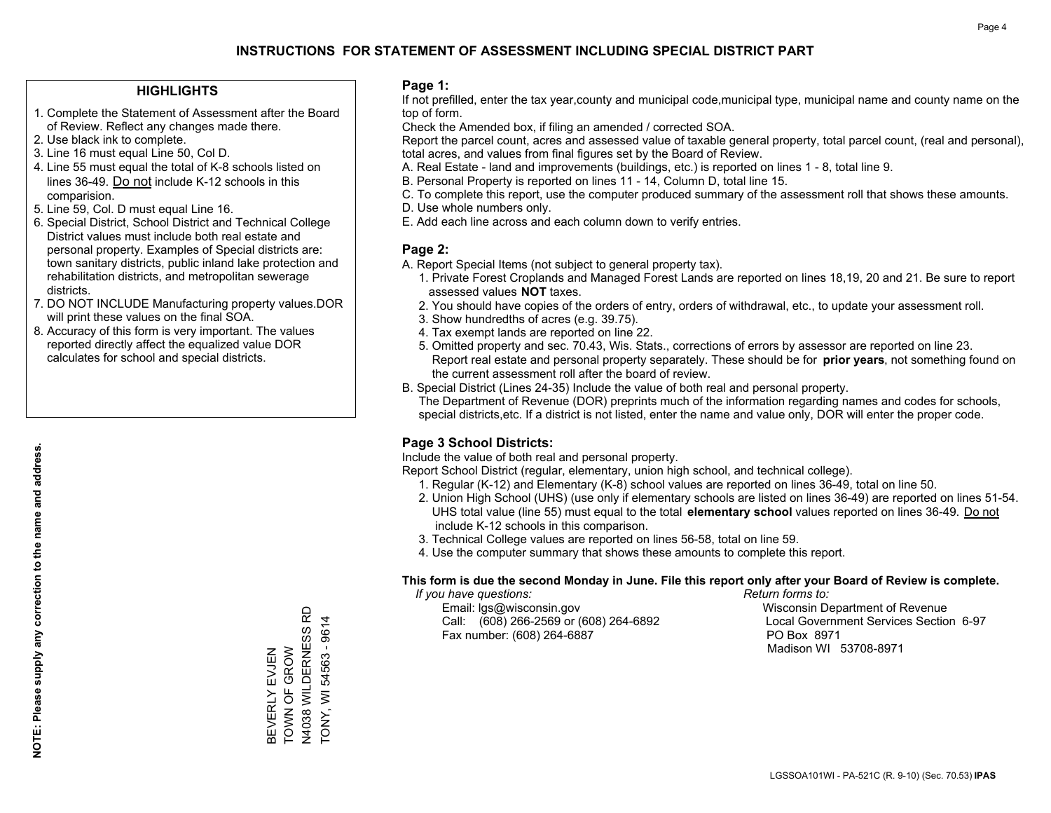#### **HIGHLIGHTS**

- 1. Complete the Statement of Assessment after the Board of Review. Reflect any changes made there.
- 2. Use black ink to complete.
- 3. Line 16 must equal Line 50, Col D.
- 4. Line 55 must equal the total of K-8 schools listed on lines 36-49. Do not include K-12 schools in this comparision.
- 5. Line 59, Col. D must equal Line 16.
- 6. Special District, School District and Technical College District values must include both real estate and personal property. Examples of Special districts are: town sanitary districts, public inland lake protection and rehabilitation districts, and metropolitan sewerage districts.
- 7. DO NOT INCLUDE Manufacturing property values.DOR will print these values on the final SOA.
- 8. Accuracy of this form is very important. The values reported directly affect the equalized value DOR calculates for school and special districts.

#### **Page 1:**

 If not prefilled, enter the tax year,county and municipal code,municipal type, municipal name and county name on the top of form.

Check the Amended box, if filing an amended / corrected SOA.

 Report the parcel count, acres and assessed value of taxable general property, total parcel count, (real and personal), total acres, and values from final figures set by the Board of Review.

- A. Real Estate land and improvements (buildings, etc.) is reported on lines 1 8, total line 9.
- B. Personal Property is reported on lines 11 14, Column D, total line 15.
- C. To complete this report, use the computer produced summary of the assessment roll that shows these amounts.
- D. Use whole numbers only.
- E. Add each line across and each column down to verify entries.

#### **Page 2:**

- A. Report Special Items (not subject to general property tax).
- 1. Private Forest Croplands and Managed Forest Lands are reported on lines 18,19, 20 and 21. Be sure to report assessed values **NOT** taxes.
- 2. You should have copies of the orders of entry, orders of withdrawal, etc., to update your assessment roll.
	- 3. Show hundredths of acres (e.g. 39.75).
- 4. Tax exempt lands are reported on line 22.
- 5. Omitted property and sec. 70.43, Wis. Stats., corrections of errors by assessor are reported on line 23. Report real estate and personal property separately. These should be for **prior years**, not something found on the current assessment roll after the board of review.
- B. Special District (Lines 24-35) Include the value of both real and personal property.
- The Department of Revenue (DOR) preprints much of the information regarding names and codes for schools, special districts,etc. If a district is not listed, enter the name and value only, DOR will enter the proper code.

## **Page 3 School Districts:**

Include the value of both real and personal property.

Report School District (regular, elementary, union high school, and technical college).

- 1. Regular (K-12) and Elementary (K-8) school values are reported on lines 36-49, total on line 50.
- 2. Union High School (UHS) (use only if elementary schools are listed on lines 36-49) are reported on lines 51-54. UHS total value (line 55) must equal to the total **elementary school** values reported on lines 36-49. Do notinclude K-12 schools in this comparison.
- 3. Technical College values are reported on lines 56-58, total on line 59.
- 4. Use the computer summary that shows these amounts to complete this report.

#### **This form is due the second Monday in June. File this report only after your Board of Review is complete.**

 *If you have questions: Return forms to:*

 Email: lgs@wisconsin.gov Wisconsin Department of RevenueCall:  $(608)$  266-2569 or  $(608)$  264-6892 Fax number: (608) 264-6887 PO Box 8971

Local Government Services Section 6-97 Madison WI 53708-8971

N4038 WILDERNESS RD N4038 WILDERNESS RD TONY, WI 54563 - 9614 TONY, WI 54563 - 9614 BEVERLY EVJEN<br>TOWN OF GROW TOWN OF GROW BEVERLY EVJEN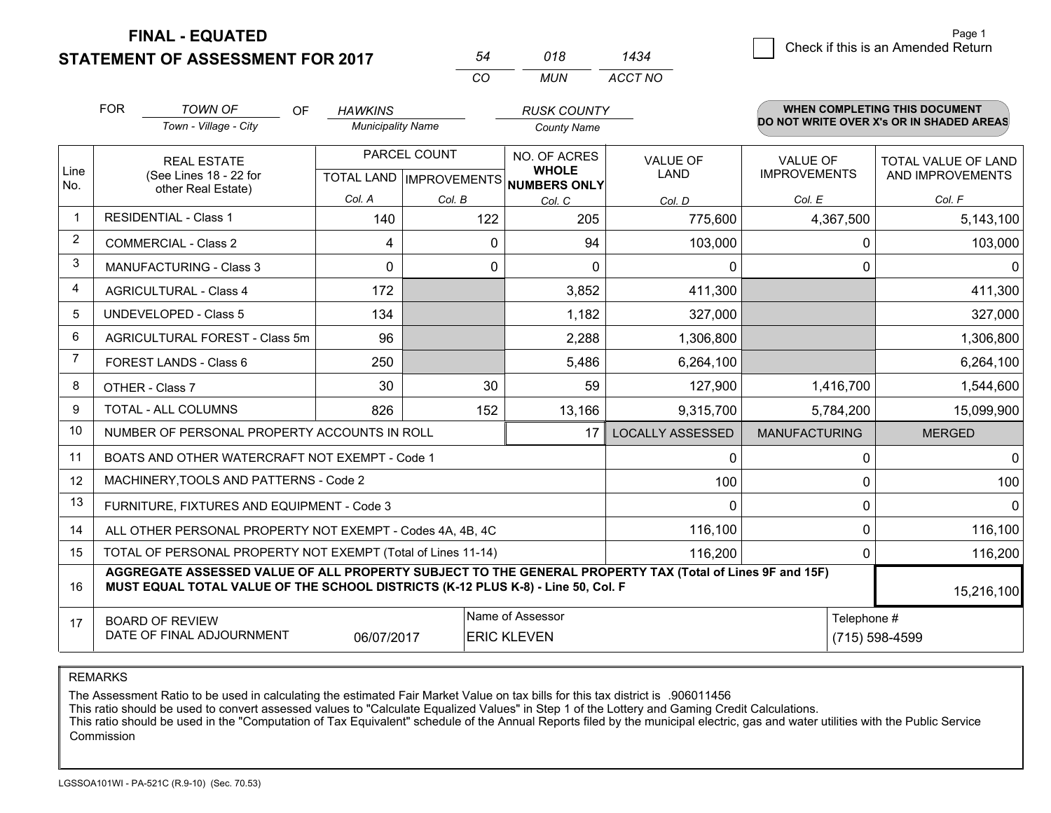**STATEMENT OF ASSESSMENT FOR 2017** 

| 54 | 018  | 1434    |
|----|------|---------|
| cо | MUN. | ACCT NO |

|                | <b>FOR</b>                                                                                                                                                                                                 | <b>TOWN OF</b><br>OF                                         | <b>HAWKINS</b>           |                           | <b>RUSK COUNTY</b>           |                         |                      | <b>WHEN COMPLETING THIS DOCUMENT</b><br>DO NOT WRITE OVER X's OR IN SHADED AREAS |
|----------------|------------------------------------------------------------------------------------------------------------------------------------------------------------------------------------------------------------|--------------------------------------------------------------|--------------------------|---------------------------|------------------------------|-------------------------|----------------------|----------------------------------------------------------------------------------|
|                | Town - Village - City                                                                                                                                                                                      |                                                              | <b>Municipality Name</b> |                           | <b>County Name</b>           |                         |                      |                                                                                  |
|                | <b>REAL ESTATE</b>                                                                                                                                                                                         |                                                              | PARCEL COUNT             |                           | NO. OF ACRES                 | <b>VALUE OF</b>         | VALUE OF             | TOTAL VALUE OF LAND                                                              |
| Line<br>No.    |                                                                                                                                                                                                            | (See Lines 18 - 22 for<br>other Real Estate)                 |                          | TOTAL LAND   IMPROVEMENTS | <b>WHOLE</b><br>NUMBERS ONLY | <b>LAND</b>             | <b>IMPROVEMENTS</b>  | AND IMPROVEMENTS                                                                 |
|                |                                                                                                                                                                                                            |                                                              | Col. A                   | Col. B                    | Col. C                       | Col. D                  | Col. E               | Col. F                                                                           |
| -1             |                                                                                                                                                                                                            | <b>RESIDENTIAL - Class 1</b>                                 | 140                      | 122                       | 205                          | 775,600                 | 4,367,500            | 5,143,100                                                                        |
| $\overline{2}$ |                                                                                                                                                                                                            | <b>COMMERCIAL - Class 2</b>                                  | 4                        | 0                         | 94                           | 103,000                 | 0                    | 103,000                                                                          |
| 3              |                                                                                                                                                                                                            | <b>MANUFACTURING - Class 3</b>                               | $\mathbf{0}$             | 0                         | $\mathbf{0}$                 | $\mathbf{0}$            | 0                    | 0                                                                                |
| 4              |                                                                                                                                                                                                            | <b>AGRICULTURAL - Class 4</b>                                | 172                      |                           | 3,852                        | 411,300                 |                      | 411,300                                                                          |
| 5              |                                                                                                                                                                                                            | <b>UNDEVELOPED - Class 5</b>                                 | 134                      |                           | 1,182                        | 327,000                 |                      | 327,000                                                                          |
| 6              |                                                                                                                                                                                                            | AGRICULTURAL FOREST - Class 5m                               | 96                       |                           | 2,288                        | 1,306,800               |                      | 1,306,800                                                                        |
| 7              | FOREST LANDS - Class 6                                                                                                                                                                                     |                                                              | 250                      |                           | 5,486                        | 6,264,100               |                      | 6,264,100                                                                        |
| 8              | OTHER - Class 7                                                                                                                                                                                            |                                                              | 30                       | 30                        | 59                           | 127,900                 | 1,416,700            | 1,544,600                                                                        |
| 9              | TOTAL - ALL COLUMNS                                                                                                                                                                                        |                                                              | 826                      | 152                       | 13,166                       | 9,315,700               | 5,784,200            | 15,099,900                                                                       |
| 10             | NUMBER OF PERSONAL PROPERTY ACCOUNTS IN ROLL<br>17                                                                                                                                                         |                                                              |                          |                           |                              | <b>LOCALLY ASSESSED</b> | <b>MANUFACTURING</b> | <b>MERGED</b>                                                                    |
| 11             | BOATS AND OTHER WATERCRAFT NOT EXEMPT - Code 1                                                                                                                                                             |                                                              |                          |                           |                              | 0                       | 0                    | 0                                                                                |
| 12             |                                                                                                                                                                                                            | MACHINERY, TOOLS AND PATTERNS - Code 2                       |                          |                           |                              | 100                     | 0                    | 100                                                                              |
| 13             |                                                                                                                                                                                                            | FURNITURE, FIXTURES AND EQUIPMENT - Code 3                   |                          |                           |                              | $\Omega$                | 0                    | $\Omega$                                                                         |
| 14             |                                                                                                                                                                                                            | ALL OTHER PERSONAL PROPERTY NOT EXEMPT - Codes 4A, 4B, 4C    |                          |                           | 116,100                      | 0                       | 116,100              |                                                                                  |
| 15             |                                                                                                                                                                                                            | TOTAL OF PERSONAL PROPERTY NOT EXEMPT (Total of Lines 11-14) |                          |                           | 116,200                      | 0                       | 116,200              |                                                                                  |
| 16             | AGGREGATE ASSESSED VALUE OF ALL PROPERTY SUBJECT TO THE GENERAL PROPERTY TAX (Total of Lines 9F and 15F)<br>MUST EQUAL TOTAL VALUE OF THE SCHOOL DISTRICTS (K-12 PLUS K-8) - Line 50, Col. F<br>15,216,100 |                                                              |                          |                           |                              |                         |                      |                                                                                  |
| 17             |                                                                                                                                                                                                            | <b>BOARD OF REVIEW</b>                                       |                          |                           | Name of Assessor             |                         |                      | Telephone #                                                                      |
|                | DATE OF FINAL ADJOURNMENT<br>06/07/2017<br><b>ERIC KLEVEN</b>                                                                                                                                              |                                                              |                          |                           |                              | (715) 598-4599          |                      |                                                                                  |

REMARKS

The Assessment Ratio to be used in calculating the estimated Fair Market Value on tax bills for this tax district is .906011456

This ratio should be used to convert assessed values to "Calculate Equalized Values" in Step 1 of the Lottery and Gaming Credit Calculations.<br>This ratio should be used in the "Computation of Tax Equivalent" schedule of the Commission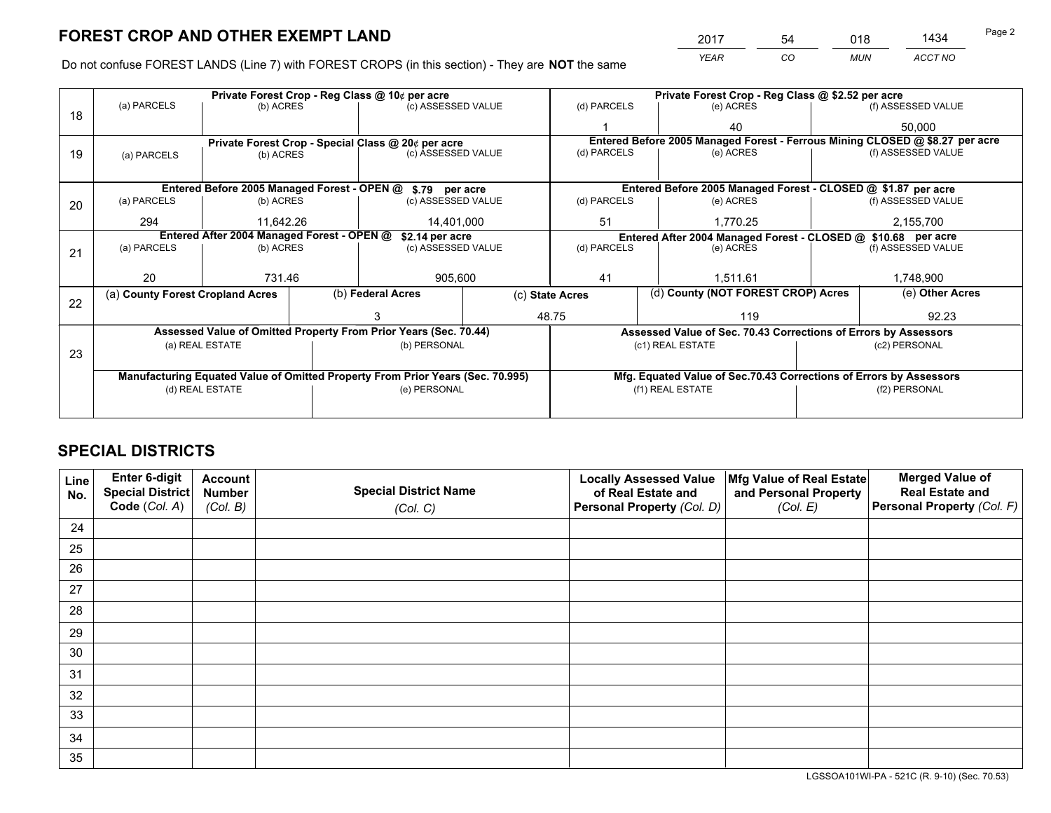*YEAR CO MUN ACCT NO* <sup>2017</sup> <sup>54</sup> <sup>018</sup> <sup>1434</sup>

Do not confuse FOREST LANDS (Line 7) with FOREST CROPS (in this section) - They are **NOT** the same

|    |                                                                                |           | Private Forest Crop - Reg Class @ \$2.52 per acre               |                                                            |                  |                                                                              |                                                                    |                                    |  |                                                               |  |
|----|--------------------------------------------------------------------------------|-----------|-----------------------------------------------------------------|------------------------------------------------------------|------------------|------------------------------------------------------------------------------|--------------------------------------------------------------------|------------------------------------|--|---------------------------------------------------------------|--|
| 18 | (a) PARCELS<br>(b) ACRES                                                       |           |                                                                 | (c) ASSESSED VALUE                                         |                  | (d) PARCELS                                                                  |                                                                    | (e) ACRES                          |  | (f) ASSESSED VALUE                                            |  |
|    |                                                                                |           |                                                                 |                                                            |                  |                                                                              |                                                                    | 40                                 |  | 50,000                                                        |  |
|    |                                                                                |           |                                                                 | Private Forest Crop - Special Class @ 20¢ per acre         |                  | Entered Before 2005 Managed Forest - Ferrous Mining CLOSED @ \$8.27 per acre |                                                                    |                                    |  |                                                               |  |
| 19 | (a) PARCELS                                                                    | (b) ACRES |                                                                 | (c) ASSESSED VALUE                                         |                  | (d) PARCELS                                                                  |                                                                    | (e) ACRES                          |  | (f) ASSESSED VALUE                                            |  |
|    |                                                                                |           |                                                                 |                                                            |                  |                                                                              |                                                                    |                                    |  |                                                               |  |
|    |                                                                                |           |                                                                 | Entered Before 2005 Managed Forest - OPEN @ \$.79 per acre |                  |                                                                              |                                                                    |                                    |  | Entered Before 2005 Managed Forest - CLOSED @ \$1.87 per acre |  |
| 20 | (a) PARCELS                                                                    | (b) ACRES |                                                                 | (c) ASSESSED VALUE                                         |                  | (d) PARCELS                                                                  |                                                                    | (e) ACRES                          |  | (f) ASSESSED VALUE                                            |  |
|    | 294                                                                            | 11.642.26 |                                                                 | 14,401,000                                                 |                  | 51                                                                           |                                                                    | 1,770.25                           |  | 2,155,700                                                     |  |
|    | Entered After 2004 Managed Forest - OPEN @<br>\$2.14 per acre                  |           |                                                                 |                                                            |                  | Entered After 2004 Managed Forest - CLOSED @ \$10.68 per acre                |                                                                    |                                    |  |                                                               |  |
| 21 | (a) PARCELS                                                                    | (b) ACRES |                                                                 | (c) ASSESSED VALUE                                         |                  | (d) PARCELS                                                                  |                                                                    | (e) ACRES                          |  | (f) ASSESSED VALUE                                            |  |
|    |                                                                                |           |                                                                 |                                                            |                  |                                                                              |                                                                    |                                    |  |                                                               |  |
|    | 20                                                                             | 731.46    |                                                                 | 905,600                                                    |                  | 41                                                                           |                                                                    | 1.511.61                           |  | 1,748,900                                                     |  |
|    | (a) County Forest Cropland Acres                                               |           |                                                                 | (b) Federal Acres                                          | (c) State Acres  |                                                                              |                                                                    | (d) County (NOT FOREST CROP) Acres |  | (e) Other Acres                                               |  |
| 22 |                                                                                |           |                                                                 |                                                            |                  | 48.75<br>119                                                                 |                                                                    |                                    |  | 92.23                                                         |  |
|    | Assessed Value of Omitted Property From Prior Years (Sec. 70.44)               |           |                                                                 |                                                            |                  |                                                                              |                                                                    |                                    |  |                                                               |  |
|    |                                                                                |           | Assessed Value of Sec. 70.43 Corrections of Errors by Assessors |                                                            |                  |                                                                              |                                                                    |                                    |  |                                                               |  |
| 23 | (a) REAL ESTATE                                                                |           |                                                                 | (b) PERSONAL                                               |                  | (c1) REAL ESTATE                                                             |                                                                    | (c2) PERSONAL                      |  |                                                               |  |
|    |                                                                                |           |                                                                 |                                                            |                  |                                                                              |                                                                    |                                    |  |                                                               |  |
|    | Manufacturing Equated Value of Omitted Property From Prior Years (Sec. 70.995) |           |                                                                 |                                                            |                  |                                                                              | Mfg. Equated Value of Sec.70.43 Corrections of Errors by Assessors |                                    |  |                                                               |  |
|    | (d) REAL ESTATE                                                                |           |                                                                 | (e) PERSONAL                                               | (f1) REAL ESTATE |                                                                              | (f2) PERSONAL                                                      |                                    |  |                                                               |  |
|    |                                                                                |           |                                                                 |                                                            |                  |                                                                              |                                                                    |                                    |  |                                                               |  |

## **SPECIAL DISTRICTS**

| Line<br>No. | Enter 6-digit<br><b>Special District</b> | <b>Account</b><br><b>Number</b> | <b>Special District Name</b> | <b>Locally Assessed Value</b><br>of Real Estate and | Mfg Value of Real Estate<br>and Personal Property | <b>Merged Value of</b><br><b>Real Estate and</b> |
|-------------|------------------------------------------|---------------------------------|------------------------------|-----------------------------------------------------|---------------------------------------------------|--------------------------------------------------|
|             | Code (Col. A)                            | (Col. B)                        | (Col. C)                     | Personal Property (Col. D)                          | (Col. E)                                          | Personal Property (Col. F)                       |
| 24          |                                          |                                 |                              |                                                     |                                                   |                                                  |
| 25          |                                          |                                 |                              |                                                     |                                                   |                                                  |
| 26          |                                          |                                 |                              |                                                     |                                                   |                                                  |
| 27          |                                          |                                 |                              |                                                     |                                                   |                                                  |
| 28          |                                          |                                 |                              |                                                     |                                                   |                                                  |
| 29          |                                          |                                 |                              |                                                     |                                                   |                                                  |
| 30          |                                          |                                 |                              |                                                     |                                                   |                                                  |
| 31          |                                          |                                 |                              |                                                     |                                                   |                                                  |
| 32          |                                          |                                 |                              |                                                     |                                                   |                                                  |
| 33          |                                          |                                 |                              |                                                     |                                                   |                                                  |
| 34          |                                          |                                 |                              |                                                     |                                                   |                                                  |
| 35          |                                          |                                 |                              |                                                     |                                                   |                                                  |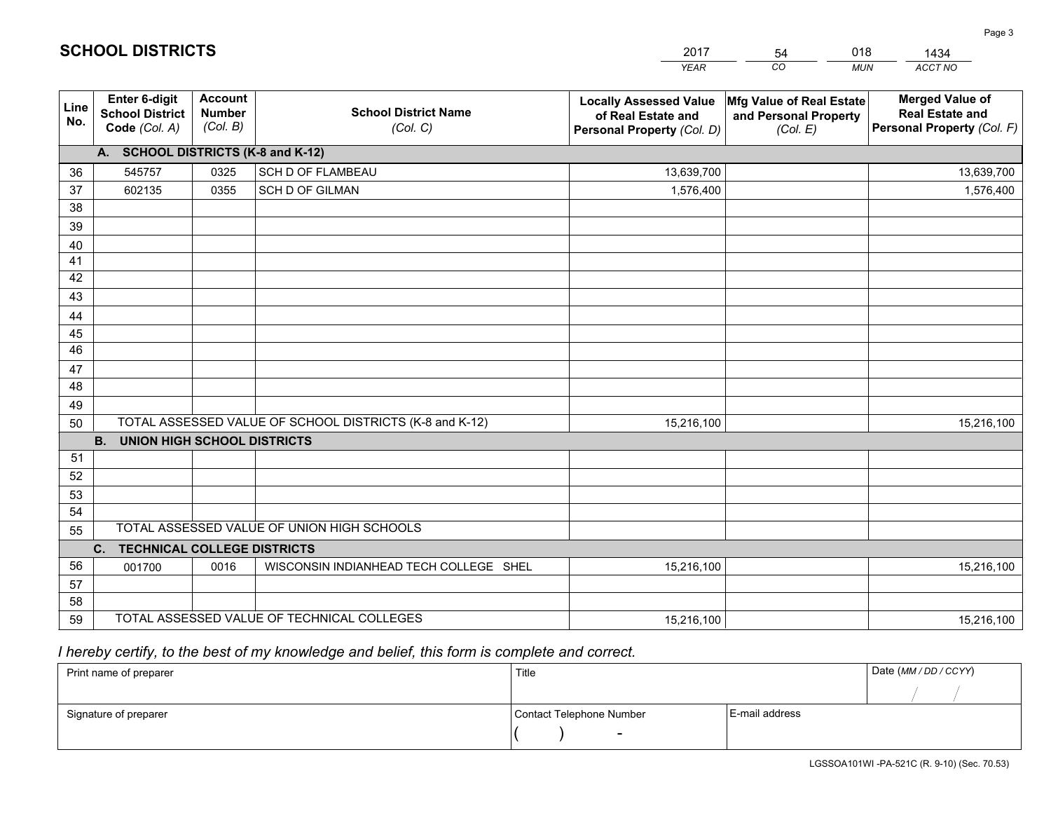|             |                                                                                                                           |                                             |                                            | <b>YEAR</b>                                                                       | CO<br><b>MUN</b>                                              | ACCT NO                                                                        |  |  |
|-------------|---------------------------------------------------------------------------------------------------------------------------|---------------------------------------------|--------------------------------------------|-----------------------------------------------------------------------------------|---------------------------------------------------------------|--------------------------------------------------------------------------------|--|--|
| Line<br>No. | Enter 6-digit<br><b>School District</b><br>Code (Col. A)                                                                  | <b>Account</b><br><b>Number</b><br>(Col. B) | <b>School District Name</b><br>(Col. C)    | <b>Locally Assessed Value</b><br>of Real Estate and<br>Personal Property (Col. D) | Mfg Value of Real Estate<br>and Personal Property<br>(Col. E) | <b>Merged Value of</b><br><b>Real Estate and</b><br>Personal Property (Col. F) |  |  |
|             | A. SCHOOL DISTRICTS (K-8 and K-12)                                                                                        |                                             |                                            |                                                                                   |                                                               |                                                                                |  |  |
| 36          | 545757                                                                                                                    | 0325                                        | SCH D OF FLAMBEAU                          | 13,639,700                                                                        |                                                               | 13,639,700                                                                     |  |  |
| 37          | 602135                                                                                                                    | 0355                                        | SCH D OF GILMAN                            | 1,576,400                                                                         |                                                               | 1,576,400                                                                      |  |  |
| 38          |                                                                                                                           |                                             |                                            |                                                                                   |                                                               |                                                                                |  |  |
| 39          |                                                                                                                           |                                             |                                            |                                                                                   |                                                               |                                                                                |  |  |
| 40          |                                                                                                                           |                                             |                                            |                                                                                   |                                                               |                                                                                |  |  |
| 41          |                                                                                                                           |                                             |                                            |                                                                                   |                                                               |                                                                                |  |  |
| 42          |                                                                                                                           |                                             |                                            |                                                                                   |                                                               |                                                                                |  |  |
| 43          |                                                                                                                           |                                             |                                            |                                                                                   |                                                               |                                                                                |  |  |
| 44          |                                                                                                                           |                                             |                                            |                                                                                   |                                                               |                                                                                |  |  |
| 45          |                                                                                                                           |                                             |                                            |                                                                                   |                                                               |                                                                                |  |  |
| 46          |                                                                                                                           |                                             |                                            |                                                                                   |                                                               |                                                                                |  |  |
| 47          |                                                                                                                           |                                             |                                            |                                                                                   |                                                               |                                                                                |  |  |
| 48          |                                                                                                                           |                                             |                                            |                                                                                   |                                                               |                                                                                |  |  |
| 49          |                                                                                                                           |                                             |                                            |                                                                                   |                                                               |                                                                                |  |  |
| 50          | TOTAL ASSESSED VALUE OF SCHOOL DISTRICTS (K-8 and K-12)<br>15,216,100<br>15,216,100<br><b>UNION HIGH SCHOOL DISTRICTS</b> |                                             |                                            |                                                                                   |                                                               |                                                                                |  |  |
|             | <b>B.</b>                                                                                                                 |                                             |                                            |                                                                                   |                                                               |                                                                                |  |  |
| 51          |                                                                                                                           |                                             |                                            |                                                                                   |                                                               |                                                                                |  |  |
| 52          |                                                                                                                           |                                             |                                            |                                                                                   |                                                               |                                                                                |  |  |
| 53<br>54    |                                                                                                                           |                                             |                                            |                                                                                   |                                                               |                                                                                |  |  |
| 55          |                                                                                                                           |                                             | TOTAL ASSESSED VALUE OF UNION HIGH SCHOOLS |                                                                                   |                                                               |                                                                                |  |  |
|             | <b>TECHNICAL COLLEGE DISTRICTS</b><br>C.                                                                                  |                                             |                                            |                                                                                   |                                                               |                                                                                |  |  |
| 56          | 001700                                                                                                                    | 0016                                        | WISCONSIN INDIANHEAD TECH COLLEGE SHEL     | 15,216,100                                                                        |                                                               | 15,216,100                                                                     |  |  |
| 57          |                                                                                                                           |                                             |                                            |                                                                                   |                                                               |                                                                                |  |  |
| 58          |                                                                                                                           |                                             |                                            |                                                                                   |                                                               |                                                                                |  |  |
| 59          |                                                                                                                           |                                             | TOTAL ASSESSED VALUE OF TECHNICAL COLLEGES | 15,216,100                                                                        |                                                               | 15,216,100                                                                     |  |  |

54

018

 *I hereby certify, to the best of my knowledge and belief, this form is complete and correct.*

**SCHOOL DISTRICTS**

| Print name of preparer | Title                    | Date (MM / DD / CCYY) |  |
|------------------------|--------------------------|-----------------------|--|
|                        |                          |                       |  |
| Signature of preparer  | Contact Telephone Number | E-mail address        |  |
|                        | $\sim$                   |                       |  |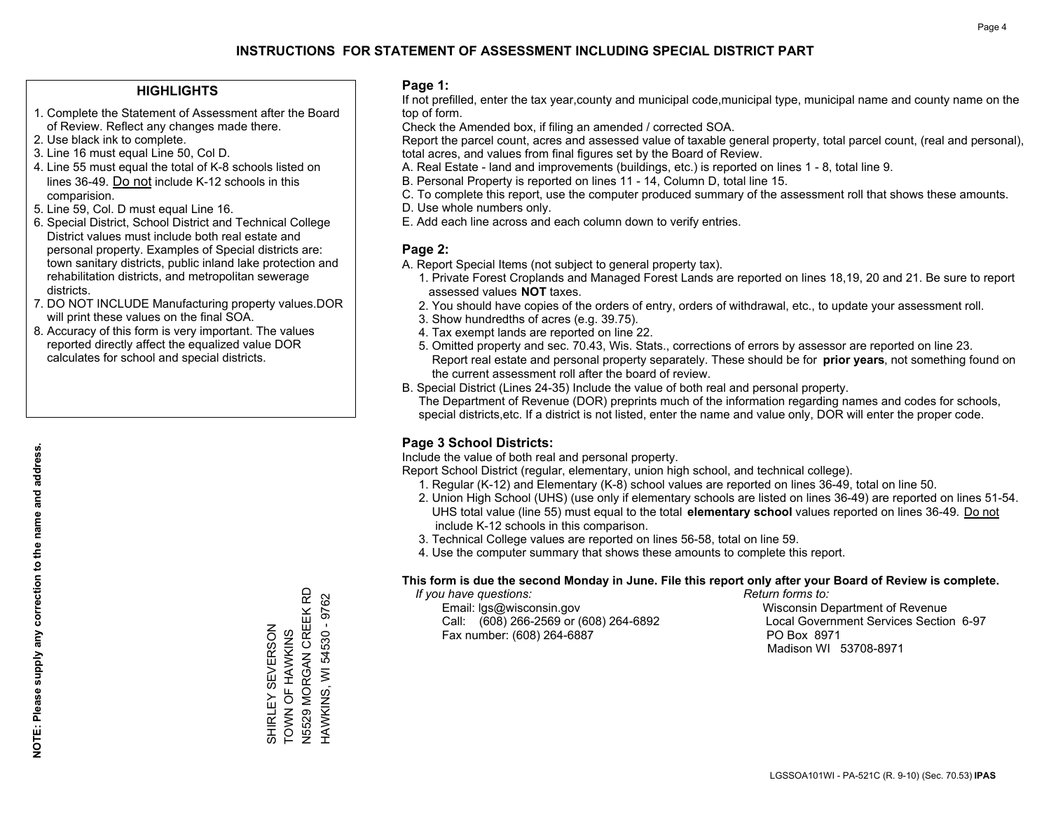#### **HIGHLIGHTS**

- 1. Complete the Statement of Assessment after the Board of Review. Reflect any changes made there.
- 2. Use black ink to complete.
- 3. Line 16 must equal Line 50, Col D.
- 4. Line 55 must equal the total of K-8 schools listed on lines 36-49. Do not include K-12 schools in this comparision.
- 5. Line 59, Col. D must equal Line 16.
- 6. Special District, School District and Technical College District values must include both real estate and personal property. Examples of Special districts are: town sanitary districts, public inland lake protection and rehabilitation districts, and metropolitan sewerage districts.
- 7. DO NOT INCLUDE Manufacturing property values.DOR will print these values on the final SOA.

SHIRLEY SEVERSON TOWN OF HAWKINS N5529 MORGAN CREEK RD HAWKINS, WI 54530 - 9762

SHIRLEY

TOWN OF HAWKINS

SEVERSON

N5529 MORGAN CREEK RD HAWKINS, WI 54530 - 9762

 8. Accuracy of this form is very important. The values reported directly affect the equalized value DOR calculates for school and special districts.

#### **Page 1:**

 If not prefilled, enter the tax year,county and municipal code,municipal type, municipal name and county name on the top of form.

Check the Amended box, if filing an amended / corrected SOA.

 Report the parcel count, acres and assessed value of taxable general property, total parcel count, (real and personal), total acres, and values from final figures set by the Board of Review.

- A. Real Estate land and improvements (buildings, etc.) is reported on lines 1 8, total line 9.
- B. Personal Property is reported on lines 11 14, Column D, total line 15.
- C. To complete this report, use the computer produced summary of the assessment roll that shows these amounts.
- D. Use whole numbers only.
- E. Add each line across and each column down to verify entries.

#### **Page 2:**

- A. Report Special Items (not subject to general property tax).
- 1. Private Forest Croplands and Managed Forest Lands are reported on lines 18,19, 20 and 21. Be sure to report assessed values **NOT** taxes.
- 2. You should have copies of the orders of entry, orders of withdrawal, etc., to update your assessment roll.
	- 3. Show hundredths of acres (e.g. 39.75).
- 4. Tax exempt lands are reported on line 22.
- 5. Omitted property and sec. 70.43, Wis. Stats., corrections of errors by assessor are reported on line 23. Report real estate and personal property separately. These should be for **prior years**, not something found on the current assessment roll after the board of review.
- B. Special District (Lines 24-35) Include the value of both real and personal property.

 The Department of Revenue (DOR) preprints much of the information regarding names and codes for schools, special districts,etc. If a district is not listed, enter the name and value only, DOR will enter the proper code.

## **Page 3 School Districts:**

Include the value of both real and personal property.

Report School District (regular, elementary, union high school, and technical college).

- 1. Regular (K-12) and Elementary (K-8) school values are reported on lines 36-49, total on line 50.
- 2. Union High School (UHS) (use only if elementary schools are listed on lines 36-49) are reported on lines 51-54. UHS total value (line 55) must equal to the total **elementary school** values reported on lines 36-49. Do notinclude K-12 schools in this comparison.
- 3. Technical College values are reported on lines 56-58, total on line 59.
- 4. Use the computer summary that shows these amounts to complete this report.

#### **This form is due the second Monday in June. File this report only after your Board of Review is complete.**

 *If you have questions: Return forms to:*

 Email: lgs@wisconsin.gov Wisconsin Department of RevenueCall:  $(608)$  266-2569 or  $(608)$  264-6892 Fax number: (608) 264-6887 PO Box 8971

Local Government Services Section 6-97 Madison WI 53708-8971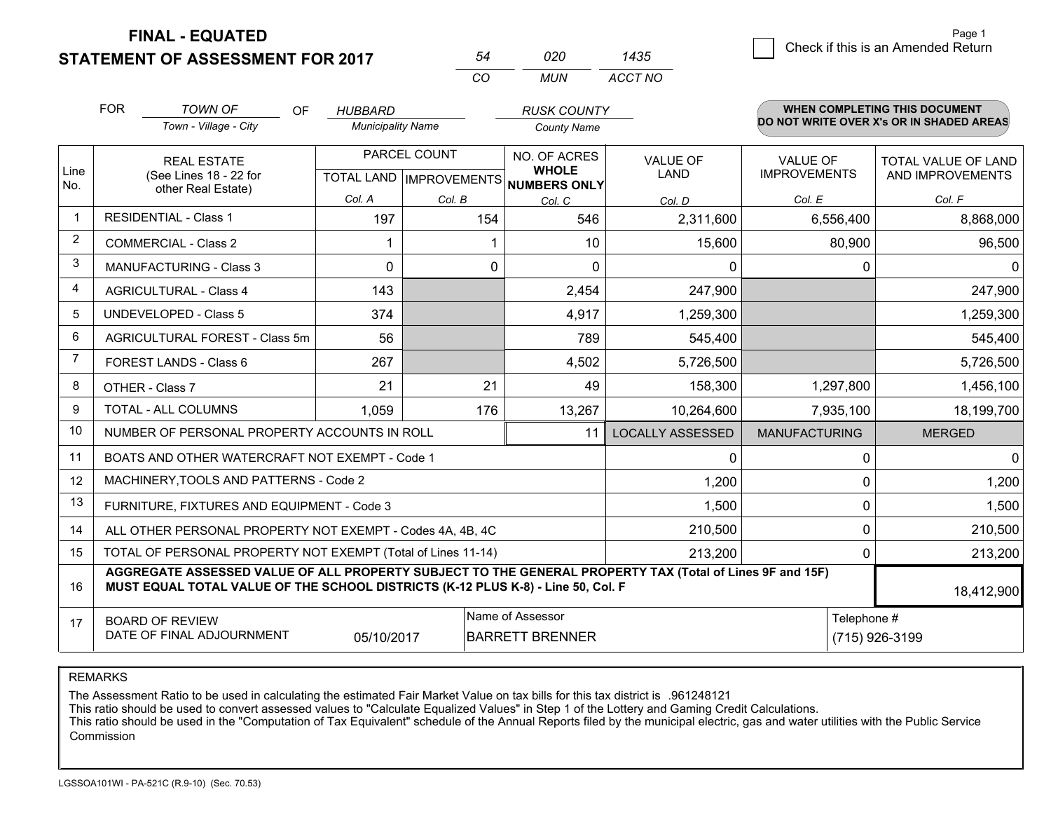**FINAL - EQUATED**

**STATEMENT OF ASSESSMENT FOR 2017** 

|     | กวก | 1435    |
|-----|-----|---------|
| ∩′n | MUN | ACCT NO |

|                | <b>FOR</b>                                               | <b>TOWN OF</b><br>OF                                                                                                                                                                         | <b>HUBBARD</b>           |                           | <b>RUSK COUNTY</b>                  |                         |                      | <b>WHEN COMPLETING THIS DOCUMENT</b>     |
|----------------|----------------------------------------------------------|----------------------------------------------------------------------------------------------------------------------------------------------------------------------------------------------|--------------------------|---------------------------|-------------------------------------|-------------------------|----------------------|------------------------------------------|
|                |                                                          | Town - Village - City                                                                                                                                                                        | <b>Municipality Name</b> |                           | <b>County Name</b>                  |                         |                      | DO NOT WRITE OVER X's OR IN SHADED AREAS |
|                |                                                          | <b>REAL ESTATE</b>                                                                                                                                                                           | PARCEL COUNT             |                           | NO. OF ACRES                        | <b>VALUE OF</b>         | <b>VALUE OF</b>      | <b>TOTAL VALUE OF LAND</b>               |
| Line<br>No.    |                                                          | (See Lines 18 - 22 for<br>other Real Estate)                                                                                                                                                 |                          | TOTAL LAND   IMPROVEMENTS | <b>WHOLE</b><br><b>NUMBERS ONLY</b> | <b>LAND</b>             | <b>IMPROVEMENTS</b>  | AND IMPROVEMENTS                         |
|                |                                                          |                                                                                                                                                                                              | Col. A                   | Col. B                    | Col. C                              | Col. D                  | Col. E               | Col. F                                   |
| $\mathbf{1}$   |                                                          | <b>RESIDENTIAL - Class 1</b>                                                                                                                                                                 | 197                      | 154                       | 546                                 | 2,311,600               | 6,556,400            | 8,868,000                                |
| 2              |                                                          | <b>COMMERCIAL - Class 2</b>                                                                                                                                                                  |                          |                           | 10                                  | 15,600                  | 80,900               | 96,500                                   |
| 3              |                                                          | <b>MANUFACTURING - Class 3</b>                                                                                                                                                               | $\Omega$                 | $\Omega$                  | $\Omega$                            | $\Omega$                | 0                    | 0                                        |
| 4              |                                                          | <b>AGRICULTURAL - Class 4</b>                                                                                                                                                                | 143                      |                           | 2,454                               | 247,900                 |                      | 247,900                                  |
| 5              | <b>UNDEVELOPED - Class 5</b>                             |                                                                                                                                                                                              | 374                      |                           | 4,917                               | 1,259,300               |                      | 1,259,300                                |
| 6              | AGRICULTURAL FOREST - Class 5m<br>FOREST LANDS - Class 6 |                                                                                                                                                                                              | 56                       |                           | 789                                 | 545,400                 |                      | 545,400                                  |
| $\overline{7}$ |                                                          |                                                                                                                                                                                              | 267                      |                           | 4,502                               | 5,726,500               |                      | 5,726,500                                |
| 8              |                                                          | OTHER - Class 7                                                                                                                                                                              | 21                       | 21                        | 49                                  | 158,300                 | 1,297,800            | 1,456,100                                |
| $\mathbf{Q}$   |                                                          | TOTAL - ALL COLUMNS                                                                                                                                                                          | 1,059                    | 176                       | 13,267                              | 10,264,600              | 7,935,100            | 18,199,700                               |
| 10             |                                                          | NUMBER OF PERSONAL PROPERTY ACCOUNTS IN ROLL                                                                                                                                                 |                          |                           | 11                                  | <b>LOCALLY ASSESSED</b> | <b>MANUFACTURING</b> | <b>MERGED</b>                            |
| 11             |                                                          | BOATS AND OTHER WATERCRAFT NOT EXEMPT - Code 1                                                                                                                                               |                          |                           |                                     | 0                       | 0                    | $\mathbf{0}$                             |
| 12             |                                                          | MACHINERY, TOOLS AND PATTERNS - Code 2                                                                                                                                                       |                          |                           |                                     | 1,200                   | 0                    | 1,200                                    |
| 13             |                                                          | FURNITURE, FIXTURES AND EQUIPMENT - Code 3                                                                                                                                                   |                          |                           |                                     | 1,500                   | 0                    | 1,500                                    |
| 14             |                                                          | ALL OTHER PERSONAL PROPERTY NOT EXEMPT - Codes 4A, 4B, 4C                                                                                                                                    |                          |                           |                                     | 210,500                 | 0                    | 210,500                                  |
| 15             |                                                          | TOTAL OF PERSONAL PROPERTY NOT EXEMPT (Total of Lines 11-14)                                                                                                                                 |                          |                           |                                     | 213,200                 | 0                    | 213,200                                  |
| 16             |                                                          | AGGREGATE ASSESSED VALUE OF ALL PROPERTY SUBJECT TO THE GENERAL PROPERTY TAX (Total of Lines 9F and 15F)<br>MUST EQUAL TOTAL VALUE OF THE SCHOOL DISTRICTS (K-12 PLUS K-8) - Line 50, Col. F |                          |                           |                                     |                         |                      | 18,412,900                               |
| 17             | Name of Assessor<br><b>BOARD OF REVIEW</b>               |                                                                                                                                                                                              |                          |                           |                                     |                         | Telephone #          |                                          |
|                |                                                          | DATE OF FINAL ADJOURNMENT                                                                                                                                                                    | 05/10/2017               |                           | <b>BARRETT BRENNER</b>              |                         |                      | (715) 926-3199                           |

REMARKS

The Assessment Ratio to be used in calculating the estimated Fair Market Value on tax bills for this tax district is .961248121

This ratio should be used to convert assessed values to "Calculate Equalized Values" in Step 1 of the Lottery and Gaming Credit Calculations.<br>This ratio should be used in the "Computation of Tax Equivalent" schedule of the Commission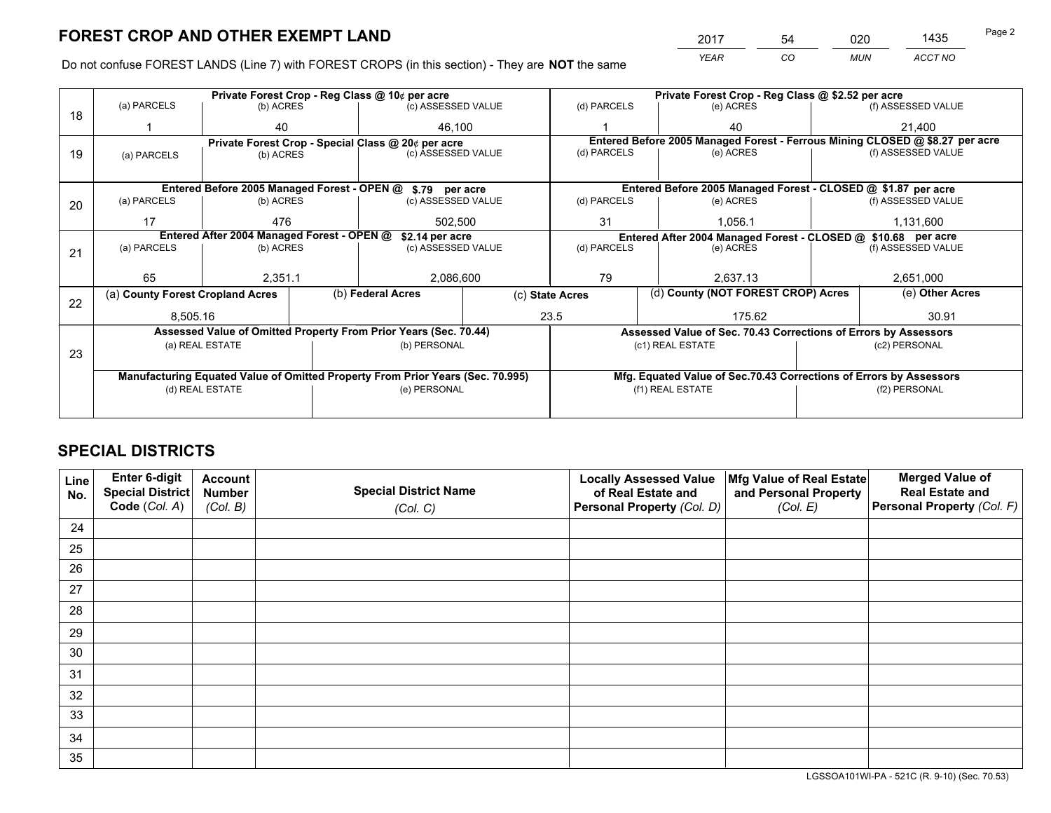*YEAR CO MUN ACCT NO* <sup>2017</sup> <sup>54</sup> <sup>020</sup> <sup>1435</sup> Page 2

Do not confuse FOREST LANDS (Line 7) with FOREST CROPS (in this section) - They are **NOT** the same

|    |                                                               |                                             |              | Private Forest Crop - Reg Class @ 10¢ per acre                                 |                  |                          | Private Forest Crop - Reg Class @ \$2.52 per acre |                                                                    |                    |                                                                              |  |
|----|---------------------------------------------------------------|---------------------------------------------|--------------|--------------------------------------------------------------------------------|------------------|--------------------------|---------------------------------------------------|--------------------------------------------------------------------|--------------------|------------------------------------------------------------------------------|--|
| 18 | (a) PARCELS                                                   | (b) ACRES                                   |              | (c) ASSESSED VALUE                                                             |                  | (d) PARCELS              |                                                   | (e) ACRES                                                          |                    | (f) ASSESSED VALUE                                                           |  |
|    |                                                               | 40                                          |              | 46.100                                                                         |                  |                          |                                                   | 40                                                                 |                    | 21,400                                                                       |  |
|    |                                                               |                                             |              | Private Forest Crop - Special Class @ 20¢ per acre                             |                  |                          |                                                   |                                                                    |                    | Entered Before 2005 Managed Forest - Ferrous Mining CLOSED @ \$8.27 per acre |  |
| 19 | (a) PARCELS                                                   | (c) ASSESSED VALUE<br>(b) ACRES             |              | (d) PARCELS                                                                    |                  | (e) ACRES                |                                                   | (f) ASSESSED VALUE                                                 |                    |                                                                              |  |
|    |                                                               |                                             |              |                                                                                |                  |                          |                                                   |                                                                    |                    |                                                                              |  |
|    |                                                               | Entered Before 2005 Managed Forest - OPEN @ |              | \$.79 per acre                                                                 |                  |                          |                                                   | Entered Before 2005 Managed Forest - CLOSED @ \$1.87 per acre      |                    |                                                                              |  |
| 20 | (a) PARCELS                                                   | (b) ACRES                                   |              | (c) ASSESSED VALUE                                                             |                  | (d) PARCELS              |                                                   | (e) ACRES                                                          |                    | (f) ASSESSED VALUE                                                           |  |
|    | 17                                                            | 476                                         |              |                                                                                | 31<br>502.500    |                          |                                                   | 1.056.1                                                            |                    | 1.131.600                                                                    |  |
|    | Entered After 2004 Managed Forest - OPEN @<br>\$2.14 per acre |                                             |              |                                                                                |                  |                          |                                                   | Entered After 2004 Managed Forest - CLOSED @ \$10.68 per acre      |                    |                                                                              |  |
| 21 | (a) PARCELS                                                   | (b) ACRES                                   |              | (c) ASSESSED VALUE                                                             |                  | (d) PARCELS<br>(e) ACRES |                                                   |                                                                    | (f) ASSESSED VALUE |                                                                              |  |
|    |                                                               |                                             |              |                                                                                |                  |                          |                                                   |                                                                    |                    |                                                                              |  |
|    | 65                                                            | 2,351.1                                     |              | 2,086,600                                                                      |                  | 79                       | 2.637.13                                          |                                                                    | 2,651,000          |                                                                              |  |
|    | (a) County Forest Cropland Acres                              |                                             |              | (b) Federal Acres                                                              | (c) State Acres  |                          |                                                   | (d) County (NOT FOREST CROP) Acres                                 |                    | (e) Other Acres                                                              |  |
| 22 | 8,505.16                                                      |                                             |              |                                                                                |                  | 23.5                     |                                                   | 175.62                                                             |                    | 30.91                                                                        |  |
|    |                                                               |                                             |              | Assessed Value of Omitted Property From Prior Years (Sec. 70.44)               |                  |                          |                                                   | Assessed Value of Sec. 70.43 Corrections of Errors by Assessors    |                    |                                                                              |  |
|    |                                                               | (a) REAL ESTATE                             |              | (b) PERSONAL                                                                   |                  |                          |                                                   | (c1) REAL ESTATE                                                   |                    | (c2) PERSONAL                                                                |  |
| 23 |                                                               |                                             |              |                                                                                |                  |                          |                                                   |                                                                    |                    |                                                                              |  |
|    |                                                               |                                             |              | Manufacturing Equated Value of Omitted Property From Prior Years (Sec. 70.995) |                  |                          |                                                   | Mfg. Equated Value of Sec.70.43 Corrections of Errors by Assessors |                    |                                                                              |  |
|    | (d) REAL ESTATE                                               |                                             | (e) PERSONAL |                                                                                | (f1) REAL ESTATE |                          | (f2) PERSONAL                                     |                                                                    |                    |                                                                              |  |
|    |                                                               |                                             |              |                                                                                |                  |                          |                                                   |                                                                    |                    |                                                                              |  |

# **SPECIAL DISTRICTS**

| Line<br>No. | Enter 6-digit<br><b>Special District</b> | <b>Account</b><br><b>Number</b> | <b>Special District Name</b> | <b>Locally Assessed Value</b><br>of Real Estate and | Mfg Value of Real Estate<br>and Personal Property | <b>Merged Value of</b><br><b>Real Estate and</b> |
|-------------|------------------------------------------|---------------------------------|------------------------------|-----------------------------------------------------|---------------------------------------------------|--------------------------------------------------|
|             | Code (Col. A)                            | (Col. B)                        | (Col. C)                     | Personal Property (Col. D)                          | (Col. E)                                          | Personal Property (Col. F)                       |
| 24          |                                          |                                 |                              |                                                     |                                                   |                                                  |
| 25          |                                          |                                 |                              |                                                     |                                                   |                                                  |
| 26          |                                          |                                 |                              |                                                     |                                                   |                                                  |
| 27          |                                          |                                 |                              |                                                     |                                                   |                                                  |
| 28          |                                          |                                 |                              |                                                     |                                                   |                                                  |
| 29          |                                          |                                 |                              |                                                     |                                                   |                                                  |
| 30          |                                          |                                 |                              |                                                     |                                                   |                                                  |
| 31          |                                          |                                 |                              |                                                     |                                                   |                                                  |
| 32          |                                          |                                 |                              |                                                     |                                                   |                                                  |
| 33          |                                          |                                 |                              |                                                     |                                                   |                                                  |
| 34          |                                          |                                 |                              |                                                     |                                                   |                                                  |
| 35          |                                          |                                 |                              |                                                     |                                                   |                                                  |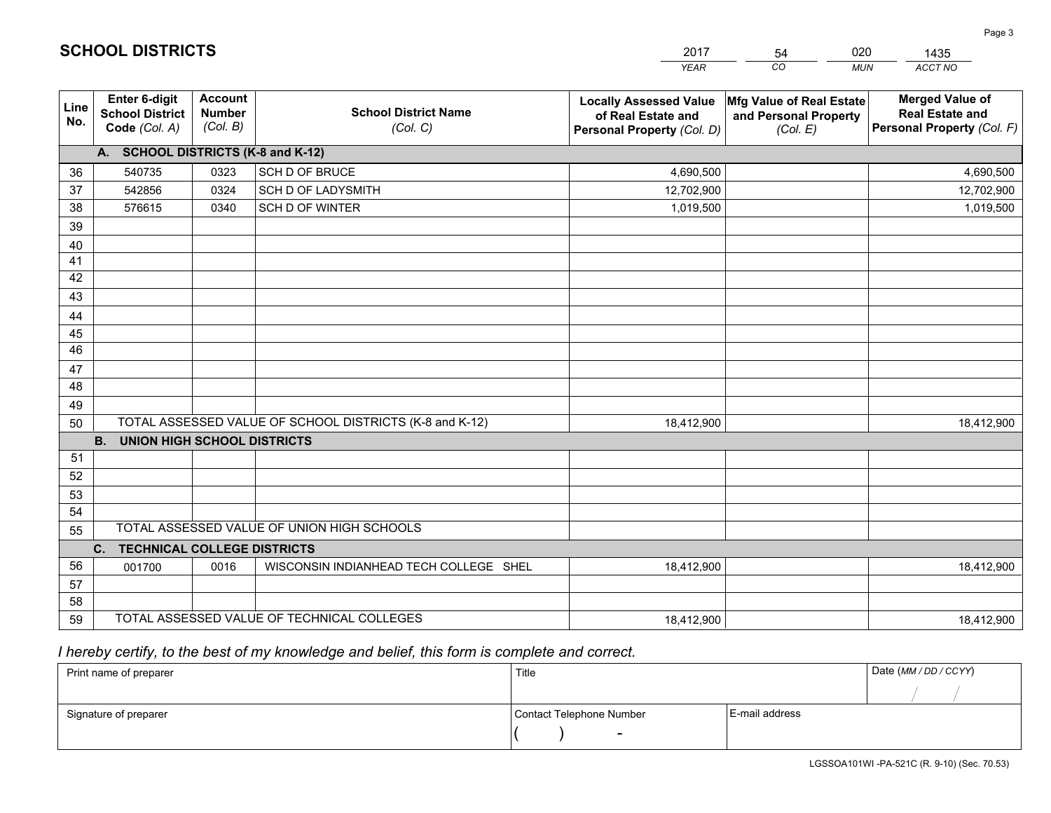|             |                                                                 |                                             |                                                         | <b>YEAR</b>                                                                       | CO<br><b>MUN</b>                                              | ACCT NO                                                                        |
|-------------|-----------------------------------------------------------------|---------------------------------------------|---------------------------------------------------------|-----------------------------------------------------------------------------------|---------------------------------------------------------------|--------------------------------------------------------------------------------|
| Line<br>No. | <b>Enter 6-digit</b><br><b>School District</b><br>Code (Col. A) | <b>Account</b><br><b>Number</b><br>(Col. B) | <b>School District Name</b><br>(Col. C)                 | <b>Locally Assessed Value</b><br>of Real Estate and<br>Personal Property (Col. D) | Mfg Value of Real Estate<br>and Personal Property<br>(Col. E) | <b>Merged Value of</b><br><b>Real Estate and</b><br>Personal Property (Col. F) |
|             | A. SCHOOL DISTRICTS (K-8 and K-12)                              |                                             |                                                         |                                                                                   |                                                               |                                                                                |
| 36          | 540735                                                          | 0323                                        | SCH D OF BRUCE                                          | 4,690,500                                                                         |                                                               | 4,690,500                                                                      |
| 37          | 542856                                                          | 0324                                        | <b>SCH D OF LADYSMITH</b>                               | 12,702,900                                                                        |                                                               | 12,702,900                                                                     |
| 38          | 576615                                                          | 0340                                        | <b>SCH D OF WINTER</b>                                  | 1,019,500                                                                         |                                                               | 1,019,500                                                                      |
| 39          |                                                                 |                                             |                                                         |                                                                                   |                                                               |                                                                                |
| 40          |                                                                 |                                             |                                                         |                                                                                   |                                                               |                                                                                |
| 41          |                                                                 |                                             |                                                         |                                                                                   |                                                               |                                                                                |
| 42          |                                                                 |                                             |                                                         |                                                                                   |                                                               |                                                                                |
| 43          |                                                                 |                                             |                                                         |                                                                                   |                                                               |                                                                                |
| 44          |                                                                 |                                             |                                                         |                                                                                   |                                                               |                                                                                |
| 45          |                                                                 |                                             |                                                         |                                                                                   |                                                               |                                                                                |
| 46          |                                                                 |                                             |                                                         |                                                                                   |                                                               |                                                                                |
| 47          |                                                                 |                                             |                                                         |                                                                                   |                                                               |                                                                                |
| 48          |                                                                 |                                             |                                                         |                                                                                   |                                                               |                                                                                |
| 49          |                                                                 |                                             | TOTAL ASSESSED VALUE OF SCHOOL DISTRICTS (K-8 and K-12) | 18,412,900                                                                        |                                                               |                                                                                |
| 50          | <b>B.</b><br><b>UNION HIGH SCHOOL DISTRICTS</b>                 |                                             |                                                         |                                                                                   |                                                               | 18,412,900                                                                     |
| 51          |                                                                 |                                             |                                                         |                                                                                   |                                                               |                                                                                |
| 52          |                                                                 |                                             |                                                         |                                                                                   |                                                               |                                                                                |
| 53          |                                                                 |                                             |                                                         |                                                                                   |                                                               |                                                                                |
| 54          |                                                                 |                                             |                                                         |                                                                                   |                                                               |                                                                                |
| 55          |                                                                 |                                             | TOTAL ASSESSED VALUE OF UNION HIGH SCHOOLS              |                                                                                   |                                                               |                                                                                |
|             | <b>TECHNICAL COLLEGE DISTRICTS</b><br>C.                        |                                             |                                                         |                                                                                   |                                                               |                                                                                |
| 56          | 001700                                                          | 0016                                        | WISCONSIN INDIANHEAD TECH COLLEGE SHEL                  | 18,412,900                                                                        |                                                               | 18,412,900                                                                     |
| 57          |                                                                 |                                             |                                                         |                                                                                   |                                                               |                                                                                |
| 58          |                                                                 |                                             |                                                         |                                                                                   |                                                               |                                                                                |
| 59          |                                                                 |                                             | TOTAL ASSESSED VALUE OF TECHNICAL COLLEGES              | 18,412,900                                                                        |                                                               | 18,412,900                                                                     |

2017

54

020

# *I hereby certify, to the best of my knowledge and belief, this form is complete and correct.*

**SCHOOL DISTRICTS**

| Print name of preparer | Title                    |                | Date (MM / DD / CCYY) |
|------------------------|--------------------------|----------------|-----------------------|
|                        |                          |                |                       |
| Signature of preparer  | Contact Telephone Number | E-mail address |                       |
|                        | $\overline{\phantom{0}}$ |                |                       |

1435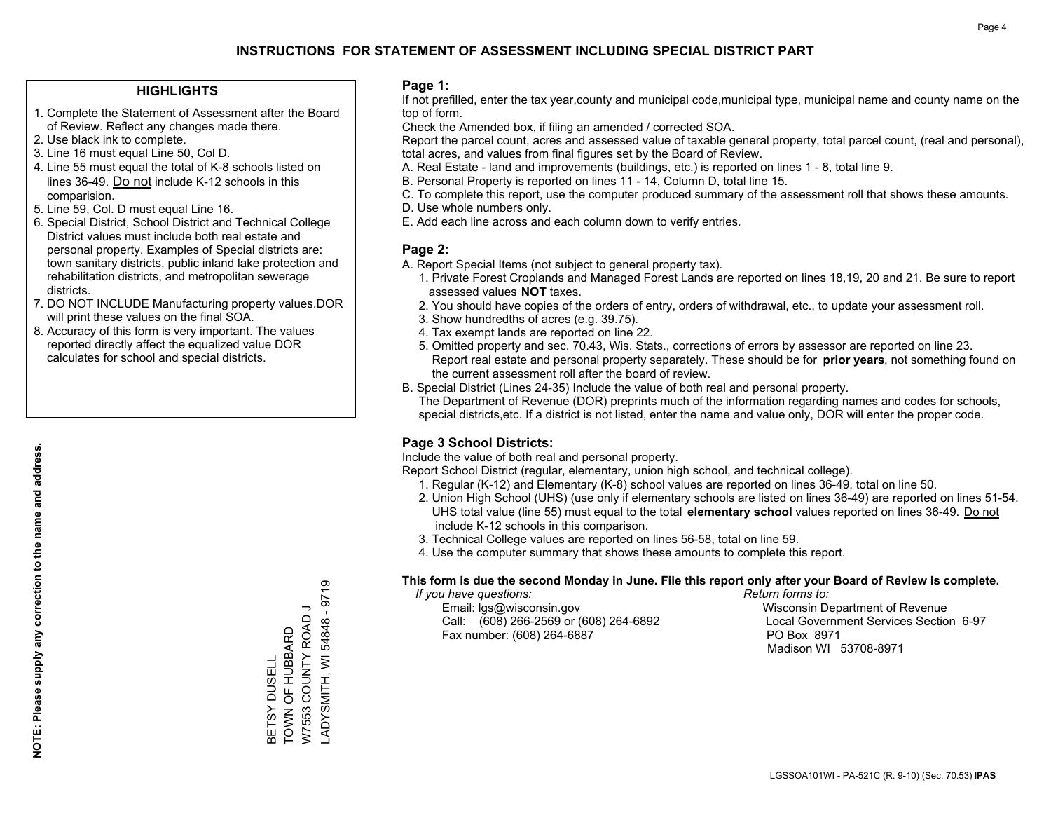#### **HIGHLIGHTS**

- 1. Complete the Statement of Assessment after the Board of Review. Reflect any changes made there.
- 2. Use black ink to complete.
- 3. Line 16 must equal Line 50, Col D.
- 4. Line 55 must equal the total of K-8 schools listed on lines 36-49. Do not include K-12 schools in this comparision.
- 5. Line 59, Col. D must equal Line 16.
- 6. Special District, School District and Technical College District values must include both real estate and personal property. Examples of Special districts are: town sanitary districts, public inland lake protection and rehabilitation districts, and metropolitan sewerage districts.
- 7. DO NOT INCLUDE Manufacturing property values.DOR will print these values on the final SOA.
- 8. Accuracy of this form is very important. The values reported directly affect the equalized value DOR calculates for school and special districts.

#### **Page 1:**

 If not prefilled, enter the tax year,county and municipal code,municipal type, municipal name and county name on the top of form.

Check the Amended box, if filing an amended / corrected SOA.

 Report the parcel count, acres and assessed value of taxable general property, total parcel count, (real and personal), total acres, and values from final figures set by the Board of Review.

- A. Real Estate land and improvements (buildings, etc.) is reported on lines 1 8, total line 9.
- B. Personal Property is reported on lines 11 14, Column D, total line 15.
- C. To complete this report, use the computer produced summary of the assessment roll that shows these amounts.
- D. Use whole numbers only.
- E. Add each line across and each column down to verify entries.

#### **Page 2:**

- A. Report Special Items (not subject to general property tax).
- 1. Private Forest Croplands and Managed Forest Lands are reported on lines 18,19, 20 and 21. Be sure to report assessed values **NOT** taxes.
- 2. You should have copies of the orders of entry, orders of withdrawal, etc., to update your assessment roll.
	- 3. Show hundredths of acres (e.g. 39.75).
- 4. Tax exempt lands are reported on line 22.
- 5. Omitted property and sec. 70.43, Wis. Stats., corrections of errors by assessor are reported on line 23. Report real estate and personal property separately. These should be for **prior years**, not something found on the current assessment roll after the board of review.
- B. Special District (Lines 24-35) Include the value of both real and personal property.

 The Department of Revenue (DOR) preprints much of the information regarding names and codes for schools, special districts,etc. If a district is not listed, enter the name and value only, DOR will enter the proper code.

### **Page 3 School Districts:**

Include the value of both real and personal property.

Report School District (regular, elementary, union high school, and technical college).

- 1. Regular (K-12) and Elementary (K-8) school values are reported on lines 36-49, total on line 50.
- 2. Union High School (UHS) (use only if elementary schools are listed on lines 36-49) are reported on lines 51-54. UHS total value (line 55) must equal to the total **elementary school** values reported on lines 36-49. Do notinclude K-12 schools in this comparison.
- 3. Technical College values are reported on lines 56-58, total on line 59.
- 4. Use the computer summary that shows these amounts to complete this report.

#### **This form is due the second Monday in June. File this report only after your Board of Review is complete.**

 *If you have questions: Return forms to:*

 Email: lgs@wisconsin.gov Wisconsin Department of RevenueCall:  $(608)$  266-2569 or  $(608)$  264-6892 Fax number: (608) 264-6887 PO Box 8971

Local Government Services Section 6-97

Madison WI 53708-8971

ADYSMITH, WI 54848 - 9719 LADYSMITH, WI 54848 - 9719 W7553 COUNTY ROAD J W7553 COUNTY ROAD J BETSY DUSELL<br>TOWN OF HUBBARD TOWN OF HUBBARD BETSY DUSELL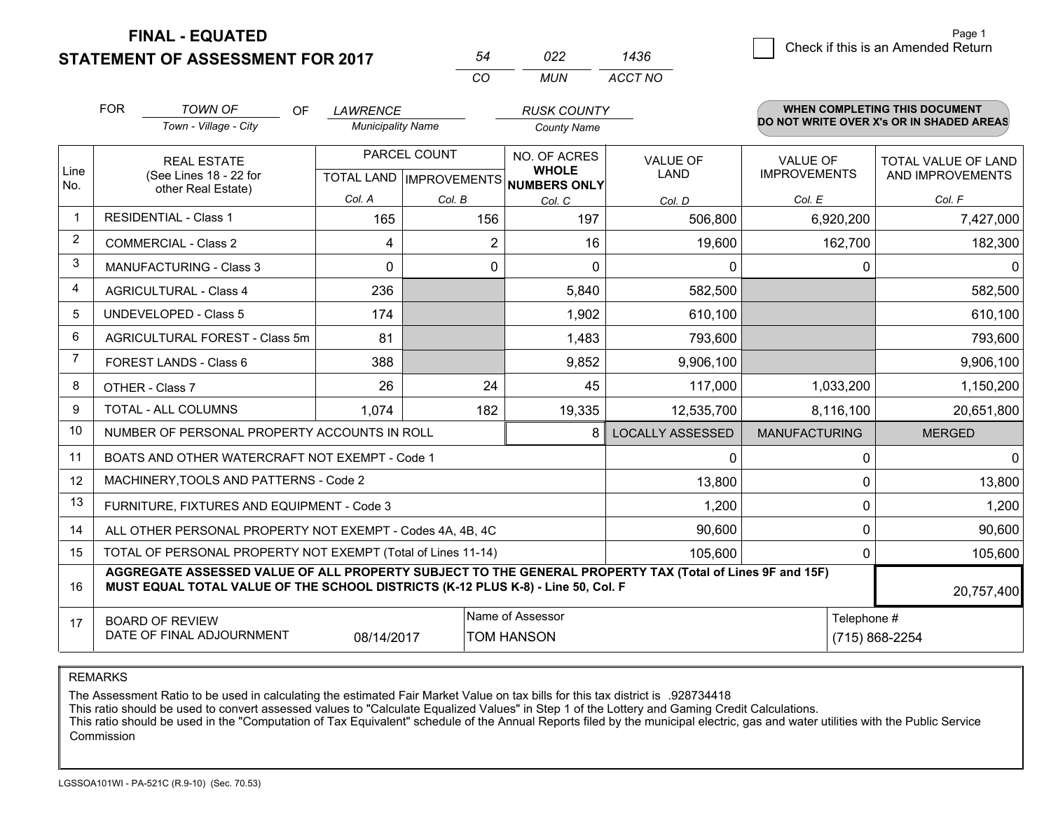**FINAL - EQUATED**

**STATEMENT OF ASSESSMENT FOR 2017** 

|          | n22 | <b>436</b> |
|----------|-----|------------|
| $\cdots$ | MUN | ACCT NO    |

|                | <b>FOR</b>                                 | <b>TOWN OF</b><br>OF.                                                                                                                                                                        | LAWRENCE                 |                | <b>RUSK COUNTY</b>                                   |                         |                      | <b>WHEN COMPLETING THIS DOCUMENT</b>     |
|----------------|--------------------------------------------|----------------------------------------------------------------------------------------------------------------------------------------------------------------------------------------------|--------------------------|----------------|------------------------------------------------------|-------------------------|----------------------|------------------------------------------|
|                |                                            | Town - Village - City                                                                                                                                                                        | <b>Municipality Name</b> |                | <b>County Name</b>                                   |                         |                      | DO NOT WRITE OVER X's OR IN SHADED AREAS |
|                |                                            | <b>REAL ESTATE</b>                                                                                                                                                                           |                          | PARCEL COUNT   | NO. OF ACRES                                         | <b>VALUE OF</b>         | <b>VALUE OF</b>      | <b>TOTAL VALUE OF LAND</b>               |
| Line<br>No.    |                                            | (See Lines 18 - 22 for<br>other Real Estate)                                                                                                                                                 |                          |                | <b>WHOLE</b><br>TOTAL LAND IMPROVEMENTS NUMBERS ONLY | LAND                    | <b>IMPROVEMENTS</b>  | AND IMPROVEMENTS                         |
|                |                                            |                                                                                                                                                                                              | Col. A                   | Col. B         | Col. C                                               | Col. D                  | Col. E               | Col. F                                   |
| $\mathbf 1$    |                                            | <b>RESIDENTIAL - Class 1</b>                                                                                                                                                                 | 165                      | 156            | 197                                                  | 506,800                 | 6,920,200            | 7,427,000                                |
| $\overline{2}$ |                                            | <b>COMMERCIAL - Class 2</b>                                                                                                                                                                  | 4                        | $\overline{2}$ | 16                                                   | 19,600                  | 162,700              | 182,300                                  |
| 3              |                                            | <b>MANUFACTURING - Class 3</b>                                                                                                                                                               | $\Omega$                 | 0              | $\Omega$                                             | $\mathbf{0}$            | 0                    | $\Omega$                                 |
| 4              |                                            | <b>AGRICULTURAL - Class 4</b>                                                                                                                                                                | 236                      |                | 5,840                                                | 582,500                 |                      | 582,500                                  |
| 5              | <b>UNDEVELOPED - Class 5</b>               |                                                                                                                                                                                              | 174                      |                | 1,902                                                | 610,100                 |                      | 610,100                                  |
| 6              | AGRICULTURAL FOREST - Class 5m             |                                                                                                                                                                                              | 81                       |                | 1,483                                                | 793,600                 |                      | 793,600                                  |
| $\overline{7}$ | FOREST LANDS - Class 6                     |                                                                                                                                                                                              | 388                      |                | 9,852                                                | 9,906,100               |                      | 9,906,100                                |
| 8              |                                            | OTHER - Class 7                                                                                                                                                                              | 26                       | 24             | 45                                                   | 117,000                 | 1,033,200            | 1,150,200                                |
| 9              |                                            | TOTAL - ALL COLUMNS                                                                                                                                                                          | 1,074                    | 182            | 19,335                                               | 12,535,700              | 8,116,100            | 20,651,800                               |
| 10             |                                            | NUMBER OF PERSONAL PROPERTY ACCOUNTS IN ROLL                                                                                                                                                 |                          |                | 8                                                    | <b>LOCALLY ASSESSED</b> | <b>MANUFACTURING</b> | <b>MERGED</b>                            |
| 11             |                                            | BOATS AND OTHER WATERCRAFT NOT EXEMPT - Code 1                                                                                                                                               |                          |                |                                                      | 0                       | 0                    | 0                                        |
| 12             |                                            | MACHINERY, TOOLS AND PATTERNS - Code 2                                                                                                                                                       |                          |                |                                                      | 13,800                  | 0                    | 13,800                                   |
| 13             |                                            | FURNITURE, FIXTURES AND EQUIPMENT - Code 3                                                                                                                                                   |                          |                |                                                      | 1,200                   | 0                    | 1,200                                    |
| 14             |                                            | ALL OTHER PERSONAL PROPERTY NOT EXEMPT - Codes 4A, 4B, 4C                                                                                                                                    |                          |                |                                                      | 90,600                  | $\mathbf 0$          | 90,600                                   |
| 15             |                                            | TOTAL OF PERSONAL PROPERTY NOT EXEMPT (Total of Lines 11-14)                                                                                                                                 |                          |                |                                                      | 105,600                 | $\mathbf{0}$         | 105,600                                  |
| 16             |                                            | AGGREGATE ASSESSED VALUE OF ALL PROPERTY SUBJECT TO THE GENERAL PROPERTY TAX (Total of Lines 9F and 15F)<br>MUST EQUAL TOTAL VALUE OF THE SCHOOL DISTRICTS (K-12 PLUS K-8) - Line 50, Col. F |                          |                |                                                      |                         |                      | 20,757,400                               |
| 17             | Name of Assessor<br><b>BOARD OF REVIEW</b> |                                                                                                                                                                                              |                          |                |                                                      |                         | Telephone #          |                                          |
|                |                                            | DATE OF FINAL ADJOURNMENT                                                                                                                                                                    | 08/14/2017               |                | <b>TOM HANSON</b>                                    |                         |                      | (715) 868-2254                           |

REMARKS

The Assessment Ratio to be used in calculating the estimated Fair Market Value on tax bills for this tax district is .928734418

This ratio should be used to convert assessed values to "Calculate Equalized Values" in Step 1 of the Lottery and Gaming Credit Calculations.<br>This ratio should be used in the "Computation of Tax Equivalent" schedule of the Commission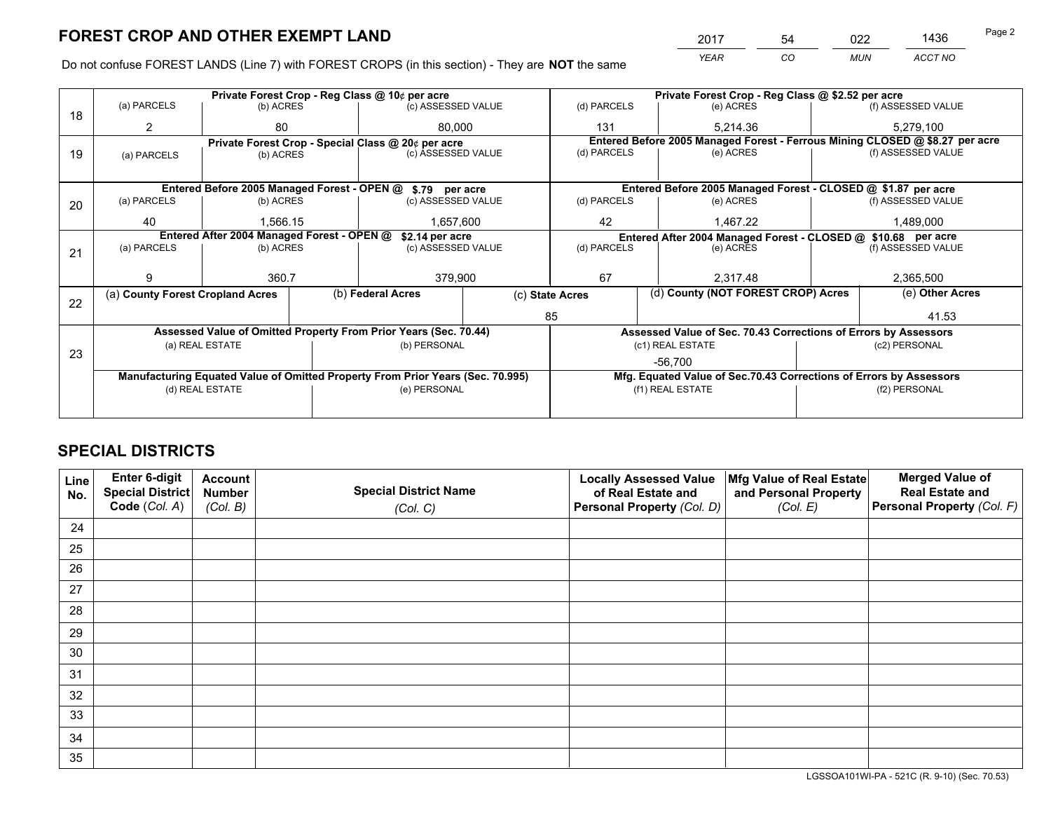*YEAR CO MUN ACCT NO* <sup>2017</sup> <sup>54</sup> <sup>022</sup> <sup>1436</sup> Page 2

Do not confuse FOREST LANDS (Line 7) with FOREST CROPS (in this section) - They are **NOT** the same

|    |                                                               |                                             |                                                    | Private Forest Crop - Reg Class @ 10¢ per acre                                 |        |                                                               | Private Forest Crop - Reg Class @ \$2.52 per acre                  |  |                                                                              |  |
|----|---------------------------------------------------------------|---------------------------------------------|----------------------------------------------------|--------------------------------------------------------------------------------|--------|---------------------------------------------------------------|--------------------------------------------------------------------|--|------------------------------------------------------------------------------|--|
| 18 | (a) PARCELS                                                   | (b) ACRES                                   |                                                    | (c) ASSESSED VALUE                                                             |        | (d) PARCELS                                                   | (e) ACRES                                                          |  | (f) ASSESSED VALUE                                                           |  |
|    |                                                               | 80                                          |                                                    |                                                                                | 80.000 |                                                               | 5.214.36                                                           |  | 5.279.100                                                                    |  |
|    |                                                               |                                             | Private Forest Crop - Special Class @ 20¢ per acre |                                                                                |        |                                                               |                                                                    |  | Entered Before 2005 Managed Forest - Ferrous Mining CLOSED @ \$8.27 per acre |  |
| 19 | (a) PARCELS                                                   | (b) ACRES                                   |                                                    | (c) ASSESSED VALUE                                                             |        | (d) PARCELS                                                   | (e) ACRES                                                          |  | (f) ASSESSED VALUE                                                           |  |
|    |                                                               |                                             |                                                    |                                                                                |        |                                                               |                                                                    |  |                                                                              |  |
|    |                                                               | Entered Before 2005 Managed Forest - OPEN @ |                                                    | \$.79 per acre                                                                 |        |                                                               | Entered Before 2005 Managed Forest - CLOSED @ \$1.87 per acre      |  |                                                                              |  |
| 20 | (a) PARCELS                                                   | (b) ACRES                                   |                                                    | (c) ASSESSED VALUE                                                             |        | (d) PARCELS                                                   | (e) ACRES                                                          |  | (f) ASSESSED VALUE                                                           |  |
|    | 40                                                            | 1,566.15                                    |                                                    | 1,657,600<br>42                                                                |        | 1,467.22                                                      |                                                                    |  |                                                                              |  |
|    | Entered After 2004 Managed Forest - OPEN @<br>\$2.14 per acre |                                             |                                                    |                                                                                |        | Entered After 2004 Managed Forest - CLOSED @ \$10.68 per acre |                                                                    |  |                                                                              |  |
| 21 | (a) PARCELS                                                   | (b) ACRES                                   |                                                    | (c) ASSESSED VALUE                                                             |        | (d) PARCELS                                                   | (e) ACRES                                                          |  | (f) ASSESSED VALUE                                                           |  |
|    |                                                               |                                             |                                                    |                                                                                |        |                                                               |                                                                    |  |                                                                              |  |
|    |                                                               | 360.7                                       |                                                    | 379,900                                                                        |        | 67<br>2.317.48                                                |                                                                    |  | 2,365,500                                                                    |  |
|    | (a) County Forest Cropland Acres                              |                                             |                                                    | (b) Federal Acres<br>(c) State Acres                                           |        |                                                               | (d) County (NOT FOREST CROP) Acres                                 |  | (e) Other Acres                                                              |  |
| 22 |                                                               |                                             |                                                    |                                                                                |        | 85                                                            |                                                                    |  | 41.53                                                                        |  |
|    |                                                               |                                             |                                                    | Assessed Value of Omitted Property From Prior Years (Sec. 70.44)               |        |                                                               | Assessed Value of Sec. 70.43 Corrections of Errors by Assessors    |  |                                                                              |  |
|    |                                                               | (a) REAL ESTATE                             |                                                    | (b) PERSONAL                                                                   |        |                                                               | (c1) REAL ESTATE                                                   |  | (c2) PERSONAL                                                                |  |
| 23 |                                                               |                                             |                                                    |                                                                                |        |                                                               | -56.700                                                            |  |                                                                              |  |
|    |                                                               |                                             |                                                    | Manufacturing Equated Value of Omitted Property From Prior Years (Sec. 70.995) |        |                                                               | Mfg. Equated Value of Sec.70.43 Corrections of Errors by Assessors |  |                                                                              |  |
|    |                                                               | (d) REAL ESTATE                             |                                                    | (e) PERSONAL                                                                   |        | (f1) REAL ESTATE                                              |                                                                    |  | (f2) PERSONAL                                                                |  |
|    |                                                               |                                             |                                                    |                                                                                |        |                                                               |                                                                    |  |                                                                              |  |

# **SPECIAL DISTRICTS**

| Line<br>No. | Enter 6-digit<br><b>Special District</b> | <b>Account</b><br><b>Number</b> | <b>Special District Name</b> | <b>Locally Assessed Value</b><br>of Real Estate and | Mfg Value of Real Estate<br>and Personal Property | <b>Merged Value of</b><br><b>Real Estate and</b> |
|-------------|------------------------------------------|---------------------------------|------------------------------|-----------------------------------------------------|---------------------------------------------------|--------------------------------------------------|
|             | Code (Col. A)                            | (Col. B)                        | (Col. C)                     | Personal Property (Col. D)                          | (Col. E)                                          | Personal Property (Col. F)                       |
| 24          |                                          |                                 |                              |                                                     |                                                   |                                                  |
| 25          |                                          |                                 |                              |                                                     |                                                   |                                                  |
| 26          |                                          |                                 |                              |                                                     |                                                   |                                                  |
| 27          |                                          |                                 |                              |                                                     |                                                   |                                                  |
| 28          |                                          |                                 |                              |                                                     |                                                   |                                                  |
| 29          |                                          |                                 |                              |                                                     |                                                   |                                                  |
| 30          |                                          |                                 |                              |                                                     |                                                   |                                                  |
| 31          |                                          |                                 |                              |                                                     |                                                   |                                                  |
| 32          |                                          |                                 |                              |                                                     |                                                   |                                                  |
| 33          |                                          |                                 |                              |                                                     |                                                   |                                                  |
| 34          |                                          |                                 |                              |                                                     |                                                   |                                                  |
| 35          |                                          |                                 |                              |                                                     |                                                   |                                                  |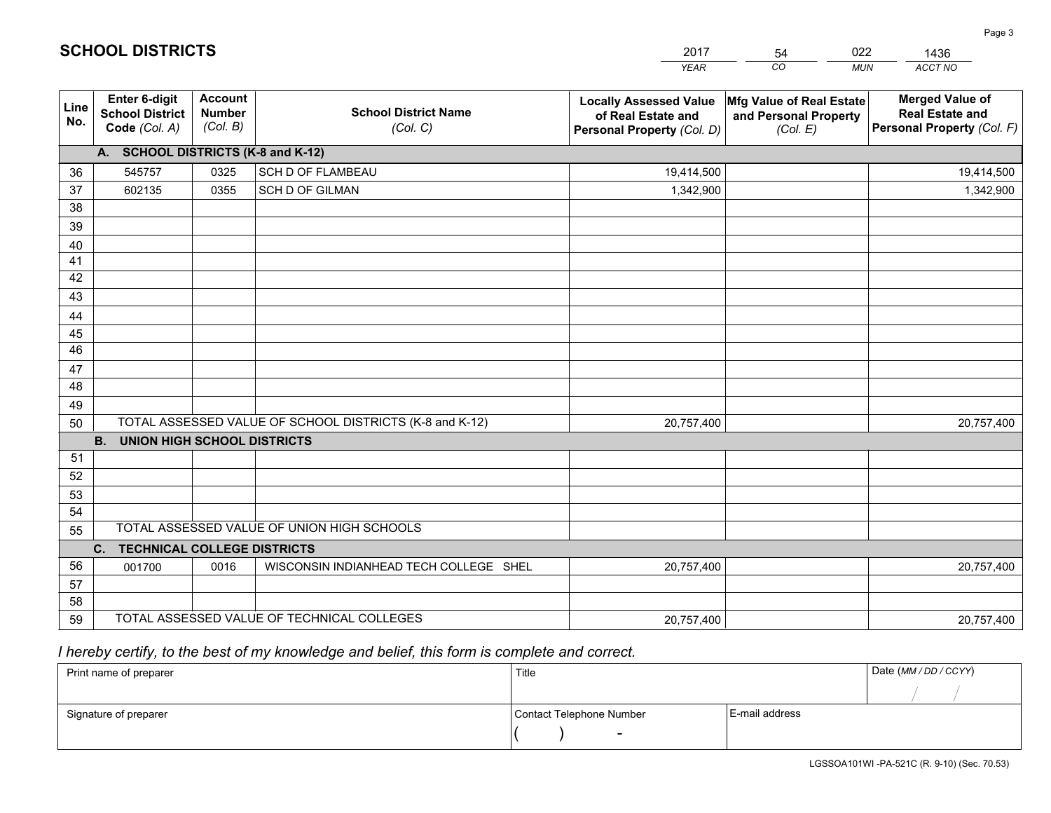|             |                                                                 |                                             |                                                         | <b>YEAR</b>                                                                       | CO<br><b>MUN</b>                                              | ACCT NO                                                                        |
|-------------|-----------------------------------------------------------------|---------------------------------------------|---------------------------------------------------------|-----------------------------------------------------------------------------------|---------------------------------------------------------------|--------------------------------------------------------------------------------|
| Line<br>No. | <b>Enter 6-digit</b><br><b>School District</b><br>Code (Col. A) | <b>Account</b><br><b>Number</b><br>(Col. B) | <b>School District Name</b><br>(Col. C)                 | <b>Locally Assessed Value</b><br>of Real Estate and<br>Personal Property (Col. D) | Mfg Value of Real Estate<br>and Personal Property<br>(Col. E) | <b>Merged Value of</b><br><b>Real Estate and</b><br>Personal Property (Col. F) |
|             | A. SCHOOL DISTRICTS (K-8 and K-12)                              |                                             |                                                         |                                                                                   |                                                               |                                                                                |
| 36          | 545757                                                          | 0325                                        | SCH D OF FLAMBEAU                                       | 19,414,500                                                                        |                                                               | 19,414,500                                                                     |
| 37          | 602135                                                          | 0355                                        | SCH D OF GILMAN                                         | 1,342,900                                                                         |                                                               | 1,342,900                                                                      |
| 38          |                                                                 |                                             |                                                         |                                                                                   |                                                               |                                                                                |
| 39          |                                                                 |                                             |                                                         |                                                                                   |                                                               |                                                                                |
| 40          |                                                                 |                                             |                                                         |                                                                                   |                                                               |                                                                                |
| 41          |                                                                 |                                             |                                                         |                                                                                   |                                                               |                                                                                |
| 42          |                                                                 |                                             |                                                         |                                                                                   |                                                               |                                                                                |
| 43          |                                                                 |                                             |                                                         |                                                                                   |                                                               |                                                                                |
| 44          |                                                                 |                                             |                                                         |                                                                                   |                                                               |                                                                                |
| 45<br>46    |                                                                 |                                             |                                                         |                                                                                   |                                                               |                                                                                |
|             |                                                                 |                                             |                                                         |                                                                                   |                                                               |                                                                                |
| 47<br>48    |                                                                 |                                             |                                                         |                                                                                   |                                                               |                                                                                |
| 49          |                                                                 |                                             |                                                         |                                                                                   |                                                               |                                                                                |
| 50          |                                                                 |                                             | TOTAL ASSESSED VALUE OF SCHOOL DISTRICTS (K-8 and K-12) | 20,757,400                                                                        |                                                               | 20,757,400                                                                     |
|             | <b>UNION HIGH SCHOOL DISTRICTS</b><br><b>B.</b>                 |                                             |                                                         |                                                                                   |                                                               |                                                                                |
| 51          |                                                                 |                                             |                                                         |                                                                                   |                                                               |                                                                                |
| 52          |                                                                 |                                             |                                                         |                                                                                   |                                                               |                                                                                |
| 53          |                                                                 |                                             |                                                         |                                                                                   |                                                               |                                                                                |
| 54          |                                                                 |                                             |                                                         |                                                                                   |                                                               |                                                                                |
| 55          |                                                                 |                                             | TOTAL ASSESSED VALUE OF UNION HIGH SCHOOLS              |                                                                                   |                                                               |                                                                                |
|             | <b>TECHNICAL COLLEGE DISTRICTS</b><br>C.                        |                                             |                                                         |                                                                                   |                                                               |                                                                                |
| 56          | 001700                                                          | 0016                                        | WISCONSIN INDIANHEAD TECH COLLEGE SHEL                  | 20,757,400                                                                        |                                                               | 20,757,400                                                                     |
| 57          |                                                                 |                                             |                                                         |                                                                                   |                                                               |                                                                                |
| 58          |                                                                 |                                             |                                                         |                                                                                   |                                                               |                                                                                |
| 59          |                                                                 |                                             | TOTAL ASSESSED VALUE OF TECHNICAL COLLEGES              | 20,757,400                                                                        |                                                               | 20,757,400                                                                     |

2017

54

022

 *I hereby certify, to the best of my knowledge and belief, this form is complete and correct.*

**SCHOOL DISTRICTS**

| Print name of preparer | Title                    |                | Date (MM / DD / CCYY) |
|------------------------|--------------------------|----------------|-----------------------|
|                        |                          |                |                       |
| Signature of preparer  | Contact Telephone Number | E-mail address |                       |
|                        | $\sim$                   |                |                       |

1436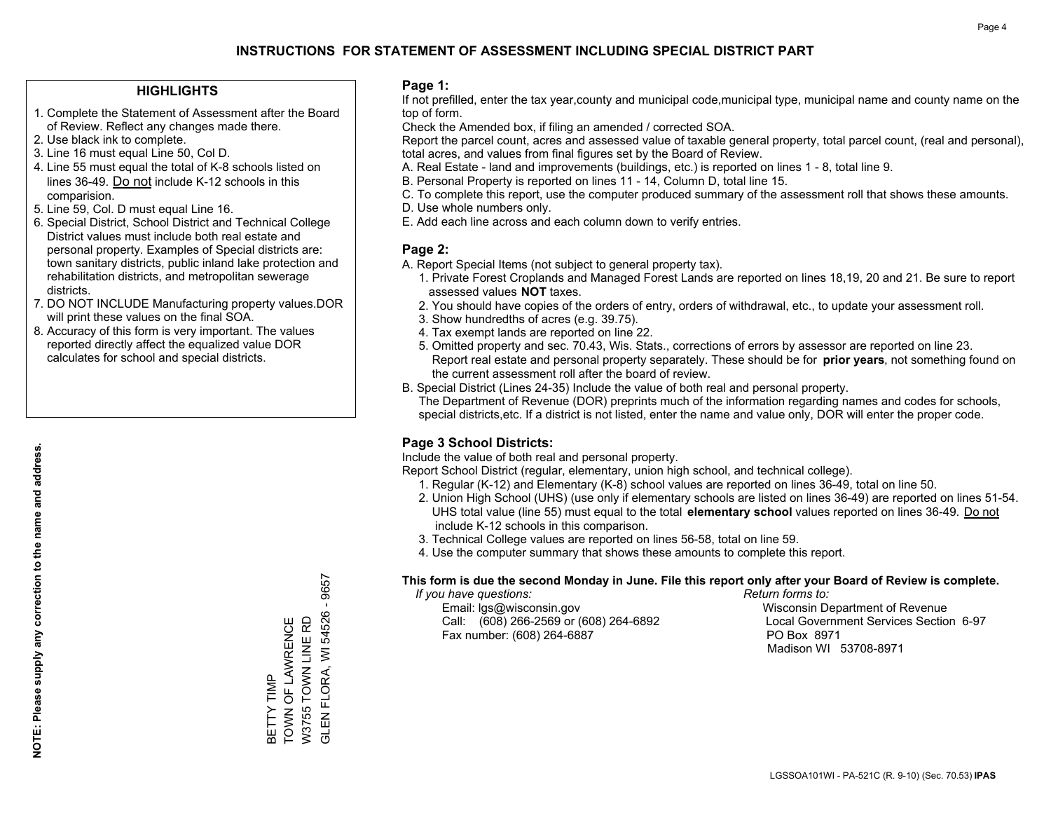#### **HIGHLIGHTS**

- 1. Complete the Statement of Assessment after the Board of Review. Reflect any changes made there.
- 2. Use black ink to complete.
- 3. Line 16 must equal Line 50, Col D.
- 4. Line 55 must equal the total of K-8 schools listed on lines 36-49. Do not include K-12 schools in this comparision.
- 5. Line 59, Col. D must equal Line 16.
- 6. Special District, School District and Technical College District values must include both real estate and personal property. Examples of Special districts are: town sanitary districts, public inland lake protection and rehabilitation districts, and metropolitan sewerage districts.
- 7. DO NOT INCLUDE Manufacturing property values.DOR will print these values on the final SOA.

BETTY TIMP

TOWN OF LAWRENCE W3755 TOWN LINE RD

BETTY TIMP<br>TOWN OF LAWRENCE W3755 TOWN LINE RD GLEN FLORA, WI 54526 - 9657

GLEN FLORA, WI 54526

9657

 8. Accuracy of this form is very important. The values reported directly affect the equalized value DOR calculates for school and special districts.

#### **Page 1:**

 If not prefilled, enter the tax year,county and municipal code,municipal type, municipal name and county name on the top of form.

Check the Amended box, if filing an amended / corrected SOA.

 Report the parcel count, acres and assessed value of taxable general property, total parcel count, (real and personal), total acres, and values from final figures set by the Board of Review.

- A. Real Estate land and improvements (buildings, etc.) is reported on lines 1 8, total line 9.
- B. Personal Property is reported on lines 11 14, Column D, total line 15.
- C. To complete this report, use the computer produced summary of the assessment roll that shows these amounts.
- D. Use whole numbers only.
- E. Add each line across and each column down to verify entries.

#### **Page 2:**

- A. Report Special Items (not subject to general property tax).
- 1. Private Forest Croplands and Managed Forest Lands are reported on lines 18,19, 20 and 21. Be sure to report assessed values **NOT** taxes.
- 2. You should have copies of the orders of entry, orders of withdrawal, etc., to update your assessment roll.
	- 3. Show hundredths of acres (e.g. 39.75).
- 4. Tax exempt lands are reported on line 22.
- 5. Omitted property and sec. 70.43, Wis. Stats., corrections of errors by assessor are reported on line 23. Report real estate and personal property separately. These should be for **prior years**, not something found on the current assessment roll after the board of review.
- B. Special District (Lines 24-35) Include the value of both real and personal property.

 The Department of Revenue (DOR) preprints much of the information regarding names and codes for schools, special districts,etc. If a district is not listed, enter the name and value only, DOR will enter the proper code.

### **Page 3 School Districts:**

Include the value of both real and personal property.

Report School District (regular, elementary, union high school, and technical college).

- 1. Regular (K-12) and Elementary (K-8) school values are reported on lines 36-49, total on line 50.
- 2. Union High School (UHS) (use only if elementary schools are listed on lines 36-49) are reported on lines 51-54. UHS total value (line 55) must equal to the total **elementary school** values reported on lines 36-49. Do notinclude K-12 schools in this comparison.
- 3. Technical College values are reported on lines 56-58, total on line 59.
- 4. Use the computer summary that shows these amounts to complete this report.

#### **This form is due the second Monday in June. File this report only after your Board of Review is complete.**

 *If you have questions: Return forms to:*

 Email: lgs@wisconsin.gov Wisconsin Department of RevenueCall:  $(608)$  266-2569 or  $(608)$  264-6892 Fax number: (608) 264-6887 PO Box 8971

Local Government Services Section 6-97 Madison WI 53708-8971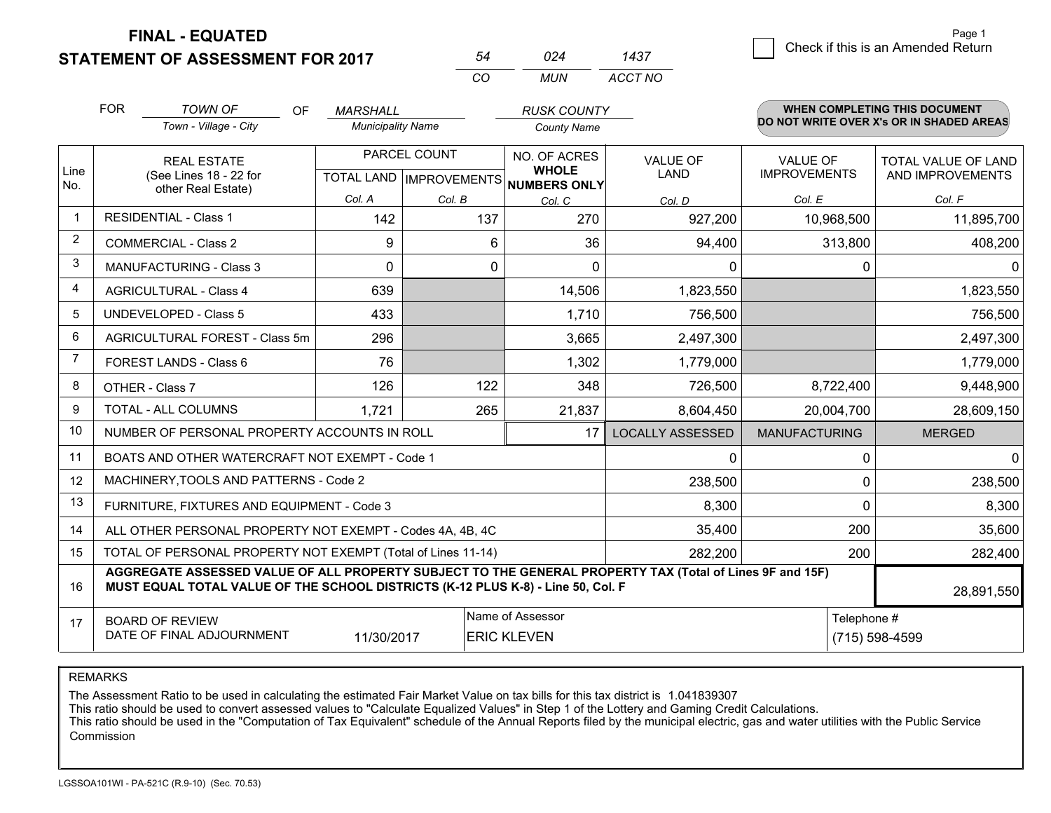**FINAL - EQUATED**

**STATEMENT OF ASSESSMENT FOR 2017** 

| 54 | 024 | 1437    |
|----|-----|---------|
| CO | MUN | ACCT NO |

| <b>FOR</b>                                                                             | TOWN OF<br><b>OF</b>                         | <b>MARSHALL</b>                                                                                                                                                                                                                                                                                                                                   |                                                                                      | <b>RUSK COUNTY</b>                                                                                                                                                                                                                |                                        |                                        | <b>WHEN COMPLETING THIS DOCUMENT</b>                                                                                                                                   |
|----------------------------------------------------------------------------------------|----------------------------------------------|---------------------------------------------------------------------------------------------------------------------------------------------------------------------------------------------------------------------------------------------------------------------------------------------------------------------------------------------------|--------------------------------------------------------------------------------------|-----------------------------------------------------------------------------------------------------------------------------------------------------------------------------------------------------------------------------------|----------------------------------------|----------------------------------------|------------------------------------------------------------------------------------------------------------------------------------------------------------------------|
|                                                                                        | Town - Village - City                        |                                                                                                                                                                                                                                                                                                                                                   |                                                                                      | <b>County Name</b>                                                                                                                                                                                                                |                                        |                                        |                                                                                                                                                                        |
|                                                                                        | <b>REAL ESTATE</b><br>(See Lines 18 - 22 for |                                                                                                                                                                                                                                                                                                                                                   |                                                                                      | NO. OF ACRES<br><b>WHOLE</b>                                                                                                                                                                                                      | <b>VALUE OF</b><br><b>LAND</b>         | <b>VALUE OF</b><br><b>IMPROVEMENTS</b> | <b>TOTAL VALUE OF LAND</b><br>AND IMPROVEMENTS                                                                                                                         |
|                                                                                        |                                              | Col. A                                                                                                                                                                                                                                                                                                                                            | Col. B                                                                               | Col. C                                                                                                                                                                                                                            | Col. D                                 | Col. E                                 | Col. F                                                                                                                                                                 |
|                                                                                        |                                              | 142                                                                                                                                                                                                                                                                                                                                               | 137                                                                                  | 270                                                                                                                                                                                                                               | 927,200                                | 10,968,500                             | 11,895,700                                                                                                                                                             |
|                                                                                        |                                              | 9                                                                                                                                                                                                                                                                                                                                                 | 6                                                                                    | 36                                                                                                                                                                                                                                | 94,400                                 |                                        | 408,200                                                                                                                                                                |
|                                                                                        |                                              | $\mathbf{0}$                                                                                                                                                                                                                                                                                                                                      |                                                                                      | $\Omega$                                                                                                                                                                                                                          | 0                                      | 0                                      | $\mathbf 0$                                                                                                                                                            |
|                                                                                        |                                              | 639                                                                                                                                                                                                                                                                                                                                               |                                                                                      | 14,506                                                                                                                                                                                                                            | 1,823,550                              |                                        | 1,823,550                                                                                                                                                              |
|                                                                                        |                                              | 433                                                                                                                                                                                                                                                                                                                                               |                                                                                      | 1,710                                                                                                                                                                                                                             | 756,500                                |                                        | 756,500                                                                                                                                                                |
|                                                                                        |                                              | 296                                                                                                                                                                                                                                                                                                                                               |                                                                                      | 3,665                                                                                                                                                                                                                             | 2,497,300                              |                                        | 2,497,300                                                                                                                                                              |
|                                                                                        |                                              | 76                                                                                                                                                                                                                                                                                                                                                |                                                                                      | 1,302                                                                                                                                                                                                                             | 1,779,000                              |                                        | 1,779,000                                                                                                                                                              |
|                                                                                        |                                              | 126                                                                                                                                                                                                                                                                                                                                               | 122                                                                                  | 348                                                                                                                                                                                                                               | 726,500                                | 8,722,400                              | 9,448,900                                                                                                                                                              |
|                                                                                        |                                              | 1,721                                                                                                                                                                                                                                                                                                                                             |                                                                                      | 21,837                                                                                                                                                                                                                            | 8,604,450                              | 20,004,700                             | 28,609,150                                                                                                                                                             |
|                                                                                        |                                              |                                                                                                                                                                                                                                                                                                                                                   |                                                                                      | 17                                                                                                                                                                                                                                | <b>LOCALLY ASSESSED</b>                | <b>MANUFACTURING</b>                   | <b>MERGED</b>                                                                                                                                                          |
|                                                                                        |                                              |                                                                                                                                                                                                                                                                                                                                                   |                                                                                      |                                                                                                                                                                                                                                   | 0                                      | 0                                      | $\mathbf 0$                                                                                                                                                            |
|                                                                                        |                                              |                                                                                                                                                                                                                                                                                                                                                   |                                                                                      |                                                                                                                                                                                                                                   | 238,500                                | 0                                      | 238,500                                                                                                                                                                |
|                                                                                        |                                              |                                                                                                                                                                                                                                                                                                                                                   |                                                                                      |                                                                                                                                                                                                                                   | 8,300                                  | $\Omega$                               | 8,300                                                                                                                                                                  |
|                                                                                        |                                              |                                                                                                                                                                                                                                                                                                                                                   |                                                                                      |                                                                                                                                                                                                                                   | 35,400                                 | 200                                    | 35,600                                                                                                                                                                 |
| TOTAL OF PERSONAL PROPERTY NOT EXEMPT (Total of Lines 11-14)<br>15<br>282,200          |                                              |                                                                                                                                                                                                                                                                                                                                                   |                                                                                      |                                                                                                                                                                                                                                   |                                        |                                        | 282,400                                                                                                                                                                |
| MUST EQUAL TOTAL VALUE OF THE SCHOOL DISTRICTS (K-12 PLUS K-8) - Line 50, Col. F<br>16 |                                              |                                                                                                                                                                                                                                                                                                                                                   |                                                                                      |                                                                                                                                                                                                                                   |                                        | 28,891,550                             |                                                                                                                                                                        |
|                                                                                        |                                              |                                                                                                                                                                                                                                                                                                                                                   |                                                                                      | Telephone #<br>(715) 598-4599                                                                                                                                                                                                     |                                        |                                        |                                                                                                                                                                        |
|                                                                                        |                                              | other Real Estate)<br><b>RESIDENTIAL - Class 1</b><br><b>COMMERCIAL - Class 2</b><br><b>MANUFACTURING - Class 3</b><br><b>AGRICULTURAL - Class 4</b><br><b>UNDEVELOPED - Class 5</b><br>AGRICULTURAL FOREST - Class 5m<br>FOREST LANDS - Class 6<br>OTHER - Class 7<br>TOTAL - ALL COLUMNS<br><b>BOARD OF REVIEW</b><br>DATE OF FINAL ADJOURNMENT | MACHINERY, TOOLS AND PATTERNS - Code 2<br>FURNITURE, FIXTURES AND EQUIPMENT - Code 3 | <b>Municipality Name</b><br>PARCEL COUNT<br>0<br>265<br>NUMBER OF PERSONAL PROPERTY ACCOUNTS IN ROLL<br>BOATS AND OTHER WATERCRAFT NOT EXEMPT - Code 1<br>ALL OTHER PERSONAL PROPERTY NOT EXEMPT - Codes 4A, 4B, 4C<br>11/30/2017 | Name of Assessor<br><b>ERIC KLEVEN</b> | TOTAL LAND IMPROVEMENTS NUMBERS ONLY   | DO NOT WRITE OVER X's OR IN SHADED AREAS<br>313,800<br>200<br>AGGREGATE ASSESSED VALUE OF ALL PROPERTY SUBJECT TO THE GENERAL PROPERTY TAX (Total of Lines 9F and 15F) |

REMARKS

The Assessment Ratio to be used in calculating the estimated Fair Market Value on tax bills for this tax district is 1.041839307<br>This ratio should be used to convert assessed values to "Calculate Equalized Values" in Step Commission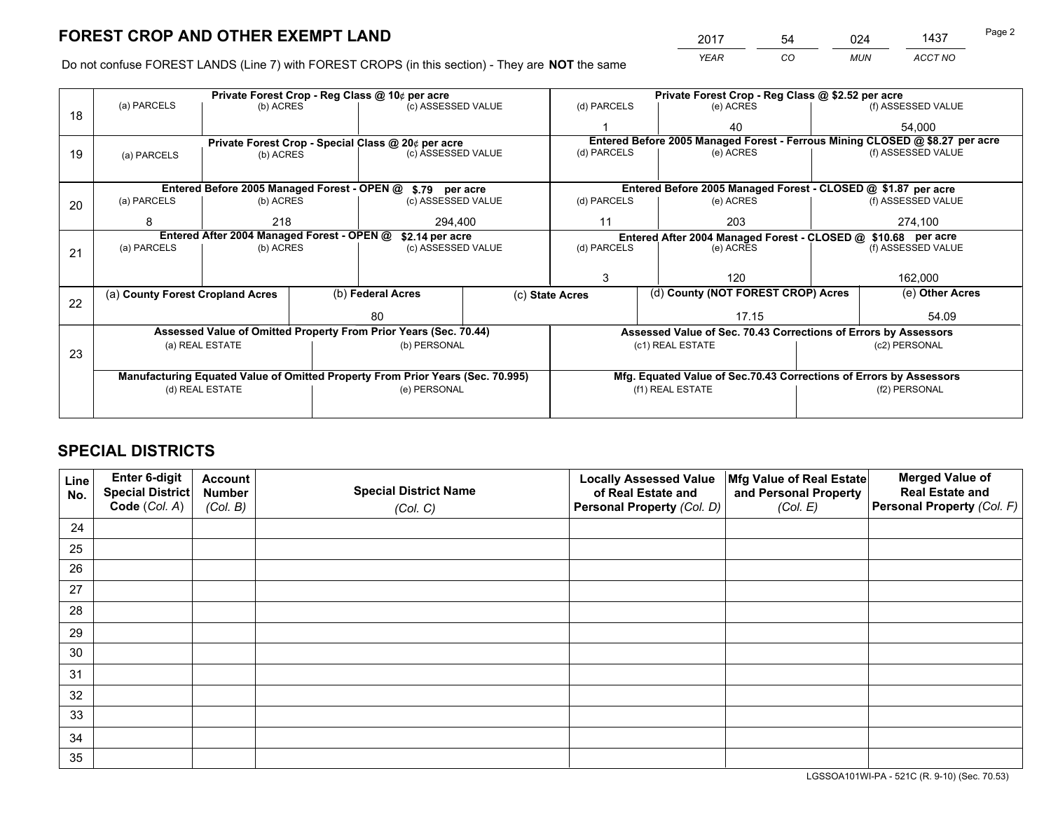*YEAR CO MUN ACCT NO* 2017 54 024 1437 Page 2

Do not confuse FOREST LANDS (Line 7) with FOREST CROPS (in this section) - They are **NOT** the same

|    |                                                                                |                                             |  | Private Forest Crop - Reg Class @ 10¢ per acre                   |                                                               |                                                       |     | Private Forest Crop - Reg Class @ \$2.52 per acre                            |                 |                    |
|----|--------------------------------------------------------------------------------|---------------------------------------------|--|------------------------------------------------------------------|---------------------------------------------------------------|-------------------------------------------------------|-----|------------------------------------------------------------------------------|-----------------|--------------------|
| 18 | (a) PARCELS                                                                    | (b) ACRES                                   |  | (c) ASSESSED VALUE                                               |                                                               | (d) PARCELS                                           |     | (e) ACRES                                                                    |                 | (f) ASSESSED VALUE |
|    |                                                                                |                                             |  |                                                                  |                                                               |                                                       |     | 40                                                                           |                 | 54,000             |
|    | Private Forest Crop - Special Class @ 20¢ per acre                             |                                             |  |                                                                  |                                                               |                                                       |     | Entered Before 2005 Managed Forest - Ferrous Mining CLOSED @ \$8.27 per acre |                 |                    |
| 19 | (a) PARCELS                                                                    | (b) ACRES                                   |  | (c) ASSESSED VALUE                                               |                                                               | (d) PARCELS                                           |     | (e) ACRES                                                                    |                 | (f) ASSESSED VALUE |
|    |                                                                                |                                             |  |                                                                  |                                                               |                                                       |     |                                                                              |                 |                    |
|    |                                                                                | Entered Before 2005 Managed Forest - OPEN @ |  | \$.79 per acre                                                   |                                                               |                                                       |     | Entered Before 2005 Managed Forest - CLOSED @ \$1.87 per acre                |                 |                    |
| 20 | (a) PARCELS                                                                    | (b) ACRES                                   |  | (c) ASSESSED VALUE                                               |                                                               | (d) PARCELS                                           |     | (e) ACRES                                                                    |                 | (f) ASSESSED VALUE |
|    | 8                                                                              | 218                                         |  | 294.400                                                          | 11                                                            |                                                       | 203 |                                                                              | 274,100         |                    |
|    | Entered After 2004 Managed Forest - OPEN @<br>\$2.14 per acre                  |                                             |  |                                                                  | Entered After 2004 Managed Forest - CLOSED @ \$10.68 per acre |                                                       |     |                                                                              |                 |                    |
| 21 | (a) PARCELS                                                                    | (b) ACRES                                   |  |                                                                  | (d) PARCELS<br>(c) ASSESSED VALUE                             |                                                       |     | (e) ACRES                                                                    |                 | (f) ASSESSED VALUE |
|    |                                                                                |                                             |  |                                                                  |                                                               |                                                       |     |                                                                              |                 |                    |
|    |                                                                                |                                             |  |                                                                  |                                                               | 3                                                     |     | 120                                                                          |                 | 162,000            |
|    | (a) County Forest Cropland Acres                                               |                                             |  | (b) Federal Acres                                                |                                                               | (d) County (NOT FOREST CROP) Acres<br>(c) State Acres |     |                                                                              | (e) Other Acres |                    |
| 22 |                                                                                |                                             |  | 80                                                               |                                                               | 17.15                                                 |     |                                                                              | 54.09           |                    |
|    |                                                                                |                                             |  | Assessed Value of Omitted Property From Prior Years (Sec. 70.44) |                                                               |                                                       |     | Assessed Value of Sec. 70.43 Corrections of Errors by Assessors              |                 |                    |
|    |                                                                                | (a) REAL ESTATE                             |  | (b) PERSONAL                                                     |                                                               |                                                       |     | (c1) REAL ESTATE                                                             |                 | (c2) PERSONAL      |
| 23 |                                                                                |                                             |  |                                                                  |                                                               |                                                       |     |                                                                              |                 |                    |
|    | Manufacturing Equated Value of Omitted Property From Prior Years (Sec. 70.995) |                                             |  |                                                                  |                                                               |                                                       |     | Mfg. Equated Value of Sec.70.43 Corrections of Errors by Assessors           |                 |                    |
|    |                                                                                | (d) REAL ESTATE                             |  | (e) PERSONAL                                                     |                                                               | (f1) REAL ESTATE                                      |     |                                                                              | (f2) PERSONAL   |                    |
|    |                                                                                |                                             |  |                                                                  |                                                               |                                                       |     |                                                                              |                 |                    |

# **SPECIAL DISTRICTS**

| Line<br>No. | Enter 6-digit<br>Special District<br>Code (Col. A) | <b>Account</b><br><b>Number</b> | <b>Special District Name</b> | <b>Locally Assessed Value</b><br>of Real Estate and | Mfg Value of Real Estate<br>and Personal Property | <b>Merged Value of</b><br><b>Real Estate and</b><br>Personal Property (Col. F) |
|-------------|----------------------------------------------------|---------------------------------|------------------------------|-----------------------------------------------------|---------------------------------------------------|--------------------------------------------------------------------------------|
|             |                                                    | (Col. B)                        | (Col. C)                     | Personal Property (Col. D)                          | (Col. E)                                          |                                                                                |
| 24          |                                                    |                                 |                              |                                                     |                                                   |                                                                                |
| 25          |                                                    |                                 |                              |                                                     |                                                   |                                                                                |
| 26          |                                                    |                                 |                              |                                                     |                                                   |                                                                                |
| 27          |                                                    |                                 |                              |                                                     |                                                   |                                                                                |
| 28          |                                                    |                                 |                              |                                                     |                                                   |                                                                                |
| 29          |                                                    |                                 |                              |                                                     |                                                   |                                                                                |
| 30          |                                                    |                                 |                              |                                                     |                                                   |                                                                                |
| 31          |                                                    |                                 |                              |                                                     |                                                   |                                                                                |
| 32          |                                                    |                                 |                              |                                                     |                                                   |                                                                                |
| 33          |                                                    |                                 |                              |                                                     |                                                   |                                                                                |
| 34          |                                                    |                                 |                              |                                                     |                                                   |                                                                                |
| 35          |                                                    |                                 |                              |                                                     |                                                   |                                                                                |

LGSSOA101WI-PA - 521C (R. 9-10) (Sec. 70.53)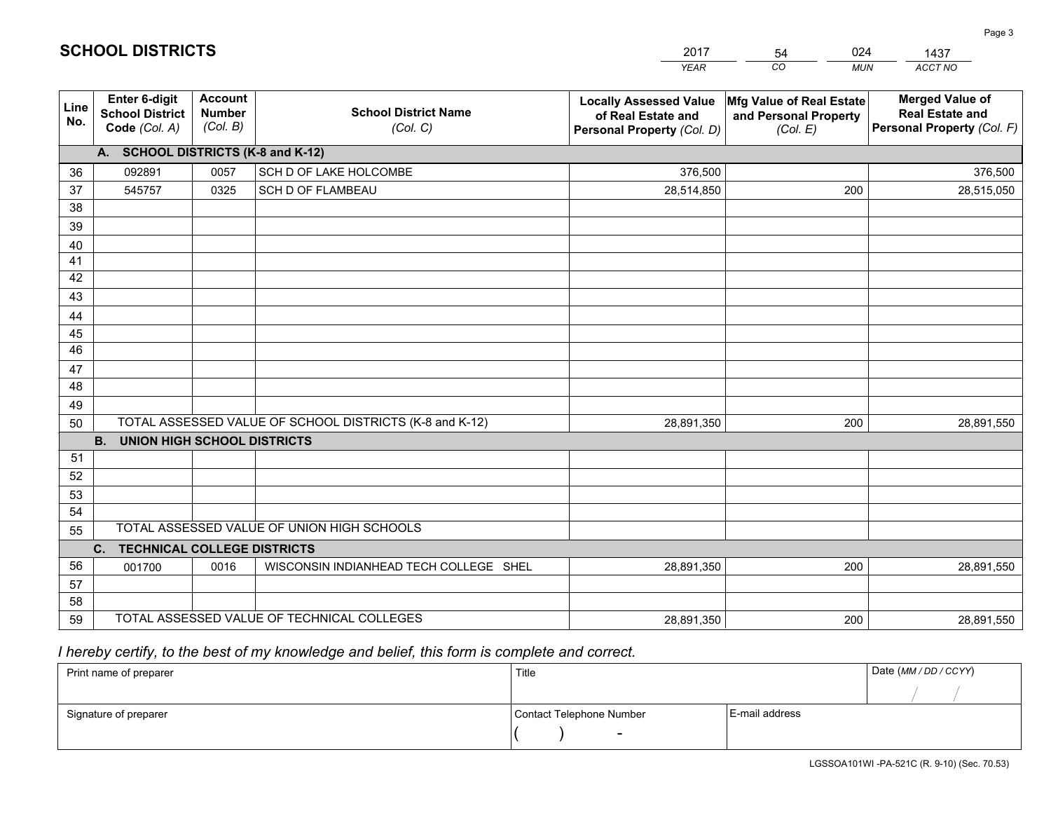|                 |                                                                 |                                             |                                                         | <b>YEAR</b>                                                                       | CO<br><b>MUN</b>                                              | ACCT NO                                                                        |
|-----------------|-----------------------------------------------------------------|---------------------------------------------|---------------------------------------------------------|-----------------------------------------------------------------------------------|---------------------------------------------------------------|--------------------------------------------------------------------------------|
| Line<br>No.     | <b>Enter 6-digit</b><br><b>School District</b><br>Code (Col. A) | <b>Account</b><br><b>Number</b><br>(Col. B) | <b>School District Name</b><br>(Col. C)                 | <b>Locally Assessed Value</b><br>of Real Estate and<br>Personal Property (Col. D) | Mfg Value of Real Estate<br>and Personal Property<br>(Col. E) | <b>Merged Value of</b><br><b>Real Estate and</b><br>Personal Property (Col. F) |
|                 | A. SCHOOL DISTRICTS (K-8 and K-12)                              |                                             |                                                         |                                                                                   |                                                               |                                                                                |
| 36              | 092891                                                          | 0057                                        | SCH D OF LAKE HOLCOMBE                                  | 376,500                                                                           |                                                               | 376,500                                                                        |
| 37              | 545757                                                          | 0325                                        | SCH D OF FLAMBEAU                                       | 28,514,850                                                                        | 200                                                           | 28,515,050                                                                     |
| 38              |                                                                 |                                             |                                                         |                                                                                   |                                                               |                                                                                |
| 39              |                                                                 |                                             |                                                         |                                                                                   |                                                               |                                                                                |
| 40              |                                                                 |                                             |                                                         |                                                                                   |                                                               |                                                                                |
| 41              |                                                                 |                                             |                                                         |                                                                                   |                                                               |                                                                                |
| 42<br>43        |                                                                 |                                             |                                                         |                                                                                   |                                                               |                                                                                |
|                 |                                                                 |                                             |                                                         |                                                                                   |                                                               |                                                                                |
| 44<br>45        |                                                                 |                                             |                                                         |                                                                                   |                                                               |                                                                                |
| $\overline{46}$ |                                                                 |                                             |                                                         |                                                                                   |                                                               |                                                                                |
| 47              |                                                                 |                                             |                                                         |                                                                                   |                                                               |                                                                                |
| 48              |                                                                 |                                             |                                                         |                                                                                   |                                                               |                                                                                |
| 49              |                                                                 |                                             |                                                         |                                                                                   |                                                               |                                                                                |
| 50              |                                                                 |                                             | TOTAL ASSESSED VALUE OF SCHOOL DISTRICTS (K-8 and K-12) | 28,891,350                                                                        | 200                                                           | 28,891,550                                                                     |
|                 | <b>B. UNION HIGH SCHOOL DISTRICTS</b>                           |                                             |                                                         |                                                                                   |                                                               |                                                                                |
| 51              |                                                                 |                                             |                                                         |                                                                                   |                                                               |                                                                                |
| 52              |                                                                 |                                             |                                                         |                                                                                   |                                                               |                                                                                |
| 53              |                                                                 |                                             |                                                         |                                                                                   |                                                               |                                                                                |
| 54              |                                                                 |                                             |                                                         |                                                                                   |                                                               |                                                                                |
| 55              |                                                                 |                                             | TOTAL ASSESSED VALUE OF UNION HIGH SCHOOLS              |                                                                                   |                                                               |                                                                                |
|                 | C.<br><b>TECHNICAL COLLEGE DISTRICTS</b>                        |                                             |                                                         |                                                                                   |                                                               |                                                                                |
| 56              | 001700                                                          | 0016                                        | WISCONSIN INDIANHEAD TECH COLLEGE SHEL                  | 28,891,350                                                                        | 200                                                           | 28,891,550                                                                     |
| 57<br>58        |                                                                 |                                             |                                                         |                                                                                   |                                                               |                                                                                |
| 59              |                                                                 |                                             | TOTAL ASSESSED VALUE OF TECHNICAL COLLEGES              | 28,891,350                                                                        | 200                                                           | 28,891,550                                                                     |
|                 |                                                                 |                                             |                                                         |                                                                                   |                                                               |                                                                                |

2017

54

024

 *I hereby certify, to the best of my knowledge and belief, this form is complete and correct.*

**SCHOOL DISTRICTS**

| Print name of preparer | Title                    |                | Date (MM / DD / CCYY) |
|------------------------|--------------------------|----------------|-----------------------|
|                        |                          |                |                       |
| Signature of preparer  | Contact Telephone Number | E-mail address |                       |
|                        | $\sim$                   |                |                       |

1437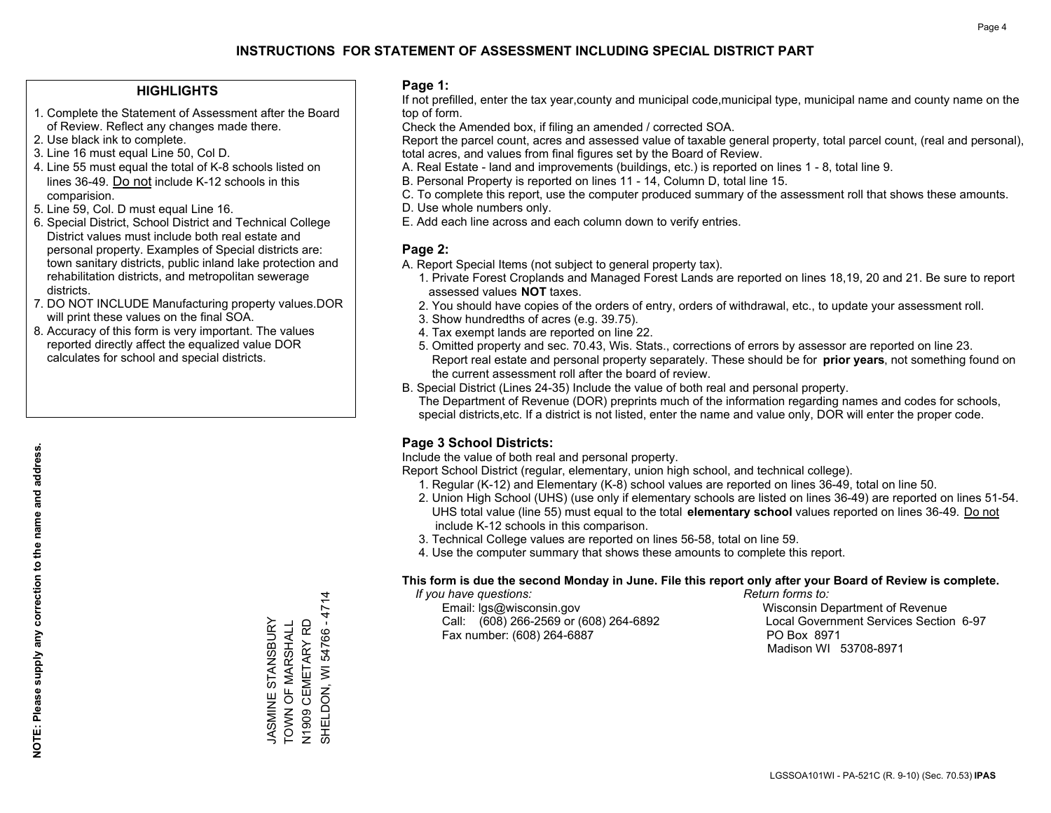#### **HIGHLIGHTS**

- 1. Complete the Statement of Assessment after the Board of Review. Reflect any changes made there.
- 2. Use black ink to complete.
- 3. Line 16 must equal Line 50, Col D.
- 4. Line 55 must equal the total of K-8 schools listed on lines 36-49. Do not include K-12 schools in this comparision.
- 5. Line 59, Col. D must equal Line 16.
- 6. Special District, School District and Technical College District values must include both real estate and personal property. Examples of Special districts are: town sanitary districts, public inland lake protection and rehabilitation districts, and metropolitan sewerage districts.
- 7. DO NOT INCLUDE Manufacturing property values.DOR will print these values on the final SOA.
- 8. Accuracy of this form is very important. The values reported directly affect the equalized value DOR calculates for school and special districts.

#### **Page 1:**

 If not prefilled, enter the tax year,county and municipal code,municipal type, municipal name and county name on the top of form.

Check the Amended box, if filing an amended / corrected SOA.

 Report the parcel count, acres and assessed value of taxable general property, total parcel count, (real and personal), total acres, and values from final figures set by the Board of Review.

- A. Real Estate land and improvements (buildings, etc.) is reported on lines 1 8, total line 9.
- B. Personal Property is reported on lines 11 14, Column D, total line 15.
- C. To complete this report, use the computer produced summary of the assessment roll that shows these amounts.
- D. Use whole numbers only.
- E. Add each line across and each column down to verify entries.

#### **Page 2:**

- A. Report Special Items (not subject to general property tax).
- 1. Private Forest Croplands and Managed Forest Lands are reported on lines 18,19, 20 and 21. Be sure to report assessed values **NOT** taxes.
- 2. You should have copies of the orders of entry, orders of withdrawal, etc., to update your assessment roll.
	- 3. Show hundredths of acres (e.g. 39.75).
- 4. Tax exempt lands are reported on line 22.
- 5. Omitted property and sec. 70.43, Wis. Stats., corrections of errors by assessor are reported on line 23. Report real estate and personal property separately. These should be for **prior years**, not something found on the current assessment roll after the board of review.
- B. Special District (Lines 24-35) Include the value of both real and personal property.
- The Department of Revenue (DOR) preprints much of the information regarding names and codes for schools, special districts,etc. If a district is not listed, enter the name and value only, DOR will enter the proper code.

### **Page 3 School Districts:**

Include the value of both real and personal property.

Report School District (regular, elementary, union high school, and technical college).

- 1. Regular (K-12) and Elementary (K-8) school values are reported on lines 36-49, total on line 50.
- 2. Union High School (UHS) (use only if elementary schools are listed on lines 36-49) are reported on lines 51-54. UHS total value (line 55) must equal to the total **elementary school** values reported on lines 36-49. Do notinclude K-12 schools in this comparison.
- 3. Technical College values are reported on lines 56-58, total on line 59.
- 4. Use the computer summary that shows these amounts to complete this report.

#### **This form is due the second Monday in June. File this report only after your Board of Review is complete.**

 *If you have questions: Return forms to:*

 Email: lgs@wisconsin.gov Wisconsin Department of RevenueCall:  $(608)$  266-2569 or  $(608)$  264-6892 Fax number: (608) 264-6887 PO Box 8971

Local Government Services Section 6-97 Madison WI 53708-8971

N1909 CEMETARY RD<br>SHELDON, WI 54766 - 4714 SHELDON, WI 54766 - 4714 JASMINE STANSBURY<br>TOWN OF MARSHALL JASMINE STANSBURY TOWN OF MARSHALL N1909 CEMETARY RD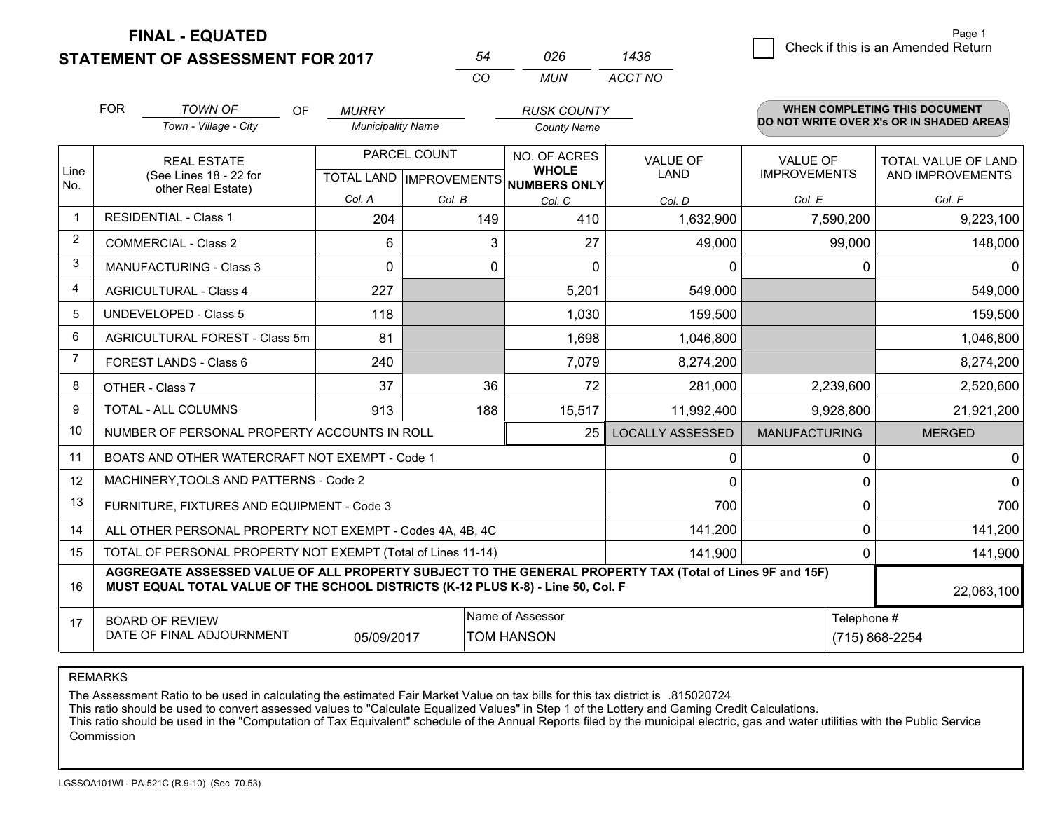**FINAL - EQUATED**

**STATEMENT OF ASSESSMENT FOR 2017** 

| 54 | 026 | 1438    |
|----|-----|---------|
| CO | MUN | ACCT NO |

|                | <b>FOR</b> | <b>TOWN OF</b><br><b>OF</b>                                                                                                                                                                  | <b>MURRY</b>             |                                           | <b>RUSK COUNTY</b>                           |                                |                                        | <b>WHEN COMPLETING THIS DOCUMENT</b>           |  |
|----------------|------------|----------------------------------------------------------------------------------------------------------------------------------------------------------------------------------------------|--------------------------|-------------------------------------------|----------------------------------------------|--------------------------------|----------------------------------------|------------------------------------------------|--|
|                |            | Town - Village - City                                                                                                                                                                        | <b>Municipality Name</b> |                                           | <b>County Name</b>                           |                                |                                        | DO NOT WRITE OVER X's OR IN SHADED AREAS       |  |
| Line<br>No.    |            | <b>REAL ESTATE</b><br>(See Lines 18 - 22 for<br>other Real Estate)                                                                                                                           |                          | PARCEL COUNT<br>TOTAL LAND   IMPROVEMENTS | NO. OF ACRES<br><b>WHOLE</b><br>NUMBERS ONLY | <b>VALUE OF</b><br><b>LAND</b> | <b>VALUE OF</b><br><b>IMPROVEMENTS</b> | <b>TOTAL VALUE OF LAND</b><br>AND IMPROVEMENTS |  |
|                |            |                                                                                                                                                                                              | Col. A                   | Col. B                                    | Col. C                                       | Col. D                         | Col. E                                 | Col. F                                         |  |
| $\mathbf{1}$   |            | <b>RESIDENTIAL - Class 1</b>                                                                                                                                                                 | 204                      | 149                                       | 410                                          | 1,632,900                      | 7,590,200                              | 9,223,100                                      |  |
| 2              |            | <b>COMMERCIAL - Class 2</b>                                                                                                                                                                  | 6                        | 3                                         | 27                                           | 49,000                         | 99,000                                 | 148,000                                        |  |
| 3              |            | <b>MANUFACTURING - Class 3</b>                                                                                                                                                               | $\Omega$                 | $\Omega$                                  | $\Omega$                                     | 0                              | 0                                      | 0                                              |  |
| 4              |            | <b>AGRICULTURAL - Class 4</b>                                                                                                                                                                | 227                      |                                           | 5,201                                        | 549,000                        |                                        | 549,000                                        |  |
| 5              |            | <b>UNDEVELOPED - Class 5</b>                                                                                                                                                                 | 118                      |                                           | 1,030                                        | 159,500                        |                                        | 159,500                                        |  |
| 6              |            | AGRICULTURAL FOREST - Class 5m                                                                                                                                                               | 81                       |                                           | 1,698                                        | 1,046,800                      |                                        | 1,046,800                                      |  |
| $\overline{7}$ |            | FOREST LANDS - Class 6                                                                                                                                                                       | 240                      |                                           | 7,079                                        | 8,274,200                      |                                        | 8,274,200                                      |  |
| 8              |            | OTHER - Class 7                                                                                                                                                                              | 37                       | 36                                        | 72                                           | 281,000                        | 2,239,600                              | 2,520,600                                      |  |
| 9              |            | TOTAL - ALL COLUMNS                                                                                                                                                                          | 913                      | 188                                       | 15,517                                       | 11,992,400                     | 9,928,800                              | 21,921,200                                     |  |
| 10             |            | NUMBER OF PERSONAL PROPERTY ACCOUNTS IN ROLL                                                                                                                                                 |                          |                                           | 25                                           | <b>LOCALLY ASSESSED</b>        | <b>MANUFACTURING</b>                   | <b>MERGED</b>                                  |  |
| 11             |            | BOATS AND OTHER WATERCRAFT NOT EXEMPT - Code 1                                                                                                                                               |                          |                                           |                                              | 0                              | 0                                      | $\mathbf 0$                                    |  |
| 12             |            | MACHINERY, TOOLS AND PATTERNS - Code 2                                                                                                                                                       |                          |                                           |                                              | 0                              | $\Omega$                               | $\Omega$                                       |  |
| 13             |            | FURNITURE, FIXTURES AND EQUIPMENT - Code 3                                                                                                                                                   |                          |                                           |                                              | 700                            | $\Omega$                               | 700                                            |  |
| 14             |            | ALL OTHER PERSONAL PROPERTY NOT EXEMPT - Codes 4A, 4B, 4C                                                                                                                                    |                          |                                           |                                              | 141,200                        | $\Omega$                               | 141,200                                        |  |
| 15             |            | TOTAL OF PERSONAL PROPERTY NOT EXEMPT (Total of Lines 11-14)                                                                                                                                 |                          |                                           |                                              | 141,900                        | $\Omega$                               | 141,900                                        |  |
| 16             |            | AGGREGATE ASSESSED VALUE OF ALL PROPERTY SUBJECT TO THE GENERAL PROPERTY TAX (Total of Lines 9F and 15F)<br>MUST EQUAL TOTAL VALUE OF THE SCHOOL DISTRICTS (K-12 PLUS K-8) - Line 50, Col. F |                          |                                           |                                              |                                |                                        | 22,063,100                                     |  |
| 17             |            | <b>BOARD OF REVIEW</b><br>DATE OF FINAL ADJOURNMENT                                                                                                                                          | 05/09/2017               |                                           | Name of Assessor<br><b>TOM HANSON</b>        | Telephone #<br>(715) 868-2254  |                                        |                                                |  |

REMARKS

The Assessment Ratio to be used in calculating the estimated Fair Market Value on tax bills for this tax district is .815020724<br>This ratio should be used to convert assessed values to "Calculate Equalized Values" in Step 1 Commission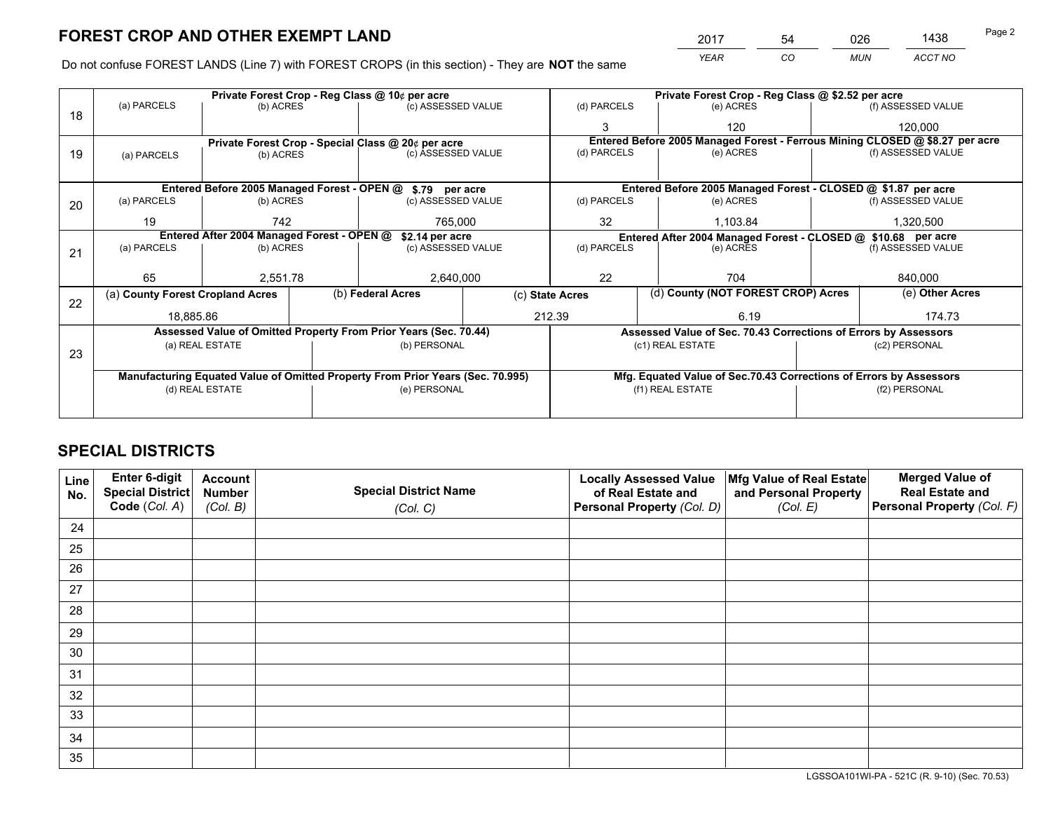*YEAR CO MUN ACCT NO* <sup>2017</sup> <sup>54</sup> <sup>026</sup> <sup>1438</sup> Page 2

Do not confuse FOREST LANDS (Line 7) with FOREST CROPS (in this section) - They are **NOT** the same

|                                                               |           |                                                                                     | Private Forest Crop - Reg Class @ 10¢ per acre  |                                                               | Private Forest Crop - Reg Class @ \$2.52 per acre                                                                                                                                                                                                                                                                                                                                              |                                          |               |                    |                                                                                                                                                                                                                                                                                                                              |
|---------------------------------------------------------------|-----------|-------------------------------------------------------------------------------------|-------------------------------------------------|---------------------------------------------------------------|------------------------------------------------------------------------------------------------------------------------------------------------------------------------------------------------------------------------------------------------------------------------------------------------------------------------------------------------------------------------------------------------|------------------------------------------|---------------|--------------------|------------------------------------------------------------------------------------------------------------------------------------------------------------------------------------------------------------------------------------------------------------------------------------------------------------------------------|
| (a) PARCELS                                                   | (b) ACRES |                                                                                     |                                                 |                                                               | (d) PARCELS                                                                                                                                                                                                                                                                                                                                                                                    |                                          | (e) ACRES     |                    | (f) ASSESSED VALUE                                                                                                                                                                                                                                                                                                           |
|                                                               |           |                                                                                     |                                                 |                                                               | 3                                                                                                                                                                                                                                                                                                                                                                                              |                                          | 120           |                    | 120.000                                                                                                                                                                                                                                                                                                                      |
|                                                               |           |                                                                                     |                                                 |                                                               |                                                                                                                                                                                                                                                                                                                                                                                                |                                          |               |                    |                                                                                                                                                                                                                                                                                                                              |
| (a) PARCELS                                                   |           |                                                                                     |                                                 |                                                               |                                                                                                                                                                                                                                                                                                                                                                                                |                                          | (e) ACRES     |                    | (f) ASSESSED VALUE                                                                                                                                                                                                                                                                                                           |
|                                                               |           |                                                                                     |                                                 |                                                               |                                                                                                                                                                                                                                                                                                                                                                                                |                                          |               |                    |                                                                                                                                                                                                                                                                                                                              |
|                                                               |           |                                                                                     |                                                 |                                                               |                                                                                                                                                                                                                                                                                                                                                                                                |                                          |               |                    |                                                                                                                                                                                                                                                                                                                              |
| (a) PARCELS                                                   |           |                                                                                     |                                                 |                                                               | (d) PARCELS                                                                                                                                                                                                                                                                                                                                                                                    |                                          | (e) ACRES     |                    | (f) ASSESSED VALUE                                                                                                                                                                                                                                                                                                           |
| 19                                                            | 742       |                                                                                     | 765,000                                         |                                                               | 32                                                                                                                                                                                                                                                                                                                                                                                             |                                          | 1,103.84      |                    | 1,320,500                                                                                                                                                                                                                                                                                                                    |
| Entered After 2004 Managed Forest - OPEN @<br>\$2.14 per acre |           |                                                                                     |                                                 | Entered After 2004 Managed Forest - CLOSED @ \$10.68 per acre |                                                                                                                                                                                                                                                                                                                                                                                                |                                          |               |                    |                                                                                                                                                                                                                                                                                                                              |
| (a) PARCELS                                                   |           |                                                                                     |                                                 |                                                               | (e) ACRES                                                                                                                                                                                                                                                                                                                                                                                      |                                          |               | (f) ASSESSED VALUE |                                                                                                                                                                                                                                                                                                                              |
|                                                               |           |                                                                                     |                                                 |                                                               |                                                                                                                                                                                                                                                                                                                                                                                                |                                          |               |                    |                                                                                                                                                                                                                                                                                                                              |
| 65                                                            |           |                                                                                     | 2,640,000                                       |                                                               | 22<br>704                                                                                                                                                                                                                                                                                                                                                                                      |                                          |               | 840,000            |                                                                                                                                                                                                                                                                                                                              |
|                                                               |           |                                                                                     |                                                 |                                                               |                                                                                                                                                                                                                                                                                                                                                                                                |                                          |               | (e) Other Acres    |                                                                                                                                                                                                                                                                                                                              |
|                                                               |           |                                                                                     |                                                 |                                                               | 6.19                                                                                                                                                                                                                                                                                                                                                                                           |                                          |               | 174.73             |                                                                                                                                                                                                                                                                                                                              |
|                                                               |           |                                                                                     |                                                 |                                                               |                                                                                                                                                                                                                                                                                                                                                                                                |                                          |               |                    |                                                                                                                                                                                                                                                                                                                              |
|                                                               |           |                                                                                     |                                                 |                                                               |                                                                                                                                                                                                                                                                                                                                                                                                |                                          |               | (c2) PERSONAL      |                                                                                                                                                                                                                                                                                                                              |
|                                                               |           |                                                                                     |                                                 |                                                               |                                                                                                                                                                                                                                                                                                                                                                                                |                                          |               |                    |                                                                                                                                                                                                                                                                                                                              |
|                                                               |           |                                                                                     |                                                 |                                                               |                                                                                                                                                                                                                                                                                                                                                                                                |                                          |               |                    |                                                                                                                                                                                                                                                                                                                              |
|                                                               |           |                                                                                     |                                                 |                                                               | (f1) REAL ESTATE                                                                                                                                                                                                                                                                                                                                                                               |                                          | (f2) PERSONAL |                    |                                                                                                                                                                                                                                                                                                                              |
|                                                               |           |                                                                                     |                                                 |                                                               |                                                                                                                                                                                                                                                                                                                                                                                                |                                          |               |                    |                                                                                                                                                                                                                                                                                                                              |
|                                                               |           | (a) County Forest Cropland Acres<br>18,885.86<br>(a) REAL ESTATE<br>(d) REAL ESTATE | (b) ACRES<br>(b) ACRES<br>(b) ACRES<br>2,551.78 | (b) Federal Acres                                             | (c) ASSESSED VALUE<br>Private Forest Crop - Special Class @ 20¢ per acre<br>(c) ASSESSED VALUE<br>Entered Before 2005 Managed Forest - OPEN @ \$.79 per acre<br>(c) ASSESSED VALUE<br>(c) ASSESSED VALUE<br>Assessed Value of Omitted Property From Prior Years (Sec. 70.44)<br>(b) PERSONAL<br>Manufacturing Equated Value of Omitted Property From Prior Years (Sec. 70.995)<br>(e) PERSONAL | (d) PARCELS<br>(c) State Acres<br>212.39 | (d) PARCELS   | (c1) REAL ESTATE   | Entered Before 2005 Managed Forest - Ferrous Mining CLOSED @ \$8.27 per acre<br>Entered Before 2005 Managed Forest - CLOSED @ \$1.87 per acre<br>(d) County (NOT FOREST CROP) Acres<br>Assessed Value of Sec. 70.43 Corrections of Errors by Assessors<br>Mfg. Equated Value of Sec.70.43 Corrections of Errors by Assessors |

# **SPECIAL DISTRICTS**

| Line<br>No. | Enter 6-digit<br>Special District<br>Code (Col. A) | <b>Account</b><br><b>Number</b><br>(Col. B) | <b>Special District Name</b><br>(Col. C) | <b>Locally Assessed Value</b><br>of Real Estate and<br>Personal Property (Col. D) | Mfg Value of Real Estate<br>and Personal Property<br>(Col. E) | <b>Merged Value of</b><br><b>Real Estate and</b><br>Personal Property (Col. F) |
|-------------|----------------------------------------------------|---------------------------------------------|------------------------------------------|-----------------------------------------------------------------------------------|---------------------------------------------------------------|--------------------------------------------------------------------------------|
| 24          |                                                    |                                             |                                          |                                                                                   |                                                               |                                                                                |
| 25          |                                                    |                                             |                                          |                                                                                   |                                                               |                                                                                |
| 26          |                                                    |                                             |                                          |                                                                                   |                                                               |                                                                                |
| 27          |                                                    |                                             |                                          |                                                                                   |                                                               |                                                                                |
| 28          |                                                    |                                             |                                          |                                                                                   |                                                               |                                                                                |
| 29          |                                                    |                                             |                                          |                                                                                   |                                                               |                                                                                |
| 30          |                                                    |                                             |                                          |                                                                                   |                                                               |                                                                                |
| 31          |                                                    |                                             |                                          |                                                                                   |                                                               |                                                                                |
| 32          |                                                    |                                             |                                          |                                                                                   |                                                               |                                                                                |
| 33          |                                                    |                                             |                                          |                                                                                   |                                                               |                                                                                |
| 34          |                                                    |                                             |                                          |                                                                                   |                                                               |                                                                                |
| 35          |                                                    |                                             |                                          |                                                                                   |                                                               |                                                                                |

LGSSOA101WI-PA - 521C (R. 9-10) (Sec. 70.53)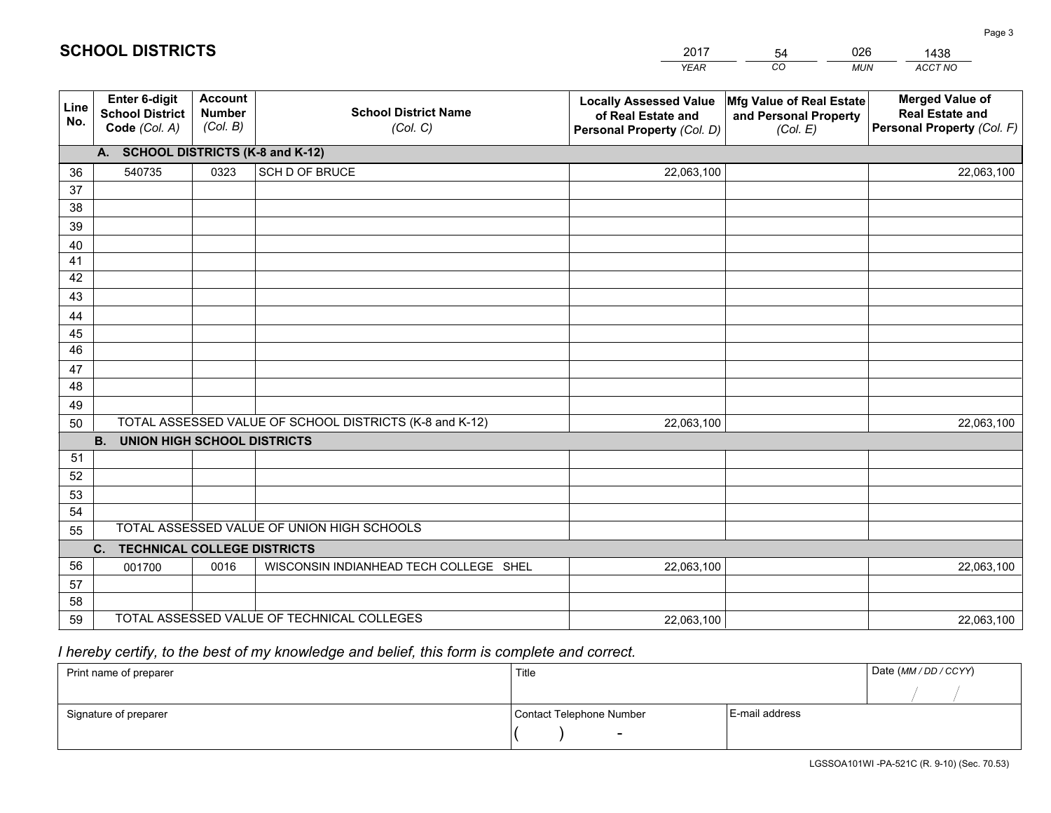|                 |                                                          |                                             |                                                         | <b>YEAR</b>                                                                       | CO<br><b>MUN</b>                                              | ACCT NO                                                                        |
|-----------------|----------------------------------------------------------|---------------------------------------------|---------------------------------------------------------|-----------------------------------------------------------------------------------|---------------------------------------------------------------|--------------------------------------------------------------------------------|
| Line<br>No.     | Enter 6-digit<br><b>School District</b><br>Code (Col. A) | <b>Account</b><br><b>Number</b><br>(Col. B) | <b>School District Name</b><br>(Col. C)                 | <b>Locally Assessed Value</b><br>of Real Estate and<br>Personal Property (Col. D) | Mfg Value of Real Estate<br>and Personal Property<br>(Col. E) | <b>Merged Value of</b><br><b>Real Estate and</b><br>Personal Property (Col. F) |
|                 | A. SCHOOL DISTRICTS (K-8 and K-12)                       |                                             |                                                         |                                                                                   |                                                               |                                                                                |
| 36              | 540735                                                   | 0323                                        | SCH D OF BRUCE                                          | 22,063,100                                                                        |                                                               | 22,063,100                                                                     |
| 37              |                                                          |                                             |                                                         |                                                                                   |                                                               |                                                                                |
| 38              |                                                          |                                             |                                                         |                                                                                   |                                                               |                                                                                |
| 39              |                                                          |                                             |                                                         |                                                                                   |                                                               |                                                                                |
| 40              |                                                          |                                             |                                                         |                                                                                   |                                                               |                                                                                |
| 41<br>42        |                                                          |                                             |                                                         |                                                                                   |                                                               |                                                                                |
| 43              |                                                          |                                             |                                                         |                                                                                   |                                                               |                                                                                |
| 44              |                                                          |                                             |                                                         |                                                                                   |                                                               |                                                                                |
| 45              |                                                          |                                             |                                                         |                                                                                   |                                                               |                                                                                |
| $\overline{46}$ |                                                          |                                             |                                                         |                                                                                   |                                                               |                                                                                |
| 47              |                                                          |                                             |                                                         |                                                                                   |                                                               |                                                                                |
| 48              |                                                          |                                             |                                                         |                                                                                   |                                                               |                                                                                |
| 49              |                                                          |                                             |                                                         |                                                                                   |                                                               |                                                                                |
| 50              |                                                          |                                             | TOTAL ASSESSED VALUE OF SCHOOL DISTRICTS (K-8 and K-12) | 22,063,100                                                                        |                                                               | 22,063,100                                                                     |
|                 | <b>B.</b><br><b>UNION HIGH SCHOOL DISTRICTS</b>          |                                             |                                                         |                                                                                   |                                                               |                                                                                |
| 51              |                                                          |                                             |                                                         |                                                                                   |                                                               |                                                                                |
| 52              |                                                          |                                             |                                                         |                                                                                   |                                                               |                                                                                |
| 53              |                                                          |                                             |                                                         |                                                                                   |                                                               |                                                                                |
| 54              |                                                          |                                             |                                                         |                                                                                   |                                                               |                                                                                |
| 55              |                                                          |                                             | TOTAL ASSESSED VALUE OF UNION HIGH SCHOOLS              |                                                                                   |                                                               |                                                                                |
|                 | C. TECHNICAL COLLEGE DISTRICTS                           |                                             |                                                         |                                                                                   |                                                               |                                                                                |
| 56              | 001700                                                   | 0016                                        | WISCONSIN INDIANHEAD TECH COLLEGE SHEL                  | 22,063,100                                                                        |                                                               | 22,063,100                                                                     |
| 57<br>58        |                                                          |                                             |                                                         |                                                                                   |                                                               |                                                                                |
| 59              |                                                          |                                             | TOTAL ASSESSED VALUE OF TECHNICAL COLLEGES              | 22,063,100                                                                        |                                                               | 22,063,100                                                                     |
|                 |                                                          |                                             |                                                         |                                                                                   |                                                               |                                                                                |

2017

54

026

 *I hereby certify, to the best of my knowledge and belief, this form is complete and correct.*

**SCHOOL DISTRICTS**

| Print name of preparer | Title                    |                | Date (MM / DD / CCYY) |
|------------------------|--------------------------|----------------|-----------------------|
|                        |                          |                |                       |
| Signature of preparer  | Contact Telephone Number | E-mail address |                       |
|                        | $\sim$                   |                |                       |

1438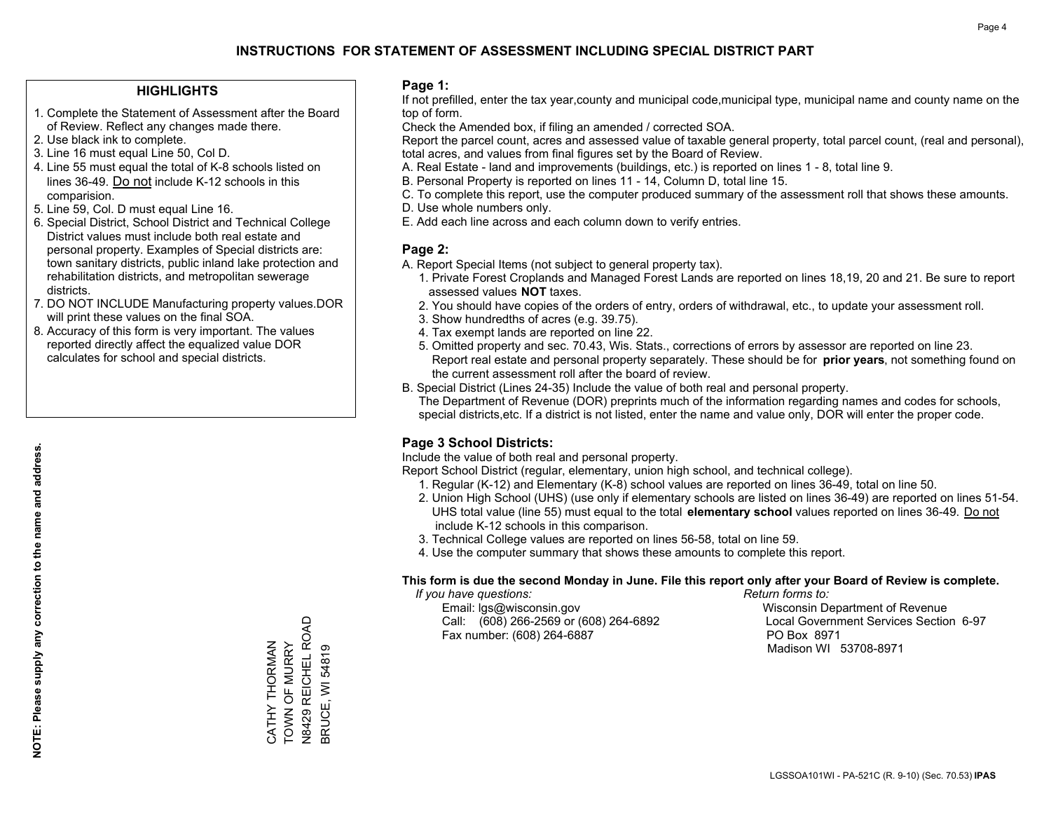#### **HIGHLIGHTS**

- 1. Complete the Statement of Assessment after the Board of Review. Reflect any changes made there.
- 2. Use black ink to complete.
- 3. Line 16 must equal Line 50, Col D.
- 4. Line 55 must equal the total of K-8 schools listed on lines 36-49. Do not include K-12 schools in this comparision.
- 5. Line 59, Col. D must equal Line 16.
- 6. Special District, School District and Technical College District values must include both real estate and personal property. Examples of Special districts are: town sanitary districts, public inland lake protection and rehabilitation districts, and metropolitan sewerage districts.
- 7. DO NOT INCLUDE Manufacturing property values.DOR will print these values on the final SOA.

CATHY THORMAN TOWN OF MURRY N8429 REICHEL ROAD BRUCE, WI 54819

, Correll Hill ROAD<br>N8429 REICHEL ROAD CATHY THORMAN<br>TOWN OF MURRY

3RUCE, WI 54819

 8. Accuracy of this form is very important. The values reported directly affect the equalized value DOR calculates for school and special districts.

#### **Page 1:**

 If not prefilled, enter the tax year,county and municipal code,municipal type, municipal name and county name on the top of form.

Check the Amended box, if filing an amended / corrected SOA.

 Report the parcel count, acres and assessed value of taxable general property, total parcel count, (real and personal), total acres, and values from final figures set by the Board of Review.

- A. Real Estate land and improvements (buildings, etc.) is reported on lines 1 8, total line 9.
- B. Personal Property is reported on lines 11 14, Column D, total line 15.
- C. To complete this report, use the computer produced summary of the assessment roll that shows these amounts.
- D. Use whole numbers only.
- E. Add each line across and each column down to verify entries.

#### **Page 2:**

- A. Report Special Items (not subject to general property tax).
- 1. Private Forest Croplands and Managed Forest Lands are reported on lines 18,19, 20 and 21. Be sure to report assessed values **NOT** taxes.
- 2. You should have copies of the orders of entry, orders of withdrawal, etc., to update your assessment roll.
	- 3. Show hundredths of acres (e.g. 39.75).
- 4. Tax exempt lands are reported on line 22.
- 5. Omitted property and sec. 70.43, Wis. Stats., corrections of errors by assessor are reported on line 23. Report real estate and personal property separately. These should be for **prior years**, not something found on the current assessment roll after the board of review.
- B. Special District (Lines 24-35) Include the value of both real and personal property.
- The Department of Revenue (DOR) preprints much of the information regarding names and codes for schools, special districts,etc. If a district is not listed, enter the name and value only, DOR will enter the proper code.

### **Page 3 School Districts:**

Include the value of both real and personal property.

Report School District (regular, elementary, union high school, and technical college).

- 1. Regular (K-12) and Elementary (K-8) school values are reported on lines 36-49, total on line 50.
- 2. Union High School (UHS) (use only if elementary schools are listed on lines 36-49) are reported on lines 51-54. UHS total value (line 55) must equal to the total **elementary school** values reported on lines 36-49. Do notinclude K-12 schools in this comparison.
- 3. Technical College values are reported on lines 56-58, total on line 59.
- 4. Use the computer summary that shows these amounts to complete this report.

#### **This form is due the second Monday in June. File this report only after your Board of Review is complete.**

 *If you have questions: Return forms to:*

 Email: lgs@wisconsin.gov Wisconsin Department of RevenueCall:  $(608)$  266-2569 or  $(608)$  264-6892 Fax number: (608) 264-6887 PO Box 8971

Local Government Services Section 6-97

Madison WI 53708-8971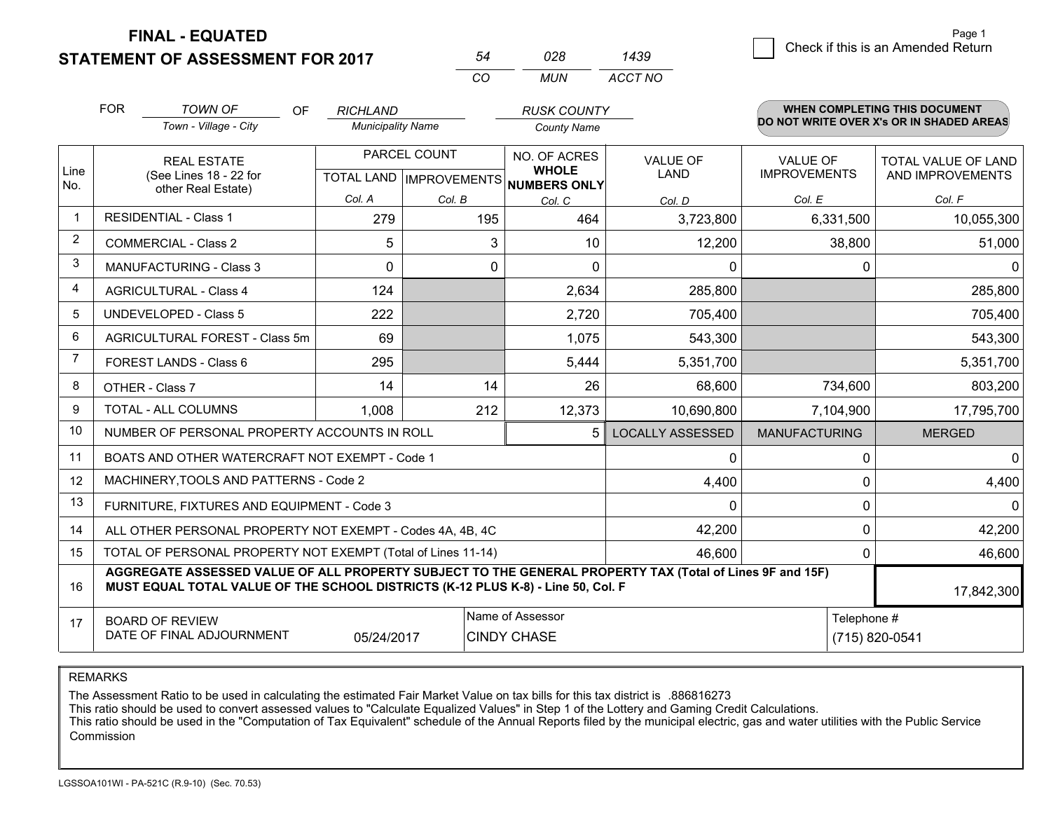**FINAL - EQUATED**

**STATEMENT OF ASSESSMENT FOR 2017** 

|   | Page 1                             |
|---|------------------------------------|
| Q | Check if this is an Amended Return |
|   |                                    |

|                | <b>FOR</b>                                                    | <b>TOWN OF</b><br>OF.                                                                                                                                                                        | <b>RICHLAND</b>          |              | <b>RUSK COUNTY</b>                                   |                         |                      | <b>WHEN COMPLETING THIS DOCUMENT</b>     |
|----------------|---------------------------------------------------------------|----------------------------------------------------------------------------------------------------------------------------------------------------------------------------------------------|--------------------------|--------------|------------------------------------------------------|-------------------------|----------------------|------------------------------------------|
|                |                                                               | Town - Village - City                                                                                                                                                                        | <b>Municipality Name</b> |              | <b>County Name</b>                                   |                         |                      | DO NOT WRITE OVER X's OR IN SHADED AREAS |
|                |                                                               | <b>REAL ESTATE</b>                                                                                                                                                                           |                          | PARCEL COUNT | NO. OF ACRES                                         | <b>VALUE OF</b>         | <b>VALUE OF</b>      | TOTAL VALUE OF LAND                      |
| Line<br>No.    |                                                               | (See Lines 18 - 22 for<br>other Real Estate)                                                                                                                                                 |                          |              | <b>WHOLE</b><br>TOTAL LAND IMPROVEMENTS NUMBERS ONLY | LAND                    | <b>IMPROVEMENTS</b>  | AND IMPROVEMENTS                         |
|                |                                                               |                                                                                                                                                                                              | Col. A                   | Col. B       | Col. C                                               | Col. D                  | Col. E               | Col. F                                   |
| -1             |                                                               | <b>RESIDENTIAL - Class 1</b>                                                                                                                                                                 | 279                      | 195          | 464                                                  | 3,723,800               | 6,331,500            | 10,055,300                               |
| 2              |                                                               | <b>COMMERCIAL - Class 2</b>                                                                                                                                                                  | 5                        | 3            | 10                                                   | 12,200                  | 38,800               | 51,000                                   |
| 3              |                                                               | <b>MANUFACTURING - Class 3</b>                                                                                                                                                               | 0                        | 0            | $\Omega$                                             | $\Omega$                | 0                    | 0                                        |
| 4              |                                                               | <b>AGRICULTURAL - Class 4</b>                                                                                                                                                                | 124                      |              | 2,634                                                | 285,800                 |                      | 285,800                                  |
| 5              | <b>UNDEVELOPED - Class 5</b>                                  |                                                                                                                                                                                              | 222                      |              | 2,720                                                | 705,400                 |                      | 705,400                                  |
| 6              | AGRICULTURAL FOREST - Class 5m                                |                                                                                                                                                                                              | 69                       |              | 1,075                                                | 543,300                 |                      | 543,300                                  |
| $\overline{7}$ | <b>FOREST LANDS - Class 6</b>                                 |                                                                                                                                                                                              | 295                      |              | 5,444                                                | 5,351,700               |                      | 5,351,700                                |
| 8              | OTHER - Class 7                                               |                                                                                                                                                                                              | 14                       | 14           | 26                                                   | 68,600                  | 734,600              | 803,200                                  |
| 9              |                                                               | TOTAL - ALL COLUMNS<br>1,008                                                                                                                                                                 |                          | 212          | 12,373                                               | 10,690,800              | 7,104,900            | 17,795,700                               |
| 10             |                                                               | NUMBER OF PERSONAL PROPERTY ACCOUNTS IN ROLL                                                                                                                                                 |                          |              | 5                                                    | <b>LOCALLY ASSESSED</b> | <b>MANUFACTURING</b> | <b>MERGED</b>                            |
| 11             |                                                               | BOATS AND OTHER WATERCRAFT NOT EXEMPT - Code 1                                                                                                                                               |                          |              |                                                      | 0                       | 0                    | $\Omega$                                 |
| 12             |                                                               | MACHINERY, TOOLS AND PATTERNS - Code 2                                                                                                                                                       |                          |              |                                                      | 4,400                   | 0                    | 4,400                                    |
| 13             |                                                               | FURNITURE, FIXTURES AND EQUIPMENT - Code 3                                                                                                                                                   |                          |              |                                                      | $\Omega$                | 0                    | $\Omega$                                 |
| 14             |                                                               | ALL OTHER PERSONAL PROPERTY NOT EXEMPT - Codes 4A, 4B, 4C                                                                                                                                    |                          |              |                                                      | 42,200                  | 0                    | 42,200                                   |
| 15             |                                                               | TOTAL OF PERSONAL PROPERTY NOT EXEMPT (Total of Lines 11-14)                                                                                                                                 |                          |              |                                                      | 46,600                  | 0                    | 46,600                                   |
| 16             |                                                               | AGGREGATE ASSESSED VALUE OF ALL PROPERTY SUBJECT TO THE GENERAL PROPERTY TAX (Total of Lines 9F and 15F)<br>MUST EQUAL TOTAL VALUE OF THE SCHOOL DISTRICTS (K-12 PLUS K-8) - Line 50, Col. F |                          |              |                                                      |                         |                      | 17,842,300                               |
| 17             |                                                               | <b>BOARD OF REVIEW</b>                                                                                                                                                                       |                          |              | Name of Assessor                                     |                         | Telephone #          |                                          |
|                | DATE OF FINAL ADJOURNMENT<br><b>CINDY CHASE</b><br>05/24/2017 |                                                                                                                                                                                              |                          |              |                                                      | (715) 820-0541          |                      |                                          |

*MUN*

*ACCT NO1439*

*<sup>54</sup> <sup>028</sup>*

*CO*

REMARKS

The Assessment Ratio to be used in calculating the estimated Fair Market Value on tax bills for this tax district is .886816273<br>This ratio should be used to convert assessed values to "Calculate Equalized Values" in Step 1 Commission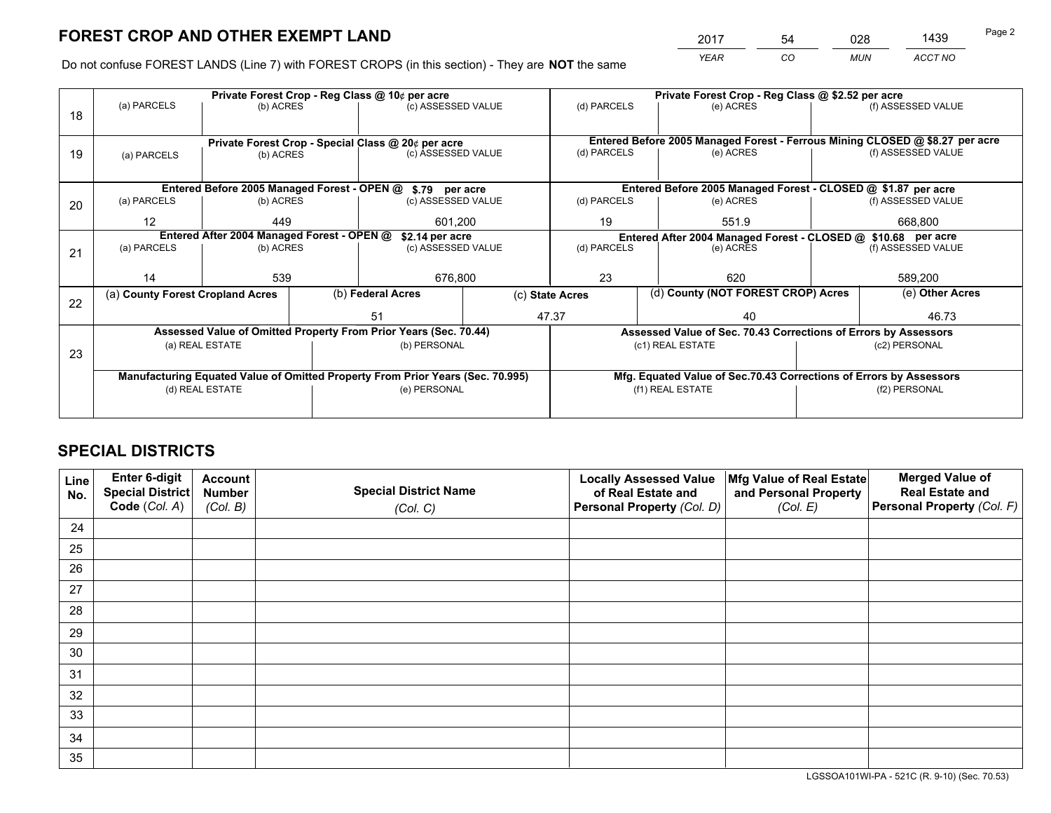*YEAR CO MUN ACCT NO* <sup>2017</sup> <sup>54</sup> <sup>028</sup> <sup>1439</sup>

Do not confuse FOREST LANDS (Line 7) with FOREST CROPS (in this section) - They are **NOT** the same

|    |                                                                                |                                 |  | Private Forest Crop - Reg Class @ 10¢ per acre                   |                 | Private Forest Crop - Reg Class @ \$2.52 per acre |           |                                                                    |                    |                                                                              |
|----|--------------------------------------------------------------------------------|---------------------------------|--|------------------------------------------------------------------|-----------------|---------------------------------------------------|-----------|--------------------------------------------------------------------|--------------------|------------------------------------------------------------------------------|
| 18 | (a) PARCELS                                                                    | (b) ACRES                       |  | (c) ASSESSED VALUE                                               |                 | (d) PARCELS                                       |           | (e) ACRES                                                          |                    | (f) ASSESSED VALUE                                                           |
|    |                                                                                |                                 |  |                                                                  |                 |                                                   |           |                                                                    |                    |                                                                              |
|    | Private Forest Crop - Special Class @ 20¢ per acre                             |                                 |  |                                                                  |                 |                                                   |           |                                                                    |                    | Entered Before 2005 Managed Forest - Ferrous Mining CLOSED @ \$8.27 per acre |
| 19 | (a) PARCELS                                                                    | (b) ACRES                       |  | (c) ASSESSED VALUE                                               |                 | (d) PARCELS                                       |           | (e) ACRES                                                          |                    | (f) ASSESSED VALUE                                                           |
|    |                                                                                |                                 |  |                                                                  |                 |                                                   |           |                                                                    |                    |                                                                              |
|    |                                                                                |                                 |  | Entered Before 2005 Managed Forest - OPEN @ \$.79 per acre       |                 |                                                   |           | Entered Before 2005 Managed Forest - CLOSED @ \$1.87 per acre      |                    |                                                                              |
| 20 | (a) PARCELS                                                                    | (b) ACRES                       |  | (c) ASSESSED VALUE                                               |                 | (d) PARCELS                                       |           | (e) ACRES                                                          |                    | (f) ASSESSED VALUE                                                           |
|    | $12 \overline{ }$                                                              | 449                             |  | 601.200                                                          |                 | 19                                                |           | 551.9                                                              |                    | 668.800                                                                      |
|    | Entered After 2004 Managed Forest - OPEN @<br>\$2.14 per acre                  |                                 |  |                                                                  |                 |                                                   |           | Entered After 2004 Managed Forest - CLOSED @ \$10.68 per acre      |                    |                                                                              |
| 21 | (a) PARCELS                                                                    | (b) ACRES<br>(c) ASSESSED VALUE |  |                                                                  | (d) PARCELS     |                                                   | (e) ACRES |                                                                    | (f) ASSESSED VALUE |                                                                              |
|    |                                                                                |                                 |  |                                                                  |                 |                                                   |           |                                                                    |                    |                                                                              |
|    | 14                                                                             | 539                             |  | 676,800                                                          |                 | 23                                                |           | 620                                                                | 589,200            |                                                                              |
| 22 | (a) County Forest Cropland Acres                                               |                                 |  | (b) Federal Acres                                                | (c) State Acres |                                                   |           | (d) County (NOT FOREST CROP) Acres                                 |                    | (e) Other Acres                                                              |
|    |                                                                                |                                 |  | 47.37<br>51                                                      |                 | 40                                                |           |                                                                    |                    | 46.73                                                                        |
|    |                                                                                |                                 |  | Assessed Value of Omitted Property From Prior Years (Sec. 70.44) |                 |                                                   |           | Assessed Value of Sec. 70.43 Corrections of Errors by Assessors    |                    |                                                                              |
| 23 |                                                                                | (a) REAL ESTATE                 |  | (b) PERSONAL                                                     |                 |                                                   |           | (c1) REAL ESTATE                                                   |                    | (c2) PERSONAL                                                                |
|    |                                                                                |                                 |  |                                                                  |                 |                                                   |           |                                                                    |                    |                                                                              |
|    | Manufacturing Equated Value of Omitted Property From Prior Years (Sec. 70.995) |                                 |  |                                                                  |                 |                                                   |           | Mfg. Equated Value of Sec.70.43 Corrections of Errors by Assessors |                    |                                                                              |
|    |                                                                                | (d) REAL ESTATE                 |  | (e) PERSONAL                                                     |                 |                                                   |           | (f1) REAL ESTATE                                                   | (f2) PERSONAL      |                                                                              |
|    |                                                                                |                                 |  |                                                                  |                 |                                                   |           |                                                                    |                    |                                                                              |

# **SPECIAL DISTRICTS**

| Line<br>No. | Enter 6-digit<br><b>Special District</b> | <b>Account</b><br><b>Number</b> | <b>Special District Name</b> | <b>Locally Assessed Value</b><br>of Real Estate and | Mfg Value of Real Estate<br>and Personal Property | <b>Merged Value of</b><br><b>Real Estate and</b> |
|-------------|------------------------------------------|---------------------------------|------------------------------|-----------------------------------------------------|---------------------------------------------------|--------------------------------------------------|
|             | Code (Col. A)                            | (Col. B)                        | (Col. C)                     | Personal Property (Col. D)                          | (Col. E)                                          | Personal Property (Col. F)                       |
| 24          |                                          |                                 |                              |                                                     |                                                   |                                                  |
| 25          |                                          |                                 |                              |                                                     |                                                   |                                                  |
| 26          |                                          |                                 |                              |                                                     |                                                   |                                                  |
| 27          |                                          |                                 |                              |                                                     |                                                   |                                                  |
| 28          |                                          |                                 |                              |                                                     |                                                   |                                                  |
| 29          |                                          |                                 |                              |                                                     |                                                   |                                                  |
| 30          |                                          |                                 |                              |                                                     |                                                   |                                                  |
| 31          |                                          |                                 |                              |                                                     |                                                   |                                                  |
| 32          |                                          |                                 |                              |                                                     |                                                   |                                                  |
| 33          |                                          |                                 |                              |                                                     |                                                   |                                                  |
| 34          |                                          |                                 |                              |                                                     |                                                   |                                                  |
| 35          |                                          |                                 |                              |                                                     |                                                   |                                                  |

LGSSOA101WI-PA - 521C (R. 9-10) (Sec. 70.53)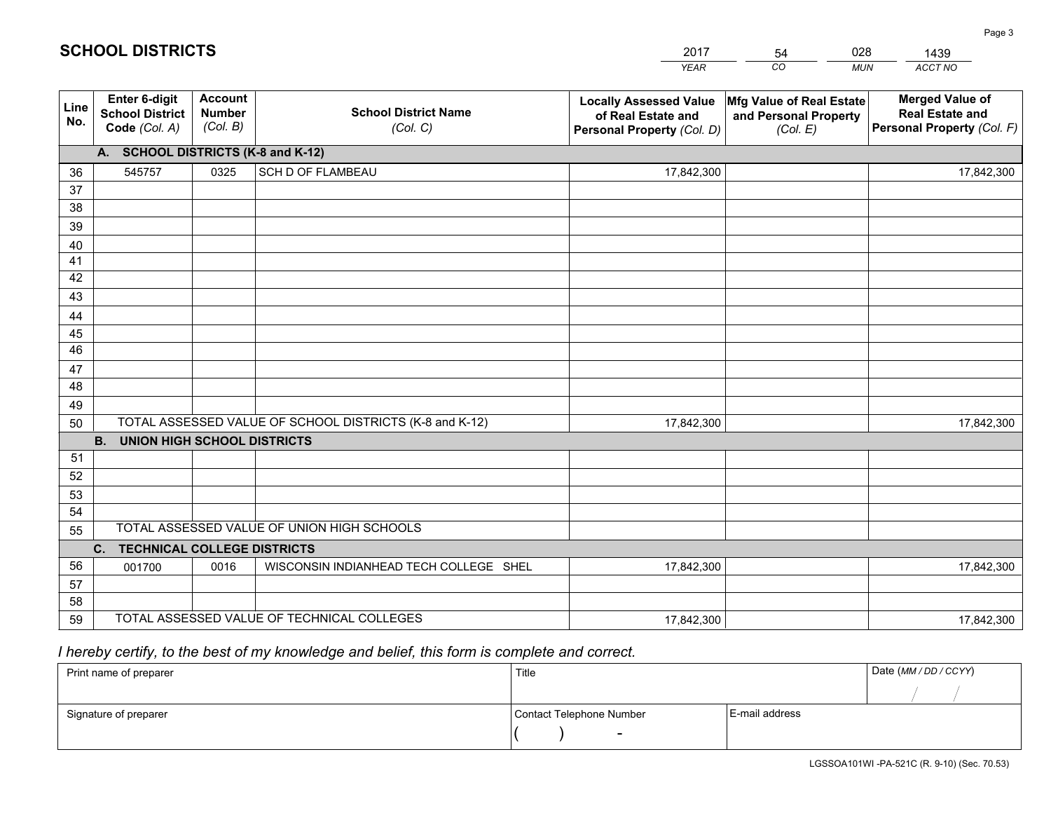|             |                                                                 |                                             |                                                         | <b>YEAR</b>                                                                       | CO<br><b>MUN</b>                                              | ACCT NO                                                                        |
|-------------|-----------------------------------------------------------------|---------------------------------------------|---------------------------------------------------------|-----------------------------------------------------------------------------------|---------------------------------------------------------------|--------------------------------------------------------------------------------|
| Line<br>No. | <b>Enter 6-digit</b><br><b>School District</b><br>Code (Col. A) | <b>Account</b><br><b>Number</b><br>(Col. B) | <b>School District Name</b><br>(Col. C)                 | <b>Locally Assessed Value</b><br>of Real Estate and<br>Personal Property (Col. D) | Mfg Value of Real Estate<br>and Personal Property<br>(Col. E) | <b>Merged Value of</b><br><b>Real Estate and</b><br>Personal Property (Col. F) |
|             | A. SCHOOL DISTRICTS (K-8 and K-12)                              |                                             |                                                         |                                                                                   |                                                               |                                                                                |
| 36          | 545757                                                          | 0325                                        | <b>SCH D OF FLAMBEAU</b>                                | 17,842,300                                                                        |                                                               | 17,842,300                                                                     |
| 37          |                                                                 |                                             |                                                         |                                                                                   |                                                               |                                                                                |
| 38          |                                                                 |                                             |                                                         |                                                                                   |                                                               |                                                                                |
| 39          |                                                                 |                                             |                                                         |                                                                                   |                                                               |                                                                                |
| 40          |                                                                 |                                             |                                                         |                                                                                   |                                                               |                                                                                |
| 41          |                                                                 |                                             |                                                         |                                                                                   |                                                               |                                                                                |
| 42          |                                                                 |                                             |                                                         |                                                                                   |                                                               |                                                                                |
| 43          |                                                                 |                                             |                                                         |                                                                                   |                                                               |                                                                                |
| 44          |                                                                 |                                             |                                                         |                                                                                   |                                                               |                                                                                |
| 45<br>46    |                                                                 |                                             |                                                         |                                                                                   |                                                               |                                                                                |
|             |                                                                 |                                             |                                                         |                                                                                   |                                                               |                                                                                |
| 47<br>48    |                                                                 |                                             |                                                         |                                                                                   |                                                               |                                                                                |
| 49          |                                                                 |                                             |                                                         |                                                                                   |                                                               |                                                                                |
| 50          |                                                                 |                                             | TOTAL ASSESSED VALUE OF SCHOOL DISTRICTS (K-8 and K-12) | 17,842,300                                                                        |                                                               | 17,842,300                                                                     |
|             | <b>B.</b><br><b>UNION HIGH SCHOOL DISTRICTS</b>                 |                                             |                                                         |                                                                                   |                                                               |                                                                                |
| 51          |                                                                 |                                             |                                                         |                                                                                   |                                                               |                                                                                |
| 52          |                                                                 |                                             |                                                         |                                                                                   |                                                               |                                                                                |
| 53          |                                                                 |                                             |                                                         |                                                                                   |                                                               |                                                                                |
| 54          |                                                                 |                                             |                                                         |                                                                                   |                                                               |                                                                                |
| 55          |                                                                 |                                             | TOTAL ASSESSED VALUE OF UNION HIGH SCHOOLS              |                                                                                   |                                                               |                                                                                |
|             | C.<br><b>TECHNICAL COLLEGE DISTRICTS</b>                        |                                             |                                                         |                                                                                   |                                                               |                                                                                |
| 56          | 001700                                                          | 0016                                        | WISCONSIN INDIANHEAD TECH COLLEGE SHEL                  | 17,842,300                                                                        |                                                               | 17,842,300                                                                     |
| 57          |                                                                 |                                             |                                                         |                                                                                   |                                                               |                                                                                |
| 58          |                                                                 |                                             |                                                         |                                                                                   |                                                               |                                                                                |
| 59          |                                                                 |                                             | TOTAL ASSESSED VALUE OF TECHNICAL COLLEGES              | 17,842,300                                                                        |                                                               | 17,842,300                                                                     |

2017

54

028

 *I hereby certify, to the best of my knowledge and belief, this form is complete and correct.*

**SCHOOL DISTRICTS**

| Print name of preparer | Title                    |                | Date (MM/DD/CCYY) |
|------------------------|--------------------------|----------------|-------------------|
|                        |                          |                |                   |
| Signature of preparer  | Contact Telephone Number | E-mail address |                   |
|                        | $\overline{\phantom{0}}$ |                |                   |

1439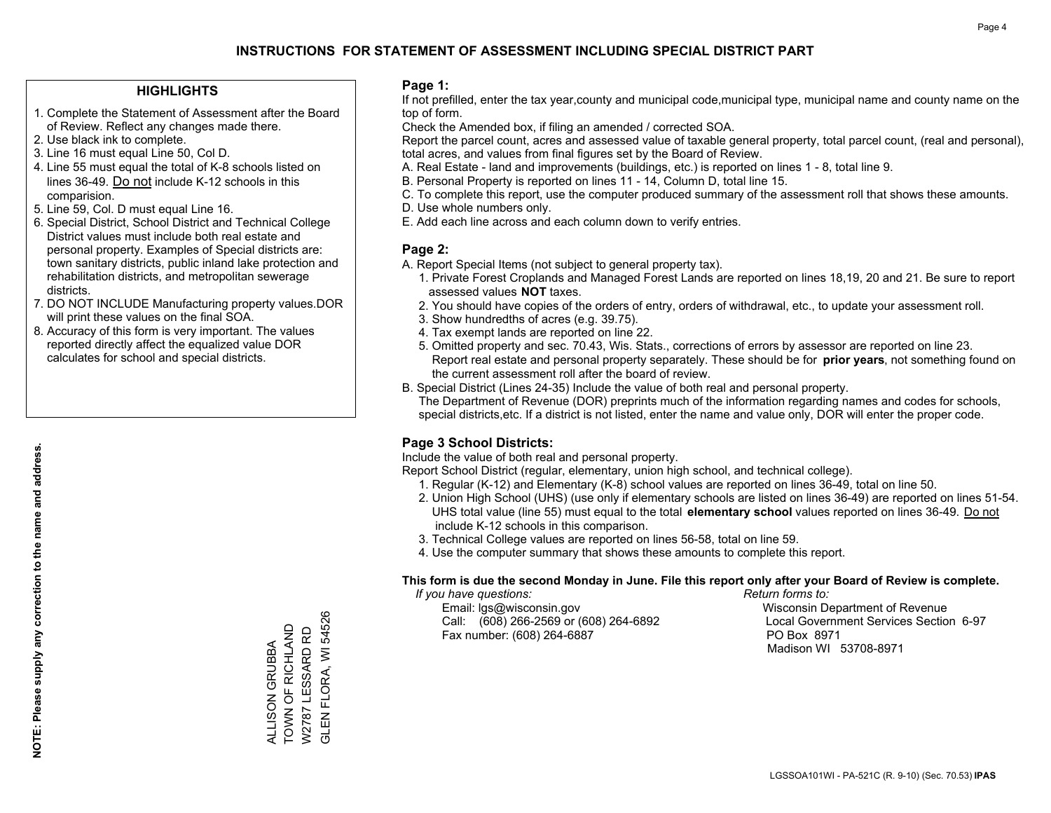#### **HIGHLIGHTS**

- 1. Complete the Statement of Assessment after the Board of Review. Reflect any changes made there.
- 2. Use black ink to complete.
- 3. Line 16 must equal Line 50, Col D.
- 4. Line 55 must equal the total of K-8 schools listed on lines 36-49. Do not include K-12 schools in this comparision.
- 5. Line 59, Col. D must equal Line 16.
- 6. Special District, School District and Technical College District values must include both real estate and personal property. Examples of Special districts are: town sanitary districts, public inland lake protection and rehabilitation districts, and metropolitan sewerage districts.
- 7. DO NOT INCLUDE Manufacturing property values.DOR will print these values on the final SOA.

ALLISON GRUBBA TOWN OF RICHLAND W2787 LESSARD RD GLEN FLORA, WI 54526

ALLISON GRUBBA<br>TOWN OF RICHLAND<br>W2787 LESSARD RD

**GLEN FLORA, WI 54526** 

 8. Accuracy of this form is very important. The values reported directly affect the equalized value DOR calculates for school and special districts.

#### **Page 1:**

 If not prefilled, enter the tax year,county and municipal code,municipal type, municipal name and county name on the top of form.

Check the Amended box, if filing an amended / corrected SOA.

 Report the parcel count, acres and assessed value of taxable general property, total parcel count, (real and personal), total acres, and values from final figures set by the Board of Review.

- A. Real Estate land and improvements (buildings, etc.) is reported on lines 1 8, total line 9.
- B. Personal Property is reported on lines 11 14, Column D, total line 15.
- C. To complete this report, use the computer produced summary of the assessment roll that shows these amounts.
- D. Use whole numbers only.
- E. Add each line across and each column down to verify entries.

#### **Page 2:**

- A. Report Special Items (not subject to general property tax).
- 1. Private Forest Croplands and Managed Forest Lands are reported on lines 18,19, 20 and 21. Be sure to report assessed values **NOT** taxes.
- 2. You should have copies of the orders of entry, orders of withdrawal, etc., to update your assessment roll.
	- 3. Show hundredths of acres (e.g. 39.75).
- 4. Tax exempt lands are reported on line 22.
- 5. Omitted property and sec. 70.43, Wis. Stats., corrections of errors by assessor are reported on line 23. Report real estate and personal property separately. These should be for **prior years**, not something found on the current assessment roll after the board of review.
- B. Special District (Lines 24-35) Include the value of both real and personal property.
- The Department of Revenue (DOR) preprints much of the information regarding names and codes for schools, special districts,etc. If a district is not listed, enter the name and value only, DOR will enter the proper code.

### **Page 3 School Districts:**

Include the value of both real and personal property.

Report School District (regular, elementary, union high school, and technical college).

- 1. Regular (K-12) and Elementary (K-8) school values are reported on lines 36-49, total on line 50.
- 2. Union High School (UHS) (use only if elementary schools are listed on lines 36-49) are reported on lines 51-54. UHS total value (line 55) must equal to the total **elementary school** values reported on lines 36-49. Do notinclude K-12 schools in this comparison.
- 3. Technical College values are reported on lines 56-58, total on line 59.
- 4. Use the computer summary that shows these amounts to complete this report.

#### **This form is due the second Monday in June. File this report only after your Board of Review is complete.**

 *If you have questions: Return forms to:*

 Email: lgs@wisconsin.gov Wisconsin Department of RevenueCall:  $(608)$  266-2569 or  $(608)$  264-6892 Fax number: (608) 264-6887 PO Box 8971

Local Government Services Section 6-97 Madison WI 53708-8971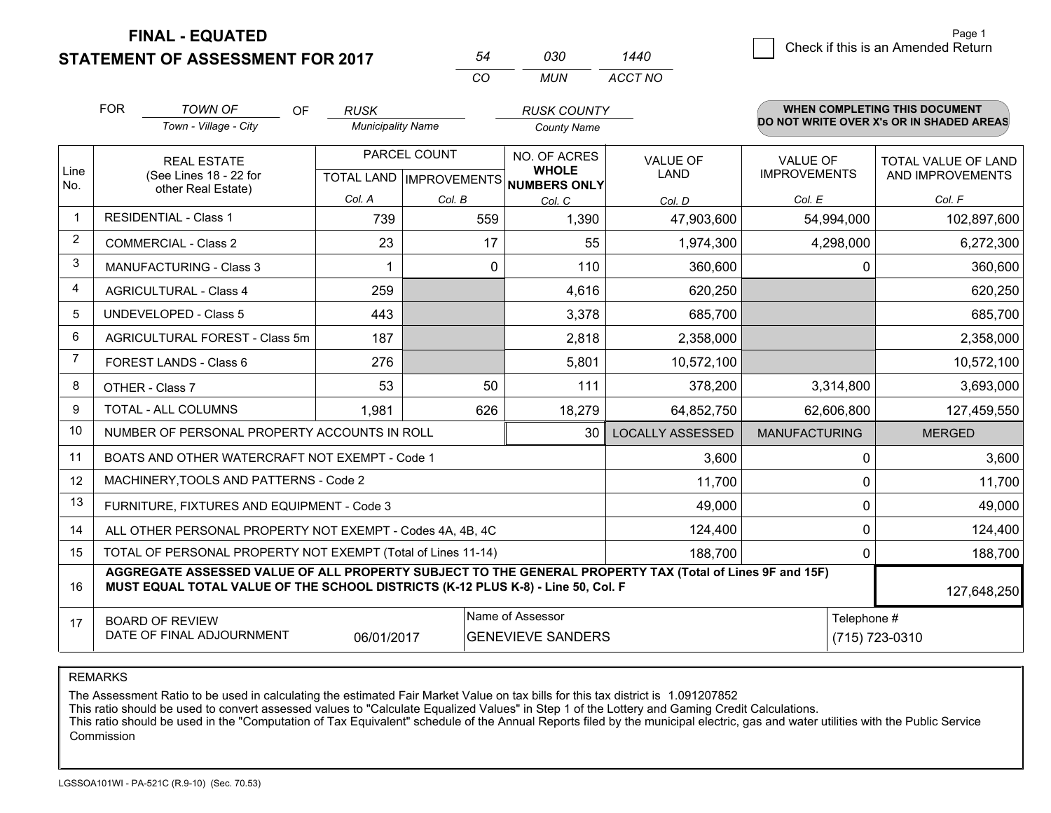**FINAL - EQUATED**

**STATEMENT OF ASSESSMENT FOR 2017** 

0 **Check if this is an Amended Return** Page 1

|                | <b>FOR</b>                                   | <b>TOWN OF</b><br><b>OF</b>                                                                                                                                                                  | <b>RUSK</b>              |              | <b>RUSK COUNTY</b>                                   |                         |                      | <b>WHEN COMPLETING THIS DOCUMENT</b>     |
|----------------|----------------------------------------------|----------------------------------------------------------------------------------------------------------------------------------------------------------------------------------------------|--------------------------|--------------|------------------------------------------------------|-------------------------|----------------------|------------------------------------------|
|                |                                              | Town - Village - City                                                                                                                                                                        | <b>Municipality Name</b> |              | <b>County Name</b>                                   |                         |                      | DO NOT WRITE OVER X's OR IN SHADED AREAS |
|                |                                              | <b>REAL ESTATE</b>                                                                                                                                                                           |                          | PARCEL COUNT | NO. OF ACRES                                         | <b>VALUE OF</b>         | <b>VALUE OF</b>      | TOTAL VALUE OF LAND                      |
| Line<br>No.    | (See Lines 18 - 22 for<br>other Real Estate) |                                                                                                                                                                                              |                          |              | <b>WHOLE</b><br>TOTAL LAND IMPROVEMENTS NUMBERS ONLY | <b>LAND</b>             | <b>IMPROVEMENTS</b>  | AND IMPROVEMENTS                         |
|                |                                              |                                                                                                                                                                                              | Col. A                   | Col. B       | Col. C                                               | Col. D                  | Col. E               | Col. F                                   |
| $\mathbf 1$    | <b>RESIDENTIAL - Class 1</b>                 |                                                                                                                                                                                              | 739                      | 559          | 1,390                                                | 47,903,600              | 54,994,000           | 102,897,600                              |
| $\overline{2}$ |                                              | <b>COMMERCIAL - Class 2</b>                                                                                                                                                                  | 23                       | 17           | 55                                                   | 1,974,300               | 4,298,000            | 6,272,300                                |
| 3              |                                              | <b>MANUFACTURING - Class 3</b>                                                                                                                                                               |                          | 0            | 110                                                  | 360,600                 | 0                    | 360,600                                  |
| $\overline{4}$ |                                              | <b>AGRICULTURAL - Class 4</b>                                                                                                                                                                | 259                      |              | 4,616                                                | 620,250                 |                      | 620,250                                  |
| 5              | <b>UNDEVELOPED - Class 5</b>                 |                                                                                                                                                                                              | 443                      |              | 3,378                                                | 685,700                 |                      | 685,700                                  |
| 6              | AGRICULTURAL FOREST - Class 5m               |                                                                                                                                                                                              | 187                      |              | 2,818                                                | 2,358,000               |                      | 2,358,000                                |
| $\overline{7}$ |                                              | <b>FOREST LANDS - Class 6</b>                                                                                                                                                                | 276                      |              | 5,801                                                | 10,572,100              |                      | 10,572,100                               |
| 8              |                                              | OTHER - Class 7                                                                                                                                                                              | 53                       | 50           | 111                                                  | 378,200                 | 3,314,800            | 3,693,000                                |
| 9              |                                              | <b>TOTAL - ALL COLUMNS</b>                                                                                                                                                                   | 1,981                    | 626          | 18,279                                               | 64,852,750              | 62,606,800           | 127,459,550                              |
| 10             |                                              | NUMBER OF PERSONAL PROPERTY ACCOUNTS IN ROLL                                                                                                                                                 |                          |              | 30                                                   | <b>LOCALLY ASSESSED</b> | <b>MANUFACTURING</b> | <b>MERGED</b>                            |
| 11             |                                              | BOATS AND OTHER WATERCRAFT NOT EXEMPT - Code 1                                                                                                                                               |                          |              |                                                      | 3,600                   | $\Omega$             | 3,600                                    |
| 12             |                                              | MACHINERY, TOOLS AND PATTERNS - Code 2                                                                                                                                                       |                          |              |                                                      | 11,700                  | $\mathbf 0$          | 11,700                                   |
| 13             |                                              | FURNITURE, FIXTURES AND EQUIPMENT - Code 3                                                                                                                                                   |                          |              |                                                      | 49,000                  | 0                    | 49,000                                   |
| 14             |                                              | ALL OTHER PERSONAL PROPERTY NOT EXEMPT - Codes 4A, 4B, 4C                                                                                                                                    |                          |              |                                                      | 124,400                 | 0                    | 124,400                                  |
| 15             |                                              | TOTAL OF PERSONAL PROPERTY NOT EXEMPT (Total of Lines 11-14)                                                                                                                                 |                          |              |                                                      | 188.700                 | $\mathbf 0$          | 188,700                                  |
| 16             |                                              | AGGREGATE ASSESSED VALUE OF ALL PROPERTY SUBJECT TO THE GENERAL PROPERTY TAX (Total of Lines 9F and 15F)<br>MUST EQUAL TOTAL VALUE OF THE SCHOOL DISTRICTS (K-12 PLUS K-8) - Line 50, Col. F |                          |              |                                                      |                         |                      | 127,648,250                              |
| 17             |                                              | <b>BOARD OF REVIEW</b>                                                                                                                                                                       |                          |              | Name of Assessor                                     |                         | Telephone #          |                                          |
|                |                                              | DATE OF FINAL ADJOURNMENT                                                                                                                                                                    | 06/01/2017               |              | <b>GENEVIEVE SANDERS</b>                             |                         |                      | (715) 723-0310                           |

*CO*

*MUN*

*ACCT NO1440*

*<sup>54</sup> <sup>030</sup>*

REMARKS

The Assessment Ratio to be used in calculating the estimated Fair Market Value on tax bills for this tax district is 1.091207852<br>This ratio should be used to convert assessed values to "Calculate Equalized Values" in Step Commission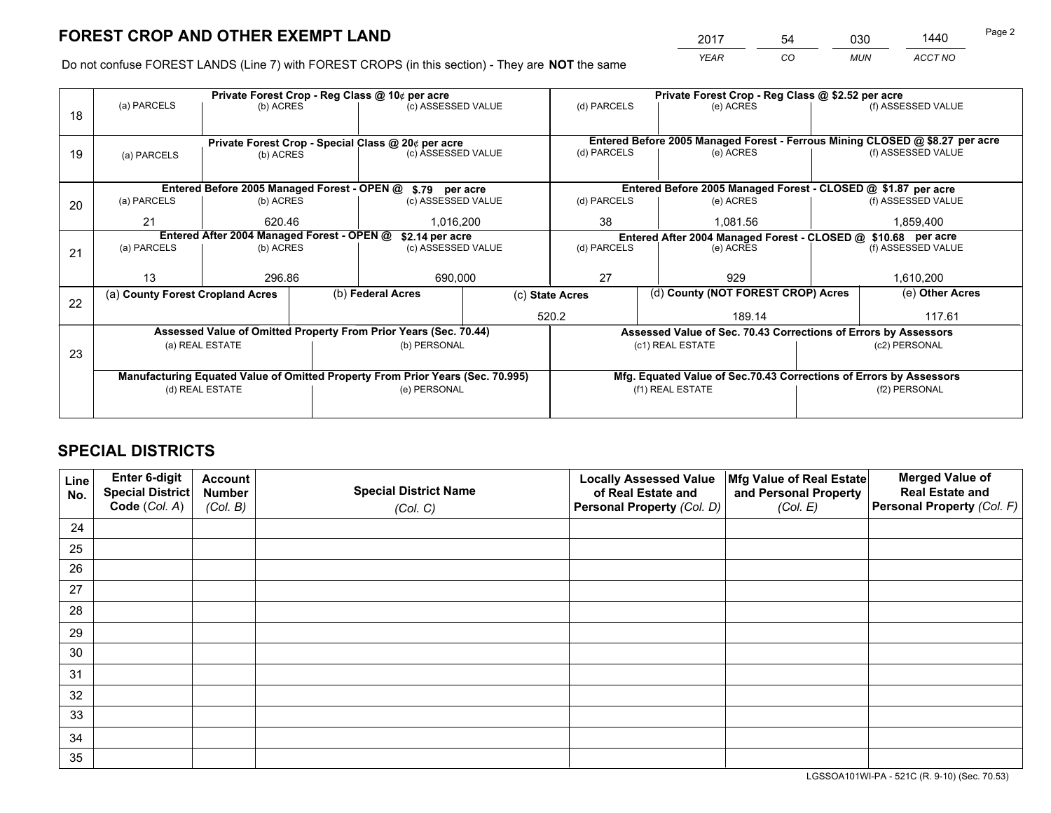*YEAR CO MUN ACCT NO* <sup>2017</sup> <sup>54</sup> <sup>030</sup> <sup>1440</sup>

Do not confuse FOREST LANDS (Line 7) with FOREST CROPS (in this section) - They are **NOT** the same

|    |                                                                                |                                            |  | Private Forest Crop - Reg Class @ 10¢ per acre                   |                 | Private Forest Crop - Reg Class @ \$2.52 per acre                            |                  |                                                                    |                    |                    |
|----|--------------------------------------------------------------------------------|--------------------------------------------|--|------------------------------------------------------------------|-----------------|------------------------------------------------------------------------------|------------------|--------------------------------------------------------------------|--------------------|--------------------|
| 18 | (a) PARCELS                                                                    | (b) ACRES                                  |  | (c) ASSESSED VALUE                                               |                 | (d) PARCELS                                                                  |                  | (e) ACRES                                                          |                    | (f) ASSESSED VALUE |
|    |                                                                                |                                            |  |                                                                  |                 |                                                                              |                  |                                                                    |                    |                    |
|    | Private Forest Crop - Special Class @ 20¢ per acre                             |                                            |  |                                                                  |                 | Entered Before 2005 Managed Forest - Ferrous Mining CLOSED @ \$8.27 per acre |                  |                                                                    |                    |                    |
| 19 | (a) PARCELS                                                                    | (b) ACRES                                  |  | (c) ASSESSED VALUE                                               |                 | (d) PARCELS                                                                  |                  | (e) ACRES                                                          |                    | (f) ASSESSED VALUE |
|    |                                                                                |                                            |  |                                                                  |                 |                                                                              |                  |                                                                    |                    |                    |
|    |                                                                                |                                            |  | Entered Before 2005 Managed Forest - OPEN @ \$.79 per acre       |                 |                                                                              |                  | Entered Before 2005 Managed Forest - CLOSED @ \$1.87 per acre      |                    |                    |
| 20 | (a) PARCELS                                                                    | (b) ACRES                                  |  | (c) ASSESSED VALUE                                               |                 | (d) PARCELS                                                                  |                  | (e) ACRES                                                          |                    | (f) ASSESSED VALUE |
|    | 21                                                                             | 620.46                                     |  | 1.016.200                                                        |                 | 38                                                                           |                  | 1.081.56                                                           |                    | 1,859,400          |
|    |                                                                                | Entered After 2004 Managed Forest - OPEN @ |  | \$2.14 per acre                                                  |                 | Entered After 2004 Managed Forest - CLOSED @ \$10.68 per acre                |                  |                                                                    |                    |                    |
| 21 | (a) PARCELS                                                                    | (b) ACRES<br>(c) ASSESSED VALUE            |  | (d) PARCELS                                                      |                 |                                                                              | (e) ACRES        |                                                                    | (f) ASSESSED VALUE |                    |
|    |                                                                                |                                            |  |                                                                  |                 |                                                                              |                  |                                                                    |                    |                    |
|    | 13                                                                             | 296.86                                     |  | 690,000                                                          |                 | 27<br>929                                                                    |                  |                                                                    | 1,610,200          |                    |
| 22 | (a) County Forest Cropland Acres                                               |                                            |  | (b) Federal Acres                                                | (c) State Acres |                                                                              |                  | (d) County (NOT FOREST CROP) Acres                                 |                    | (e) Other Acres    |
|    |                                                                                |                                            |  |                                                                  |                 | 520.2                                                                        |                  | 189.14                                                             |                    | 117.61             |
|    |                                                                                |                                            |  | Assessed Value of Omitted Property From Prior Years (Sec. 70.44) |                 |                                                                              |                  | Assessed Value of Sec. 70.43 Corrections of Errors by Assessors    |                    |                    |
| 23 |                                                                                | (a) REAL ESTATE                            |  | (b) PERSONAL                                                     |                 |                                                                              | (c1) REAL ESTATE |                                                                    |                    | (c2) PERSONAL      |
|    |                                                                                |                                            |  |                                                                  |                 |                                                                              |                  |                                                                    |                    |                    |
|    | Manufacturing Equated Value of Omitted Property From Prior Years (Sec. 70.995) |                                            |  |                                                                  |                 |                                                                              |                  | Mfg. Equated Value of Sec.70.43 Corrections of Errors by Assessors |                    |                    |
|    | (d) REAL ESTATE                                                                |                                            |  | (e) PERSONAL                                                     |                 | (f1) REAL ESTATE                                                             |                  |                                                                    | (f2) PERSONAL      |                    |
|    |                                                                                |                                            |  |                                                                  |                 |                                                                              |                  |                                                                    |                    |                    |

# **SPECIAL DISTRICTS**

| Line<br>No. | Enter 6-digit<br>Special District<br>Code (Col. A) | <b>Account</b><br><b>Number</b> | <b>Special District Name</b> | <b>Locally Assessed Value</b><br>of Real Estate and | Mfg Value of Real Estate<br>and Personal Property | <b>Merged Value of</b><br><b>Real Estate and</b><br>Personal Property (Col. F) |
|-------------|----------------------------------------------------|---------------------------------|------------------------------|-----------------------------------------------------|---------------------------------------------------|--------------------------------------------------------------------------------|
|             |                                                    | (Col. B)                        | (Col. C)                     | Personal Property (Col. D)                          | (Col. E)                                          |                                                                                |
| 24          |                                                    |                                 |                              |                                                     |                                                   |                                                                                |
| 25          |                                                    |                                 |                              |                                                     |                                                   |                                                                                |
| 26          |                                                    |                                 |                              |                                                     |                                                   |                                                                                |
| 27          |                                                    |                                 |                              |                                                     |                                                   |                                                                                |
| 28          |                                                    |                                 |                              |                                                     |                                                   |                                                                                |
| 29          |                                                    |                                 |                              |                                                     |                                                   |                                                                                |
| 30          |                                                    |                                 |                              |                                                     |                                                   |                                                                                |
| 31          |                                                    |                                 |                              |                                                     |                                                   |                                                                                |
| 32          |                                                    |                                 |                              |                                                     |                                                   |                                                                                |
| 33          |                                                    |                                 |                              |                                                     |                                                   |                                                                                |
| 34          |                                                    |                                 |                              |                                                     |                                                   |                                                                                |
| 35          |                                                    |                                 |                              |                                                     |                                                   |                                                                                |

LGSSOA101WI-PA - 521C (R. 9-10) (Sec. 70.53)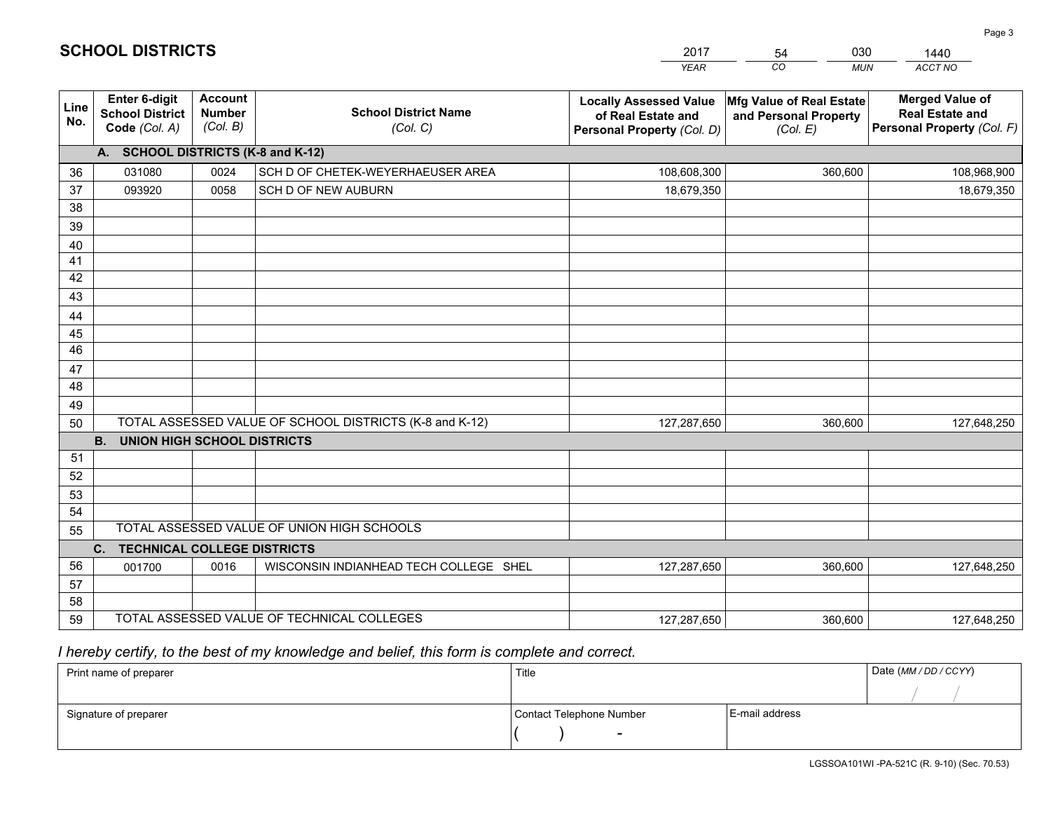|             |                                                          |                                             |                                                         | <b>YEAR</b>                                                                       | CO<br><b>MUN</b>                                              | ACCT NO                                                                        |
|-------------|----------------------------------------------------------|---------------------------------------------|---------------------------------------------------------|-----------------------------------------------------------------------------------|---------------------------------------------------------------|--------------------------------------------------------------------------------|
| Line<br>No. | Enter 6-digit<br><b>School District</b><br>Code (Col. A) | <b>Account</b><br><b>Number</b><br>(Col. B) | <b>School District Name</b><br>(Col. C)                 | <b>Locally Assessed Value</b><br>of Real Estate and<br>Personal Property (Col. D) | Mfg Value of Real Estate<br>and Personal Property<br>(Col. E) | <b>Merged Value of</b><br><b>Real Estate and</b><br>Personal Property (Col. F) |
|             | A. SCHOOL DISTRICTS (K-8 and K-12)                       |                                             |                                                         |                                                                                   |                                                               |                                                                                |
| 36          | 031080                                                   | 0024                                        | SCH D OF CHETEK-WEYERHAEUSER AREA                       | 108,608,300                                                                       | 360,600                                                       | 108,968,900                                                                    |
| 37          | 093920                                                   | 0058                                        | SCH D OF NEW AUBURN                                     | 18,679,350                                                                        |                                                               | 18,679,350                                                                     |
| 38          |                                                          |                                             |                                                         |                                                                                   |                                                               |                                                                                |
| 39          |                                                          |                                             |                                                         |                                                                                   |                                                               |                                                                                |
| 40          |                                                          |                                             |                                                         |                                                                                   |                                                               |                                                                                |
| 41          |                                                          |                                             |                                                         |                                                                                   |                                                               |                                                                                |
| 42          |                                                          |                                             |                                                         |                                                                                   |                                                               |                                                                                |
| 43          |                                                          |                                             |                                                         |                                                                                   |                                                               |                                                                                |
| 44          |                                                          |                                             |                                                         |                                                                                   |                                                               |                                                                                |
| 45<br>46    |                                                          |                                             |                                                         |                                                                                   |                                                               |                                                                                |
| 47          |                                                          |                                             |                                                         |                                                                                   |                                                               |                                                                                |
| 48          |                                                          |                                             |                                                         |                                                                                   |                                                               |                                                                                |
| 49          |                                                          |                                             |                                                         |                                                                                   |                                                               |                                                                                |
| 50          |                                                          |                                             | TOTAL ASSESSED VALUE OF SCHOOL DISTRICTS (K-8 and K-12) | 127,287,650                                                                       | 360,600                                                       | 127,648,250                                                                    |
|             | <b>B.</b><br><b>UNION HIGH SCHOOL DISTRICTS</b>          |                                             |                                                         |                                                                                   |                                                               |                                                                                |
| 51          |                                                          |                                             |                                                         |                                                                                   |                                                               |                                                                                |
| 52          |                                                          |                                             |                                                         |                                                                                   |                                                               |                                                                                |
| 53          |                                                          |                                             |                                                         |                                                                                   |                                                               |                                                                                |
| 54          |                                                          |                                             |                                                         |                                                                                   |                                                               |                                                                                |
| 55          |                                                          |                                             | TOTAL ASSESSED VALUE OF UNION HIGH SCHOOLS              |                                                                                   |                                                               |                                                                                |
|             | C.<br><b>TECHNICAL COLLEGE DISTRICTS</b>                 |                                             |                                                         |                                                                                   |                                                               |                                                                                |
| 56          | 001700                                                   | 0016                                        | WISCONSIN INDIANHEAD TECH COLLEGE SHEL                  | 127,287,650                                                                       | 360,600                                                       | 127,648,250                                                                    |
| 57          |                                                          |                                             |                                                         |                                                                                   |                                                               |                                                                                |
| 58          |                                                          |                                             |                                                         |                                                                                   |                                                               |                                                                                |
| 59          |                                                          |                                             | TOTAL ASSESSED VALUE OF TECHNICAL COLLEGES              | 127,287,650                                                                       | 360,600                                                       | 127,648,250                                                                    |

 *I hereby certify, to the best of my knowledge and belief, this form is complete and correct.*

| Print name of preparer | Title                    |                | Date (MM/DD/CCYY) |
|------------------------|--------------------------|----------------|-------------------|
|                        |                          |                |                   |
| Signature of preparer  | Contact Telephone Number | E-mail address |                   |
|                        | $\overline{\phantom{0}}$ |                |                   |

| <b>SCHOOL DISTRICTS</b> |  |
|-------------------------|--|
|-------------------------|--|

201754 0301440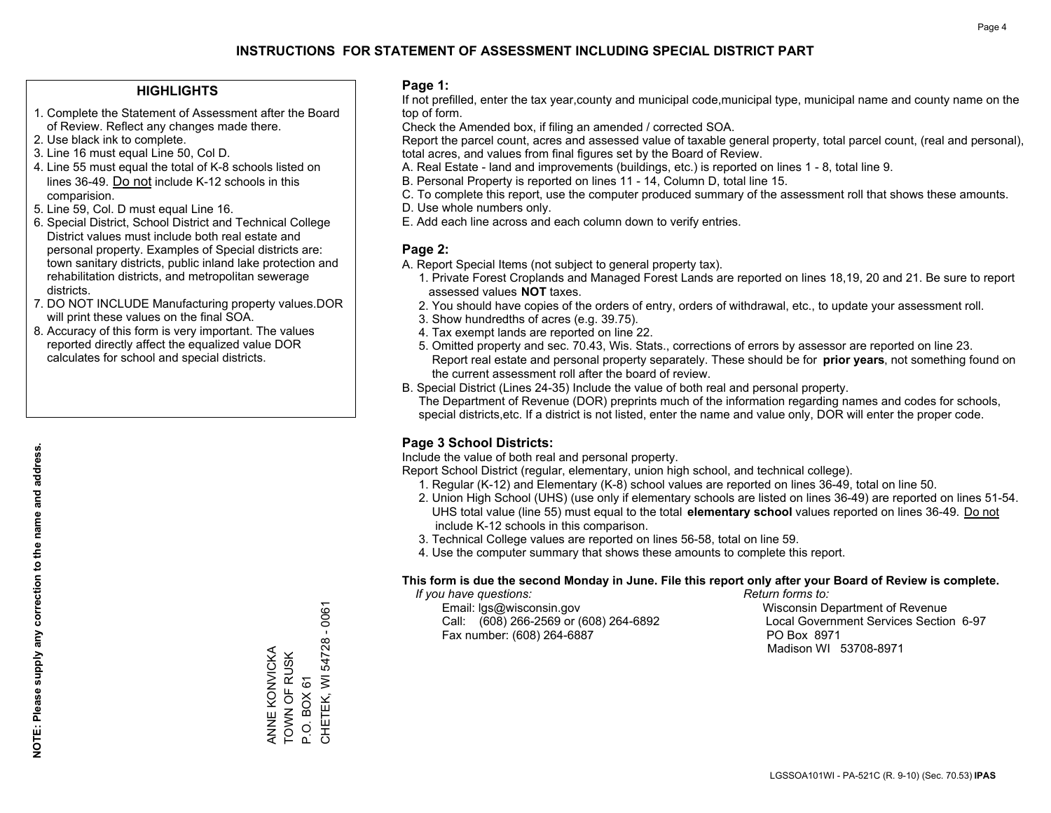#### **HIGHLIGHTS**

- 1. Complete the Statement of Assessment after the Board of Review. Reflect any changes made there.
- 2. Use black ink to complete.

**NOTE: Please supply any correction to the name and address.**

NOTE: Please supply any correction to the name and address.

- 3. Line 16 must equal Line 50, Col D.
- 4. Line 55 must equal the total of K-8 schools listed on lines 36-49. Do not include K-12 schools in this comparision.
- 5. Line 59, Col. D must equal Line 16.
- 6. Special District, School District and Technical College District values must include both real estate and personal property. Examples of Special districts are: town sanitary districts, public inland lake protection and rehabilitation districts, and metropolitan sewerage districts.
- 7. DO NOT INCLUDE Manufacturing property values.DOR will print these values on the final SOA.
- 8. Accuracy of this form is very important. The values reported directly affect the equalized value DOR calculates for school and special districts.

#### **Page 1:**

 If not prefilled, enter the tax year,county and municipal code,municipal type, municipal name and county name on the top of form.

Check the Amended box, if filing an amended / corrected SOA.

 Report the parcel count, acres and assessed value of taxable general property, total parcel count, (real and personal), total acres, and values from final figures set by the Board of Review.

- A. Real Estate land and improvements (buildings, etc.) is reported on lines 1 8, total line 9.
- B. Personal Property is reported on lines 11 14, Column D, total line 15.
- C. To complete this report, use the computer produced summary of the assessment roll that shows these amounts.
- D. Use whole numbers only.
- E. Add each line across and each column down to verify entries.

#### **Page 2:**

- A. Report Special Items (not subject to general property tax).
- 1. Private Forest Croplands and Managed Forest Lands are reported on lines 18,19, 20 and 21. Be sure to report assessed values **NOT** taxes.
- 2. You should have copies of the orders of entry, orders of withdrawal, etc., to update your assessment roll.
	- 3. Show hundredths of acres (e.g. 39.75).
- 4. Tax exempt lands are reported on line 22.
- 5. Omitted property and sec. 70.43, Wis. Stats., corrections of errors by assessor are reported on line 23. Report real estate and personal property separately. These should be for **prior years**, not something found on the current assessment roll after the board of review.
- B. Special District (Lines 24-35) Include the value of both real and personal property.
- The Department of Revenue (DOR) preprints much of the information regarding names and codes for schools, special districts,etc. If a district is not listed, enter the name and value only, DOR will enter the proper code.

### **Page 3 School Districts:**

Include the value of both real and personal property.

Report School District (regular, elementary, union high school, and technical college).

- 1. Regular (K-12) and Elementary (K-8) school values are reported on lines 36-49, total on line 50.
- 2. Union High School (UHS) (use only if elementary schools are listed on lines 36-49) are reported on lines 51-54. UHS total value (line 55) must equal to the total **elementary school** values reported on lines 36-49. Do notinclude K-12 schools in this comparison.
- 3. Technical College values are reported on lines 56-58, total on line 59.
- 4. Use the computer summary that shows these amounts to complete this report.

#### **This form is due the second Monday in June. File this report only after your Board of Review is complete.**

 *If you have questions: Return forms to:*

 Email: lgs@wisconsin.gov Wisconsin Department of RevenueCall:  $(608)$  266-2569 or  $(608)$  264-6892 Fax number: (608) 264-6887 PO Box 8971

Local Government Services Section 6-97 Madison WI 53708-8971

 $-0061$ CHETEK, WI 54728 - 0061 CHETEK, WI 54728 ANNE KONVICKA ANNE KONVICKA TOWN OF RUSK TOWN OF RUSK P.O. BOX 61 P.O. BOX 61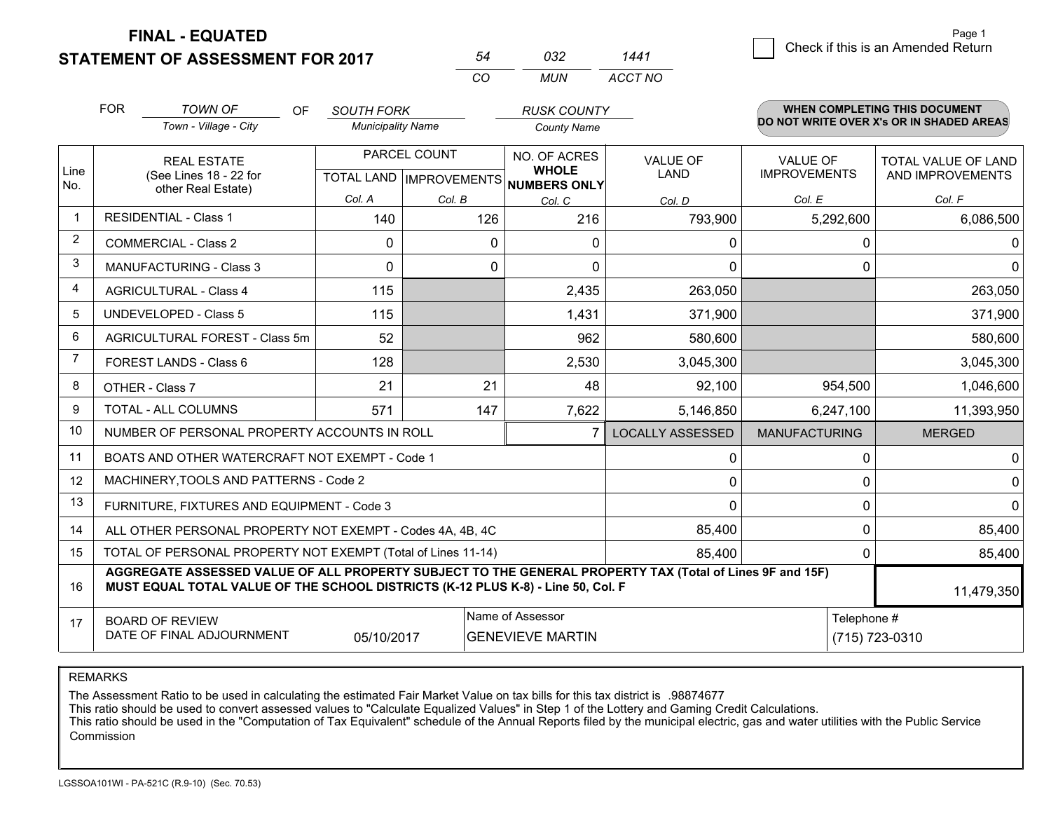**STATEMENT OF ASSESSMENT FOR 2017 FINAL - EQUATED**

1 Check if this is an Amended Return Page 1

|                |                                                                                                                     | <b>STATEMENT OF ASSESSMENT FOR 2017</b>                            |                   | 54                           | 032                                                 | 1441                    |                                                                                  | <u>Uncon in this is an America</u> retain      |
|----------------|---------------------------------------------------------------------------------------------------------------------|--------------------------------------------------------------------|-------------------|------------------------------|-----------------------------------------------------|-------------------------|----------------------------------------------------------------------------------|------------------------------------------------|
|                |                                                                                                                     |                                                                    |                   | CO                           | <b>MUN</b>                                          | ACCT NO                 |                                                                                  |                                                |
|                | <b>FOR</b><br><b>TOWN OF</b><br><b>OF</b><br><b>SOUTH FORK</b><br>Town - Village - City<br><b>Municipality Name</b> |                                                                    |                   |                              | <b>RUSK COUNTY</b><br><b>County Name</b>            |                         | <b>WHEN COMPLETING THIS DOCUMENT</b><br>DO NOT WRITE OVER X's OR IN SHADED AREAS |                                                |
| Line<br>No.    |                                                                                                                     | <b>REAL ESTATE</b><br>(See Lines 18 - 22 for<br>other Real Estate) | <b>TOTAL LAND</b> | PARCEL COUNT<br>IMPROVEMENTS | NO. OF ACRES<br><b>WHOLE</b><br><b>NUMBERS ONLY</b> | <b>VALUE OF</b><br>LAND | <b>VALUE OF</b><br><b>IMPROVEMENTS</b>                                           | <b>TOTAL VALUE OF LAND</b><br>AND IMPROVEMENTS |
|                |                                                                                                                     |                                                                    | Col. A            | Col. B                       | Col. C                                              | Col. D                  | Col. E                                                                           | Col. F                                         |
|                |                                                                                                                     | <b>RESIDENTIAL - Class 1</b>                                       | 140               | 126                          | 216                                                 | 793,900                 | 5,292,600                                                                        | 6,086,500                                      |
| $\overline{2}$ |                                                                                                                     | COMMERCIAL - Class 2                                               | 0                 | $\Omega$                     | $\Omega$                                            |                         |                                                                                  |                                                |
| 3              |                                                                                                                     | <b>MANUFACTURING - Class 3</b>                                     | $\Omega$          | $\Omega$                     | $\Omega$                                            | 0                       |                                                                                  |                                                |
| 4              |                                                                                                                     | <b>AGRICULTURAL - Class 4</b>                                      | 115               |                              | 2,435                                               | 263,050                 |                                                                                  | 263,050                                        |
| 5.             |                                                                                                                     | UNDEVELOPED - Class 5                                              | 115               |                              | 1,431                                               | 371,900                 |                                                                                  | 371,900                                        |
| 6              |                                                                                                                     | AGRICULTURAL FOREST - Class 5m                                     | 52                |                              | 962                                                 | 580,600                 |                                                                                  | 580,600                                        |
|                |                                                                                                                     | FOREST LANDS - Class 6                                             | 128               |                              | 2,530                                               | 3,045,300               |                                                                                  | 3,045,300                                      |
| 8              |                                                                                                                     | OTHER - Class 7                                                    | 21                | 21                           | 48                                                  | 92,100                  | 954,500                                                                          | 1,046,600                                      |
|                |                                                                                                                     |                                                                    |                   |                              |                                                     |                         |                                                                                  |                                                |

| 9  | <b>TOTAL - ALL COLUMNS</b>                                                                                                                                                                                 | 571        | 147    | 7,622                                       | 5,146,850               | 6,247,100            | 11,393,950                    |
|----|------------------------------------------------------------------------------------------------------------------------------------------------------------------------------------------------------------|------------|--------|---------------------------------------------|-------------------------|----------------------|-------------------------------|
| 10 | NUMBER OF PERSONAL PROPERTY ACCOUNTS IN ROLL                                                                                                                                                               |            |        |                                             | <b>LOCALLY ASSESSED</b> | <b>MANUFACTURING</b> | <b>MERGED</b>                 |
| 11 | BOATS AND OTHER WATERCRAFT NOT EXEMPT - Code 1                                                                                                                                                             |            |        |                                             |                         |                      |                               |
| 12 | MACHINERY, TOOLS AND PATTERNS - Code 2                                                                                                                                                                     |            |        |                                             |                         |                      |                               |
| 13 | FURNITURE, FIXTURES AND EQUIPMENT - Code 3                                                                                                                                                                 |            |        |                                             |                         |                      |                               |
| 14 | ALL OTHER PERSONAL PROPERTY NOT EXEMPT - Codes 4A, 4B, 4C                                                                                                                                                  |            | 85,400 |                                             | 85,400                  |                      |                               |
| 15 | TOTAL OF PERSONAL PROPERTY NOT EXEMPT (Total of Lines 11-14)                                                                                                                                               |            |        | 85,400                                      |                         | 85,400               |                               |
| 16 | AGGREGATE ASSESSED VALUE OF ALL PROPERTY SUBJECT TO THE GENERAL PROPERTY TAX (Total of Lines 9F and 15F)<br>MUST EQUAL TOTAL VALUE OF THE SCHOOL DISTRICTS (K-12 PLUS K-8) - Line 50, Col. F<br>11,479,350 |            |        |                                             |                         |                      |                               |
| 17 | <b>BOARD OF REVIEW</b><br>DATE OF FINAL ADJOURNMENT                                                                                                                                                        | 05/10/2017 |        | Name of Assessor<br><b>GENEVIEVE MARTIN</b> |                         |                      | Telephone #<br>(715) 723-0310 |

REMARKS

The Assessment Ratio to be used in calculating the estimated Fair Market Value on tax bills for this tax district is .98874677

This ratio should be used to convert assessed values to "Calculate Equalized Values" in Step 1 of the Lottery and Gaming Credit Calculations.

 This ratio should be used in the "Computation of Tax Equivalent" schedule of the Annual Reports filed by the municipal electric, gas and water utilities with the Public Service Commission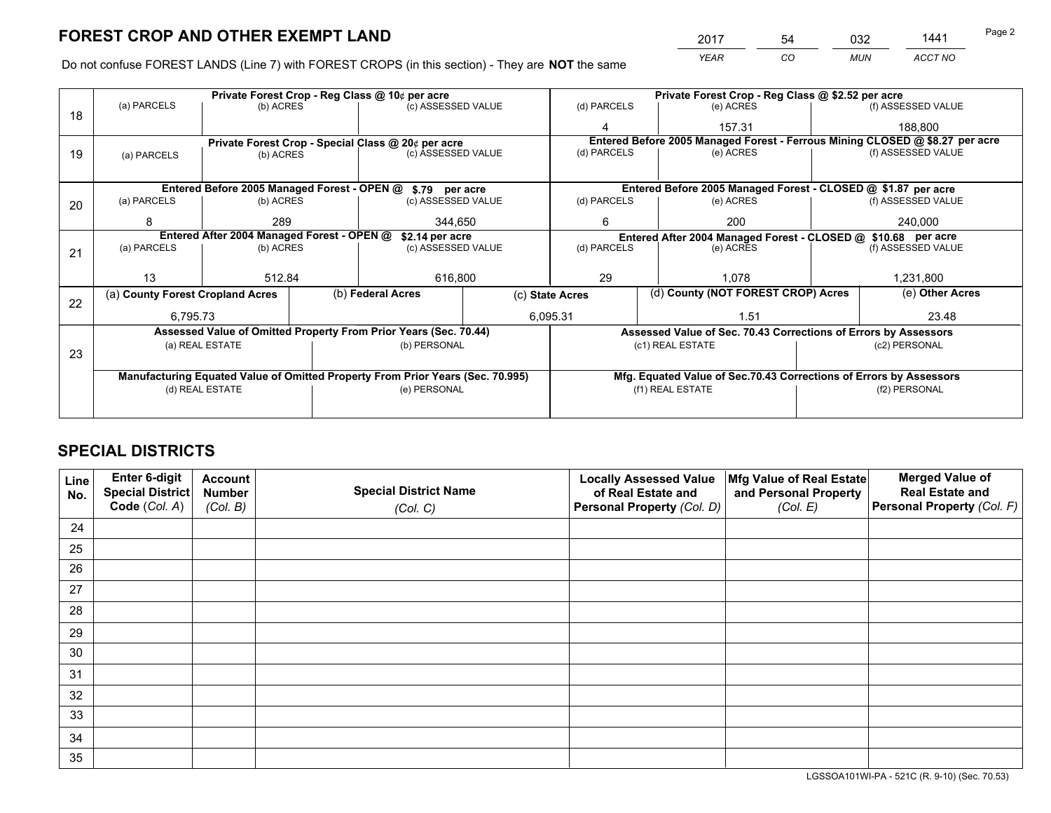*YEAR CO MUN ACCT NO* 2017 54 032 1441 <del>14</del> Page 2

Do not confuse FOREST LANDS (Line 7) with FOREST CROPS (in this section) - They are **NOT** the same

|    |                                                               |                 |  | Private Forest Crop - Reg Class @ 10¢ per acre                                 |                                   |                                                                    |                  | Private Forest Crop - Reg Class @ \$2.52 per acre |                                                                              |                                                                 |  |
|----|---------------------------------------------------------------|-----------------|--|--------------------------------------------------------------------------------|-----------------------------------|--------------------------------------------------------------------|------------------|---------------------------------------------------|------------------------------------------------------------------------------|-----------------------------------------------------------------|--|
| 18 | (a) PARCELS                                                   | (b) ACRES       |  | (c) ASSESSED VALUE                                                             |                                   | (d) PARCELS                                                        |                  | (e) ACRES                                         |                                                                              | (f) ASSESSED VALUE                                              |  |
|    |                                                               |                 |  |                                                                                |                                   |                                                                    |                  | 157.31                                            |                                                                              | 188,800                                                         |  |
|    | Private Forest Crop - Special Class @ 20¢ per acre            |                 |  |                                                                                |                                   |                                                                    |                  |                                                   | Entered Before 2005 Managed Forest - Ferrous Mining CLOSED @ \$8.27 per acre |                                                                 |  |
| 19 | (a) PARCELS                                                   | (b) ACRES       |  | (c) ASSESSED VALUE                                                             |                                   | (d) PARCELS                                                        |                  | (e) ACRES                                         |                                                                              | (f) ASSESSED VALUE                                              |  |
|    |                                                               |                 |  |                                                                                |                                   |                                                                    |                  |                                                   |                                                                              |                                                                 |  |
|    |                                                               |                 |  | Entered Before 2005 Managed Forest - OPEN @ \$.79 per acre                     |                                   |                                                                    |                  |                                                   |                                                                              | Entered Before 2005 Managed Forest - CLOSED @ \$1.87 per acre   |  |
| 20 | (a) PARCELS                                                   | (b) ACRES       |  | (c) ASSESSED VALUE                                                             |                                   | (d) PARCELS                                                        |                  | (e) ACRES                                         |                                                                              | (f) ASSESSED VALUE                                              |  |
|    | 8                                                             | 289             |  | 344,650                                                                        |                                   | 200<br>6                                                           |                  | 240,000                                           |                                                                              |                                                                 |  |
|    | Entered After 2004 Managed Forest - OPEN @<br>\$2.14 per acre |                 |  |                                                                                |                                   |                                                                    |                  |                                                   |                                                                              | Entered After 2004 Managed Forest - CLOSED @ \$10.68 per acre   |  |
| 21 | (a) PARCELS                                                   | (b) ACRES       |  |                                                                                | (d) PARCELS<br>(c) ASSESSED VALUE |                                                                    |                  | (e) ACRES                                         |                                                                              | (f) ASSESSED VALUE                                              |  |
|    |                                                               |                 |  |                                                                                |                                   |                                                                    |                  |                                                   |                                                                              |                                                                 |  |
|    | 13                                                            | 512.84          |  | 616,800                                                                        |                                   | 29                                                                 | 1.078            |                                                   | 1,231,800                                                                    |                                                                 |  |
| 22 | (a) County Forest Cropland Acres                              |                 |  | (b) Federal Acres                                                              | (c) State Acres                   |                                                                    |                  | (d) County (NOT FOREST CROP) Acres                |                                                                              | (e) Other Acres                                                 |  |
|    | 6,795.73                                                      |                 |  |                                                                                |                                   | 6,095.31                                                           | 1.51             |                                                   |                                                                              | 23.48                                                           |  |
|    |                                                               |                 |  | Assessed Value of Omitted Property From Prior Years (Sec. 70.44)               |                                   |                                                                    |                  |                                                   |                                                                              | Assessed Value of Sec. 70.43 Corrections of Errors by Assessors |  |
|    |                                                               | (a) REAL ESTATE |  | (b) PERSONAL                                                                   |                                   |                                                                    | (c1) REAL ESTATE |                                                   |                                                                              | (c2) PERSONAL                                                   |  |
| 23 |                                                               |                 |  |                                                                                |                                   |                                                                    |                  |                                                   |                                                                              |                                                                 |  |
|    |                                                               |                 |  | Manufacturing Equated Value of Omitted Property From Prior Years (Sec. 70.995) |                                   | Mfg. Equated Value of Sec.70.43 Corrections of Errors by Assessors |                  |                                                   |                                                                              |                                                                 |  |
|    | (d) REAL ESTATE                                               |                 |  | (e) PERSONAL                                                                   |                                   |                                                                    | (f1) REAL ESTATE |                                                   |                                                                              | (f2) PERSONAL                                                   |  |
|    |                                                               |                 |  |                                                                                |                                   |                                                                    |                  |                                                   |                                                                              |                                                                 |  |

# **SPECIAL DISTRICTS**

| Line<br>No. | Enter 6-digit<br><b>Special District</b> | <b>Account</b><br><b>Number</b> | <b>Special District Name</b> | <b>Locally Assessed Value</b><br>of Real Estate and | Mfg Value of Real Estate<br>and Personal Property | <b>Merged Value of</b><br><b>Real Estate and</b> |
|-------------|------------------------------------------|---------------------------------|------------------------------|-----------------------------------------------------|---------------------------------------------------|--------------------------------------------------|
|             | Code (Col. A)                            | (Col. B)                        | (Col. C)                     | Personal Property (Col. D)                          | (Col. E)                                          | Personal Property (Col. F)                       |
| 24          |                                          |                                 |                              |                                                     |                                                   |                                                  |
| 25          |                                          |                                 |                              |                                                     |                                                   |                                                  |
| 26          |                                          |                                 |                              |                                                     |                                                   |                                                  |
| 27          |                                          |                                 |                              |                                                     |                                                   |                                                  |
| 28          |                                          |                                 |                              |                                                     |                                                   |                                                  |
| 29          |                                          |                                 |                              |                                                     |                                                   |                                                  |
| 30          |                                          |                                 |                              |                                                     |                                                   |                                                  |
| 31          |                                          |                                 |                              |                                                     |                                                   |                                                  |
| 32          |                                          |                                 |                              |                                                     |                                                   |                                                  |
| 33          |                                          |                                 |                              |                                                     |                                                   |                                                  |
| 34          |                                          |                                 |                              |                                                     |                                                   |                                                  |
| 35          |                                          |                                 |                              |                                                     |                                                   |                                                  |

LGSSOA101WI-PA - 521C (R. 9-10) (Sec. 70.53)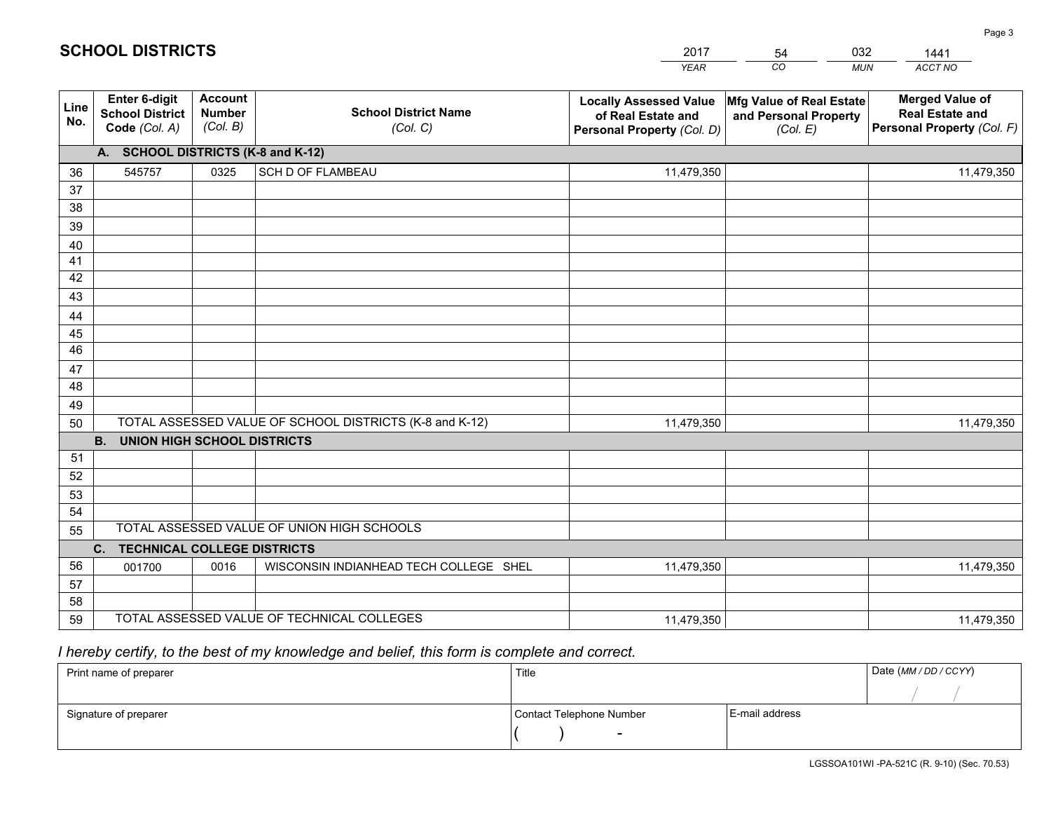|             |                                                          |                                             |                                                         | <b>YEAR</b>                                                                       | CO<br><b>MUN</b>                                              | ACCT NO                                                                        |
|-------------|----------------------------------------------------------|---------------------------------------------|---------------------------------------------------------|-----------------------------------------------------------------------------------|---------------------------------------------------------------|--------------------------------------------------------------------------------|
| Line<br>No. | Enter 6-digit<br><b>School District</b><br>Code (Col. A) | <b>Account</b><br><b>Number</b><br>(Col. B) | <b>School District Name</b><br>(Col. C)                 | <b>Locally Assessed Value</b><br>of Real Estate and<br>Personal Property (Col. D) | Mfg Value of Real Estate<br>and Personal Property<br>(Col. E) | <b>Merged Value of</b><br><b>Real Estate and</b><br>Personal Property (Col. F) |
|             | A. SCHOOL DISTRICTS (K-8 and K-12)                       |                                             |                                                         |                                                                                   |                                                               |                                                                                |
| 36          | 545757                                                   | 0325                                        | SCH D OF FLAMBEAU                                       | 11,479,350                                                                        |                                                               | 11,479,350                                                                     |
| 37          |                                                          |                                             |                                                         |                                                                                   |                                                               |                                                                                |
| 38          |                                                          |                                             |                                                         |                                                                                   |                                                               |                                                                                |
| 39          |                                                          |                                             |                                                         |                                                                                   |                                                               |                                                                                |
| 40          |                                                          |                                             |                                                         |                                                                                   |                                                               |                                                                                |
| 41          |                                                          |                                             |                                                         |                                                                                   |                                                               |                                                                                |
| 42          |                                                          |                                             |                                                         |                                                                                   |                                                               |                                                                                |
| 43          |                                                          |                                             |                                                         |                                                                                   |                                                               |                                                                                |
| 44<br>45    |                                                          |                                             |                                                         |                                                                                   |                                                               |                                                                                |
| 46          |                                                          |                                             |                                                         |                                                                                   |                                                               |                                                                                |
| 47          |                                                          |                                             |                                                         |                                                                                   |                                                               |                                                                                |
| 48          |                                                          |                                             |                                                         |                                                                                   |                                                               |                                                                                |
| 49          |                                                          |                                             |                                                         |                                                                                   |                                                               |                                                                                |
| 50          |                                                          |                                             | TOTAL ASSESSED VALUE OF SCHOOL DISTRICTS (K-8 and K-12) | 11,479,350                                                                        |                                                               | 11,479,350                                                                     |
|             | <b>B.</b><br><b>UNION HIGH SCHOOL DISTRICTS</b>          |                                             |                                                         |                                                                                   |                                                               |                                                                                |
| 51          |                                                          |                                             |                                                         |                                                                                   |                                                               |                                                                                |
| 52          |                                                          |                                             |                                                         |                                                                                   |                                                               |                                                                                |
| 53          |                                                          |                                             |                                                         |                                                                                   |                                                               |                                                                                |
| 54          |                                                          |                                             |                                                         |                                                                                   |                                                               |                                                                                |
| 55          |                                                          |                                             | TOTAL ASSESSED VALUE OF UNION HIGH SCHOOLS              |                                                                                   |                                                               |                                                                                |
|             | $C_{1}$<br><b>TECHNICAL COLLEGE DISTRICTS</b>            |                                             |                                                         |                                                                                   |                                                               |                                                                                |
| 56          | 001700                                                   | 0016                                        | WISCONSIN INDIANHEAD TECH COLLEGE SHEL                  | 11,479,350                                                                        |                                                               | 11,479,350                                                                     |
| 57          |                                                          |                                             |                                                         |                                                                                   |                                                               |                                                                                |
| 58          |                                                          |                                             |                                                         |                                                                                   |                                                               |                                                                                |
| 59          |                                                          |                                             | TOTAL ASSESSED VALUE OF TECHNICAL COLLEGES              | 11,479,350                                                                        |                                                               | 11,479,350                                                                     |

2017

54

032

 *I hereby certify, to the best of my knowledge and belief, this form is complete and correct.*

**SCHOOL DISTRICTS**

| Print name of preparer | Title                    |                | Date (MM / DD / CCYY) |
|------------------------|--------------------------|----------------|-----------------------|
|                        |                          |                |                       |
| Signature of preparer  | Contact Telephone Number | E-mail address |                       |
|                        | $\sim$                   |                |                       |

1441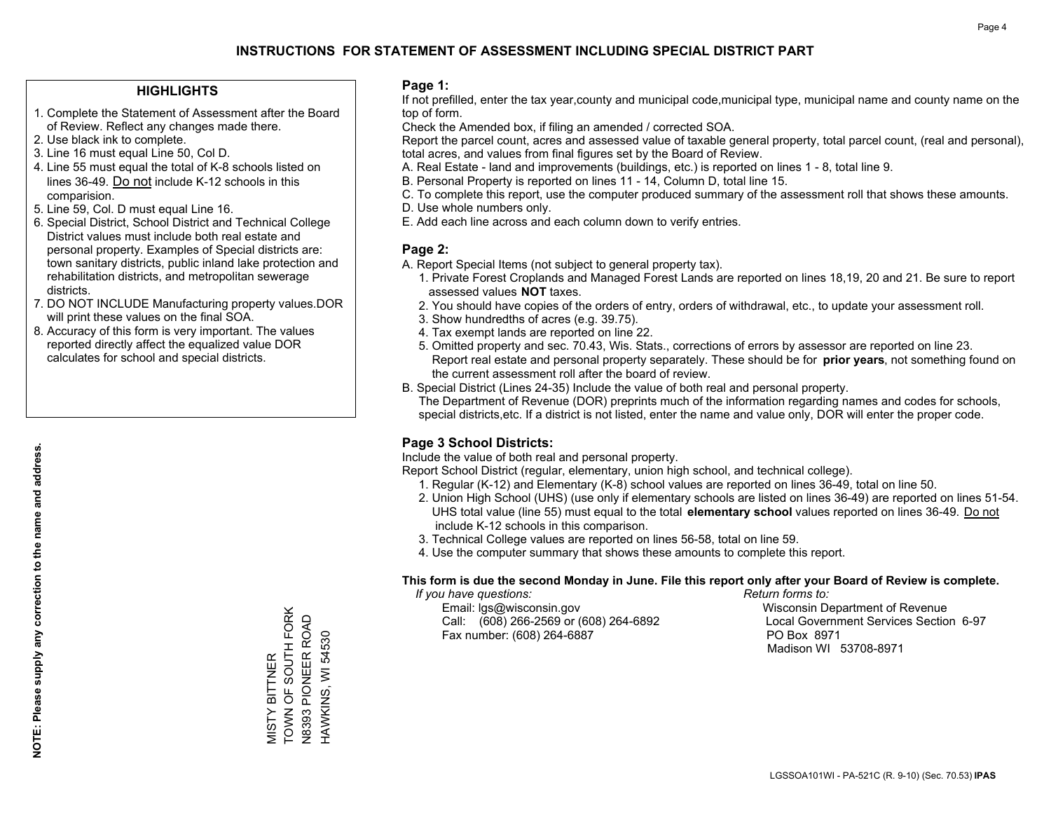#### **HIGHLIGHTS**

- 1. Complete the Statement of Assessment after the Board of Review. Reflect any changes made there.
- 2. Use black ink to complete.
- 3. Line 16 must equal Line 50, Col D.
- 4. Line 55 must equal the total of K-8 schools listed on lines 36-49. Do not include K-12 schools in this comparision.
- 5. Line 59, Col. D must equal Line 16.
- 6. Special District, School District and Technical College District values must include both real estate and personal property. Examples of Special districts are: town sanitary districts, public inland lake protection and rehabilitation districts, and metropolitan sewerage districts.
- 7. DO NOT INCLUDE Manufacturing property values.DOR will print these values on the final SOA.

MISTY BITTNER

TOWN OF SOUTH FORK N8393 PIONEER ROAD HAWKINS, WI 54530

VIISTY BITTNER<br>TOWN OF SOUTH FORK **V8393 PIONEER ROAD** HAWKINS, WI 54530

 8. Accuracy of this form is very important. The values reported directly affect the equalized value DOR calculates for school and special districts.

#### **Page 1:**

 If not prefilled, enter the tax year,county and municipal code,municipal type, municipal name and county name on the top of form.

Check the Amended box, if filing an amended / corrected SOA.

 Report the parcel count, acres and assessed value of taxable general property, total parcel count, (real and personal), total acres, and values from final figures set by the Board of Review.

- A. Real Estate land and improvements (buildings, etc.) is reported on lines 1 8, total line 9.
- B. Personal Property is reported on lines 11 14, Column D, total line 15.
- C. To complete this report, use the computer produced summary of the assessment roll that shows these amounts.
- D. Use whole numbers only.
- E. Add each line across and each column down to verify entries.

### **Page 2:**

- A. Report Special Items (not subject to general property tax).
- 1. Private Forest Croplands and Managed Forest Lands are reported on lines 18,19, 20 and 21. Be sure to report assessed values **NOT** taxes.
- 2. You should have copies of the orders of entry, orders of withdrawal, etc., to update your assessment roll.
	- 3. Show hundredths of acres (e.g. 39.75).
- 4. Tax exempt lands are reported on line 22.
- 5. Omitted property and sec. 70.43, Wis. Stats., corrections of errors by assessor are reported on line 23. Report real estate and personal property separately. These should be for **prior years**, not something found on the current assessment roll after the board of review.
- B. Special District (Lines 24-35) Include the value of both real and personal property.
- The Department of Revenue (DOR) preprints much of the information regarding names and codes for schools, special districts,etc. If a district is not listed, enter the name and value only, DOR will enter the proper code.

### **Page 3 School Districts:**

Include the value of both real and personal property.

Report School District (regular, elementary, union high school, and technical college).

- 1. Regular (K-12) and Elementary (K-8) school values are reported on lines 36-49, total on line 50.
- 2. Union High School (UHS) (use only if elementary schools are listed on lines 36-49) are reported on lines 51-54. UHS total value (line 55) must equal to the total **elementary school** values reported on lines 36-49. Do notinclude K-12 schools in this comparison.
- 3. Technical College values are reported on lines 56-58, total on line 59.
- 4. Use the computer summary that shows these amounts to complete this report.

#### **This form is due the second Monday in June. File this report only after your Board of Review is complete.**

 *If you have questions: Return forms to:*

 Email: lgs@wisconsin.gov Wisconsin Department of RevenueCall:  $(608)$  266-2569 or  $(608)$  264-6892 Fax number: (608) 264-6887 PO Box 8971

Local Government Services Section 6-97 Madison WI 53708-8971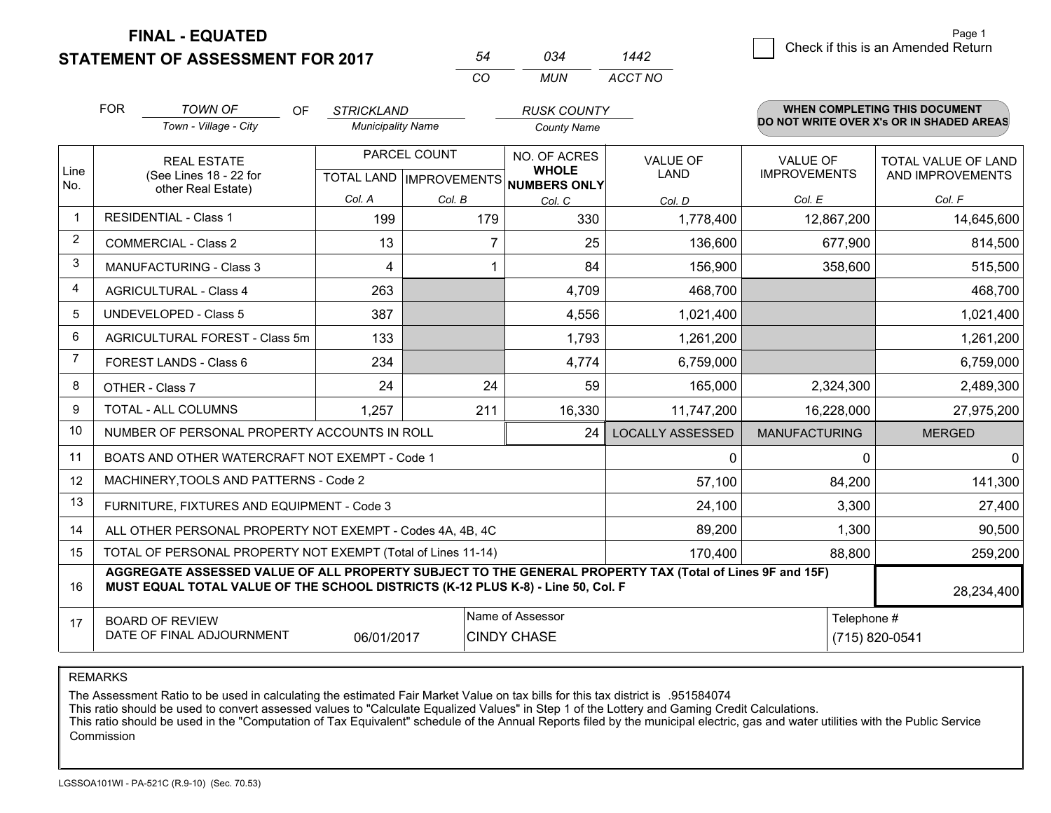**STATEMENT OF ASSESSMENT FOR 2017 FINAL - EQUATED**

2 Check if this is an Amended Return Page 1

|                | <b>FOR</b>                                                                                                                                                                                   | <b>TOWN OF</b><br><b>OF</b>                                  | <b>STRICKLAND</b>        |                           | <b>RUSK COUNTY</b>                  |                         |                      | <b>WHEN COMPLETING THIS DOCUMENT</b>     |
|----------------|----------------------------------------------------------------------------------------------------------------------------------------------------------------------------------------------|--------------------------------------------------------------|--------------------------|---------------------------|-------------------------------------|-------------------------|----------------------|------------------------------------------|
|                |                                                                                                                                                                                              | Town - Village - City                                        | <b>Municipality Name</b> |                           | <b>County Name</b>                  |                         |                      | DO NOT WRITE OVER X's OR IN SHADED AREAS |
|                |                                                                                                                                                                                              | <b>REAL ESTATE</b>                                           |                          | PARCEL COUNT              | NO. OF ACRES                        | <b>VALUE OF</b>         | <b>VALUE OF</b>      | TOTAL VALUE OF LAND                      |
| Line<br>No.    |                                                                                                                                                                                              | (See Lines 18 - 22 for<br>other Real Estate)                 |                          | TOTAL LAND   IMPROVEMENTS | <b>WHOLE</b><br><b>NUMBERS ONLY</b> | LAND                    | <b>IMPROVEMENTS</b>  | AND IMPROVEMENTS                         |
|                |                                                                                                                                                                                              |                                                              | Col. A                   | Col. B                    | Col. C                              | Col. D                  | Col. E               | Col. F                                   |
| $\mathbf{1}$   |                                                                                                                                                                                              | <b>RESIDENTIAL - Class 1</b>                                 | 199                      | 179                       | 330                                 | 1,778,400               | 12,867,200           | 14,645,600                               |
| $\overline{2}$ |                                                                                                                                                                                              | <b>COMMERCIAL - Class 2</b>                                  | 13                       |                           | 7<br>25                             | 136,600                 | 677,900              | 814,500                                  |
| 3              |                                                                                                                                                                                              | MANUFACTURING - Class 3                                      | 4                        |                           | 84<br>1                             | 156,900                 | 358,600              | 515,500                                  |
| 4              |                                                                                                                                                                                              | <b>AGRICULTURAL - Class 4</b>                                | 263                      |                           | 4,709                               | 468,700                 |                      | 468,700                                  |
| 5              |                                                                                                                                                                                              | <b>UNDEVELOPED - Class 5</b>                                 | 387                      |                           | 4,556                               | 1,021,400               |                      | 1,021,400                                |
| 6              |                                                                                                                                                                                              | AGRICULTURAL FOREST - Class 5m                               | 133                      |                           | 1,793                               | 1,261,200               |                      | 1,261,200                                |
| $\overline{7}$ |                                                                                                                                                                                              | FOREST LANDS - Class 6                                       | 234                      |                           | 4,774                               | 6,759,000               |                      | 6,759,000                                |
| 8              |                                                                                                                                                                                              | OTHER - Class 7                                              | 24                       | 24                        | 59                                  | 165,000                 | 2,324,300            | 2,489,300                                |
| 9              |                                                                                                                                                                                              | TOTAL - ALL COLUMNS                                          | 1,257                    | 211                       | 16,330                              | 11,747,200              | 16,228,000           | 27,975,200                               |
| 10             |                                                                                                                                                                                              | NUMBER OF PERSONAL PROPERTY ACCOUNTS IN ROLL                 |                          |                           | 24                                  | <b>LOCALLY ASSESSED</b> | <b>MANUFACTURING</b> | <b>MERGED</b>                            |
| 11             |                                                                                                                                                                                              | BOATS AND OTHER WATERCRAFT NOT EXEMPT - Code 1               |                          |                           |                                     | 0                       | $\Omega$             | 0                                        |
| 12             |                                                                                                                                                                                              | MACHINERY, TOOLS AND PATTERNS - Code 2                       |                          |                           |                                     | 57,100                  | 84,200               | 141,300                                  |
| 13             |                                                                                                                                                                                              | FURNITURE, FIXTURES AND EQUIPMENT - Code 3                   |                          |                           |                                     | 24,100                  | 3,300                | 27,400                                   |
| 14             |                                                                                                                                                                                              | ALL OTHER PERSONAL PROPERTY NOT EXEMPT - Codes 4A, 4B, 4C    |                          |                           |                                     | 89,200                  | 1,300                | 90,500                                   |
| 15             |                                                                                                                                                                                              | TOTAL OF PERSONAL PROPERTY NOT EXEMPT (Total of Lines 11-14) |                          |                           |                                     | 170,400                 | 88,800               | 259,200                                  |
| 16             | AGGREGATE ASSESSED VALUE OF ALL PROPERTY SUBJECT TO THE GENERAL PROPERTY TAX (Total of Lines 9F and 15F)<br>MUST EQUAL TOTAL VALUE OF THE SCHOOL DISTRICTS (K-12 PLUS K-8) - Line 50, Col. F |                                                              |                          |                           |                                     |                         |                      | 28,234,400                               |
| 17             |                                                                                                                                                                                              | <b>BOARD OF REVIEW</b>                                       |                          |                           | Name of Assessor                    |                         | Telephone #          |                                          |
|                | DATE OF FINAL ADJOURNMENT<br>06/01/2017<br><b>CINDY CHASE</b><br>(715) 820-0541                                                                                                              |                                                              |                          |                           |                                     |                         |                      |                                          |

*CO*

*MUN*

*ACCT NO1442*

*<sup>54</sup> <sup>034</sup>*

REMARKS

The Assessment Ratio to be used in calculating the estimated Fair Market Value on tax bills for this tax district is .951584074<br>This ratio should be used to convert assessed values to "Calculate Equalized Values" in Step 1 Commission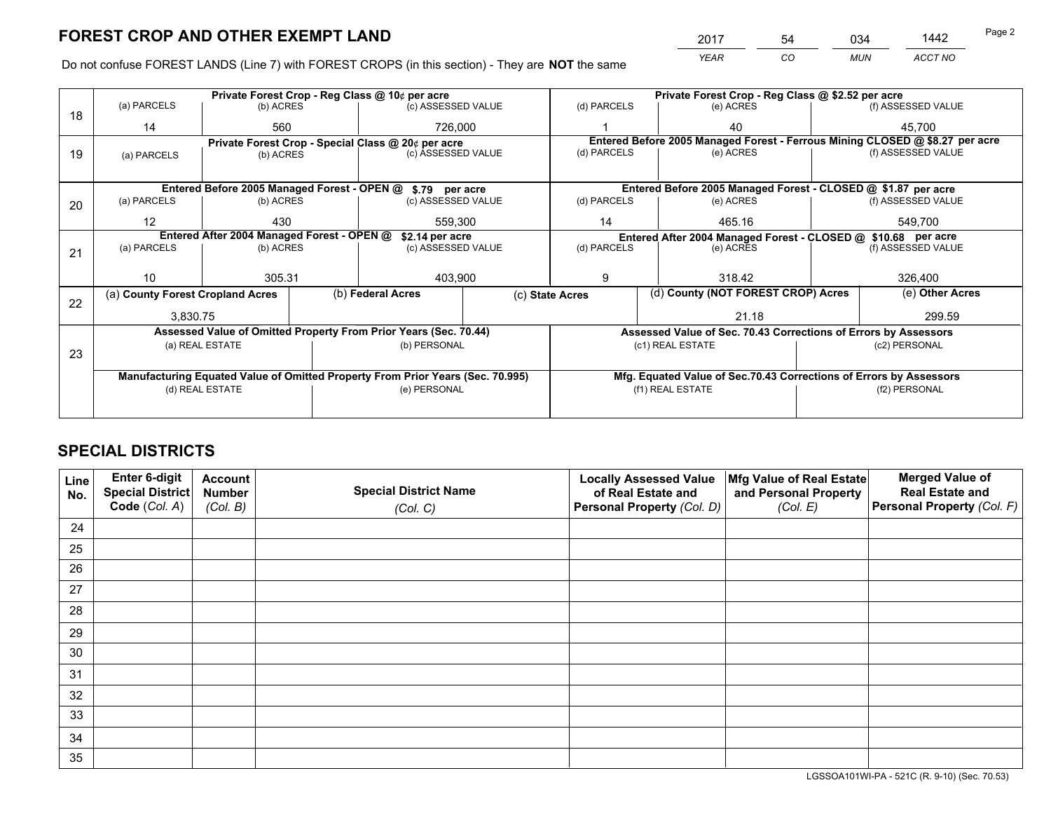*YEAR CO MUN ACCT NO* <sup>2017</sup> <sup>54</sup> <sup>034</sup> <sup>1442</sup> Page 2

Do not confuse FOREST LANDS (Line 7) with FOREST CROPS (in this section) - They are **NOT** the same

|    |                                                                        | Private Forest Crop - Reg Class @ 10¢ per acre                   |                                                                                |                                                    |                  | Private Forest Crop - Reg Class @ \$2.52 per acre                  |                                                                              |  |                    |  |
|----|------------------------------------------------------------------------|------------------------------------------------------------------|--------------------------------------------------------------------------------|----------------------------------------------------|------------------|--------------------------------------------------------------------|------------------------------------------------------------------------------|--|--------------------|--|
| 18 | (a) PARCELS                                                            | (b) ACRES                                                        |                                                                                | (c) ASSESSED VALUE                                 |                  | (d) PARCELS                                                        | (e) ACRES                                                                    |  | (f) ASSESSED VALUE |  |
|    | 14                                                                     | 560                                                              |                                                                                | 726,000                                            |                  |                                                                    | 40                                                                           |  | 45.700             |  |
|    |                                                                        |                                                                  |                                                                                | Private Forest Crop - Special Class @ 20¢ per acre |                  |                                                                    | Entered Before 2005 Managed Forest - Ferrous Mining CLOSED @ \$8.27 per acre |  |                    |  |
| 19 | (a) PARCELS                                                            | (b) ACRES                                                        |                                                                                | (c) ASSESSED VALUE                                 |                  | (d) PARCELS                                                        | (e) ACRES                                                                    |  | (f) ASSESSED VALUE |  |
|    |                                                                        |                                                                  |                                                                                |                                                    |                  |                                                                    |                                                                              |  |                    |  |
|    |                                                                        | Entered Before 2005 Managed Forest - OPEN @ \$.79 per acre       |                                                                                |                                                    |                  | Entered Before 2005 Managed Forest - CLOSED @ \$1.87 per acre      |                                                                              |  |                    |  |
| 20 | (a) PARCELS                                                            | (b) ACRES                                                        |                                                                                | (c) ASSESSED VALUE                                 |                  | (d) PARCELS                                                        | (e) ACRES                                                                    |  | (f) ASSESSED VALUE |  |
|    | 12                                                                     | 430                                                              |                                                                                | 559,300                                            |                  | 14                                                                 | 465.16                                                                       |  | 549,700            |  |
|    |                                                                        |                                                                  |                                                                                |                                                    |                  |                                                                    |                                                                              |  |                    |  |
|    | Entered After 2004 Managed Forest - OPEN @<br>(a) PARCELS<br>(b) ACRES |                                                                  |                                                                                | \$2.14 per acre<br>(c) ASSESSED VALUE              |                  | (d) PARCELS                                                        | Entered After 2004 Managed Forest - CLOSED @ \$10.68 per acre<br>(e) ACRES   |  | (f) ASSESSED VALUE |  |
| 21 |                                                                        |                                                                  |                                                                                |                                                    |                  |                                                                    |                                                                              |  |                    |  |
|    |                                                                        |                                                                  |                                                                                |                                                    |                  |                                                                    |                                                                              |  | 326,400            |  |
|    | 10                                                                     | 305.31                                                           |                                                                                | 403,900                                            |                  | 9                                                                  | 318.42                                                                       |  |                    |  |
|    | (a) County Forest Cropland Acres                                       |                                                                  |                                                                                | (b) Federal Acres                                  |                  | (d) County (NOT FOREST CROP) Acres<br>(c) State Acres              |                                                                              |  | (e) Other Acres    |  |
| 22 | 3.830.75                                                               |                                                                  |                                                                                |                                                    |                  | 21.18                                                              |                                                                              |  | 299.59             |  |
|    |                                                                        | Assessed Value of Omitted Property From Prior Years (Sec. 70.44) |                                                                                |                                                    |                  |                                                                    | Assessed Value of Sec. 70.43 Corrections of Errors by Assessors              |  |                    |  |
|    |                                                                        | (a) REAL ESTATE                                                  |                                                                                | (b) PERSONAL                                       |                  |                                                                    | (c1) REAL ESTATE                                                             |  | (c2) PERSONAL      |  |
| 23 |                                                                        |                                                                  |                                                                                |                                                    |                  |                                                                    |                                                                              |  |                    |  |
|    |                                                                        |                                                                  |                                                                                |                                                    |                  |                                                                    |                                                                              |  |                    |  |
|    |                                                                        |                                                                  |                                                                                |                                                    |                  |                                                                    |                                                                              |  |                    |  |
|    | (d) REAL ESTATE                                                        |                                                                  | (e) PERSONAL                                                                   |                                                    | (f1) REAL ESTATE |                                                                    | (f2) PERSONAL                                                                |  |                    |  |
|    |                                                                        |                                                                  |                                                                                |                                                    |                  |                                                                    |                                                                              |  |                    |  |
|    |                                                                        |                                                                  | Manufacturing Equated Value of Omitted Property From Prior Years (Sec. 70.995) |                                                    |                  | Mfg. Equated Value of Sec.70.43 Corrections of Errors by Assessors |                                                                              |  |                    |  |

# **SPECIAL DISTRICTS**

| Line<br>No. | Enter 6-digit<br>Special District<br>Code (Col. A) | <b>Account</b><br><b>Number</b> | <b>Special District Name</b> | <b>Locally Assessed Value</b><br>of Real Estate and | Mfg Value of Real Estate<br>and Personal Property | <b>Merged Value of</b><br><b>Real Estate and</b><br>Personal Property (Col. F) |
|-------------|----------------------------------------------------|---------------------------------|------------------------------|-----------------------------------------------------|---------------------------------------------------|--------------------------------------------------------------------------------|
|             |                                                    | (Col. B)                        | (Col. C)                     | Personal Property (Col. D)                          | (Col. E)                                          |                                                                                |
| 24          |                                                    |                                 |                              |                                                     |                                                   |                                                                                |
| 25          |                                                    |                                 |                              |                                                     |                                                   |                                                                                |
| 26          |                                                    |                                 |                              |                                                     |                                                   |                                                                                |
| 27          |                                                    |                                 |                              |                                                     |                                                   |                                                                                |
| 28          |                                                    |                                 |                              |                                                     |                                                   |                                                                                |
| 29          |                                                    |                                 |                              |                                                     |                                                   |                                                                                |
| 30          |                                                    |                                 |                              |                                                     |                                                   |                                                                                |
| 31          |                                                    |                                 |                              |                                                     |                                                   |                                                                                |
| 32          |                                                    |                                 |                              |                                                     |                                                   |                                                                                |
| 33          |                                                    |                                 |                              |                                                     |                                                   |                                                                                |
| 34          |                                                    |                                 |                              |                                                     |                                                   |                                                                                |
| 35          |                                                    |                                 |                              |                                                     |                                                   |                                                                                |

LGSSOA101WI-PA - 521C (R. 9-10) (Sec. 70.53)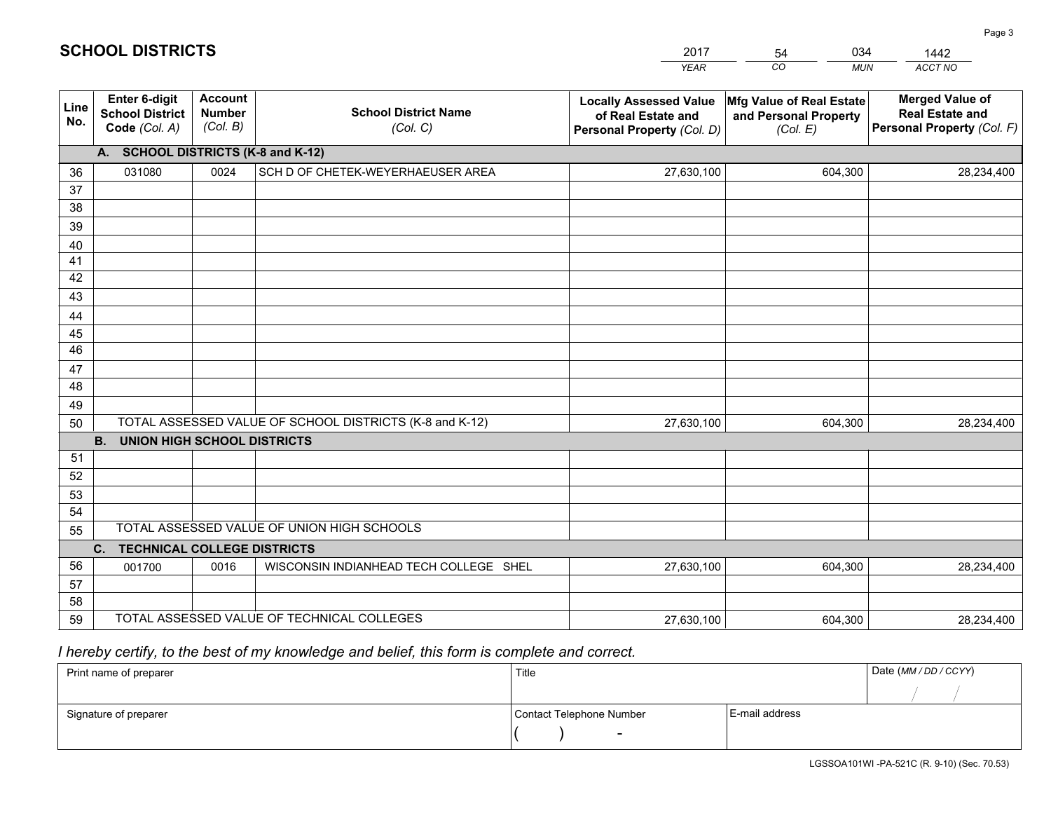|             |                                                          |                                             |                                                         | <b>YEAR</b>                                                                       | CO<br><b>MUN</b>                                              | ACCT NO                                                                        |
|-------------|----------------------------------------------------------|---------------------------------------------|---------------------------------------------------------|-----------------------------------------------------------------------------------|---------------------------------------------------------------|--------------------------------------------------------------------------------|
| Line<br>No. | Enter 6-digit<br><b>School District</b><br>Code (Col. A) | <b>Account</b><br><b>Number</b><br>(Col. B) | <b>School District Name</b><br>(Col. C)                 | <b>Locally Assessed Value</b><br>of Real Estate and<br>Personal Property (Col. D) | Mfg Value of Real Estate<br>and Personal Property<br>(Col. E) | <b>Merged Value of</b><br><b>Real Estate and</b><br>Personal Property (Col. F) |
|             | <b>SCHOOL DISTRICTS (K-8 and K-12)</b><br>А.             |                                             |                                                         |                                                                                   |                                                               |                                                                                |
| 36          | 031080                                                   | 0024                                        | SCH D OF CHETEK-WEYERHAEUSER AREA                       | 27,630,100                                                                        | 604,300                                                       | 28,234,400                                                                     |
| 37          |                                                          |                                             |                                                         |                                                                                   |                                                               |                                                                                |
| 38          |                                                          |                                             |                                                         |                                                                                   |                                                               |                                                                                |
| 39          |                                                          |                                             |                                                         |                                                                                   |                                                               |                                                                                |
| 40          |                                                          |                                             |                                                         |                                                                                   |                                                               |                                                                                |
| 41          |                                                          |                                             |                                                         |                                                                                   |                                                               |                                                                                |
| 42          |                                                          |                                             |                                                         |                                                                                   |                                                               |                                                                                |
| 43          |                                                          |                                             |                                                         |                                                                                   |                                                               |                                                                                |
| 44<br>45    |                                                          |                                             |                                                         |                                                                                   |                                                               |                                                                                |
| 46          |                                                          |                                             |                                                         |                                                                                   |                                                               |                                                                                |
| 47          |                                                          |                                             |                                                         |                                                                                   |                                                               |                                                                                |
| 48          |                                                          |                                             |                                                         |                                                                                   |                                                               |                                                                                |
| 49          |                                                          |                                             |                                                         |                                                                                   |                                                               |                                                                                |
| 50          |                                                          |                                             | TOTAL ASSESSED VALUE OF SCHOOL DISTRICTS (K-8 and K-12) | 27,630,100                                                                        | 604,300                                                       | 28,234,400                                                                     |
|             | <b>B.</b><br><b>UNION HIGH SCHOOL DISTRICTS</b>          |                                             |                                                         |                                                                                   |                                                               |                                                                                |
| 51          |                                                          |                                             |                                                         |                                                                                   |                                                               |                                                                                |
| 52          |                                                          |                                             |                                                         |                                                                                   |                                                               |                                                                                |
| 53          |                                                          |                                             |                                                         |                                                                                   |                                                               |                                                                                |
| 54          |                                                          |                                             |                                                         |                                                                                   |                                                               |                                                                                |
| 55          |                                                          |                                             | TOTAL ASSESSED VALUE OF UNION HIGH SCHOOLS              |                                                                                   |                                                               |                                                                                |
|             | C.<br><b>TECHNICAL COLLEGE DISTRICTS</b>                 |                                             |                                                         |                                                                                   |                                                               |                                                                                |
| 56          | 001700                                                   | 0016                                        | WISCONSIN INDIANHEAD TECH COLLEGE SHEL                  | 27,630,100                                                                        | 604,300                                                       | 28,234,400                                                                     |
| 57<br>58    |                                                          |                                             |                                                         |                                                                                   |                                                               |                                                                                |
| 59          |                                                          |                                             | TOTAL ASSESSED VALUE OF TECHNICAL COLLEGES              | 27,630,100                                                                        | 604,300                                                       | 28,234,400                                                                     |
|             |                                                          |                                             |                                                         |                                                                                   |                                                               |                                                                                |

# *I hereby certify, to the best of my knowledge and belief, this form is complete and correct.*

**SCHOOL DISTRICTS**

| Print name of preparer | Title                    | Date (MM / DD / CCYY) |  |
|------------------------|--------------------------|-----------------------|--|
|                        |                          |                       |  |
| Signature of preparer  | Contact Telephone Number | E-mail address        |  |
|                        | $\overline{\phantom{0}}$ |                       |  |

1442

Page 3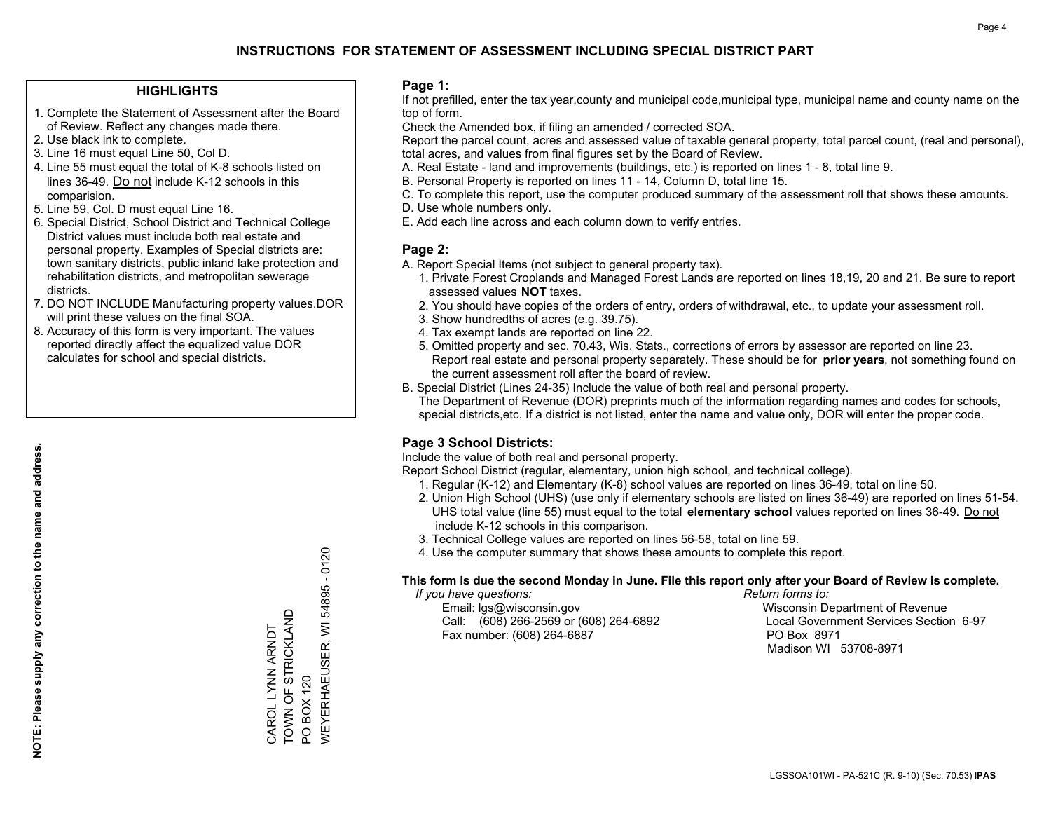#### **HIGHLIGHTS**

- 1. Complete the Statement of Assessment after the Board of Review. Reflect any changes made there.
- 2. Use black ink to complete.
- 3. Line 16 must equal Line 50, Col D.
- 4. Line 55 must equal the total of K-8 schools listed on lines 36-49. Do not include K-12 schools in this comparision.
- 5. Line 59, Col. D must equal Line 16.
- 6. Special District, School District and Technical College District values must include both real estate and personal property. Examples of Special districts are: town sanitary districts, public inland lake protection and rehabilitation districts, and metropolitan sewerage districts.
- 7. DO NOT INCLUDE Manufacturing property values.DOR will print these values on the final SOA.
- 8. Accuracy of this form is very important. The values reported directly affect the equalized value DOR calculates for school and special districts.

#### **Page 1:**

 If not prefilled, enter the tax year,county and municipal code,municipal type, municipal name and county name on the top of form.

Check the Amended box, if filing an amended / corrected SOA.

 Report the parcel count, acres and assessed value of taxable general property, total parcel count, (real and personal), total acres, and values from final figures set by the Board of Review.

- A. Real Estate land and improvements (buildings, etc.) is reported on lines 1 8, total line 9.
- B. Personal Property is reported on lines 11 14, Column D, total line 15.
- C. To complete this report, use the computer produced summary of the assessment roll that shows these amounts.
- D. Use whole numbers only.
- E. Add each line across and each column down to verify entries.

#### **Page 2:**

- A. Report Special Items (not subject to general property tax).
- 1. Private Forest Croplands and Managed Forest Lands are reported on lines 18,19, 20 and 21. Be sure to report assessed values **NOT** taxes.
- 2. You should have copies of the orders of entry, orders of withdrawal, etc., to update your assessment roll.
	- 3. Show hundredths of acres (e.g. 39.75).
- 4. Tax exempt lands are reported on line 22.
- 5. Omitted property and sec. 70.43, Wis. Stats., corrections of errors by assessor are reported on line 23. Report real estate and personal property separately. These should be for **prior years**, not something found on the current assessment roll after the board of review.
- B. Special District (Lines 24-35) Include the value of both real and personal property.
- The Department of Revenue (DOR) preprints much of the information regarding names and codes for schools, special districts,etc. If a district is not listed, enter the name and value only, DOR will enter the proper code.

### **Page 3 School Districts:**

Include the value of both real and personal property.

Report School District (regular, elementary, union high school, and technical college).

- 1. Regular (K-12) and Elementary (K-8) school values are reported on lines 36-49, total on line 50.
- 2. Union High School (UHS) (use only if elementary schools are listed on lines 36-49) are reported on lines 51-54. UHS total value (line 55) must equal to the total **elementary school** values reported on lines 36-49. Do notinclude K-12 schools in this comparison.
- 3. Technical College values are reported on lines 56-58, total on line 59.
- 4. Use the computer summary that shows these amounts to complete this report.

#### **This form is due the second Monday in June. File this report only after your Board of Review is complete.**

 *If you have questions: Return forms to:*

 Email: lgs@wisconsin.gov Wisconsin Department of RevenueCall:  $(608)$  266-2569 or  $(608)$  264-6892 Fax number: (608) 264-6887 PO Box 8971

Local Government Services Section 6-97 Madison WI 53708-8971

54895 - 0120 WEYERHAEUSER, WI 54895 - 0120 TOWN OF STRICKLAND CAROL LYNN ARNDT<br>TOWN OF STRICKLAND **NEYERHAEUSER, WI** CAROL LYNN ARNDT PO BOX 120 PO BOX 120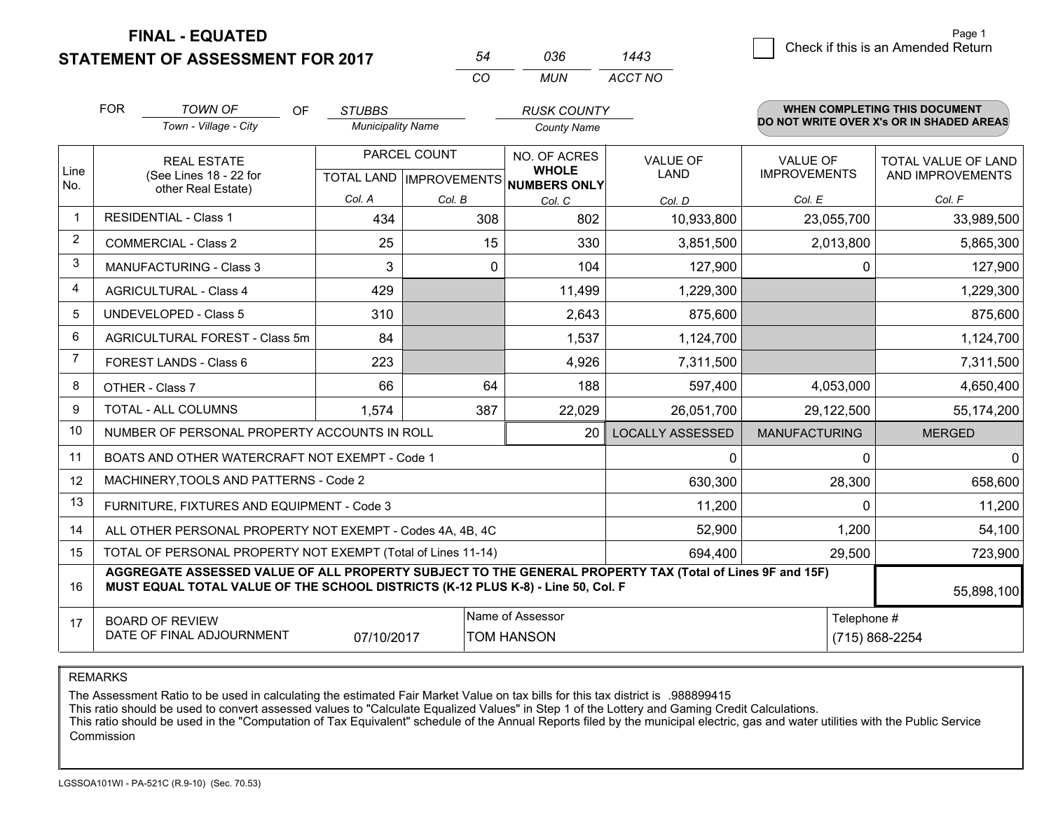**FINAL - EQUATED**

**STATEMENT OF ASSESSMENT FOR 2017** 

|                                    | Page 1 |
|------------------------------------|--------|
| Check if this is an Amended Return |        |
|                                    |        |

|                | <b>FOR</b>                                                                                                                                                                                                 | <b>TOWN OF</b><br><b>OF</b>                    | <b>STUBBS</b>            |        | <b>RUSK COUNTY</b>                                       |                         |                      | <b>WHEN COMPLETING THIS DOCUMENT</b>     |
|----------------|------------------------------------------------------------------------------------------------------------------------------------------------------------------------------------------------------------|------------------------------------------------|--------------------------|--------|----------------------------------------------------------|-------------------------|----------------------|------------------------------------------|
|                |                                                                                                                                                                                                            | Town - Village - City                          | <b>Municipality Name</b> |        | <b>County Name</b>                                       |                         |                      | DO NOT WRITE OVER X's OR IN SHADED AREAS |
|                |                                                                                                                                                                                                            | <b>REAL ESTATE</b>                             | PARCEL COUNT             |        | NO. OF ACRES                                             | <b>VALUE OF</b>         | <b>VALUE OF</b>      | TOTAL VALUE OF LAND                      |
| Line<br>No.    |                                                                                                                                                                                                            | (See Lines 18 - 22 for<br>other Real Estate)   |                          |        | <b>WHOLE</b><br>TOTAL LAND   IMPROVEMENTS   NUMBERS ONLY | LAND                    | <b>IMPROVEMENTS</b>  | AND IMPROVEMENTS                         |
|                |                                                                                                                                                                                                            |                                                | Col. A                   | Col. B | Col. C                                                   | Col. D                  | Col. E               | Col. F                                   |
| $\overline{1}$ |                                                                                                                                                                                                            | RESIDENTIAL - Class 1                          | 434                      | 308    | 802                                                      | 10,933,800              | 23,055,700           | 33,989,500                               |
| $\overline{2}$ |                                                                                                                                                                                                            | <b>COMMERCIAL - Class 2</b>                    | 25                       | 15     | 330                                                      | 3,851,500               | 2,013,800            | 5,865,300                                |
| 3              |                                                                                                                                                                                                            | <b>MANUFACTURING - Class 3</b>                 | 3                        |        | 0<br>104                                                 | 127,900                 | $\Omega$             | 127,900                                  |
| $\overline{4}$ |                                                                                                                                                                                                            | <b>AGRICULTURAL - Class 4</b>                  | 429                      |        | 11,499                                                   | 1,229,300               |                      | 1,229,300                                |
| 5              |                                                                                                                                                                                                            | <b>UNDEVELOPED - Class 5</b>                   | 310                      |        | 2,643                                                    | 875,600                 |                      | 875,600                                  |
| 6              |                                                                                                                                                                                                            | AGRICULTURAL FOREST - Class 5m                 | 84                       |        | 1,537                                                    | 1,124,700               |                      | 1,124,700                                |
| $\overline{7}$ | FOREST LANDS - Class 6                                                                                                                                                                                     |                                                | 223                      |        | 4,926                                                    | 7,311,500               |                      | 7,311,500                                |
| 8              | OTHER - Class 7                                                                                                                                                                                            |                                                | 66                       | 64     | 188                                                      | 597,400                 | 4,053,000            | 4,650,400                                |
| 9              |                                                                                                                                                                                                            | TOTAL - ALL COLUMNS                            | 1,574                    | 387    | 22,029                                                   | 26,051,700              | 29,122,500           | 55,174,200                               |
| 10             | NUMBER OF PERSONAL PROPERTY ACCOUNTS IN ROLL                                                                                                                                                               |                                                |                          |        |                                                          | <b>LOCALLY ASSESSED</b> | <b>MANUFACTURING</b> | <b>MERGED</b>                            |
| 11             |                                                                                                                                                                                                            | BOATS AND OTHER WATERCRAFT NOT EXEMPT - Code 1 |                          | 0      | $\Omega$                                                 | 0                       |                      |                                          |
| 12             |                                                                                                                                                                                                            | MACHINERY, TOOLS AND PATTERNS - Code 2         |                          |        |                                                          | 630,300                 | 28,300               | 658,600                                  |
| 13             |                                                                                                                                                                                                            | FURNITURE, FIXTURES AND EQUIPMENT - Code 3     |                          |        |                                                          | 11,200                  | $\Omega$             | 11,200                                   |
| 14             | ALL OTHER PERSONAL PROPERTY NOT EXEMPT - Codes 4A, 4B, 4C                                                                                                                                                  |                                                |                          |        |                                                          |                         | 1,200                | 54,100                                   |
| 15             | TOTAL OF PERSONAL PROPERTY NOT EXEMPT (Total of Lines 11-14)                                                                                                                                               |                                                |                          |        |                                                          |                         | 29,500               | 723,900                                  |
| 16             | AGGREGATE ASSESSED VALUE OF ALL PROPERTY SUBJECT TO THE GENERAL PROPERTY TAX (Total of Lines 9F and 15F)<br>MUST EQUAL TOTAL VALUE OF THE SCHOOL DISTRICTS (K-12 PLUS K-8) - Line 50, Col. F<br>55,898,100 |                                                |                          |        |                                                          |                         |                      |                                          |
| 17             | Name of Assessor<br><b>BOARD OF REVIEW</b><br>DATE OF FINAL ADJOURNMENT<br>07/10/2017<br><b>TOM HANSON</b>                                                                                                 |                                                |                          |        |                                                          | Telephone #             | (715) 868-2254       |                                          |

*CO*

*MUN*

*ACCT NO1443*

*<sup>54</sup> <sup>036</sup>*

REMARKS

The Assessment Ratio to be used in calculating the estimated Fair Market Value on tax bills for this tax district is .988899415<br>This ratio should be used to convert assessed values to "Calculate Equalized Values" in Step 1 Commission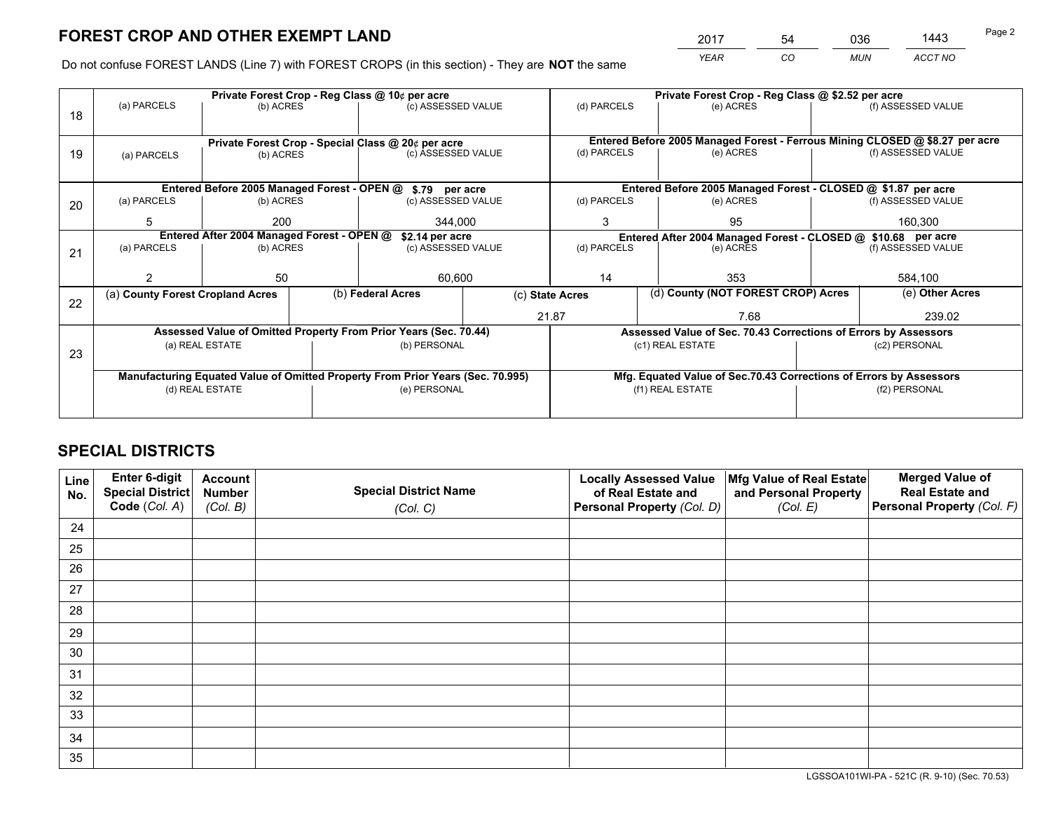*YEAR CO MUN ACCT NO* <sup>2017</sup> <sup>54</sup> <sup>036</sup> <sup>1443</sup>

Do not confuse FOREST LANDS (Line 7) with FOREST CROPS (in this section) - They are **NOT** the same

|    |                                                                                |                 | Private Forest Crop - Reg Class @ \$2.52 per acre               |                                                    |                                                                              |                                                               |                                                                    |                                    |               |                    |
|----|--------------------------------------------------------------------------------|-----------------|-----------------------------------------------------------------|----------------------------------------------------|------------------------------------------------------------------------------|---------------------------------------------------------------|--------------------------------------------------------------------|------------------------------------|---------------|--------------------|
| 18 | (a) PARCELS<br>(b) ACRES                                                       |                 |                                                                 | (c) ASSESSED VALUE                                 |                                                                              | (d) PARCELS                                                   |                                                                    | (e) ACRES                          |               | (f) ASSESSED VALUE |
|    |                                                                                |                 |                                                                 |                                                    |                                                                              |                                                               |                                                                    |                                    |               |                    |
|    |                                                                                |                 |                                                                 | Private Forest Crop - Special Class @ 20¢ per acre | Entered Before 2005 Managed Forest - Ferrous Mining CLOSED @ \$8.27 per acre |                                                               |                                                                    |                                    |               |                    |
| 19 | (a) PARCELS                                                                    | (b) ACRES       |                                                                 |                                                    | (c) ASSESSED VALUE                                                           |                                                               | (d) PARCELS                                                        | (e) ACRES                          |               | (f) ASSESSED VALUE |
|    |                                                                                |                 |                                                                 |                                                    |                                                                              |                                                               |                                                                    |                                    |               |                    |
|    |                                                                                |                 |                                                                 |                                                    | Entered Before 2005 Managed Forest - OPEN @ \$.79 per acre                   |                                                               | Entered Before 2005 Managed Forest - CLOSED @ \$1.87 per acre      |                                    |               |                    |
| 20 | (a) PARCELS<br>(b) ACRES                                                       |                 |                                                                 | (c) ASSESSED VALUE                                 |                                                                              | (d) PARCELS                                                   |                                                                    | (e) ACRES                          |               | (f) ASSESSED VALUE |
|    | 5                                                                              | 200             |                                                                 | 344.000                                            |                                                                              | 3                                                             |                                                                    | 95                                 |               | 160,300            |
|    | Entered After 2004 Managed Forest - OPEN @<br>\$2.14 per acre                  |                 |                                                                 |                                                    |                                                                              | Entered After 2004 Managed Forest - CLOSED @ \$10.68 per acre |                                                                    |                                    |               |                    |
| 21 | (a) PARCELS                                                                    | (b) ACRES       |                                                                 |                                                    | (d) PARCELS<br>(c) ASSESSED VALUE                                            |                                                               |                                                                    | (e) ACRES                          |               | (f) ASSESSED VALUE |
|    |                                                                                |                 |                                                                 |                                                    |                                                                              |                                                               |                                                                    |                                    |               |                    |
|    |                                                                                | 50              |                                                                 | 60,600                                             |                                                                              | 14                                                            |                                                                    | 353                                |               | 584,100            |
| 22 | (a) County Forest Cropland Acres                                               |                 |                                                                 | (b) Federal Acres                                  | (c) State Acres                                                              |                                                               |                                                                    | (d) County (NOT FOREST CROP) Acres |               | (e) Other Acres    |
|    |                                                                                |                 |                                                                 |                                                    |                                                                              | 21.87                                                         |                                                                    | 7.68                               |               | 239.02             |
|    | Assessed Value of Omitted Property From Prior Years (Sec. 70.44)               |                 | Assessed Value of Sec. 70.43 Corrections of Errors by Assessors |                                                    |                                                                              |                                                               |                                                                    |                                    |               |                    |
| 23 |                                                                                | (a) REAL ESTATE | (b) PERSONAL                                                    |                                                    |                                                                              |                                                               | (c1) REAL ESTATE                                                   |                                    | (c2) PERSONAL |                    |
|    |                                                                                |                 |                                                                 |                                                    |                                                                              |                                                               |                                                                    |                                    |               |                    |
|    | Manufacturing Equated Value of Omitted Property From Prior Years (Sec. 70.995) |                 |                                                                 |                                                    |                                                                              |                                                               | Mfg. Equated Value of Sec.70.43 Corrections of Errors by Assessors |                                    |               |                    |
|    | (d) REAL ESTATE                                                                |                 |                                                                 | (e) PERSONAL                                       | (f1) REAL ESTATE                                                             |                                                               | (f2) PERSONAL                                                      |                                    |               |                    |
|    |                                                                                |                 |                                                                 |                                                    |                                                                              |                                                               |                                                                    |                                    |               |                    |

# **SPECIAL DISTRICTS**

| Line<br>No. | Enter 6-digit<br><b>Special District</b> | <b>Account</b><br><b>Number</b> | <b>Special District Name</b> | <b>Locally Assessed Value</b><br>of Real Estate and | Mfg Value of Real Estate<br>and Personal Property | <b>Merged Value of</b><br><b>Real Estate and</b> |
|-------------|------------------------------------------|---------------------------------|------------------------------|-----------------------------------------------------|---------------------------------------------------|--------------------------------------------------|
|             | Code (Col. A)                            | (Col. B)                        | (Col. C)                     | Personal Property (Col. D)                          | (Col. E)                                          | Personal Property (Col. F)                       |
| 24          |                                          |                                 |                              |                                                     |                                                   |                                                  |
| 25          |                                          |                                 |                              |                                                     |                                                   |                                                  |
| 26          |                                          |                                 |                              |                                                     |                                                   |                                                  |
| 27          |                                          |                                 |                              |                                                     |                                                   |                                                  |
| 28          |                                          |                                 |                              |                                                     |                                                   |                                                  |
| 29          |                                          |                                 |                              |                                                     |                                                   |                                                  |
| 30          |                                          |                                 |                              |                                                     |                                                   |                                                  |
| 31          |                                          |                                 |                              |                                                     |                                                   |                                                  |
| 32          |                                          |                                 |                              |                                                     |                                                   |                                                  |
| 33          |                                          |                                 |                              |                                                     |                                                   |                                                  |
| 34          |                                          |                                 |                              |                                                     |                                                   |                                                  |
| 35          |                                          |                                 |                              |                                                     |                                                   |                                                  |

LGSSOA101WI-PA - 521C (R. 9-10) (Sec. 70.53)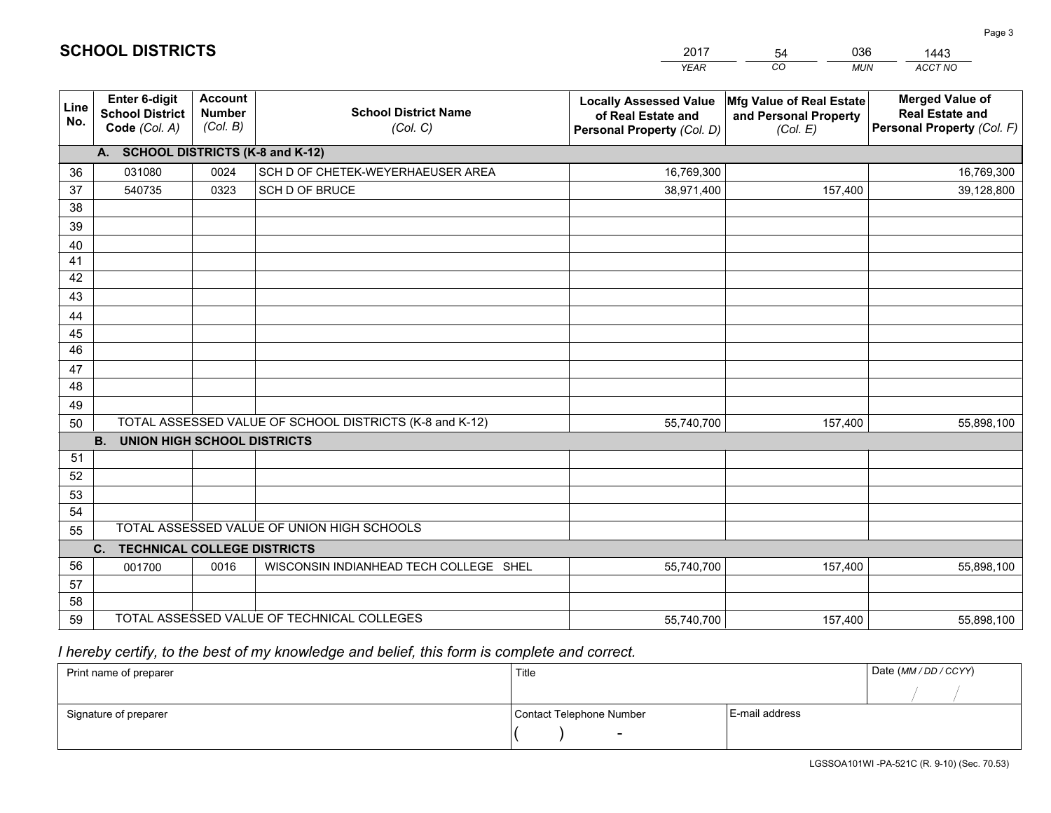|             |                                                                 |                                             |                                                         | <b>YEAR</b>                                                                       | CO<br><b>MUN</b>                                              | <b>ACCT NO</b>                                                                 |  |  |
|-------------|-----------------------------------------------------------------|---------------------------------------------|---------------------------------------------------------|-----------------------------------------------------------------------------------|---------------------------------------------------------------|--------------------------------------------------------------------------------|--|--|
| Line<br>No. | <b>Enter 6-digit</b><br><b>School District</b><br>Code (Col. A) | <b>Account</b><br><b>Number</b><br>(Col. B) | <b>School District Name</b><br>(Col. C)                 | <b>Locally Assessed Value</b><br>of Real Estate and<br>Personal Property (Col. D) | Mfg Value of Real Estate<br>and Personal Property<br>(Col. E) | <b>Merged Value of</b><br><b>Real Estate and</b><br>Personal Property (Col. F) |  |  |
|             | A. SCHOOL DISTRICTS (K-8 and K-12)                              |                                             |                                                         |                                                                                   |                                                               |                                                                                |  |  |
| 36          | 031080                                                          | 0024                                        | SCH D OF CHETEK-WEYERHAEUSER AREA                       | 16,769,300                                                                        |                                                               | 16,769,300                                                                     |  |  |
| 37          | 540735                                                          | 0323                                        | SCH D OF BRUCE                                          | 38,971,400                                                                        | 157,400                                                       | 39,128,800                                                                     |  |  |
| 38          |                                                                 |                                             |                                                         |                                                                                   |                                                               |                                                                                |  |  |
| 39          |                                                                 |                                             |                                                         |                                                                                   |                                                               |                                                                                |  |  |
| 40          |                                                                 |                                             |                                                         |                                                                                   |                                                               |                                                                                |  |  |
| 41          |                                                                 |                                             |                                                         |                                                                                   |                                                               |                                                                                |  |  |
| 42          |                                                                 |                                             |                                                         |                                                                                   |                                                               |                                                                                |  |  |
| 43          |                                                                 |                                             |                                                         |                                                                                   |                                                               |                                                                                |  |  |
| 44<br>45    |                                                                 |                                             |                                                         |                                                                                   |                                                               |                                                                                |  |  |
| 46          |                                                                 |                                             |                                                         |                                                                                   |                                                               |                                                                                |  |  |
| 47          |                                                                 |                                             |                                                         |                                                                                   |                                                               |                                                                                |  |  |
| 48          |                                                                 |                                             |                                                         |                                                                                   |                                                               |                                                                                |  |  |
| 49          |                                                                 |                                             |                                                         |                                                                                   |                                                               |                                                                                |  |  |
| 50          |                                                                 |                                             | TOTAL ASSESSED VALUE OF SCHOOL DISTRICTS (K-8 and K-12) | 55,740,700                                                                        | 157,400                                                       | 55,898,100                                                                     |  |  |
|             | <b>B.</b><br><b>UNION HIGH SCHOOL DISTRICTS</b>                 |                                             |                                                         |                                                                                   |                                                               |                                                                                |  |  |
| 51          |                                                                 |                                             |                                                         |                                                                                   |                                                               |                                                                                |  |  |
| 52          |                                                                 |                                             |                                                         |                                                                                   |                                                               |                                                                                |  |  |
| 53          |                                                                 |                                             |                                                         |                                                                                   |                                                               |                                                                                |  |  |
| 54          |                                                                 |                                             |                                                         |                                                                                   |                                                               |                                                                                |  |  |
| 55          | TOTAL ASSESSED VALUE OF UNION HIGH SCHOOLS                      |                                             |                                                         |                                                                                   |                                                               |                                                                                |  |  |
|             | C.<br><b>TECHNICAL COLLEGE DISTRICTS</b>                        |                                             |                                                         |                                                                                   |                                                               |                                                                                |  |  |
| 56          | 001700                                                          | 0016                                        | WISCONSIN INDIANHEAD TECH COLLEGE SHEL                  | 55,740,700                                                                        | 157,400                                                       | 55,898,100                                                                     |  |  |
| 57          |                                                                 |                                             |                                                         |                                                                                   |                                                               |                                                                                |  |  |
| 58<br>59    |                                                                 |                                             | TOTAL ASSESSED VALUE OF TECHNICAL COLLEGES              |                                                                                   |                                                               |                                                                                |  |  |
|             |                                                                 |                                             |                                                         | 55,740,700                                                                        | 157,400                                                       | 55,898,100                                                                     |  |  |

2017

54

036

1443

 *I hereby certify, to the best of my knowledge and belief, this form is complete and correct.*

**SCHOOL DISTRICTS**

| Print name of preparer | Title                    |                | Date (MM / DD / CCYY) |
|------------------------|--------------------------|----------------|-----------------------|
|                        |                          |                |                       |
| Signature of preparer  | Contact Telephone Number | E-mail address |                       |
|                        | $\overline{\phantom{0}}$ |                |                       |

Page 3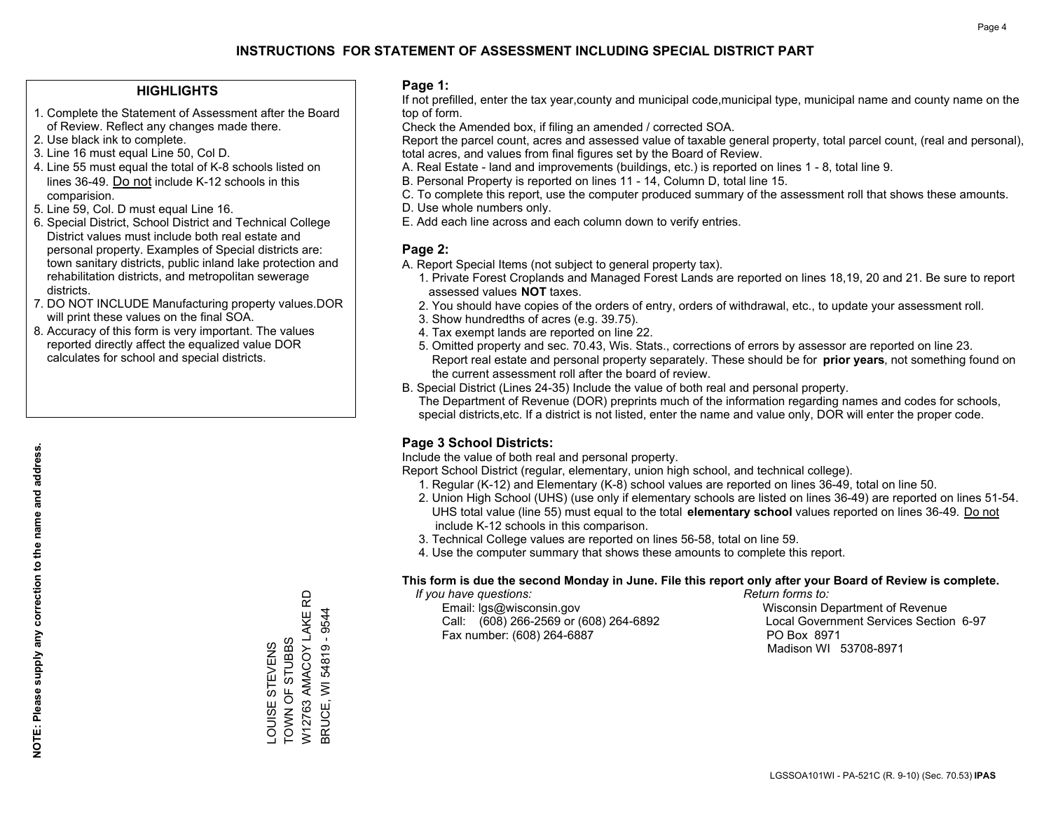#### **HIGHLIGHTS**

- 1. Complete the Statement of Assessment after the Board of Review. Reflect any changes made there.
- 2. Use black ink to complete.
- 3. Line 16 must equal Line 50, Col D.
- 4. Line 55 must equal the total of K-8 schools listed on lines 36-49. Do not include K-12 schools in this comparision.
- 5. Line 59, Col. D must equal Line 16.
- 6. Special District, School District and Technical College District values must include both real estate and personal property. Examples of Special districts are: town sanitary districts, public inland lake protection and rehabilitation districts, and metropolitan sewerage districts.
- 7. DO NOT INCLUDE Manufacturing property values.DOR will print these values on the final SOA.

LOUISE STEVENS TOWN OF STUBBS

LOUISE STEVENS<br>TOWN OF STUBBS

W12763 AMACOY LAKE RD BRUCE, WI 54819 - 9544

W12763 AMACOY LAKE BRUCE, WI 54819 - 9544

6

 8. Accuracy of this form is very important. The values reported directly affect the equalized value DOR calculates for school and special districts.

#### **Page 1:**

 If not prefilled, enter the tax year,county and municipal code,municipal type, municipal name and county name on the top of form.

Check the Amended box, if filing an amended / corrected SOA.

 Report the parcel count, acres and assessed value of taxable general property, total parcel count, (real and personal), total acres, and values from final figures set by the Board of Review.

- A. Real Estate land and improvements (buildings, etc.) is reported on lines 1 8, total line 9.
- B. Personal Property is reported on lines 11 14, Column D, total line 15.
- C. To complete this report, use the computer produced summary of the assessment roll that shows these amounts.
- D. Use whole numbers only.
- E. Add each line across and each column down to verify entries.

#### **Page 2:**

- A. Report Special Items (not subject to general property tax).
- 1. Private Forest Croplands and Managed Forest Lands are reported on lines 18,19, 20 and 21. Be sure to report assessed values **NOT** taxes.
- 2. You should have copies of the orders of entry, orders of withdrawal, etc., to update your assessment roll.
	- 3. Show hundredths of acres (e.g. 39.75).
- 4. Tax exempt lands are reported on line 22.
- 5. Omitted property and sec. 70.43, Wis. Stats., corrections of errors by assessor are reported on line 23. Report real estate and personal property separately. These should be for **prior years**, not something found on the current assessment roll after the board of review.
- B. Special District (Lines 24-35) Include the value of both real and personal property.
- The Department of Revenue (DOR) preprints much of the information regarding names and codes for schools, special districts,etc. If a district is not listed, enter the name and value only, DOR will enter the proper code.

### **Page 3 School Districts:**

Include the value of both real and personal property.

Report School District (regular, elementary, union high school, and technical college).

- 1. Regular (K-12) and Elementary (K-8) school values are reported on lines 36-49, total on line 50.
- 2. Union High School (UHS) (use only if elementary schools are listed on lines 36-49) are reported on lines 51-54. UHS total value (line 55) must equal to the total **elementary school** values reported on lines 36-49. Do notinclude K-12 schools in this comparison.
- 3. Technical College values are reported on lines 56-58, total on line 59.
- 4. Use the computer summary that shows these amounts to complete this report.

#### **This form is due the second Monday in June. File this report only after your Board of Review is complete.**

 *If you have questions: Return forms to:*

 Email: lgs@wisconsin.gov Wisconsin Department of RevenueCall:  $(608)$  266-2569 or  $(608)$  264-6892 Fax number: (608) 264-6887 PO Box 8971

Local Government Services Section 6-97 Madison WI 53708-8971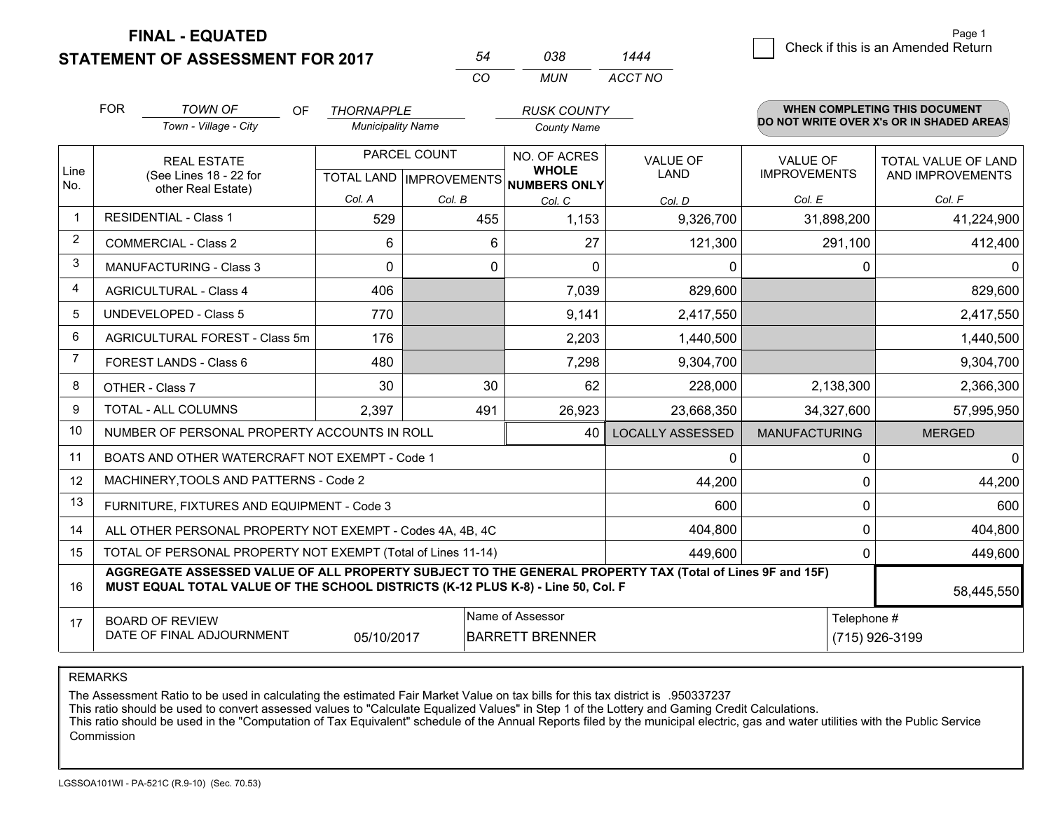**STATEMENT OF ASSESSMENT FOR 2017 FINAL - EQUATED**

|   | Page 1                             |  |
|---|------------------------------------|--|
| ⊿ | Check if this is an Amended Return |  |
|   |                                    |  |

|                |                                                                                                                                                                                              |                          | CO           | <b>MUN</b>                                           | ACCT NO                 |                      |                                          |  |
|----------------|----------------------------------------------------------------------------------------------------------------------------------------------------------------------------------------------|--------------------------|--------------|------------------------------------------------------|-------------------------|----------------------|------------------------------------------|--|
|                | <b>FOR</b><br><b>TOWN OF</b><br>OF.                                                                                                                                                          | <b>THORNAPPLE</b>        |              | <b>RUSK COUNTY</b>                                   |                         |                      | <b>WHEN COMPLETING THIS DOCUMENT</b>     |  |
|                | Town - Village - City                                                                                                                                                                        | <b>Municipality Name</b> |              | <b>County Name</b>                                   |                         |                      | DO NOT WRITE OVER X's OR IN SHADED AREAS |  |
|                | <b>REAL ESTATE</b>                                                                                                                                                                           |                          | PARCEL COUNT | NO. OF ACRES                                         | <b>VALUE OF</b>         | <b>VALUE OF</b>      | TOTAL VALUE OF LAND                      |  |
| Line<br>No.    | (See Lines 18 - 22 for                                                                                                                                                                       |                          |              | <b>WHOLE</b><br>TOTAL LAND IMPROVEMENTS NUMBERS ONLY | LAND                    | <b>IMPROVEMENTS</b>  | AND IMPROVEMENTS                         |  |
|                | other Real Estate)                                                                                                                                                                           | Col. A                   | Col. B       | Col. C                                               | Col. D                  | Col. E               | Col. F                                   |  |
|                | <b>RESIDENTIAL - Class 1</b>                                                                                                                                                                 | 529                      | 455          | 1,153                                                | 9,326,700               | 31,898,200           | 41,224,900                               |  |
| 2              | <b>COMMERCIAL - Class 2</b>                                                                                                                                                                  | 6                        | 6            | 27                                                   | 121,300                 | 291,100              | 412,400                                  |  |
| 3              | <b>MANUFACTURING - Class 3</b>                                                                                                                                                               | $\Omega$                 | $\Omega$     | $\Omega$                                             | 0                       | 0                    | $\Omega$                                 |  |
| 4              | <b>AGRICULTURAL - Class 4</b>                                                                                                                                                                | 406                      |              | 7,039                                                | 829,600                 |                      | 829,600                                  |  |
| 5              | <b>UNDEVELOPED - Class 5</b>                                                                                                                                                                 | 770                      |              | 9,141                                                | 2,417,550               |                      | 2,417,550                                |  |
| 6              | AGRICULTURAL FOREST - Class 5m                                                                                                                                                               | 176                      |              | 2,203                                                | 1,440,500               |                      | 1,440,500                                |  |
| $\overline{7}$ | FOREST LANDS - Class 6                                                                                                                                                                       | 480                      |              | 7,298                                                | 9,304,700               |                      | 9,304,700                                |  |
| 8              | OTHER - Class 7                                                                                                                                                                              | 30                       | 30           | 62                                                   | 228,000                 | 2,138,300            | 2,366,300                                |  |
| 9              | TOTAL - ALL COLUMNS                                                                                                                                                                          | 2,397                    | 491          | 26,923                                               | 23,668,350              | 34,327,600           | 57,995,950                               |  |
| 10             | NUMBER OF PERSONAL PROPERTY ACCOUNTS IN ROLL                                                                                                                                                 |                          |              | 40                                                   | <b>LOCALLY ASSESSED</b> | <b>MANUFACTURING</b> | <b>MERGED</b>                            |  |
| 11             | BOATS AND OTHER WATERCRAFT NOT EXEMPT - Code 1                                                                                                                                               |                          |              |                                                      | 0                       | 0                    | $\mathbf 0$                              |  |
| 12             | MACHINERY, TOOLS AND PATTERNS - Code 2                                                                                                                                                       |                          |              |                                                      | 44,200                  | $\mathbf 0$          | 44,200                                   |  |
| 13             | FURNITURE, FIXTURES AND EQUIPMENT - Code 3                                                                                                                                                   |                          |              |                                                      | 600                     | $\mathbf 0$          | 600                                      |  |
| 14             | ALL OTHER PERSONAL PROPERTY NOT EXEMPT - Codes 4A, 4B, 4C                                                                                                                                    |                          |              |                                                      | 404,800                 | $\Omega$             | 404,800                                  |  |
| 15             | TOTAL OF PERSONAL PROPERTY NOT EXEMPT (Total of Lines 11-14)                                                                                                                                 |                          |              |                                                      | 449,600                 | $\Omega$             | 449,600                                  |  |
| 16             | AGGREGATE ASSESSED VALUE OF ALL PROPERTY SUBJECT TO THE GENERAL PROPERTY TAX (Total of Lines 9F and 15F)<br>MUST EQUAL TOTAL VALUE OF THE SCHOOL DISTRICTS (K-12 PLUS K-8) - Line 50, Col. F |                          |              |                                                      |                         |                      | 58,445,550                               |  |
| 17             | <b>BOARD OF REVIEW</b>                                                                                                                                                                       |                          |              | Name of Assessor                                     |                         | Telephone #          |                                          |  |
|                | DATE OF FINAL ADJOURNMENT                                                                                                                                                                    | 05/10/2017               |              | <b>BARRETT BRENNER</b>                               |                         |                      | (715) 926-3199                           |  |

*ACCT NO1444*

*<sup>54</sup> <sup>038</sup>*

REMARKS

The Assessment Ratio to be used in calculating the estimated Fair Market Value on tax bills for this tax district is .950337237<br>This ratio should be used to convert assessed values to "Calculate Equalized Values" in Step 1 Commission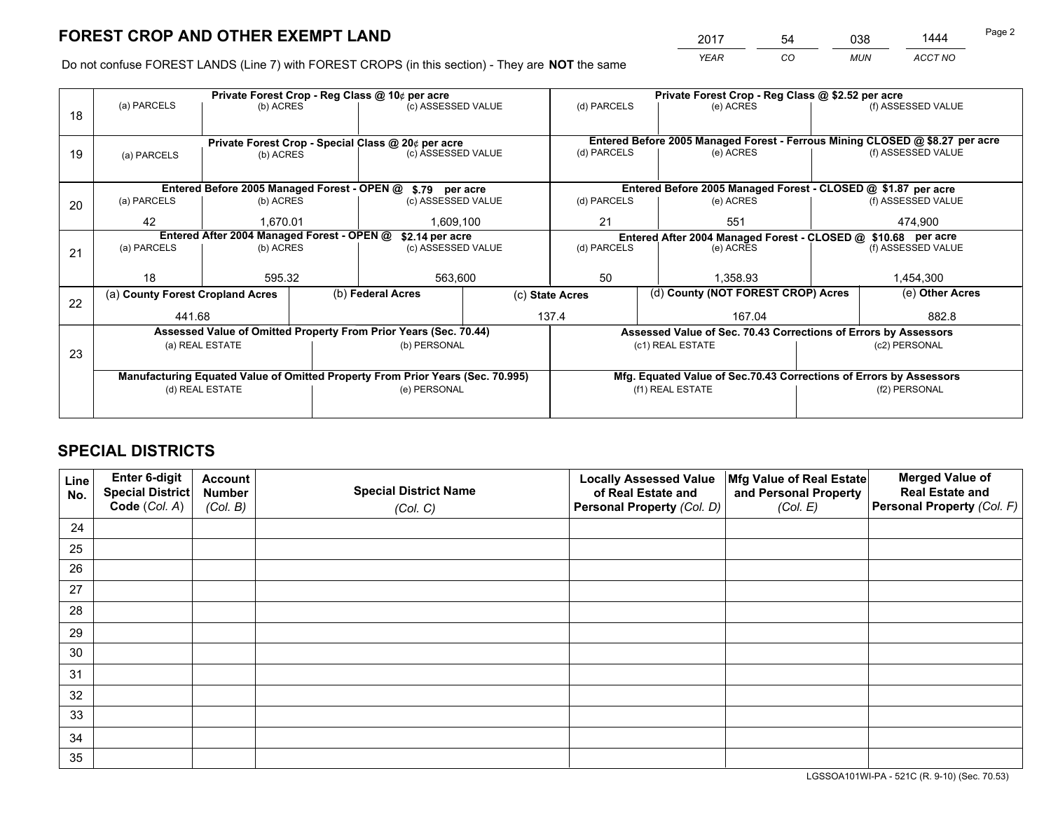*YEAR CO MUN ACCT NO* <sup>2017</sup> <sup>54</sup> <sup>038</sup> <sup>1444</sup>

Do not confuse FOREST LANDS (Line 7) with FOREST CROPS (in this section) - They are **NOT** the same

|                 |                                  |                                                                                  |                                                                        |                                                                                                                   | Private Forest Crop - Reg Class @ \$2.52 per acre                                                                                                                                                                                                                                                                                                                                                         |             |                            |                                                               |                                                                                                                                                                                                                                                                                                               |
|-----------------|----------------------------------|----------------------------------------------------------------------------------|------------------------------------------------------------------------|-------------------------------------------------------------------------------------------------------------------|-----------------------------------------------------------------------------------------------------------------------------------------------------------------------------------------------------------------------------------------------------------------------------------------------------------------------------------------------------------------------------------------------------------|-------------|----------------------------|---------------------------------------------------------------|---------------------------------------------------------------------------------------------------------------------------------------------------------------------------------------------------------------------------------------------------------------------------------------------------------------|
|                 |                                  |                                                                                  |                                                                        |                                                                                                                   | (d) PARCELS                                                                                                                                                                                                                                                                                                                                                                                               |             | (e) ACRES                  |                                                               | (f) ASSESSED VALUE                                                                                                                                                                                                                                                                                            |
|                 |                                  |                                                                                  |                                                                        |                                                                                                                   |                                                                                                                                                                                                                                                                                                                                                                                                           |             |                            |                                                               |                                                                                                                                                                                                                                                                                                               |
|                 |                                  |                                                                                  |                                                                        |                                                                                                                   | Entered Before 2005 Managed Forest - Ferrous Mining CLOSED @ \$8.27 per acre                                                                                                                                                                                                                                                                                                                              |             |                            |                                                               |                                                                                                                                                                                                                                                                                                               |
| (a) PARCELS     |                                  |                                                                                  |                                                                        |                                                                                                                   |                                                                                                                                                                                                                                                                                                                                                                                                           |             | (e) ACRES                  |                                                               | (f) ASSESSED VALUE                                                                                                                                                                                                                                                                                            |
|                 |                                  |                                                                                  |                                                                        |                                                                                                                   |                                                                                                                                                                                                                                                                                                                                                                                                           |             |                            |                                                               |                                                                                                                                                                                                                                                                                                               |
|                 |                                  |                                                                                  |                                                                        |                                                                                                                   |                                                                                                                                                                                                                                                                                                                                                                                                           |             |                            |                                                               |                                                                                                                                                                                                                                                                                                               |
| (a) PARCELS     |                                  |                                                                                  |                                                                        |                                                                                                                   | (d) PARCELS                                                                                                                                                                                                                                                                                                                                                                                               |             | (e) ACRES                  |                                                               | (f) ASSESSED VALUE                                                                                                                                                                                                                                                                                            |
| 42              |                                  |                                                                                  | 1,609,100                                                              |                                                                                                                   | 21                                                                                                                                                                                                                                                                                                                                                                                                        |             | 551                        |                                                               | 474,900                                                                                                                                                                                                                                                                                                       |
| \$2.14 per acre |                                  |                                                                                  |                                                                        |                                                                                                                   |                                                                                                                                                                                                                                                                                                                                                                                                           |             |                            |                                                               |                                                                                                                                                                                                                                                                                                               |
|                 |                                  |                                                                                  |                                                                        |                                                                                                                   |                                                                                                                                                                                                                                                                                                                                                                                                           |             |                            |                                                               | (f) ASSESSED VALUE                                                                                                                                                                                                                                                                                            |
|                 |                                  |                                                                                  |                                                                        |                                                                                                                   |                                                                                                                                                                                                                                                                                                                                                                                                           |             |                            |                                                               |                                                                                                                                                                                                                                                                                                               |
|                 |                                  |                                                                                  |                                                                        |                                                                                                                   |                                                                                                                                                                                                                                                                                                                                                                                                           |             |                            |                                                               | 1,454,300                                                                                                                                                                                                                                                                                                     |
|                 |                                  |                                                                                  |                                                                        | (c) State Acres                                                                                                   |                                                                                                                                                                                                                                                                                                                                                                                                           |             |                            |                                                               | (e) Other Acres                                                                                                                                                                                                                                                                                               |
|                 |                                  |                                                                                  |                                                                        |                                                                                                                   |                                                                                                                                                                                                                                                                                                                                                                                                           | 167.04      |                            |                                                               | 882.8                                                                                                                                                                                                                                                                                                         |
|                 |                                  |                                                                                  |                                                                        |                                                                                                                   |                                                                                                                                                                                                                                                                                                                                                                                                           |             |                            |                                                               |                                                                                                                                                                                                                                                                                                               |
|                 |                                  |                                                                                  |                                                                        |                                                                                                                   |                                                                                                                                                                                                                                                                                                                                                                                                           |             |                            |                                                               | (c2) PERSONAL                                                                                                                                                                                                                                                                                                 |
|                 |                                  |                                                                                  |                                                                        |                                                                                                                   |                                                                                                                                                                                                                                                                                                                                                                                                           |             |                            |                                                               |                                                                                                                                                                                                                                                                                                               |
|                 |                                  |                                                                                  |                                                                        |                                                                                                                   |                                                                                                                                                                                                                                                                                                                                                                                                           |             |                            |                                                               |                                                                                                                                                                                                                                                                                                               |
|                 |                                  |                                                                                  |                                                                        |                                                                                                                   |                                                                                                                                                                                                                                                                                                                                                                                                           |             |                            | (f2) PERSONAL                                                 |                                                                                                                                                                                                                                                                                                               |
|                 |                                  |                                                                                  |                                                                        |                                                                                                                   |                                                                                                                                                                                                                                                                                                                                                                                                           |             |                            |                                                               |                                                                                                                                                                                                                                                                                                               |
|                 | (a) PARCELS<br>(a) PARCELS<br>18 | (a) County Forest Cropland Acres<br>441.68<br>(a) REAL ESTATE<br>(d) REAL ESTATE | (b) ACRES<br>(b) ACRES<br>(b) ACRES<br>1.670.01<br>(b) ACRES<br>595.32 | Private Forest Crop - Reg Class @ 10¢ per acre<br>Entered After 2004 Managed Forest - OPEN @<br>(b) Federal Acres | (c) ASSESSED VALUE<br>Private Forest Crop - Special Class @ 20¢ per acre<br>(c) ASSESSED VALUE<br>Entered Before 2005 Managed Forest - OPEN @ \$.79 per acre<br>(c) ASSESSED VALUE<br>(c) ASSESSED VALUE<br>563,600<br>Assessed Value of Omitted Property From Prior Years (Sec. 70.44)<br>(b) PERSONAL<br>Manufacturing Equated Value of Omitted Property From Prior Years (Sec. 70.995)<br>(e) PERSONAL | 50<br>137.4 | (d) PARCELS<br>(d) PARCELS | (e) ACRES<br>1.358.93<br>(c1) REAL ESTATE<br>(f1) REAL ESTATE | Entered Before 2005 Managed Forest - CLOSED @ \$1.87 per acre<br>Entered After 2004 Managed Forest - CLOSED @ \$10.68 per acre<br>(d) County (NOT FOREST CROP) Acres<br>Assessed Value of Sec. 70.43 Corrections of Errors by Assessors<br>Mfg. Equated Value of Sec.70.43 Corrections of Errors by Assessors |

## **SPECIAL DISTRICTS**

| Line<br>No. | Enter 6-digit<br>Special District<br>Code (Col. A) | <b>Account</b><br><b>Number</b> | <b>Special District Name</b> | <b>Locally Assessed Value</b><br>of Real Estate and | Mfg Value of Real Estate<br>and Personal Property | <b>Merged Value of</b><br><b>Real Estate and</b><br>Personal Property (Col. F) |
|-------------|----------------------------------------------------|---------------------------------|------------------------------|-----------------------------------------------------|---------------------------------------------------|--------------------------------------------------------------------------------|
|             |                                                    | (Col. B)                        | (Col. C)                     | Personal Property (Col. D)                          | (Col. E)                                          |                                                                                |
| 24          |                                                    |                                 |                              |                                                     |                                                   |                                                                                |
| 25          |                                                    |                                 |                              |                                                     |                                                   |                                                                                |
| 26          |                                                    |                                 |                              |                                                     |                                                   |                                                                                |
| 27          |                                                    |                                 |                              |                                                     |                                                   |                                                                                |
| 28          |                                                    |                                 |                              |                                                     |                                                   |                                                                                |
| 29          |                                                    |                                 |                              |                                                     |                                                   |                                                                                |
| 30          |                                                    |                                 |                              |                                                     |                                                   |                                                                                |
| 31          |                                                    |                                 |                              |                                                     |                                                   |                                                                                |
| 32          |                                                    |                                 |                              |                                                     |                                                   |                                                                                |
| 33          |                                                    |                                 |                              |                                                     |                                                   |                                                                                |
| 34          |                                                    |                                 |                              |                                                     |                                                   |                                                                                |
| 35          |                                                    |                                 |                              |                                                     |                                                   |                                                                                |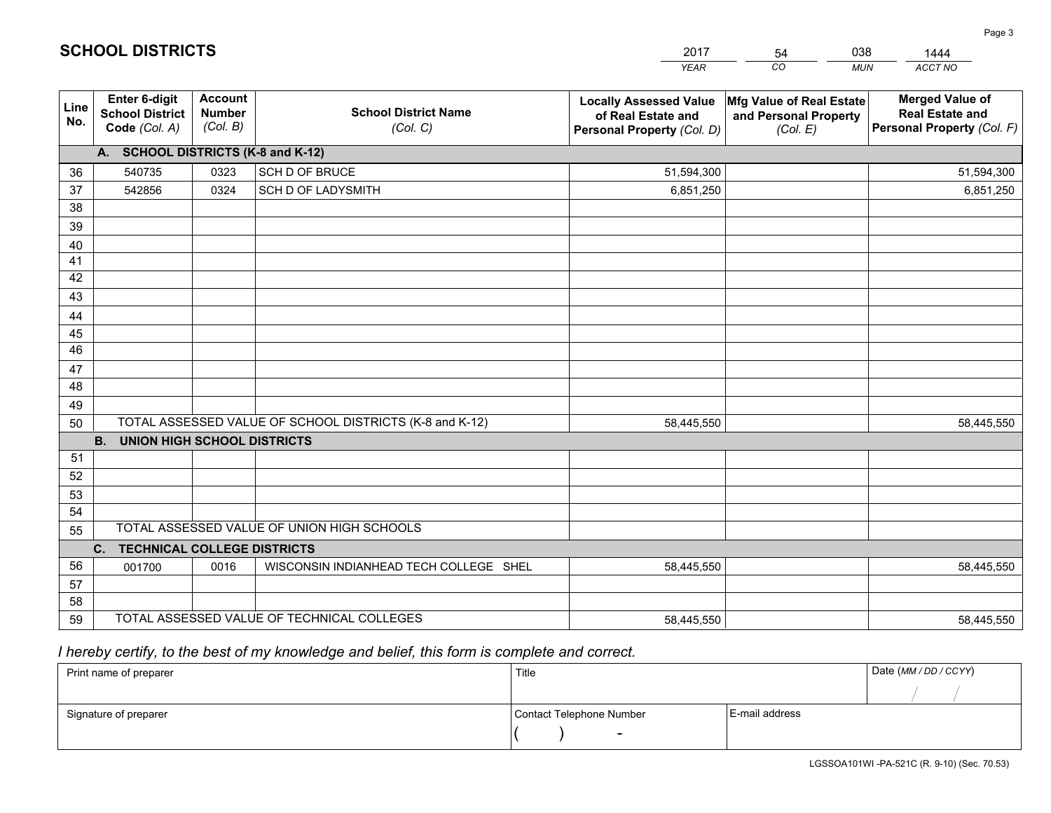|             |                                                          |                                             |                                                         | <b>YEAR</b>                                                                       | CO<br><b>MUN</b>                                              | ACCT NO                                                                        |
|-------------|----------------------------------------------------------|---------------------------------------------|---------------------------------------------------------|-----------------------------------------------------------------------------------|---------------------------------------------------------------|--------------------------------------------------------------------------------|
| Line<br>No. | Enter 6-digit<br><b>School District</b><br>Code (Col. A) | <b>Account</b><br><b>Number</b><br>(Col. B) | <b>School District Name</b><br>(Col. C)                 | <b>Locally Assessed Value</b><br>of Real Estate and<br>Personal Property (Col. D) | Mfg Value of Real Estate<br>and Personal Property<br>(Col. E) | <b>Merged Value of</b><br><b>Real Estate and</b><br>Personal Property (Col. F) |
|             | A. SCHOOL DISTRICTS (K-8 and K-12)                       |                                             |                                                         |                                                                                   |                                                               |                                                                                |
| 36          | 540735                                                   | 0323                                        | SCH D OF BRUCE                                          | 51,594,300                                                                        |                                                               | 51,594,300                                                                     |
| 37          | 542856                                                   | 0324                                        | SCH D OF LADYSMITH                                      | 6,851,250                                                                         |                                                               | 6,851,250                                                                      |
| 38          |                                                          |                                             |                                                         |                                                                                   |                                                               |                                                                                |
| 39          |                                                          |                                             |                                                         |                                                                                   |                                                               |                                                                                |
| 40          |                                                          |                                             |                                                         |                                                                                   |                                                               |                                                                                |
| 41          |                                                          |                                             |                                                         |                                                                                   |                                                               |                                                                                |
| 42          |                                                          |                                             |                                                         |                                                                                   |                                                               |                                                                                |
| 43          |                                                          |                                             |                                                         |                                                                                   |                                                               |                                                                                |
| 44          |                                                          |                                             |                                                         |                                                                                   |                                                               |                                                                                |
| 45          |                                                          |                                             |                                                         |                                                                                   |                                                               |                                                                                |
| 46          |                                                          |                                             |                                                         |                                                                                   |                                                               |                                                                                |
| 47          |                                                          |                                             |                                                         |                                                                                   |                                                               |                                                                                |
| 48          |                                                          |                                             |                                                         |                                                                                   |                                                               |                                                                                |
| 49          |                                                          |                                             | TOTAL ASSESSED VALUE OF SCHOOL DISTRICTS (K-8 and K-12) |                                                                                   |                                                               |                                                                                |
| 50          | B <sub>1</sub><br><b>UNION HIGH SCHOOL DISTRICTS</b>     |                                             |                                                         | 58,445,550                                                                        |                                                               | 58,445,550                                                                     |
| 51          |                                                          |                                             |                                                         |                                                                                   |                                                               |                                                                                |
| 52          |                                                          |                                             |                                                         |                                                                                   |                                                               |                                                                                |
| 53          |                                                          |                                             |                                                         |                                                                                   |                                                               |                                                                                |
| 54          |                                                          |                                             |                                                         |                                                                                   |                                                               |                                                                                |
| 55          |                                                          |                                             | TOTAL ASSESSED VALUE OF UNION HIGH SCHOOLS              |                                                                                   |                                                               |                                                                                |
|             | C. TECHNICAL COLLEGE DISTRICTS                           |                                             |                                                         |                                                                                   |                                                               |                                                                                |
| 56          | 001700                                                   | 0016                                        | WISCONSIN INDIANHEAD TECH COLLEGE SHEL                  | 58,445,550                                                                        |                                                               | 58,445,550                                                                     |
| 57          |                                                          |                                             |                                                         |                                                                                   |                                                               |                                                                                |
| 58          |                                                          |                                             |                                                         |                                                                                   |                                                               |                                                                                |
| 59          |                                                          |                                             | TOTAL ASSESSED VALUE OF TECHNICAL COLLEGES              | 58,445,550                                                                        |                                                               | 58,445,550                                                                     |

54

038

 *I hereby certify, to the best of my knowledge and belief, this form is complete and correct.*

**SCHOOL DISTRICTS**

| Print name of preparer | Title                    | Date (MM / DD / CCYY) |  |
|------------------------|--------------------------|-----------------------|--|
|                        |                          |                       |  |
| Signature of preparer  | Contact Telephone Number | E-mail address        |  |
|                        | $\sim$                   |                       |  |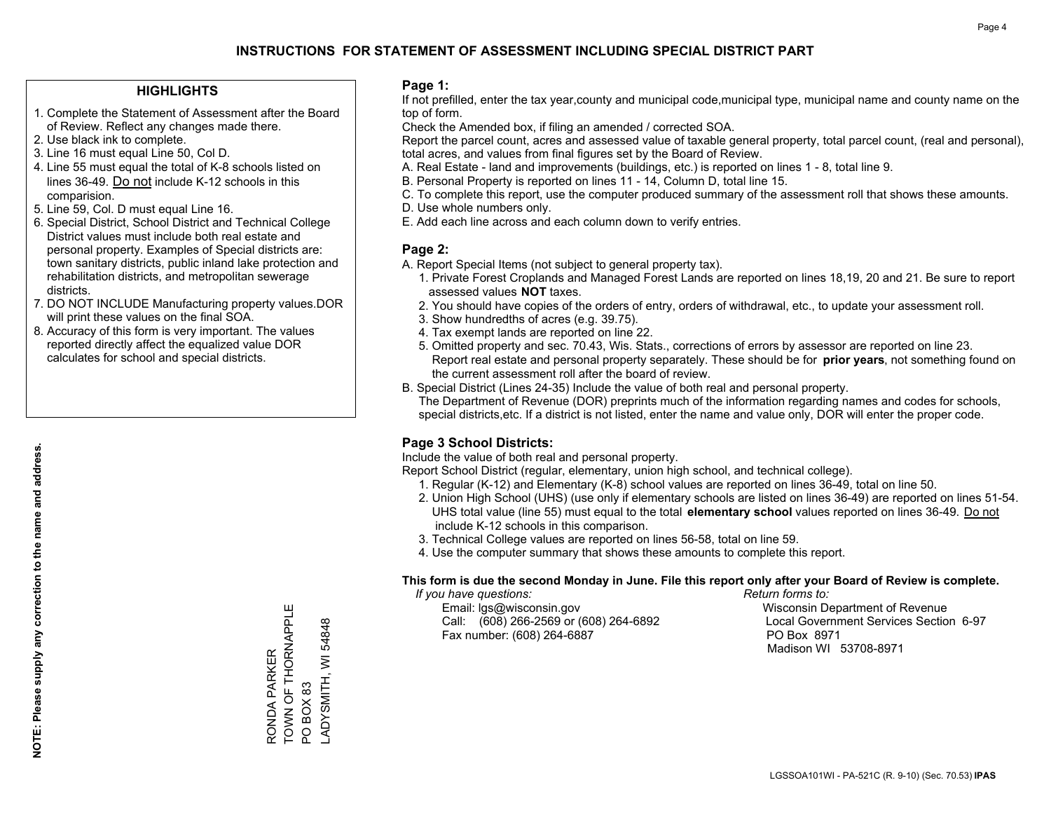#### **HIGHLIGHTS**

- 1. Complete the Statement of Assessment after the Board of Review. Reflect any changes made there.
- 2. Use black ink to complete.
- 3. Line 16 must equal Line 50, Col D.
- 4. Line 55 must equal the total of K-8 schools listed on lines 36-49. Do not include K-12 schools in this comparision.
- 5. Line 59, Col. D must equal Line 16.
- 6. Special District, School District and Technical College District values must include both real estate and personal property. Examples of Special districts are: town sanitary districts, public inland lake protection and rehabilitation districts, and metropolitan sewerage districts.
- 7. DO NOT INCLUDE Manufacturing property values.DOR will print these values on the final SOA.

RONDA PARKER

RONDA PARKER

TOWN OF THORNAPPLE

TOWN OF THORNAPPLE

PO BOX 83

PO BOX 83

LADYSMITH, WI 54848

ADYSMITH, WI54848

 8. Accuracy of this form is very important. The values reported directly affect the equalized value DOR calculates for school and special districts.

#### **Page 1:**

 If not prefilled, enter the tax year,county and municipal code,municipal type, municipal name and county name on the top of form.

Check the Amended box, if filing an amended / corrected SOA.

 Report the parcel count, acres and assessed value of taxable general property, total parcel count, (real and personal), total acres, and values from final figures set by the Board of Review.

- A. Real Estate land and improvements (buildings, etc.) is reported on lines 1 8, total line 9.
- B. Personal Property is reported on lines 11 14, Column D, total line 15.
- C. To complete this report, use the computer produced summary of the assessment roll that shows these amounts.
- D. Use whole numbers only.
- E. Add each line across and each column down to verify entries.

#### **Page 2:**

- A. Report Special Items (not subject to general property tax).
- 1. Private Forest Croplands and Managed Forest Lands are reported on lines 18,19, 20 and 21. Be sure to report assessed values **NOT** taxes.
- 2. You should have copies of the orders of entry, orders of withdrawal, etc., to update your assessment roll.
	- 3. Show hundredths of acres (e.g. 39.75).
- 4. Tax exempt lands are reported on line 22.
- 5. Omitted property and sec. 70.43, Wis. Stats., corrections of errors by assessor are reported on line 23. Report real estate and personal property separately. These should be for **prior years**, not something found on the current assessment roll after the board of review.
- B. Special District (Lines 24-35) Include the value of both real and personal property.
- The Department of Revenue (DOR) preprints much of the information regarding names and codes for schools, special districts,etc. If a district is not listed, enter the name and value only, DOR will enter the proper code.

## **Page 3 School Districts:**

Include the value of both real and personal property.

Report School District (regular, elementary, union high school, and technical college).

- 1. Regular (K-12) and Elementary (K-8) school values are reported on lines 36-49, total on line 50.
- 2. Union High School (UHS) (use only if elementary schools are listed on lines 36-49) are reported on lines 51-54. UHS total value (line 55) must equal to the total **elementary school** values reported on lines 36-49. Do notinclude K-12 schools in this comparison.
- 3. Technical College values are reported on lines 56-58, total on line 59.
- 4. Use the computer summary that shows these amounts to complete this report.

#### **This form is due the second Monday in June. File this report only after your Board of Review is complete.**

 *If you have questions: Return forms to:*

 Email: lgs@wisconsin.gov Wisconsin Department of RevenueCall:  $(608)$  266-2569 or  $(608)$  264-6892 Fax number: (608) 264-6887 PO Box 8971

Local Government Services Section 6-97 Madison WI 53708-8971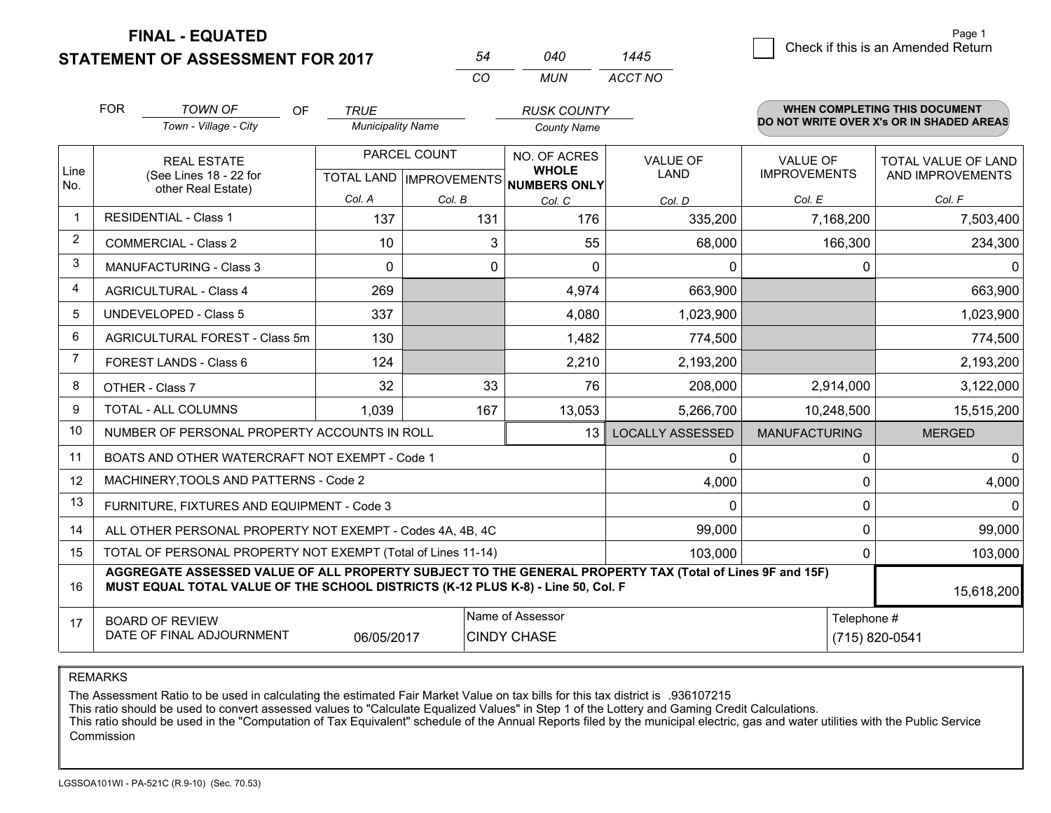**FINAL - EQUATED**

**STATEMENT OF ASSESSMENT FOR 2017** 

|                | <b>FOR</b>                                                                      | <b>TOWN OF</b><br><b>OF</b>                                                                                                                                                                  | <b>TRUE</b>              |              | <b>RUSK COUNTY</b>                                   |                         |                      | <b>WHEN COMPLETING THIS DOCUMENT</b>     |  |
|----------------|---------------------------------------------------------------------------------|----------------------------------------------------------------------------------------------------------------------------------------------------------------------------------------------|--------------------------|--------------|------------------------------------------------------|-------------------------|----------------------|------------------------------------------|--|
|                |                                                                                 | Town - Village - City                                                                                                                                                                        | <b>Municipality Name</b> |              | <b>County Name</b>                                   |                         |                      | DO NOT WRITE OVER X's OR IN SHADED AREAS |  |
|                |                                                                                 | <b>REAL ESTATE</b>                                                                                                                                                                           |                          | PARCEL COUNT | NO. OF ACRES                                         | <b>VALUE OF</b>         | <b>VALUE OF</b>      | TOTAL VALUE OF LAND                      |  |
| Line<br>No.    |                                                                                 | (See Lines 18 - 22 for<br>other Real Estate)                                                                                                                                                 |                          |              | <b>WHOLE</b><br>TOTAL LAND IMPROVEMENTS NUMBERS ONLY | <b>LAND</b>             | <b>IMPROVEMENTS</b>  | AND IMPROVEMENTS                         |  |
|                |                                                                                 |                                                                                                                                                                                              | Col. A                   | Col. B       | Col. C                                               | Col. D                  | Col. E               | Col. F                                   |  |
| $\mathbf 1$    |                                                                                 | <b>RESIDENTIAL - Class 1</b>                                                                                                                                                                 | 137                      | 131          | 176                                                  | 335,200                 | 7,168,200            | 7,503,400                                |  |
| $\overline{2}$ |                                                                                 | <b>COMMERCIAL - Class 2</b>                                                                                                                                                                  | 10                       | 3            | 55                                                   | 68,000                  | 166,300              | 234,300                                  |  |
| 3              |                                                                                 | <b>MANUFACTURING - Class 3</b>                                                                                                                                                               | $\Omega$                 | 0            | 0                                                    | 0                       | 0                    |                                          |  |
| 4              |                                                                                 | <b>AGRICULTURAL - Class 4</b>                                                                                                                                                                | 269                      |              | 4,974                                                | 663,900                 |                      | 663,900                                  |  |
| 5              |                                                                                 | <b>UNDEVELOPED - Class 5</b>                                                                                                                                                                 | 337                      |              | 4,080                                                | 1,023,900               |                      | 1,023,900                                |  |
| 6              | AGRICULTURAL FOREST - Class 5m                                                  |                                                                                                                                                                                              | 130                      |              | 1,482                                                | 774,500                 |                      | 774,500                                  |  |
| $\overline{7}$ |                                                                                 | FOREST LANDS - Class 6                                                                                                                                                                       | 124                      |              | 2,210                                                | 2,193,200               |                      | 2,193,200                                |  |
| 8              |                                                                                 | OTHER - Class 7                                                                                                                                                                              | 32                       | 33           | 76                                                   | 208,000                 | 2,914,000            | 3,122,000                                |  |
| 9              |                                                                                 | TOTAL - ALL COLUMNS                                                                                                                                                                          | 1,039                    | 167          | 13,053                                               | 5,266,700               | 10,248,500           | 15,515,200                               |  |
| 10             |                                                                                 | NUMBER OF PERSONAL PROPERTY ACCOUNTS IN ROLL                                                                                                                                                 |                          |              | 13                                                   | <b>LOCALLY ASSESSED</b> | <b>MANUFACTURING</b> | <b>MERGED</b>                            |  |
| 11             |                                                                                 | BOATS AND OTHER WATERCRAFT NOT EXEMPT - Code 1                                                                                                                                               |                          |              |                                                      | $\Omega$                | 0                    | 0                                        |  |
| 12             |                                                                                 | MACHINERY, TOOLS AND PATTERNS - Code 2                                                                                                                                                       |                          |              |                                                      | 4,000                   | $\mathbf{0}$         | 4,000                                    |  |
| 13             |                                                                                 | FURNITURE, FIXTURES AND EQUIPMENT - Code 3                                                                                                                                                   |                          |              |                                                      | $\Omega$                | 0                    | 0                                        |  |
| 14             |                                                                                 | ALL OTHER PERSONAL PROPERTY NOT EXEMPT - Codes 4A, 4B, 4C                                                                                                                                    |                          |              |                                                      | 99,000                  | 0                    | 99,000                                   |  |
| 15             |                                                                                 | TOTAL OF PERSONAL PROPERTY NOT EXEMPT (Total of Lines 11-14)                                                                                                                                 |                          |              |                                                      | 103,000                 | $\mathbf 0$          | 103,000                                  |  |
| 16             |                                                                                 | AGGREGATE ASSESSED VALUE OF ALL PROPERTY SUBJECT TO THE GENERAL PROPERTY TAX (Total of Lines 9F and 15F)<br>MUST EQUAL TOTAL VALUE OF THE SCHOOL DISTRICTS (K-12 PLUS K-8) - Line 50, Col. F |                          |              |                                                      |                         |                      | 15,618,200                               |  |
| 17             |                                                                                 | <b>BOARD OF REVIEW</b>                                                                                                                                                                       |                          |              | Name of Assessor                                     |                         | Telephone #          |                                          |  |
|                | DATE OF FINAL ADJOURNMENT<br><b>CINDY CHASE</b><br>(715) 820-0541<br>06/05/2017 |                                                                                                                                                                                              |                          |              |                                                      |                         |                      |                                          |  |

*CO*

*MUN*

*ACCT NO1445*

*<sup>54</sup> <sup>040</sup>*

REMARKS

The Assessment Ratio to be used in calculating the estimated Fair Market Value on tax bills for this tax district is .936107215<br>This ratio should be used to convert assessed values to "Calculate Equalized Values" in Step 1 Commission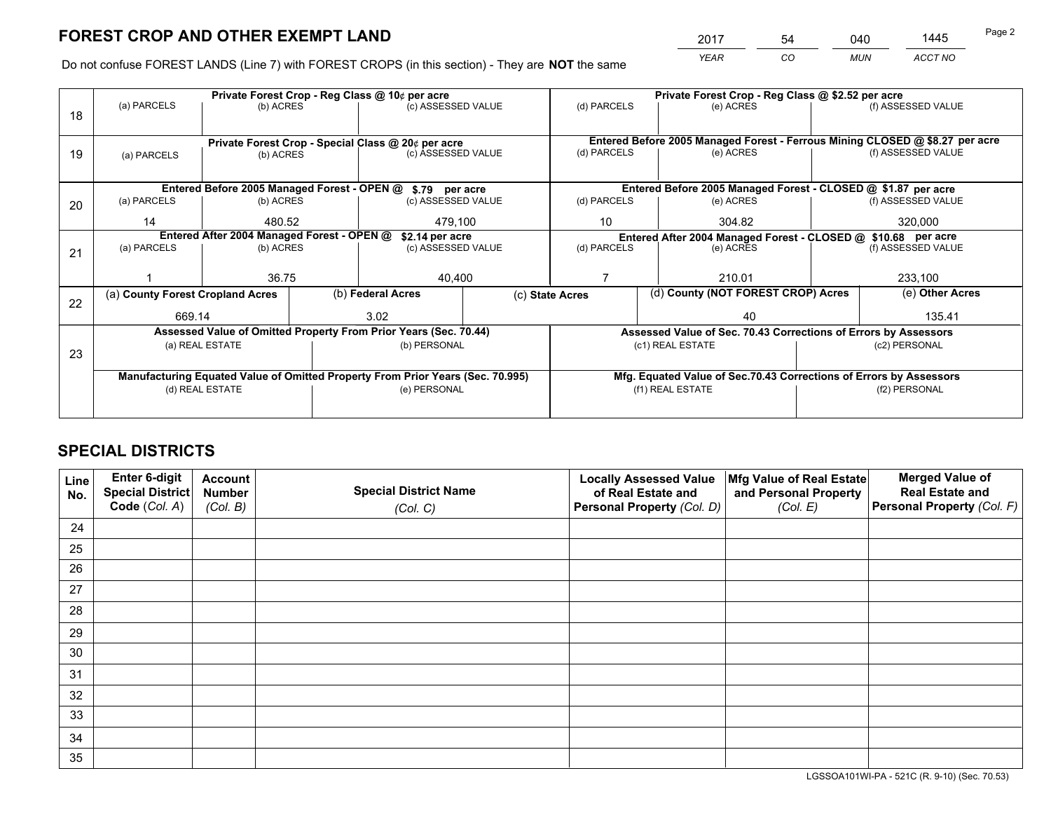*YEAR CO MUN ACCT NO* <sup>2017</sup> <sup>54</sup> <sup>040</sup> <sup>1445</sup>

Do not confuse FOREST LANDS (Line 7) with FOREST CROPS (in this section) - They are **NOT** the same

|    | Private Forest Crop - Reg Class @ 10¢ per acre                |                                                                                |              |                    |                                                               |              |           | Private Forest Crop - Reg Class @ \$2.52 per acre                  |                    |                                                                              |  |
|----|---------------------------------------------------------------|--------------------------------------------------------------------------------|--------------|--------------------|---------------------------------------------------------------|--------------|-----------|--------------------------------------------------------------------|--------------------|------------------------------------------------------------------------------|--|
| 18 | (a) PARCELS                                                   | (b) ACRES                                                                      |              | (c) ASSESSED VALUE |                                                               | (d) PARCELS  |           | (e) ACRES                                                          |                    | (f) ASSESSED VALUE                                                           |  |
|    |                                                               |                                                                                |              |                    |                                                               |              |           |                                                                    |                    |                                                                              |  |
|    |                                                               | Private Forest Crop - Special Class @ 20¢ per acre                             |              |                    |                                                               |              |           |                                                                    |                    | Entered Before 2005 Managed Forest - Ferrous Mining CLOSED @ \$8.27 per acre |  |
| 19 | (a) PARCELS                                                   | (b) ACRES                                                                      |              | (c) ASSESSED VALUE |                                                               | (d) PARCELS  |           | (e) ACRES                                                          |                    | (f) ASSESSED VALUE                                                           |  |
|    |                                                               |                                                                                |              |                    |                                                               |              |           |                                                                    |                    |                                                                              |  |
|    | Entered Before 2005 Managed Forest - OPEN @ \$.79 per acre    |                                                                                |              |                    | Entered Before 2005 Managed Forest - CLOSED @ \$1.87 per acre |              |           |                                                                    |                    |                                                                              |  |
| 20 | (a) PARCELS<br>(b) ACRES                                      |                                                                                |              | (c) ASSESSED VALUE |                                                               | (d) PARCELS  |           | (e) ACRES                                                          |                    | (f) ASSESSED VALUE                                                           |  |
|    | 14                                                            | 480.52                                                                         |              | 479,100            |                                                               | 10<br>304.82 |           |                                                                    |                    | 320,000                                                                      |  |
|    | Entered After 2004 Managed Forest - OPEN @<br>\$2.14 per acre |                                                                                |              |                    |                                                               |              |           | Entered After 2004 Managed Forest - CLOSED @ \$10.68 per acre      |                    |                                                                              |  |
| 21 | (a) PARCELS                                                   | (b) ACRES                                                                      |              |                    | (d) PARCELS<br>(c) ASSESSED VALUE                             |              | (e) ACRES |                                                                    | (f) ASSESSED VALUE |                                                                              |  |
|    |                                                               |                                                                                |              |                    |                                                               |              |           |                                                                    |                    |                                                                              |  |
|    |                                                               | 36.75                                                                          |              | 40,400             |                                                               | 210.01       |           | 233,100                                                            |                    |                                                                              |  |
| 22 | (a) County Forest Cropland Acres                              |                                                                                |              | (b) Federal Acres  | (c) State Acres                                               |              |           | (d) County (NOT FOREST CROP) Acres                                 |                    | (e) Other Acres                                                              |  |
|    | 669.14                                                        |                                                                                |              | 3.02               |                                                               |              |           | 40                                                                 |                    | 135.41                                                                       |  |
|    |                                                               | Assessed Value of Omitted Property From Prior Years (Sec. 70.44)               |              |                    |                                                               |              |           | Assessed Value of Sec. 70.43 Corrections of Errors by Assessors    |                    |                                                                              |  |
| 23 |                                                               | (a) REAL ESTATE                                                                |              | (b) PERSONAL       |                                                               |              |           | (c1) REAL ESTATE                                                   |                    | (c2) PERSONAL                                                                |  |
|    |                                                               |                                                                                |              |                    |                                                               |              |           |                                                                    |                    |                                                                              |  |
|    |                                                               | Manufacturing Equated Value of Omitted Property From Prior Years (Sec. 70.995) |              |                    |                                                               |              |           | Mfg. Equated Value of Sec.70.43 Corrections of Errors by Assessors |                    |                                                                              |  |
|    | (d) REAL ESTATE                                               |                                                                                | (e) PERSONAL |                    | (f1) REAL ESTATE                                              |              |           |                                                                    | (f2) PERSONAL      |                                                                              |  |
|    |                                                               |                                                                                |              |                    |                                                               |              |           |                                                                    |                    |                                                                              |  |

## **SPECIAL DISTRICTS**

| Line<br>No. | Enter 6-digit<br>Special District<br>Code (Col. A) | <b>Account</b><br><b>Number</b> | <b>Special District Name</b> | <b>Locally Assessed Value</b><br>of Real Estate and | Mfg Value of Real Estate<br>and Personal Property | <b>Merged Value of</b><br><b>Real Estate and</b><br>Personal Property (Col. F) |
|-------------|----------------------------------------------------|---------------------------------|------------------------------|-----------------------------------------------------|---------------------------------------------------|--------------------------------------------------------------------------------|
|             |                                                    | (Col. B)                        | (Col. C)                     | Personal Property (Col. D)                          | (Col. E)                                          |                                                                                |
| 24          |                                                    |                                 |                              |                                                     |                                                   |                                                                                |
| 25          |                                                    |                                 |                              |                                                     |                                                   |                                                                                |
| 26          |                                                    |                                 |                              |                                                     |                                                   |                                                                                |
| 27          |                                                    |                                 |                              |                                                     |                                                   |                                                                                |
| 28          |                                                    |                                 |                              |                                                     |                                                   |                                                                                |
| 29          |                                                    |                                 |                              |                                                     |                                                   |                                                                                |
| 30          |                                                    |                                 |                              |                                                     |                                                   |                                                                                |
| 31          |                                                    |                                 |                              |                                                     |                                                   |                                                                                |
| 32          |                                                    |                                 |                              |                                                     |                                                   |                                                                                |
| 33          |                                                    |                                 |                              |                                                     |                                                   |                                                                                |
| 34          |                                                    |                                 |                              |                                                     |                                                   |                                                                                |
| 35          |                                                    |                                 |                              |                                                     |                                                   |                                                                                |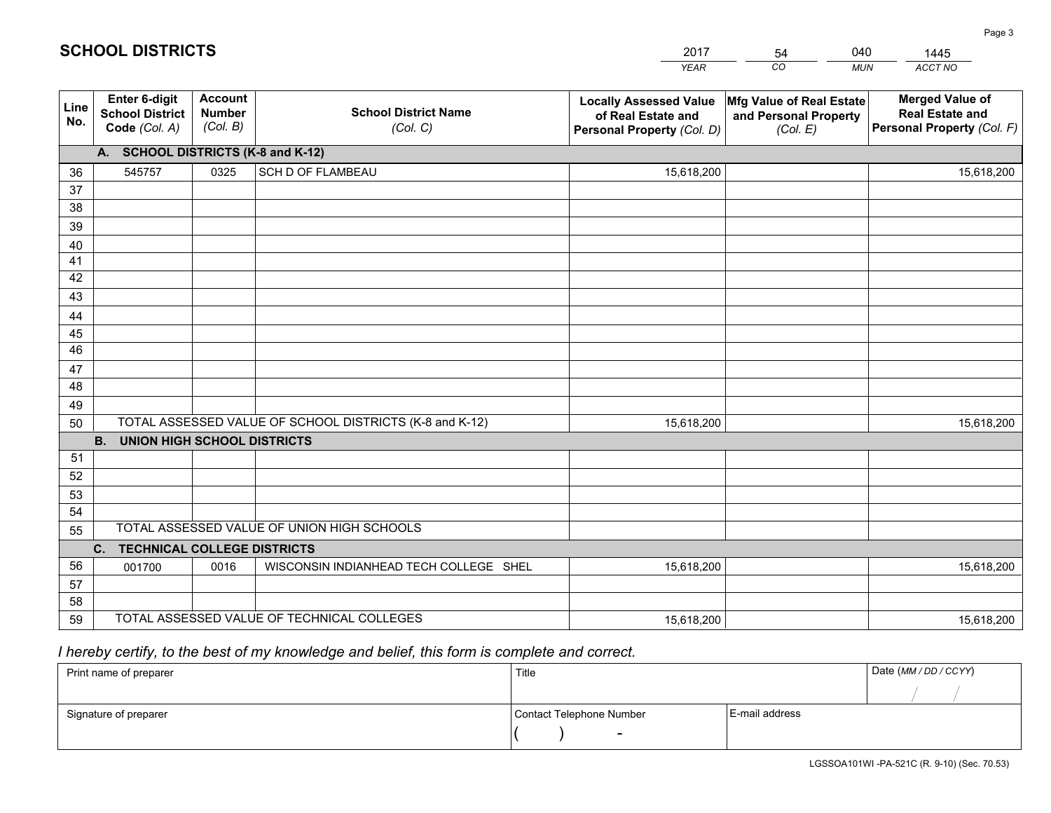|             |                                                          |                                             |                                                         | <b>YEAR</b>                                                                       | CO<br><b>MUN</b>                                              | ACCT NO                                                                        |  |  |  |  |  |  |
|-------------|----------------------------------------------------------|---------------------------------------------|---------------------------------------------------------|-----------------------------------------------------------------------------------|---------------------------------------------------------------|--------------------------------------------------------------------------------|--|--|--|--|--|--|
| Line<br>No. | Enter 6-digit<br><b>School District</b><br>Code (Col. A) | <b>Account</b><br><b>Number</b><br>(Col. B) | <b>School District Name</b><br>(Col. C)                 | <b>Locally Assessed Value</b><br>of Real Estate and<br>Personal Property (Col. D) | Mfg Value of Real Estate<br>and Personal Property<br>(Col. E) | <b>Merged Value of</b><br><b>Real Estate and</b><br>Personal Property (Col. F) |  |  |  |  |  |  |
|             | A. SCHOOL DISTRICTS (K-8 and K-12)                       |                                             |                                                         |                                                                                   |                                                               |                                                                                |  |  |  |  |  |  |
| 36          | 545757                                                   | 0325                                        | SCH D OF FLAMBEAU                                       | 15,618,200                                                                        |                                                               | 15,618,200                                                                     |  |  |  |  |  |  |
| 37          |                                                          |                                             |                                                         |                                                                                   |                                                               |                                                                                |  |  |  |  |  |  |
| 38          |                                                          |                                             |                                                         |                                                                                   |                                                               |                                                                                |  |  |  |  |  |  |
| 39          |                                                          |                                             |                                                         |                                                                                   |                                                               |                                                                                |  |  |  |  |  |  |
| 40          |                                                          |                                             |                                                         |                                                                                   |                                                               |                                                                                |  |  |  |  |  |  |
| 41          |                                                          |                                             |                                                         |                                                                                   |                                                               |                                                                                |  |  |  |  |  |  |
| 42          |                                                          |                                             |                                                         |                                                                                   |                                                               |                                                                                |  |  |  |  |  |  |
| 43          |                                                          |                                             |                                                         |                                                                                   |                                                               |                                                                                |  |  |  |  |  |  |
| 44<br>45    |                                                          |                                             |                                                         |                                                                                   |                                                               |                                                                                |  |  |  |  |  |  |
| 46          |                                                          |                                             |                                                         |                                                                                   |                                                               |                                                                                |  |  |  |  |  |  |
| 47          |                                                          |                                             |                                                         |                                                                                   |                                                               |                                                                                |  |  |  |  |  |  |
| 48          |                                                          |                                             |                                                         |                                                                                   |                                                               |                                                                                |  |  |  |  |  |  |
| 49          |                                                          |                                             |                                                         |                                                                                   |                                                               |                                                                                |  |  |  |  |  |  |
| 50          |                                                          |                                             | TOTAL ASSESSED VALUE OF SCHOOL DISTRICTS (K-8 and K-12) | 15,618,200                                                                        |                                                               | 15,618,200                                                                     |  |  |  |  |  |  |
|             | <b>B.</b><br><b>UNION HIGH SCHOOL DISTRICTS</b>          |                                             |                                                         |                                                                                   |                                                               |                                                                                |  |  |  |  |  |  |
| 51          |                                                          |                                             |                                                         |                                                                                   |                                                               |                                                                                |  |  |  |  |  |  |
| 52          |                                                          |                                             |                                                         |                                                                                   |                                                               |                                                                                |  |  |  |  |  |  |
| 53          |                                                          |                                             |                                                         |                                                                                   |                                                               |                                                                                |  |  |  |  |  |  |
| 54          |                                                          |                                             |                                                         |                                                                                   |                                                               |                                                                                |  |  |  |  |  |  |
| 55          |                                                          |                                             | TOTAL ASSESSED VALUE OF UNION HIGH SCHOOLS              |                                                                                   |                                                               |                                                                                |  |  |  |  |  |  |
|             | C.<br><b>TECHNICAL COLLEGE DISTRICTS</b>                 |                                             |                                                         |                                                                                   |                                                               |                                                                                |  |  |  |  |  |  |
| 56          | 001700                                                   | 0016                                        | WISCONSIN INDIANHEAD TECH COLLEGE SHEL                  | 15,618,200                                                                        |                                                               | 15,618,200                                                                     |  |  |  |  |  |  |
| 57          |                                                          |                                             |                                                         |                                                                                   |                                                               |                                                                                |  |  |  |  |  |  |
| 58          |                                                          |                                             |                                                         |                                                                                   |                                                               |                                                                                |  |  |  |  |  |  |
| 59          |                                                          |                                             | TOTAL ASSESSED VALUE OF TECHNICAL COLLEGES              | 15,618,200                                                                        |                                                               | 15,618,200                                                                     |  |  |  |  |  |  |

54

040

 *I hereby certify, to the best of my knowledge and belief, this form is complete and correct.*

**SCHOOL DISTRICTS**

| Print name of preparer | Title                    |                | Date (MM / DD / CCYY) |
|------------------------|--------------------------|----------------|-----------------------|
|                        |                          |                |                       |
| Signature of preparer  | Contact Telephone Number | E-mail address |                       |
|                        | $\overline{\phantom{0}}$ |                |                       |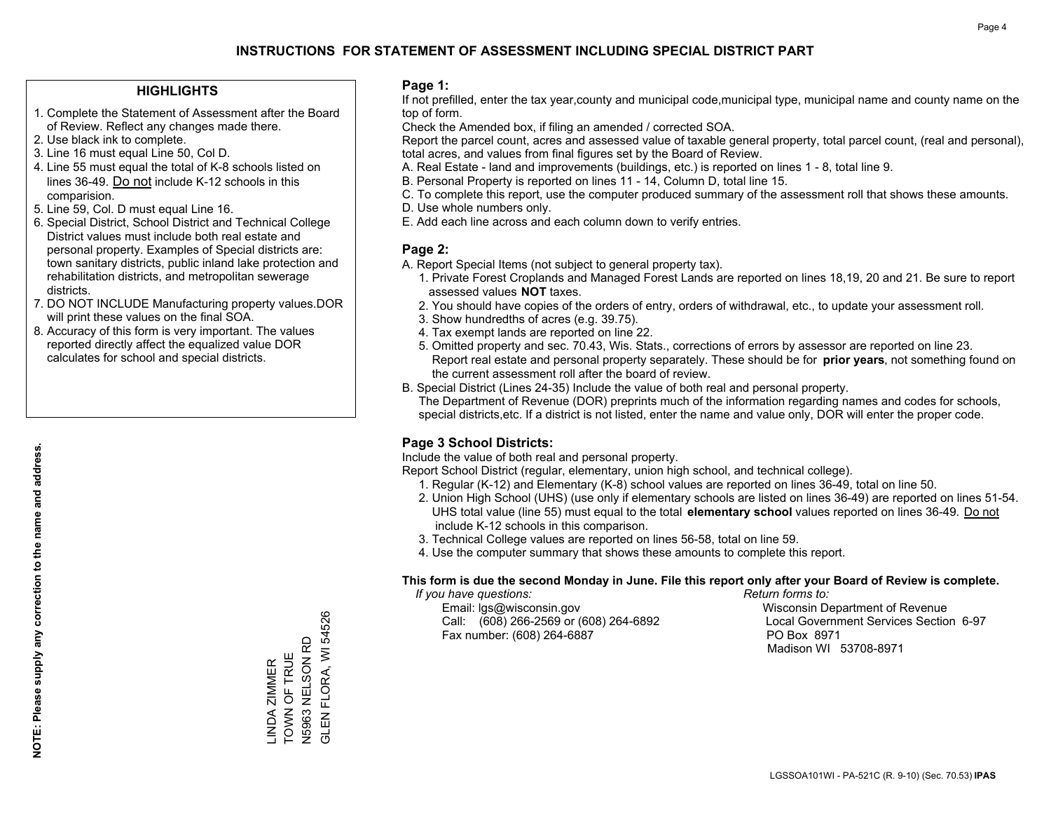#### **HIGHLIGHTS**

- 1. Complete the Statement of Assessment after the Board of Review. Reflect any changes made there.
- 2. Use black ink to complete.
- 3. Line 16 must equal Line 50, Col D.
- 4. Line 55 must equal the total of K-8 schools listed on lines 36-49. Do not include K-12 schools in this comparision.
- 5. Line 59, Col. D must equal Line 16.
- 6. Special District, School District and Technical College District values must include both real estate and personal property. Examples of Special districts are: town sanitary districts, public inland lake protection and rehabilitation districts, and metropolitan sewerage districts.
- 7. DO NOT INCLUDE Manufacturing property values.DOR will print these values on the final SOA.

LINDA ZIMMER TOWN OF TRUE N5963 NELSON RD GLEN FLORA, WI 54526

LINDA ZIMMER<br>TOWN OF TRUE

FLORA, WI 54526

**GLENF** 

N5963 NELSON RD

 8. Accuracy of this form is very important. The values reported directly affect the equalized value DOR calculates for school and special districts.

#### **Page 1:**

 If not prefilled, enter the tax year,county and municipal code,municipal type, municipal name and county name on the top of form.

Check the Amended box, if filing an amended / corrected SOA.

 Report the parcel count, acres and assessed value of taxable general property, total parcel count, (real and personal), total acres, and values from final figures set by the Board of Review.

- A. Real Estate land and improvements (buildings, etc.) is reported on lines 1 8, total line 9.
- B. Personal Property is reported on lines 11 14, Column D, total line 15.
- C. To complete this report, use the computer produced summary of the assessment roll that shows these amounts.
- D. Use whole numbers only.
- E. Add each line across and each column down to verify entries.

#### **Page 2:**

- A. Report Special Items (not subject to general property tax).
- 1. Private Forest Croplands and Managed Forest Lands are reported on lines 18,19, 20 and 21. Be sure to report assessed values **NOT** taxes.
- 2. You should have copies of the orders of entry, orders of withdrawal, etc., to update your assessment roll.
	- 3. Show hundredths of acres (e.g. 39.75).
- 4. Tax exempt lands are reported on line 22.
- 5. Omitted property and sec. 70.43, Wis. Stats., corrections of errors by assessor are reported on line 23. Report real estate and personal property separately. These should be for **prior years**, not something found on the current assessment roll after the board of review.
- B. Special District (Lines 24-35) Include the value of both real and personal property.

 The Department of Revenue (DOR) preprints much of the information regarding names and codes for schools, special districts,etc. If a district is not listed, enter the name and value only, DOR will enter the proper code.

## **Page 3 School Districts:**

Include the value of both real and personal property.

Report School District (regular, elementary, union high school, and technical college).

- 1. Regular (K-12) and Elementary (K-8) school values are reported on lines 36-49, total on line 50.
- 2. Union High School (UHS) (use only if elementary schools are listed on lines 36-49) are reported on lines 51-54. UHS total value (line 55) must equal to the total **elementary school** values reported on lines 36-49. Do notinclude K-12 schools in this comparison.
- 3. Technical College values are reported on lines 56-58, total on line 59.
- 4. Use the computer summary that shows these amounts to complete this report.

#### **This form is due the second Monday in June. File this report only after your Board of Review is complete.**

 *If you have questions: Return forms to:*

 Email: lgs@wisconsin.gov Wisconsin Department of RevenueCall:  $(608)$  266-2569 or  $(608)$  264-6892 Fax number: (608) 264-6887 PO Box 8971

Local Government Services Section 6-97 Madison WI 53708-8971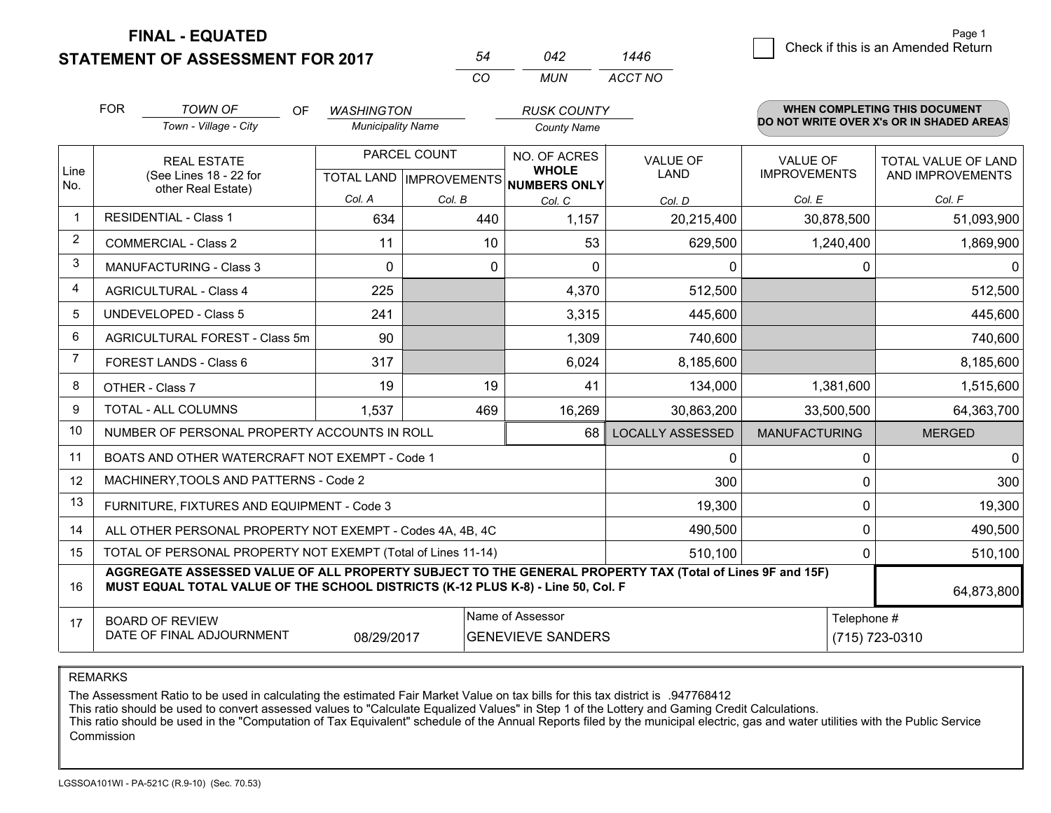**STATEMENT OF ASSESSMENT FOR 2017 FINAL - EQUATED**

6 **Check if this is an Amended Return** Page 1

|                |                                                                                                                                                                                              |                          | CO           | <b>MUN</b>                                           | ACCT NO                 |                      |                                          |
|----------------|----------------------------------------------------------------------------------------------------------------------------------------------------------------------------------------------|--------------------------|--------------|------------------------------------------------------|-------------------------|----------------------|------------------------------------------|
|                | <b>FOR</b><br><b>TOWN OF</b><br>OF.                                                                                                                                                          | <b>WASHINGTON</b>        |              | <b>RUSK COUNTY</b>                                   |                         |                      | <b>WHEN COMPLETING THIS DOCUMENT</b>     |
|                | Town - Village - City                                                                                                                                                                        | <b>Municipality Name</b> |              | <b>County Name</b>                                   |                         |                      | DO NOT WRITE OVER X's OR IN SHADED AREAS |
|                | <b>REAL ESTATE</b>                                                                                                                                                                           |                          | PARCEL COUNT | NO. OF ACRES                                         | VALUE OF                | <b>VALUE OF</b>      | TOTAL VALUE OF LAND                      |
| Line<br>No.    | (See Lines 18 - 22 for                                                                                                                                                                       |                          |              | <b>WHOLE</b><br>TOTAL LAND IMPROVEMENTS NUMBERS ONLY | <b>LAND</b>             | <b>IMPROVEMENTS</b>  | AND IMPROVEMENTS                         |
|                | other Real Estate)                                                                                                                                                                           | Col. A                   | Col. B       | Col. C                                               | Col. D                  | Col. E               | Col. F                                   |
| $\mathbf{1}$   | <b>RESIDENTIAL - Class 1</b>                                                                                                                                                                 | 634                      | 440          | 1,157                                                | 20,215,400              | 30,878,500           | 51,093,900                               |
| 2              | <b>COMMERCIAL - Class 2</b>                                                                                                                                                                  | 11                       | 10           | 53                                                   | 629,500                 | 1,240,400            | 1,869,900                                |
| 3              | MANUFACTURING - Class 3                                                                                                                                                                      | $\Omega$                 | 0            | $\Omega$                                             | $\mathbf{0}$            | 0                    | $\Omega$                                 |
| $\overline{4}$ | <b>AGRICULTURAL - Class 4</b>                                                                                                                                                                | 225                      |              | 4,370                                                | 512,500                 |                      | 512,500                                  |
| 5              | <b>UNDEVELOPED - Class 5</b>                                                                                                                                                                 | 241                      |              | 3,315                                                | 445,600                 |                      | 445,600                                  |
| 6              | AGRICULTURAL FOREST - Class 5m                                                                                                                                                               | 90                       |              | 1,309                                                | 740,600                 |                      | 740,600                                  |
| $\overline{7}$ | FOREST LANDS - Class 6                                                                                                                                                                       | 317                      |              | 6,024                                                | 8,185,600               |                      | 8,185,600                                |
| 8              | OTHER - Class 7                                                                                                                                                                              | 19                       | 19           | 41                                                   | 134,000                 | 1,381,600            | 1,515,600                                |
| 9              | TOTAL - ALL COLUMNS                                                                                                                                                                          | 1,537                    | 469          | 16,269                                               | 30,863,200              | 33,500,500           | 64,363,700                               |
| 10             | NUMBER OF PERSONAL PROPERTY ACCOUNTS IN ROLL                                                                                                                                                 |                          |              | 68                                                   | <b>LOCALLY ASSESSED</b> | <b>MANUFACTURING</b> | <b>MERGED</b>                            |
| 11             | BOATS AND OTHER WATERCRAFT NOT EXEMPT - Code 1                                                                                                                                               |                          |              |                                                      | $\Omega$                | 0                    | $\mathbf 0$                              |
| 12             | MACHINERY, TOOLS AND PATTERNS - Code 2                                                                                                                                                       |                          |              |                                                      | 300                     | 0                    | 300                                      |
| 13             | FURNITURE, FIXTURES AND EQUIPMENT - Code 3                                                                                                                                                   |                          |              |                                                      | 19,300                  | 0                    | 19,300                                   |
| 14             | ALL OTHER PERSONAL PROPERTY NOT EXEMPT - Codes 4A, 4B, 4C                                                                                                                                    |                          |              |                                                      | 490,500                 | 0                    | 490,500                                  |
| 15             | TOTAL OF PERSONAL PROPERTY NOT EXEMPT (Total of Lines 11-14)                                                                                                                                 |                          |              |                                                      | 510,100                 | $\Omega$             | 510,100                                  |
| 16             | AGGREGATE ASSESSED VALUE OF ALL PROPERTY SUBJECT TO THE GENERAL PROPERTY TAX (Total of Lines 9F and 15F)<br>MUST EQUAL TOTAL VALUE OF THE SCHOOL DISTRICTS (K-12 PLUS K-8) - Line 50, Col. F |                          |              |                                                      |                         |                      | 64,873,800                               |
| 17             | <b>BOARD OF REVIEW</b><br>DATE OF FINAL ADJOURNMENT                                                                                                                                          | 08/29/2017               |              | Name of Assessor<br><b>GENEVIEVE SANDERS</b>         |                         | Telephone #          | (715) 723-0310                           |

*1446*

*<sup>54</sup> <sup>042</sup>*

REMARKS

The Assessment Ratio to be used in calculating the estimated Fair Market Value on tax bills for this tax district is .947768412<br>This ratio should be used to convert assessed values to "Calculate Equalized Values" in Step 1 Commission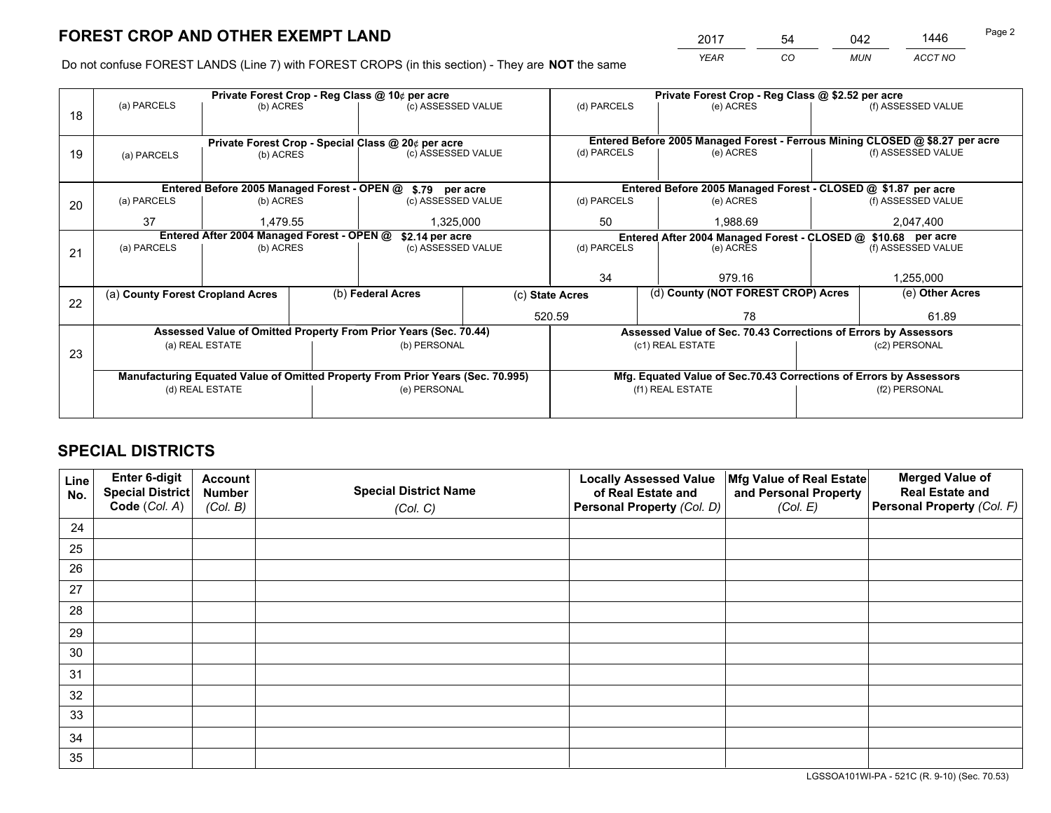*YEAR CO MUN ACCT NO* <sup>2017</sup> <sup>54</sup> <sup>042</sup> <sup>1446</sup>

Do not confuse FOREST LANDS (Line 7) with FOREST CROPS (in this section) - They are **NOT** the same

|    |                                            |                 |                   | Private Forest Crop - Reg Class @ 10¢ per acre                                 |  | Private Forest Crop - Reg Class @ \$2.52 per acre               |                                                                              |                                    |                    |  |
|----|--------------------------------------------|-----------------|-------------------|--------------------------------------------------------------------------------|--|-----------------------------------------------------------------|------------------------------------------------------------------------------|------------------------------------|--------------------|--|
| 18 | (a) PARCELS                                | (b) ACRES       |                   | (c) ASSESSED VALUE                                                             |  | (d) PARCELS                                                     | (e) ACRES                                                                    |                                    | (f) ASSESSED VALUE |  |
|    |                                            |                 |                   |                                                                                |  |                                                                 |                                                                              |                                    |                    |  |
|    |                                            |                 |                   | Private Forest Crop - Special Class @ 20¢ per acre                             |  |                                                                 | Entered Before 2005 Managed Forest - Ferrous Mining CLOSED @ \$8.27 per acre |                                    |                    |  |
| 19 | (a) PARCELS                                | (b) ACRES       |                   | (c) ASSESSED VALUE                                                             |  | (d) PARCELS                                                     | (e) ACRES                                                                    |                                    | (f) ASSESSED VALUE |  |
|    |                                            |                 |                   |                                                                                |  |                                                                 |                                                                              |                                    |                    |  |
|    |                                            |                 |                   | Entered Before 2005 Managed Forest - OPEN @ \$.79 per acre                     |  |                                                                 | Entered Before 2005 Managed Forest - CLOSED @ \$1.87 per acre                |                                    |                    |  |
| 20 | (a) PARCELS                                | (b) ACRES       |                   | (c) ASSESSED VALUE                                                             |  | (d) PARCELS                                                     | (e) ACRES                                                                    |                                    | (f) ASSESSED VALUE |  |
|    | 37                                         | 1,479.55        |                   | 1,325,000                                                                      |  | 50                                                              | 1,988.69                                                                     |                                    |                    |  |
|    | Entered After 2004 Managed Forest - OPEN @ |                 |                   | \$2.14 per acre                                                                |  | Entered After 2004 Managed Forest - CLOSED @ \$10.68 per acre   |                                                                              |                                    |                    |  |
| 21 | (a) PARCELS                                | (b) ACRES       |                   | (c) ASSESSED VALUE                                                             |  | (d) PARCELS                                                     | (e) ACRES                                                                    |                                    | (f) ASSESSED VALUE |  |
|    |                                            |                 |                   |                                                                                |  |                                                                 |                                                                              |                                    |                    |  |
|    |                                            |                 |                   |                                                                                |  | 34                                                              | 979.16                                                                       |                                    | 1,255,000          |  |
| 22 | (a) County Forest Cropland Acres           |                 | (b) Federal Acres |                                                                                |  | (c) State Acres                                                 |                                                                              | (d) County (NOT FOREST CROP) Acres |                    |  |
|    |                                            |                 |                   |                                                                                |  | 520.59<br>78                                                    |                                                                              |                                    | 61.89              |  |
|    |                                            |                 |                   | Assessed Value of Omitted Property From Prior Years (Sec. 70.44)               |  | Assessed Value of Sec. 70.43 Corrections of Errors by Assessors |                                                                              |                                    |                    |  |
|    |                                            | (a) REAL ESTATE |                   | (b) PERSONAL                                                                   |  |                                                                 | (c1) REAL ESTATE                                                             |                                    | (c2) PERSONAL      |  |
| 23 |                                            |                 |                   |                                                                                |  |                                                                 |                                                                              |                                    |                    |  |
|    |                                            |                 |                   | Manufacturing Equated Value of Omitted Property From Prior Years (Sec. 70.995) |  |                                                                 | Mfg. Equated Value of Sec.70.43 Corrections of Errors by Assessors           |                                    |                    |  |
|    | (d) REAL ESTATE                            |                 |                   | (e) PERSONAL                                                                   |  |                                                                 | (f1) REAL ESTATE                                                             |                                    | (f2) PERSONAL      |  |
|    |                                            |                 |                   |                                                                                |  |                                                                 |                                                                              |                                    |                    |  |

## **SPECIAL DISTRICTS**

| Line<br>No. | Enter 6-digit<br>Special District<br>Code (Col. A) | <b>Account</b><br><b>Number</b><br>(Col. B) | <b>Special District Name</b><br>(Col. C) | <b>Locally Assessed Value</b><br>of Real Estate and<br>Personal Property (Col. D) | Mfg Value of Real Estate<br>and Personal Property<br>(Col. E) | <b>Merged Value of</b><br><b>Real Estate and</b><br>Personal Property (Col. F) |
|-------------|----------------------------------------------------|---------------------------------------------|------------------------------------------|-----------------------------------------------------------------------------------|---------------------------------------------------------------|--------------------------------------------------------------------------------|
| 24          |                                                    |                                             |                                          |                                                                                   |                                                               |                                                                                |
| 25          |                                                    |                                             |                                          |                                                                                   |                                                               |                                                                                |
| 26          |                                                    |                                             |                                          |                                                                                   |                                                               |                                                                                |
| 27          |                                                    |                                             |                                          |                                                                                   |                                                               |                                                                                |
| 28          |                                                    |                                             |                                          |                                                                                   |                                                               |                                                                                |
| 29          |                                                    |                                             |                                          |                                                                                   |                                                               |                                                                                |
| 30          |                                                    |                                             |                                          |                                                                                   |                                                               |                                                                                |
| 31          |                                                    |                                             |                                          |                                                                                   |                                                               |                                                                                |
| 32          |                                                    |                                             |                                          |                                                                                   |                                                               |                                                                                |
| 33          |                                                    |                                             |                                          |                                                                                   |                                                               |                                                                                |
| 34          |                                                    |                                             |                                          |                                                                                   |                                                               |                                                                                |
| 35          |                                                    |                                             |                                          |                                                                                   |                                                               |                                                                                |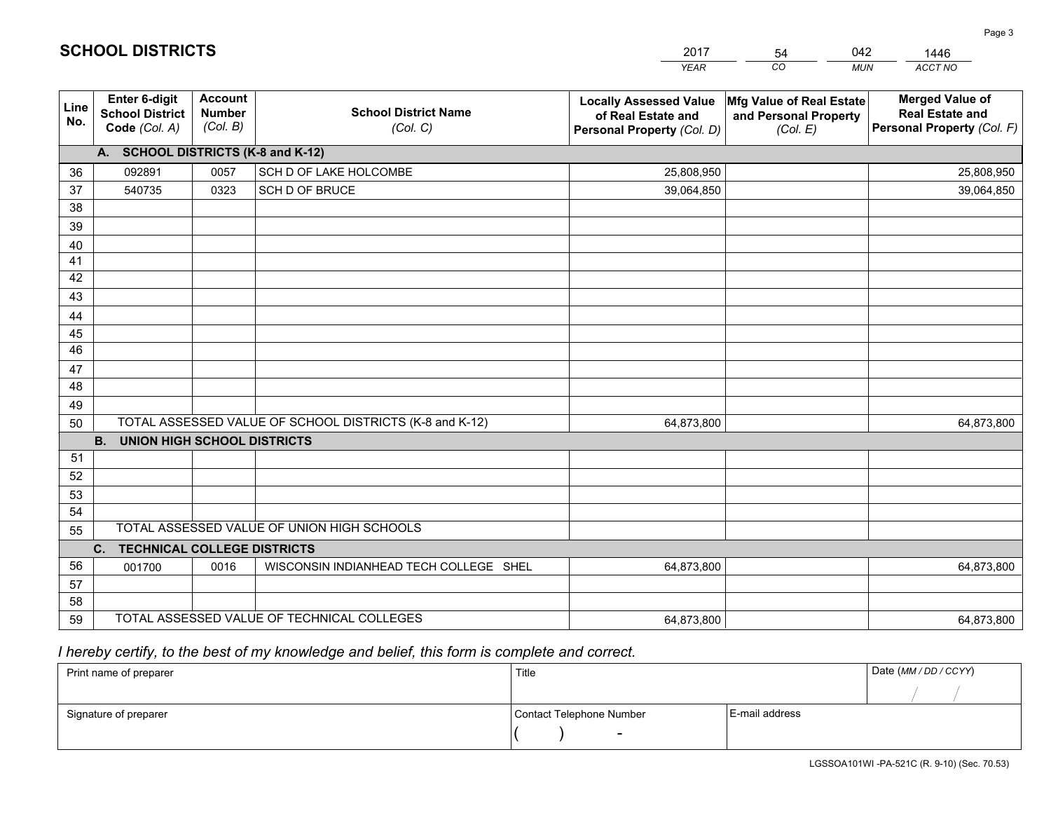|             |                                                                 |                                             |                                                         | <b>YEAR</b>                                                                       | CO<br><b>MUN</b>                                              | ACCT NO                                                                        |
|-------------|-----------------------------------------------------------------|---------------------------------------------|---------------------------------------------------------|-----------------------------------------------------------------------------------|---------------------------------------------------------------|--------------------------------------------------------------------------------|
| Line<br>No. | <b>Enter 6-digit</b><br><b>School District</b><br>Code (Col. A) | <b>Account</b><br><b>Number</b><br>(Col. B) | <b>School District Name</b><br>(Col. C)                 | <b>Locally Assessed Value</b><br>of Real Estate and<br>Personal Property (Col. D) | Mfg Value of Real Estate<br>and Personal Property<br>(Col. E) | <b>Merged Value of</b><br><b>Real Estate and</b><br>Personal Property (Col. F) |
|             | A. SCHOOL DISTRICTS (K-8 and K-12)                              |                                             |                                                         |                                                                                   |                                                               |                                                                                |
| 36          | 092891                                                          | 0057                                        | SCH D OF LAKE HOLCOMBE                                  | 25,808,950                                                                        |                                                               | 25,808,950                                                                     |
| 37          | 540735                                                          | 0323                                        | SCH D OF BRUCE                                          | 39,064,850                                                                        |                                                               | 39,064,850                                                                     |
| 38          |                                                                 |                                             |                                                         |                                                                                   |                                                               |                                                                                |
| 39          |                                                                 |                                             |                                                         |                                                                                   |                                                               |                                                                                |
| 40          |                                                                 |                                             |                                                         |                                                                                   |                                                               |                                                                                |
| 41          |                                                                 |                                             |                                                         |                                                                                   |                                                               |                                                                                |
| 42          |                                                                 |                                             |                                                         |                                                                                   |                                                               |                                                                                |
| 43          |                                                                 |                                             |                                                         |                                                                                   |                                                               |                                                                                |
| 44          |                                                                 |                                             |                                                         |                                                                                   |                                                               |                                                                                |
| 45<br>46    |                                                                 |                                             |                                                         |                                                                                   |                                                               |                                                                                |
|             |                                                                 |                                             |                                                         |                                                                                   |                                                               |                                                                                |
| 47<br>48    |                                                                 |                                             |                                                         |                                                                                   |                                                               |                                                                                |
| 49          |                                                                 |                                             |                                                         |                                                                                   |                                                               |                                                                                |
| 50          |                                                                 |                                             | TOTAL ASSESSED VALUE OF SCHOOL DISTRICTS (K-8 and K-12) | 64,873,800                                                                        |                                                               | 64,873,800                                                                     |
|             | <b>B.</b><br><b>UNION HIGH SCHOOL DISTRICTS</b>                 |                                             |                                                         |                                                                                   |                                                               |                                                                                |
| 51          |                                                                 |                                             |                                                         |                                                                                   |                                                               |                                                                                |
| 52          |                                                                 |                                             |                                                         |                                                                                   |                                                               |                                                                                |
| 53          |                                                                 |                                             |                                                         |                                                                                   |                                                               |                                                                                |
| 54          |                                                                 |                                             |                                                         |                                                                                   |                                                               |                                                                                |
| 55          |                                                                 |                                             | TOTAL ASSESSED VALUE OF UNION HIGH SCHOOLS              |                                                                                   |                                                               |                                                                                |
|             | <b>TECHNICAL COLLEGE DISTRICTS</b><br>C.                        |                                             |                                                         |                                                                                   |                                                               |                                                                                |
| 56          | 001700                                                          | 0016                                        | WISCONSIN INDIANHEAD TECH COLLEGE SHEL                  | 64,873,800                                                                        |                                                               | 64,873,800                                                                     |
| 57          |                                                                 |                                             |                                                         |                                                                                   |                                                               |                                                                                |
| 58          |                                                                 |                                             |                                                         |                                                                                   |                                                               |                                                                                |
| 59          |                                                                 |                                             | TOTAL ASSESSED VALUE OF TECHNICAL COLLEGES              | 64,873,800                                                                        |                                                               | 64,873,800                                                                     |

54

042

 *I hereby certify, to the best of my knowledge and belief, this form is complete and correct.*

**SCHOOL DISTRICTS**

| Print name of preparer | Title                    |                | Date (MM / DD / CCYY) |
|------------------------|--------------------------|----------------|-----------------------|
|                        |                          |                |                       |
| Signature of preparer  | Contact Telephone Number | E-mail address |                       |
|                        | $\overline{\phantom{0}}$ |                |                       |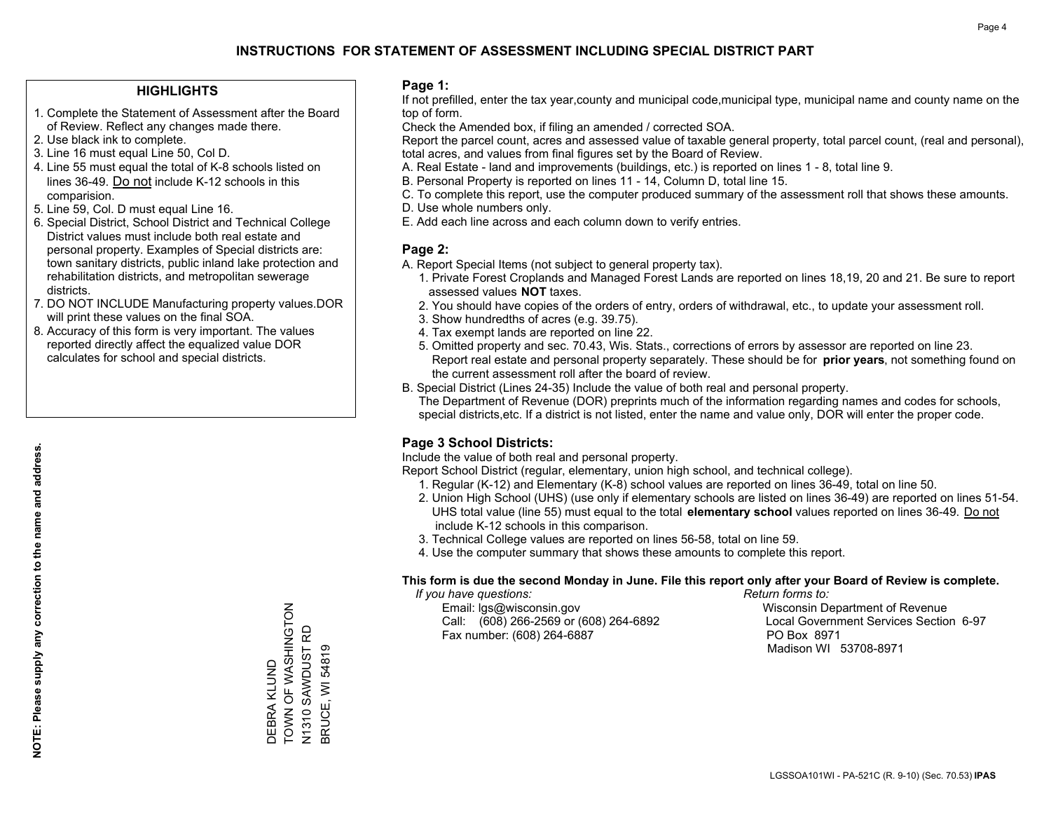#### **HIGHLIGHTS**

- 1. Complete the Statement of Assessment after the Board of Review. Reflect any changes made there.
- 2. Use black ink to complete.
- 3. Line 16 must equal Line 50, Col D.
- 4. Line 55 must equal the total of K-8 schools listed on lines 36-49. Do not include K-12 schools in this comparision.
- 5. Line 59, Col. D must equal Line 16.
- 6. Special District, School District and Technical College District values must include both real estate and personal property. Examples of Special districts are: town sanitary districts, public inland lake protection and rehabilitation districts, and metropolitan sewerage districts.
- 7. DO NOT INCLUDE Manufacturing property values.DOR will print these values on the final SOA.

DEBRA KLUND

DEBRA KLUND

TOWN OF WASHINGTON N1310 SAWDUST RD BRUCE, WI 54819

N1310 SAWDUST RD<br>BRUCE, WI 54819

TOWN OF WASHINGTON

 8. Accuracy of this form is very important. The values reported directly affect the equalized value DOR calculates for school and special districts.

#### **Page 1:**

 If not prefilled, enter the tax year,county and municipal code,municipal type, municipal name and county name on the top of form.

Check the Amended box, if filing an amended / corrected SOA.

 Report the parcel count, acres and assessed value of taxable general property, total parcel count, (real and personal), total acres, and values from final figures set by the Board of Review.

- A. Real Estate land and improvements (buildings, etc.) is reported on lines 1 8, total line 9.
- B. Personal Property is reported on lines 11 14, Column D, total line 15.
- C. To complete this report, use the computer produced summary of the assessment roll that shows these amounts.
- D. Use whole numbers only.
- E. Add each line across and each column down to verify entries.

#### **Page 2:**

- A. Report Special Items (not subject to general property tax).
- 1. Private Forest Croplands and Managed Forest Lands are reported on lines 18,19, 20 and 21. Be sure to report assessed values **NOT** taxes.
- 2. You should have copies of the orders of entry, orders of withdrawal, etc., to update your assessment roll.
	- 3. Show hundredths of acres (e.g. 39.75).
- 4. Tax exempt lands are reported on line 22.
- 5. Omitted property and sec. 70.43, Wis. Stats., corrections of errors by assessor are reported on line 23. Report real estate and personal property separately. These should be for **prior years**, not something found on the current assessment roll after the board of review.
- B. Special District (Lines 24-35) Include the value of both real and personal property.
- The Department of Revenue (DOR) preprints much of the information regarding names and codes for schools, special districts,etc. If a district is not listed, enter the name and value only, DOR will enter the proper code.

## **Page 3 School Districts:**

Include the value of both real and personal property.

Report School District (regular, elementary, union high school, and technical college).

- 1. Regular (K-12) and Elementary (K-8) school values are reported on lines 36-49, total on line 50.
- 2. Union High School (UHS) (use only if elementary schools are listed on lines 36-49) are reported on lines 51-54. UHS total value (line 55) must equal to the total **elementary school** values reported on lines 36-49. Do notinclude K-12 schools in this comparison.
- 3. Technical College values are reported on lines 56-58, total on line 59.
- 4. Use the computer summary that shows these amounts to complete this report.

#### **This form is due the second Monday in June. File this report only after your Board of Review is complete.**

 *If you have questions: Return forms to:*

 Email: lgs@wisconsin.gov Wisconsin Department of RevenueCall:  $(608)$  266-2569 or  $(608)$  264-6892 Fax number: (608) 264-6887 PO Box 8971

Local Government Services Section 6-97 Madison WI 53708-8971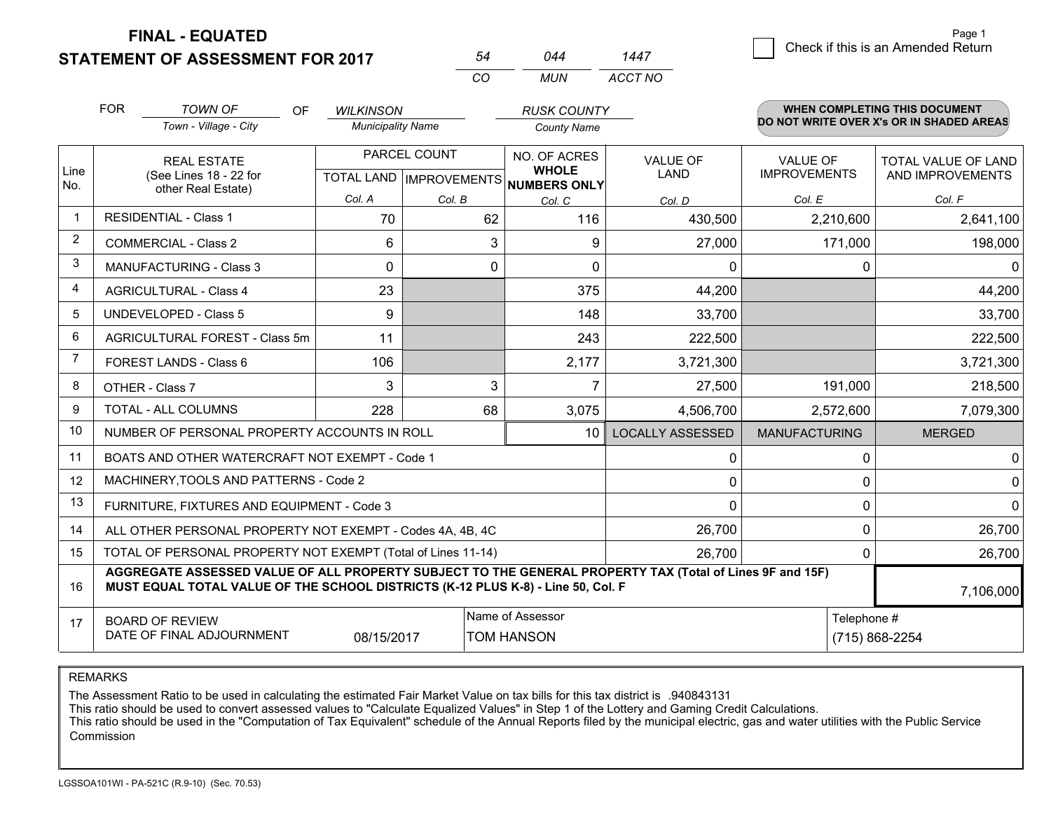**STATEMENT OF ASSESSMENT FOR 2017 FINAL - EQUATED**

7 Check if this is an Amended Return<br>
7 Page 1

|                   | <b>FOR</b>                                                | <b>TOWN OF</b>                                                                                           | OF. | <b>WILKINSON</b>         |              | <b>RUSK COUNTY</b>           |                         |                      | <b>WHEN COMPLETING THIS DOCUMENT</b>     |
|-------------------|-----------------------------------------------------------|----------------------------------------------------------------------------------------------------------|-----|--------------------------|--------------|------------------------------|-------------------------|----------------------|------------------------------------------|
|                   |                                                           | Town - Village - City                                                                                    |     | <b>Municipality Name</b> |              | <b>County Name</b>           |                         |                      | DO NOT WRITE OVER X's OR IN SHADED AREAS |
|                   |                                                           | <b>REAL ESTATE</b>                                                                                       |     | PARCEL COUNT             |              | NO. OF ACRES                 | <b>VALUE OF</b>         | <b>VALUE OF</b>      | TOTAL VALUE OF LAND                      |
| Line<br>No.       |                                                           | (See Lines 18 - 22 for<br>other Real Estate)                                                             |     | <b>TOTAL LAND</b>        | IMPROVEMENTS | <b>WHOLE</b><br>NUMBERS ONLY | <b>LAND</b>             | <b>IMPROVEMENTS</b>  | AND IMPROVEMENTS                         |
|                   |                                                           |                                                                                                          |     | Col. A                   | Col. B       | Col. C                       | Col. D                  | Col. E               | Col. F                                   |
| $\mathbf{1}$      |                                                           | <b>RESIDENTIAL - Class 1</b>                                                                             |     | 70                       | 62           | 116                          | 430,500                 | 2,210,600            | 2,641,100                                |
| $\overline{2}$    |                                                           | <b>COMMERCIAL - Class 2</b>                                                                              |     | 6                        | 3            | 9                            | 27,000                  | 171,000              | 198,000                                  |
| 3                 |                                                           | <b>MANUFACTURING - Class 3</b>                                                                           |     | 0                        | 0            | 0                            | $\mathbf{0}$            | 0                    | 0                                        |
| 4                 |                                                           | <b>AGRICULTURAL - Class 4</b>                                                                            |     | 23                       |              | 375                          | 44,200                  |                      | 44,200                                   |
| 5                 |                                                           | <b>UNDEVELOPED - Class 5</b>                                                                             |     | 9                        |              | 148                          | 33,700                  |                      | 33,700                                   |
| 6                 |                                                           | AGRICULTURAL FOREST - Class 5m                                                                           |     | 11                       |              | 243                          | 222,500                 |                      | 222,500                                  |
| $\overline{7}$    |                                                           | FOREST LANDS - Class 6                                                                                   |     | 106                      |              | 2,177                        | 3,721,300               |                      | 3,721,300                                |
| 8                 |                                                           | OTHER - Class 7                                                                                          |     | 3                        | 3            |                              | 27,500                  | 191,000              | 218,500                                  |
| 9                 |                                                           | TOTAL - ALL COLUMNS                                                                                      |     | 228                      | 68           | 3,075                        | 4,506,700               | 2,572,600            | 7,079,300                                |
| 10                |                                                           | NUMBER OF PERSONAL PROPERTY ACCOUNTS IN ROLL                                                             |     |                          |              | 10                           | <b>LOCALLY ASSESSED</b> | <b>MANUFACTURING</b> | <b>MERGED</b>                            |
| 11                |                                                           | BOATS AND OTHER WATERCRAFT NOT EXEMPT - Code 1                                                           |     |                          |              |                              | 0                       | 0                    | 0                                        |
| $12 \overline{ }$ |                                                           | MACHINERY, TOOLS AND PATTERNS - Code 2                                                                   |     |                          |              |                              | $\mathbf 0$             | $\mathbf 0$          | 0                                        |
| 13                |                                                           | FURNITURE, FIXTURES AND EQUIPMENT - Code 3                                                               |     |                          |              |                              | $\Omega$                | 0                    | 0                                        |
| 14                | ALL OTHER PERSONAL PROPERTY NOT EXEMPT - Codes 4A, 4B, 4C |                                                                                                          |     |                          |              |                              | 26,700                  | 0                    | 26,700                                   |
| 15                |                                                           | TOTAL OF PERSONAL PROPERTY NOT EXEMPT (Total of Lines 11-14)                                             |     |                          |              |                              | 26,700                  | 0                    | 26,700                                   |
|                   |                                                           | AGGREGATE ASSESSED VALUE OF ALL PROPERTY SUBJECT TO THE GENERAL PROPERTY TAX (Total of Lines 9F and 15F) |     |                          |              |                              |                         |                      |                                          |

*CO*

*MUN*

*ACCT NO1447*

*<sup>54</sup> <sup>044</sup>*

1617**MUST EQUAL TOTAL VALUE OF THE SCHOOL DISTRICTS (K-12 PLUS K-8) - Line 50, Col. F**BOARD OF REVIEW DATE OF FINAL ADJOURNMENTName of Assessor Telephone #N (715) 868-2254 7,106,00008/15/2017TOM HANSON

REMARKS

The Assessment Ratio to be used in calculating the estimated Fair Market Value on tax bills for this tax district is .940843131

This ratio should be used to convert assessed values to "Calculate Equalized Values" in Step 1 of the Lottery and Gaming Credit Calculations.<br>This ratio should be used in the "Computation of Tax Equivalent" schedule of the Commission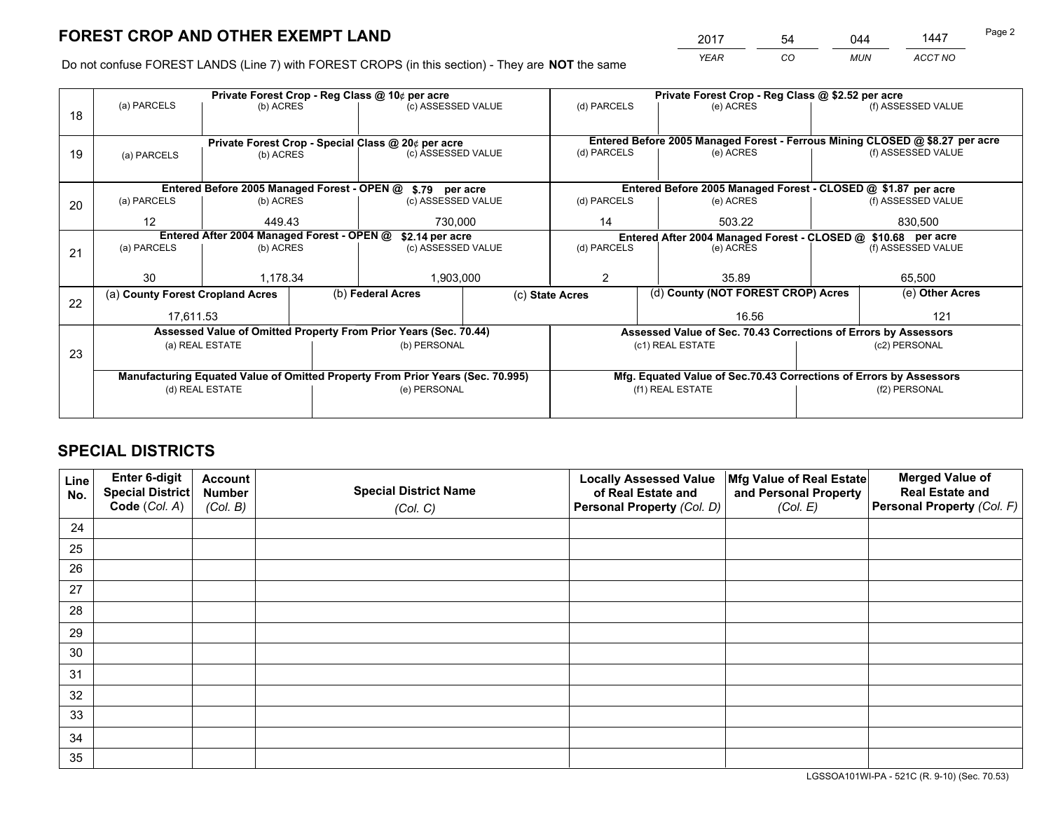*YEAR CO MUN ACCT NO* 2017 54 044 1447

Do not confuse FOREST LANDS (Line 7) with FOREST CROPS (in this section) - They are **NOT** the same

|    |                                            |                 |              | Private Forest Crop - Reg Class @ 10¢ per acre                                 |                                                                    | Private Forest Crop - Reg Class @ \$2.52 per acre |                                                                              |                                                               |                                                                 |                    |
|----|--------------------------------------------|-----------------|--------------|--------------------------------------------------------------------------------|--------------------------------------------------------------------|---------------------------------------------------|------------------------------------------------------------------------------|---------------------------------------------------------------|-----------------------------------------------------------------|--------------------|
| 18 | (a) PARCELS                                | (b) ACRES       |              | (c) ASSESSED VALUE                                                             |                                                                    | (d) PARCELS                                       |                                                                              | (e) ACRES                                                     |                                                                 | (f) ASSESSED VALUE |
|    |                                            |                 |              | Private Forest Crop - Special Class @ 20¢ per acre                             |                                                                    |                                                   | Entered Before 2005 Managed Forest - Ferrous Mining CLOSED @ \$8.27 per acre |                                                               |                                                                 |                    |
| 19 | (a) PARCELS                                | (b) ACRES       |              | (c) ASSESSED VALUE                                                             |                                                                    | (d) PARCELS                                       |                                                                              | (e) ACRES                                                     |                                                                 | (f) ASSESSED VALUE |
|    |                                            |                 |              | Entered Before 2005 Managed Forest - OPEN @ \$.79 per acre                     |                                                                    |                                                   |                                                                              | Entered Before 2005 Managed Forest - CLOSED @ \$1.87 per acre |                                                                 |                    |
| 20 | (a) PARCELS<br>(b) ACRES                   |                 |              | (c) ASSESSED VALUE                                                             |                                                                    | (d) PARCELS                                       |                                                                              | (e) ACRES                                                     |                                                                 | (f) ASSESSED VALUE |
|    | $12 \overline{ }$                          | 449.43          |              | 730.000                                                                        | 14<br>503.22                                                       |                                                   | 830,500                                                                      |                                                               |                                                                 |                    |
|    | Entered After 2004 Managed Forest - OPEN @ |                 |              | \$2.14 per acre                                                                | Entered After 2004 Managed Forest - CLOSED @ \$10.68 per acre      |                                                   |                                                                              |                                                               |                                                                 |                    |
| 21 | (a) PARCELS                                | (b) ACRES       |              | (c) ASSESSED VALUE                                                             |                                                                    | (d) PARCELS                                       |                                                                              | (e) ACRES                                                     |                                                                 | (f) ASSESSED VALUE |
|    |                                            |                 |              |                                                                                |                                                                    |                                                   |                                                                              |                                                               |                                                                 |                    |
|    | 30                                         | 1,178.34        |              | 1,903,000                                                                      | $\overline{2}$                                                     |                                                   | 35.89                                                                        |                                                               | 65,500                                                          |                    |
| 22 | (a) County Forest Cropland Acres           |                 |              | (b) Federal Acres                                                              | (c) State Acres                                                    |                                                   | (d) County (NOT FOREST CROP) Acres                                           |                                                               | (e) Other Acres                                                 |                    |
|    | 17,611.53                                  |                 |              |                                                                                |                                                                    |                                                   |                                                                              | 16.56                                                         |                                                                 | 121                |
|    |                                            |                 |              | Assessed Value of Omitted Property From Prior Years (Sec. 70.44)               |                                                                    |                                                   |                                                                              |                                                               | Assessed Value of Sec. 70.43 Corrections of Errors by Assessors |                    |
| 23 |                                            | (a) REAL ESTATE |              | (b) PERSONAL                                                                   |                                                                    | (c1) REAL ESTATE                                  |                                                                              |                                                               | (c2) PERSONAL                                                   |                    |
|    |                                            |                 |              |                                                                                |                                                                    |                                                   |                                                                              |                                                               |                                                                 |                    |
|    |                                            |                 |              | Manufacturing Equated Value of Omitted Property From Prior Years (Sec. 70.995) | Mfg. Equated Value of Sec.70.43 Corrections of Errors by Assessors |                                                   |                                                                              |                                                               |                                                                 |                    |
|    | (d) REAL ESTATE                            |                 | (e) PERSONAL |                                                                                | (f1) REAL ESTATE                                                   |                                                   |                                                                              | (f2) PERSONAL                                                 |                                                                 |                    |
|    |                                            |                 |              |                                                                                |                                                                    |                                                   |                                                                              |                                                               |                                                                 |                    |

## **SPECIAL DISTRICTS**

| Line<br>No. | Enter 6-digit<br>Special District<br>Code (Col. A) | <b>Account</b><br><b>Number</b> | <b>Special District Name</b> | <b>Locally Assessed Value</b><br>of Real Estate and | Mfg Value of Real Estate<br>and Personal Property | <b>Merged Value of</b><br><b>Real Estate and</b><br>Personal Property (Col. F) |
|-------------|----------------------------------------------------|---------------------------------|------------------------------|-----------------------------------------------------|---------------------------------------------------|--------------------------------------------------------------------------------|
|             |                                                    | (Col. B)                        | (Col. C)                     | Personal Property (Col. D)                          | (Col. E)                                          |                                                                                |
| 24          |                                                    |                                 |                              |                                                     |                                                   |                                                                                |
| 25          |                                                    |                                 |                              |                                                     |                                                   |                                                                                |
| 26          |                                                    |                                 |                              |                                                     |                                                   |                                                                                |
| 27          |                                                    |                                 |                              |                                                     |                                                   |                                                                                |
| 28          |                                                    |                                 |                              |                                                     |                                                   |                                                                                |
| 29          |                                                    |                                 |                              |                                                     |                                                   |                                                                                |
| 30          |                                                    |                                 |                              |                                                     |                                                   |                                                                                |
| 31          |                                                    |                                 |                              |                                                     |                                                   |                                                                                |
| 32          |                                                    |                                 |                              |                                                     |                                                   |                                                                                |
| 33          |                                                    |                                 |                              |                                                     |                                                   |                                                                                |
| 34          |                                                    |                                 |                              |                                                     |                                                   |                                                                                |
| 35          |                                                    |                                 |                              |                                                     |                                                   |                                                                                |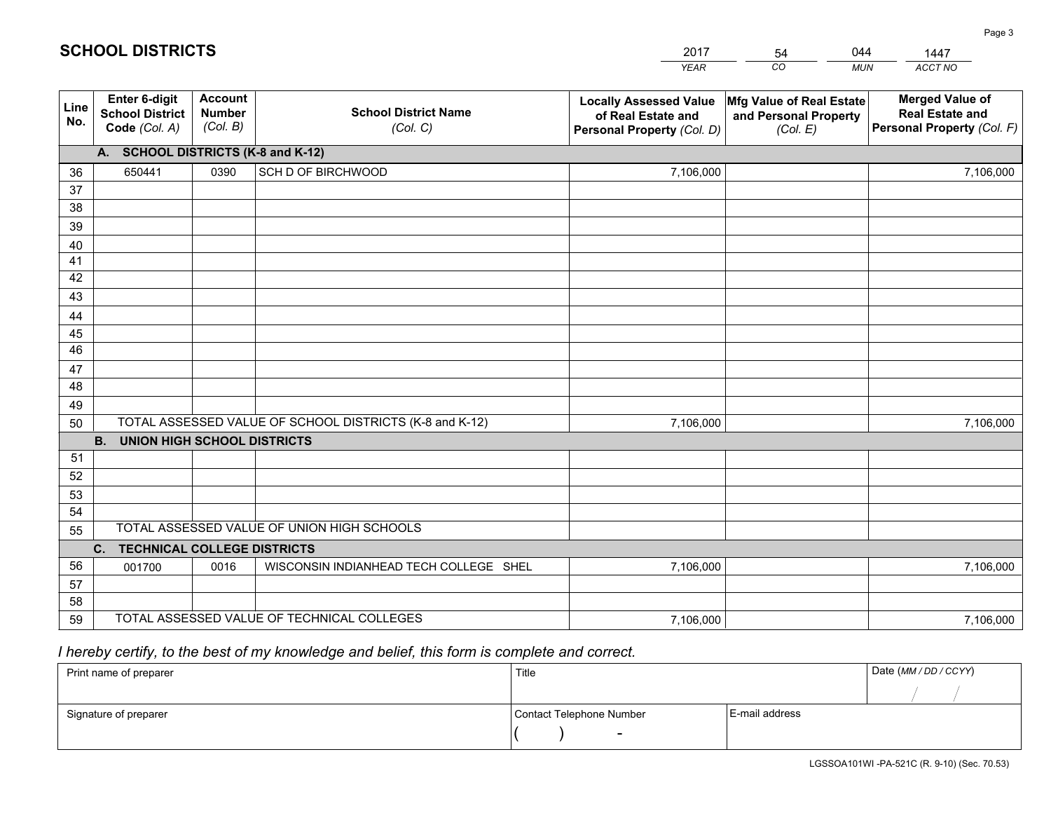|             |                                                          |                                             |                                                         | <b>YEAR</b>                                                                       | CO<br><b>MUN</b>                                              | ACCT NO                                                                        |
|-------------|----------------------------------------------------------|---------------------------------------------|---------------------------------------------------------|-----------------------------------------------------------------------------------|---------------------------------------------------------------|--------------------------------------------------------------------------------|
| Line<br>No. | Enter 6-digit<br><b>School District</b><br>Code (Col. A) | <b>Account</b><br><b>Number</b><br>(Col. B) | <b>School District Name</b><br>(Col. C)                 | <b>Locally Assessed Value</b><br>of Real Estate and<br>Personal Property (Col. D) | Mfg Value of Real Estate<br>and Personal Property<br>(Col. E) | <b>Merged Value of</b><br><b>Real Estate and</b><br>Personal Property (Col. F) |
|             | A. SCHOOL DISTRICTS (K-8 and K-12)                       |                                             |                                                         |                                                                                   |                                                               |                                                                                |
| 36          | 650441                                                   | 0390                                        | SCH D OF BIRCHWOOD                                      | 7,106,000                                                                         |                                                               | 7,106,000                                                                      |
| 37          |                                                          |                                             |                                                         |                                                                                   |                                                               |                                                                                |
| 38          |                                                          |                                             |                                                         |                                                                                   |                                                               |                                                                                |
| 39          |                                                          |                                             |                                                         |                                                                                   |                                                               |                                                                                |
| 40          |                                                          |                                             |                                                         |                                                                                   |                                                               |                                                                                |
| 41<br>42    |                                                          |                                             |                                                         |                                                                                   |                                                               |                                                                                |
| 43          |                                                          |                                             |                                                         |                                                                                   |                                                               |                                                                                |
| 44          |                                                          |                                             |                                                         |                                                                                   |                                                               |                                                                                |
| 45          |                                                          |                                             |                                                         |                                                                                   |                                                               |                                                                                |
| 46          |                                                          |                                             |                                                         |                                                                                   |                                                               |                                                                                |
| 47          |                                                          |                                             |                                                         |                                                                                   |                                                               |                                                                                |
| 48          |                                                          |                                             |                                                         |                                                                                   |                                                               |                                                                                |
| 49          |                                                          |                                             |                                                         |                                                                                   |                                                               |                                                                                |
| 50          |                                                          |                                             | TOTAL ASSESSED VALUE OF SCHOOL DISTRICTS (K-8 and K-12) | 7,106,000                                                                         |                                                               | 7,106,000                                                                      |
|             | <b>B.</b><br><b>UNION HIGH SCHOOL DISTRICTS</b>          |                                             |                                                         |                                                                                   |                                                               |                                                                                |
| 51          |                                                          |                                             |                                                         |                                                                                   |                                                               |                                                                                |
| 52          |                                                          |                                             |                                                         |                                                                                   |                                                               |                                                                                |
| 53          |                                                          |                                             |                                                         |                                                                                   |                                                               |                                                                                |
| 54          |                                                          |                                             |                                                         |                                                                                   |                                                               |                                                                                |
| 55          |                                                          |                                             | TOTAL ASSESSED VALUE OF UNION HIGH SCHOOLS              |                                                                                   |                                                               |                                                                                |
|             | C.<br><b>TECHNICAL COLLEGE DISTRICTS</b>                 |                                             |                                                         |                                                                                   |                                                               |                                                                                |
| 56          | 001700                                                   | 0016                                        | WISCONSIN INDIANHEAD TECH COLLEGE SHEL                  | 7,106,000                                                                         |                                                               | 7,106,000                                                                      |
| 57<br>58    |                                                          |                                             |                                                         |                                                                                   |                                                               |                                                                                |
| 59          |                                                          |                                             | TOTAL ASSESSED VALUE OF TECHNICAL COLLEGES              | 7,106,000                                                                         |                                                               | 7,106,000                                                                      |
|             |                                                          |                                             |                                                         |                                                                                   |                                                               |                                                                                |

54

044

 *I hereby certify, to the best of my knowledge and belief, this form is complete and correct.*

**SCHOOL DISTRICTS**

| Print name of preparer | Title                    | Date (MM / DD / CCYY) |  |
|------------------------|--------------------------|-----------------------|--|
|                        |                          |                       |  |
| Signature of preparer  | Contact Telephone Number | E-mail address        |  |
|                        | $\overline{\phantom{0}}$ |                       |  |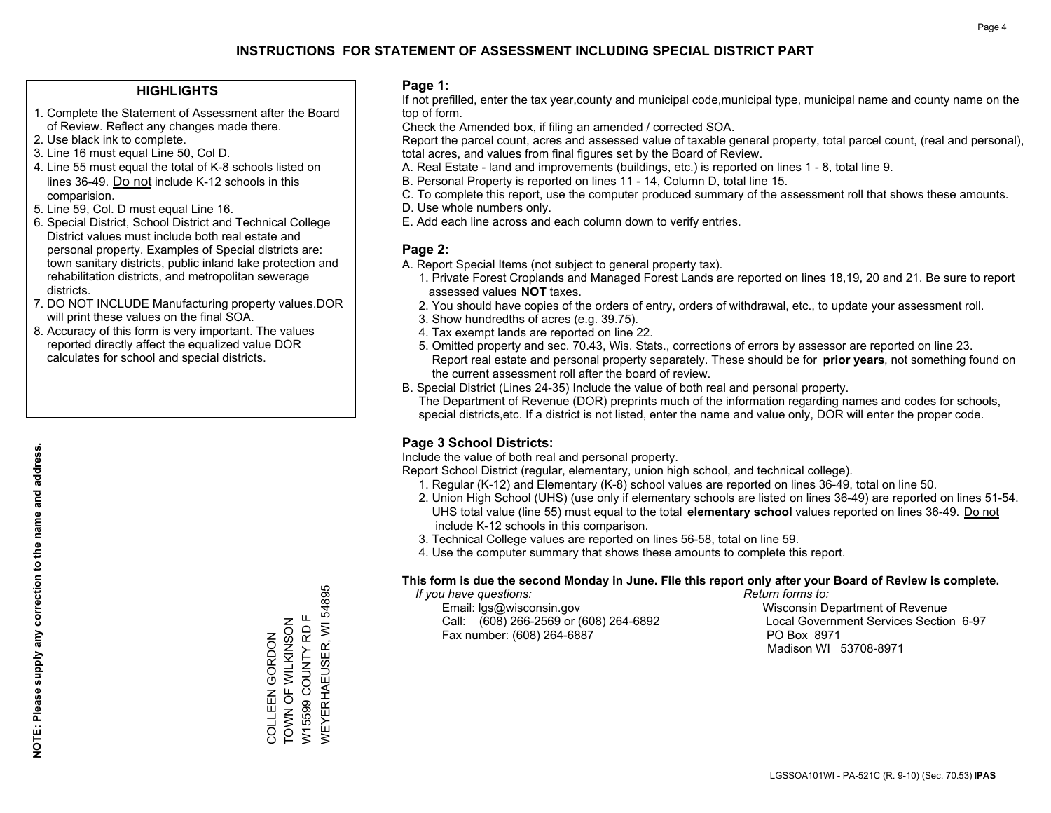#### **HIGHLIGHTS**

- 1. Complete the Statement of Assessment after the Board of Review. Reflect any changes made there.
- 2. Use black ink to complete.
- 3. Line 16 must equal Line 50, Col D.
- 4. Line 55 must equal the total of K-8 schools listed on lines 36-49. Do not include K-12 schools in this comparision.
- 5. Line 59, Col. D must equal Line 16.
- 6. Special District, School District and Technical College District values must include both real estate and personal property. Examples of Special districts are: town sanitary districts, public inland lake protection and rehabilitation districts, and metropolitan sewerage districts.
- 7. DO NOT INCLUDE Manufacturing property values.DOR will print these values on the final SOA.
- 8. Accuracy of this form is very important. The values reported directly affect the equalized value DOR calculates for school and special districts.

#### **Page 1:**

 If not prefilled, enter the tax year,county and municipal code,municipal type, municipal name and county name on the top of form.

Check the Amended box, if filing an amended / corrected SOA.

 Report the parcel count, acres and assessed value of taxable general property, total parcel count, (real and personal), total acres, and values from final figures set by the Board of Review.

- A. Real Estate land and improvements (buildings, etc.) is reported on lines 1 8, total line 9.
- B. Personal Property is reported on lines 11 14, Column D, total line 15.
- C. To complete this report, use the computer produced summary of the assessment roll that shows these amounts.
- D. Use whole numbers only.
- E. Add each line across and each column down to verify entries.

### **Page 2:**

- A. Report Special Items (not subject to general property tax).
- 1. Private Forest Croplands and Managed Forest Lands are reported on lines 18,19, 20 and 21. Be sure to report assessed values **NOT** taxes.
- 2. You should have copies of the orders of entry, orders of withdrawal, etc., to update your assessment roll.
	- 3. Show hundredths of acres (e.g. 39.75).
- 4. Tax exempt lands are reported on line 22.
- 5. Omitted property and sec. 70.43, Wis. Stats., corrections of errors by assessor are reported on line 23. Report real estate and personal property separately. These should be for **prior years**, not something found on the current assessment roll after the board of review.
- B. Special District (Lines 24-35) Include the value of both real and personal property.

 The Department of Revenue (DOR) preprints much of the information regarding names and codes for schools, special districts,etc. If a district is not listed, enter the name and value only, DOR will enter the proper code.

## **Page 3 School Districts:**

Include the value of both real and personal property.

Report School District (regular, elementary, union high school, and technical college).

- 1. Regular (K-12) and Elementary (K-8) school values are reported on lines 36-49, total on line 50.
- 2. Union High School (UHS) (use only if elementary schools are listed on lines 36-49) are reported on lines 51-54. UHS total value (line 55) must equal to the total **elementary school** values reported on lines 36-49. Do notinclude K-12 schools in this comparison.
- 3. Technical College values are reported on lines 56-58, total on line 59.
- 4. Use the computer summary that shows these amounts to complete this report.

#### **This form is due the second Monday in June. File this report only after your Board of Review is complete.**

 *If you have questions: Return forms to:*

 Email: lgs@wisconsin.gov Wisconsin Department of RevenueCall:  $(608)$  266-2569 or  $(608)$  264-6892 Fax number: (608) 264-6887 PO Box 8971

Local Government Services Section 6-97 Madison WI 53708-8971

COLLEEN GORDON<br>TOWN OF WILKINSON<br>W15599 COUNTY RD F TOWN OF WILKINSON W15599 COUNTY RD F COLLEEN GORDON

WEYERHAEUSER, WI 54895

**NEYERHAEUSER, WI 54895**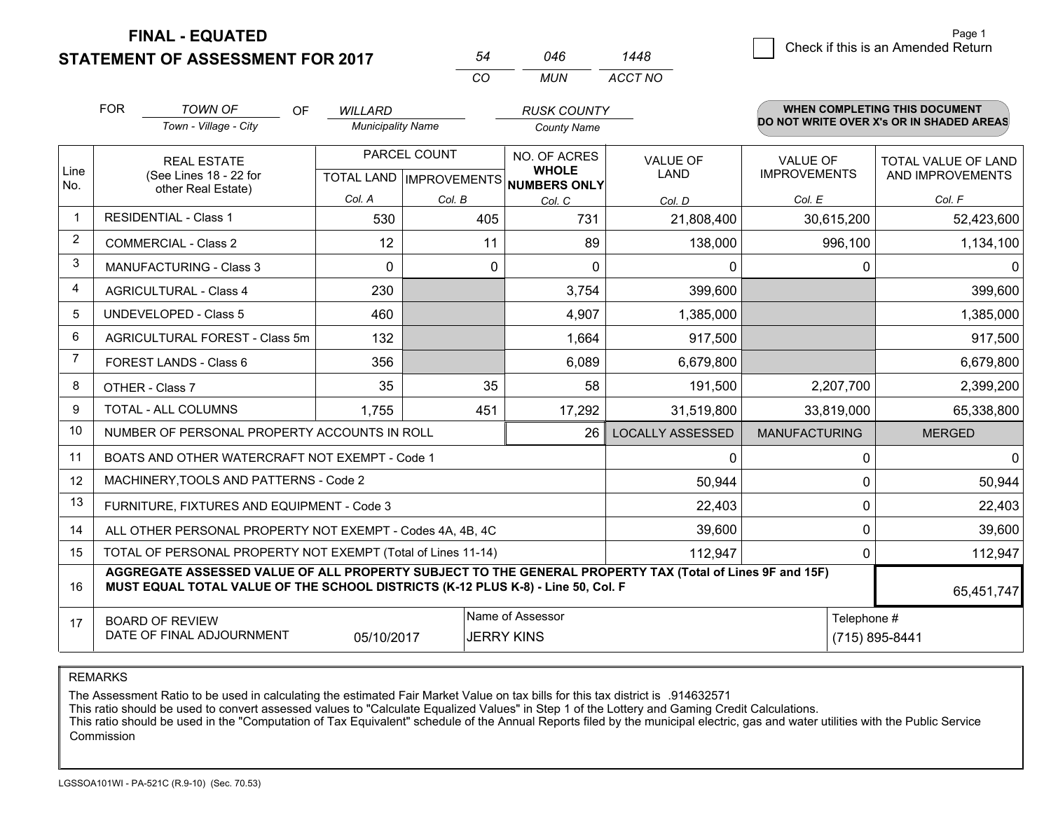**FINAL - EQUATED**

**STATEMENT OF ASSESSMENT FOR 2017** 

|                |                                |                                                                                                                                                                                              |                          | CO                        | <b>MUN</b>                   | ACCT NO                 |                      |             |                                          |
|----------------|--------------------------------|----------------------------------------------------------------------------------------------------------------------------------------------------------------------------------------------|--------------------------|---------------------------|------------------------------|-------------------------|----------------------|-------------|------------------------------------------|
|                | <b>FOR</b>                     | <b>TOWN OF</b><br>OF                                                                                                                                                                         | <b>WILLARD</b>           |                           | <b>RUSK COUNTY</b>           |                         |                      |             | WHEN COMPLETING THIS DOCUMENT            |
|                |                                | Town - Village - City                                                                                                                                                                        | <b>Municipality Name</b> |                           | <b>County Name</b>           |                         |                      |             | DO NOT WRITE OVER X's OR IN SHADED AREAS |
|                |                                | <b>REAL ESTATE</b>                                                                                                                                                                           |                          | PARCEL COUNT              | NO. OF ACRES                 | <b>VALUE OF</b>         | <b>VALUE OF</b>      |             | <b>TOTAL VALUE OF LAND</b>               |
| Line<br>No.    |                                | (See Lines 18 - 22 for                                                                                                                                                                       |                          | TOTAL LAND   IMPROVEMENTS | <b>WHOLE</b><br>NUMBERS ONLY | <b>LAND</b>             | <b>IMPROVEMENTS</b>  |             | AND IMPROVEMENTS                         |
|                |                                | other Real Estate)                                                                                                                                                                           | Col. A                   | Col. B                    | Col. C                       | Col. D                  | Col. E               |             | Col. F                                   |
| $\overline{1}$ |                                | <b>RESIDENTIAL - Class 1</b>                                                                                                                                                                 | 530                      | 405                       | 731                          | 21,808,400              | 30,615,200           |             | 52,423,600                               |
| 2              |                                | <b>COMMERCIAL - Class 2</b>                                                                                                                                                                  | 12                       | 11                        | 89                           | 138,000                 |                      | 996,100     | 1,134,100                                |
| 3              |                                | <b>MANUFACTURING - Class 3</b>                                                                                                                                                               | $\Omega$                 |                           | 0<br>$\Omega$                | 0                       |                      | 0           | $\Omega$                                 |
| 4              |                                | <b>AGRICULTURAL - Class 4</b>                                                                                                                                                                | 230                      |                           | 3,754                        | 399,600                 |                      |             | 399,600                                  |
| 5              | <b>UNDEVELOPED - Class 5</b>   |                                                                                                                                                                                              | 460                      |                           | 4,907                        | 1,385,000               |                      |             | 1,385,000                                |
| 6              | AGRICULTURAL FOREST - Class 5m |                                                                                                                                                                                              | 132                      |                           | 1,664                        | 917,500                 |                      |             | 917,500                                  |
| $\overline{7}$ |                                | FOREST LANDS - Class 6                                                                                                                                                                       | 356                      |                           | 6,089                        | 6,679,800               |                      |             | 6,679,800                                |
| 8              |                                | OTHER - Class 7                                                                                                                                                                              | 35                       | 35                        | 58                           | 191,500                 | 2,207,700            |             | 2,399,200                                |
| 9              |                                | TOTAL - ALL COLUMNS                                                                                                                                                                          | 1,755                    | 451                       | 17,292                       | 31,519,800              | 33,819,000           |             | 65,338,800                               |
| 10             |                                | NUMBER OF PERSONAL PROPERTY ACCOUNTS IN ROLL                                                                                                                                                 |                          |                           | 26                           | <b>LOCALLY ASSESSED</b> | <b>MANUFACTURING</b> |             | <b>MERGED</b>                            |
| 11             |                                | BOATS AND OTHER WATERCRAFT NOT EXEMPT - Code 1                                                                                                                                               |                          |                           |                              | 0                       |                      | $\mathbf 0$ | $\mathbf{0}$                             |
| 12             |                                | MACHINERY, TOOLS AND PATTERNS - Code 2                                                                                                                                                       |                          |                           |                              | 50,944                  |                      | $\Omega$    | 50,944                                   |
| 13             |                                | FURNITURE, FIXTURES AND EQUIPMENT - Code 3                                                                                                                                                   |                          |                           |                              | 22,403                  |                      | $\Omega$    | 22,403                                   |
| 14             |                                | ALL OTHER PERSONAL PROPERTY NOT EXEMPT - Codes 4A, 4B, 4C                                                                                                                                    |                          |                           |                              | 39,600                  |                      | $\Omega$    | 39,600                                   |
| 15             |                                | TOTAL OF PERSONAL PROPERTY NOT EXEMPT (Total of Lines 11-14)                                                                                                                                 |                          |                           |                              | 112,947                 |                      | $\Omega$    | 112,947                                  |
| 16             |                                | AGGREGATE ASSESSED VALUE OF ALL PROPERTY SUBJECT TO THE GENERAL PROPERTY TAX (Total of Lines 9F and 15F)<br>MUST EQUAL TOTAL VALUE OF THE SCHOOL DISTRICTS (K-12 PLUS K-8) - Line 50, Col. F |                          |                           |                              |                         |                      |             | 65,451,747                               |
| 17             |                                | <b>BOARD OF REVIEW</b>                                                                                                                                                                       |                          |                           | Name of Assessor             |                         |                      | Telephone # |                                          |
|                |                                | DATE OF FINAL ADJOURNMENT                                                                                                                                                                    | 05/10/2017               |                           | <b>JERRY KINS</b>            |                         | (715) 895-8441       |             |                                          |

 $\frac{54}{22}$   $\frac{046}{140}$ 

*1448*

REMARKS

The Assessment Ratio to be used in calculating the estimated Fair Market Value on tax bills for this tax district is .914632571

This ratio should be used to convert assessed values to "Calculate Equalized Values" in Step 1 of the Lottery and Gaming Credit Calculations.<br>This ratio should be used in the "Computation of Tax Equivalent" schedule of the Commission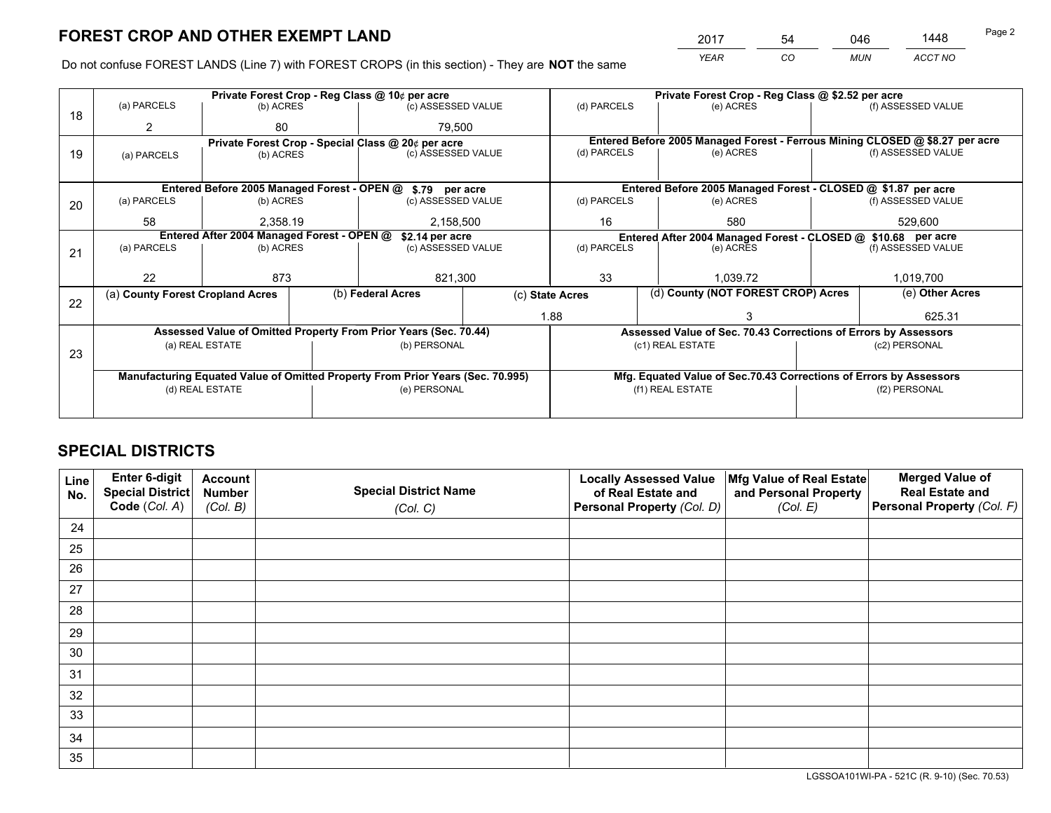*YEAR CO MUN ACCT NO* <sup>2017</sup> <sup>54</sup> <sup>046</sup> <sup>1448</sup>

Do not confuse FOREST LANDS (Line 7) with FOREST CROPS (in this section) - They are **NOT** the same

|                 |                   |                                                     |                                                              |                                                                                                                   | Private Forest Crop - Reg Class @ \$2.52 per acre                                                                                                                                                                                                                                                                                                                                        |                                              |                                                          |                                                                                                                                                                                                                                                                                                               |  |
|-----------------|-------------------|-----------------------------------------------------|--------------------------------------------------------------|-------------------------------------------------------------------------------------------------------------------|------------------------------------------------------------------------------------------------------------------------------------------------------------------------------------------------------------------------------------------------------------------------------------------------------------------------------------------------------------------------------------------|----------------------------------------------|----------------------------------------------------------|---------------------------------------------------------------------------------------------------------------------------------------------------------------------------------------------------------------------------------------------------------------------------------------------------------------|--|
|                 |                   |                                                     |                                                              |                                                                                                                   | (d) PARCELS                                                                                                                                                                                                                                                                                                                                                                              | (e) ACRES                                    |                                                          | (f) ASSESSED VALUE                                                                                                                                                                                                                                                                                            |  |
| 2               | 80                |                                                     | 79.500                                                       |                                                                                                                   |                                                                                                                                                                                                                                                                                                                                                                                          |                                              |                                                          |                                                                                                                                                                                                                                                                                                               |  |
|                 |                   |                                                     |                                                              |                                                                                                                   | Entered Before 2005 Managed Forest - Ferrous Mining CLOSED @ \$8.27 per acre                                                                                                                                                                                                                                                                                                             |                                              |                                                          |                                                                                                                                                                                                                                                                                                               |  |
| (a) PARCELS     |                   |                                                     |                                                              |                                                                                                                   |                                                                                                                                                                                                                                                                                                                                                                                          |                                              |                                                          | (f) ASSESSED VALUE                                                                                                                                                                                                                                                                                            |  |
|                 |                   |                                                     |                                                              |                                                                                                                   |                                                                                                                                                                                                                                                                                                                                                                                          |                                              |                                                          |                                                                                                                                                                                                                                                                                                               |  |
|                 |                   |                                                     |                                                              |                                                                                                                   |                                                                                                                                                                                                                                                                                                                                                                                          |                                              |                                                          |                                                                                                                                                                                                                                                                                                               |  |
| (a) PARCELS     |                   |                                                     |                                                              |                                                                                                                   | (d) PARCELS                                                                                                                                                                                                                                                                                                                                                                              | (e) ACRES                                    |                                                          | (f) ASSESSED VALUE                                                                                                                                                                                                                                                                                            |  |
|                 |                   |                                                     |                                                              |                                                                                                                   |                                                                                                                                                                                                                                                                                                                                                                                          |                                              |                                                          | 529.600                                                                                                                                                                                                                                                                                                       |  |
|                 |                   |                                                     |                                                              |                                                                                                                   |                                                                                                                                                                                                                                                                                                                                                                                          |                                              |                                                          |                                                                                                                                                                                                                                                                                                               |  |
| (a) PARCELS     |                   |                                                     | (c) ASSESSED VALUE                                           |                                                                                                                   | (d) PARCELS                                                                                                                                                                                                                                                                                                                                                                              | (e) ACRES                                    |                                                          | (f) ASSESSED VALUE                                                                                                                                                                                                                                                                                            |  |
|                 |                   |                                                     |                                                              |                                                                                                                   |                                                                                                                                                                                                                                                                                                                                                                                          |                                              |                                                          |                                                                                                                                                                                                                                                                                                               |  |
| 22              | 873               |                                                     | 821,300                                                      |                                                                                                                   | 33                                                                                                                                                                                                                                                                                                                                                                                       | 1.039.72                                     |                                                          | 1,019,700                                                                                                                                                                                                                                                                                                     |  |
|                 |                   |                                                     |                                                              |                                                                                                                   |                                                                                                                                                                                                                                                                                                                                                                                          |                                              |                                                          | (e) Other Acres                                                                                                                                                                                                                                                                                               |  |
|                 |                   |                                                     |                                                              |                                                                                                                   |                                                                                                                                                                                                                                                                                                                                                                                          |                                              |                                                          | 625.31                                                                                                                                                                                                                                                                                                        |  |
|                 |                   |                                                     |                                                              |                                                                                                                   |                                                                                                                                                                                                                                                                                                                                                                                          |                                              |                                                          |                                                                                                                                                                                                                                                                                                               |  |
|                 |                   |                                                     |                                                              |                                                                                                                   |                                                                                                                                                                                                                                                                                                                                                                                          |                                              |                                                          | (c2) PERSONAL                                                                                                                                                                                                                                                                                                 |  |
| 23              |                   |                                                     |                                                              |                                                                                                                   |                                                                                                                                                                                                                                                                                                                                                                                          |                                              |                                                          |                                                                                                                                                                                                                                                                                                               |  |
|                 |                   |                                                     |                                                              |                                                                                                                   |                                                                                                                                                                                                                                                                                                                                                                                          |                                              |                                                          |                                                                                                                                                                                                                                                                                                               |  |
| (d) REAL ESTATE |                   |                                                     | (e) PERSONAL                                                 |                                                                                                                   |                                                                                                                                                                                                                                                                                                                                                                                          |                                              |                                                          | (f2) PERSONAL                                                                                                                                                                                                                                                                                                 |  |
|                 |                   |                                                     |                                                              |                                                                                                                   |                                                                                                                                                                                                                                                                                                                                                                                          |                                              |                                                          |                                                                                                                                                                                                                                                                                                               |  |
|                 | (a) PARCELS<br>58 | (a) County Forest Cropland Acres<br>(a) REAL ESTATE | (b) ACRES<br>(b) ACRES<br>(b) ACRES<br>2.358.19<br>(b) ACRES | Private Forest Crop - Reg Class @ 10¢ per acre<br>Entered After 2004 Managed Forest - OPEN @<br>(b) Federal Acres | (c) ASSESSED VALUE<br>Private Forest Crop - Special Class @ 20¢ per acre<br>(c) ASSESSED VALUE<br>Entered Before 2005 Managed Forest - OPEN @ \$.79 per acre<br>(c) ASSESSED VALUE<br>2,158,500<br>\$2.14 per acre<br>Assessed Value of Omitted Property From Prior Years (Sec. 70.44)<br>(b) PERSONAL<br>Manufacturing Equated Value of Omitted Property From Prior Years (Sec. 70.995) | (d) PARCELS<br>16<br>(c) State Acres<br>1.88 | (e) ACRES<br>580<br>(c1) REAL ESTATE<br>(f1) REAL ESTATE | Entered Before 2005 Managed Forest - CLOSED @ \$1.87 per acre<br>Entered After 2004 Managed Forest - CLOSED @ \$10.68 per acre<br>(d) County (NOT FOREST CROP) Acres<br>Assessed Value of Sec. 70.43 Corrections of Errors by Assessors<br>Mfg. Equated Value of Sec.70.43 Corrections of Errors by Assessors |  |

## **SPECIAL DISTRICTS**

| Line<br>No. | Enter 6-digit<br>Special District<br>Code (Col. A) | <b>Account</b><br><b>Number</b> | <b>Special District Name</b> | <b>Locally Assessed Value</b><br>of Real Estate and | Mfg Value of Real Estate<br>and Personal Property | <b>Merged Value of</b><br><b>Real Estate and</b><br>Personal Property (Col. F) |
|-------------|----------------------------------------------------|---------------------------------|------------------------------|-----------------------------------------------------|---------------------------------------------------|--------------------------------------------------------------------------------|
|             |                                                    | (Col. B)                        | (Col. C)                     | Personal Property (Col. D)                          | (Col. E)                                          |                                                                                |
| 24          |                                                    |                                 |                              |                                                     |                                                   |                                                                                |
| 25          |                                                    |                                 |                              |                                                     |                                                   |                                                                                |
| 26          |                                                    |                                 |                              |                                                     |                                                   |                                                                                |
| 27          |                                                    |                                 |                              |                                                     |                                                   |                                                                                |
| 28          |                                                    |                                 |                              |                                                     |                                                   |                                                                                |
| 29          |                                                    |                                 |                              |                                                     |                                                   |                                                                                |
| 30          |                                                    |                                 |                              |                                                     |                                                   |                                                                                |
| 31          |                                                    |                                 |                              |                                                     |                                                   |                                                                                |
| 32          |                                                    |                                 |                              |                                                     |                                                   |                                                                                |
| 33          |                                                    |                                 |                              |                                                     |                                                   |                                                                                |
| 34          |                                                    |                                 |                              |                                                     |                                                   |                                                                                |
| 35          |                                                    |                                 |                              |                                                     |                                                   |                                                                                |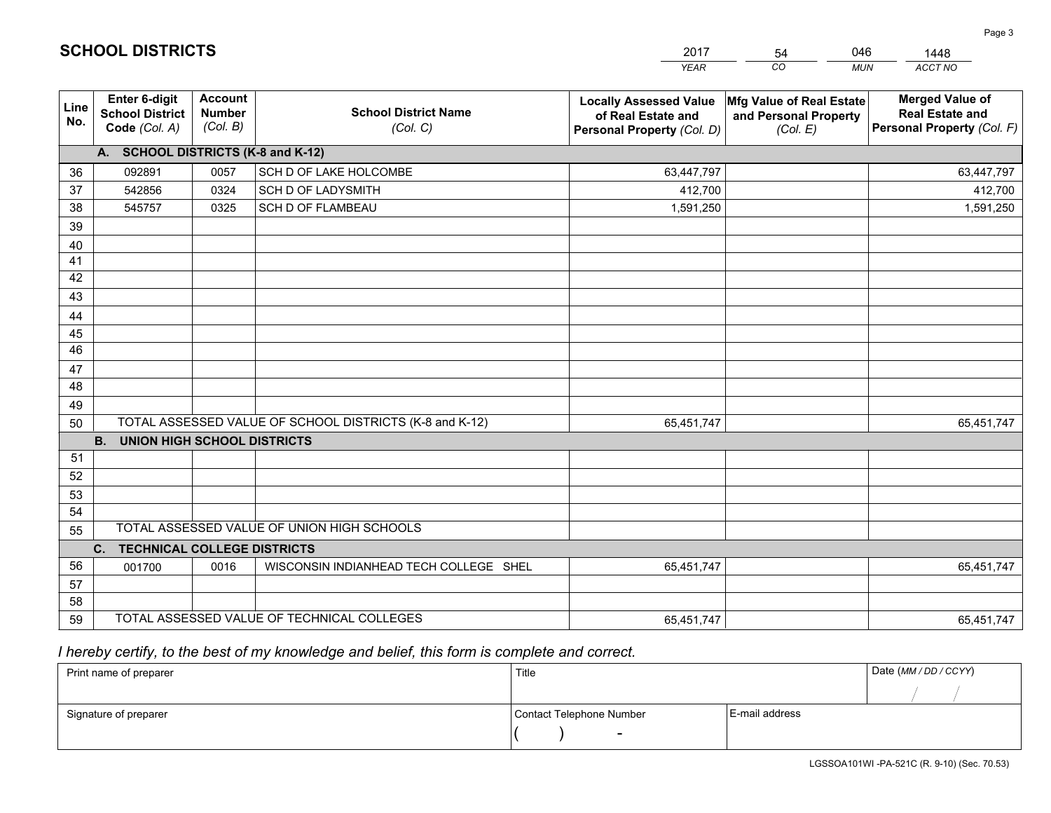|             |                                                          |                                             |                                                         | <b>YEAR</b>                                                                                                                                        | CO<br><b>MUN</b> | ACCT NO                                                                        |
|-------------|----------------------------------------------------------|---------------------------------------------|---------------------------------------------------------|----------------------------------------------------------------------------------------------------------------------------------------------------|------------------|--------------------------------------------------------------------------------|
| Line<br>No. | Enter 6-digit<br><b>School District</b><br>Code (Col. A) | <b>Account</b><br><b>Number</b><br>(Col. B) | <b>School District Name</b><br>(Col. C)                 | <b>Locally Assessed Value</b><br>Mfg Value of Real Estate<br>of Real Estate and<br>and Personal Property<br>Personal Property (Col. D)<br>(Col. E) |                  | <b>Merged Value of</b><br><b>Real Estate and</b><br>Personal Property (Col. F) |
|             | A. SCHOOL DISTRICTS (K-8 and K-12)                       |                                             |                                                         |                                                                                                                                                    |                  |                                                                                |
| 36          | 092891                                                   | 0057                                        | SCH D OF LAKE HOLCOMBE                                  | 63,447,797                                                                                                                                         |                  | 63,447,797                                                                     |
| 37          | 542856                                                   | 0324                                        | <b>SCH D OF LADYSMITH</b>                               | 412,700                                                                                                                                            |                  | 412,700                                                                        |
| 38          | 545757                                                   | 0325                                        | <b>SCH D OF FLAMBEAU</b>                                | 1,591,250                                                                                                                                          |                  | 1,591,250                                                                      |
| 39          |                                                          |                                             |                                                         |                                                                                                                                                    |                  |                                                                                |
| 40          |                                                          |                                             |                                                         |                                                                                                                                                    |                  |                                                                                |
| 41          |                                                          |                                             |                                                         |                                                                                                                                                    |                  |                                                                                |
| 42          |                                                          |                                             |                                                         |                                                                                                                                                    |                  |                                                                                |
| 43          |                                                          |                                             |                                                         |                                                                                                                                                    |                  |                                                                                |
| 44          |                                                          |                                             |                                                         |                                                                                                                                                    |                  |                                                                                |
| 45          |                                                          |                                             |                                                         |                                                                                                                                                    |                  |                                                                                |
| 46          |                                                          |                                             |                                                         |                                                                                                                                                    |                  |                                                                                |
| 47          |                                                          |                                             |                                                         |                                                                                                                                                    |                  |                                                                                |
| 48          |                                                          |                                             |                                                         |                                                                                                                                                    |                  |                                                                                |
| 49          |                                                          |                                             |                                                         |                                                                                                                                                    |                  |                                                                                |
| 50          | <b>B.</b>                                                |                                             | TOTAL ASSESSED VALUE OF SCHOOL DISTRICTS (K-8 and K-12) | 65,451,747                                                                                                                                         |                  | 65,451,747                                                                     |
| 51          | <b>UNION HIGH SCHOOL DISTRICTS</b>                       |                                             |                                                         |                                                                                                                                                    |                  |                                                                                |
| 52          |                                                          |                                             |                                                         |                                                                                                                                                    |                  |                                                                                |
| 53          |                                                          |                                             |                                                         |                                                                                                                                                    |                  |                                                                                |
| 54          |                                                          |                                             |                                                         |                                                                                                                                                    |                  |                                                                                |
| 55          |                                                          |                                             | TOTAL ASSESSED VALUE OF UNION HIGH SCHOOLS              |                                                                                                                                                    |                  |                                                                                |
|             | C. TECHNICAL COLLEGE DISTRICTS                           |                                             |                                                         |                                                                                                                                                    |                  |                                                                                |
| 56          | 001700                                                   | 0016                                        | WISCONSIN INDIANHEAD TECH COLLEGE SHEL                  | 65,451,747                                                                                                                                         |                  | 65,451,747                                                                     |
| 57          |                                                          |                                             |                                                         |                                                                                                                                                    |                  |                                                                                |
| 58          |                                                          |                                             |                                                         |                                                                                                                                                    |                  |                                                                                |
| 59          |                                                          |                                             | TOTAL ASSESSED VALUE OF TECHNICAL COLLEGES              | 65,451,747                                                                                                                                         |                  | 65,451,747                                                                     |

54

046

 *I hereby certify, to the best of my knowledge and belief, this form is complete and correct.*

**SCHOOL DISTRICTS**

| Print name of preparer | Title                    |                | Date (MM / DD / CCYY) |
|------------------------|--------------------------|----------------|-----------------------|
|                        |                          |                |                       |
| Signature of preparer  | Contact Telephone Number | E-mail address |                       |
|                        |                          |                |                       |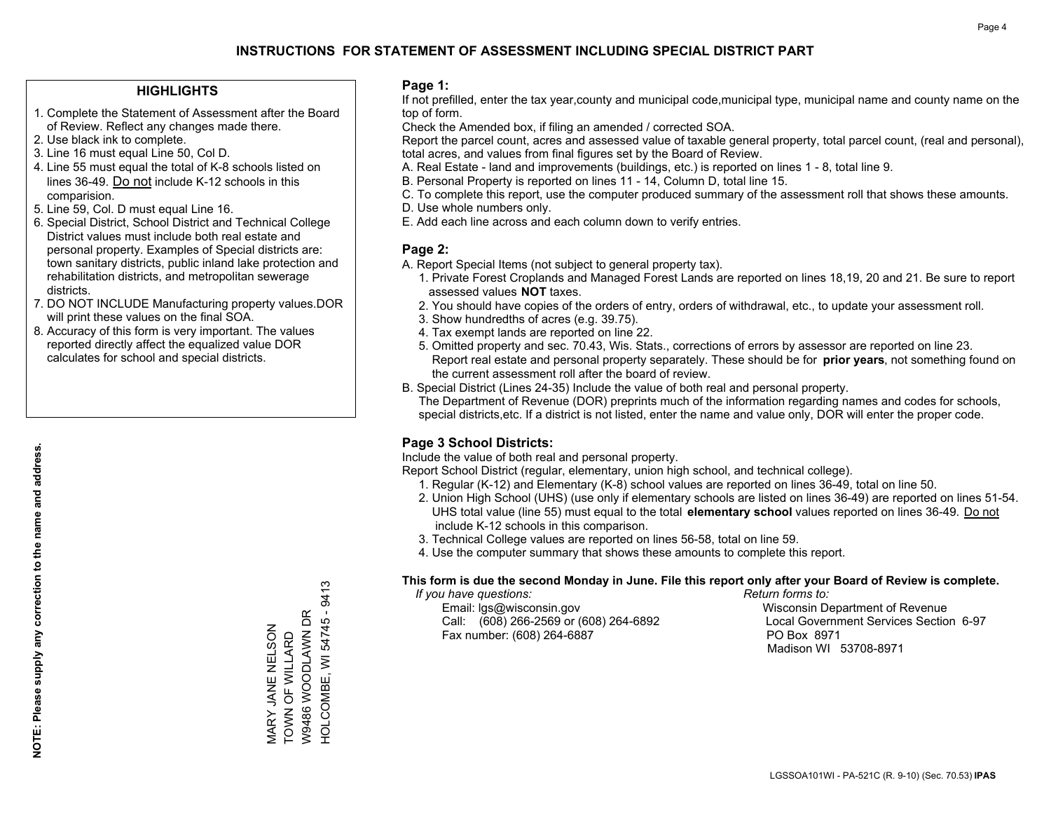#### **HIGHLIGHTS**

- 1. Complete the Statement of Assessment after the Board of Review. Reflect any changes made there.
- 2. Use black ink to complete.
- 3. Line 16 must equal Line 50, Col D.
- 4. Line 55 must equal the total of K-8 schools listed on lines 36-49. Do not include K-12 schools in this comparision.
- 5. Line 59, Col. D must equal Line 16.
- 6. Special District, School District and Technical College District values must include both real estate and personal property. Examples of Special districts are: town sanitary districts, public inland lake protection and rehabilitation districts, and metropolitan sewerage districts.
- 7. DO NOT INCLUDE Manufacturing property values.DOR will print these values on the final SOA.
- 8. Accuracy of this form is very important. The values reported directly affect the equalized value DOR calculates for school and special districts.

#### **Page 1:**

 If not prefilled, enter the tax year,county and municipal code,municipal type, municipal name and county name on the top of form.

Check the Amended box, if filing an amended / corrected SOA.

 Report the parcel count, acres and assessed value of taxable general property, total parcel count, (real and personal), total acres, and values from final figures set by the Board of Review.

- A. Real Estate land and improvements (buildings, etc.) is reported on lines 1 8, total line 9.
- B. Personal Property is reported on lines 11 14, Column D, total line 15.
- C. To complete this report, use the computer produced summary of the assessment roll that shows these amounts.
- D. Use whole numbers only.
- E. Add each line across and each column down to verify entries.

### **Page 2:**

- A. Report Special Items (not subject to general property tax).
- 1. Private Forest Croplands and Managed Forest Lands are reported on lines 18,19, 20 and 21. Be sure to report assessed values **NOT** taxes.
- 2. You should have copies of the orders of entry, orders of withdrawal, etc., to update your assessment roll.
	- 3. Show hundredths of acres (e.g. 39.75).
- 4. Tax exempt lands are reported on line 22.
- 5. Omitted property and sec. 70.43, Wis. Stats., corrections of errors by assessor are reported on line 23. Report real estate and personal property separately. These should be for **prior years**, not something found on the current assessment roll after the board of review.
- B. Special District (Lines 24-35) Include the value of both real and personal property.
- The Department of Revenue (DOR) preprints much of the information regarding names and codes for schools, special districts,etc. If a district is not listed, enter the name and value only, DOR will enter the proper code.

## **Page 3 School Districts:**

Include the value of both real and personal property.

Report School District (regular, elementary, union high school, and technical college).

- 1. Regular (K-12) and Elementary (K-8) school values are reported on lines 36-49, total on line 50.
- 2. Union High School (UHS) (use only if elementary schools are listed on lines 36-49) are reported on lines 51-54. UHS total value (line 55) must equal to the total **elementary school** values reported on lines 36-49. Do notinclude K-12 schools in this comparison.
- 3. Technical College values are reported on lines 56-58, total on line 59.
- 4. Use the computer summary that shows these amounts to complete this report.

#### **This form is due the second Monday in June. File this report only after your Board of Review is complete.**

 *If you have questions: Return forms to:*

 Email: lgs@wisconsin.gov Wisconsin Department of RevenueCall:  $(608)$  266-2569 or  $(608)$  264-6892 Fax number: (608) 264-6887 PO Box 8971

Local Government Services Section 6-97 Madison WI 53708-8971

9413 HOLCOMBE, WI 54745 - 9413 HOLCOMBE, WI 54745-W9486 WOODLAWN DR W9486 WOODLAWN DR VIARY JANE NELSON<br>TOWN OF WILLARD MARY JANE NELSON TOWN OF WILLARD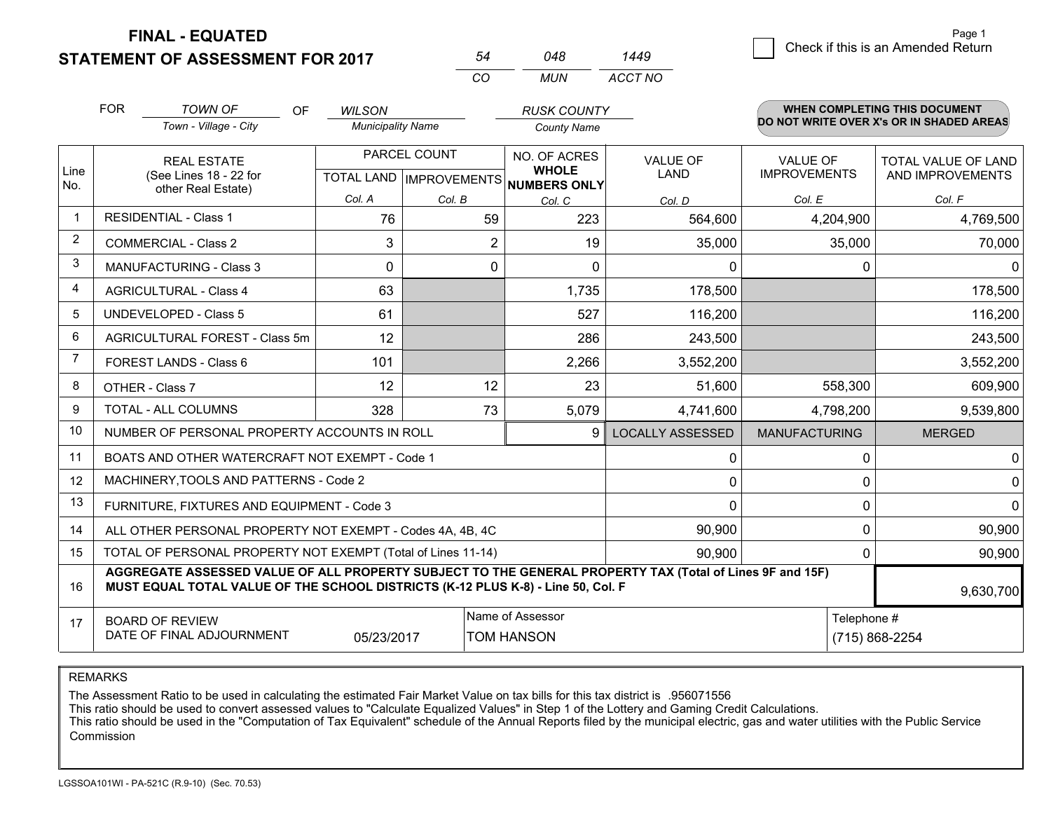**FINAL - EQUATED**

**STATEMENT OF ASSESSMENT FOR 2017** 

|   |                                    | Page 1 |
|---|------------------------------------|--------|
| 9 | Check if this is an Amended Return |        |
|   |                                    |        |

|                | <b>FOR</b>                                                   | <b>TOWN OF</b><br>OF                                                                                                                                                                         | <b>WILSON</b>            |                | <b>RUSK COUNTY</b>                                  |                         |                      | <b>WHEN COMPLETING THIS DOCUMENT</b>     |  |  |
|----------------|--------------------------------------------------------------|----------------------------------------------------------------------------------------------------------------------------------------------------------------------------------------------|--------------------------|----------------|-----------------------------------------------------|-------------------------|----------------------|------------------------------------------|--|--|
|                |                                                              | Town - Village - City                                                                                                                                                                        | <b>Municipality Name</b> |                | <b>County Name</b>                                  |                         |                      | DO NOT WRITE OVER X's OR IN SHADED AREAS |  |  |
|                | <b>REAL ESTATE</b>                                           |                                                                                                                                                                                              |                          | PARCEL COUNT   | NO. OF ACRES                                        | <b>VALUE OF</b>         | <b>VALUE OF</b>      | TOTAL VALUE OF LAND                      |  |  |
| Line<br>No.    |                                                              | (See Lines 18 - 22 for                                                                                                                                                                       |                          |                | <b>WHOLE</b><br>TOTAL LAND MPROVEMENTS NUMBERS ONLY | LAND                    | <b>IMPROVEMENTS</b>  | AND IMPROVEMENTS                         |  |  |
|                | other Real Estate)                                           |                                                                                                                                                                                              | Col. A                   | Col. B         | Col. C                                              | Col. D                  | Col. E               | Col. F                                   |  |  |
| $\mathbf 1$    | <b>RESIDENTIAL - Class 1</b>                                 |                                                                                                                                                                                              | 76                       | 59             | 223                                                 | 564,600                 | 4,204,900            | 4,769,500                                |  |  |
| $\overline{2}$ |                                                              | <b>COMMERCIAL - Class 2</b>                                                                                                                                                                  | 3                        | $\overline{2}$ | 19                                                  | 35,000                  | 35,000               | 70,000                                   |  |  |
| 3              |                                                              | <b>MANUFACTURING - Class 3</b>                                                                                                                                                               | $\Omega$                 | $\Omega$       | $\Omega$                                            | $\mathbf{0}$            | 0                    | $\Omega$                                 |  |  |
| 4              |                                                              | <b>AGRICULTURAL - Class 4</b>                                                                                                                                                                | 63                       |                | 1,735                                               | 178,500                 |                      | 178,500                                  |  |  |
| .5             |                                                              | <b>UNDEVELOPED - Class 5</b>                                                                                                                                                                 | 61                       |                | 527                                                 | 116,200                 |                      | 116,200                                  |  |  |
| 6              | AGRICULTURAL FOREST - Class 5m                               |                                                                                                                                                                                              | 12                       |                | 286                                                 | 243,500                 |                      | 243,500                                  |  |  |
| $\overline{7}$ |                                                              | FOREST LANDS - Class 6                                                                                                                                                                       | 101                      |                | 2,266                                               | 3,552,200               |                      | 3,552,200                                |  |  |
| 8              |                                                              | OTHER - Class 7                                                                                                                                                                              | 12                       | 12             | 23                                                  | 51,600                  | 558,300              | 609,900                                  |  |  |
| 9              |                                                              | <b>TOTAL - ALL COLUMNS</b>                                                                                                                                                                   | 328                      | 73             | 5,079                                               | 4,741,600               | 4,798,200            | 9,539,800                                |  |  |
| 10             |                                                              | NUMBER OF PERSONAL PROPERTY ACCOUNTS IN ROLL                                                                                                                                                 |                          |                | 9                                                   | <b>LOCALLY ASSESSED</b> | <b>MANUFACTURING</b> | <b>MERGED</b>                            |  |  |
| 11             |                                                              | BOATS AND OTHER WATERCRAFT NOT EXEMPT - Code 1                                                                                                                                               |                          |                |                                                     | 0                       | $\Omega$             | 0                                        |  |  |
| 12             |                                                              | MACHINERY, TOOLS AND PATTERNS - Code 2                                                                                                                                                       |                          |                |                                                     | 0                       | $\Omega$             | 0                                        |  |  |
| 13             |                                                              | FURNITURE, FIXTURES AND EQUIPMENT - Code 3                                                                                                                                                   |                          |                |                                                     | $\Omega$                | 0                    | $\mathbf 0$                              |  |  |
| 14             |                                                              | ALL OTHER PERSONAL PROPERTY NOT EXEMPT - Codes 4A, 4B, 4C                                                                                                                                    |                          |                |                                                     | 90,900                  | 0                    | 90,900                                   |  |  |
| 15             |                                                              | TOTAL OF PERSONAL PROPERTY NOT EXEMPT (Total of Lines 11-14)                                                                                                                                 |                          |                |                                                     | 90,900                  | $\mathbf{0}$         | 90,900                                   |  |  |
| 16             |                                                              | AGGREGATE ASSESSED VALUE OF ALL PROPERTY SUBJECT TO THE GENERAL PROPERTY TAX (Total of Lines 9F and 15F)<br>MUST EQUAL TOTAL VALUE OF THE SCHOOL DISTRICTS (K-12 PLUS K-8) - Line 50, Col. F |                          |                |                                                     |                         |                      | 9,630,700                                |  |  |
| 17             |                                                              | <b>BOARD OF REVIEW</b>                                                                                                                                                                       |                          |                | Name of Assessor                                    |                         | Telephone #          |                                          |  |  |
|                | DATE OF FINAL ADJOURNMENT<br>05/23/2017<br><b>TOM HANSON</b> |                                                                                                                                                                                              |                          |                |                                                     |                         |                      | (715) 868-2254                           |  |  |

*MUN*

*ACCT NO1449*

*<sup>54</sup> <sup>048</sup>*

*CO*

REMARKS

The Assessment Ratio to be used in calculating the estimated Fair Market Value on tax bills for this tax district is .956071556<br>This ratio should be used to convert assessed values to "Calculate Equalized Values" in Step 1 Commission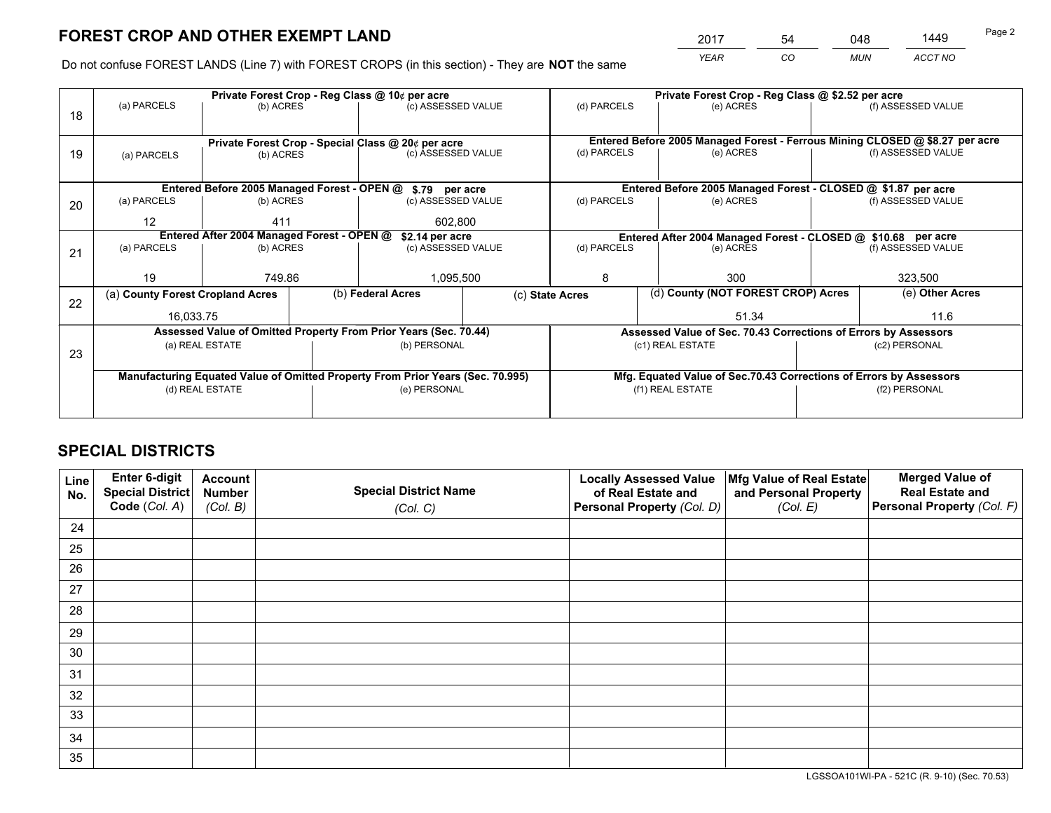*YEAR CO MUN ACCT NO* <sup>2017</sup> <sup>54</sup> <sup>048</sup> <sup>1449</sup>

Do not confuse FOREST LANDS (Line 7) with FOREST CROPS (in this section) - They are **NOT** the same

|    |                                                                                |                                            |  | Private Forest Crop - Reg Class @ 10¢ per acre                   |  |                 | Private Forest Crop - Reg Class @ \$2.52 per acre                            |  |                    |  |  |
|----|--------------------------------------------------------------------------------|--------------------------------------------|--|------------------------------------------------------------------|--|-----------------|------------------------------------------------------------------------------|--|--------------------|--|--|
| 18 | (a) PARCELS                                                                    | (b) ACRES                                  |  | (c) ASSESSED VALUE                                               |  | (d) PARCELS     | (e) ACRES                                                                    |  | (f) ASSESSED VALUE |  |  |
|    |                                                                                |                                            |  |                                                                  |  |                 |                                                                              |  |                    |  |  |
|    | Private Forest Crop - Special Class @ 20¢ per acre                             |                                            |  |                                                                  |  |                 | Entered Before 2005 Managed Forest - Ferrous Mining CLOSED @ \$8.27 per acre |  |                    |  |  |
| 19 | (a) PARCELS                                                                    | (b) ACRES                                  |  | (c) ASSESSED VALUE                                               |  | (d) PARCELS     | (e) ACRES                                                                    |  | (f) ASSESSED VALUE |  |  |
|    |                                                                                |                                            |  |                                                                  |  |                 |                                                                              |  |                    |  |  |
|    |                                                                                |                                            |  | Entered Before 2005 Managed Forest - OPEN @ \$.79 per acre       |  |                 | Entered Before 2005 Managed Forest - CLOSED @ \$1.87 per acre                |  |                    |  |  |
| 20 | (a) PARCELS                                                                    | (b) ACRES                                  |  | (c) ASSESSED VALUE                                               |  | (d) PARCELS     | (e) ACRES                                                                    |  | (f) ASSESSED VALUE |  |  |
|    | $12 \overline{ }$                                                              | 411                                        |  | 602,800                                                          |  |                 |                                                                              |  |                    |  |  |
|    |                                                                                | Entered After 2004 Managed Forest - OPEN @ |  | \$2.14 per acre                                                  |  |                 | Entered After 2004 Managed Forest - CLOSED @ \$10.68 per acre                |  |                    |  |  |
| 21 | (a) PARCELS                                                                    | (b) ACRES                                  |  | (c) ASSESSED VALUE                                               |  | (d) PARCELS     | (e) ACRES                                                                    |  | (f) ASSESSED VALUE |  |  |
|    |                                                                                |                                            |  |                                                                  |  |                 |                                                                              |  |                    |  |  |
|    | 19                                                                             | 749.86                                     |  | 1,095,500                                                        |  | 8               | 300                                                                          |  | 323,500            |  |  |
| 22 | (a) County Forest Cropland Acres                                               |                                            |  | (b) Federal Acres                                                |  | (c) State Acres | (d) County (NOT FOREST CROP) Acres                                           |  | (e) Other Acres    |  |  |
|    | 16,033.75                                                                      |                                            |  |                                                                  |  |                 | 51.34                                                                        |  | 11.6               |  |  |
|    |                                                                                |                                            |  | Assessed Value of Omitted Property From Prior Years (Sec. 70.44) |  |                 | Assessed Value of Sec. 70.43 Corrections of Errors by Assessors              |  |                    |  |  |
| 23 |                                                                                | (a) REAL ESTATE                            |  | (b) PERSONAL                                                     |  |                 | (c1) REAL ESTATE                                                             |  | (c2) PERSONAL      |  |  |
|    |                                                                                |                                            |  |                                                                  |  |                 |                                                                              |  |                    |  |  |
|    | Manufacturing Equated Value of Omitted Property From Prior Years (Sec. 70.995) |                                            |  |                                                                  |  |                 | Mfg. Equated Value of Sec.70.43 Corrections of Errors by Assessors           |  |                    |  |  |
|    | (d) REAL ESTATE                                                                |                                            |  | (e) PERSONAL                                                     |  |                 | (f1) REAL ESTATE                                                             |  | (f2) PERSONAL      |  |  |
|    |                                                                                |                                            |  |                                                                  |  |                 |                                                                              |  |                    |  |  |

## **SPECIAL DISTRICTS**

| Line<br>No. | Enter 6-digit<br><b>Special District</b> | <b>Account</b><br><b>Number</b> | <b>Special District Name</b> | <b>Locally Assessed Value</b><br>of Real Estate and | Mfg Value of Real Estate<br>and Personal Property | <b>Merged Value of</b><br><b>Real Estate and</b> |
|-------------|------------------------------------------|---------------------------------|------------------------------|-----------------------------------------------------|---------------------------------------------------|--------------------------------------------------|
|             | Code (Col. A)                            | (Col. B)                        | (Col. C)                     | Personal Property (Col. D)                          | (Col. E)                                          | Personal Property (Col. F)                       |
| 24          |                                          |                                 |                              |                                                     |                                                   |                                                  |
| 25          |                                          |                                 |                              |                                                     |                                                   |                                                  |
| 26          |                                          |                                 |                              |                                                     |                                                   |                                                  |
| 27          |                                          |                                 |                              |                                                     |                                                   |                                                  |
| 28          |                                          |                                 |                              |                                                     |                                                   |                                                  |
| 29          |                                          |                                 |                              |                                                     |                                                   |                                                  |
| 30          |                                          |                                 |                              |                                                     |                                                   |                                                  |
| 31          |                                          |                                 |                              |                                                     |                                                   |                                                  |
| 32          |                                          |                                 |                              |                                                     |                                                   |                                                  |
| 33          |                                          |                                 |                              |                                                     |                                                   |                                                  |
| 34          |                                          |                                 |                              |                                                     |                                                   |                                                  |
| 35          |                                          |                                 |                              |                                                     |                                                   |                                                  |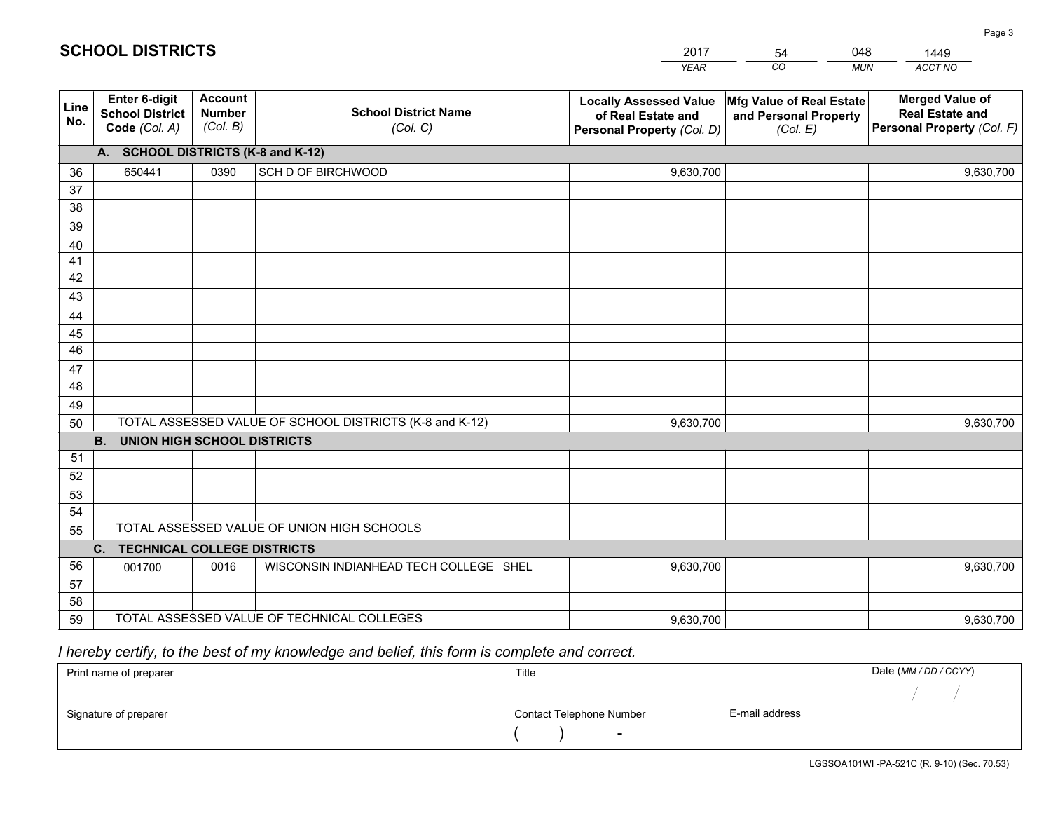|             |                                                          |                                             |                                                         | <b>YEAR</b>                                                                       | CO<br><b>MUN</b>                                              | ACCT NO                                                                        |
|-------------|----------------------------------------------------------|---------------------------------------------|---------------------------------------------------------|-----------------------------------------------------------------------------------|---------------------------------------------------------------|--------------------------------------------------------------------------------|
| Line<br>No. | Enter 6-digit<br><b>School District</b><br>Code (Col. A) | <b>Account</b><br><b>Number</b><br>(Col. B) | <b>School District Name</b><br>(Col. C)                 | <b>Locally Assessed Value</b><br>of Real Estate and<br>Personal Property (Col. D) | Mfg Value of Real Estate<br>and Personal Property<br>(Col. E) | <b>Merged Value of</b><br><b>Real Estate and</b><br>Personal Property (Col. F) |
|             | A. SCHOOL DISTRICTS (K-8 and K-12)                       |                                             |                                                         |                                                                                   |                                                               |                                                                                |
| 36          | 650441                                                   | 0390                                        | SCH D OF BIRCHWOOD                                      | 9,630,700                                                                         |                                                               | 9,630,700                                                                      |
| 37          |                                                          |                                             |                                                         |                                                                                   |                                                               |                                                                                |
| 38          |                                                          |                                             |                                                         |                                                                                   |                                                               |                                                                                |
| 39          |                                                          |                                             |                                                         |                                                                                   |                                                               |                                                                                |
| 40          |                                                          |                                             |                                                         |                                                                                   |                                                               |                                                                                |
| 41          |                                                          |                                             |                                                         |                                                                                   |                                                               |                                                                                |
| 42          |                                                          |                                             |                                                         |                                                                                   |                                                               |                                                                                |
| 43          |                                                          |                                             |                                                         |                                                                                   |                                                               |                                                                                |
| 44          |                                                          |                                             |                                                         |                                                                                   |                                                               |                                                                                |
| 45<br>46    |                                                          |                                             |                                                         |                                                                                   |                                                               |                                                                                |
|             |                                                          |                                             |                                                         |                                                                                   |                                                               |                                                                                |
| 47<br>48    |                                                          |                                             |                                                         |                                                                                   |                                                               |                                                                                |
| 49          |                                                          |                                             |                                                         |                                                                                   |                                                               |                                                                                |
| 50          |                                                          |                                             | TOTAL ASSESSED VALUE OF SCHOOL DISTRICTS (K-8 and K-12) | 9,630,700                                                                         |                                                               | 9,630,700                                                                      |
|             | <b>B.</b><br><b>UNION HIGH SCHOOL DISTRICTS</b>          |                                             |                                                         |                                                                                   |                                                               |                                                                                |
| 51          |                                                          |                                             |                                                         |                                                                                   |                                                               |                                                                                |
| 52          |                                                          |                                             |                                                         |                                                                                   |                                                               |                                                                                |
| 53          |                                                          |                                             |                                                         |                                                                                   |                                                               |                                                                                |
| 54          |                                                          |                                             |                                                         |                                                                                   |                                                               |                                                                                |
| 55          |                                                          |                                             | TOTAL ASSESSED VALUE OF UNION HIGH SCHOOLS              |                                                                                   |                                                               |                                                                                |
|             | C.<br><b>TECHNICAL COLLEGE DISTRICTS</b>                 |                                             |                                                         |                                                                                   |                                                               |                                                                                |
| 56          | 001700                                                   | 0016                                        | WISCONSIN INDIANHEAD TECH COLLEGE SHEL                  | 9,630,700                                                                         |                                                               | 9,630,700                                                                      |
| 57          |                                                          |                                             |                                                         |                                                                                   |                                                               |                                                                                |
| 58          |                                                          |                                             |                                                         |                                                                                   |                                                               |                                                                                |
| 59          |                                                          |                                             | TOTAL ASSESSED VALUE OF TECHNICAL COLLEGES              | 9,630,700                                                                         |                                                               | 9,630,700                                                                      |

54

048

 *I hereby certify, to the best of my knowledge and belief, this form is complete and correct.*

**SCHOOL DISTRICTS**

| Print name of preparer | Title                    | Date (MM / DD / CCYY) |  |
|------------------------|--------------------------|-----------------------|--|
|                        |                          |                       |  |
| Signature of preparer  | Contact Telephone Number | E-mail address        |  |
|                        | $\overline{\phantom{0}}$ |                       |  |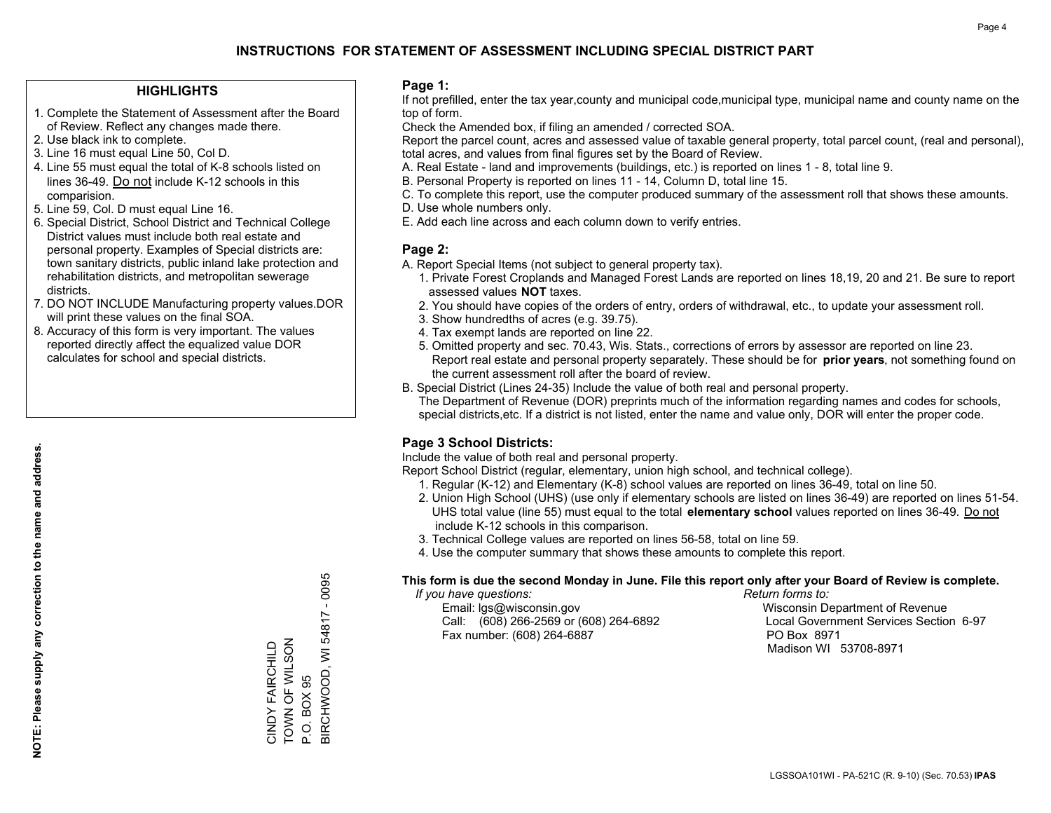#### **HIGHLIGHTS**

- 1. Complete the Statement of Assessment after the Board of Review. Reflect any changes made there.
- 2. Use black ink to complete.
- 3. Line 16 must equal Line 50, Col D.
- 4. Line 55 must equal the total of K-8 schools listed on lines 36-49. Do not include K-12 schools in this comparision.
- 5. Line 59, Col. D must equal Line 16.
- 6. Special District, School District and Technical College District values must include both real estate and personal property. Examples of Special districts are: town sanitary districts, public inland lake protection and rehabilitation districts, and metropolitan sewerage districts.
- 7. DO NOT INCLUDE Manufacturing property values.DOR will print these values on the final SOA.

CINDY FAIRCHILD TOWN OF WILSON

CINDY FAIRCHILD<br>TOWN OF WILSON

P.O. BOX 95

P.O. BOX 95

BIRCHWOOD, WI 54817 - 0095

3IRCHWOOD, WI 54817 - 0095

 8. Accuracy of this form is very important. The values reported directly affect the equalized value DOR calculates for school and special districts.

#### **Page 1:**

 If not prefilled, enter the tax year,county and municipal code,municipal type, municipal name and county name on the top of form.

Check the Amended box, if filing an amended / corrected SOA.

 Report the parcel count, acres and assessed value of taxable general property, total parcel count, (real and personal), total acres, and values from final figures set by the Board of Review.

- A. Real Estate land and improvements (buildings, etc.) is reported on lines 1 8, total line 9.
- B. Personal Property is reported on lines 11 14, Column D, total line 15.
- C. To complete this report, use the computer produced summary of the assessment roll that shows these amounts.
- D. Use whole numbers only.
- E. Add each line across and each column down to verify entries.

### **Page 2:**

- A. Report Special Items (not subject to general property tax).
- 1. Private Forest Croplands and Managed Forest Lands are reported on lines 18,19, 20 and 21. Be sure to report assessed values **NOT** taxes.
- 2. You should have copies of the orders of entry, orders of withdrawal, etc., to update your assessment roll.
	- 3. Show hundredths of acres (e.g. 39.75).
- 4. Tax exempt lands are reported on line 22.
- 5. Omitted property and sec. 70.43, Wis. Stats., corrections of errors by assessor are reported on line 23. Report real estate and personal property separately. These should be for **prior years**, not something found on the current assessment roll after the board of review.
- B. Special District (Lines 24-35) Include the value of both real and personal property.
- The Department of Revenue (DOR) preprints much of the information regarding names and codes for schools, special districts,etc. If a district is not listed, enter the name and value only, DOR will enter the proper code.

## **Page 3 School Districts:**

Include the value of both real and personal property.

Report School District (regular, elementary, union high school, and technical college).

- 1. Regular (K-12) and Elementary (K-8) school values are reported on lines 36-49, total on line 50.
- 2. Union High School (UHS) (use only if elementary schools are listed on lines 36-49) are reported on lines 51-54. UHS total value (line 55) must equal to the total **elementary school** values reported on lines 36-49. Do notinclude K-12 schools in this comparison.
- 3. Technical College values are reported on lines 56-58, total on line 59.
- 4. Use the computer summary that shows these amounts to complete this report.

#### **This form is due the second Monday in June. File this report only after your Board of Review is complete.**

 *If you have questions: Return forms to:*

 Email: lgs@wisconsin.gov Wisconsin Department of RevenueCall:  $(608)$  266-2569 or  $(608)$  264-6892 Fax number: (608) 264-6887 PO Box 8971

Local Government Services Section 6-97 Madison WI 53708-8971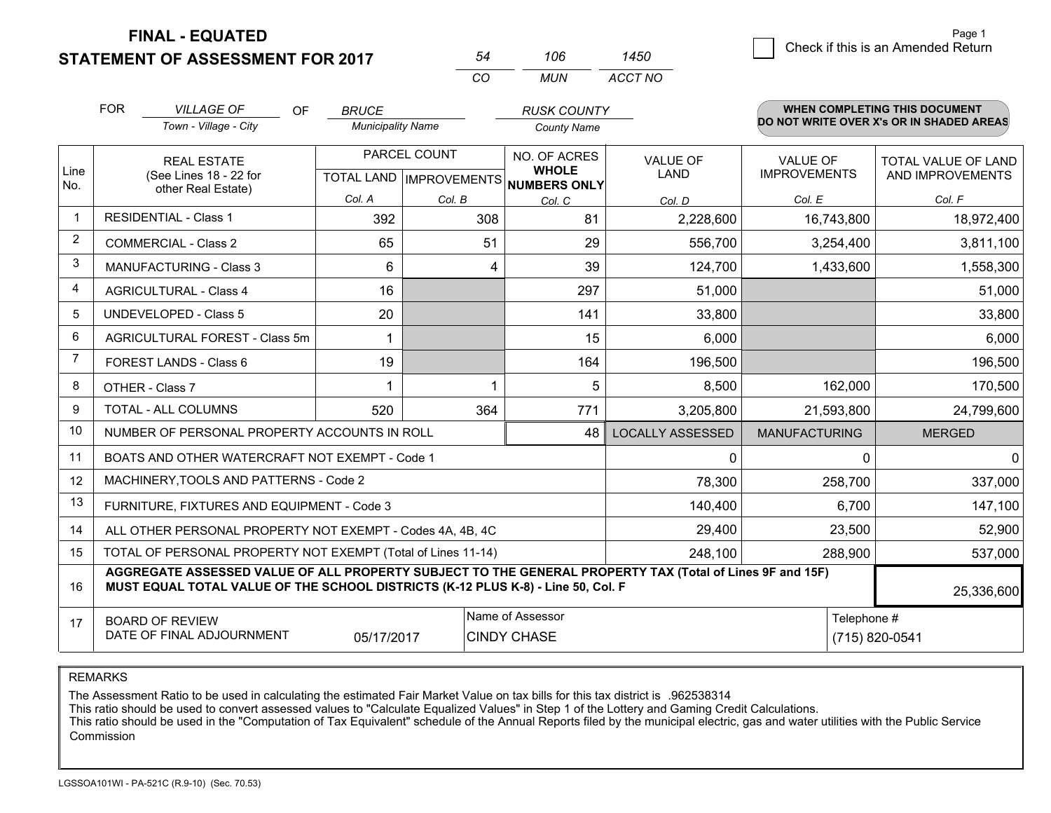**FINAL - EQUATED**

**STATEMENT OF ASSESSMENT FOR 2017** 

| 106 | 1450    |
|-----|---------|
| MUN | ACCT NO |

|                | <b>FOR</b>                                                                                                                                                                                                 | <b>VILLAGE OF</b><br>OF<br>Town - Village - City             | <b>BRUCE</b>             |                           | <b>RUSK COUNTY</b>           |                         |                      | <b>WHEN COMPLETING THIS DOCUMENT</b><br>DO NOT WRITE OVER X's OR IN SHADED AREAS |
|----------------|------------------------------------------------------------------------------------------------------------------------------------------------------------------------------------------------------------|--------------------------------------------------------------|--------------------------|---------------------------|------------------------------|-------------------------|----------------------|----------------------------------------------------------------------------------|
|                |                                                                                                                                                                                                            |                                                              | <b>Municipality Name</b> |                           | <b>County Name</b>           |                         |                      |                                                                                  |
| Line           |                                                                                                                                                                                                            | <b>REAL ESTATE</b>                                           |                          | PARCEL COUNT              | NO. OF ACRES<br><b>WHOLE</b> | <b>VALUE OF</b>         | <b>VALUE OF</b>      | TOTAL VALUE OF LAND                                                              |
| No.            |                                                                                                                                                                                                            | (See Lines 18 - 22 for<br>other Real Estate)                 |                          | TOTAL LAND   IMPROVEMENTS | <b>NUMBERS ONLY</b>          | <b>LAND</b>             | <b>IMPROVEMENTS</b>  | AND IMPROVEMENTS                                                                 |
|                |                                                                                                                                                                                                            |                                                              | Col. A                   | Col. B                    | Col. C                       | Col. D                  | Col. E               | Col. F                                                                           |
| $\mathbf{1}$   |                                                                                                                                                                                                            | <b>RESIDENTIAL - Class 1</b>                                 | 392                      | 308                       | 81                           | 2,228,600               | 16,743,800           | 18,972,400                                                                       |
| 2              |                                                                                                                                                                                                            | <b>COMMERCIAL - Class 2</b>                                  | 65                       | 51                        | 29                           | 556,700                 | 3,254,400            | 3,811,100                                                                        |
| 3              |                                                                                                                                                                                                            | <b>MANUFACTURING - Class 3</b>                               | 6                        | 4                         | 39                           | 124,700                 | 1,433,600            | 1,558,300                                                                        |
| $\overline{4}$ |                                                                                                                                                                                                            | <b>AGRICULTURAL - Class 4</b>                                | 16                       |                           | 297                          | 51,000                  |                      | 51,000                                                                           |
| 5              |                                                                                                                                                                                                            | <b>UNDEVELOPED - Class 5</b>                                 | 20                       |                           | 141                          | 33,800                  |                      | 33,800                                                                           |
| 6              | AGRICULTURAL FOREST - Class 5m                                                                                                                                                                             |                                                              | -1                       |                           | 15                           | 6,000                   |                      | 6,000                                                                            |
| $\overline{7}$ | FOREST LANDS - Class 6                                                                                                                                                                                     |                                                              | 19                       |                           | 164                          | 196,500                 |                      | 196,500                                                                          |
| 8              |                                                                                                                                                                                                            | OTHER - Class 7                                              |                          | 1                         | 5                            | 8,500                   | 162,000              | 170,500                                                                          |
| 9              |                                                                                                                                                                                                            | <b>TOTAL - ALL COLUMNS</b>                                   | 520                      | 364                       | 771                          | 3,205,800               | 21,593,800           | 24,799,600                                                                       |
| 10             |                                                                                                                                                                                                            | NUMBER OF PERSONAL PROPERTY ACCOUNTS IN ROLL                 |                          |                           | 48                           | <b>LOCALLY ASSESSED</b> | <b>MANUFACTURING</b> | <b>MERGED</b>                                                                    |
| 11             |                                                                                                                                                                                                            | BOATS AND OTHER WATERCRAFT NOT EXEMPT - Code 1               |                          |                           |                              | 0                       | $\Omega$             | 0                                                                                |
| 12             |                                                                                                                                                                                                            | MACHINERY, TOOLS AND PATTERNS - Code 2                       |                          |                           |                              | 78,300                  | 258,700              | 337,000                                                                          |
| 13             |                                                                                                                                                                                                            | FURNITURE, FIXTURES AND EQUIPMENT - Code 3                   |                          |                           |                              | 140,400                 | 6,700                | 147,100                                                                          |
| 14             |                                                                                                                                                                                                            | ALL OTHER PERSONAL PROPERTY NOT EXEMPT - Codes 4A, 4B, 4C    |                          |                           |                              | 29,400                  | 23,500               | 52,900                                                                           |
| 15             |                                                                                                                                                                                                            | TOTAL OF PERSONAL PROPERTY NOT EXEMPT (Total of Lines 11-14) |                          |                           |                              | 248,100                 | 288,900              | 537,000                                                                          |
| 16             | AGGREGATE ASSESSED VALUE OF ALL PROPERTY SUBJECT TO THE GENERAL PROPERTY TAX (Total of Lines 9F and 15F)<br>MUST EQUAL TOTAL VALUE OF THE SCHOOL DISTRICTS (K-12 PLUS K-8) - Line 50, Col. F<br>25,336,600 |                                                              |                          |                           |                              |                         |                      |                                                                                  |
| 17             |                                                                                                                                                                                                            | <b>BOARD OF REVIEW</b>                                       |                          |                           | Name of Assessor             |                         | Telephone #          |                                                                                  |
|                |                                                                                                                                                                                                            | DATE OF FINAL ADJOURNMENT                                    | 05/17/2017               |                           | <b>CINDY CHASE</b>           |                         |                      | (715) 820-0541                                                                   |

*CO*

*<sup>54</sup> <sup>106</sup>*

REMARKS

The Assessment Ratio to be used in calculating the estimated Fair Market Value on tax bills for this tax district is .962538314

This ratio should be used to convert assessed values to "Calculate Equalized Values" in Step 1 of the Lottery and Gaming Credit Calculations.

 This ratio should be used in the "Computation of Tax Equivalent" schedule of the Annual Reports filed by the municipal electric, gas and water utilities with the Public Service Commission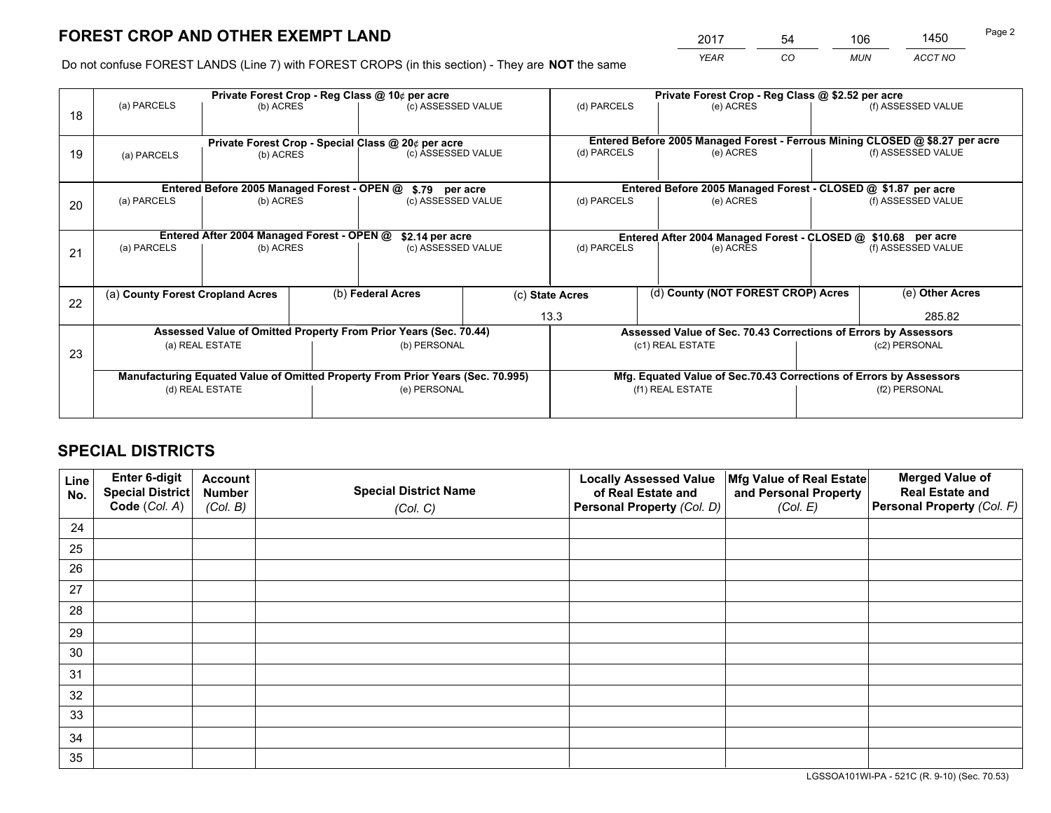*YEAR CO MUN ACCT NO* <sup>2017</sup> <sup>54</sup> <sup>106</sup> <sup>1450</sup>

Do not confuse FOREST LANDS (Line 7) with FOREST CROPS (in this section) - They are **NOT** the same

|    |                                  |                                             |  | Private Forest Crop - Reg Class @ 10¢ per acre                                 |  |                 | Private Forest Crop - Reg Class @ \$2.52 per acre                  |  |                                                                              |
|----|----------------------------------|---------------------------------------------|--|--------------------------------------------------------------------------------|--|-----------------|--------------------------------------------------------------------|--|------------------------------------------------------------------------------|
| 18 | (a) PARCELS                      | (b) ACRES                                   |  | (c) ASSESSED VALUE                                                             |  | (d) PARCELS     | (e) ACRES                                                          |  | (f) ASSESSED VALUE                                                           |
|    |                                  |                                             |  | Private Forest Crop - Special Class @ 20¢ per acre                             |  |                 |                                                                    |  | Entered Before 2005 Managed Forest - Ferrous Mining CLOSED @ \$8.27 per acre |
| 19 | (b) ACRES<br>(a) PARCELS         |                                             |  | (c) ASSESSED VALUE                                                             |  | (d) PARCELS     | (e) ACRES                                                          |  | (f) ASSESSED VALUE                                                           |
|    |                                  | Entered Before 2005 Managed Forest - OPEN @ |  | \$.79 per acre                                                                 |  |                 | Entered Before 2005 Managed Forest - CLOSED @ \$1.87 per acre      |  |                                                                              |
|    | (a) PARCELS                      | (b) ACRES                                   |  | (c) ASSESSED VALUE                                                             |  | (d) PARCELS     | (e) ACRES                                                          |  | (f) ASSESSED VALUE                                                           |
| 20 |                                  |                                             |  |                                                                                |  |                 |                                                                    |  |                                                                              |
|    |                                  | Entered After 2004 Managed Forest - OPEN @  |  | \$2.14 per acre                                                                |  |                 | Entered After 2004 Managed Forest - CLOSED @ \$10.68 per acre      |  | (f) ASSESSED VALUE                                                           |
| 21 | (a) PARCELS                      | (b) ACRES                                   |  | (c) ASSESSED VALUE                                                             |  | (d) PARCELS     | (e) ACRES                                                          |  |                                                                              |
|    |                                  |                                             |  |                                                                                |  |                 |                                                                    |  |                                                                              |
| 22 | (a) County Forest Cropland Acres |                                             |  | (b) Federal Acres                                                              |  | (c) State Acres | (d) County (NOT FOREST CROP) Acres                                 |  | (e) Other Acres                                                              |
|    |                                  |                                             |  |                                                                                |  | 13.3            |                                                                    |  | 285.82                                                                       |
|    |                                  |                                             |  | Assessed Value of Omitted Property From Prior Years (Sec. 70.44)               |  |                 | Assessed Value of Sec. 70.43 Corrections of Errors by Assessors    |  |                                                                              |
| 23 |                                  | (a) REAL ESTATE                             |  | (b) PERSONAL                                                                   |  |                 | (c1) REAL ESTATE                                                   |  | (c2) PERSONAL                                                                |
|    |                                  |                                             |  |                                                                                |  |                 |                                                                    |  |                                                                              |
|    |                                  |                                             |  | Manufacturing Equated Value of Omitted Property From Prior Years (Sec. 70.995) |  |                 | Mfg. Equated Value of Sec.70.43 Corrections of Errors by Assessors |  |                                                                              |
|    | (d) REAL ESTATE                  |                                             |  | (e) PERSONAL                                                                   |  |                 | (f1) REAL ESTATE                                                   |  | (f2) PERSONAL                                                                |
|    |                                  |                                             |  |                                                                                |  |                 |                                                                    |  |                                                                              |

## **SPECIAL DISTRICTS**

| Line<br>No. | Enter 6-digit<br><b>Special District</b> | <b>Account</b><br><b>Number</b> | <b>Special District Name</b> | <b>Locally Assessed Value</b><br>of Real Estate and | Mfg Value of Real Estate<br>and Personal Property | <b>Merged Value of</b><br><b>Real Estate and</b> |
|-------------|------------------------------------------|---------------------------------|------------------------------|-----------------------------------------------------|---------------------------------------------------|--------------------------------------------------|
|             | Code (Col. A)                            | (Col. B)                        | (Col. C)                     | Personal Property (Col. D)                          | (Col. E)                                          | Personal Property (Col. F)                       |
| 24          |                                          |                                 |                              |                                                     |                                                   |                                                  |
| 25          |                                          |                                 |                              |                                                     |                                                   |                                                  |
| 26          |                                          |                                 |                              |                                                     |                                                   |                                                  |
| 27          |                                          |                                 |                              |                                                     |                                                   |                                                  |
| 28          |                                          |                                 |                              |                                                     |                                                   |                                                  |
| 29          |                                          |                                 |                              |                                                     |                                                   |                                                  |
| 30          |                                          |                                 |                              |                                                     |                                                   |                                                  |
| 31          |                                          |                                 |                              |                                                     |                                                   |                                                  |
| 32          |                                          |                                 |                              |                                                     |                                                   |                                                  |
| 33          |                                          |                                 |                              |                                                     |                                                   |                                                  |
| 34          |                                          |                                 |                              |                                                     |                                                   |                                                  |
| 35          |                                          |                                 |                              |                                                     |                                                   |                                                  |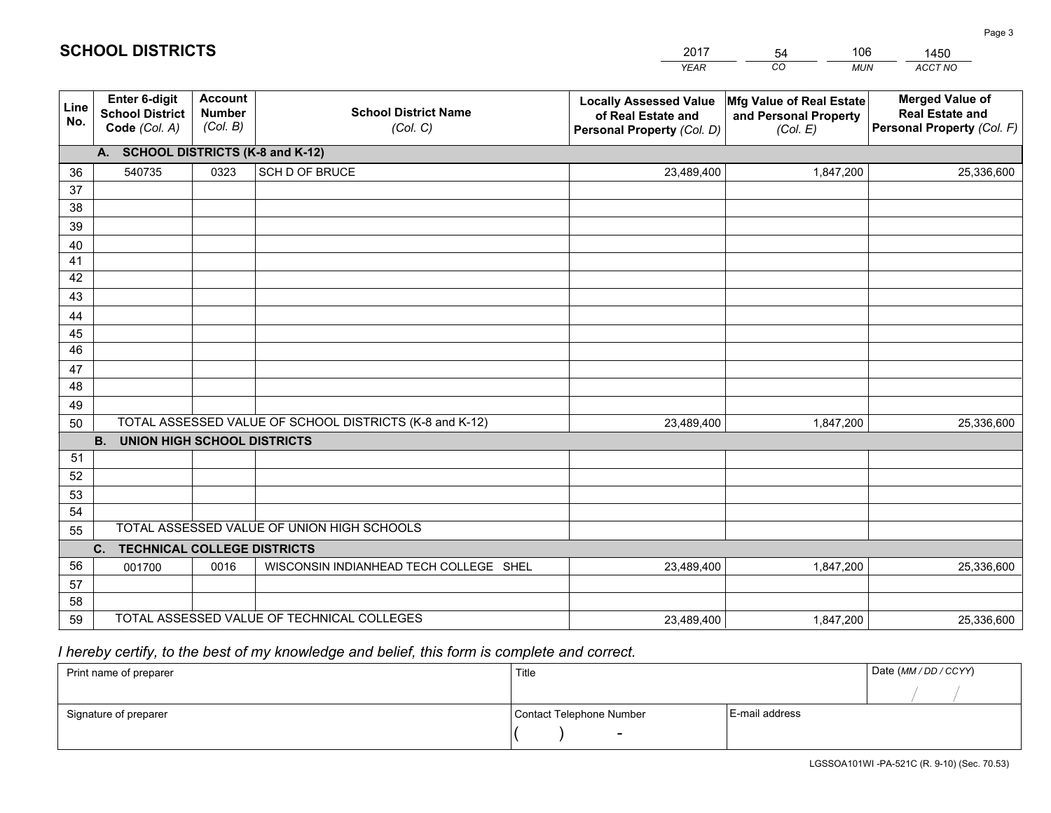|                 |                                                                 |                                             |                                                         | <b>YEAR</b>                                                                       | CO<br><b>MUN</b>                                              | ACCT NO                                                                        |
|-----------------|-----------------------------------------------------------------|---------------------------------------------|---------------------------------------------------------|-----------------------------------------------------------------------------------|---------------------------------------------------------------|--------------------------------------------------------------------------------|
| Line<br>No.     | <b>Enter 6-digit</b><br><b>School District</b><br>Code (Col. A) | <b>Account</b><br><b>Number</b><br>(Col. B) | <b>School District Name</b><br>(Col. C)                 | <b>Locally Assessed Value</b><br>of Real Estate and<br>Personal Property (Col. D) | Mfg Value of Real Estate<br>and Personal Property<br>(Col. E) | <b>Merged Value of</b><br><b>Real Estate and</b><br>Personal Property (Col. F) |
|                 | A. SCHOOL DISTRICTS (K-8 and K-12)                              |                                             |                                                         |                                                                                   |                                                               |                                                                                |
| 36              | 540735                                                          | 0323                                        | SCH D OF BRUCE                                          | 23,489,400                                                                        | 1,847,200                                                     | 25,336,600                                                                     |
| 37              |                                                                 |                                             |                                                         |                                                                                   |                                                               |                                                                                |
| 38              |                                                                 |                                             |                                                         |                                                                                   |                                                               |                                                                                |
| 39              |                                                                 |                                             |                                                         |                                                                                   |                                                               |                                                                                |
| 40              |                                                                 |                                             |                                                         |                                                                                   |                                                               |                                                                                |
| 41<br>42        |                                                                 |                                             |                                                         |                                                                                   |                                                               |                                                                                |
| 43              |                                                                 |                                             |                                                         |                                                                                   |                                                               |                                                                                |
|                 |                                                                 |                                             |                                                         |                                                                                   |                                                               |                                                                                |
| 44<br>45        |                                                                 |                                             |                                                         |                                                                                   |                                                               |                                                                                |
| $\overline{46}$ |                                                                 |                                             |                                                         |                                                                                   |                                                               |                                                                                |
| 47              |                                                                 |                                             |                                                         |                                                                                   |                                                               |                                                                                |
| 48              |                                                                 |                                             |                                                         |                                                                                   |                                                               |                                                                                |
| 49              |                                                                 |                                             |                                                         |                                                                                   |                                                               |                                                                                |
| 50              |                                                                 |                                             | TOTAL ASSESSED VALUE OF SCHOOL DISTRICTS (K-8 and K-12) | 23,489,400                                                                        | 1,847,200                                                     | 25,336,600                                                                     |
|                 | <b>B.</b><br><b>UNION HIGH SCHOOL DISTRICTS</b>                 |                                             |                                                         |                                                                                   |                                                               |                                                                                |
| 51              |                                                                 |                                             |                                                         |                                                                                   |                                                               |                                                                                |
| 52              |                                                                 |                                             |                                                         |                                                                                   |                                                               |                                                                                |
| 53              |                                                                 |                                             |                                                         |                                                                                   |                                                               |                                                                                |
| 54              |                                                                 |                                             |                                                         |                                                                                   |                                                               |                                                                                |
| 55              |                                                                 |                                             | TOTAL ASSESSED VALUE OF UNION HIGH SCHOOLS              |                                                                                   |                                                               |                                                                                |
|                 | C.<br><b>TECHNICAL COLLEGE DISTRICTS</b>                        |                                             |                                                         |                                                                                   |                                                               |                                                                                |
| 56              | 001700                                                          | 0016                                        | WISCONSIN INDIANHEAD TECH COLLEGE SHEL                  | 23,489,400                                                                        | 1,847,200                                                     | 25,336,600                                                                     |
| 57              |                                                                 |                                             |                                                         |                                                                                   |                                                               |                                                                                |
| 58<br>59        |                                                                 |                                             | TOTAL ASSESSED VALUE OF TECHNICAL COLLEGES              |                                                                                   |                                                               |                                                                                |
|                 |                                                                 |                                             |                                                         | 23,489,400                                                                        | 1,847,200                                                     | 25,336,600                                                                     |

 *I hereby certify, to the best of my knowledge and belief, this form is complete and correct.*

| Print name of preparer | Title                    |                | Date (MM / DD / CCYY) |
|------------------------|--------------------------|----------------|-----------------------|
|                        |                          |                |                       |
| Signature of preparer  | Contact Telephone Number | E-mail address |                       |
|                        | $\sim$                   |                |                       |

| <b>SCHOOL DISTRICTS</b> |  |
|-------------------------|--|
|-------------------------|--|

201754106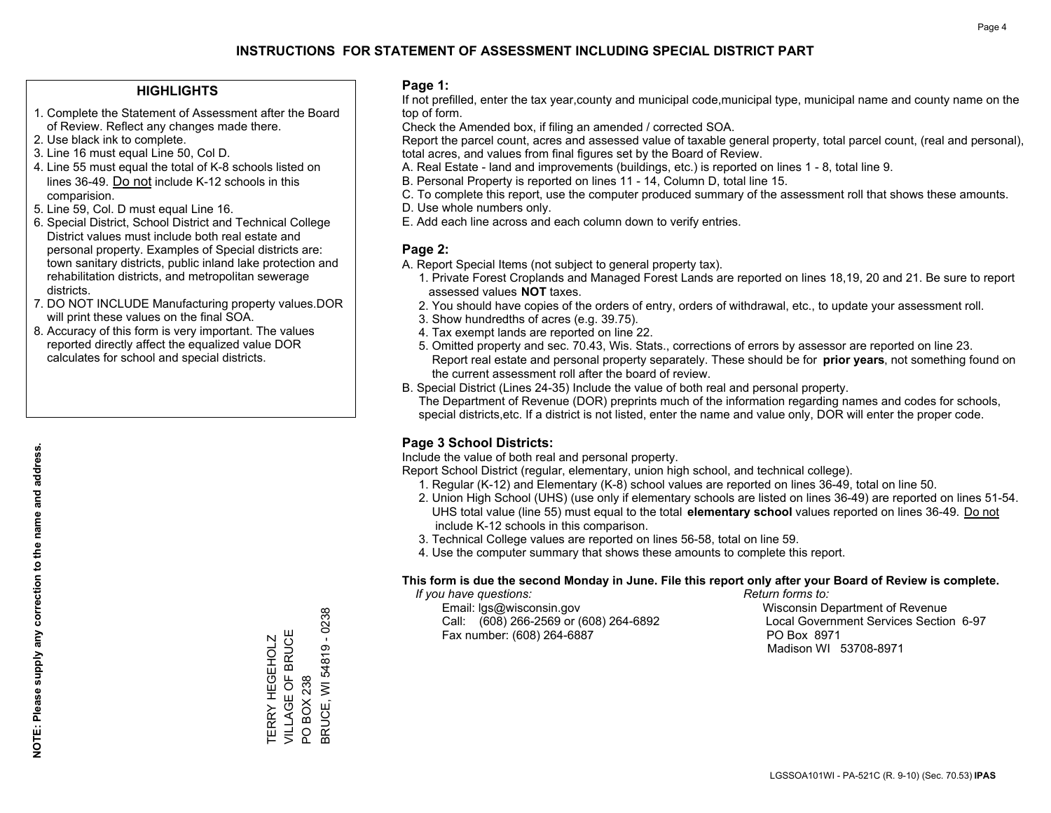#### **HIGHLIGHTS**

- 1. Complete the Statement of Assessment after the Board of Review. Reflect any changes made there.
- 2. Use black ink to complete.
- 3. Line 16 must equal Line 50, Col D.
- 4. Line 55 must equal the total of K-8 schools listed on lines 36-49. Do not include K-12 schools in this comparision.
- 5. Line 59, Col. D must equal Line 16.
- 6. Special District, School District and Technical College District values must include both real estate and personal property. Examples of Special districts are: town sanitary districts, public inland lake protection and rehabilitation districts, and metropolitan sewerage districts.
- 7. DO NOT INCLUDE Manufacturing property values.DOR will print these values on the final SOA.

TERRY HEGEHOLZ VILLAGE OF BRUCE

TERRY HEGEHOLZ<br>VILLAGE OF BRUCE

PO BOX 238

**PO BOX 238** 

BRUCE, WI 54819 - 0238

3RUCE, WI 54819 - 0238

 8. Accuracy of this form is very important. The values reported directly affect the equalized value DOR calculates for school and special districts.

#### **Page 1:**

 If not prefilled, enter the tax year,county and municipal code,municipal type, municipal name and county name on the top of form.

Check the Amended box, if filing an amended / corrected SOA.

 Report the parcel count, acres and assessed value of taxable general property, total parcel count, (real and personal), total acres, and values from final figures set by the Board of Review.

- A. Real Estate land and improvements (buildings, etc.) is reported on lines 1 8, total line 9.
- B. Personal Property is reported on lines 11 14, Column D, total line 15.
- C. To complete this report, use the computer produced summary of the assessment roll that shows these amounts.
- D. Use whole numbers only.
- E. Add each line across and each column down to verify entries.

#### **Page 2:**

- A. Report Special Items (not subject to general property tax).
- 1. Private Forest Croplands and Managed Forest Lands are reported on lines 18,19, 20 and 21. Be sure to report assessed values **NOT** taxes.
- 2. You should have copies of the orders of entry, orders of withdrawal, etc., to update your assessment roll.
	- 3. Show hundredths of acres (e.g. 39.75).
- 4. Tax exempt lands are reported on line 22.
- 5. Omitted property and sec. 70.43, Wis. Stats., corrections of errors by assessor are reported on line 23. Report real estate and personal property separately. These should be for **prior years**, not something found on the current assessment roll after the board of review.
- B. Special District (Lines 24-35) Include the value of both real and personal property.

 The Department of Revenue (DOR) preprints much of the information regarding names and codes for schools, special districts,etc. If a district is not listed, enter the name and value only, DOR will enter the proper code.

## **Page 3 School Districts:**

Include the value of both real and personal property.

Report School District (regular, elementary, union high school, and technical college).

- 1. Regular (K-12) and Elementary (K-8) school values are reported on lines 36-49, total on line 50.
- 2. Union High School (UHS) (use only if elementary schools are listed on lines 36-49) are reported on lines 51-54. UHS total value (line 55) must equal to the total **elementary school** values reported on lines 36-49. Do notinclude K-12 schools in this comparison.
- 3. Technical College values are reported on lines 56-58, total on line 59.
- 4. Use the computer summary that shows these amounts to complete this report.

#### **This form is due the second Monday in June. File this report only after your Board of Review is complete.**

 *If you have questions: Return forms to:*

 Email: lgs@wisconsin.gov Wisconsin Department of RevenueCall:  $(608)$  266-2569 or  $(608)$  264-6892 Fax number: (608) 264-6887 PO Box 8971

Local Government Services Section 6-97

Madison WI 53708-8971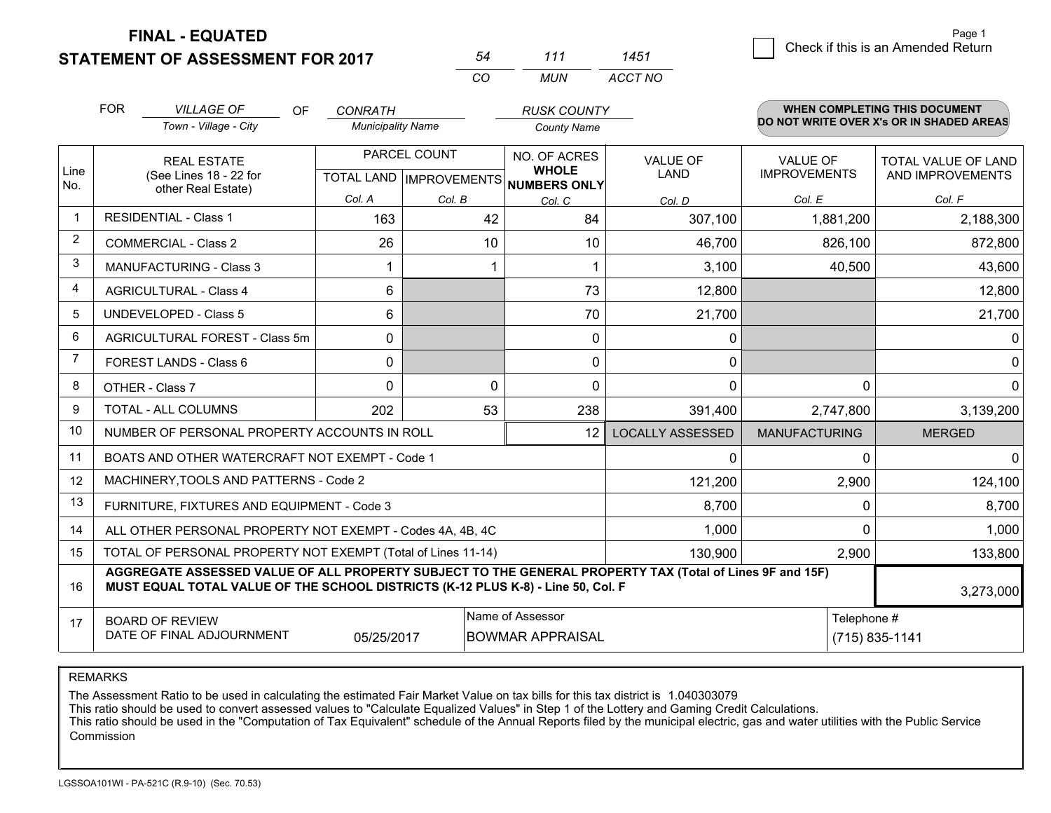**FINAL - EQUATED**

**STATEMENT OF ASSESSMENT FOR 2017** 

|          | 111   | 451     |
|----------|-------|---------|
| $\cdots$ | MI IN | ACCT NO |

|                | <b>FOR</b><br><b>VILLAGE OF</b><br>OF<br>Town - Village - City                                                                                                                                            | <b>CONRATH</b><br><b>Municipality Name</b> |                                                     | <b>RUSK COUNTY</b><br><b>County Name</b> |                         |                                        | <b>WHEN COMPLETING THIS DOCUMENT</b><br>DO NOT WRITE OVER X's OR IN SHADED AREAS |
|----------------|-----------------------------------------------------------------------------------------------------------------------------------------------------------------------------------------------------------|--------------------------------------------|-----------------------------------------------------|------------------------------------------|-------------------------|----------------------------------------|----------------------------------------------------------------------------------|
| Line<br>No.    | <b>REAL ESTATE</b><br>(See Lines 18 - 22 for<br>other Real Estate)                                                                                                                                        |                                            | PARCEL COUNT<br>TOTAL LAND MPROVEMENTS NUMBERS ONLY | NO. OF ACRES<br><b>WHOLE</b>             | <b>VALUE OF</b><br>LAND | <b>VALUE OF</b><br><b>IMPROVEMENTS</b> | <b>TOTAL VALUE OF LAND</b><br>AND IMPROVEMENTS                                   |
|                |                                                                                                                                                                                                           | Col. A                                     | Col. B                                              | Col. C                                   | Col. D                  | Col. E                                 | Col. F                                                                           |
| -1             | <b>RESIDENTIAL - Class 1</b>                                                                                                                                                                              | 163                                        | 42                                                  | 84                                       | 307,100                 | 1,881,200                              | 2,188,300                                                                        |
| $\overline{2}$ | <b>COMMERCIAL - Class 2</b>                                                                                                                                                                               | 26                                         | 10                                                  | 10                                       | 46,700                  | 826,100                                | 872,800                                                                          |
| 3              | <b>MANUFACTURING - Class 3</b>                                                                                                                                                                            |                                            |                                                     |                                          | 3,100                   | 40,500                                 | 43,600                                                                           |
| 4              | <b>AGRICULTURAL - Class 4</b>                                                                                                                                                                             | 6                                          |                                                     | 73                                       | 12,800                  |                                        | 12,800                                                                           |
| 5              | UNDEVELOPED - Class 5                                                                                                                                                                                     | 6                                          |                                                     | 70                                       | 21,700                  |                                        | 21,700                                                                           |
| 6              | AGRICULTURAL FOREST - Class 5m                                                                                                                                                                            | $\mathbf{0}$                               |                                                     | $\Omega$                                 | 0                       |                                        | 0                                                                                |
| 7              | FOREST LANDS - Class 6                                                                                                                                                                                    | 0                                          |                                                     | $\Omega$                                 | 0                       |                                        | $\Omega$                                                                         |
| 8              | OTHER - Class 7                                                                                                                                                                                           | $\Omega$                                   | 0                                                   | $\Omega$                                 | 0                       | $\Omega$                               | 0                                                                                |
| 9              | TOTAL - ALL COLUMNS                                                                                                                                                                                       | 202                                        | 53                                                  | 238                                      | 391,400                 | 2,747,800                              | 3,139,200                                                                        |
| 10             | NUMBER OF PERSONAL PROPERTY ACCOUNTS IN ROLL                                                                                                                                                              |                                            |                                                     | 12                                       | LOCALLY ASSESSED        | <b>MANUFACTURING</b>                   | <b>MERGED</b>                                                                    |
| 11             | BOATS AND OTHER WATERCRAFT NOT EXEMPT - Code 1                                                                                                                                                            |                                            |                                                     |                                          | 0                       | $\Omega$                               | $\Omega$                                                                         |
| 12             | MACHINERY, TOOLS AND PATTERNS - Code 2                                                                                                                                                                    |                                            |                                                     |                                          | 121,200                 | 2,900                                  | 124,100                                                                          |
| 13             | FURNITURE, FIXTURES AND EQUIPMENT - Code 3                                                                                                                                                                |                                            |                                                     |                                          | 8,700                   | 0                                      | 8,700                                                                            |
| 14             | ALL OTHER PERSONAL PROPERTY NOT EXEMPT - Codes 4A, 4B, 4C                                                                                                                                                 |                                            |                                                     |                                          | 1,000                   | $\Omega$                               | 1,000                                                                            |
| 15             | TOTAL OF PERSONAL PROPERTY NOT EXEMPT (Total of Lines 11-14)                                                                                                                                              |                                            | 130,900                                             | 2,900                                    | 133,800                 |                                        |                                                                                  |
| 16             | AGGREGATE ASSESSED VALUE OF ALL PROPERTY SUBJECT TO THE GENERAL PROPERTY TAX (Total of Lines 9F and 15F)<br>MUST EQUAL TOTAL VALUE OF THE SCHOOL DISTRICTS (K-12 PLUS K-8) - Line 50, Col. F<br>3,273,000 |                                            |                                                     |                                          |                         |                                        |                                                                                  |
| 17             | Name of Assessor<br><b>BOARD OF REVIEW</b><br>DATE OF FINAL ADJOURNMENT<br>05/25/2017<br><b>BOWMAR APPRAISAL</b>                                                                                          |                                            |                                                     |                                          |                         |                                        | Telephone #<br>(715) 835-1141                                                    |

REMARKS

The Assessment Ratio to be used in calculating the estimated Fair Market Value on tax bills for this tax district is 1.040303079

This ratio should be used to convert assessed values to "Calculate Equalized Values" in Step 1 of the Lottery and Gaming Credit Calculations.<br>This ratio should be used in the "Computation of Tax Equivalent" schedule of the Commission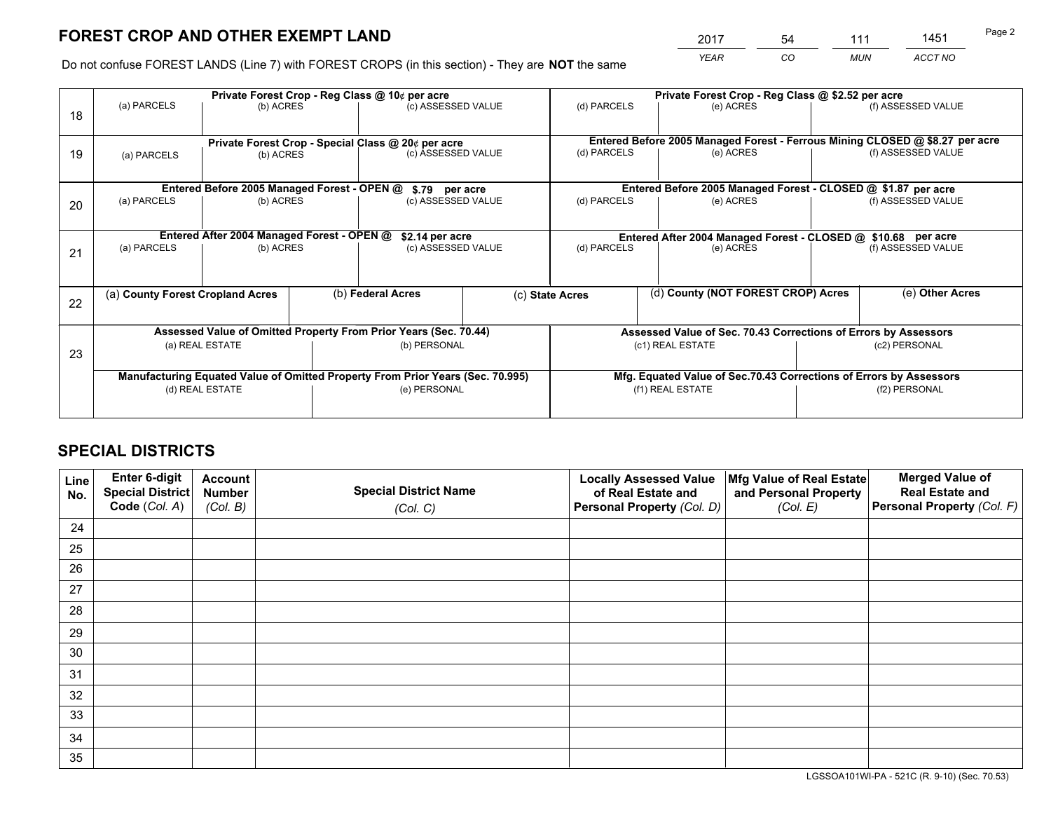*YEAR CO MUN ACCT NO* <sup>2017</sup> <sup>54</sup> <sup>111</sup> <sup>1451</sup>

Do not confuse FOREST LANDS (Line 7) with FOREST CROPS (in this section) - They are **NOT** the same

|    |                                                                                |                                             |  | Private Forest Crop - Reg Class @ 10¢ per acre                   |                                                                              | Private Forest Crop - Reg Class @ \$2.52 per acre             |                                                                    |  |                    |  |
|----|--------------------------------------------------------------------------------|---------------------------------------------|--|------------------------------------------------------------------|------------------------------------------------------------------------------|---------------------------------------------------------------|--------------------------------------------------------------------|--|--------------------|--|
| 18 | (a) PARCELS                                                                    | (b) ACRES                                   |  | (c) ASSESSED VALUE                                               |                                                                              | (d) PARCELS                                                   | (e) ACRES                                                          |  | (f) ASSESSED VALUE |  |
|    | Private Forest Crop - Special Class @ 20¢ per acre                             |                                             |  |                                                                  | Entered Before 2005 Managed Forest - Ferrous Mining CLOSED @ \$8.27 per acre |                                                               |                                                                    |  |                    |  |
| 19 | (b) ACRES<br>(a) PARCELS                                                       |                                             |  | (c) ASSESSED VALUE                                               |                                                                              | (d) PARCELS                                                   | (e) ACRES                                                          |  | (f) ASSESSED VALUE |  |
|    |                                                                                | Entered Before 2005 Managed Forest - OPEN @ |  | \$.79 per acre                                                   |                                                                              |                                                               | Entered Before 2005 Managed Forest - CLOSED @ \$1.87 per acre      |  |                    |  |
|    | (a) PARCELS                                                                    | (b) ACRES                                   |  |                                                                  |                                                                              | (d) PARCELS                                                   | (e) ACRES                                                          |  | (f) ASSESSED VALUE |  |
| 20 |                                                                                |                                             |  | (c) ASSESSED VALUE                                               |                                                                              |                                                               |                                                                    |  |                    |  |
|    |                                                                                | Entered After 2004 Managed Forest - OPEN @  |  | \$2.14 per acre                                                  |                                                                              | Entered After 2004 Managed Forest - CLOSED @ \$10.68 per acre |                                                                    |  |                    |  |
| 21 | (a) PARCELS                                                                    | (b) ACRES                                   |  | (c) ASSESSED VALUE                                               |                                                                              | (d) PARCELS<br>(e) ACRES                                      |                                                                    |  | (f) ASSESSED VALUE |  |
|    |                                                                                |                                             |  |                                                                  |                                                                              |                                                               |                                                                    |  |                    |  |
|    | (a) County Forest Cropland Acres                                               |                                             |  | (b) Federal Acres                                                |                                                                              | (c) State Acres                                               | (d) County (NOT FOREST CROP) Acres                                 |  | (e) Other Acres    |  |
| 22 |                                                                                |                                             |  |                                                                  |                                                                              |                                                               |                                                                    |  |                    |  |
|    |                                                                                |                                             |  | Assessed Value of Omitted Property From Prior Years (Sec. 70.44) |                                                                              |                                                               | Assessed Value of Sec. 70.43 Corrections of Errors by Assessors    |  |                    |  |
|    |                                                                                | (a) REAL ESTATE                             |  | (b) PERSONAL                                                     |                                                                              |                                                               | (c1) REAL ESTATE                                                   |  | (c2) PERSONAL      |  |
| 23 |                                                                                |                                             |  |                                                                  |                                                                              |                                                               |                                                                    |  |                    |  |
|    | Manufacturing Equated Value of Omitted Property From Prior Years (Sec. 70.995) |                                             |  |                                                                  |                                                                              |                                                               | Mfg. Equated Value of Sec.70.43 Corrections of Errors by Assessors |  |                    |  |
|    | (d) REAL ESTATE                                                                |                                             |  | (e) PERSONAL                                                     |                                                                              |                                                               | (f1) REAL ESTATE                                                   |  | (f2) PERSONAL      |  |
|    |                                                                                |                                             |  |                                                                  |                                                                              |                                                               |                                                                    |  |                    |  |

## **SPECIAL DISTRICTS**

| Line<br>No. | Enter 6-digit<br>Special District<br>Code (Col. A) | <b>Account</b><br><b>Number</b> | <b>Special District Name</b> | <b>Locally Assessed Value</b><br>of Real Estate and | Mfg Value of Real Estate<br>and Personal Property | <b>Merged Value of</b><br><b>Real Estate and</b><br>Personal Property (Col. F) |
|-------------|----------------------------------------------------|---------------------------------|------------------------------|-----------------------------------------------------|---------------------------------------------------|--------------------------------------------------------------------------------|
|             |                                                    | (Col. B)                        | (Col. C)                     | Personal Property (Col. D)                          | (Col. E)                                          |                                                                                |
| 24          |                                                    |                                 |                              |                                                     |                                                   |                                                                                |
| 25          |                                                    |                                 |                              |                                                     |                                                   |                                                                                |
| 26          |                                                    |                                 |                              |                                                     |                                                   |                                                                                |
| 27          |                                                    |                                 |                              |                                                     |                                                   |                                                                                |
| 28          |                                                    |                                 |                              |                                                     |                                                   |                                                                                |
| 29          |                                                    |                                 |                              |                                                     |                                                   |                                                                                |
| 30          |                                                    |                                 |                              |                                                     |                                                   |                                                                                |
| 31          |                                                    |                                 |                              |                                                     |                                                   |                                                                                |
| 32          |                                                    |                                 |                              |                                                     |                                                   |                                                                                |
| 33          |                                                    |                                 |                              |                                                     |                                                   |                                                                                |
| 34          |                                                    |                                 |                              |                                                     |                                                   |                                                                                |
| 35          |                                                    |                                 |                              |                                                     |                                                   |                                                                                |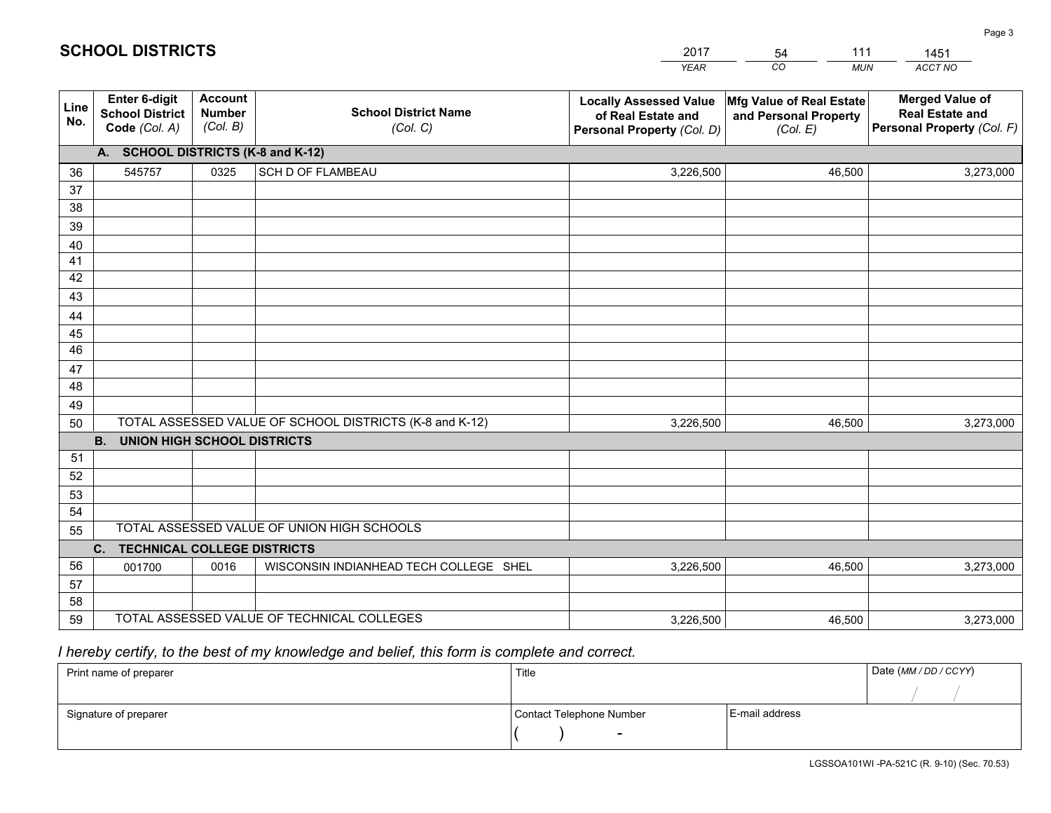|             |                                                          |                                             |                                                         | YEAR                                                                              | CO.<br><b>MUN</b>                                             | ACCT NO                                                                        |
|-------------|----------------------------------------------------------|---------------------------------------------|---------------------------------------------------------|-----------------------------------------------------------------------------------|---------------------------------------------------------------|--------------------------------------------------------------------------------|
| Line<br>No. | Enter 6-digit<br><b>School District</b><br>Code (Col. A) | <b>Account</b><br><b>Number</b><br>(Col. B) | <b>School District Name</b><br>(Col. C)                 | <b>Locally Assessed Value</b><br>of Real Estate and<br>Personal Property (Col. D) | Mfg Value of Real Estate<br>and Personal Property<br>(Col. E) | <b>Merged Value of</b><br><b>Real Estate and</b><br>Personal Property (Col. F) |
|             | A. SCHOOL DISTRICTS (K-8 and K-12)                       |                                             |                                                         |                                                                                   |                                                               |                                                                                |
| 36          | 545757                                                   | 0325                                        | <b>SCH D OF FLAMBEAU</b>                                | 3,226,500                                                                         | 46,500                                                        | 3,273,000                                                                      |
| 37          |                                                          |                                             |                                                         |                                                                                   |                                                               |                                                                                |
| 38          |                                                          |                                             |                                                         |                                                                                   |                                                               |                                                                                |
| 39          |                                                          |                                             |                                                         |                                                                                   |                                                               |                                                                                |
| 40          |                                                          |                                             |                                                         |                                                                                   |                                                               |                                                                                |
| 41<br>42    |                                                          |                                             |                                                         |                                                                                   |                                                               |                                                                                |
| 43          |                                                          |                                             |                                                         |                                                                                   |                                                               |                                                                                |
| 44          |                                                          |                                             |                                                         |                                                                                   |                                                               |                                                                                |
| 45          |                                                          |                                             |                                                         |                                                                                   |                                                               |                                                                                |
| 46          |                                                          |                                             |                                                         |                                                                                   |                                                               |                                                                                |
| 47          |                                                          |                                             |                                                         |                                                                                   |                                                               |                                                                                |
| 48          |                                                          |                                             |                                                         |                                                                                   |                                                               |                                                                                |
| 49          |                                                          |                                             |                                                         |                                                                                   |                                                               |                                                                                |
| 50          |                                                          |                                             | TOTAL ASSESSED VALUE OF SCHOOL DISTRICTS (K-8 and K-12) | 3,226,500                                                                         | 46,500                                                        | 3,273,000                                                                      |
|             | <b>B.</b><br><b>UNION HIGH SCHOOL DISTRICTS</b>          |                                             |                                                         |                                                                                   |                                                               |                                                                                |
| 51          |                                                          |                                             |                                                         |                                                                                   |                                                               |                                                                                |
| 52          |                                                          |                                             |                                                         |                                                                                   |                                                               |                                                                                |
| 53<br>54    |                                                          |                                             |                                                         |                                                                                   |                                                               |                                                                                |
| 55          |                                                          |                                             | TOTAL ASSESSED VALUE OF UNION HIGH SCHOOLS              |                                                                                   |                                                               |                                                                                |
|             | C.<br><b>TECHNICAL COLLEGE DISTRICTS</b>                 |                                             |                                                         |                                                                                   |                                                               |                                                                                |
| 56          | 001700                                                   | 0016                                        | WISCONSIN INDIANHEAD TECH COLLEGE SHEL                  | 3,226,500                                                                         | 46,500                                                        | 3,273,000                                                                      |
| 57          |                                                          |                                             |                                                         |                                                                                   |                                                               |                                                                                |
| 58          |                                                          |                                             |                                                         |                                                                                   |                                                               |                                                                                |
| 59          |                                                          |                                             | TOTAL ASSESSED VALUE OF TECHNICAL COLLEGES              | 3,226,500                                                                         | 46,500                                                        | 3,273,000                                                                      |

54

111

 *I hereby certify, to the best of my knowledge and belief, this form is complete and correct.*

**SCHOOL DISTRICTS**

| Print name of preparer | Title                    |                | Date (MM / DD / CCYY) |
|------------------------|--------------------------|----------------|-----------------------|
|                        |                          |                |                       |
| Signature of preparer  | Contact Telephone Number | E-mail address |                       |
|                        | -                        |                |                       |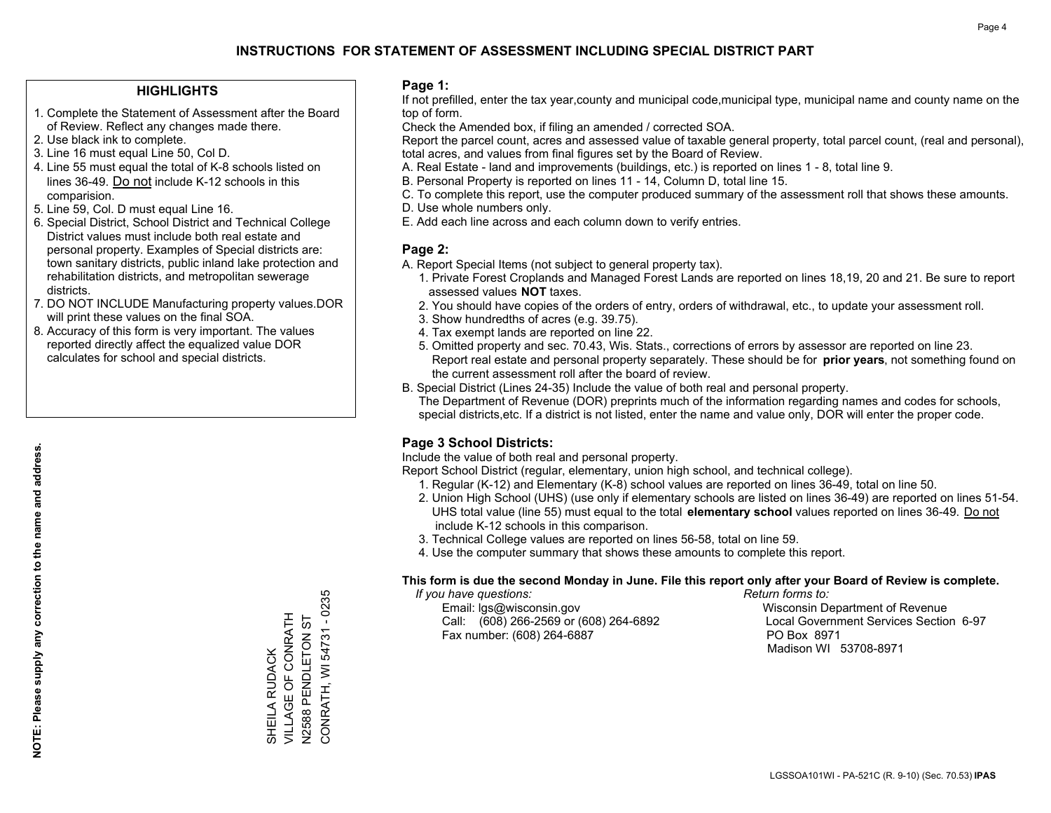#### **HIGHLIGHTS**

- 1. Complete the Statement of Assessment after the Board of Review. Reflect any changes made there.
- 2. Use black ink to complete.
- 3. Line 16 must equal Line 50, Col D.
- 4. Line 55 must equal the total of K-8 schools listed on lines 36-49. Do not include K-12 schools in this comparision.
- 5. Line 59, Col. D must equal Line 16.
- 6. Special District, School District and Technical College District values must include both real estate and personal property. Examples of Special districts are: town sanitary districts, public inland lake protection and rehabilitation districts, and metropolitan sewerage districts.
- 7. DO NOT INCLUDE Manufacturing property values.DOR will print these values on the final SOA.
- 8. Accuracy of this form is very important. The values reported directly affect the equalized value DOR calculates for school and special districts.

#### **Page 1:**

 If not prefilled, enter the tax year,county and municipal code,municipal type, municipal name and county name on the top of form.

Check the Amended box, if filing an amended / corrected SOA.

 Report the parcel count, acres and assessed value of taxable general property, total parcel count, (real and personal), total acres, and values from final figures set by the Board of Review.

- A. Real Estate land and improvements (buildings, etc.) is reported on lines 1 8, total line 9.
- B. Personal Property is reported on lines 11 14, Column D, total line 15.
- C. To complete this report, use the computer produced summary of the assessment roll that shows these amounts.
- D. Use whole numbers only.
- E. Add each line across and each column down to verify entries.

#### **Page 2:**

- A. Report Special Items (not subject to general property tax).
- 1. Private Forest Croplands and Managed Forest Lands are reported on lines 18,19, 20 and 21. Be sure to report assessed values **NOT** taxes.
- 2. You should have copies of the orders of entry, orders of withdrawal, etc., to update your assessment roll.
	- 3. Show hundredths of acres (e.g. 39.75).
- 4. Tax exempt lands are reported on line 22.
- 5. Omitted property and sec. 70.43, Wis. Stats., corrections of errors by assessor are reported on line 23. Report real estate and personal property separately. These should be for **prior years**, not something found on the current assessment roll after the board of review.
- B. Special District (Lines 24-35) Include the value of both real and personal property.

 The Department of Revenue (DOR) preprints much of the information regarding names and codes for schools, special districts,etc. If a district is not listed, enter the name and value only, DOR will enter the proper code.

## **Page 3 School Districts:**

Include the value of both real and personal property.

Report School District (regular, elementary, union high school, and technical college).

- 1. Regular (K-12) and Elementary (K-8) school values are reported on lines 36-49, total on line 50.
- 2. Union High School (UHS) (use only if elementary schools are listed on lines 36-49) are reported on lines 51-54. UHS total value (line 55) must equal to the total **elementary school** values reported on lines 36-49. Do notinclude K-12 schools in this comparison.
- 3. Technical College values are reported on lines 56-58, total on line 59.
- 4. Use the computer summary that shows these amounts to complete this report.

#### **This form is due the second Monday in June. File this report only after your Board of Review is complete.**

 *If you have questions: Return forms to:*

 Email: lgs@wisconsin.gov Wisconsin Department of RevenueCall:  $(608)$  266-2569 or  $(608)$  264-6892 Fax number: (608) 264-6887 PO Box 8971

Local Government Services Section 6-97 Madison WI 53708-8971

**NOTE: Please supply any correction to the name and address.**

NOTE: Please supply any correction to the name and address.

CONRATH, WI 54731 - 0235 CONRATH, WI 54731 - 0235 VILLAGE OF CONRATH SHEILA RUDACK<br>VILLAGE OF CONRATH N2588 PENDLETON ST N2588 PENDLETON ST SHEILA RUDACK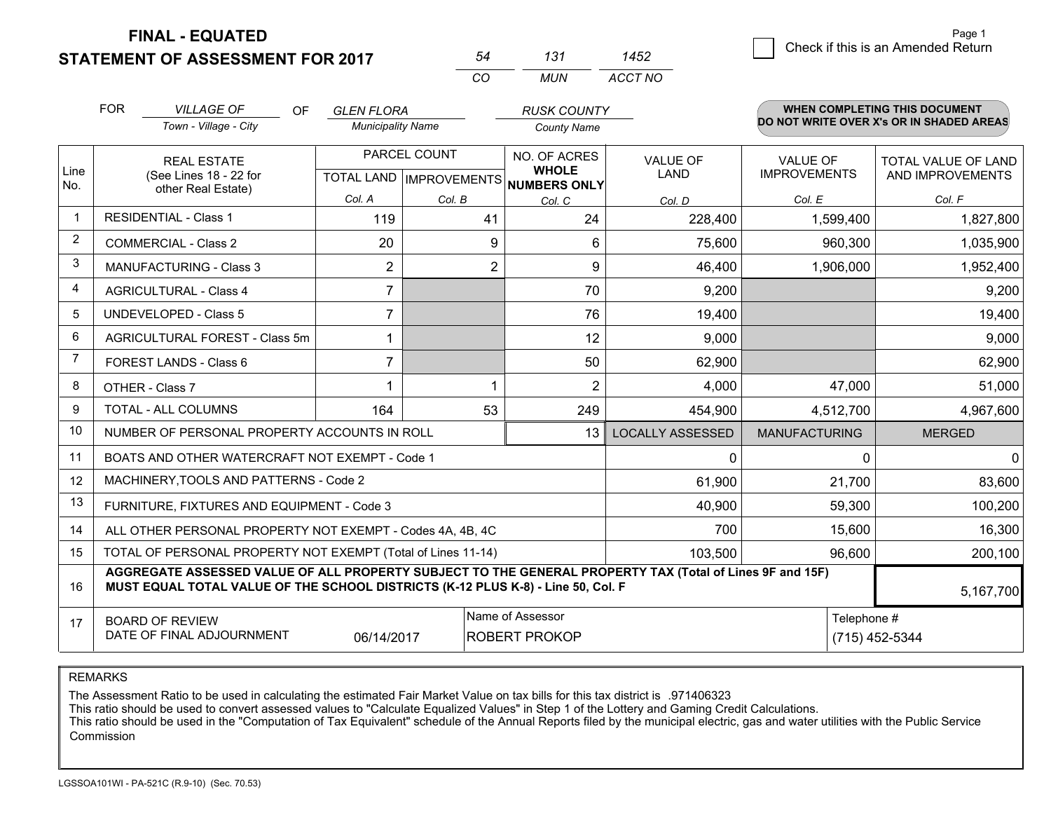**STATEMENT OF ASSESSMENT FOR 2017** 

**FINAL - EQUATED**

|                | <b>FOR</b>                                                                                                                                                                                   | <b>VILLAGE OF</b><br><b>OF</b>                            | <b>GLEN FLORA</b>        |        | <b>RUSK COUNTY</b>                                   |                                          |                      | <b>WHEN COMPLETING THIS DOCUMENT</b> |  |
|----------------|----------------------------------------------------------------------------------------------------------------------------------------------------------------------------------------------|-----------------------------------------------------------|--------------------------|--------|------------------------------------------------------|------------------------------------------|----------------------|--------------------------------------|--|
|                |                                                                                                                                                                                              | Town - Village - City                                     | <b>Municipality Name</b> |        | <b>County Name</b>                                   | DO NOT WRITE OVER X's OR IN SHADED AREAS |                      |                                      |  |
|                |                                                                                                                                                                                              | <b>REAL ESTATE</b>                                        | PARCEL COUNT             |        | NO. OF ACRES                                         | VALUE OF                                 | <b>VALUE OF</b>      | TOTAL VALUE OF LAND                  |  |
| Line<br>No.    |                                                                                                                                                                                              | (See Lines 18 - 22 for<br>other Real Estate)              |                          |        | <b>WHOLE</b><br>TOTAL LAND IMPROVEMENTS NUMBERS ONLY | <b>LAND</b>                              | <b>IMPROVEMENTS</b>  | AND IMPROVEMENTS                     |  |
|                |                                                                                                                                                                                              |                                                           | Col. A                   | Col. B | Col. C                                               | Col. D                                   | Col. E               | Col. F                               |  |
| $\mathbf 1$    |                                                                                                                                                                                              | <b>RESIDENTIAL - Class 1</b>                              | 119                      | 41     | 24                                                   | 228,400                                  | 1,599,400            | 1,827,800                            |  |
| 2              |                                                                                                                                                                                              | <b>COMMERCIAL - Class 2</b>                               | 20                       |        | 9<br>6                                               | 75,600                                   | 960,300              | 1,035,900                            |  |
| 3              |                                                                                                                                                                                              | <b>MANUFACTURING - Class 3</b>                            | $\overline{c}$           |        | $\overline{2}$<br>9                                  | 46,400                                   | 1,906,000            | 1,952,400                            |  |
| 4              |                                                                                                                                                                                              | <b>AGRICULTURAL - Class 4</b>                             | $\overline{7}$           |        | 70                                                   | 9,200                                    |                      | 9,200                                |  |
| 5              |                                                                                                                                                                                              | <b>UNDEVELOPED - Class 5</b>                              | $\overline{7}$           |        | 76                                                   | 19,400                                   |                      | 19,400                               |  |
| 6              | AGRICULTURAL FOREST - Class 5m                                                                                                                                                               |                                                           | 1                        |        | 12                                                   | 9,000                                    |                      | 9,000                                |  |
| $\overline{7}$ |                                                                                                                                                                                              | <b>FOREST LANDS - Class 6</b>                             | $\overline{7}$           |        | 50                                                   | 62,900                                   |                      | 62,900                               |  |
| 8              |                                                                                                                                                                                              | OTHER - Class 7                                           |                          |        | $\overline{2}$<br>1                                  | 4,000                                    | 47,000               | 51,000                               |  |
| 9              |                                                                                                                                                                                              | TOTAL - ALL COLUMNS                                       | 164                      | 53     | 249                                                  | 454,900                                  | 4,512,700            | 4,967,600                            |  |
| 10             |                                                                                                                                                                                              | NUMBER OF PERSONAL PROPERTY ACCOUNTS IN ROLL              |                          |        | 13                                                   | <b>LOCALLY ASSESSED</b>                  | <b>MANUFACTURING</b> | <b>MERGED</b>                        |  |
| 11             |                                                                                                                                                                                              | BOATS AND OTHER WATERCRAFT NOT EXEMPT - Code 1            |                          |        |                                                      | $\Omega$                                 | $\Omega$             | $\mathbf 0$                          |  |
| 12             |                                                                                                                                                                                              | MACHINERY, TOOLS AND PATTERNS - Code 2                    |                          |        |                                                      | 61,900                                   | 21,700               | 83,600                               |  |
| 13             |                                                                                                                                                                                              | FURNITURE, FIXTURES AND EQUIPMENT - Code 3                |                          |        |                                                      | 40,900                                   | 59,300               | 100,200                              |  |
| 14             |                                                                                                                                                                                              | ALL OTHER PERSONAL PROPERTY NOT EXEMPT - Codes 4A, 4B, 4C |                          |        |                                                      | 700                                      | 15,600               | 16,300                               |  |
| 15             | TOTAL OF PERSONAL PROPERTY NOT EXEMPT (Total of Lines 11-14)                                                                                                                                 |                                                           |                          |        | 103,500                                              | 96,600                                   | 200,100              |                                      |  |
| 16             | AGGREGATE ASSESSED VALUE OF ALL PROPERTY SUBJECT TO THE GENERAL PROPERTY TAX (Total of Lines 9F and 15F)<br>MUST EQUAL TOTAL VALUE OF THE SCHOOL DISTRICTS (K-12 PLUS K-8) - Line 50, Col. F |                                                           |                          |        |                                                      |                                          | 5,167,700            |                                      |  |
| 17             |                                                                                                                                                                                              | <b>BOARD OF REVIEW</b>                                    |                          |        | Name of Assessor                                     |                                          | Telephone #          |                                      |  |
|                | DATE OF FINAL ADJOURNMENT<br>06/14/2017                                                                                                                                                      |                                                           |                          |        | <b>ROBERT PROKOP</b>                                 |                                          |                      | (715) 452-5344                       |  |

*CO*

*MUN*

*ACCT NO1452*

*<sup>54</sup> <sup>131</sup>*

REMARKS

The Assessment Ratio to be used in calculating the estimated Fair Market Value on tax bills for this tax district is .971406323<br>This ratio should be used to convert assessed values to "Calculate Equalized Values" in Step 1 Commission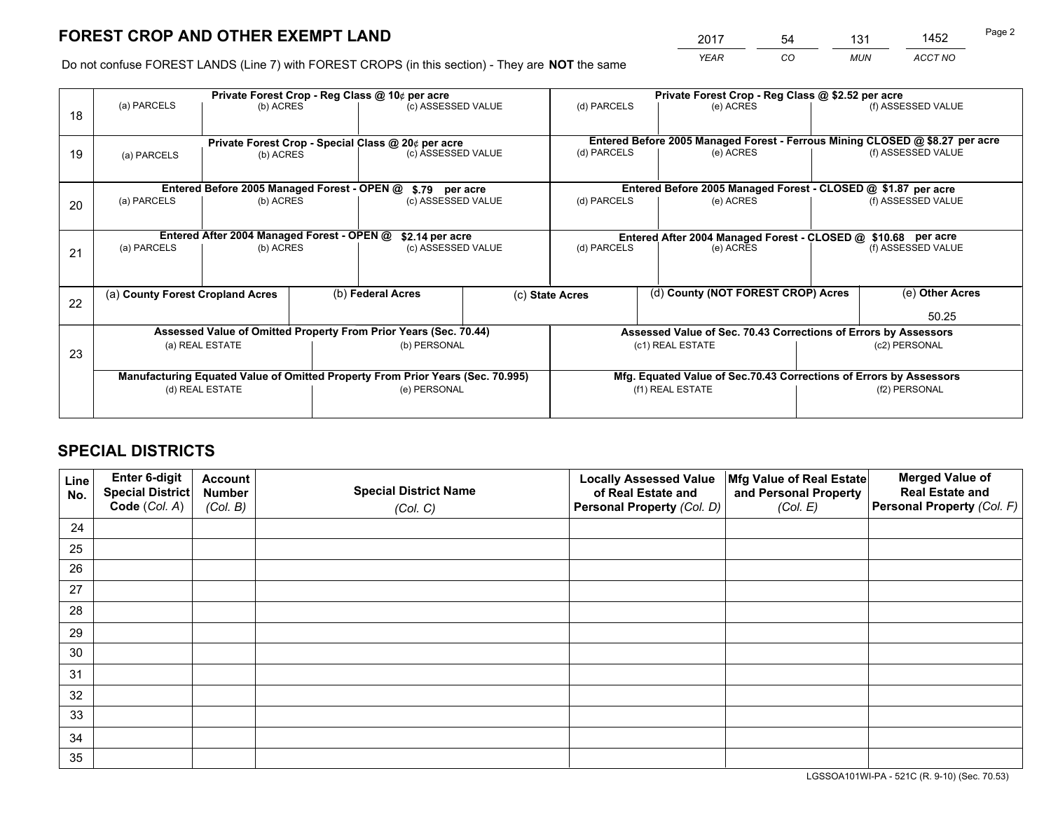*YEAR CO MUN ACCT NO* 2017 54 131 1452

Do not confuse FOREST LANDS (Line 7) with FOREST CROPS (in this section) - They are **NOT** the same

|    |                                                                                | Private Forest Crop - Reg Class @ 10¢ per acre                   |  |                                                    |                 | Private Forest Crop - Reg Class @ \$2.52 per acre                            |                                                                    |                                                               |                                                                 |  |
|----|--------------------------------------------------------------------------------|------------------------------------------------------------------|--|----------------------------------------------------|-----------------|------------------------------------------------------------------------------|--------------------------------------------------------------------|---------------------------------------------------------------|-----------------------------------------------------------------|--|
| 18 | (a) PARCELS                                                                    | (b) ACRES                                                        |  | (c) ASSESSED VALUE                                 |                 | (d) PARCELS                                                                  | (e) ACRES                                                          |                                                               | (f) ASSESSED VALUE                                              |  |
|    |                                                                                |                                                                  |  | Private Forest Crop - Special Class @ 20¢ per acre |                 | Entered Before 2005 Managed Forest - Ferrous Mining CLOSED @ \$8.27 per acre |                                                                    |                                                               |                                                                 |  |
| 19 | (b) ACRES<br>(a) PARCELS                                                       |                                                                  |  | (c) ASSESSED VALUE                                 |                 | (d) PARCELS                                                                  | (e) ACRES                                                          |                                                               | (f) ASSESSED VALUE                                              |  |
|    |                                                                                | Entered Before 2005 Managed Forest - OPEN @                      |  |                                                    |                 |                                                                              | Entered Before 2005 Managed Forest - CLOSED @ \$1.87 per acre      |                                                               |                                                                 |  |
| 20 | (a) PARCELS<br>(b) ACRES                                                       |                                                                  |  | \$.79 per acre<br>(c) ASSESSED VALUE               |                 | (d) PARCELS                                                                  | (e) ACRES                                                          |                                                               | (f) ASSESSED VALUE                                              |  |
|    |                                                                                | Entered After 2004 Managed Forest - OPEN @                       |  |                                                    | \$2.14 per acre |                                                                              |                                                                    | Entered After 2004 Managed Forest - CLOSED @ \$10.68 per acre |                                                                 |  |
| 21 | (a) PARCELS                                                                    | (b) ACRES                                                        |  | (c) ASSESSED VALUE                                 |                 | (d) PARCELS                                                                  | (e) ACRES                                                          |                                                               | (f) ASSESSED VALUE                                              |  |
| 22 | (a) County Forest Cropland Acres                                               |                                                                  |  | (b) Federal Acres                                  |                 | (c) State Acres                                                              | (d) County (NOT FOREST CROP) Acres                                 |                                                               | (e) Other Acres                                                 |  |
|    |                                                                                |                                                                  |  |                                                    |                 |                                                                              |                                                                    |                                                               | 50.25                                                           |  |
|    |                                                                                | Assessed Value of Omitted Property From Prior Years (Sec. 70.44) |  |                                                    |                 |                                                                              |                                                                    |                                                               | Assessed Value of Sec. 70.43 Corrections of Errors by Assessors |  |
| 23 | (a) REAL ESTATE                                                                |                                                                  |  | (b) PERSONAL                                       |                 | (c1) REAL ESTATE                                                             |                                                                    |                                                               | (c2) PERSONAL                                                   |  |
|    | Manufacturing Equated Value of Omitted Property From Prior Years (Sec. 70.995) |                                                                  |  |                                                    |                 |                                                                              | Mfg. Equated Value of Sec.70.43 Corrections of Errors by Assessors |                                                               |                                                                 |  |
|    | (d) REAL ESTATE                                                                |                                                                  |  | (e) PERSONAL                                       |                 | (f1) REAL ESTATE                                                             |                                                                    |                                                               | (f2) PERSONAL                                                   |  |
|    |                                                                                |                                                                  |  |                                                    |                 |                                                                              |                                                                    |                                                               |                                                                 |  |

## **SPECIAL DISTRICTS**

| Line<br>No. | Enter 6-digit<br><b>Special District</b> | <b>Account</b><br><b>Number</b> | <b>Special District Name</b> | <b>Locally Assessed Value</b><br>of Real Estate and | Mfg Value of Real Estate<br>and Personal Property | <b>Merged Value of</b><br><b>Real Estate and</b> |
|-------------|------------------------------------------|---------------------------------|------------------------------|-----------------------------------------------------|---------------------------------------------------|--------------------------------------------------|
|             | Code (Col. A)                            | (Col. B)                        | (Col. C)                     | Personal Property (Col. D)                          | (Col. E)                                          | Personal Property (Col. F)                       |
| 24          |                                          |                                 |                              |                                                     |                                                   |                                                  |
| 25          |                                          |                                 |                              |                                                     |                                                   |                                                  |
| 26          |                                          |                                 |                              |                                                     |                                                   |                                                  |
| 27          |                                          |                                 |                              |                                                     |                                                   |                                                  |
| 28          |                                          |                                 |                              |                                                     |                                                   |                                                  |
| 29          |                                          |                                 |                              |                                                     |                                                   |                                                  |
| 30          |                                          |                                 |                              |                                                     |                                                   |                                                  |
| 31          |                                          |                                 |                              |                                                     |                                                   |                                                  |
| 32          |                                          |                                 |                              |                                                     |                                                   |                                                  |
| 33          |                                          |                                 |                              |                                                     |                                                   |                                                  |
| 34          |                                          |                                 |                              |                                                     |                                                   |                                                  |
| 35          |                                          |                                 |                              |                                                     |                                                   |                                                  |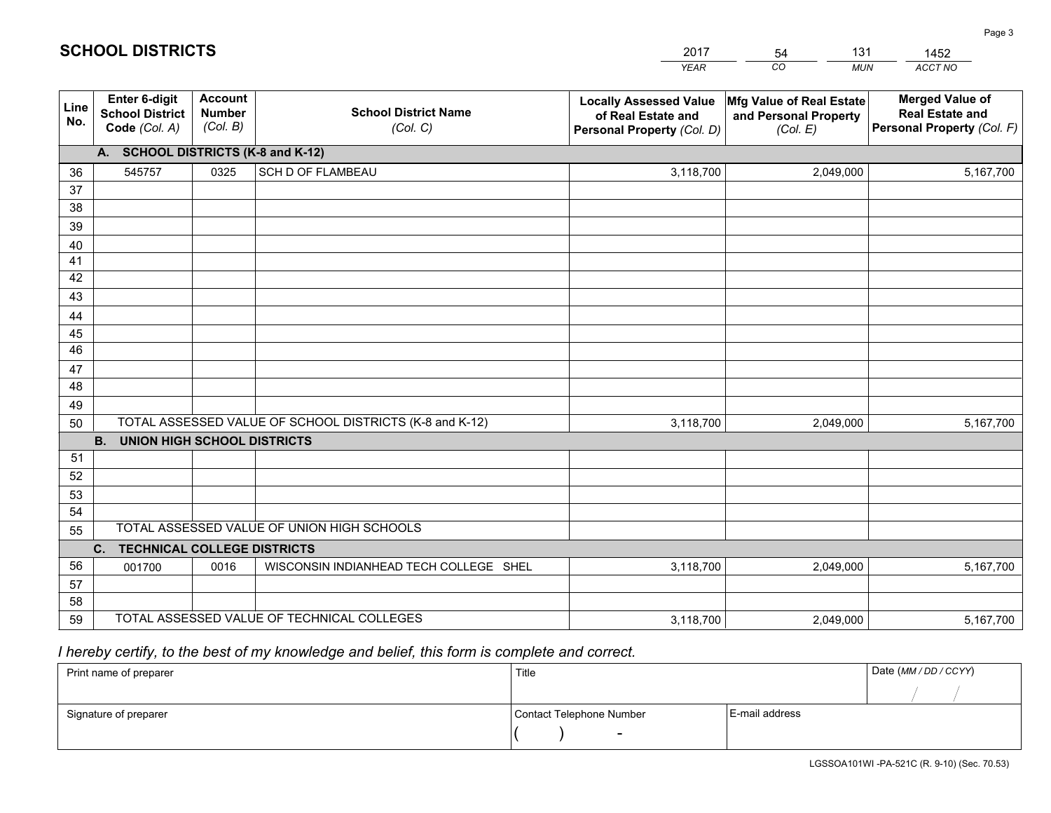|             |                                                          |                                             |                                                         | YEAR                                                                              | CO.<br><b>MUN</b>                                             | ACCT NO                                                                        |
|-------------|----------------------------------------------------------|---------------------------------------------|---------------------------------------------------------|-----------------------------------------------------------------------------------|---------------------------------------------------------------|--------------------------------------------------------------------------------|
| Line<br>No. | Enter 6-digit<br><b>School District</b><br>Code (Col. A) | <b>Account</b><br><b>Number</b><br>(Col. B) | <b>School District Name</b><br>(Col. C)                 | <b>Locally Assessed Value</b><br>of Real Estate and<br>Personal Property (Col. D) | Mfg Value of Real Estate<br>and Personal Property<br>(Col. E) | <b>Merged Value of</b><br><b>Real Estate and</b><br>Personal Property (Col. F) |
|             | A. SCHOOL DISTRICTS (K-8 and K-12)                       |                                             |                                                         |                                                                                   |                                                               |                                                                                |
| 36          | 545757                                                   | 0325                                        | <b>SCH D OF FLAMBEAU</b>                                | 3,118,700                                                                         | 2,049,000                                                     | 5,167,700                                                                      |
| 37          |                                                          |                                             |                                                         |                                                                                   |                                                               |                                                                                |
| 38          |                                                          |                                             |                                                         |                                                                                   |                                                               |                                                                                |
| 39          |                                                          |                                             |                                                         |                                                                                   |                                                               |                                                                                |
| 40<br>41    |                                                          |                                             |                                                         |                                                                                   |                                                               |                                                                                |
| 42          |                                                          |                                             |                                                         |                                                                                   |                                                               |                                                                                |
| 43          |                                                          |                                             |                                                         |                                                                                   |                                                               |                                                                                |
| 44          |                                                          |                                             |                                                         |                                                                                   |                                                               |                                                                                |
| 45          |                                                          |                                             |                                                         |                                                                                   |                                                               |                                                                                |
| 46          |                                                          |                                             |                                                         |                                                                                   |                                                               |                                                                                |
| 47          |                                                          |                                             |                                                         |                                                                                   |                                                               |                                                                                |
| 48          |                                                          |                                             |                                                         |                                                                                   |                                                               |                                                                                |
| 49          |                                                          |                                             |                                                         |                                                                                   |                                                               |                                                                                |
| 50          |                                                          |                                             | TOTAL ASSESSED VALUE OF SCHOOL DISTRICTS (K-8 and K-12) | 3,118,700                                                                         | 2,049,000                                                     | 5,167,700                                                                      |
|             | <b>B.</b><br><b>UNION HIGH SCHOOL DISTRICTS</b>          |                                             |                                                         |                                                                                   |                                                               |                                                                                |
| 51<br>52    |                                                          |                                             |                                                         |                                                                                   |                                                               |                                                                                |
| 53          |                                                          |                                             |                                                         |                                                                                   |                                                               |                                                                                |
| 54          |                                                          |                                             |                                                         |                                                                                   |                                                               |                                                                                |
| 55          |                                                          |                                             | TOTAL ASSESSED VALUE OF UNION HIGH SCHOOLS              |                                                                                   |                                                               |                                                                                |
|             | C.<br><b>TECHNICAL COLLEGE DISTRICTS</b>                 |                                             |                                                         |                                                                                   |                                                               |                                                                                |
| 56          | 001700                                                   | 0016                                        | WISCONSIN INDIANHEAD TECH COLLEGE SHEL                  | 3,118,700                                                                         | 2,049,000                                                     | 5,167,700                                                                      |
| 57          |                                                          |                                             |                                                         |                                                                                   |                                                               |                                                                                |
| 58          |                                                          |                                             |                                                         |                                                                                   |                                                               |                                                                                |
| 59          |                                                          |                                             | TOTAL ASSESSED VALUE OF TECHNICAL COLLEGES              | 3,118,700                                                                         | 2,049,000                                                     | 5,167,700                                                                      |

54

131

 *I hereby certify, to the best of my knowledge and belief, this form is complete and correct.*

**SCHOOL DISTRICTS**

| Print name of preparer | Title                    |                | Date (MM / DD / CCYY) |
|------------------------|--------------------------|----------------|-----------------------|
|                        |                          |                |                       |
| Signature of preparer  | Contact Telephone Number | E-mail address |                       |
|                        | -                        |                |                       |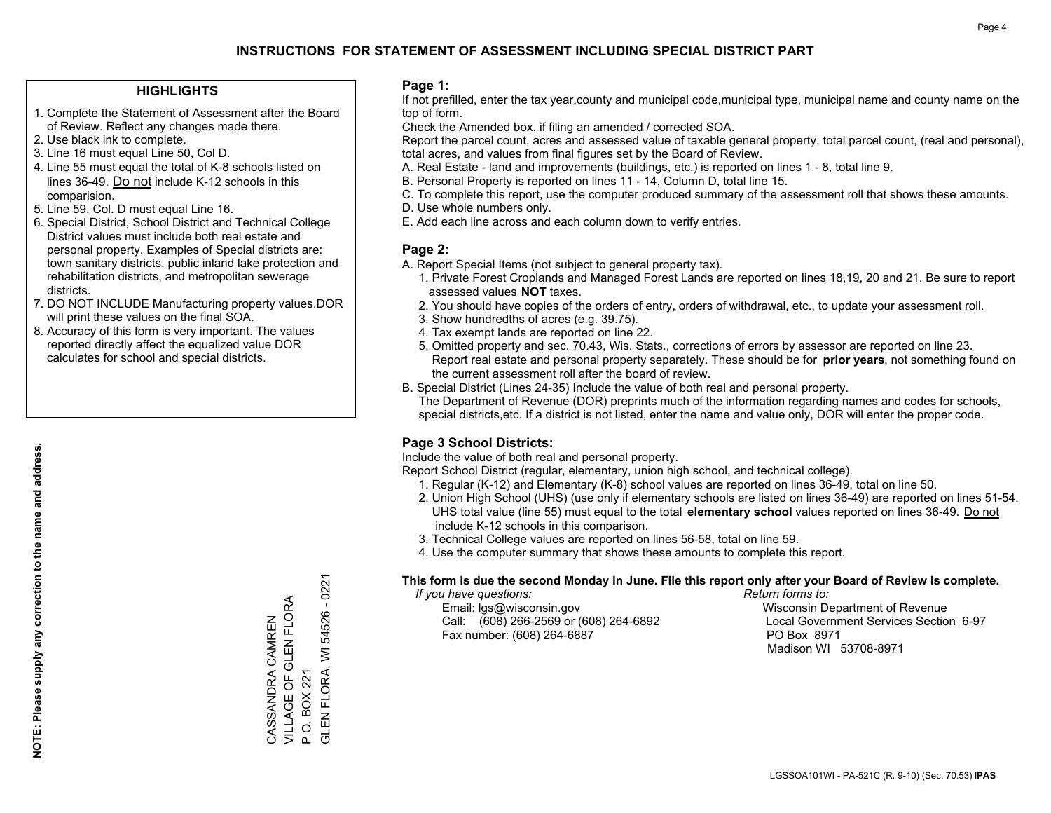#### **HIGHLIGHTS**

- 1. Complete the Statement of Assessment after the Board of Review. Reflect any changes made there.
- 2. Use black ink to complete.
- 3. Line 16 must equal Line 50, Col D.
- 4. Line 55 must equal the total of K-8 schools listed on lines 36-49. Do not include K-12 schools in this comparision.
- 5. Line 59, Col. D must equal Line 16.
- 6. Special District, School District and Technical College District values must include both real estate and personal property. Examples of Special districts are: town sanitary districts, public inland lake protection and rehabilitation districts, and metropolitan sewerage districts.
- 7. DO NOT INCLUDE Manufacturing property values.DOR will print these values on the final SOA.
- 8. Accuracy of this form is very important. The values reported directly affect the equalized value DOR calculates for school and special districts.

#### **Page 1:**

 If not prefilled, enter the tax year,county and municipal code,municipal type, municipal name and county name on the top of form.

Check the Amended box, if filing an amended / corrected SOA.

 Report the parcel count, acres and assessed value of taxable general property, total parcel count, (real and personal), total acres, and values from final figures set by the Board of Review.

- A. Real Estate land and improvements (buildings, etc.) is reported on lines 1 8, total line 9.
- B. Personal Property is reported on lines 11 14, Column D, total line 15.
- C. To complete this report, use the computer produced summary of the assessment roll that shows these amounts.
- D. Use whole numbers only.
- E. Add each line across and each column down to verify entries.

### **Page 2:**

- A. Report Special Items (not subject to general property tax).
- 1. Private Forest Croplands and Managed Forest Lands are reported on lines 18,19, 20 and 21. Be sure to report assessed values **NOT** taxes.
- 2. You should have copies of the orders of entry, orders of withdrawal, etc., to update your assessment roll.
	- 3. Show hundredths of acres (e.g. 39.75).
- 4. Tax exempt lands are reported on line 22.
- 5. Omitted property and sec. 70.43, Wis. Stats., corrections of errors by assessor are reported on line 23. Report real estate and personal property separately. These should be for **prior years**, not something found on the current assessment roll after the board of review.
- B. Special District (Lines 24-35) Include the value of both real and personal property.
- The Department of Revenue (DOR) preprints much of the information regarding names and codes for schools, special districts,etc. If a district is not listed, enter the name and value only, DOR will enter the proper code.

## **Page 3 School Districts:**

Include the value of both real and personal property.

Report School District (regular, elementary, union high school, and technical college).

- 1. Regular (K-12) and Elementary (K-8) school values are reported on lines 36-49, total on line 50.
- 2. Union High School (UHS) (use only if elementary schools are listed on lines 36-49) are reported on lines 51-54. UHS total value (line 55) must equal to the total **elementary school** values reported on lines 36-49. Do notinclude K-12 schools in this comparison.
- 3. Technical College values are reported on lines 56-58, total on line 59.
- 4. Use the computer summary that shows these amounts to complete this report.

#### **This form is due the second Monday in June. File this report only after your Board of Review is complete.**

 *If you have questions: Return forms to:*

 Email: lgs@wisconsin.gov Wisconsin Department of RevenueCall:  $(608)$  266-2569 or  $(608)$  264-6892 Fax number: (608) 264-6887 PO Box 8971

Local Government Services Section 6-97 Madison WI 53708-8971

GLEN FLORA, WI 54526 - 0221 GLEN FLORA, WI 54526 - 0221 VILLAGE OF GLEN FLORA VILLAGE OF GLEN FLORA CASSANDRA CAMREN CASSANDRA CAMREN P.O. BOX 221 P.O. BOX 221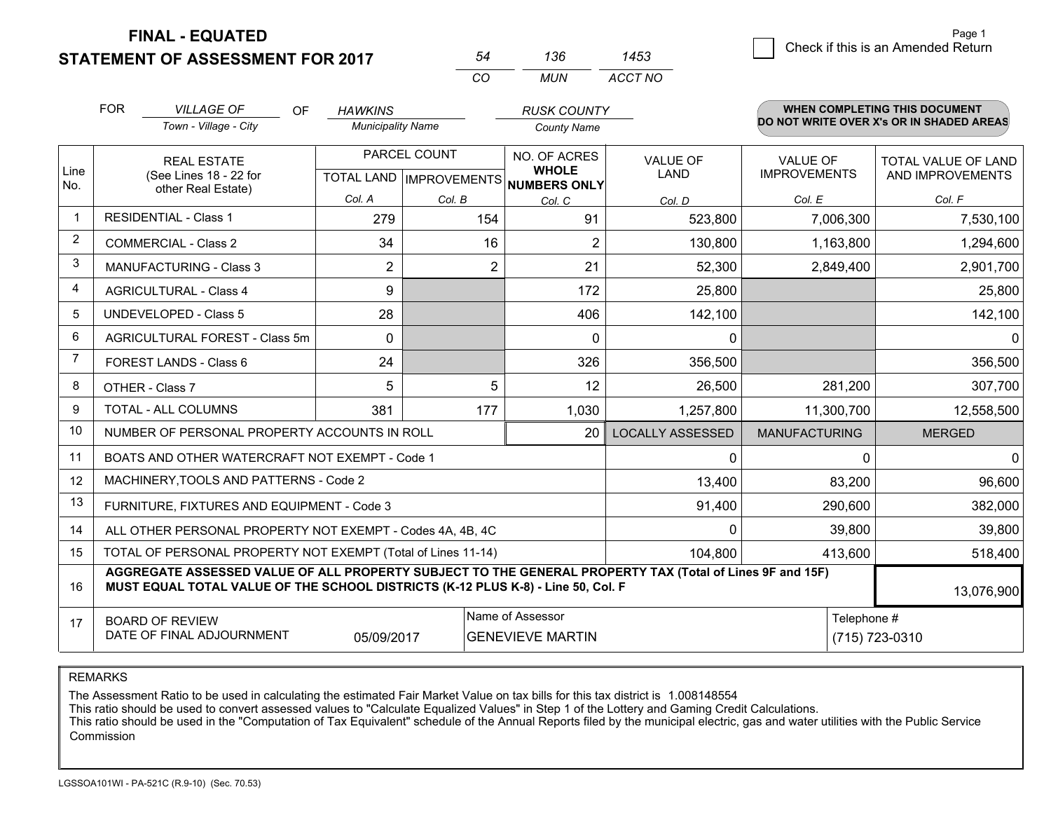**FINAL - EQUATED**

**STATEMENT OF ASSESSMENT FOR 2017** 

|  | 1453 | Check if this is an Amended Return |
|--|------|------------------------------------|
|--|------|------------------------------------|

*ACCT NO*

|                                                                    | <b>FOR</b> | <b>VILLAGE OF</b><br>OF                                                                                                                                                                      | <b>HAWKINS</b>           |                | <b>RUSK COUNTY</b>                   |                         |                      | <b>WHEN COMPLETING THIS DOCUMENT</b>     |
|--------------------------------------------------------------------|------------|----------------------------------------------------------------------------------------------------------------------------------------------------------------------------------------------|--------------------------|----------------|--------------------------------------|-------------------------|----------------------|------------------------------------------|
|                                                                    |            | Town - Village - City                                                                                                                                                                        | <b>Municipality Name</b> |                | <b>County Name</b>                   |                         |                      | DO NOT WRITE OVER X's OR IN SHADED AREAS |
|                                                                    |            | <b>REAL ESTATE</b>                                                                                                                                                                           |                          | PARCEL COUNT   | NO. OF ACRES<br><b>WHOLE</b>         | <b>VALUE OF</b>         | <b>VALUE OF</b>      | TOTAL VALUE OF LAND                      |
| Line<br>No.                                                        |            | (See Lines 18 - 22 for<br>other Real Estate)                                                                                                                                                 |                          |                | TOTAL LAND IMPROVEMENTS NUMBERS ONLY | <b>LAND</b>             | <b>IMPROVEMENTS</b>  | AND IMPROVEMENTS                         |
|                                                                    |            |                                                                                                                                                                                              | Col. A                   | Col. B         | Col. C                               | Col. D                  | Col. E               | Col. F                                   |
| $\mathbf 1$                                                        |            | <b>RESIDENTIAL - Class 1</b>                                                                                                                                                                 | 279                      | 154            | 91                                   | 523,800                 | 7,006,300            | 7,530,100                                |
| 2                                                                  |            | <b>COMMERCIAL - Class 2</b>                                                                                                                                                                  | 34                       | 16             | 2                                    | 130,800                 | 1,163,800            | 1,294,600                                |
| 3                                                                  |            | MANUFACTURING - Class 3                                                                                                                                                                      | $\overline{2}$           | $\overline{2}$ | 21                                   | 52,300                  | 2,849,400            | 2,901,700                                |
| 4                                                                  |            | <b>AGRICULTURAL - Class 4</b>                                                                                                                                                                | 9                        |                | 172                                  | 25,800                  |                      | 25,800                                   |
| 5                                                                  |            | <b>UNDEVELOPED - Class 5</b>                                                                                                                                                                 | 28                       |                | 406                                  | 142,100                 |                      | 142,100                                  |
| 6                                                                  |            | AGRICULTURAL FOREST - Class 5m                                                                                                                                                               | $\Omega$                 |                | $\Omega$                             | 0                       |                      | $\Omega$                                 |
| $\overline{7}$                                                     |            | FOREST LANDS - Class 6                                                                                                                                                                       | 24                       |                | 326                                  | 356,500                 |                      | 356,500                                  |
| 8                                                                  |            | OTHER - Class 7                                                                                                                                                                              | 5                        | 5              | 12                                   | 26,500                  | 281,200              | 307,700                                  |
| 9                                                                  |            | <b>TOTAL - ALL COLUMNS</b>                                                                                                                                                                   | 381                      | 177            | 1,030                                | 1,257,800               | 11,300,700           | 12,558,500                               |
| 10                                                                 |            | NUMBER OF PERSONAL PROPERTY ACCOUNTS IN ROLL                                                                                                                                                 |                          |                | 20                                   | <b>LOCALLY ASSESSED</b> | <b>MANUFACTURING</b> | <b>MERGED</b>                            |
| 11                                                                 |            | BOATS AND OTHER WATERCRAFT NOT EXEMPT - Code 1                                                                                                                                               |                          |                |                                      | 0                       | $\Omega$             | $\mathbf{0}$                             |
| 12                                                                 |            | MACHINERY, TOOLS AND PATTERNS - Code 2                                                                                                                                                       |                          |                |                                      | 13,400                  | 83,200               | 96,600                                   |
| 13                                                                 |            | FURNITURE, FIXTURES AND EQUIPMENT - Code 3                                                                                                                                                   |                          |                |                                      | 91,400                  | 290,600              | 382,000                                  |
| 14                                                                 |            | ALL OTHER PERSONAL PROPERTY NOT EXEMPT - Codes 4A, 4B, 4C                                                                                                                                    |                          |                |                                      | 0                       | 39,800               | 39,800                                   |
| 15                                                                 |            | TOTAL OF PERSONAL PROPERTY NOT EXEMPT (Total of Lines 11-14)                                                                                                                                 |                          |                |                                      | 104,800                 | 413,600              | 518,400                                  |
| 16                                                                 |            | AGGREGATE ASSESSED VALUE OF ALL PROPERTY SUBJECT TO THE GENERAL PROPERTY TAX (Total of Lines 9F and 15F)<br>MUST EQUAL TOTAL VALUE OF THE SCHOOL DISTRICTS (K-12 PLUS K-8) - Line 50, Col. F |                          |                |                                      |                         |                      | 13,076,900                               |
| 17                                                                 |            | <b>BOARD OF REVIEW</b>                                                                                                                                                                       |                          |                | Name of Assessor                     |                         | Telephone #          |                                          |
| DATE OF FINAL ADJOURNMENT<br><b>GENEVIEVE MARTIN</b><br>05/09/2017 |            |                                                                                                                                                                                              |                          |                |                                      |                         | (715) 723-0310       |                                          |

*CO*

*MUN*

*<sup>54</sup> <sup>136</sup>*

REMARKS

The Assessment Ratio to be used in calculating the estimated Fair Market Value on tax bills for this tax district is 1.008148554<br>This ratio should be used to convert assessed values to "Calculate Equalized Values" in Step Commission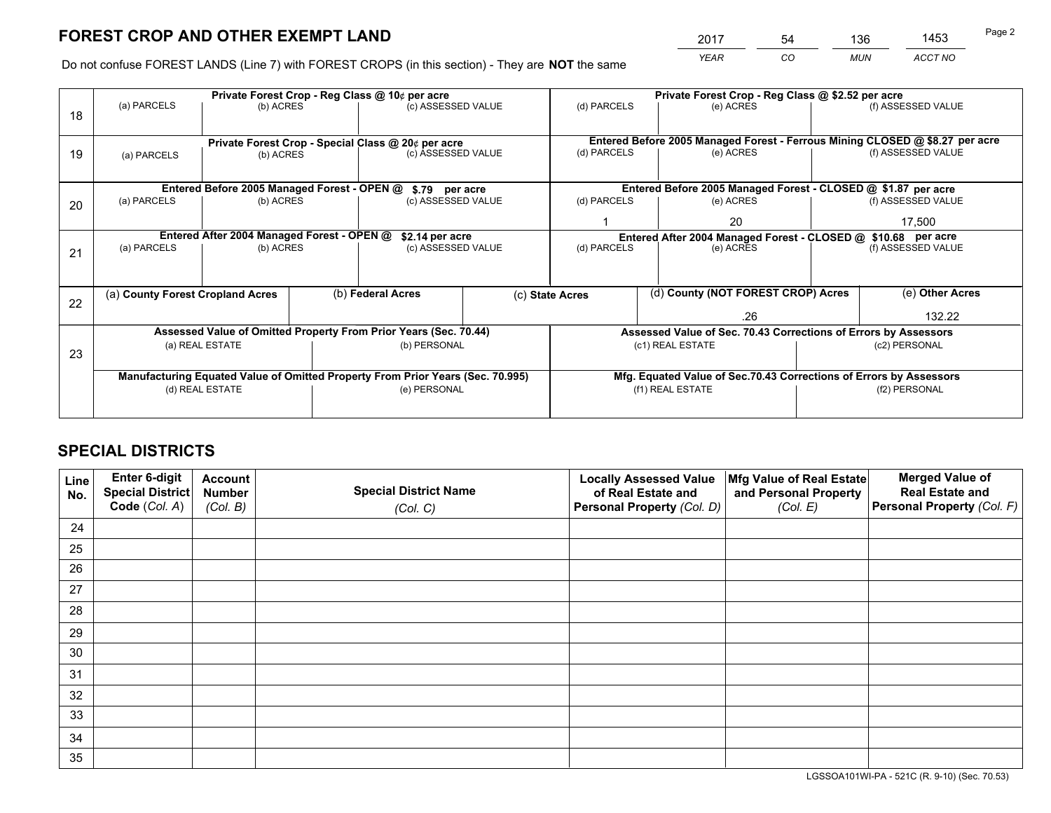*YEAR CO MUN ACCT NO* <sup>2017</sup> <sup>54</sup> <sup>136</sup> <sup>1453</sup>

Do not confuse FOREST LANDS (Line 7) with FOREST CROPS (in this section) - They are **NOT** the same

|    |                                                               |                                             |  | Private Forest Crop - Reg Class @ 10¢ per acre                                 |  | Private Forest Crop - Reg Class @ \$2.52 per acre                  |                                                                              |  |                    |  |
|----|---------------------------------------------------------------|---------------------------------------------|--|--------------------------------------------------------------------------------|--|--------------------------------------------------------------------|------------------------------------------------------------------------------|--|--------------------|--|
| 18 | (a) PARCELS                                                   | (b) ACRES                                   |  | (c) ASSESSED VALUE                                                             |  | (d) PARCELS                                                        | (e) ACRES                                                                    |  | (f) ASSESSED VALUE |  |
|    |                                                               |                                             |  |                                                                                |  |                                                                    |                                                                              |  |                    |  |
|    |                                                               |                                             |  | Private Forest Crop - Special Class @ 20¢ per acre                             |  |                                                                    | Entered Before 2005 Managed Forest - Ferrous Mining CLOSED @ \$8.27 per acre |  |                    |  |
| 19 | (a) PARCELS                                                   | (b) ACRES                                   |  | (c) ASSESSED VALUE                                                             |  | (d) PARCELS                                                        | (e) ACRES                                                                    |  | (f) ASSESSED VALUE |  |
|    |                                                               |                                             |  |                                                                                |  |                                                                    |                                                                              |  |                    |  |
|    |                                                               | Entered Before 2005 Managed Forest - OPEN @ |  | \$.79 per acre                                                                 |  |                                                                    | Entered Before 2005 Managed Forest - CLOSED @ \$1.87 per acre                |  |                    |  |
| 20 | (a) PARCELS                                                   | (b) ACRES                                   |  | (c) ASSESSED VALUE                                                             |  | (d) PARCELS                                                        | (e) ACRES                                                                    |  | (f) ASSESSED VALUE |  |
|    |                                                               |                                             |  |                                                                                |  |                                                                    | 20                                                                           |  | 17,500             |  |
|    | Entered After 2004 Managed Forest - OPEN @<br>\$2.14 per acre |                                             |  |                                                                                |  |                                                                    | Entered After 2004 Managed Forest - CLOSED @ \$10.68 per acre                |  |                    |  |
| 21 | (a) PARCELS                                                   | (b) ACRES                                   |  | (c) ASSESSED VALUE                                                             |  | (d) PARCELS<br>(e) ACRES                                           |                                                                              |  | (f) ASSESSED VALUE |  |
|    |                                                               |                                             |  |                                                                                |  |                                                                    |                                                                              |  |                    |  |
|    | (a) County Forest Cropland Acres                              |                                             |  | (b) Federal Acres                                                              |  | (c) State Acres                                                    | (d) County (NOT FOREST CROP) Acres                                           |  | (e) Other Acres    |  |
| 22 |                                                               |                                             |  |                                                                                |  |                                                                    |                                                                              |  |                    |  |
|    |                                                               |                                             |  |                                                                                |  |                                                                    | .26                                                                          |  | 132.22             |  |
|    |                                                               |                                             |  | Assessed Value of Omitted Property From Prior Years (Sec. 70.44)               |  |                                                                    | Assessed Value of Sec. 70.43 Corrections of Errors by Assessors              |  |                    |  |
| 23 |                                                               | (a) REAL ESTATE                             |  | (b) PERSONAL                                                                   |  |                                                                    | (c1) REAL ESTATE                                                             |  | (c2) PERSONAL      |  |
|    |                                                               |                                             |  |                                                                                |  |                                                                    |                                                                              |  |                    |  |
|    |                                                               |                                             |  | Manufacturing Equated Value of Omitted Property From Prior Years (Sec. 70.995) |  | Mfg. Equated Value of Sec.70.43 Corrections of Errors by Assessors |                                                                              |  |                    |  |
|    |                                                               | (d) REAL ESTATE                             |  | (e) PERSONAL                                                                   |  | (f1) REAL ESTATE<br>(f2) PERSONAL                                  |                                                                              |  |                    |  |
|    |                                                               |                                             |  |                                                                                |  |                                                                    |                                                                              |  |                    |  |

## **SPECIAL DISTRICTS**

| Line<br>No. | Enter 6-digit<br><b>Special District</b> | <b>Account</b><br><b>Number</b> | <b>Special District Name</b> | <b>Locally Assessed Value</b><br>of Real Estate and | Mfg Value of Real Estate<br>and Personal Property | <b>Merged Value of</b><br><b>Real Estate and</b> |
|-------------|------------------------------------------|---------------------------------|------------------------------|-----------------------------------------------------|---------------------------------------------------|--------------------------------------------------|
|             | Code (Col. A)                            | (Col. B)                        | (Col. C)                     | Personal Property (Col. D)                          | (Col. E)                                          | Personal Property (Col. F)                       |
| 24          |                                          |                                 |                              |                                                     |                                                   |                                                  |
| 25          |                                          |                                 |                              |                                                     |                                                   |                                                  |
| 26          |                                          |                                 |                              |                                                     |                                                   |                                                  |
| 27          |                                          |                                 |                              |                                                     |                                                   |                                                  |
| 28          |                                          |                                 |                              |                                                     |                                                   |                                                  |
| 29          |                                          |                                 |                              |                                                     |                                                   |                                                  |
| 30          |                                          |                                 |                              |                                                     |                                                   |                                                  |
| 31          |                                          |                                 |                              |                                                     |                                                   |                                                  |
| 32          |                                          |                                 |                              |                                                     |                                                   |                                                  |
| 33          |                                          |                                 |                              |                                                     |                                                   |                                                  |
| 34          |                                          |                                 |                              |                                                     |                                                   |                                                  |
| 35          |                                          |                                 |                              |                                                     |                                                   |                                                  |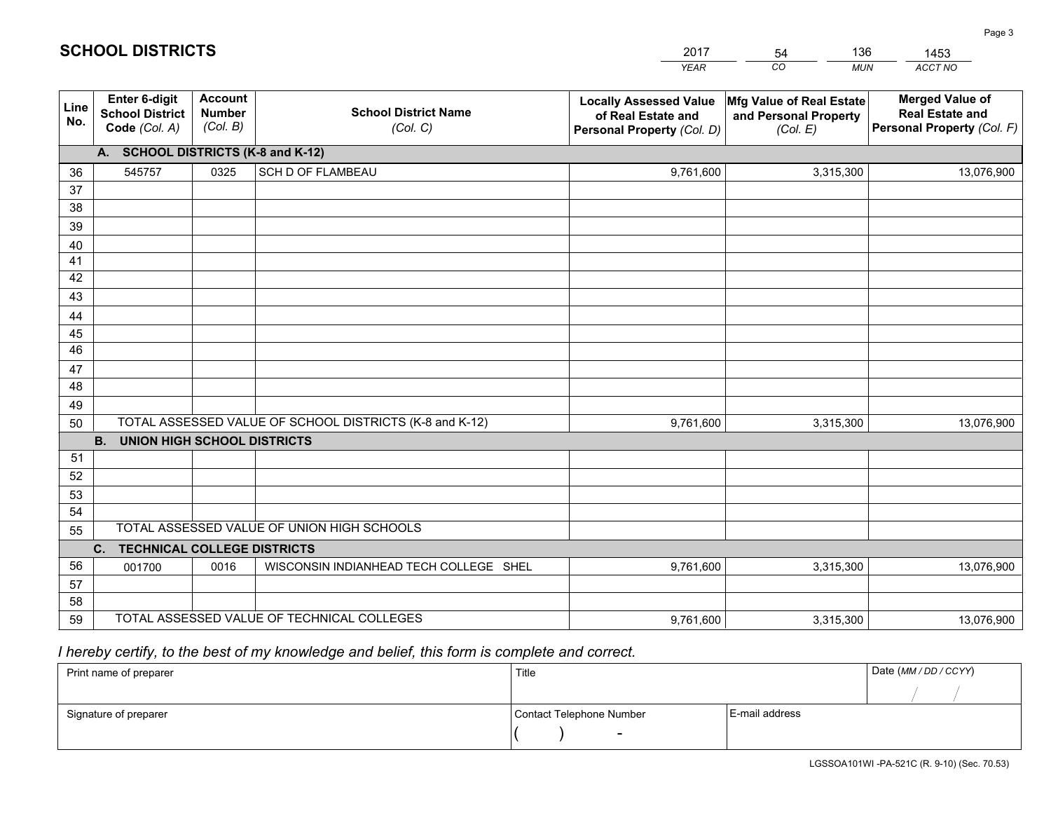|             |                                                                 |                                             |                                                         | <b>YEAR</b>                                                                       | CO<br><b>MUN</b>                                              | ACCT NO                                                                        |
|-------------|-----------------------------------------------------------------|---------------------------------------------|---------------------------------------------------------|-----------------------------------------------------------------------------------|---------------------------------------------------------------|--------------------------------------------------------------------------------|
| Line<br>No. | <b>Enter 6-digit</b><br><b>School District</b><br>Code (Col. A) | <b>Account</b><br><b>Number</b><br>(Col. B) | <b>School District Name</b><br>(Col. C)                 | <b>Locally Assessed Value</b><br>of Real Estate and<br>Personal Property (Col. D) | Mfg Value of Real Estate<br>and Personal Property<br>(Col. E) | <b>Merged Value of</b><br><b>Real Estate and</b><br>Personal Property (Col. F) |
|             | A. SCHOOL DISTRICTS (K-8 and K-12)                              |                                             |                                                         |                                                                                   |                                                               |                                                                                |
| 36          | 545757                                                          | 0325                                        | SCH D OF FLAMBEAU                                       | 9,761,600                                                                         | 3,315,300                                                     | 13,076,900                                                                     |
| 37          |                                                                 |                                             |                                                         |                                                                                   |                                                               |                                                                                |
| 38          |                                                                 |                                             |                                                         |                                                                                   |                                                               |                                                                                |
| 39          |                                                                 |                                             |                                                         |                                                                                   |                                                               |                                                                                |
| 40          |                                                                 |                                             |                                                         |                                                                                   |                                                               |                                                                                |
| 41<br>42    |                                                                 |                                             |                                                         |                                                                                   |                                                               |                                                                                |
| 43          |                                                                 |                                             |                                                         |                                                                                   |                                                               |                                                                                |
| 44          |                                                                 |                                             |                                                         |                                                                                   |                                                               |                                                                                |
| 45          |                                                                 |                                             |                                                         |                                                                                   |                                                               |                                                                                |
| 46          |                                                                 |                                             |                                                         |                                                                                   |                                                               |                                                                                |
| 47          |                                                                 |                                             |                                                         |                                                                                   |                                                               |                                                                                |
| 48          |                                                                 |                                             |                                                         |                                                                                   |                                                               |                                                                                |
| 49          |                                                                 |                                             |                                                         |                                                                                   |                                                               |                                                                                |
| 50          |                                                                 |                                             | TOTAL ASSESSED VALUE OF SCHOOL DISTRICTS (K-8 and K-12) | 9,761,600                                                                         | 3,315,300                                                     | 13,076,900                                                                     |
|             | <b>B. UNION HIGH SCHOOL DISTRICTS</b>                           |                                             |                                                         |                                                                                   |                                                               |                                                                                |
| 51          |                                                                 |                                             |                                                         |                                                                                   |                                                               |                                                                                |
| 52          |                                                                 |                                             |                                                         |                                                                                   |                                                               |                                                                                |
| 53<br>54    |                                                                 |                                             |                                                         |                                                                                   |                                                               |                                                                                |
| 55          |                                                                 |                                             | TOTAL ASSESSED VALUE OF UNION HIGH SCHOOLS              |                                                                                   |                                                               |                                                                                |
|             | C.<br><b>TECHNICAL COLLEGE DISTRICTS</b>                        |                                             |                                                         |                                                                                   |                                                               |                                                                                |
| 56          | 001700                                                          | 0016                                        | WISCONSIN INDIANHEAD TECH COLLEGE SHEL                  | 9,761,600                                                                         | 3,315,300                                                     | 13,076,900                                                                     |
| 57          |                                                                 |                                             |                                                         |                                                                                   |                                                               |                                                                                |
| 58          |                                                                 |                                             |                                                         |                                                                                   |                                                               |                                                                                |
| 59          |                                                                 |                                             | TOTAL ASSESSED VALUE OF TECHNICAL COLLEGES              | 9,761,600                                                                         | 3,315,300                                                     | 13,076,900                                                                     |

54

136

 *I hereby certify, to the best of my knowledge and belief, this form is complete and correct.*

**SCHOOL DISTRICTS**

| Print name of preparer | Title                    |                | Date (MM / DD / CCYY) |
|------------------------|--------------------------|----------------|-----------------------|
|                        |                          |                |                       |
| Signature of preparer  | Contact Telephone Number | E-mail address |                       |
|                        | $\sim$                   |                |                       |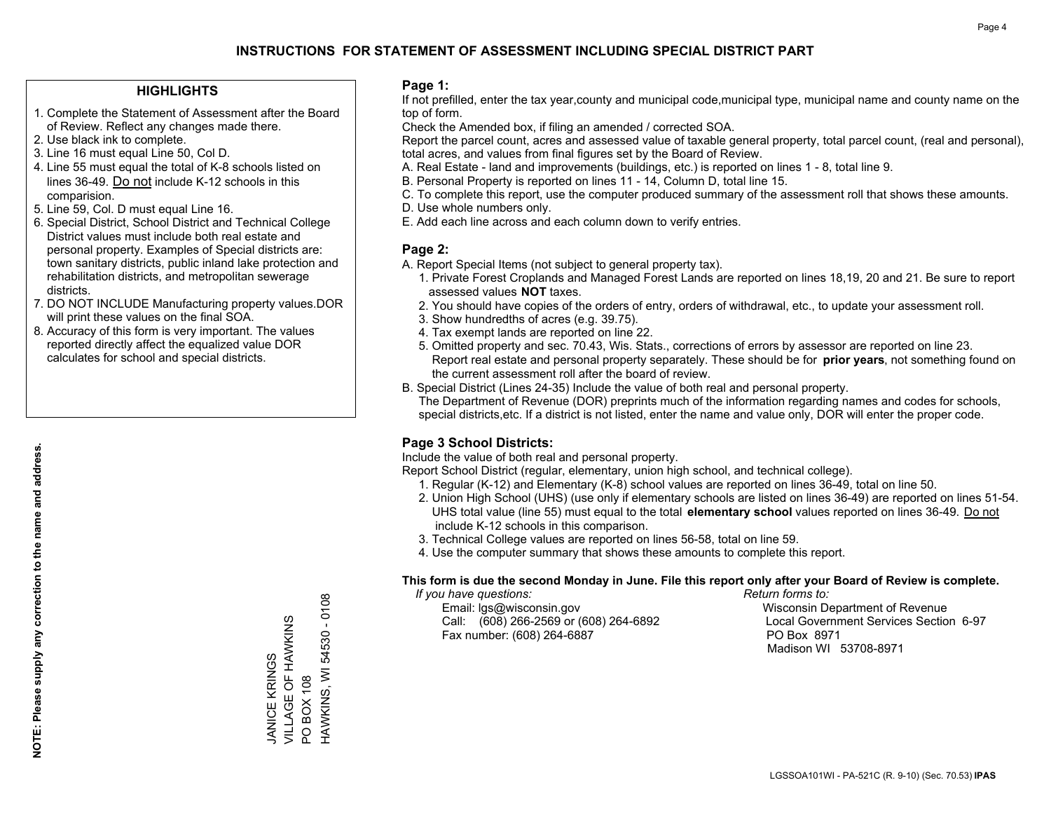## **HIGHLIGHTS**

- 1. Complete the Statement of Assessment after the Board of Review. Reflect any changes made there.
- 2. Use black ink to complete.
- 3. Line 16 must equal Line 50, Col D.
- 4. Line 55 must equal the total of K-8 schools listed on lines 36-49. Do not include K-12 schools in this comparision.
- 5. Line 59, Col. D must equal Line 16.
- 6. Special District, School District and Technical College District values must include both real estate and personal property. Examples of Special districts are: town sanitary districts, public inland lake protection and rehabilitation districts, and metropolitan sewerage districts.
- 7. DO NOT INCLUDE Manufacturing property values.DOR will print these values on the final SOA.
- 8. Accuracy of this form is very important. The values reported directly affect the equalized value DOR calculates for school and special districts.

### **Page 1:**

 If not prefilled, enter the tax year,county and municipal code,municipal type, municipal name and county name on the top of form.

Check the Amended box, if filing an amended / corrected SOA.

 Report the parcel count, acres and assessed value of taxable general property, total parcel count, (real and personal), total acres, and values from final figures set by the Board of Review.

- A. Real Estate land and improvements (buildings, etc.) is reported on lines 1 8, total line 9.
- B. Personal Property is reported on lines 11 14, Column D, total line 15.
- C. To complete this report, use the computer produced summary of the assessment roll that shows these amounts.
- D. Use whole numbers only.
- E. Add each line across and each column down to verify entries.

## **Page 2:**

- A. Report Special Items (not subject to general property tax).
- 1. Private Forest Croplands and Managed Forest Lands are reported on lines 18,19, 20 and 21. Be sure to report assessed values **NOT** taxes.
- 2. You should have copies of the orders of entry, orders of withdrawal, etc., to update your assessment roll.
	- 3. Show hundredths of acres (e.g. 39.75).
- 4. Tax exempt lands are reported on line 22.
- 5. Omitted property and sec. 70.43, Wis. Stats., corrections of errors by assessor are reported on line 23. Report real estate and personal property separately. These should be for **prior years**, not something found on the current assessment roll after the board of review.
- B. Special District (Lines 24-35) Include the value of both real and personal property.

 The Department of Revenue (DOR) preprints much of the information regarding names and codes for schools, special districts,etc. If a district is not listed, enter the name and value only, DOR will enter the proper code.

## **Page 3 School Districts:**

Include the value of both real and personal property.

Report School District (regular, elementary, union high school, and technical college).

- 1. Regular (K-12) and Elementary (K-8) school values are reported on lines 36-49, total on line 50.
- 2. Union High School (UHS) (use only if elementary schools are listed on lines 36-49) are reported on lines 51-54. UHS total value (line 55) must equal to the total **elementary school** values reported on lines 36-49. Do notinclude K-12 schools in this comparison.
- 3. Technical College values are reported on lines 56-58, total on line 59.
- 4. Use the computer summary that shows these amounts to complete this report.

#### **This form is due the second Monday in June. File this report only after your Board of Review is complete.**

 *If you have questions: Return forms to:*

 Email: lgs@wisconsin.gov Wisconsin Department of RevenueCall:  $(608)$  266-2569 or  $(608)$  264-6892 Fax number: (608) 264-6887 PO Box 8971

Local Government Services Section 6-97 Madison WI 53708-8971

HAWKINS, WI 54530 - 0108 HAWKINS, WI 54530 - 0108 VILLAGE OF HAWKINS JANICE KRINGS<br>VILLAGE OF HAWKINS JANICE KRINGS **PO BOX 108** PO BOX 108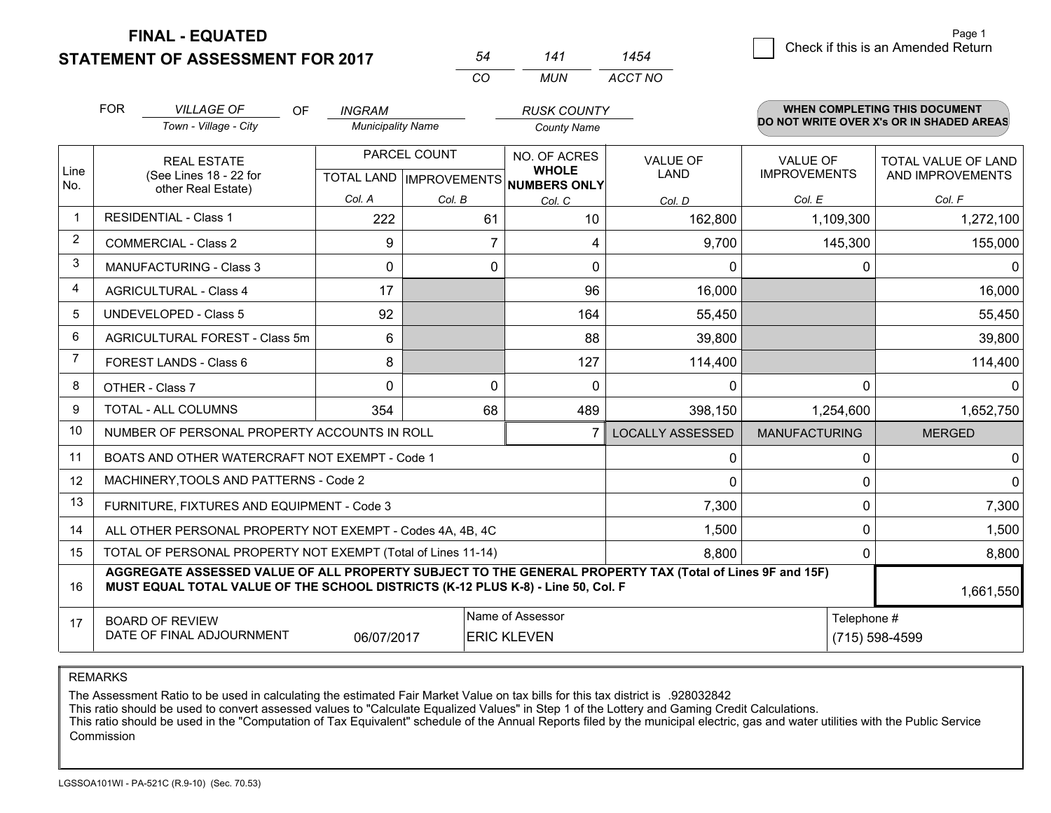**STATEMENT OF ASSESSMENT FOR 2017 FINAL - EQUATED**

|                | <b>FOR</b>                            | <b>VILLAGE OF</b><br><b>OF</b><br>Town - Village - City                                                                                                                                      | <b>INGRAM</b><br><b>Municipality Name</b> |                                                | <b>RUSK COUNTY</b><br><b>County Name</b>            |                         |                                        | <b>WHEN COMPLETING THIS DOCUMENT</b><br>DO NOT WRITE OVER X's OR IN SHADED AREAS |
|----------------|---------------------------------------|----------------------------------------------------------------------------------------------------------------------------------------------------------------------------------------------|-------------------------------------------|------------------------------------------------|-----------------------------------------------------|-------------------------|----------------------------------------|----------------------------------------------------------------------------------|
| Line<br>No.    |                                       | <b>REAL ESTATE</b><br>(See Lines 18 - 22 for                                                                                                                                                 |                                           | PARCEL COUNT<br><b>TOTAL LAND IMPROVEMENTS</b> | NO. OF ACRES<br><b>WHOLE</b><br><b>NUMBERS ONLY</b> | <b>VALUE OF</b><br>LAND | <b>VALUE OF</b><br><b>IMPROVEMENTS</b> | <b>TOTAL VALUE OF LAND</b><br>AND IMPROVEMENTS                                   |
|                |                                       | other Real Estate)                                                                                                                                                                           | Col. A                                    | Col. B                                         | Col. C                                              | Col. D                  | Col. E                                 | Col. F                                                                           |
| $\mathbf 1$    |                                       | <b>RESIDENTIAL - Class 1</b>                                                                                                                                                                 | 222                                       | 61                                             | 10                                                  | 162,800                 | 1,109,300                              | 1,272,100                                                                        |
| $\overline{2}$ |                                       | <b>COMMERCIAL - Class 2</b>                                                                                                                                                                  | 9                                         | 7                                              | 4                                                   | 9,700                   | 145,300                                | 155,000                                                                          |
| 3              |                                       | <b>MANUFACTURING - Class 3</b>                                                                                                                                                               | 0                                         | $\mathbf 0$                                    | 0                                                   | $\mathbf{0}$            | 0                                      | $\Omega$                                                                         |
| 4              |                                       | <b>AGRICULTURAL - Class 4</b>                                                                                                                                                                | 17                                        |                                                | 96                                                  | 16,000                  |                                        | 16,000                                                                           |
| 5              |                                       | <b>UNDEVELOPED - Class 5</b>                                                                                                                                                                 | 92                                        |                                                | 164                                                 | 55,450                  |                                        | 55,450                                                                           |
| 6              | <b>AGRICULTURAL FOREST - Class 5m</b> |                                                                                                                                                                                              | 6                                         |                                                | 88                                                  | 39,800                  |                                        | 39,800                                                                           |
| $\overline{7}$ |                                       | FOREST LANDS - Class 6                                                                                                                                                                       | 8                                         |                                                | 127                                                 | 114,400                 |                                        | 114,400                                                                          |
| 8              |                                       | OTHER - Class 7                                                                                                                                                                              | $\Omega$                                  | $\mathbf{0}$                                   | $\mathbf 0$                                         | $\Omega$                | $\Omega$                               | $\Omega$                                                                         |
| 9              |                                       | TOTAL - ALL COLUMNS                                                                                                                                                                          | 354                                       | 68                                             | 489                                                 | 398,150                 | 1,254,600                              | 1,652,750                                                                        |
| 10             |                                       | NUMBER OF PERSONAL PROPERTY ACCOUNTS IN ROLL                                                                                                                                                 |                                           |                                                |                                                     | <b>LOCALLY ASSESSED</b> | <b>MANUFACTURING</b>                   | <b>MERGED</b>                                                                    |
| 11             |                                       | BOATS AND OTHER WATERCRAFT NOT EXEMPT - Code 1                                                                                                                                               |                                           |                                                |                                                     | $\mathbf 0$             | 0                                      | 0                                                                                |
| 12             |                                       | MACHINERY, TOOLS AND PATTERNS - Code 2                                                                                                                                                       |                                           |                                                |                                                     | $\mathbf 0$             | 0                                      | $\mathbf 0$                                                                      |
| 13             |                                       | FURNITURE, FIXTURES AND EQUIPMENT - Code 3                                                                                                                                                   |                                           |                                                |                                                     | 7,300                   | $\Omega$                               | 7,300                                                                            |
| 14             |                                       | ALL OTHER PERSONAL PROPERTY NOT EXEMPT - Codes 4A, 4B, 4C                                                                                                                                    |                                           |                                                |                                                     | 1,500                   | $\Omega$                               | 1,500                                                                            |
| 15             |                                       | TOTAL OF PERSONAL PROPERTY NOT EXEMPT (Total of Lines 11-14)                                                                                                                                 |                                           |                                                | 8,800                                               | 0                       | 8,800                                  |                                                                                  |
| 16             |                                       | AGGREGATE ASSESSED VALUE OF ALL PROPERTY SUBJECT TO THE GENERAL PROPERTY TAX (Total of Lines 9F and 15F)<br>MUST EQUAL TOTAL VALUE OF THE SCHOOL DISTRICTS (K-12 PLUS K-8) - Line 50, Col. F |                                           |                                                |                                                     |                         |                                        | 1,661,550                                                                        |
| 17             |                                       | <b>BOARD OF REVIEW</b><br>DATE OF FINAL ADJOURNMENT                                                                                                                                          | 06/07/2017                                | Name of Assessor<br><b>ERIC KLEVEN</b>         |                                                     | Telephone #             | (715) 598-4599                         |                                                                                  |

*CO*

*MUN*

*ACCT NO1454*

*<sup>54</sup> <sup>141</sup>*

REMARKS

The Assessment Ratio to be used in calculating the estimated Fair Market Value on tax bills for this tax district is .928032842<br>This ratio should be used to convert assessed values to "Calculate Equalized Values" in Step 1 Commission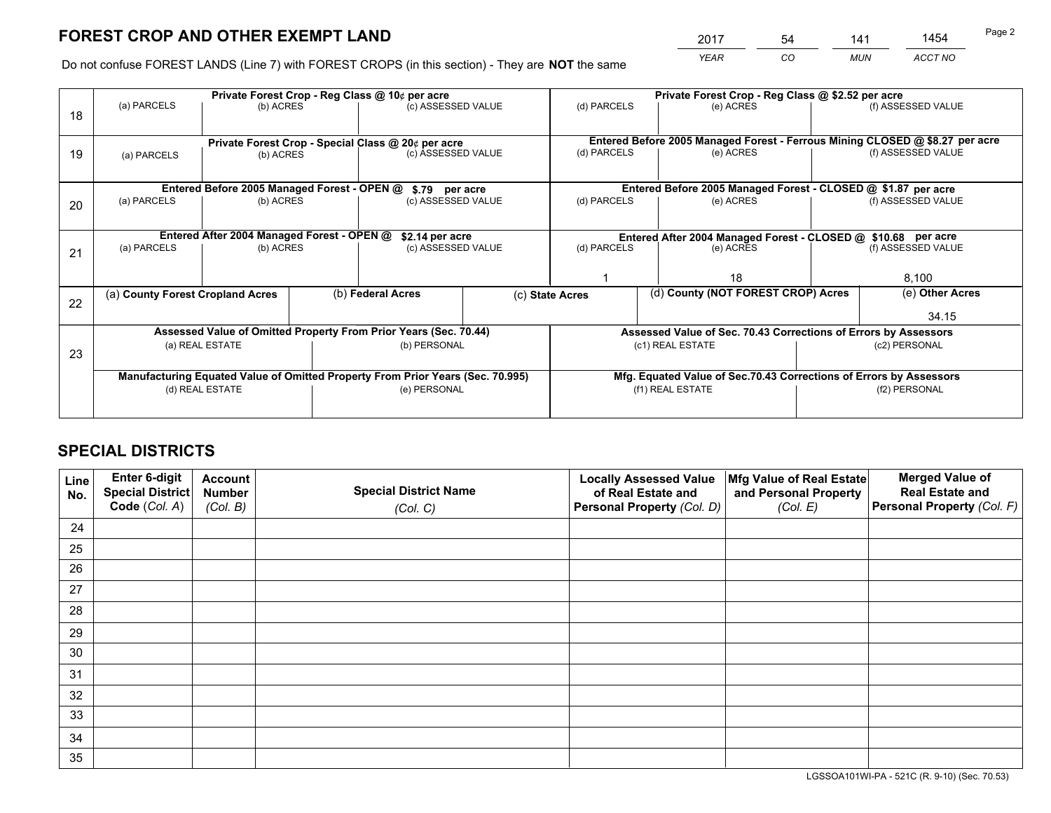*YEAR CO MUN ACCT NO* <sup>2017</sup> <sup>54</sup> <sup>141</sup> <sup>1454</sup>

Do not confuse FOREST LANDS (Line 7) with FOREST CROPS (in this section) - They are **NOT** the same

|    |                                  |                                             | Private Forest Crop - Reg Class @ 10¢ per acre                                 | Private Forest Crop - Reg Class @ \$2.52 per acre               |                                                                              |  |                    |  |
|----|----------------------------------|---------------------------------------------|--------------------------------------------------------------------------------|-----------------------------------------------------------------|------------------------------------------------------------------------------|--|--------------------|--|
| 18 | (a) PARCELS                      | (b) ACRES                                   | (c) ASSESSED VALUE                                                             | (d) PARCELS                                                     | (e) ACRES                                                                    |  | (f) ASSESSED VALUE |  |
|    |                                  |                                             |                                                                                |                                                                 | Entered Before 2005 Managed Forest - Ferrous Mining CLOSED @ \$8.27 per acre |  |                    |  |
|    |                                  |                                             | Private Forest Crop - Special Class @ 20¢ per acre                             | (d) PARCELS                                                     | (e) ACRES                                                                    |  | (f) ASSESSED VALUE |  |
| 19 | (a) PARCELS                      | (b) ACRES                                   | (c) ASSESSED VALUE                                                             |                                                                 |                                                                              |  |                    |  |
|    |                                  |                                             |                                                                                |                                                                 |                                                                              |  |                    |  |
|    |                                  | Entered Before 2005 Managed Forest - OPEN @ | \$.79 per acre                                                                 |                                                                 | Entered Before 2005 Managed Forest - CLOSED @ \$1.87 per acre                |  |                    |  |
| 20 | (a) PARCELS                      | (b) ACRES                                   | (c) ASSESSED VALUE                                                             | (d) PARCELS                                                     | (e) ACRES                                                                    |  | (f) ASSESSED VALUE |  |
|    |                                  |                                             |                                                                                |                                                                 |                                                                              |  |                    |  |
|    |                                  | Entered After 2004 Managed Forest - OPEN @  |                                                                                | Entered After 2004 Managed Forest - CLOSED @ \$10.68 per acre   |                                                                              |  |                    |  |
|    | (a) PARCELS                      | (b) ACRES                                   | \$2.14 per acre<br>(c) ASSESSED VALUE                                          |                                                                 | (d) PARCELS<br>(f) ASSESSED VALUE<br>(e) ACRES                               |  |                    |  |
| 21 |                                  |                                             |                                                                                |                                                                 |                                                                              |  |                    |  |
|    |                                  |                                             |                                                                                |                                                                 | 18                                                                           |  | 8,100              |  |
|    |                                  |                                             |                                                                                |                                                                 |                                                                              |  |                    |  |
| 22 | (a) County Forest Cropland Acres |                                             | (b) Federal Acres                                                              | (c) State Acres                                                 | (d) County (NOT FOREST CROP) Acres                                           |  | (e) Other Acres    |  |
|    |                                  |                                             |                                                                                |                                                                 |                                                                              |  | 34.15              |  |
|    |                                  |                                             | Assessed Value of Omitted Property From Prior Years (Sec. 70.44)               | Assessed Value of Sec. 70.43 Corrections of Errors by Assessors |                                                                              |  |                    |  |
|    |                                  | (a) REAL ESTATE                             | (b) PERSONAL                                                                   |                                                                 | (c1) REAL ESTATE                                                             |  | (c2) PERSONAL      |  |
| 23 |                                  |                                             |                                                                                |                                                                 |                                                                              |  |                    |  |
|    |                                  |                                             | Manufacturing Equated Value of Omitted Property From Prior Years (Sec. 70.995) |                                                                 | Mfg. Equated Value of Sec.70.43 Corrections of Errors by Assessors           |  |                    |  |
|    |                                  | (d) REAL ESTATE                             | (e) PERSONAL                                                                   |                                                                 | (f1) REAL ESTATE                                                             |  | (f2) PERSONAL      |  |
|    |                                  |                                             |                                                                                |                                                                 |                                                                              |  |                    |  |
|    |                                  |                                             |                                                                                |                                                                 |                                                                              |  |                    |  |

## **SPECIAL DISTRICTS**

| Line<br>No. | Enter 6-digit<br>Special District<br>Code (Col. A) | <b>Account</b><br><b>Number</b> | <b>Special District Name</b> | <b>Locally Assessed Value</b><br>of Real Estate and | Mfg Value of Real Estate<br>and Personal Property | <b>Merged Value of</b><br><b>Real Estate and</b><br>Personal Property (Col. F) |
|-------------|----------------------------------------------------|---------------------------------|------------------------------|-----------------------------------------------------|---------------------------------------------------|--------------------------------------------------------------------------------|
|             |                                                    | (Col. B)                        | (Col. C)                     | Personal Property (Col. D)                          | (Col. E)                                          |                                                                                |
| 24          |                                                    |                                 |                              |                                                     |                                                   |                                                                                |
| 25          |                                                    |                                 |                              |                                                     |                                                   |                                                                                |
| 26          |                                                    |                                 |                              |                                                     |                                                   |                                                                                |
| 27          |                                                    |                                 |                              |                                                     |                                                   |                                                                                |
| 28          |                                                    |                                 |                              |                                                     |                                                   |                                                                                |
| 29          |                                                    |                                 |                              |                                                     |                                                   |                                                                                |
| 30          |                                                    |                                 |                              |                                                     |                                                   |                                                                                |
| 31          |                                                    |                                 |                              |                                                     |                                                   |                                                                                |
| 32          |                                                    |                                 |                              |                                                     |                                                   |                                                                                |
| 33          |                                                    |                                 |                              |                                                     |                                                   |                                                                                |
| 34          |                                                    |                                 |                              |                                                     |                                                   |                                                                                |
| 35          |                                                    |                                 |                              |                                                     |                                                   |                                                                                |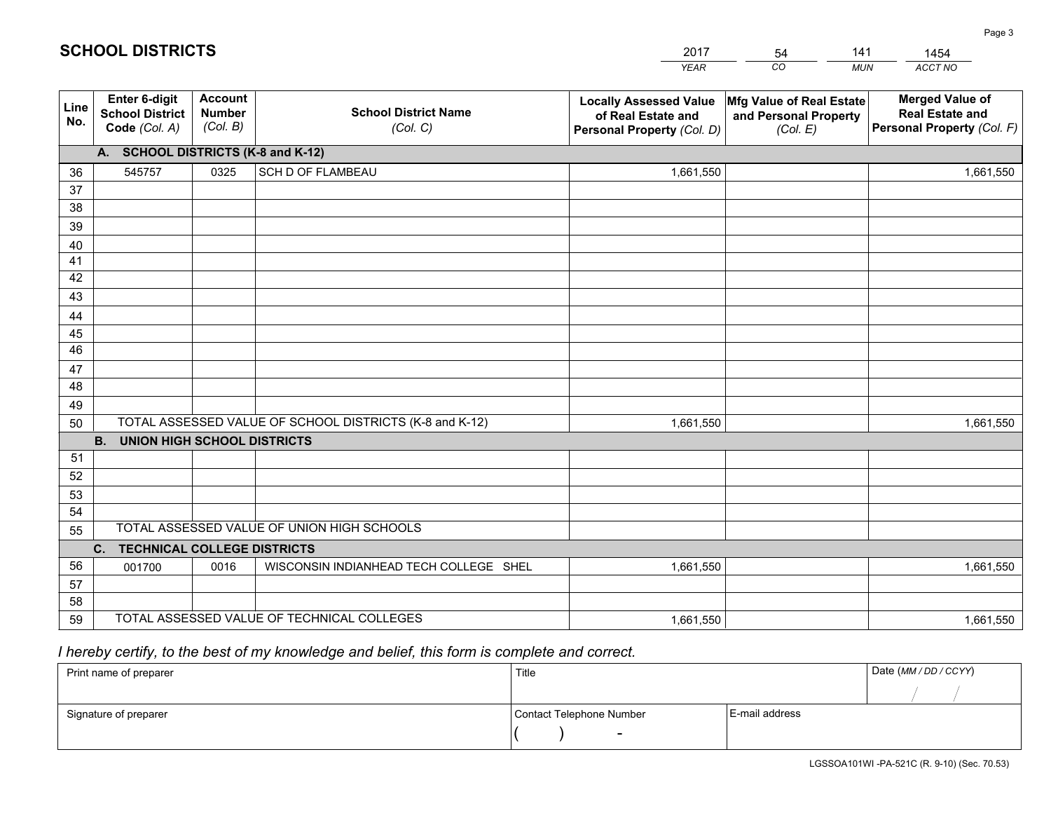|                 |                                                          |                                             |                                                         | YEAR                                                                              | CO.<br><b>MUN</b>                                             | ACCT NO                                                                        |
|-----------------|----------------------------------------------------------|---------------------------------------------|---------------------------------------------------------|-----------------------------------------------------------------------------------|---------------------------------------------------------------|--------------------------------------------------------------------------------|
| Line<br>No.     | Enter 6-digit<br><b>School District</b><br>Code (Col. A) | <b>Account</b><br><b>Number</b><br>(Col. B) | <b>School District Name</b><br>(Col. C)                 | <b>Locally Assessed Value</b><br>of Real Estate and<br>Personal Property (Col. D) | Mfg Value of Real Estate<br>and Personal Property<br>(Col. E) | <b>Merged Value of</b><br><b>Real Estate and</b><br>Personal Property (Col. F) |
|                 | A. SCHOOL DISTRICTS (K-8 and K-12)                       |                                             |                                                         |                                                                                   |                                                               |                                                                                |
| 36              | 545757                                                   | 0325                                        | <b>SCH D OF FLAMBEAU</b>                                | 1,661,550                                                                         |                                                               | 1,661,550                                                                      |
| 37              |                                                          |                                             |                                                         |                                                                                   |                                                               |                                                                                |
| 38              |                                                          |                                             |                                                         |                                                                                   |                                                               |                                                                                |
| 39              |                                                          |                                             |                                                         |                                                                                   |                                                               |                                                                                |
| 40              |                                                          |                                             |                                                         |                                                                                   |                                                               |                                                                                |
| 41<br>42        |                                                          |                                             |                                                         |                                                                                   |                                                               |                                                                                |
| 43              |                                                          |                                             |                                                         |                                                                                   |                                                               |                                                                                |
| 44              |                                                          |                                             |                                                         |                                                                                   |                                                               |                                                                                |
| 45              |                                                          |                                             |                                                         |                                                                                   |                                                               |                                                                                |
| $\overline{46}$ |                                                          |                                             |                                                         |                                                                                   |                                                               |                                                                                |
| 47              |                                                          |                                             |                                                         |                                                                                   |                                                               |                                                                                |
| 48              |                                                          |                                             |                                                         |                                                                                   |                                                               |                                                                                |
| 49              |                                                          |                                             |                                                         |                                                                                   |                                                               |                                                                                |
| 50              |                                                          |                                             | TOTAL ASSESSED VALUE OF SCHOOL DISTRICTS (K-8 and K-12) | 1,661,550                                                                         |                                                               | 1,661,550                                                                      |
|                 | <b>B.</b><br><b>UNION HIGH SCHOOL DISTRICTS</b>          |                                             |                                                         |                                                                                   |                                                               |                                                                                |
| 51              |                                                          |                                             |                                                         |                                                                                   |                                                               |                                                                                |
| 52              |                                                          |                                             |                                                         |                                                                                   |                                                               |                                                                                |
| 53              |                                                          |                                             |                                                         |                                                                                   |                                                               |                                                                                |
| 54              |                                                          |                                             | TOTAL ASSESSED VALUE OF UNION HIGH SCHOOLS              |                                                                                   |                                                               |                                                                                |
| 55              |                                                          |                                             |                                                         |                                                                                   |                                                               |                                                                                |
| 56              | <b>TECHNICAL COLLEGE DISTRICTS</b><br>$C_{1}$            |                                             |                                                         |                                                                                   |                                                               |                                                                                |
| 57              | 001700                                                   | 0016                                        | WISCONSIN INDIANHEAD TECH COLLEGE SHEL                  | 1,661,550                                                                         |                                                               | 1,661,550                                                                      |
| 58              |                                                          |                                             |                                                         |                                                                                   |                                                               |                                                                                |
| 59              |                                                          |                                             | TOTAL ASSESSED VALUE OF TECHNICAL COLLEGES              | 1,661,550                                                                         |                                                               | 1,661,550                                                                      |

54

141

## *I hereby certify, to the best of my knowledge and belief, this form is complete and correct.*

**SCHOOL DISTRICTS**

| Print name of preparer | Title                    |                | Date (MM / DD / CCYY) |
|------------------------|--------------------------|----------------|-----------------------|
|                        |                          |                |                       |
| Signature of preparer  | Contact Telephone Number | E-mail address |                       |
|                        | $\overline{\phantom{0}}$ |                |                       |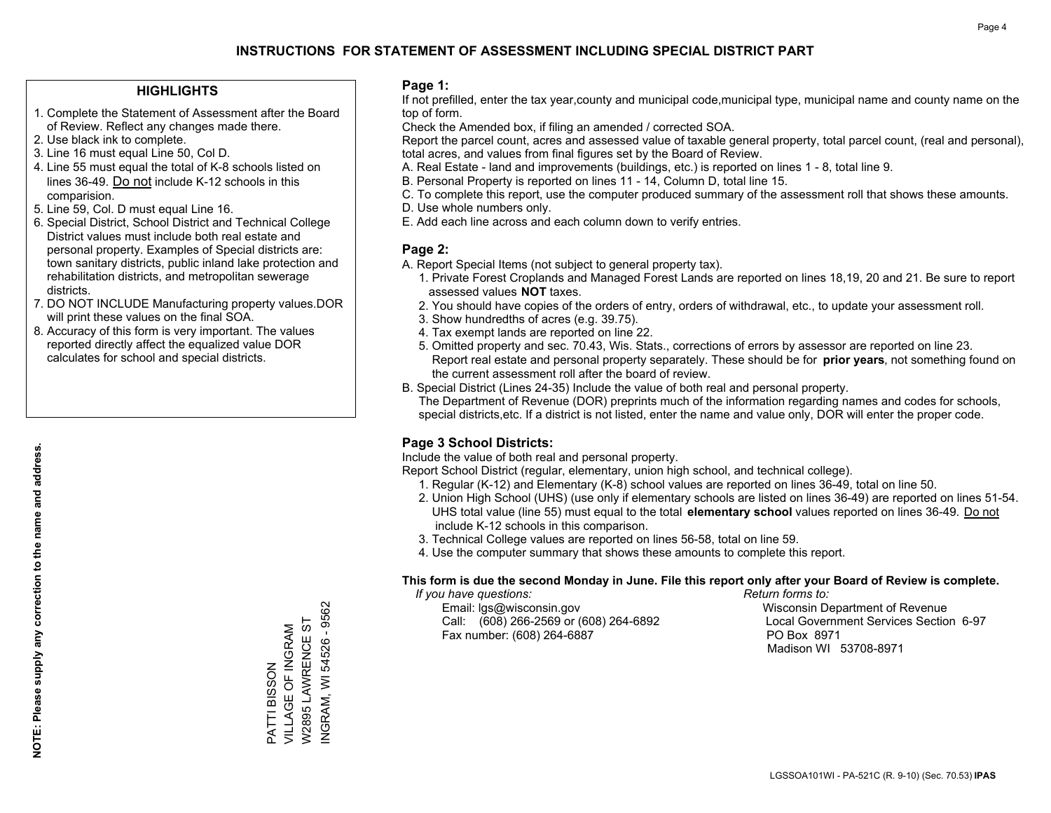## **HIGHLIGHTS**

- 1. Complete the Statement of Assessment after the Board of Review. Reflect any changes made there.
- 2. Use black ink to complete.
- 3. Line 16 must equal Line 50, Col D.
- 4. Line 55 must equal the total of K-8 schools listed on lines 36-49. Do not include K-12 schools in this comparision.
- 5. Line 59, Col. D must equal Line 16.
- 6. Special District, School District and Technical College District values must include both real estate and personal property. Examples of Special districts are: town sanitary districts, public inland lake protection and rehabilitation districts, and metropolitan sewerage districts.
- 7. DO NOT INCLUDE Manufacturing property values.DOR will print these values on the final SOA.
- 8. Accuracy of this form is very important. The values reported directly affect the equalized value DOR calculates for school and special districts.

### **Page 1:**

 If not prefilled, enter the tax year,county and municipal code,municipal type, municipal name and county name on the top of form.

Check the Amended box, if filing an amended / corrected SOA.

 Report the parcel count, acres and assessed value of taxable general property, total parcel count, (real and personal), total acres, and values from final figures set by the Board of Review.

- A. Real Estate land and improvements (buildings, etc.) is reported on lines 1 8, total line 9.
- B. Personal Property is reported on lines 11 14, Column D, total line 15.
- C. To complete this report, use the computer produced summary of the assessment roll that shows these amounts.
- D. Use whole numbers only.
- E. Add each line across and each column down to verify entries.

### **Page 2:**

- A. Report Special Items (not subject to general property tax).
- 1. Private Forest Croplands and Managed Forest Lands are reported on lines 18,19, 20 and 21. Be sure to report assessed values **NOT** taxes.
- 2. You should have copies of the orders of entry, orders of withdrawal, etc., to update your assessment roll.
	- 3. Show hundredths of acres (e.g. 39.75).
- 4. Tax exempt lands are reported on line 22.
- 5. Omitted property and sec. 70.43, Wis. Stats., corrections of errors by assessor are reported on line 23. Report real estate and personal property separately. These should be for **prior years**, not something found on the current assessment roll after the board of review.
- B. Special District (Lines 24-35) Include the value of both real and personal property.
- The Department of Revenue (DOR) preprints much of the information regarding names and codes for schools, special districts,etc. If a district is not listed, enter the name and value only, DOR will enter the proper code.

## **Page 3 School Districts:**

Include the value of both real and personal property.

Report School District (regular, elementary, union high school, and technical college).

- 1. Regular (K-12) and Elementary (K-8) school values are reported on lines 36-49, total on line 50.
- 2. Union High School (UHS) (use only if elementary schools are listed on lines 36-49) are reported on lines 51-54. UHS total value (line 55) must equal to the total **elementary school** values reported on lines 36-49. Do notinclude K-12 schools in this comparison.
- 3. Technical College values are reported on lines 56-58, total on line 59.
- 4. Use the computer summary that shows these amounts to complete this report.

#### **This form is due the second Monday in June. File this report only after your Board of Review is complete.**

 *If you have questions: Return forms to:*

 Email: lgs@wisconsin.gov Wisconsin Department of RevenueCall:  $(608)$  266-2569 or  $(608)$  264-6892 Fax number: (608) 264-6887 PO Box 8971

Local Government Services Section 6-97 Madison WI 53708-8971

NGRAM, WI 54526 - 9562 W2895 LAWRENCE ST W2895 LAWRENCE ST VILLAGE OF INGRAM VILLAGE OF INGRAM PATTI BISSON PATTI BISSON

INGRAM, WI 54526 - 9562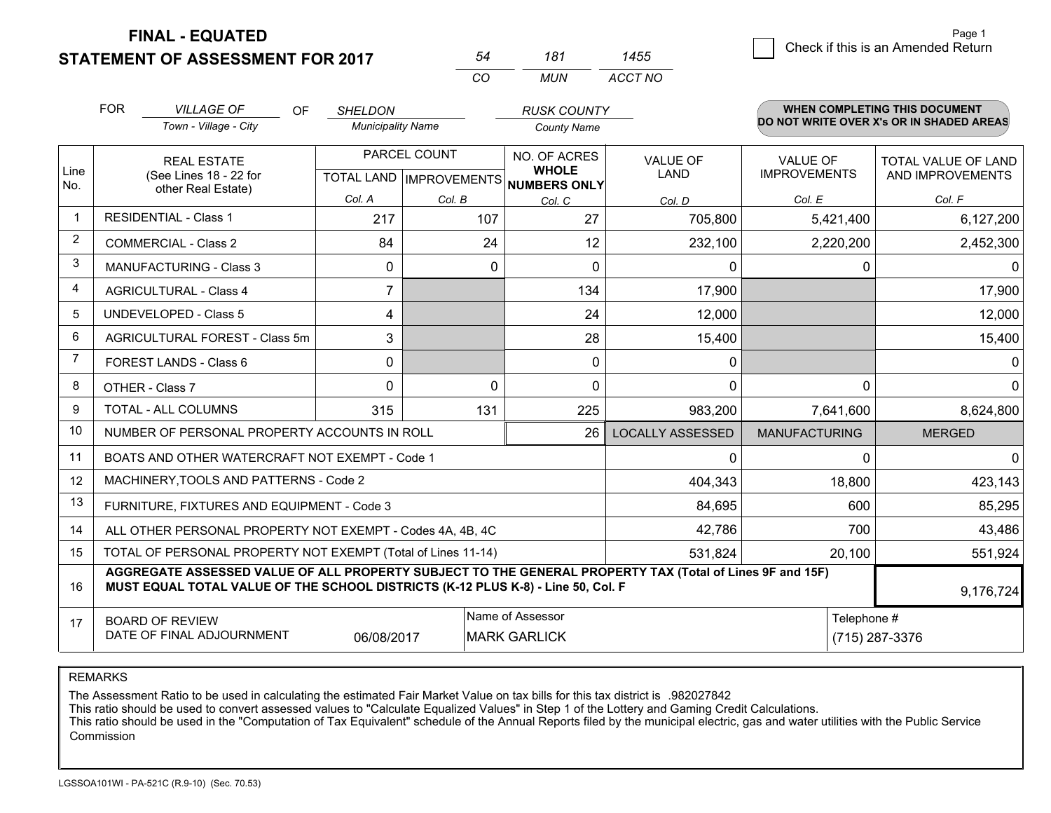**FINAL - EQUATED**

**STATEMENT OF ASSESSMENT FOR 2017** 

|    | 181 | 455     |
|----|-----|---------|
| rn | MUN | ACCT NO |

|                | <b>FOR</b><br><b>VILLAGE OF</b><br>OF                                                                                                                                                        | <b>SHELDON</b>           |              | <b>RUSK COUNTY</b>                                  |                         |                      | <b>WHEN COMPLETING THIS DOCUMENT</b>     |
|----------------|----------------------------------------------------------------------------------------------------------------------------------------------------------------------------------------------|--------------------------|--------------|-----------------------------------------------------|-------------------------|----------------------|------------------------------------------|
|                | Town - Village - City                                                                                                                                                                        | <b>Municipality Name</b> |              | <b>County Name</b>                                  |                         |                      | DO NOT WRITE OVER X's OR IN SHADED AREAS |
|                | <b>REAL ESTATE</b>                                                                                                                                                                           |                          | PARCEL COUNT | NO. OF ACRES                                        | <b>VALUE OF</b>         | <b>VALUE OF</b>      | <b>TOTAL VALUE OF LAND</b>               |
| Line<br>No.    | (See Lines 18 - 22 for<br>other Real Estate)                                                                                                                                                 |                          |              | <b>WHOLE</b><br>TOTAL LAND MPROVEMENTS NUMBERS ONLY | <b>LAND</b>             | <b>IMPROVEMENTS</b>  | AND IMPROVEMENTS                         |
|                |                                                                                                                                                                                              | Col. A                   | Col. B       | Col. C                                              | Col. D                  | Col. E               | Col. F                                   |
| $\mathbf 1$    | <b>RESIDENTIAL - Class 1</b>                                                                                                                                                                 | 217                      | 107          | 27                                                  | 705,800                 | 5,421,400            | 6,127,200                                |
| 2              | <b>COMMERCIAL - Class 2</b>                                                                                                                                                                  | 84                       | 24           | 12                                                  | 232,100                 | 2,220,200            | 2,452,300                                |
| 3              | <b>MANUFACTURING - Class 3</b>                                                                                                                                                               | 0                        | 0            | 0                                                   | 0                       | 0                    | $\mathbf{0}$                             |
| 4              | <b>AGRICULTURAL - Class 4</b>                                                                                                                                                                | $\overline{7}$           |              | 134                                                 | 17,900                  |                      | 17,900                                   |
| 5              | <b>UNDEVELOPED - Class 5</b>                                                                                                                                                                 | 4                        |              | 24                                                  | 12,000                  |                      | 12,000                                   |
| 6              | AGRICULTURAL FOREST - Class 5m                                                                                                                                                               | 3                        |              | 28                                                  | 15,400                  |                      | 15,400                                   |
| $\overline{7}$ | FOREST LANDS - Class 6                                                                                                                                                                       | 0                        |              | 0                                                   | 0                       |                      | 0                                        |
| 8              | OTHER - Class 7                                                                                                                                                                              | 0                        | $\Omega$     | $\Omega$                                            | $\Omega$                | $\Omega$             | $\Omega$                                 |
| 9              | <b>TOTAL - ALL COLUMNS</b>                                                                                                                                                                   | 315                      | 131          | 225                                                 | 983,200                 | 7,641,600            | 8,624,800                                |
| 10             | NUMBER OF PERSONAL PROPERTY ACCOUNTS IN ROLL                                                                                                                                                 |                          |              | 26                                                  | <b>LOCALLY ASSESSED</b> | <b>MANUFACTURING</b> | <b>MERGED</b>                            |
| 11             | BOATS AND OTHER WATERCRAFT NOT EXEMPT - Code 1                                                                                                                                               |                          |              |                                                     | 0                       | $\Omega$             | $\mathbf 0$                              |
| 12             | MACHINERY, TOOLS AND PATTERNS - Code 2                                                                                                                                                       |                          |              |                                                     | 404,343                 | 18,800               | 423,143                                  |
| 13             | FURNITURE, FIXTURES AND EQUIPMENT - Code 3                                                                                                                                                   |                          |              |                                                     | 84,695                  | 600                  | 85,295                                   |
| 14             | ALL OTHER PERSONAL PROPERTY NOT EXEMPT - Codes 4A, 4B, 4C                                                                                                                                    |                          |              |                                                     | 42,786                  | 700                  | 43,486                                   |
| 15             | TOTAL OF PERSONAL PROPERTY NOT EXEMPT (Total of Lines 11-14)                                                                                                                                 |                          |              |                                                     | 531,824                 | 20,100               | 551,924                                  |
| 16             | AGGREGATE ASSESSED VALUE OF ALL PROPERTY SUBJECT TO THE GENERAL PROPERTY TAX (Total of Lines 9F and 15F)<br>MUST EQUAL TOTAL VALUE OF THE SCHOOL DISTRICTS (K-12 PLUS K-8) - Line 50, Col. F |                          |              |                                                     |                         |                      | 9,176,724                                |
| 17             | <b>BOARD OF REVIEW</b>                                                                                                                                                                       |                          |              | Name of Assessor                                    |                         | Telephone #          |                                          |
|                | DATE OF FINAL ADJOURNMENT                                                                                                                                                                    | 06/08/2017               |              | <b>MARK GARLICK</b>                                 |                         |                      | (715) 287-3376                           |

REMARKS

The Assessment Ratio to be used in calculating the estimated Fair Market Value on tax bills for this tax district is .982027842

This ratio should be used to convert assessed values to "Calculate Equalized Values" in Step 1 of the Lottery and Gaming Credit Calculations.<br>This ratio should be used in the "Computation of Tax Equivalent" schedule of the Commission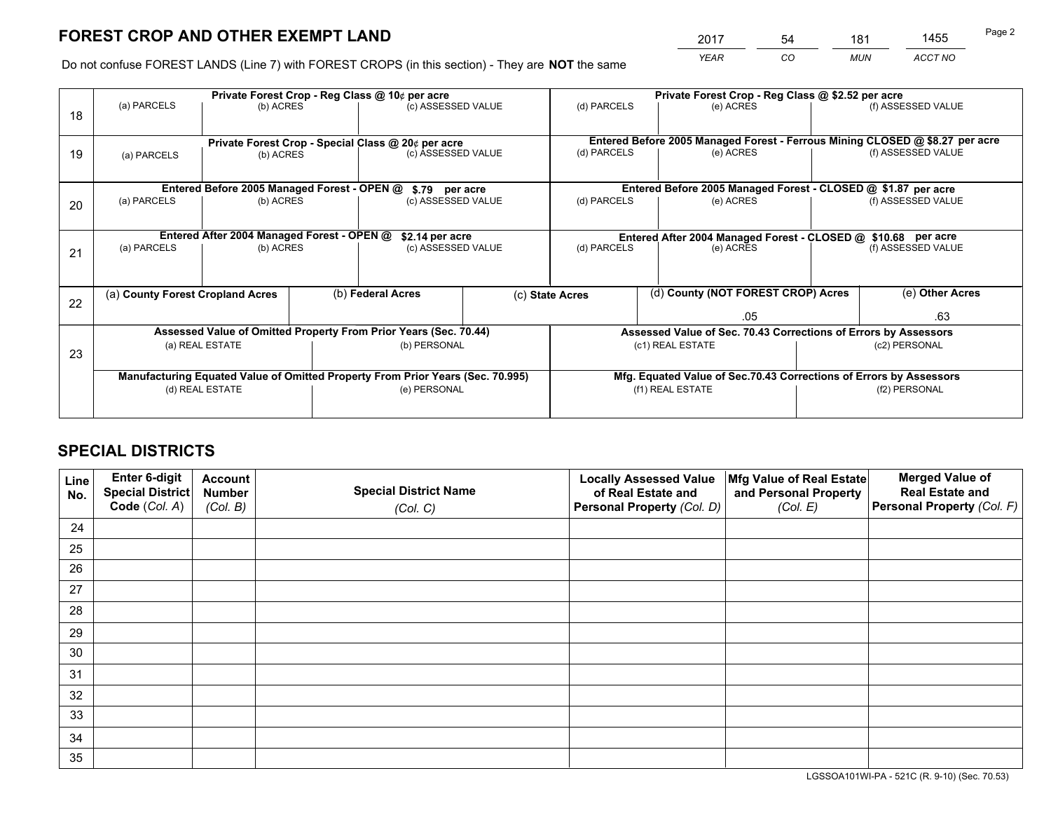*YEAR CO MUN ACCT NO* <sup>2017</sup> <sup>54</sup> <sup>181</sup> <sup>1455</sup>

Do not confuse FOREST LANDS (Line 7) with FOREST CROPS (in this section) - They are **NOT** the same

|    |                                                               |                                            |                    | Private Forest Crop - Reg Class @ 10¢ per acre                                 |                                                               | Private Forest Crop - Reg Class @ \$2.52 per acre                            |                                                                    |                    |                    |
|----|---------------------------------------------------------------|--------------------------------------------|--------------------|--------------------------------------------------------------------------------|---------------------------------------------------------------|------------------------------------------------------------------------------|--------------------------------------------------------------------|--------------------|--------------------|
| 18 | (a) PARCELS                                                   | (b) ACRES                                  |                    | (c) ASSESSED VALUE                                                             |                                                               | (d) PARCELS                                                                  | (e) ACRES                                                          |                    | (f) ASSESSED VALUE |
|    |                                                               |                                            |                    |                                                                                |                                                               |                                                                              |                                                                    |                    |                    |
|    |                                                               |                                            |                    | Private Forest Crop - Special Class @ 20¢ per acre                             |                                                               | Entered Before 2005 Managed Forest - Ferrous Mining CLOSED @ \$8.27 per acre |                                                                    |                    |                    |
| 19 | (a) PARCELS<br>(b) ACRES                                      |                                            | (c) ASSESSED VALUE |                                                                                | (d) PARCELS                                                   | (e) ACRES                                                                    |                                                                    | (f) ASSESSED VALUE |                    |
|    |                                                               |                                            |                    |                                                                                |                                                               |                                                                              |                                                                    |                    |                    |
|    | Entered Before 2005 Managed Forest - OPEN @<br>\$.79 per acre |                                            |                    |                                                                                |                                                               |                                                                              | Entered Before 2005 Managed Forest - CLOSED @ \$1.87 per acre      |                    |                    |
| 20 | (a) PARCELS                                                   | (b) ACRES                                  |                    | (c) ASSESSED VALUE                                                             |                                                               | (d) PARCELS                                                                  | (e) ACRES                                                          |                    | (f) ASSESSED VALUE |
|    |                                                               |                                            |                    |                                                                                |                                                               |                                                                              |                                                                    |                    |                    |
|    |                                                               | Entered After 2004 Managed Forest - OPEN @ |                    | \$2.14 per acre                                                                | Entered After 2004 Managed Forest - CLOSED @ \$10.68 per acre |                                                                              |                                                                    |                    |                    |
| 21 | (a) PARCELS                                                   | (b) ACRES                                  |                    | (c) ASSESSED VALUE                                                             |                                                               | (d) PARCELS<br>(e) ACRES                                                     |                                                                    |                    | (f) ASSESSED VALUE |
|    |                                                               |                                            |                    |                                                                                |                                                               |                                                                              |                                                                    |                    |                    |
|    |                                                               |                                            |                    |                                                                                |                                                               |                                                                              |                                                                    |                    |                    |
| 22 | (a) County Forest Cropland Acres                              |                                            |                    | (b) Federal Acres                                                              |                                                               | (d) County (NOT FOREST CROP) Acres<br>(c) State Acres                        |                                                                    |                    | (e) Other Acres    |
|    |                                                               |                                            |                    |                                                                                |                                                               |                                                                              | .05                                                                |                    | .63                |
|    |                                                               |                                            |                    | Assessed Value of Omitted Property From Prior Years (Sec. 70.44)               |                                                               |                                                                              | Assessed Value of Sec. 70.43 Corrections of Errors by Assessors    |                    |                    |
| 23 |                                                               | (a) REAL ESTATE                            |                    | (b) PERSONAL                                                                   |                                                               |                                                                              | (c1) REAL ESTATE                                                   |                    | (c2) PERSONAL      |
|    |                                                               |                                            |                    |                                                                                |                                                               |                                                                              |                                                                    |                    |                    |
|    |                                                               |                                            |                    | Manufacturing Equated Value of Omitted Property From Prior Years (Sec. 70.995) |                                                               |                                                                              | Mfg. Equated Value of Sec.70.43 Corrections of Errors by Assessors |                    |                    |
|    | (d) REAL ESTATE                                               |                                            |                    | (e) PERSONAL                                                                   |                                                               | (f1) REAL ESTATE                                                             |                                                                    | (f2) PERSONAL      |                    |
|    |                                                               |                                            |                    |                                                                                |                                                               |                                                                              |                                                                    |                    |                    |

## **SPECIAL DISTRICTS**

| Line<br>No. | Enter 6-digit<br><b>Special District</b> | <b>Account</b><br><b>Number</b> | <b>Special District Name</b> | <b>Locally Assessed Value</b><br>of Real Estate and | Mfg Value of Real Estate<br>and Personal Property | <b>Merged Value of</b><br><b>Real Estate and</b> |
|-------------|------------------------------------------|---------------------------------|------------------------------|-----------------------------------------------------|---------------------------------------------------|--------------------------------------------------|
|             | Code (Col. A)                            | (Col. B)                        | (Col. C)                     | Personal Property (Col. D)                          | (Col. E)                                          | Personal Property (Col. F)                       |
| 24          |                                          |                                 |                              |                                                     |                                                   |                                                  |
| 25          |                                          |                                 |                              |                                                     |                                                   |                                                  |
| 26          |                                          |                                 |                              |                                                     |                                                   |                                                  |
| 27          |                                          |                                 |                              |                                                     |                                                   |                                                  |
| 28          |                                          |                                 |                              |                                                     |                                                   |                                                  |
| 29          |                                          |                                 |                              |                                                     |                                                   |                                                  |
| 30          |                                          |                                 |                              |                                                     |                                                   |                                                  |
| 31          |                                          |                                 |                              |                                                     |                                                   |                                                  |
| 32          |                                          |                                 |                              |                                                     |                                                   |                                                  |
| 33          |                                          |                                 |                              |                                                     |                                                   |                                                  |
| 34          |                                          |                                 |                              |                                                     |                                                   |                                                  |
| 35          |                                          |                                 |                              |                                                     |                                                   |                                                  |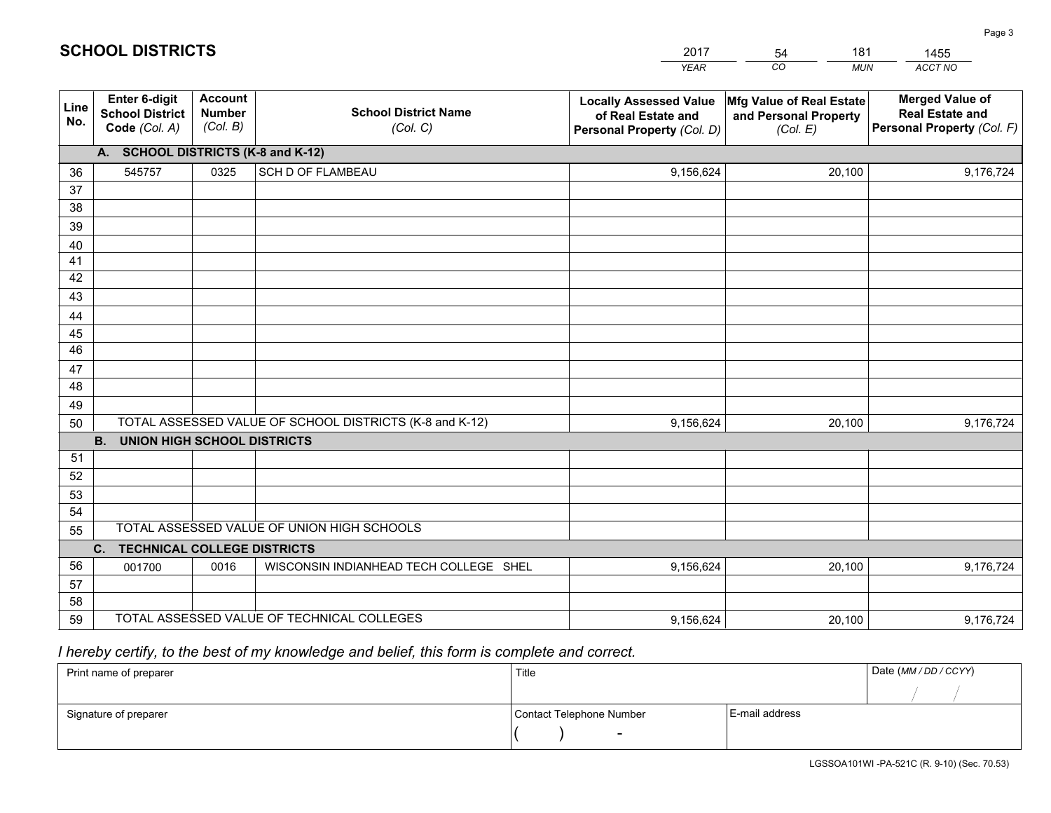|             |                                                          |                                             |                                                         | YEAR                                                                              | CO.<br><b>MUN</b>                                             | ACCT NO                                                                        |  |  |  |  |  |  |
|-------------|----------------------------------------------------------|---------------------------------------------|---------------------------------------------------------|-----------------------------------------------------------------------------------|---------------------------------------------------------------|--------------------------------------------------------------------------------|--|--|--|--|--|--|
| Line<br>No. | Enter 6-digit<br><b>School District</b><br>Code (Col. A) | <b>Account</b><br><b>Number</b><br>(Col. B) | <b>School District Name</b><br>(Col. C)                 | <b>Locally Assessed Value</b><br>of Real Estate and<br>Personal Property (Col. D) | Mfg Value of Real Estate<br>and Personal Property<br>(Col. E) | <b>Merged Value of</b><br><b>Real Estate and</b><br>Personal Property (Col. F) |  |  |  |  |  |  |
|             | A. SCHOOL DISTRICTS (K-8 and K-12)                       |                                             |                                                         |                                                                                   |                                                               |                                                                                |  |  |  |  |  |  |
| 36          | 545757                                                   | 0325                                        | <b>SCH D OF FLAMBEAU</b>                                | 9,156,624                                                                         | 20,100                                                        | 9,176,724                                                                      |  |  |  |  |  |  |
| 37          |                                                          |                                             |                                                         |                                                                                   |                                                               |                                                                                |  |  |  |  |  |  |
| 38          |                                                          |                                             |                                                         |                                                                                   |                                                               |                                                                                |  |  |  |  |  |  |
| 39          |                                                          |                                             |                                                         |                                                                                   |                                                               |                                                                                |  |  |  |  |  |  |
| 40          |                                                          |                                             |                                                         |                                                                                   |                                                               |                                                                                |  |  |  |  |  |  |
| 41<br>42    |                                                          |                                             |                                                         |                                                                                   |                                                               |                                                                                |  |  |  |  |  |  |
| 43          |                                                          |                                             |                                                         |                                                                                   |                                                               |                                                                                |  |  |  |  |  |  |
| 44          |                                                          |                                             |                                                         |                                                                                   |                                                               |                                                                                |  |  |  |  |  |  |
| 45          |                                                          |                                             |                                                         |                                                                                   |                                                               |                                                                                |  |  |  |  |  |  |
| 46          |                                                          |                                             |                                                         |                                                                                   |                                                               |                                                                                |  |  |  |  |  |  |
| 47          |                                                          |                                             |                                                         |                                                                                   |                                                               |                                                                                |  |  |  |  |  |  |
| 48          |                                                          |                                             |                                                         |                                                                                   |                                                               |                                                                                |  |  |  |  |  |  |
| 49          |                                                          |                                             |                                                         |                                                                                   |                                                               |                                                                                |  |  |  |  |  |  |
| 50          |                                                          |                                             | TOTAL ASSESSED VALUE OF SCHOOL DISTRICTS (K-8 and K-12) | 9,156,624                                                                         | 20,100                                                        | 9,176,724                                                                      |  |  |  |  |  |  |
|             | <b>B. UNION HIGH SCHOOL DISTRICTS</b>                    |                                             |                                                         |                                                                                   |                                                               |                                                                                |  |  |  |  |  |  |
| 51          |                                                          |                                             |                                                         |                                                                                   |                                                               |                                                                                |  |  |  |  |  |  |
| 52          |                                                          |                                             |                                                         |                                                                                   |                                                               |                                                                                |  |  |  |  |  |  |
| 53          |                                                          |                                             |                                                         |                                                                                   |                                                               |                                                                                |  |  |  |  |  |  |
| 54          |                                                          |                                             | TOTAL ASSESSED VALUE OF UNION HIGH SCHOOLS              |                                                                                   |                                                               |                                                                                |  |  |  |  |  |  |
| 55          |                                                          |                                             |                                                         |                                                                                   |                                                               |                                                                                |  |  |  |  |  |  |
| 56          | $C_{1}$<br><b>TECHNICAL COLLEGE DISTRICTS</b>            |                                             |                                                         |                                                                                   |                                                               |                                                                                |  |  |  |  |  |  |
| 57          | 001700                                                   | 0016                                        | WISCONSIN INDIANHEAD TECH COLLEGE SHEL                  | 9,156,624                                                                         | 20,100                                                        | 9,176,724                                                                      |  |  |  |  |  |  |
| 58          |                                                          |                                             |                                                         |                                                                                   |                                                               |                                                                                |  |  |  |  |  |  |
| 59          |                                                          |                                             | TOTAL ASSESSED VALUE OF TECHNICAL COLLEGES              | 9,156,624                                                                         | 20,100                                                        | 9,176,724                                                                      |  |  |  |  |  |  |
|             |                                                          |                                             |                                                         |                                                                                   |                                                               |                                                                                |  |  |  |  |  |  |

54

181

 *I hereby certify, to the best of my knowledge and belief, this form is complete and correct.*

**SCHOOL DISTRICTS**

| Print name of preparer | Title                    |                | Date (MM / DD / CCYY) |
|------------------------|--------------------------|----------------|-----------------------|
|                        |                          |                |                       |
| Signature of preparer  | Contact Telephone Number | E-mail address |                       |
|                        | $\sim$                   |                |                       |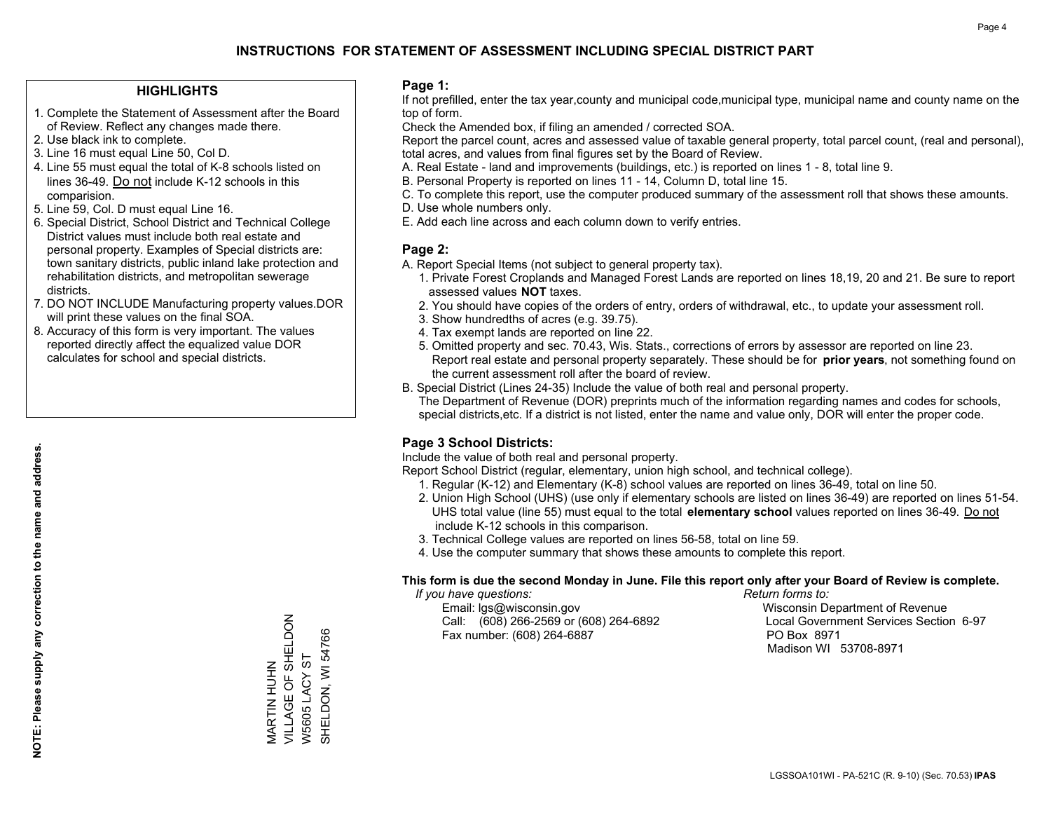## **HIGHLIGHTS**

- 1. Complete the Statement of Assessment after the Board of Review. Reflect any changes made there.
- 2. Use black ink to complete.
- 3. Line 16 must equal Line 50, Col D.
- 4. Line 55 must equal the total of K-8 schools listed on lines 36-49. Do not include K-12 schools in this comparision.
- 5. Line 59, Col. D must equal Line 16.
- 6. Special District, School District and Technical College District values must include both real estate and personal property. Examples of Special districts are: town sanitary districts, public inland lake protection and rehabilitation districts, and metropolitan sewerage districts.
- 7. DO NOT INCLUDE Manufacturing property values.DOR will print these values on the final SOA.

MARTIN HUHN

VILLAGE OF SHELDON

MARTIN HUHN<br>VILLAGE OF SHELDON

W5605 LACY ST SHELDON, WI 54766

SHELDON, WI 54766 W5605 LACY ST

 8. Accuracy of this form is very important. The values reported directly affect the equalized value DOR calculates for school and special districts.

#### **Page 1:**

 If not prefilled, enter the tax year,county and municipal code,municipal type, municipal name and county name on the top of form.

Check the Amended box, if filing an amended / corrected SOA.

 Report the parcel count, acres and assessed value of taxable general property, total parcel count, (real and personal), total acres, and values from final figures set by the Board of Review.

- A. Real Estate land and improvements (buildings, etc.) is reported on lines 1 8, total line 9.
- B. Personal Property is reported on lines 11 14, Column D, total line 15.
- C. To complete this report, use the computer produced summary of the assessment roll that shows these amounts.
- D. Use whole numbers only.
- E. Add each line across and each column down to verify entries.

## **Page 2:**

- A. Report Special Items (not subject to general property tax).
- 1. Private Forest Croplands and Managed Forest Lands are reported on lines 18,19, 20 and 21. Be sure to report assessed values **NOT** taxes.
- 2. You should have copies of the orders of entry, orders of withdrawal, etc., to update your assessment roll.
	- 3. Show hundredths of acres (e.g. 39.75).
- 4. Tax exempt lands are reported on line 22.
- 5. Omitted property and sec. 70.43, Wis. Stats., corrections of errors by assessor are reported on line 23. Report real estate and personal property separately. These should be for **prior years**, not something found on the current assessment roll after the board of review.
- B. Special District (Lines 24-35) Include the value of both real and personal property.
- The Department of Revenue (DOR) preprints much of the information regarding names and codes for schools, special districts,etc. If a district is not listed, enter the name and value only, DOR will enter the proper code.

## **Page 3 School Districts:**

Include the value of both real and personal property.

Report School District (regular, elementary, union high school, and technical college).

- 1. Regular (K-12) and Elementary (K-8) school values are reported on lines 36-49, total on line 50.
- 2. Union High School (UHS) (use only if elementary schools are listed on lines 36-49) are reported on lines 51-54. UHS total value (line 55) must equal to the total **elementary school** values reported on lines 36-49. Do notinclude K-12 schools in this comparison.
- 3. Technical College values are reported on lines 56-58, total on line 59.
- 4. Use the computer summary that shows these amounts to complete this report.

#### **This form is due the second Monday in June. File this report only after your Board of Review is complete.**

 *If you have questions: Return forms to:*

 Email: lgs@wisconsin.gov Wisconsin Department of RevenueCall:  $(608)$  266-2569 or  $(608)$  264-6892 Fax number: (608) 264-6887 PO Box 8971

Local Government Services Section 6-97 Madison WI 53708-8971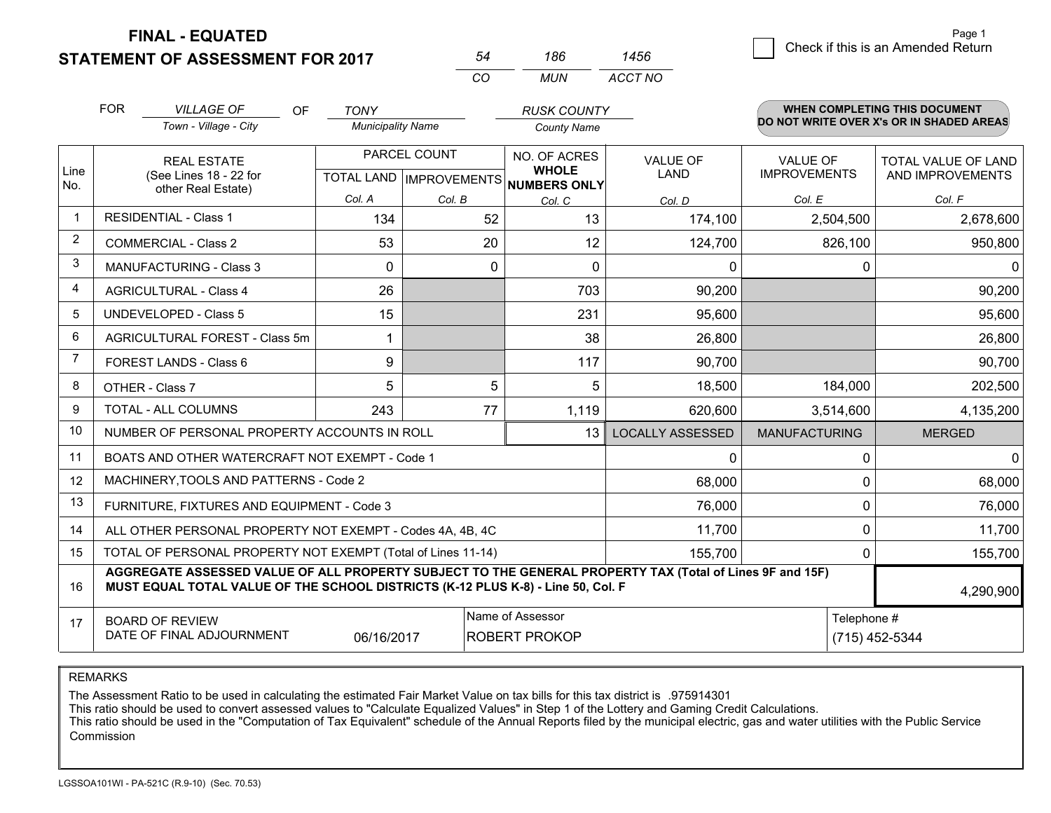**FINAL - EQUATED**

## **STATEMENT OF ASSESSMENT FOR 2017**

|   |                                    | Page 1 |
|---|------------------------------------|--------|
| 6 | Check if this is an Amended Return |        |
|   |                                    |        |

|                | <b>FOR</b>                                 | <b>VILLAGE OF</b>                                                                                                                                                                            | <b>OF</b><br><b>TONY</b> |              | <b>RUSK COUNTY</b>                                  |                         |                      | <b>WHEN COMPLETING THIS DOCUMENT</b>     |
|----------------|--------------------------------------------|----------------------------------------------------------------------------------------------------------------------------------------------------------------------------------------------|--------------------------|--------------|-----------------------------------------------------|-------------------------|----------------------|------------------------------------------|
|                |                                            | Town - Village - City                                                                                                                                                                        | <b>Municipality Name</b> |              | <b>County Name</b>                                  |                         |                      | DO NOT WRITE OVER X's OR IN SHADED AREAS |
|                |                                            | <b>REAL ESTATE</b>                                                                                                                                                                           |                          | PARCEL COUNT | NO. OF ACRES                                        | <b>VALUE OF</b>         | VALUE OF             | <b>TOTAL VALUE OF LAND</b>               |
| Line<br>No.    |                                            | (See Lines 18 - 22 for                                                                                                                                                                       |                          |              | <b>WHOLE</b><br>TOTAL LAND MPROVEMENTS NUMBERS ONLY | LAND                    | <b>IMPROVEMENTS</b>  | AND IMPROVEMENTS                         |
|                |                                            | other Real Estate)                                                                                                                                                                           | Col. A                   | Col. B       | Col. C                                              | Col. D                  | Col. E               | Col. F                                   |
|                |                                            | <b>RESIDENTIAL - Class 1</b>                                                                                                                                                                 | 134                      | 52           | 13                                                  | 174,100                 | 2,504,500            | 2,678,600                                |
| $\overline{2}$ |                                            | <b>COMMERCIAL - Class 2</b>                                                                                                                                                                  | 53                       | 20           | 12                                                  | 124,700                 | 826,100              | 950,800                                  |
| 3              |                                            | <b>MANUFACTURING - Class 3</b>                                                                                                                                                               | 0                        |              | $\mathbf{0}$<br>0                                   | $\mathbf{0}$            | 0                    | $\mathbf{0}$                             |
| 4              |                                            | <b>AGRICULTURAL - Class 4</b>                                                                                                                                                                | 26                       |              | 703                                                 | 90,200                  |                      | 90,200                                   |
| 5              |                                            | <b>UNDEVELOPED - Class 5</b>                                                                                                                                                                 | 15                       |              | 231                                                 | 95,600                  |                      | 95,600                                   |
| 6              |                                            | AGRICULTURAL FOREST - Class 5m                                                                                                                                                               | 1                        |              | 38                                                  | 26,800                  |                      | 26,800                                   |
| $\overline{7}$ |                                            | FOREST LANDS - Class 6                                                                                                                                                                       | 9                        |              | 117                                                 | 90,700                  |                      | 90,700                                   |
| 8              |                                            | OTHER - Class 7                                                                                                                                                                              | 5                        |              | 5<br>5                                              | 18,500                  | 184,000              | 202,500                                  |
| 9              |                                            | <b>TOTAL - ALL COLUMNS</b>                                                                                                                                                                   | 243                      | 77           | 1,119                                               | 620,600                 | 3,514,600            | 4,135,200                                |
| 10             |                                            | NUMBER OF PERSONAL PROPERTY ACCOUNTS IN ROLL                                                                                                                                                 |                          |              | 13                                                  | <b>LOCALLY ASSESSED</b> | <b>MANUFACTURING</b> | <b>MERGED</b>                            |
| 11             |                                            | BOATS AND OTHER WATERCRAFT NOT EXEMPT - Code 1                                                                                                                                               |                          |              |                                                     | $\Omega$                | 0                    | $\mathbf 0$                              |
| 12             |                                            | MACHINERY, TOOLS AND PATTERNS - Code 2                                                                                                                                                       |                          |              |                                                     | 68,000                  | $\Omega$             | 68,000                                   |
| 13             |                                            | FURNITURE, FIXTURES AND EQUIPMENT - Code 3                                                                                                                                                   |                          |              |                                                     | 76,000                  | 0                    | 76,000                                   |
| 14             |                                            | ALL OTHER PERSONAL PROPERTY NOT EXEMPT - Codes 4A, 4B, 4C                                                                                                                                    |                          |              |                                                     | 11,700                  | 0                    | 11,700                                   |
| 15             |                                            | TOTAL OF PERSONAL PROPERTY NOT EXEMPT (Total of Lines 11-14)                                                                                                                                 |                          |              |                                                     | 155,700                 | $\Omega$             | 155,700                                  |
| 16             |                                            | AGGREGATE ASSESSED VALUE OF ALL PROPERTY SUBJECT TO THE GENERAL PROPERTY TAX (Total of Lines 9F and 15F)<br>MUST EQUAL TOTAL VALUE OF THE SCHOOL DISTRICTS (K-12 PLUS K-8) - Line 50, Col. F |                          |              |                                                     |                         |                      | 4,290,900                                |
| 17             | Name of Assessor<br><b>BOARD OF REVIEW</b> |                                                                                                                                                                                              |                          |              |                                                     |                         | Telephone #          |                                          |
|                |                                            | DATE OF FINAL ADJOURNMENT                                                                                                                                                                    | 06/16/2017               |              | <b>ROBERT PROKOP</b>                                |                         | (715) 452-5344       |                                          |

*CO*

*MUN*

*ACCT NO1456*

*<sup>54</sup> <sup>186</sup>*

REMARKS

The Assessment Ratio to be used in calculating the estimated Fair Market Value on tax bills for this tax district is .975914301<br>This ratio should be used to convert assessed values to "Calculate Equalized Values" in Step 1 Commission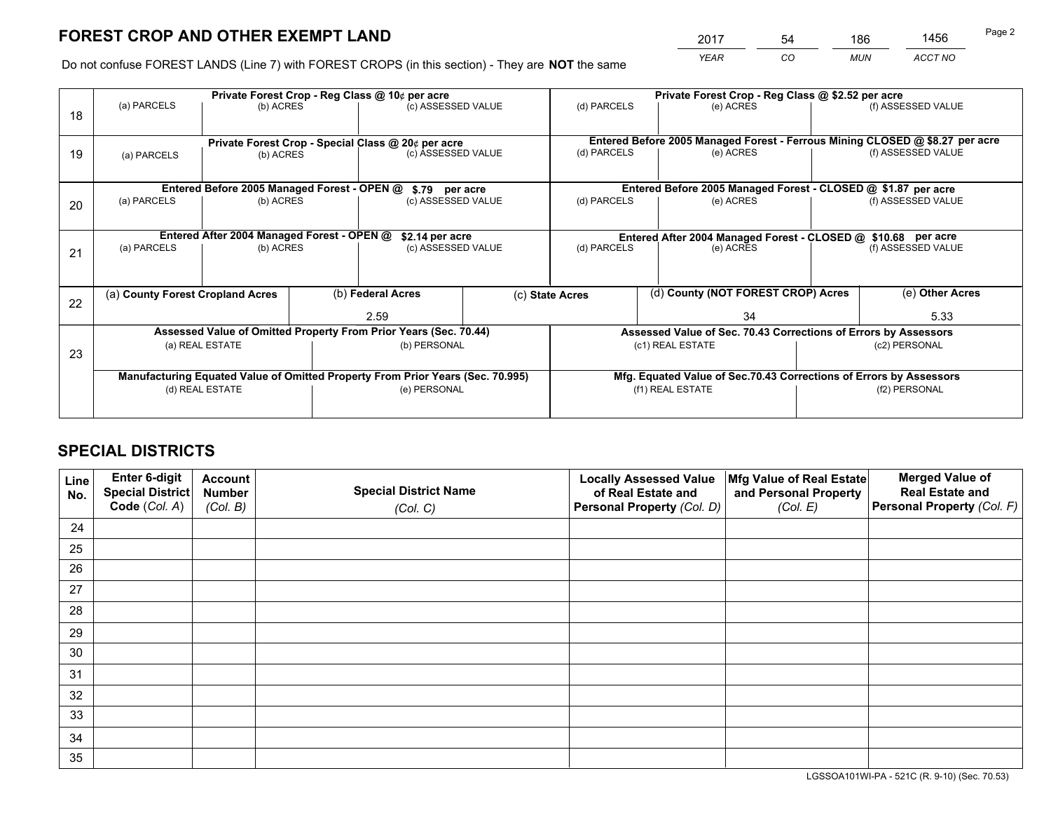*YEAR CO MUN ACCT NO* <sup>2017</sup> <sup>54</sup> <sup>186</sup> <sup>1456</sup>

Do not confuse FOREST LANDS (Line 7) with FOREST CROPS (in this section) - They are **NOT** the same

|    |                                                    |                                             |  | Private Forest Crop - Reg Class @ 10¢ per acre                                 |  |                                                                    | Private Forest Crop - Reg Class @ \$2.52 per acre                            |               |                    |  |
|----|----------------------------------------------------|---------------------------------------------|--|--------------------------------------------------------------------------------|--|--------------------------------------------------------------------|------------------------------------------------------------------------------|---------------|--------------------|--|
| 18 | (a) PARCELS                                        | (b) ACRES                                   |  | (c) ASSESSED VALUE                                                             |  | (d) PARCELS                                                        | (e) ACRES                                                                    |               | (f) ASSESSED VALUE |  |
|    | Private Forest Crop - Special Class @ 20¢ per acre |                                             |  |                                                                                |  |                                                                    | Entered Before 2005 Managed Forest - Ferrous Mining CLOSED @ \$8.27 per acre |               |                    |  |
| 19 | (a) PARCELS<br>(b) ACRES                           |                                             |  | (c) ASSESSED VALUE                                                             |  | (d) PARCELS                                                        | (e) ACRES                                                                    |               | (f) ASSESSED VALUE |  |
|    |                                                    | Entered Before 2005 Managed Forest - OPEN @ |  |                                                                                |  |                                                                    | Entered Before 2005 Managed Forest - CLOSED @ \$1.87 per acre                |               |                    |  |
| 20 | (a) PARCELS<br>(b) ACRES                           |                                             |  | \$.79 per acre<br>(c) ASSESSED VALUE                                           |  | (d) PARCELS<br>(e) ACRES                                           |                                                                              |               | (f) ASSESSED VALUE |  |
|    |                                                    | Entered After 2004 Managed Forest - OPEN @  |  | \$2.14 per acre                                                                |  |                                                                    | Entered After 2004 Managed Forest - CLOSED @ \$10.68 per acre                |               |                    |  |
| 21 | (a) PARCELS<br>(b) ACRES                           |                                             |  | (c) ASSESSED VALUE                                                             |  | (d) PARCELS                                                        | (e) ACRES                                                                    |               |                    |  |
|    | (a) County Forest Cropland Acres                   |                                             |  | (b) Federal Acres                                                              |  | (c) State Acres                                                    | (d) County (NOT FOREST CROP) Acres                                           |               | (e) Other Acres    |  |
| 22 |                                                    |                                             |  |                                                                                |  |                                                                    |                                                                              |               |                    |  |
|    |                                                    |                                             |  | 2.59                                                                           |  | 34                                                                 |                                                                              |               | 5.33               |  |
|    |                                                    |                                             |  | Assessed Value of Omitted Property From Prior Years (Sec. 70.44)               |  |                                                                    | Assessed Value of Sec. 70.43 Corrections of Errors by Assessors              |               |                    |  |
| 23 |                                                    | (a) REAL ESTATE                             |  | (b) PERSONAL                                                                   |  | (c1) REAL ESTATE                                                   |                                                                              |               | (c2) PERSONAL      |  |
|    |                                                    |                                             |  | Manufacturing Equated Value of Omitted Property From Prior Years (Sec. 70.995) |  | Mfg. Equated Value of Sec.70.43 Corrections of Errors by Assessors |                                                                              |               |                    |  |
|    | (d) REAL ESTATE                                    |                                             |  | (e) PERSONAL                                                                   |  | (f1) REAL ESTATE                                                   |                                                                              | (f2) PERSONAL |                    |  |
|    |                                                    |                                             |  |                                                                                |  |                                                                    |                                                                              |               |                    |  |

## **SPECIAL DISTRICTS**

| Line<br>No. | Enter 6-digit<br>Special District<br>Code (Col. A) | <b>Account</b><br><b>Number</b> | <b>Special District Name</b> | <b>Locally Assessed Value</b><br>of Real Estate and | Mfg Value of Real Estate<br>and Personal Property | <b>Merged Value of</b><br><b>Real Estate and</b><br>Personal Property (Col. F) |
|-------------|----------------------------------------------------|---------------------------------|------------------------------|-----------------------------------------------------|---------------------------------------------------|--------------------------------------------------------------------------------|
|             |                                                    | (Col. B)                        | (Col. C)                     | Personal Property (Col. D)                          | (Col. E)                                          |                                                                                |
| 24          |                                                    |                                 |                              |                                                     |                                                   |                                                                                |
| 25          |                                                    |                                 |                              |                                                     |                                                   |                                                                                |
| 26          |                                                    |                                 |                              |                                                     |                                                   |                                                                                |
| 27          |                                                    |                                 |                              |                                                     |                                                   |                                                                                |
| 28          |                                                    |                                 |                              |                                                     |                                                   |                                                                                |
| 29          |                                                    |                                 |                              |                                                     |                                                   |                                                                                |
| 30          |                                                    |                                 |                              |                                                     |                                                   |                                                                                |
| 31          |                                                    |                                 |                              |                                                     |                                                   |                                                                                |
| 32          |                                                    |                                 |                              |                                                     |                                                   |                                                                                |
| 33          |                                                    |                                 |                              |                                                     |                                                   |                                                                                |
| 34          |                                                    |                                 |                              |                                                     |                                                   |                                                                                |
| 35          |                                                    |                                 |                              |                                                     |                                                   |                                                                                |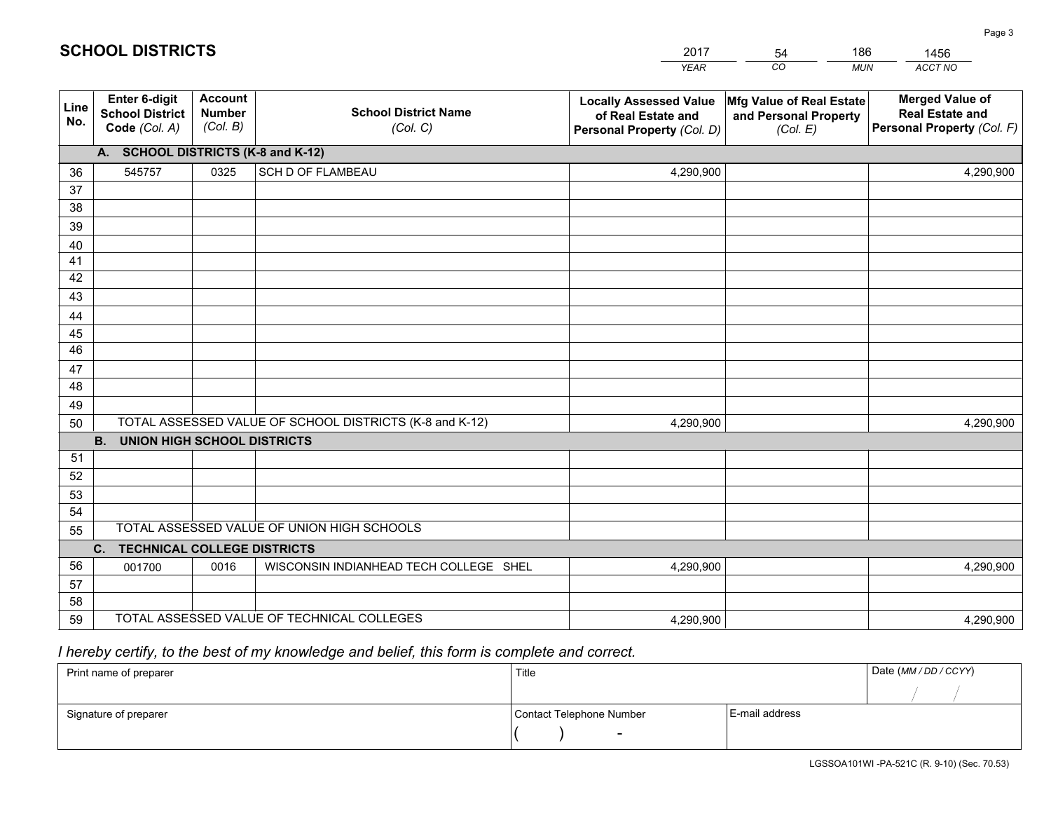|             |                                                          |                                             |                                                         | <b>YEAR</b>                                                                       | CO<br><b>MUN</b>                                              | ACCT NO                                                                        |
|-------------|----------------------------------------------------------|---------------------------------------------|---------------------------------------------------------|-----------------------------------------------------------------------------------|---------------------------------------------------------------|--------------------------------------------------------------------------------|
| Line<br>No. | Enter 6-digit<br><b>School District</b><br>Code (Col. A) | <b>Account</b><br><b>Number</b><br>(Col. B) | <b>School District Name</b><br>(Col. C)                 | <b>Locally Assessed Value</b><br>of Real Estate and<br>Personal Property (Col. D) | Mfg Value of Real Estate<br>and Personal Property<br>(Col. E) | <b>Merged Value of</b><br><b>Real Estate and</b><br>Personal Property (Col. F) |
|             | A. SCHOOL DISTRICTS (K-8 and K-12)                       |                                             |                                                         |                                                                                   |                                                               |                                                                                |
| 36          | 545757                                                   | 0325                                        | SCH D OF FLAMBEAU                                       | 4,290,900                                                                         |                                                               | 4,290,900                                                                      |
| 37          |                                                          |                                             |                                                         |                                                                                   |                                                               |                                                                                |
| 38          |                                                          |                                             |                                                         |                                                                                   |                                                               |                                                                                |
| 39          |                                                          |                                             |                                                         |                                                                                   |                                                               |                                                                                |
| 40          |                                                          |                                             |                                                         |                                                                                   |                                                               |                                                                                |
| 41          |                                                          |                                             |                                                         |                                                                                   |                                                               |                                                                                |
| 42          |                                                          |                                             |                                                         |                                                                                   |                                                               |                                                                                |
| 43          |                                                          |                                             |                                                         |                                                                                   |                                                               |                                                                                |
| 44          |                                                          |                                             |                                                         |                                                                                   |                                                               |                                                                                |
| 45<br>46    |                                                          |                                             |                                                         |                                                                                   |                                                               |                                                                                |
|             |                                                          |                                             |                                                         |                                                                                   |                                                               |                                                                                |
| 47<br>48    |                                                          |                                             |                                                         |                                                                                   |                                                               |                                                                                |
| 49          |                                                          |                                             |                                                         |                                                                                   |                                                               |                                                                                |
| 50          |                                                          |                                             | TOTAL ASSESSED VALUE OF SCHOOL DISTRICTS (K-8 and K-12) | 4,290,900                                                                         |                                                               | 4,290,900                                                                      |
|             | <b>B.</b><br><b>UNION HIGH SCHOOL DISTRICTS</b>          |                                             |                                                         |                                                                                   |                                                               |                                                                                |
| 51          |                                                          |                                             |                                                         |                                                                                   |                                                               |                                                                                |
| 52          |                                                          |                                             |                                                         |                                                                                   |                                                               |                                                                                |
| 53          |                                                          |                                             |                                                         |                                                                                   |                                                               |                                                                                |
| 54          |                                                          |                                             |                                                         |                                                                                   |                                                               |                                                                                |
| 55          |                                                          |                                             | TOTAL ASSESSED VALUE OF UNION HIGH SCHOOLS              |                                                                                   |                                                               |                                                                                |
|             | C.<br><b>TECHNICAL COLLEGE DISTRICTS</b>                 |                                             |                                                         |                                                                                   |                                                               |                                                                                |
| 56          | 001700                                                   | 0016                                        | WISCONSIN INDIANHEAD TECH COLLEGE SHEL                  | 4,290,900                                                                         |                                                               | 4,290,900                                                                      |
| 57          |                                                          |                                             |                                                         |                                                                                   |                                                               |                                                                                |
| 58          |                                                          |                                             |                                                         |                                                                                   |                                                               |                                                                                |
| 59          |                                                          |                                             | TOTAL ASSESSED VALUE OF TECHNICAL COLLEGES              | 4,290,900                                                                         |                                                               | 4,290,900                                                                      |

54

186

 *I hereby certify, to the best of my knowledge and belief, this form is complete and correct.*

**SCHOOL DISTRICTS**

| Print name of preparer | Title                    | Date (MM / DD / CCYY) |  |
|------------------------|--------------------------|-----------------------|--|
|                        |                          |                       |  |
| Signature of preparer  | Contact Telephone Number | E-mail address        |  |
|                        | $\overline{\phantom{0}}$ |                       |  |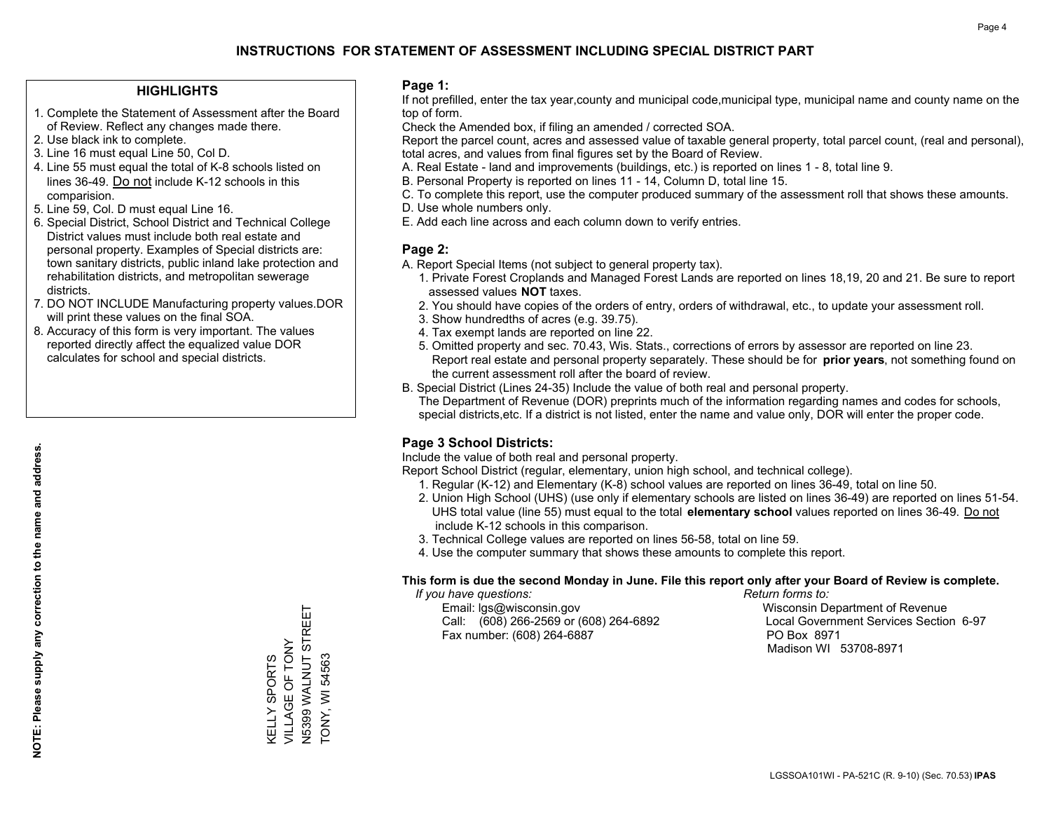## **HIGHLIGHTS**

- 1. Complete the Statement of Assessment after the Board of Review. Reflect any changes made there.
- 2. Use black ink to complete.
- 3. Line 16 must equal Line 50, Col D.
- 4. Line 55 must equal the total of K-8 schools listed on lines 36-49. Do not include K-12 schools in this comparision.
- 5. Line 59, Col. D must equal Line 16.
- 6. Special District, School District and Technical College District values must include both real estate and personal property. Examples of Special districts are: town sanitary districts, public inland lake protection and rehabilitation districts, and metropolitan sewerage districts.
- 7. DO NOT INCLUDE Manufacturing property values.DOR will print these values on the final SOA.
- 8. Accuracy of this form is very important. The values reported directly affect the equalized value DOR calculates for school and special districts.

#### **Page 1:**

 If not prefilled, enter the tax year,county and municipal code,municipal type, municipal name and county name on the top of form.

Check the Amended box, if filing an amended / corrected SOA.

 Report the parcel count, acres and assessed value of taxable general property, total parcel count, (real and personal), total acres, and values from final figures set by the Board of Review.

- A. Real Estate land and improvements (buildings, etc.) is reported on lines 1 8, total line 9.
- B. Personal Property is reported on lines 11 14, Column D, total line 15.
- C. To complete this report, use the computer produced summary of the assessment roll that shows these amounts.
- D. Use whole numbers only.
- E. Add each line across and each column down to verify entries.

## **Page 2:**

- A. Report Special Items (not subject to general property tax).
- 1. Private Forest Croplands and Managed Forest Lands are reported on lines 18,19, 20 and 21. Be sure to report assessed values **NOT** taxes.
- 2. You should have copies of the orders of entry, orders of withdrawal, etc., to update your assessment roll.
	- 3. Show hundredths of acres (e.g. 39.75).
- 4. Tax exempt lands are reported on line 22.
- 5. Omitted property and sec. 70.43, Wis. Stats., corrections of errors by assessor are reported on line 23. Report real estate and personal property separately. These should be for **prior years**, not something found on the current assessment roll after the board of review.
- B. Special District (Lines 24-35) Include the value of both real and personal property.

 The Department of Revenue (DOR) preprints much of the information regarding names and codes for schools, special districts,etc. If a district is not listed, enter the name and value only, DOR will enter the proper code.

## **Page 3 School Districts:**

Include the value of both real and personal property.

Report School District (regular, elementary, union high school, and technical college).

- 1. Regular (K-12) and Elementary (K-8) school values are reported on lines 36-49, total on line 50.
- 2. Union High School (UHS) (use only if elementary schools are listed on lines 36-49) are reported on lines 51-54. UHS total value (line 55) must equal to the total **elementary school** values reported on lines 36-49. Do notinclude K-12 schools in this comparison.
- 3. Technical College values are reported on lines 56-58, total on line 59.
- 4. Use the computer summary that shows these amounts to complete this report.

#### **This form is due the second Monday in June. File this report only after your Board of Review is complete.**

 *If you have questions: Return forms to:*

 Email: lgs@wisconsin.gov Wisconsin Department of RevenueCall:  $(608)$  266-2569 or  $(608)$  264-6892 Fax number: (608) 264-6887 PO Box 8971

Local Government Services Section 6-97 Madison WI 53708-8971

N5399 WALNUT STREET N5399 WALNUT STREET VILLAGE OF TONY VILLAGE OF TONY **TONY, WI 54563 KELLY SPORTS** TONY, WI 54563 KELLY SPORTS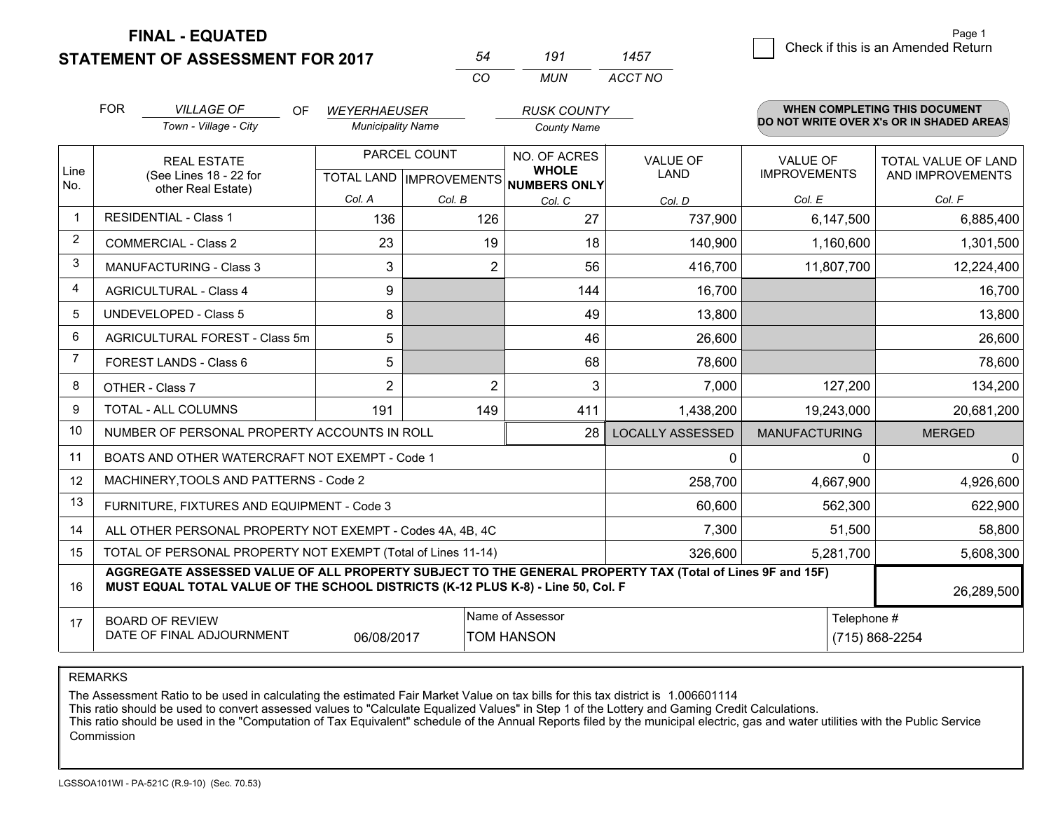**STATEMENT OF ASSESSMENT FOR 2017** 

**FINAL - EQUATED**

|                | <b>FOR</b>                                                                     | <b>VILLAGE OF</b><br>OF                                                                                                                                                                      | <b>WEYERHAEUSER</b>      |                                | <b>RUSK COUNTY</b>                  |                         |                      | WHEN COMPLETING THIS DOCUMENT            |
|----------------|--------------------------------------------------------------------------------|----------------------------------------------------------------------------------------------------------------------------------------------------------------------------------------------|--------------------------|--------------------------------|-------------------------------------|-------------------------|----------------------|------------------------------------------|
|                |                                                                                | Town - Village - City                                                                                                                                                                        | <b>Municipality Name</b> |                                | <b>County Name</b>                  |                         |                      | DO NOT WRITE OVER X's OR IN SHADED AREAS |
|                |                                                                                | <b>REAL ESTATE</b>                                                                                                                                                                           |                          | PARCEL COUNT                   | NO. OF ACRES                        | <b>VALUE OF</b>         | <b>VALUE OF</b>      | <b>TOTAL VALUE OF LAND</b>               |
| Line<br>No.    |                                                                                | (See Lines 18 - 22 for<br>other Real Estate)                                                                                                                                                 |                          | <b>TOTAL LAND IMPROVEMENTS</b> | <b>WHOLE</b><br><b>NUMBERS ONLY</b> | LAND                    | <b>IMPROVEMENTS</b>  | AND IMPROVEMENTS                         |
|                |                                                                                |                                                                                                                                                                                              | Col. A                   | Col. B                         | Col. C                              | Col. D                  | Col. E               | Col. F                                   |
| -1             |                                                                                | <b>RESIDENTIAL - Class 1</b>                                                                                                                                                                 | 136                      | 126                            | 27                                  | 737,900                 | 6,147,500            | 6,885,400                                |
| $\overline{2}$ |                                                                                | <b>COMMERCIAL - Class 2</b>                                                                                                                                                                  | 23                       | 19                             | 18                                  | 140,900                 | 1,160,600            | 1,301,500                                |
| 3              |                                                                                | <b>MANUFACTURING - Class 3</b>                                                                                                                                                               | 3                        |                                | 2<br>56                             | 416,700                 | 11,807,700           | 12,224,400                               |
| 4              |                                                                                | <b>AGRICULTURAL - Class 4</b>                                                                                                                                                                | 9                        |                                | 144                                 | 16,700                  |                      | 16,700                                   |
| 5              |                                                                                | <b>UNDEVELOPED - Class 5</b>                                                                                                                                                                 | 8                        |                                | 49                                  | 13,800                  |                      | 13,800                                   |
| 6              |                                                                                | AGRICULTURAL FOREST - Class 5m                                                                                                                                                               | 5                        |                                | 46                                  | 26,600                  |                      | 26,600                                   |
| $\overline{7}$ |                                                                                | FOREST LANDS - Class 6                                                                                                                                                                       | 5                        |                                | 68                                  | 78,600                  |                      | 78,600                                   |
| 8              |                                                                                | OTHER - Class 7                                                                                                                                                                              | $\overline{2}$           |                                | $\overline{2}$<br>3                 | 7,000                   | 127,200              | 134,200                                  |
| 9              |                                                                                | TOTAL - ALL COLUMNS                                                                                                                                                                          | 191                      | 149                            | 411                                 | 1,438,200               | 19,243,000           | 20,681,200                               |
| 10             |                                                                                | NUMBER OF PERSONAL PROPERTY ACCOUNTS IN ROLL                                                                                                                                                 |                          |                                | 28                                  | <b>LOCALLY ASSESSED</b> | <b>MANUFACTURING</b> | <b>MERGED</b>                            |
| 11             |                                                                                | BOATS AND OTHER WATERCRAFT NOT EXEMPT - Code 1                                                                                                                                               |                          |                                |                                     | 0                       | $\Omega$             | $\Omega$                                 |
| 12             |                                                                                | MACHINERY, TOOLS AND PATTERNS - Code 2                                                                                                                                                       |                          |                                |                                     | 258,700                 | 4,667,900            | 4,926,600                                |
| 13             |                                                                                | FURNITURE, FIXTURES AND EQUIPMENT - Code 3                                                                                                                                                   |                          |                                |                                     | 60,600                  | 562,300              | 622,900                                  |
| 14             |                                                                                | ALL OTHER PERSONAL PROPERTY NOT EXEMPT - Codes 4A, 4B, 4C                                                                                                                                    |                          |                                |                                     | 7,300                   | 51,500               | 58,800                                   |
| 15             |                                                                                | TOTAL OF PERSONAL PROPERTY NOT EXEMPT (Total of Lines 11-14)                                                                                                                                 |                          |                                |                                     | 326,600                 | 5,281,700            | 5,608,300                                |
| 16             |                                                                                | AGGREGATE ASSESSED VALUE OF ALL PROPERTY SUBJECT TO THE GENERAL PROPERTY TAX (Total of Lines 9F and 15F)<br>MUST EQUAL TOTAL VALUE OF THE SCHOOL DISTRICTS (K-12 PLUS K-8) - Line 50, Col. F |                          |                                |                                     |                         |                      | 26,289,500                               |
| 17             |                                                                                | <b>BOARD OF REVIEW</b>                                                                                                                                                                       |                          |                                | Name of Assessor                    |                         | Telephone #          |                                          |
|                | DATE OF FINAL ADJOURNMENT<br>(715) 868-2254<br>06/08/2017<br><b>TOM HANSON</b> |                                                                                                                                                                                              |                          |                                |                                     |                         |                      |                                          |

*CO*

*MUN*

*ACCT NO1457*

*<sup>54</sup> <sup>191</sup>*

REMARKS

The Assessment Ratio to be used in calculating the estimated Fair Market Value on tax bills for this tax district is 1.006601114<br>This ratio should be used to convert assessed values to "Calculate Equalized Values" in Step Commission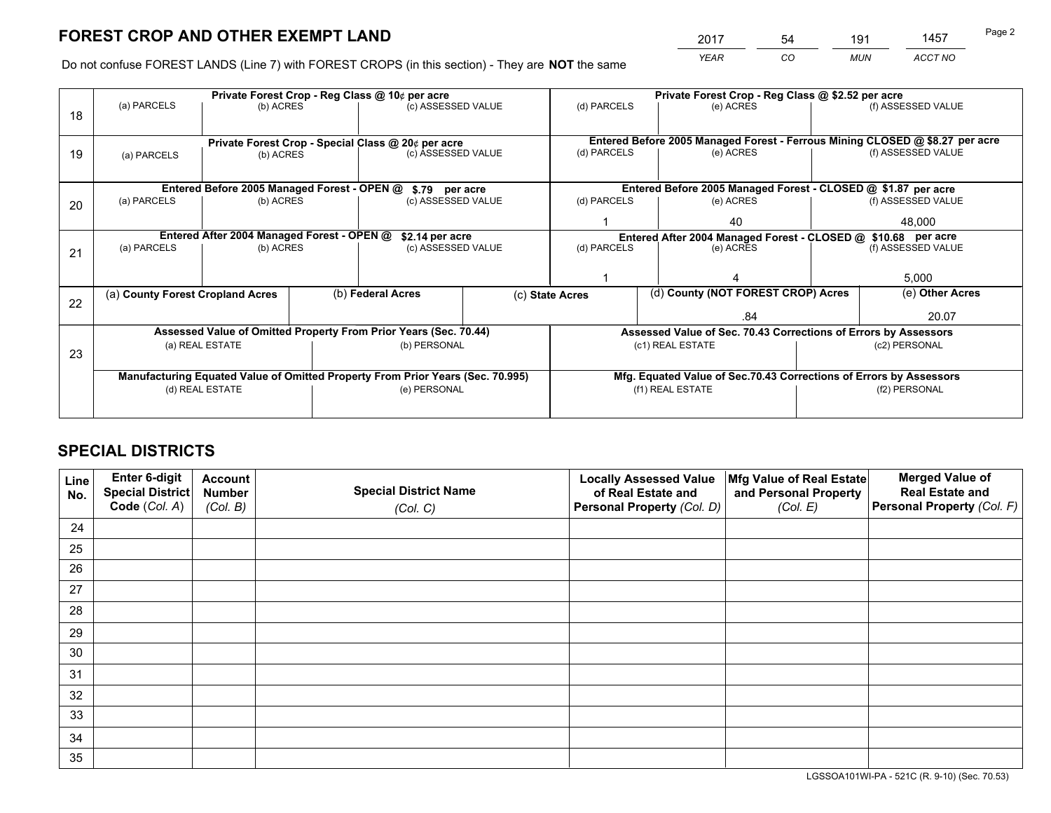*YEAR CO MUN ACCT NO* <sup>2017</sup> <sup>54</sup> <sup>191</sup> <sup>1457</sup>

Do not confuse FOREST LANDS (Line 7) with FOREST CROPS (in this section) - They are **NOT** the same

|    | Private Forest Crop - Reg Class @ 10¢ per acre                                 |                                             |  |                                                                  |                                                                    |                                                                 | Private Forest Crop - Reg Class @ \$2.52 per acre                            |                    |                    |  |
|----|--------------------------------------------------------------------------------|---------------------------------------------|--|------------------------------------------------------------------|--------------------------------------------------------------------|-----------------------------------------------------------------|------------------------------------------------------------------------------|--------------------|--------------------|--|
| 18 | (a) PARCELS                                                                    | (b) ACRES                                   |  | (c) ASSESSED VALUE                                               |                                                                    | (d) PARCELS                                                     | (e) ACRES                                                                    |                    | (f) ASSESSED VALUE |  |
|    |                                                                                |                                             |  | Private Forest Crop - Special Class @ 20¢ per acre               |                                                                    |                                                                 | Entered Before 2005 Managed Forest - Ferrous Mining CLOSED @ \$8.27 per acre |                    |                    |  |
| 19 | (b) ACRES<br>(a) PARCELS                                                       |                                             |  | (c) ASSESSED VALUE                                               |                                                                    | (d) PARCELS                                                     | (e) ACRES                                                                    |                    | (f) ASSESSED VALUE |  |
|    |                                                                                | Entered Before 2005 Managed Forest - OPEN @ |  | \$.79 per acre                                                   |                                                                    |                                                                 | Entered Before 2005 Managed Forest - CLOSED @ \$1.87 per acre                |                    |                    |  |
| 20 | (a) PARCELS                                                                    | (b) ACRES                                   |  | (c) ASSESSED VALUE                                               |                                                                    | (d) PARCELS                                                     | (e) ACRES                                                                    |                    | (f) ASSESSED VALUE |  |
|    |                                                                                |                                             |  |                                                                  |                                                                    |                                                                 | 40                                                                           |                    | 48,000             |  |
|    | Entered After 2004 Managed Forest - OPEN @<br>\$2.14 per acre                  |                                             |  |                                                                  |                                                                    | Entered After 2004 Managed Forest - CLOSED @ \$10.68 per acre   |                                                                              |                    |                    |  |
| 21 | (a) PARCELS                                                                    | (b) ACRES                                   |  | (c) ASSESSED VALUE                                               |                                                                    | (d) PARCELS<br>(e) ACRES                                        |                                                                              | (f) ASSESSED VALUE |                    |  |
|    |                                                                                |                                             |  |                                                                  |                                                                    |                                                                 |                                                                              |                    |                    |  |
|    |                                                                                |                                             |  |                                                                  |                                                                    |                                                                 |                                                                              | 5,000              |                    |  |
|    | (a) County Forest Cropland Acres                                               |                                             |  | (b) Federal Acres                                                |                                                                    | (c) State Acres                                                 | (d) County (NOT FOREST CROP) Acres                                           |                    | (e) Other Acres    |  |
| 22 |                                                                                |                                             |  |                                                                  |                                                                    |                                                                 | .84                                                                          |                    | 20.07              |  |
|    |                                                                                |                                             |  | Assessed Value of Omitted Property From Prior Years (Sec. 70.44) |                                                                    | Assessed Value of Sec. 70.43 Corrections of Errors by Assessors |                                                                              |                    |                    |  |
| 23 |                                                                                | (a) REAL ESTATE                             |  | (b) PERSONAL                                                     |                                                                    | (c1) REAL ESTATE                                                |                                                                              | (c2) PERSONAL      |                    |  |
|    |                                                                                |                                             |  |                                                                  |                                                                    |                                                                 |                                                                              |                    |                    |  |
|    | Manufacturing Equated Value of Omitted Property From Prior Years (Sec. 70.995) |                                             |  |                                                                  | Mfg. Equated Value of Sec.70.43 Corrections of Errors by Assessors |                                                                 |                                                                              |                    |                    |  |
|    |                                                                                | (d) REAL ESTATE                             |  | (e) PERSONAL                                                     |                                                                    | (f1) REAL ESTATE                                                |                                                                              | (f2) PERSONAL      |                    |  |
|    |                                                                                |                                             |  |                                                                  |                                                                    |                                                                 |                                                                              |                    |                    |  |

## **SPECIAL DISTRICTS**

| Line<br>No. | Enter 6-digit<br><b>Special District</b> | <b>Account</b><br><b>Number</b> | <b>Special District Name</b> | <b>Locally Assessed Value</b><br>of Real Estate and | Mfg Value of Real Estate<br>and Personal Property | <b>Merged Value of</b><br><b>Real Estate and</b> |
|-------------|------------------------------------------|---------------------------------|------------------------------|-----------------------------------------------------|---------------------------------------------------|--------------------------------------------------|
|             | Code (Col. A)                            | (Col. B)                        | (Col. C)                     | Personal Property (Col. D)                          | (Col. E)                                          | Personal Property (Col. F)                       |
| 24          |                                          |                                 |                              |                                                     |                                                   |                                                  |
| 25          |                                          |                                 |                              |                                                     |                                                   |                                                  |
| 26          |                                          |                                 |                              |                                                     |                                                   |                                                  |
| 27          |                                          |                                 |                              |                                                     |                                                   |                                                  |
| 28          |                                          |                                 |                              |                                                     |                                                   |                                                  |
| 29          |                                          |                                 |                              |                                                     |                                                   |                                                  |
| 30          |                                          |                                 |                              |                                                     |                                                   |                                                  |
| 31          |                                          |                                 |                              |                                                     |                                                   |                                                  |
| 32          |                                          |                                 |                              |                                                     |                                                   |                                                  |
| 33          |                                          |                                 |                              |                                                     |                                                   |                                                  |
| 34          |                                          |                                 |                              |                                                     |                                                   |                                                  |
| 35          |                                          |                                 |                              |                                                     |                                                   |                                                  |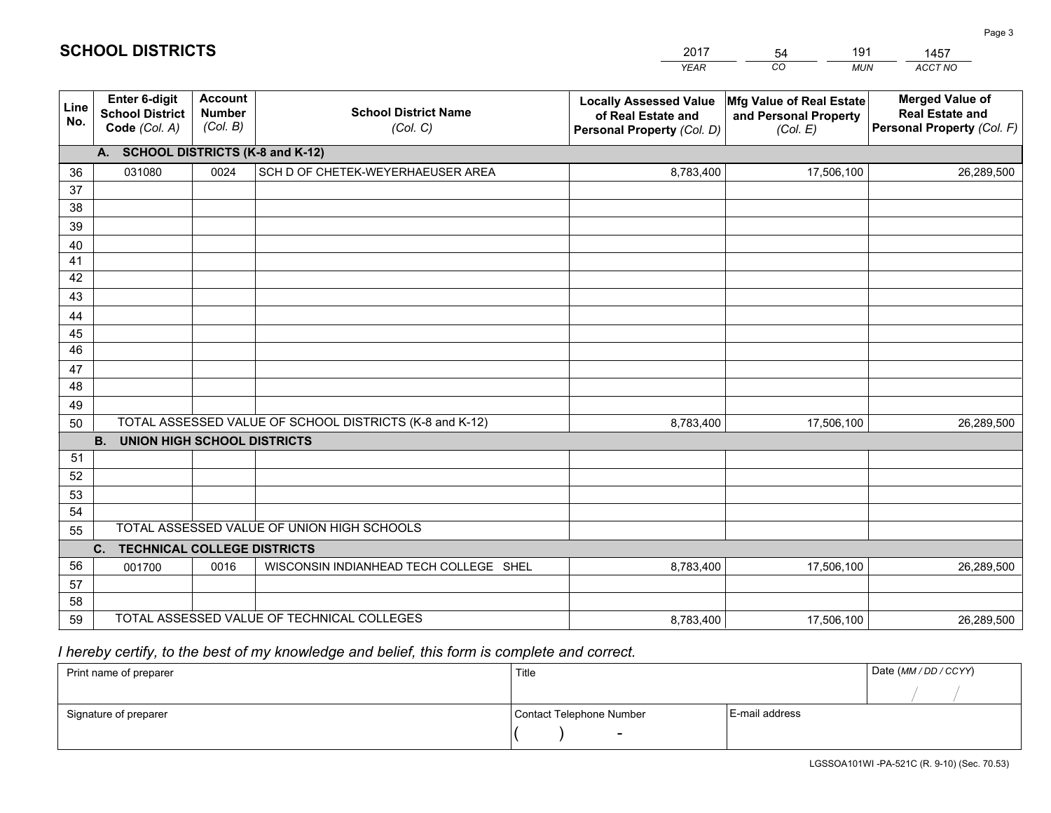|             |                                                                 |                                             |                                                         | <b>YEAR</b>                                                                       | CO<br><b>MUN</b>                                              | <b>ACCT NO</b>                                                                 |
|-------------|-----------------------------------------------------------------|---------------------------------------------|---------------------------------------------------------|-----------------------------------------------------------------------------------|---------------------------------------------------------------|--------------------------------------------------------------------------------|
| Line<br>No. | <b>Enter 6-digit</b><br><b>School District</b><br>Code (Col. A) | <b>Account</b><br><b>Number</b><br>(Col. B) | <b>School District Name</b><br>(Col. C)                 | <b>Locally Assessed Value</b><br>of Real Estate and<br>Personal Property (Col. D) | Mfg Value of Real Estate<br>and Personal Property<br>(Col. E) | <b>Merged Value of</b><br><b>Real Estate and</b><br>Personal Property (Col. F) |
|             | A. SCHOOL DISTRICTS (K-8 and K-12)                              |                                             |                                                         |                                                                                   |                                                               |                                                                                |
| 36          | 031080                                                          | 0024                                        | SCH D OF CHETEK-WEYERHAEUSER AREA                       | 8,783,400                                                                         | 17,506,100                                                    | 26,289,500                                                                     |
| 37          |                                                                 |                                             |                                                         |                                                                                   |                                                               |                                                                                |
| 38          |                                                                 |                                             |                                                         |                                                                                   |                                                               |                                                                                |
| 39          |                                                                 |                                             |                                                         |                                                                                   |                                                               |                                                                                |
| 40          |                                                                 |                                             |                                                         |                                                                                   |                                                               |                                                                                |
| 41<br>42    |                                                                 |                                             |                                                         |                                                                                   |                                                               |                                                                                |
| 43          |                                                                 |                                             |                                                         |                                                                                   |                                                               |                                                                                |
|             |                                                                 |                                             |                                                         |                                                                                   |                                                               |                                                                                |
| 44<br>45    |                                                                 |                                             |                                                         |                                                                                   |                                                               |                                                                                |
| 46          |                                                                 |                                             |                                                         |                                                                                   |                                                               |                                                                                |
| 47          |                                                                 |                                             |                                                         |                                                                                   |                                                               |                                                                                |
| 48          |                                                                 |                                             |                                                         |                                                                                   |                                                               |                                                                                |
| 49          |                                                                 |                                             |                                                         |                                                                                   |                                                               |                                                                                |
| 50          |                                                                 |                                             | TOTAL ASSESSED VALUE OF SCHOOL DISTRICTS (K-8 and K-12) | 8,783,400                                                                         | 17,506,100                                                    | 26,289,500                                                                     |
|             | <b>B.</b><br><b>UNION HIGH SCHOOL DISTRICTS</b>                 |                                             |                                                         |                                                                                   |                                                               |                                                                                |
| 51          |                                                                 |                                             |                                                         |                                                                                   |                                                               |                                                                                |
| 52          |                                                                 |                                             |                                                         |                                                                                   |                                                               |                                                                                |
| 53          |                                                                 |                                             |                                                         |                                                                                   |                                                               |                                                                                |
| 54          |                                                                 |                                             |                                                         |                                                                                   |                                                               |                                                                                |
| 55          |                                                                 |                                             | TOTAL ASSESSED VALUE OF UNION HIGH SCHOOLS              |                                                                                   |                                                               |                                                                                |
|             | C.<br><b>TECHNICAL COLLEGE DISTRICTS</b>                        |                                             |                                                         |                                                                                   |                                                               |                                                                                |
| 56          | 001700                                                          | 0016                                        | WISCONSIN INDIANHEAD TECH COLLEGE SHEL                  | 8,783,400                                                                         | 17,506,100                                                    | 26,289,500                                                                     |
| 57<br>58    |                                                                 |                                             |                                                         |                                                                                   |                                                               |                                                                                |
| 59          |                                                                 |                                             | TOTAL ASSESSED VALUE OF TECHNICAL COLLEGES              | 8,783,400                                                                         | 17,506,100                                                    | 26,289,500                                                                     |
|             |                                                                 |                                             |                                                         |                                                                                   |                                                               |                                                                                |

54

191

## *I hereby certify, to the best of my knowledge and belief, this form is complete and correct.*

**SCHOOL DISTRICTS**

| Print name of preparer | Title                    |                | Date (MM / DD / CCYY) |
|------------------------|--------------------------|----------------|-----------------------|
|                        |                          |                |                       |
| Signature of preparer  | Contact Telephone Number | E-mail address |                       |
|                        | $\overline{\phantom{0}}$ |                |                       |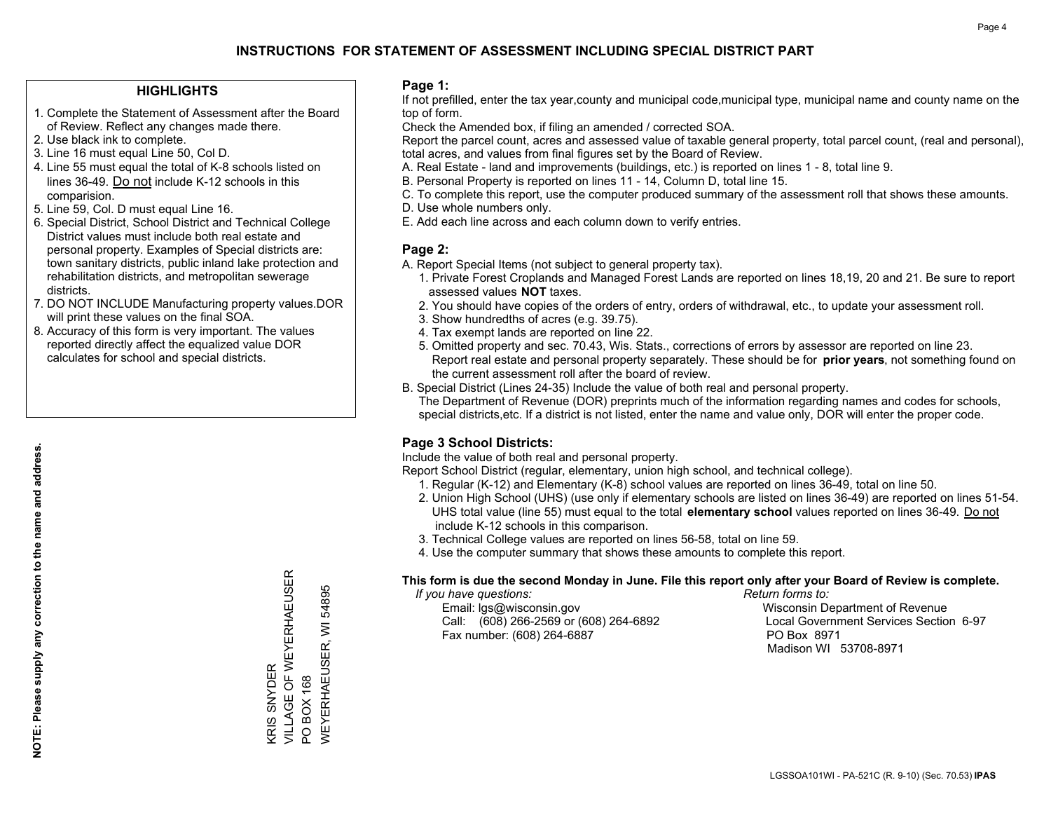## **HIGHLIGHTS**

- 1. Complete the Statement of Assessment after the Board of Review. Reflect any changes made there.
- 2. Use black ink to complete.
- 3. Line 16 must equal Line 50, Col D.
- 4. Line 55 must equal the total of K-8 schools listed on lines 36-49. Do not include K-12 schools in this comparision.
- 5. Line 59, Col. D must equal Line 16.
- 6. Special District, School District and Technical College District values must include both real estate and personal property. Examples of Special districts are: town sanitary districts, public inland lake protection and rehabilitation districts, and metropolitan sewerage districts.
- 7. DO NOT INCLUDE Manufacturing property values.DOR will print these values on the final SOA.
- 8. Accuracy of this form is very important. The values reported directly affect the equalized value DOR calculates for school and special districts.

### **Page 1:**

 If not prefilled, enter the tax year,county and municipal code,municipal type, municipal name and county name on the top of form.

Check the Amended box, if filing an amended / corrected SOA.

 Report the parcel count, acres and assessed value of taxable general property, total parcel count, (real and personal), total acres, and values from final figures set by the Board of Review.

- A. Real Estate land and improvements (buildings, etc.) is reported on lines 1 8, total line 9.
- B. Personal Property is reported on lines 11 14, Column D, total line 15.
- C. To complete this report, use the computer produced summary of the assessment roll that shows these amounts.
- D. Use whole numbers only.
- E. Add each line across and each column down to verify entries.

## **Page 2:**

- A. Report Special Items (not subject to general property tax).
- 1. Private Forest Croplands and Managed Forest Lands are reported on lines 18,19, 20 and 21. Be sure to report assessed values **NOT** taxes.
- 2. You should have copies of the orders of entry, orders of withdrawal, etc., to update your assessment roll.
	- 3. Show hundredths of acres (e.g. 39.75).
- 4. Tax exempt lands are reported on line 22.
- 5. Omitted property and sec. 70.43, Wis. Stats., corrections of errors by assessor are reported on line 23. Report real estate and personal property separately. These should be for **prior years**, not something found on the current assessment roll after the board of review.
- B. Special District (Lines 24-35) Include the value of both real and personal property.

 The Department of Revenue (DOR) preprints much of the information regarding names and codes for schools, special districts,etc. If a district is not listed, enter the name and value only, DOR will enter the proper code.

## **Page 3 School Districts:**

Include the value of both real and personal property.

Report School District (regular, elementary, union high school, and technical college).

- 1. Regular (K-12) and Elementary (K-8) school values are reported on lines 36-49, total on line 50.
- 2. Union High School (UHS) (use only if elementary schools are listed on lines 36-49) are reported on lines 51-54. UHS total value (line 55) must equal to the total **elementary school** values reported on lines 36-49. Do notinclude K-12 schools in this comparison.
- 3. Technical College values are reported on lines 56-58, total on line 59.
- 4. Use the computer summary that shows these amounts to complete this report.

#### **This form is due the second Monday in June. File this report only after your Board of Review is complete.**

 *If you have questions: Return forms to:*

 Email: lgs@wisconsin.gov Wisconsin Department of RevenueCall:  $(608)$  266-2569 or  $(608)$  264-6892 Fax number: (608) 264-6887 PO Box 8971

Local Government Services Section 6-97 Madison WI 53708-8971

VILLAGE OF WEYERHAEUSER KRIS SNYDER<br>VILLAGE OF WEYERHAEUSER 54895 WEYERHAEUSER, WI 54895  $\overline{\geq}$ **WEYERHAEUSER,** KRIS SNYDER **BOX 168** PO BOX 168  $\overline{S}$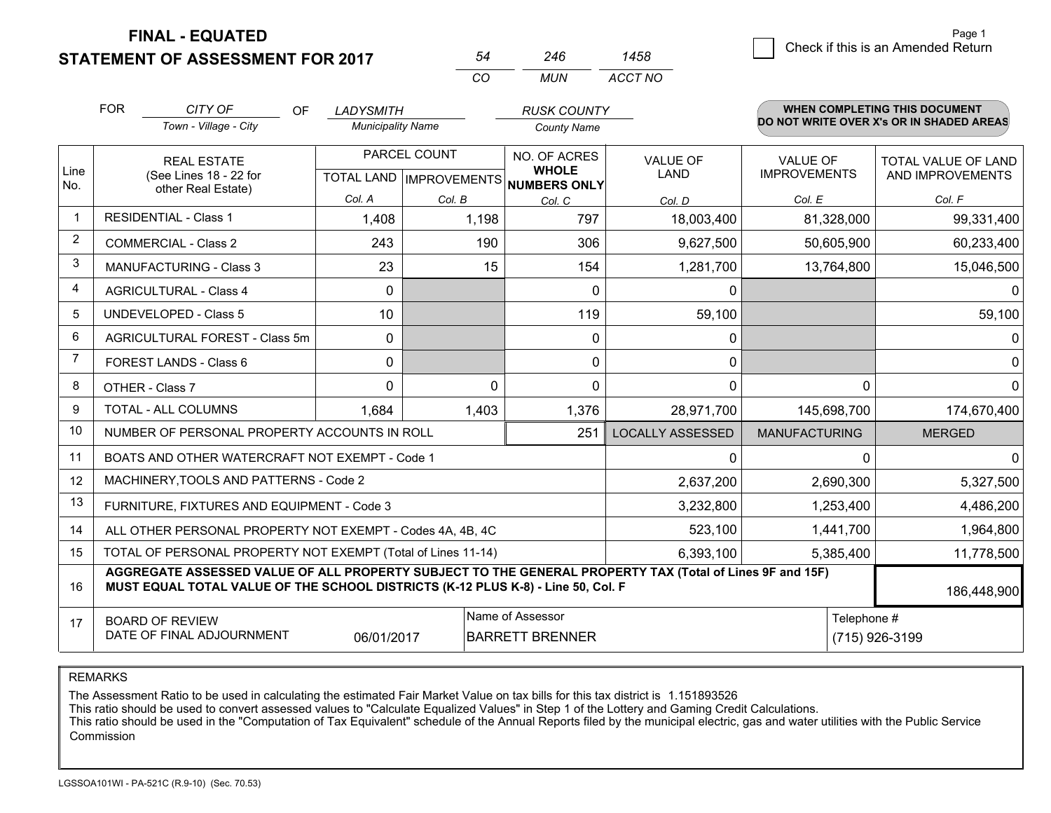**FINAL - EQUATED**

**STATEMENT OF ASSESSMENT FOR 2017** 

|   | Page 1                             |
|---|------------------------------------|
| 8 | Check if this is an Amended Return |
|   |                                    |

|                | <b>FOR</b>                                                                                                      | CITY OF<br><b>OF</b><br>Town - Village - City                                                                                                                                                | <b>LADYSMITH</b><br><b>Municipality Name</b> |                                                | <b>RUSK COUNTY</b><br><b>County Name</b>     |                               |                                        | <b>WHEN COMPLETING THIS DOCUMENT</b><br>DO NOT WRITE OVER X's OR IN SHADED AREAS |
|----------------|-----------------------------------------------------------------------------------------------------------------|----------------------------------------------------------------------------------------------------------------------------------------------------------------------------------------------|----------------------------------------------|------------------------------------------------|----------------------------------------------|-------------------------------|----------------------------------------|----------------------------------------------------------------------------------|
| Line<br>No.    |                                                                                                                 | <b>REAL ESTATE</b><br>(See Lines 18 - 22 for                                                                                                                                                 |                                              | PARCEL COUNT<br><b>TOTAL LAND IMPROVEMENTS</b> | NO. OF ACRES<br><b>WHOLE</b><br>NUMBERS ONLY | VALUE OF<br>LAND              | <b>VALUE OF</b><br><b>IMPROVEMENTS</b> | TOTAL VALUE OF LAND<br>AND IMPROVEMENTS                                          |
|                |                                                                                                                 | other Real Estate)                                                                                                                                                                           | Col. A                                       | Col. B                                         | Col. C                                       | Col. D                        | Col. E                                 | Col. F                                                                           |
|                |                                                                                                                 | <b>RESIDENTIAL - Class 1</b>                                                                                                                                                                 | 1,408                                        | 1,198                                          | 797                                          | 18,003,400                    | 81,328,000                             | 99,331,400                                                                       |
| $\overline{2}$ |                                                                                                                 | <b>COMMERCIAL - Class 2</b>                                                                                                                                                                  | 243                                          | 190                                            | 306                                          | 9,627,500                     | 50,605,900                             | 60,233,400                                                                       |
| 3              |                                                                                                                 | <b>MANUFACTURING - Class 3</b>                                                                                                                                                               | 23                                           | 15                                             | 154                                          | 1,281,700                     | 13,764,800                             | 15,046,500                                                                       |
| 4              |                                                                                                                 | <b>AGRICULTURAL - Class 4</b>                                                                                                                                                                | 0                                            |                                                | $\mathbf{0}$                                 | $\mathbf{0}$                  |                                        | 0                                                                                |
| 5              |                                                                                                                 | <b>UNDEVELOPED - Class 5</b>                                                                                                                                                                 | 10                                           |                                                | 119                                          | 59,100                        |                                        | 59,100                                                                           |
| 6              |                                                                                                                 | <b>AGRICULTURAL FOREST - Class 5m</b>                                                                                                                                                        | 0                                            |                                                | 0                                            | $\mathbf{0}$                  |                                        | $\mathbf{0}$                                                                     |
| 7              |                                                                                                                 | FOREST LANDS - Class 6                                                                                                                                                                       | 0                                            |                                                | 0                                            | 0                             |                                        | 0                                                                                |
| 8              |                                                                                                                 | OTHER - Class 7                                                                                                                                                                              | 0                                            | $\Omega$                                       | $\mathbf{0}$                                 | $\mathbf{0}$                  | $\Omega$                               | $\mathbf 0$                                                                      |
| 9              |                                                                                                                 | TOTAL - ALL COLUMNS                                                                                                                                                                          | 1,684                                        | 1,403                                          | 1,376                                        | 28,971,700                    | 145,698,700                            | 174,670,400                                                                      |
| 10             |                                                                                                                 | NUMBER OF PERSONAL PROPERTY ACCOUNTS IN ROLL                                                                                                                                                 |                                              |                                                | 251                                          | <b>LOCALLY ASSESSED</b>       | <b>MANUFACTURING</b>                   | <b>MERGED</b>                                                                    |
| 11             |                                                                                                                 | BOATS AND OTHER WATERCRAFT NOT EXEMPT - Code 1                                                                                                                                               |                                              |                                                |                                              | $\Omega$                      | <sup>0</sup>                           | $\Omega$                                                                         |
| 12             |                                                                                                                 | MACHINERY, TOOLS AND PATTERNS - Code 2                                                                                                                                                       |                                              |                                                |                                              | 2,637,200                     | 2,690,300                              | 5,327,500                                                                        |
| 13             |                                                                                                                 | FURNITURE, FIXTURES AND EQUIPMENT - Code 3                                                                                                                                                   |                                              |                                                |                                              | 3,232,800                     | 1,253,400                              | 4,486,200                                                                        |
| 14             |                                                                                                                 | ALL OTHER PERSONAL PROPERTY NOT EXEMPT - Codes 4A, 4B, 4C                                                                                                                                    |                                              |                                                | 523,100                                      | 1,441,700                     | 1,964,800                              |                                                                                  |
| 15             |                                                                                                                 | TOTAL OF PERSONAL PROPERTY NOT EXEMPT (Total of Lines 11-14)                                                                                                                                 |                                              |                                                | 6,393,100                                    | 5,385,400                     | 11,778,500                             |                                                                                  |
| 16             |                                                                                                                 | AGGREGATE ASSESSED VALUE OF ALL PROPERTY SUBJECT TO THE GENERAL PROPERTY TAX (Total of Lines 9F and 15F)<br>MUST EQUAL TOTAL VALUE OF THE SCHOOL DISTRICTS (K-12 PLUS K-8) - Line 50, Col. F |                                              |                                                |                                              |                               |                                        | 186,448,900                                                                      |
| 17             | Name of Assessor<br><b>BOARD OF REVIEW</b><br>DATE OF FINAL ADJOURNMENT<br><b>BARRETT BRENNER</b><br>06/01/2017 |                                                                                                                                                                                              |                                              |                                                |                                              | Telephone #<br>(715) 926-3199 |                                        |                                                                                  |

*CO*

*MUN*

*ACCT NO1458*

*<sup>54</sup> <sup>246</sup>*

REMARKS

The Assessment Ratio to be used in calculating the estimated Fair Market Value on tax bills for this tax district is 1.151893526<br>This ratio should be used to convert assessed values to "Calculate Equalized Values" in Step Commission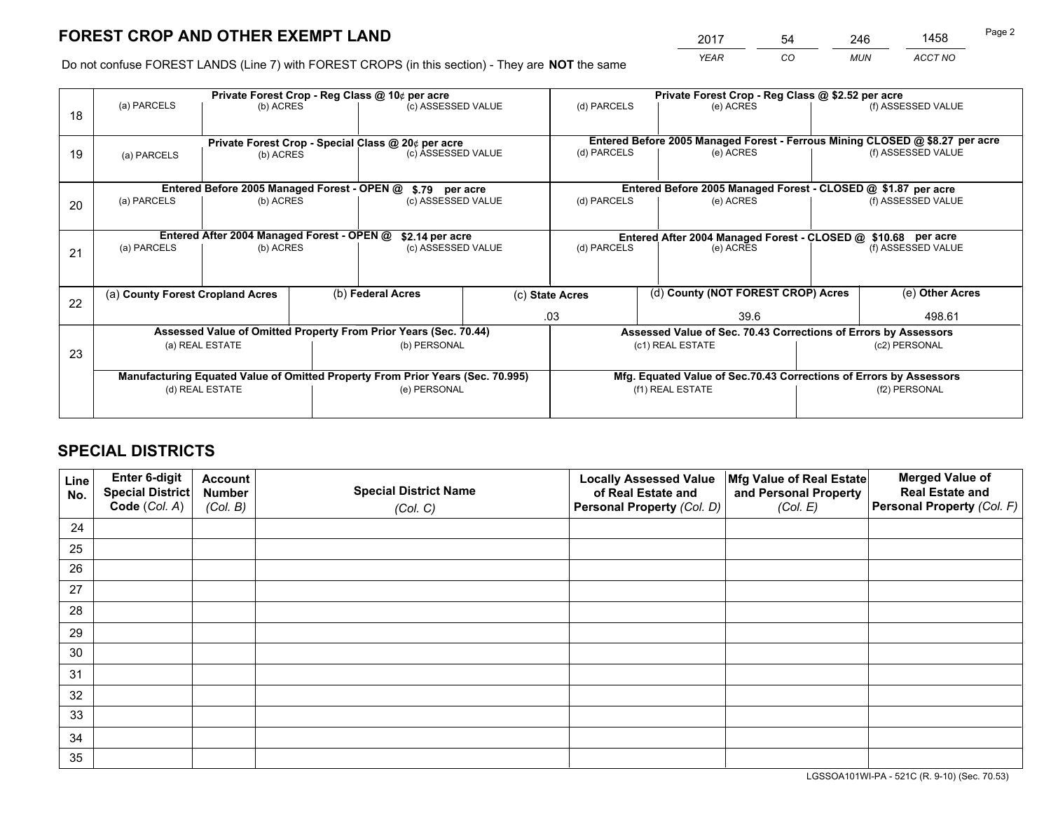*YEAR CO MUN ACCT NO* <sup>2017</sup> <sup>54</sup> <sup>246</sup> <sup>1458</sup>

Do not confuse FOREST LANDS (Line 7) with FOREST CROPS (in this section) - They are **NOT** the same

|    | Private Forest Crop - Reg Class @ 10¢ per acre                                 |                                             |  |                                                                  |  |                                                               | Private Forest Crop - Reg Class @ \$2.52 per acre                            |               |                    |  |
|----|--------------------------------------------------------------------------------|---------------------------------------------|--|------------------------------------------------------------------|--|---------------------------------------------------------------|------------------------------------------------------------------------------|---------------|--------------------|--|
| 18 | (a) PARCELS                                                                    | (b) ACRES                                   |  | (c) ASSESSED VALUE                                               |  | (d) PARCELS                                                   | (e) ACRES                                                                    |               | (f) ASSESSED VALUE |  |
|    |                                                                                |                                             |  |                                                                  |  |                                                               | Entered Before 2005 Managed Forest - Ferrous Mining CLOSED @ \$8.27 per acre |               |                    |  |
| 19 | Private Forest Crop - Special Class @ 20¢ per acre<br>(b) ACRES<br>(a) PARCELS |                                             |  | (c) ASSESSED VALUE                                               |  | (d) PARCELS                                                   | (e) ACRES                                                                    |               | (f) ASSESSED VALUE |  |
|    |                                                                                | Entered Before 2005 Managed Forest - OPEN @ |  |                                                                  |  |                                                               | Entered Before 2005 Managed Forest - CLOSED @ \$1.87 per acre                |               |                    |  |
| 20 | (a) PARCELS<br>(b) ACRES                                                       |                                             |  | \$.79 per acre<br>(c) ASSESSED VALUE                             |  | (d) PARCELS<br>(e) ACRES                                      |                                                                              |               | (f) ASSESSED VALUE |  |
|    |                                                                                | Entered After 2004 Managed Forest - OPEN @  |  | \$2.14 per acre                                                  |  | Entered After 2004 Managed Forest - CLOSED @ \$10.68 per acre |                                                                              |               |                    |  |
| 21 | (a) PARCELS                                                                    | (b) ACRES                                   |  | (c) ASSESSED VALUE                                               |  | (d) PARCELS                                                   | (e) ACRES                                                                    |               | (f) ASSESSED VALUE |  |
|    |                                                                                |                                             |  |                                                                  |  |                                                               |                                                                              |               |                    |  |
| 22 | (a) County Forest Cropland Acres                                               | (b) Federal Acres                           |  | (c) State Acres                                                  |  |                                                               | (d) County (NOT FOREST CROP) Acres                                           |               |                    |  |
|    |                                                                                |                                             |  |                                                                  |  | .03<br>39.6                                                   |                                                                              | 498.61        |                    |  |
|    |                                                                                |                                             |  | Assessed Value of Omitted Property From Prior Years (Sec. 70.44) |  |                                                               | Assessed Value of Sec. 70.43 Corrections of Errors by Assessors              |               |                    |  |
| 23 | (a) REAL ESTATE                                                                |                                             |  | (b) PERSONAL                                                     |  | (c1) REAL ESTATE                                              |                                                                              | (c2) PERSONAL |                    |  |
|    | Manufacturing Equated Value of Omitted Property From Prior Years (Sec. 70.995) |                                             |  |                                                                  |  |                                                               | Mfg. Equated Value of Sec.70.43 Corrections of Errors by Assessors           |               |                    |  |
|    | (d) REAL ESTATE                                                                |                                             |  | (e) PERSONAL                                                     |  | (f1) REAL ESTATE                                              |                                                                              | (f2) PERSONAL |                    |  |
|    |                                                                                |                                             |  |                                                                  |  |                                                               |                                                                              |               |                    |  |

## **SPECIAL DISTRICTS**

| Line<br>No. | Enter 6-digit<br>Special District<br>Code (Col. A) | <b>Account</b><br><b>Number</b><br>(Col. B) | <b>Special District Name</b><br>(Col. C) | <b>Locally Assessed Value</b><br>of Real Estate and<br>Personal Property (Col. D) | Mfg Value of Real Estate<br>and Personal Property<br>(Col. E) | <b>Merged Value of</b><br><b>Real Estate and</b><br>Personal Property (Col. F) |
|-------------|----------------------------------------------------|---------------------------------------------|------------------------------------------|-----------------------------------------------------------------------------------|---------------------------------------------------------------|--------------------------------------------------------------------------------|
| 24          |                                                    |                                             |                                          |                                                                                   |                                                               |                                                                                |
| 25          |                                                    |                                             |                                          |                                                                                   |                                                               |                                                                                |
| 26          |                                                    |                                             |                                          |                                                                                   |                                                               |                                                                                |
| 27          |                                                    |                                             |                                          |                                                                                   |                                                               |                                                                                |
| 28          |                                                    |                                             |                                          |                                                                                   |                                                               |                                                                                |
| 29          |                                                    |                                             |                                          |                                                                                   |                                                               |                                                                                |
| 30          |                                                    |                                             |                                          |                                                                                   |                                                               |                                                                                |
| 31          |                                                    |                                             |                                          |                                                                                   |                                                               |                                                                                |
| 32          |                                                    |                                             |                                          |                                                                                   |                                                               |                                                                                |
| 33          |                                                    |                                             |                                          |                                                                                   |                                                               |                                                                                |
| 34          |                                                    |                                             |                                          |                                                                                   |                                                               |                                                                                |
| 35          |                                                    |                                             |                                          |                                                                                   |                                                               |                                                                                |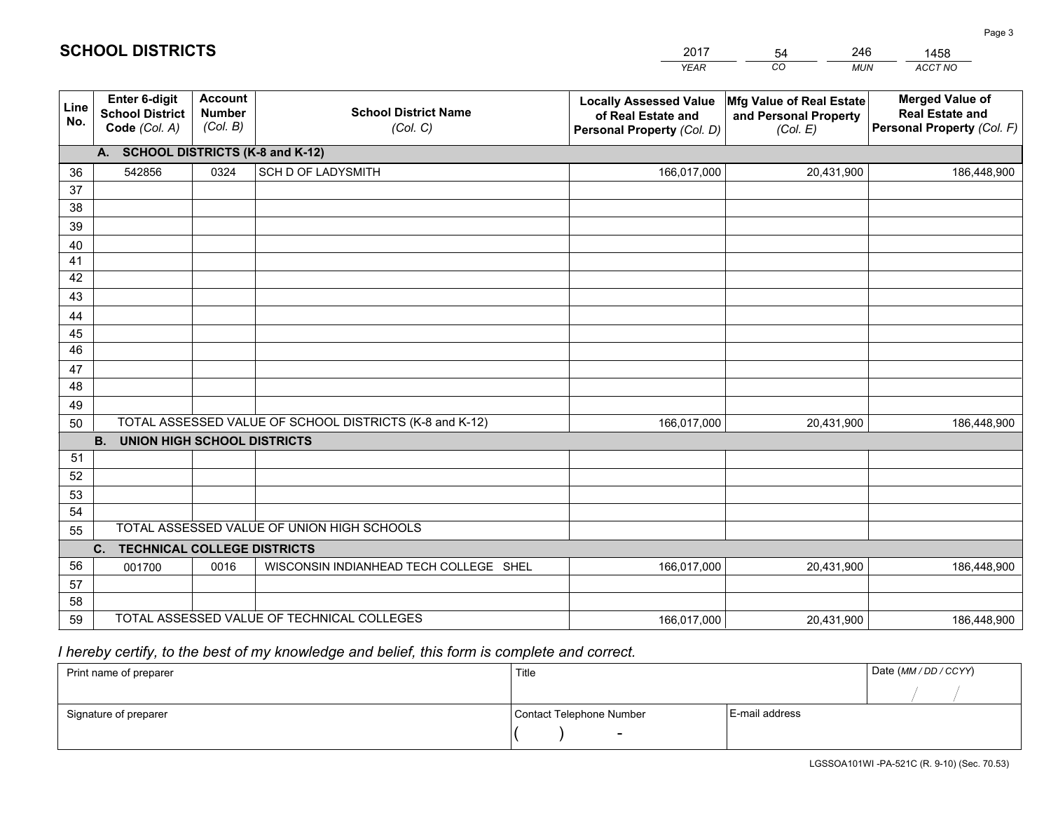|             |                                                          |                                             |                                                         | <b>YEAR</b>                                                                       | CO<br><b>MUN</b>                                              | ACCT NO                                                                        |  |  |
|-------------|----------------------------------------------------------|---------------------------------------------|---------------------------------------------------------|-----------------------------------------------------------------------------------|---------------------------------------------------------------|--------------------------------------------------------------------------------|--|--|
| Line<br>No. | Enter 6-digit<br><b>School District</b><br>Code (Col. A) | <b>Account</b><br><b>Number</b><br>(Col. B) | <b>School District Name</b><br>(Col. C)                 | <b>Locally Assessed Value</b><br>of Real Estate and<br>Personal Property (Col. D) | Mfg Value of Real Estate<br>and Personal Property<br>(Col. E) | <b>Merged Value of</b><br><b>Real Estate and</b><br>Personal Property (Col. F) |  |  |
|             | A. SCHOOL DISTRICTS (K-8 and K-12)                       |                                             |                                                         |                                                                                   |                                                               |                                                                                |  |  |
| 36          | 542856                                                   | 0324                                        | SCH D OF LADYSMITH                                      | 166,017,000                                                                       | 20,431,900                                                    | 186,448,900                                                                    |  |  |
| 37          |                                                          |                                             |                                                         |                                                                                   |                                                               |                                                                                |  |  |
| 38          |                                                          |                                             |                                                         |                                                                                   |                                                               |                                                                                |  |  |
| 39          |                                                          |                                             |                                                         |                                                                                   |                                                               |                                                                                |  |  |
| 40          |                                                          |                                             |                                                         |                                                                                   |                                                               |                                                                                |  |  |
| 41<br>42    |                                                          |                                             |                                                         |                                                                                   |                                                               |                                                                                |  |  |
| 43          |                                                          |                                             |                                                         |                                                                                   |                                                               |                                                                                |  |  |
|             |                                                          |                                             |                                                         |                                                                                   |                                                               |                                                                                |  |  |
| 44<br>45    |                                                          |                                             |                                                         |                                                                                   |                                                               |                                                                                |  |  |
| 46          |                                                          |                                             |                                                         |                                                                                   |                                                               |                                                                                |  |  |
| 47          |                                                          |                                             |                                                         |                                                                                   |                                                               |                                                                                |  |  |
| 48          |                                                          |                                             |                                                         |                                                                                   |                                                               |                                                                                |  |  |
| 49          |                                                          |                                             |                                                         |                                                                                   |                                                               |                                                                                |  |  |
| 50          |                                                          |                                             | TOTAL ASSESSED VALUE OF SCHOOL DISTRICTS (K-8 and K-12) | 166,017,000                                                                       | 20,431,900                                                    | 186,448,900                                                                    |  |  |
|             | <b>B.</b><br><b>UNION HIGH SCHOOL DISTRICTS</b>          |                                             |                                                         |                                                                                   |                                                               |                                                                                |  |  |
| 51          |                                                          |                                             |                                                         |                                                                                   |                                                               |                                                                                |  |  |
| 52          |                                                          |                                             |                                                         |                                                                                   |                                                               |                                                                                |  |  |
| 53          |                                                          |                                             |                                                         |                                                                                   |                                                               |                                                                                |  |  |
| 54          |                                                          |                                             |                                                         |                                                                                   |                                                               |                                                                                |  |  |
| 55          | TOTAL ASSESSED VALUE OF UNION HIGH SCHOOLS               |                                             |                                                         |                                                                                   |                                                               |                                                                                |  |  |
|             | C.<br><b>TECHNICAL COLLEGE DISTRICTS</b>                 |                                             |                                                         |                                                                                   |                                                               |                                                                                |  |  |
| 56          | 001700                                                   | 0016                                        | WISCONSIN INDIANHEAD TECH COLLEGE SHEL                  | 166,017,000                                                                       | 20,431,900                                                    | 186,448,900                                                                    |  |  |
| 57<br>58    |                                                          |                                             |                                                         |                                                                                   |                                                               |                                                                                |  |  |
| 59          |                                                          |                                             | TOTAL ASSESSED VALUE OF TECHNICAL COLLEGES              | 166,017,000                                                                       | 20,431,900                                                    | 186,448,900                                                                    |  |  |
|             |                                                          |                                             |                                                         |                                                                                   |                                                               |                                                                                |  |  |

54

246

## *I hereby certify, to the best of my knowledge and belief, this form is complete and correct.*

**SCHOOL DISTRICTS**

| Print name of preparer | Title                    | Date (MM / DD / CCYY) |  |
|------------------------|--------------------------|-----------------------|--|
|                        |                          |                       |  |
| Signature of preparer  | Contact Telephone Number | E-mail address        |  |
|                        | $\sim$                   |                       |  |